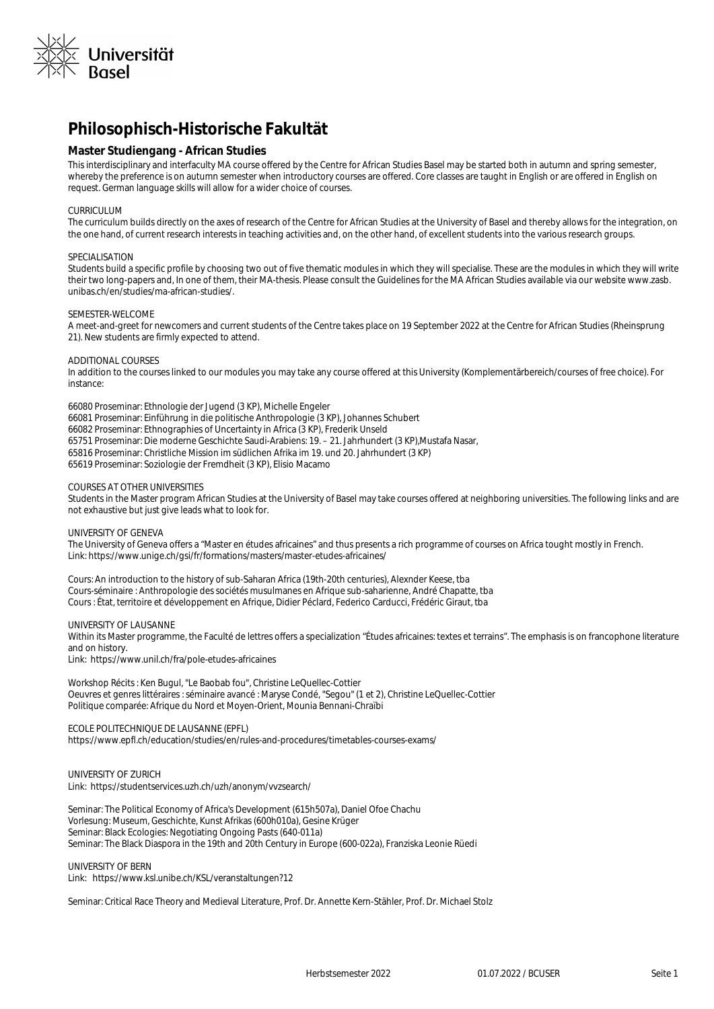

# **Philosophisch-Historische Fakultät**

# **Master Studiengang - African Studies**

This interdisciplinary and interfaculty MA course offered by the Centre for African Studies Basel may be started both in autumn and spring semester, whereby the preference is on autumn semester when introductory courses are offered. Core classes are taught in English or are offered in English on request. German language skills will allow for a wider choice of courses.

#### CURRICULUM

The curriculum builds directly on the axes of research of the Centre for African Studies at the University of Basel and thereby allows for the integration, on the one hand, of current research interests in teaching activities and, on the other hand, of excellent students into the various research groups.

#### SPECIALISATION

Students build a specific profile by choosing two out of five thematic modules in which they will specialise. These are the modules in which they will write their two long-papers and, In one of them, their MA-thesis. Please consult the Guidelines for the MA African Studies available via our website www.zasb. unibas.ch/en/studies/ma-african-studies/.

#### SEMESTER-WELCOME

A meet-and-greet for newcomers and current students of the Centre takes place on 19 September 2022 at the Centre for African Studies (Rheinsprung 21). New students are firmly expected to attend.

## ADDITIONAL COURSES

In addition to the courses linked to our modules you may take any course offered at this University (Komplementärbereich/courses of free choice). For instance:

66080 Proseminar: Ethnologie der Jugend (3 KP), Michelle Engeler 66081 Proseminar: Einführung in die politische Anthropologie (3 KP), Johannes Schubert 66082 Proseminar: Ethnographies of Uncertainty in Africa (3 KP), Frederik Unseld 65751 Proseminar: Die moderne Geschichte Saudi-Arabiens: 19. – 21. Jahrhundert (3 KP),Mustafa Nasar, 65816 Proseminar: Christliche Mission im südlichen Afrika im 19. und 20. Jahrhundert (3 KP) 65619 Proseminar: Soziologie der Fremdheit (3 KP), Elisio Macamo

## COURSES AT OTHER UNIVERSITIES

Students in the Master program African Studies at the University of Basel may take courses offered at neighboring universities. The following links and are not exhaustive but just give leads what to look for.

#### UNIVERSITY OF GENEVA

The University of Geneva offers a "Master en études africaines" and thus presents a rich programme of courses on Africa tought mostly in French. Link: https://www.unige.ch/gsi/fr/formations/masters/master-etudes-africaines/

Cours: An introduction to the history of sub-Saharan Africa (19th-20th centuries), Alexnder Keese, tba Cours-séminaire : Anthropologie des sociétés musulmanes en Afrique sub-saharienne, André Chapatte, tba Cours : État, territoire et développement en Afrique, Didier Péclard, Federico Carducci, Frédéric Giraut, tba

## UNIVERSITY OF LAUSANNE

Within its Master programme, the Faculté de lettres offers a specialization "Études africaines: textes et terrains". The emphasis is on francophone literature and on history. Link: https://www.unil.ch/fra/pole-etudes-africaines

Workshop Récits : Ken Bugul, "Le Baobab fou", Christine LeQuellec-Cottier Oeuvres et genres littéraires : séminaire avancé : Maryse Condé, "Segou" (1 et 2), Christine LeQuellec-Cottier

## ECOLE POLITECHNIQUE DE LAUSANNE (EPFL)

https://www.epfl.ch/education/studies/en/rules-and-procedures/timetables-courses-exams/

Politique comparée: Afrique du Nord et Moyen-Orient, Mounia Bennani-Chraïbi

UNIVERSITY OF ZURICH Link: https://studentservices.uzh.ch/uzh/anonym/vvzsearch/

Seminar: The Political Economy of Africa's Development (615h507a), Daniel Ofoe Chachu Vorlesung: Museum, Geschichte, Kunst Afrikas (600h010a), Gesine Krüger Seminar: Black Ecologies: Negotiating Ongoing Pasts (640-011a) Seminar: The Black Diaspora in the 19th and 20th Century in Europe (600-022a), Franziska Leonie Rüedi

UNIVERSITY OF BERN Link: https://www.ksl.unibe.ch/KSL/veranstaltungen?12

Seminar: Critical Race Theory and Medieval Literature, Prof. Dr. Annette Kern-Stähler, Prof. Dr. Michael Stolz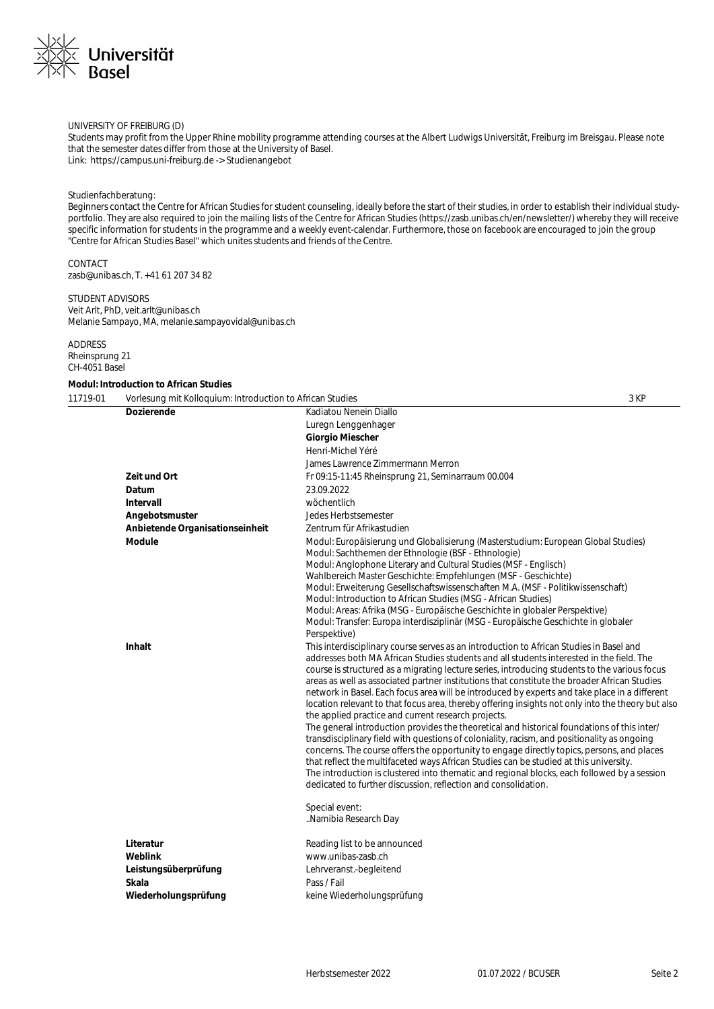

## UNIVERSITY OF FREIBURG (D)

Students may profit from the Upper Rhine mobility programme attending courses at the Albert Ludwigs Universität, Freiburg im Breisgau. Please note that the semester dates differ from those at the University of Basel. Link: https://campus.uni-freiburg.de -> Studienangebot

### Studienfachberatung:

Beginners contact the Centre for African Studies for student counseling, ideally before the start of their studies, in order to establish their individual studyportfolio. They are also required to join the mailing lists of the Centre for African Studies (https://zasb.unibas.ch/en/newsletter/) whereby they will receive specific information for students in the programme and a weekly event-calendar. Furthermore, those on facebook are encouraged to join the group "Centre for African Studies Basel" which unites students and friends of the Centre.

CONTACT zasb@unibas.ch, T. +41 61 207 34 82

# STUDENT ADVISORS

Veit Arlt, PhD, veit.arlt@unibas.ch Melanie Sampayo, MA, melanie.sampayovidal@unibas.ch

# ADDRESS

Rheinsprung 21 CH-4051 Basel

# **Modul: Introduction to African Studies**

| 11719-01 | Vorlesung mit Kolloguium: Introduction to African Studies |                                                                                                                                                                                                                                                                                                                                                                                                                                                                                                                                                                                                                                                                                                                                                                                                                                                                                                                                                                                                                                                                                                                                                                                                                                                   | 3 KP |
|----------|-----------------------------------------------------------|---------------------------------------------------------------------------------------------------------------------------------------------------------------------------------------------------------------------------------------------------------------------------------------------------------------------------------------------------------------------------------------------------------------------------------------------------------------------------------------------------------------------------------------------------------------------------------------------------------------------------------------------------------------------------------------------------------------------------------------------------------------------------------------------------------------------------------------------------------------------------------------------------------------------------------------------------------------------------------------------------------------------------------------------------------------------------------------------------------------------------------------------------------------------------------------------------------------------------------------------------|------|
|          | <b>Dozierende</b>                                         | Kadiatou Nenein Diallo                                                                                                                                                                                                                                                                                                                                                                                                                                                                                                                                                                                                                                                                                                                                                                                                                                                                                                                                                                                                                                                                                                                                                                                                                            |      |
|          |                                                           | Luregn Lenggenhager                                                                                                                                                                                                                                                                                                                                                                                                                                                                                                                                                                                                                                                                                                                                                                                                                                                                                                                                                                                                                                                                                                                                                                                                                               |      |
|          |                                                           | <b>Giorgio Miescher</b>                                                                                                                                                                                                                                                                                                                                                                                                                                                                                                                                                                                                                                                                                                                                                                                                                                                                                                                                                                                                                                                                                                                                                                                                                           |      |
|          |                                                           | Henri-Michel Yéré                                                                                                                                                                                                                                                                                                                                                                                                                                                                                                                                                                                                                                                                                                                                                                                                                                                                                                                                                                                                                                                                                                                                                                                                                                 |      |
|          |                                                           | James Lawrence Zimmermann Merron                                                                                                                                                                                                                                                                                                                                                                                                                                                                                                                                                                                                                                                                                                                                                                                                                                                                                                                                                                                                                                                                                                                                                                                                                  |      |
|          | Zeit und Ort                                              | Fr 09:15-11:45 Rheinsprung 21, Seminarraum 00.004                                                                                                                                                                                                                                                                                                                                                                                                                                                                                                                                                                                                                                                                                                                                                                                                                                                                                                                                                                                                                                                                                                                                                                                                 |      |
|          | Datum                                                     | 23.09.2022                                                                                                                                                                                                                                                                                                                                                                                                                                                                                                                                                                                                                                                                                                                                                                                                                                                                                                                                                                                                                                                                                                                                                                                                                                        |      |
|          | Intervall                                                 | wöchentlich                                                                                                                                                                                                                                                                                                                                                                                                                                                                                                                                                                                                                                                                                                                                                                                                                                                                                                                                                                                                                                                                                                                                                                                                                                       |      |
|          | Angebotsmuster                                            | Jedes Herbstsemester                                                                                                                                                                                                                                                                                                                                                                                                                                                                                                                                                                                                                                                                                                                                                                                                                                                                                                                                                                                                                                                                                                                                                                                                                              |      |
|          | Anbietende Organisationseinheit                           | Zentrum für Afrikastudien                                                                                                                                                                                                                                                                                                                                                                                                                                                                                                                                                                                                                                                                                                                                                                                                                                                                                                                                                                                                                                                                                                                                                                                                                         |      |
|          | Module                                                    | Modul: Europäisierung und Globalisierung (Masterstudium: European Global Studies)<br>Modul: Sachthemen der Ethnologie (BSF - Ethnologie)<br>Modul: Anglophone Literary and Cultural Studies (MSF - Englisch)<br>Wahlbereich Master Geschichte: Empfehlungen (MSF - Geschichte)<br>Modul: Erweiterung Gesellschaftswissenschaften M.A. (MSF - Politikwissenschaft)<br>Modul: Introduction to African Studies (MSG - African Studies)<br>Modul: Areas: Afrika (MSG - Europäische Geschichte in globaler Perspektive)<br>Modul: Transfer: Europa interdisziplinär (MSG - Europäische Geschichte in globaler<br>Perspektive)                                                                                                                                                                                                                                                                                                                                                                                                                                                                                                                                                                                                                          |      |
|          | <b>Inhalt</b>                                             | This interdisciplinary course serves as an introduction to African Studies in Basel and<br>addresses both MA African Studies students and all students interested in the field. The<br>course is structured as a migrating lecture series, introducing students to the various focus<br>areas as well as associated partner institutions that constitute the broader African Studies<br>network in Basel. Each focus area will be introduced by experts and take place in a different<br>location relevant to that focus area, thereby offering insights not only into the theory but also<br>the applied practice and current research projects.<br>The general introduction provides the theoretical and historical foundations of this inter/<br>transdisciplinary field with questions of coloniality, racism, and positionality as ongoing<br>concerns. The course offers the opportunity to engage directly topics, persons, and places<br>that reflect the multifaceted ways African Studies can be studied at this university.<br>The introduction is clustered into thematic and regional blocks, each followed by a session<br>dedicated to further discussion, reflection and consolidation.<br>Special event:<br>Namibia Research Day |      |
|          | Literatur                                                 | Reading list to be announced                                                                                                                                                                                                                                                                                                                                                                                                                                                                                                                                                                                                                                                                                                                                                                                                                                                                                                                                                                                                                                                                                                                                                                                                                      |      |
|          | Weblink                                                   | www.unibas-zasb.ch                                                                                                                                                                                                                                                                                                                                                                                                                                                                                                                                                                                                                                                                                                                                                                                                                                                                                                                                                                                                                                                                                                                                                                                                                                |      |
|          | Leistungsüberprüfung                                      | Lehrveranst.-begleitend                                                                                                                                                                                                                                                                                                                                                                                                                                                                                                                                                                                                                                                                                                                                                                                                                                                                                                                                                                                                                                                                                                                                                                                                                           |      |
|          | Skala                                                     | Pass / Fail                                                                                                                                                                                                                                                                                                                                                                                                                                                                                                                                                                                                                                                                                                                                                                                                                                                                                                                                                                                                                                                                                                                                                                                                                                       |      |
|          | Wiederholungsprüfung                                      | keine Wiederholungsprüfung                                                                                                                                                                                                                                                                                                                                                                                                                                                                                                                                                                                                                                                                                                                                                                                                                                                                                                                                                                                                                                                                                                                                                                                                                        |      |
|          |                                                           |                                                                                                                                                                                                                                                                                                                                                                                                                                                                                                                                                                                                                                                                                                                                                                                                                                                                                                                                                                                                                                                                                                                                                                                                                                                   |      |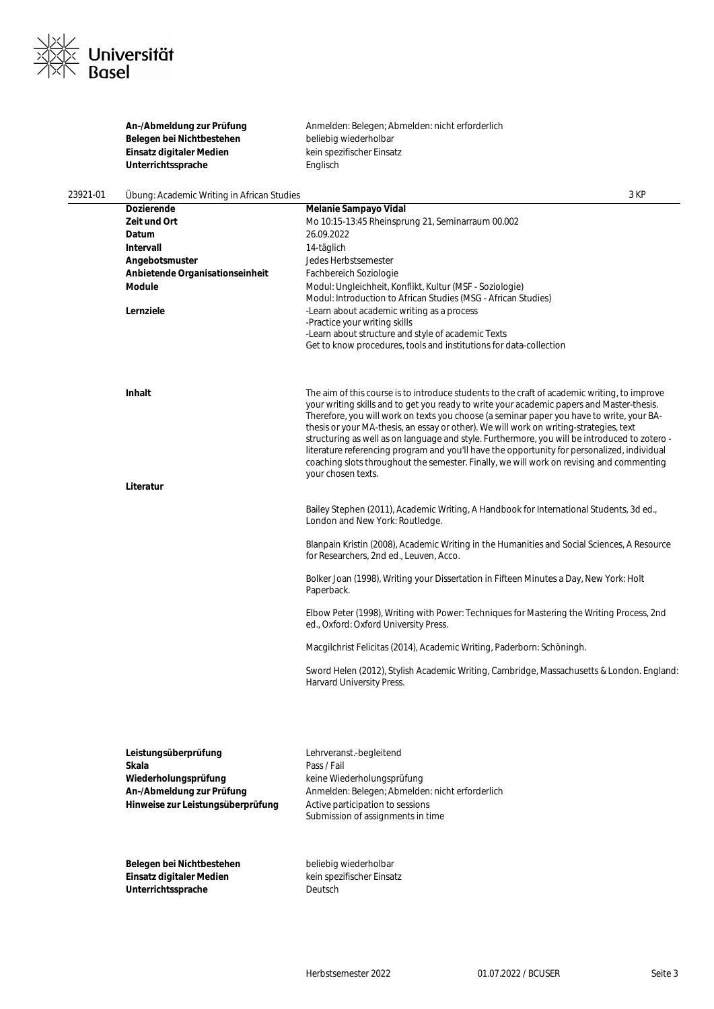

|          | An-/Abmeldung zur Prüfung                  | Anmelden: Belegen; Abmelden: nicht erforderlich                                                                                                                                     |      |
|----------|--------------------------------------------|-------------------------------------------------------------------------------------------------------------------------------------------------------------------------------------|------|
|          | Belegen bei Nichtbestehen                  | beliebig wiederholbar                                                                                                                                                               |      |
|          | Einsatz digitaler Medien                   | kein spezifischer Einsatz                                                                                                                                                           |      |
|          | Unterrichtssprache                         | Englisch                                                                                                                                                                            |      |
|          |                                            |                                                                                                                                                                                     |      |
| 23921-01 | Übung: Academic Writing in African Studies |                                                                                                                                                                                     | 3 KP |
|          | <b>Dozierende</b>                          | Melanie Sampayo Vidal                                                                                                                                                               |      |
|          | Zeit und Ort                               | Mo 10:15-13:45 Rheinsprung 21, Seminarraum 00.002                                                                                                                                   |      |
|          | Datum                                      | 26.09.2022                                                                                                                                                                          |      |
|          | Intervall                                  | 14-täglich                                                                                                                                                                          |      |
|          | Angebotsmuster                             | Jedes Herbstsemester                                                                                                                                                                |      |
|          | Anbietende Organisationseinheit            | Fachbereich Soziologie                                                                                                                                                              |      |
|          | Module                                     | Modul: Ungleichheit, Konflikt, Kultur (MSF - Soziologie)<br>Modul: Introduction to African Studies (MSG - African Studies)                                                          |      |
|          | Lernziele                                  | -Learn about academic writing as a process                                                                                                                                          |      |
|          |                                            | -Practice your writing skills                                                                                                                                                       |      |
|          |                                            | -Learn about structure and style of academic Texts                                                                                                                                  |      |
|          |                                            | Get to know procedures, tools and institutions for data-collection                                                                                                                  |      |
|          |                                            |                                                                                                                                                                                     |      |
|          | Inhalt                                     | The aim of this course is to introduce students to the craft of academic writing, to improve                                                                                        |      |
|          |                                            | your writing skills and to get you ready to write your academic papers and Master-thesis.                                                                                           |      |
|          |                                            | Therefore, you will work on texts you choose (a seminar paper you have to write, your BA-<br>thesis or your MA-thesis, an essay or other). We will work on writing-strategies, text |      |
|          |                                            | structuring as well as on language and style. Furthermore, you will be introduced to zotero -                                                                                       |      |
|          |                                            | literature referencing program and you'll have the opportunity for personalized, individual                                                                                         |      |
|          |                                            | coaching slots throughout the semester. Finally, we will work on revising and commenting                                                                                            |      |
|          |                                            | your chosen texts.                                                                                                                                                                  |      |
|          | Literatur                                  |                                                                                                                                                                                     |      |
|          |                                            |                                                                                                                                                                                     |      |
|          |                                            | Bailey Stephen (2011), Academic Writing, A Handbook for International Students, 3d ed.,                                                                                             |      |
|          |                                            | London and New York: Routledge.                                                                                                                                                     |      |
|          |                                            | Blanpain Kristin (2008), Academic Writing in the Humanities and Social Sciences, A Resource                                                                                         |      |
|          |                                            | for Researchers, 2nd ed., Leuven, Acco.                                                                                                                                             |      |
|          |                                            | Bolker Joan (1998), Writing your Dissertation in Fifteen Minutes a Day, New York: Holt                                                                                              |      |
|          |                                            | Paperback.                                                                                                                                                                          |      |
|          |                                            |                                                                                                                                                                                     |      |
|          |                                            | Elbow Peter (1998), Writing with Power: Techniques for Mastering the Writing Process, 2nd<br>ed., Oxford: Oxford University Press.                                                  |      |
|          |                                            | Macgilchrist Felicitas (2014), Academic Writing, Paderborn: Schöningh.                                                                                                              |      |
|          |                                            | Sword Helen (2012), Stylish Academic Writing, Cambridge, Massachusetts & London. England:                                                                                           |      |
|          |                                            | Harvard University Press.                                                                                                                                                           |      |
|          |                                            |                                                                                                                                                                                     |      |
|          |                                            |                                                                                                                                                                                     |      |
|          | Leistungsüberprüfung                       | Lehrveranst.-begleitend                                                                                                                                                             |      |
|          | Skala                                      | Pass / Fail                                                                                                                                                                         |      |
|          | Wiederholungsprüfung                       | keine Wiederholungsprüfung                                                                                                                                                          |      |
|          | An-/Abmeldung zur Prüfung                  | Anmelden: Belegen; Abmelden: nicht erforderlich                                                                                                                                     |      |
|          | Hinweise zur Leistungsüberprüfung          | Active participation to sessions                                                                                                                                                    |      |
|          |                                            | Submission of assignments in time                                                                                                                                                   |      |
|          |                                            |                                                                                                                                                                                     |      |
|          | Belegen bei Nichtbestehen                  | beliebig wiederholbar                                                                                                                                                               |      |
|          | Einsatz digitaler Medien                   | kein spezifischer Einsatz                                                                                                                                                           |      |
|          | Unterrichtssprache                         | Deutsch                                                                                                                                                                             |      |
|          |                                            |                                                                                                                                                                                     |      |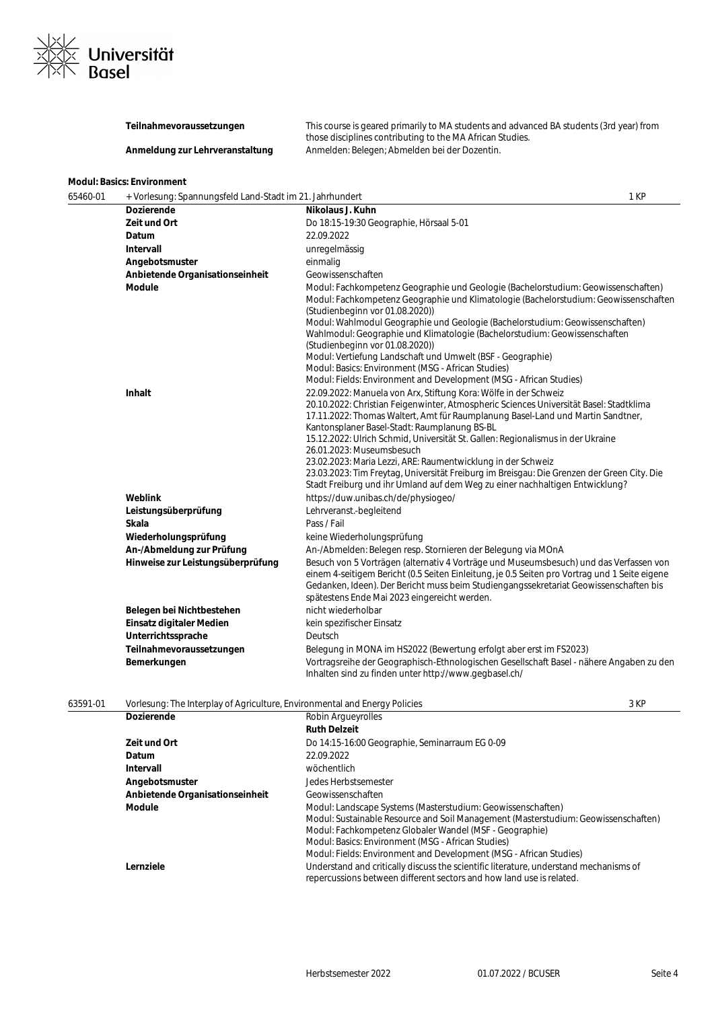

**Teilnahmevoraussetzungen** This course is geared primarily to MA students and advanced BA students (3rd year) from those disciplines contributing to the MA African Studies. Anmeldung zur Lehrveranstaltung Anmelden: Belegen; Abmelden bei der Dozentin.

# **Modul: Basics: Environment**

| 65460-01 | + Vorlesung: Spannungsfeld Land-Stadt im 21. Jahrhundert |                                                                                                                                                                                                                                                                                                                                                                                                                                                                                                                                                                                                                                                             | 1 KP |
|----------|----------------------------------------------------------|-------------------------------------------------------------------------------------------------------------------------------------------------------------------------------------------------------------------------------------------------------------------------------------------------------------------------------------------------------------------------------------------------------------------------------------------------------------------------------------------------------------------------------------------------------------------------------------------------------------------------------------------------------------|------|
|          | <b>Dozierende</b>                                        | Nikolaus J. Kuhn                                                                                                                                                                                                                                                                                                                                                                                                                                                                                                                                                                                                                                            |      |
|          | Zeit und Ort                                             | Do 18:15-19:30 Geographie, Hörsaal 5-01                                                                                                                                                                                                                                                                                                                                                                                                                                                                                                                                                                                                                     |      |
|          | Datum                                                    | 22.09.2022                                                                                                                                                                                                                                                                                                                                                                                                                                                                                                                                                                                                                                                  |      |
|          | Intervall                                                | unregelmässig                                                                                                                                                                                                                                                                                                                                                                                                                                                                                                                                                                                                                                               |      |
|          | Angebotsmuster                                           | einmalig                                                                                                                                                                                                                                                                                                                                                                                                                                                                                                                                                                                                                                                    |      |
|          | Anbietende Organisationseinheit                          | Geowissenschaften                                                                                                                                                                                                                                                                                                                                                                                                                                                                                                                                                                                                                                           |      |
|          | <b>Module</b>                                            | Modul: Fachkompetenz Geographie und Geologie (Bachelorstudium: Geowissenschaften)<br>Modul: Fachkompetenz Geographie und Klimatologie (Bachelorstudium: Geowissenschaften<br>(Studienbeginn vor 01.08.2020))<br>Modul: Wahlmodul Geographie und Geologie (Bachelorstudium: Geowissenschaften)<br>Wahlmodul: Geographie und Klimatologie (Bachelorstudium: Geowissenschaften<br>(Studienbeginn vor 01.08.2020))<br>Modul: Vertiefung Landschaft und Umwelt (BSF - Geographie)<br>Modul: Basics: Environment (MSG - African Studies)<br>Modul: Fields: Environment and Development (MSG - African Studies)                                                    |      |
|          | Inhalt                                                   | 22.09.2022: Manuela von Arx, Stiftung Kora: Wölfe in der Schweiz<br>20.10.2022: Christian Feigenwinter, Atmospheric Sciences Universität Basel: Stadtklima<br>17.11.2022: Thomas Waltert, Amt für Raumplanung Basel-Land und Martin Sandtner,<br>Kantonsplaner Basel-Stadt: Raumplanung BS-BL<br>15.12.2022: Ulrich Schmid, Universität St. Gallen: Regionalismus in der Ukraine<br>26.01.2023: Museumsbesuch<br>23.02.2023: Maria Lezzi, ARE: Raumentwicklung in der Schweiz<br>23.03.2023: Tim Freytag, Universität Freiburg im Breisgau: Die Grenzen der Green City. Die<br>Stadt Freiburg und ihr Umland auf dem Weg zu einer nachhaltigen Entwicklung? |      |
|          | Weblink                                                  | https://duw.unibas.ch/de/physiogeo/                                                                                                                                                                                                                                                                                                                                                                                                                                                                                                                                                                                                                         |      |
|          | Leistungsüberprüfung                                     | Lehrveranst.-begleitend                                                                                                                                                                                                                                                                                                                                                                                                                                                                                                                                                                                                                                     |      |
|          | Skala                                                    | Pass / Fail                                                                                                                                                                                                                                                                                                                                                                                                                                                                                                                                                                                                                                                 |      |
|          | Wiederholungsprüfung                                     | keine Wiederholungsprüfung                                                                                                                                                                                                                                                                                                                                                                                                                                                                                                                                                                                                                                  |      |
|          | An-/Abmeldung zur Prüfung                                | An-/Abmelden: Belegen resp. Stornieren der Belegung via MOnA                                                                                                                                                                                                                                                                                                                                                                                                                                                                                                                                                                                                |      |
|          | Hinweise zur Leistungsüberprüfung                        | Besuch von 5 Vorträgen (alternativ 4 Vorträge und Museumsbesuch) und das Verfassen von<br>einem 4-seitigem Bericht (0.5 Seiten Einleitung, je 0.5 Seiten pro Vortrag und 1 Seite eigene<br>Gedanken, Ideen). Der Bericht muss beim Studiengangssekretariat Geowissenschaften bis<br>spätestens Ende Mai 2023 eingereicht werden.                                                                                                                                                                                                                                                                                                                            |      |
|          | Belegen bei Nichtbestehen                                | nicht wiederholbar                                                                                                                                                                                                                                                                                                                                                                                                                                                                                                                                                                                                                                          |      |
|          | Einsatz digitaler Medien                                 | kein spezifischer Einsatz                                                                                                                                                                                                                                                                                                                                                                                                                                                                                                                                                                                                                                   |      |
|          | Unterrichtssprache                                       | Deutsch                                                                                                                                                                                                                                                                                                                                                                                                                                                                                                                                                                                                                                                     |      |
|          | Teilnahmevoraussetzungen                                 | Belegung in MONA im HS2022 (Bewertung erfolgt aber erst im FS2023)                                                                                                                                                                                                                                                                                                                                                                                                                                                                                                                                                                                          |      |
|          | Bemerkungen                                              | Vortragsreihe der Geographisch-Ethnologischen Gesellschaft Basel - nähere Angaben zu den<br>Inhalten sind zu finden unter http://www.gegbasel.ch/                                                                                                                                                                                                                                                                                                                                                                                                                                                                                                           |      |

| 63591-01 | Vorlesung: The Interplay of Agriculture, Environmental and Energy Policies |                                                                                                                                                               | 3 KP |
|----------|----------------------------------------------------------------------------|---------------------------------------------------------------------------------------------------------------------------------------------------------------|------|
|          | <b>Dozierende</b>                                                          | Robin Argueyrolles                                                                                                                                            |      |
|          |                                                                            | <b>Ruth Delzeit</b>                                                                                                                                           |      |
|          | Zeit und Ort                                                               | Do 14:15-16:00 Geographie, Seminarraum EG 0-09                                                                                                                |      |
|          | <b>Datum</b>                                                               | 22.09.2022                                                                                                                                                    |      |
|          | Intervall                                                                  | wöchentlich                                                                                                                                                   |      |
|          | Angebotsmuster                                                             | Jedes Herbstsemester                                                                                                                                          |      |
|          | Anbietende Organisationseinheit                                            | Geowissenschaften                                                                                                                                             |      |
|          | <b>Module</b>                                                              | Modul: Landscape Systems (Masterstudium: Geowissenschaften)                                                                                                   |      |
|          |                                                                            | Modul: Sustainable Resource and Soil Management (Masterstudium: Geowissenschaften)                                                                            |      |
|          |                                                                            | Modul: Fachkompetenz Globaler Wandel (MSF - Geographie)                                                                                                       |      |
|          |                                                                            | Modul: Basics: Environment (MSG - African Studies)                                                                                                            |      |
|          |                                                                            | Modul: Fields: Environment and Development (MSG - African Studies)                                                                                            |      |
|          | Lernziele                                                                  | Understand and critically discuss the scientific literature, understand mechanisms of<br>repercussions between different sectors and how land use is related. |      |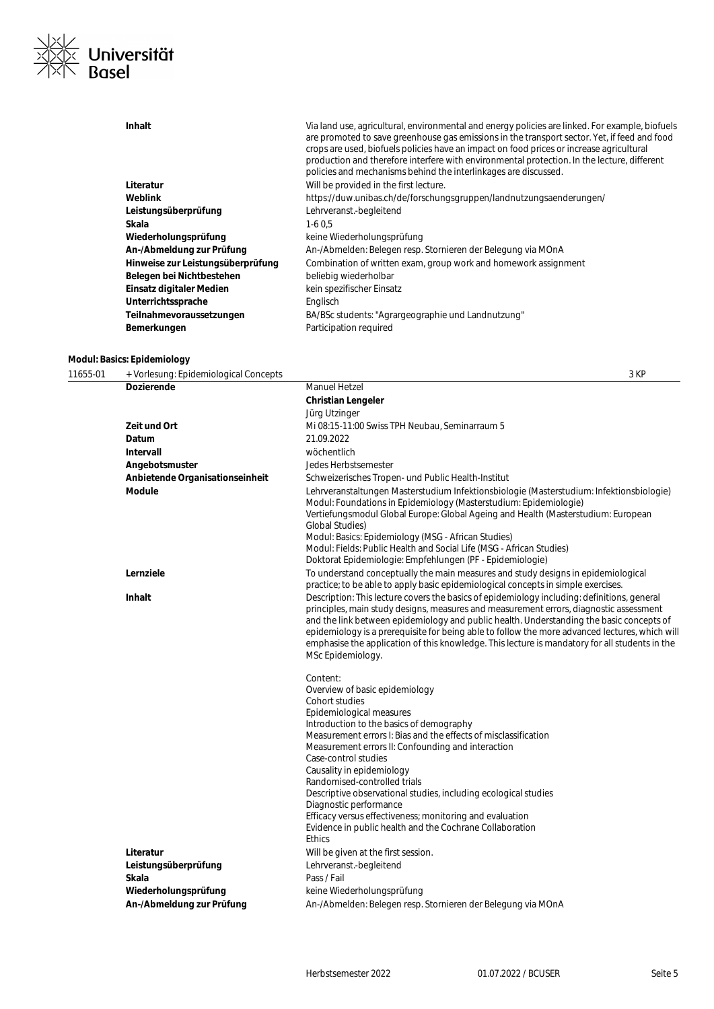

| Inhalt                            | Via land use, agricultural, environmental and energy policies are linked. For example, biofuels<br>are promoted to save greenhouse gas emissions in the transport sector. Yet, if feed and food<br>crops are used, biofuels policies have an impact on food prices or increase agricultural<br>production and therefore interfere with environmental protection. In the lecture, different<br>policies and mechanisms behind the interlinkages are discussed. |
|-----------------------------------|---------------------------------------------------------------------------------------------------------------------------------------------------------------------------------------------------------------------------------------------------------------------------------------------------------------------------------------------------------------------------------------------------------------------------------------------------------------|
| Literatur                         | Will be provided in the first lecture.                                                                                                                                                                                                                                                                                                                                                                                                                        |
| Weblink                           | https://duw.unibas.ch/de/forschungsgruppen/landnutzungsaenderungen/                                                                                                                                                                                                                                                                                                                                                                                           |
| Leistungsüberprüfung              | Lehrveranst.-begleitend                                                                                                                                                                                                                                                                                                                                                                                                                                       |
| Skala                             | $1-60.5$                                                                                                                                                                                                                                                                                                                                                                                                                                                      |
| Wiederholungsprüfung              | keine Wiederholungsprüfung                                                                                                                                                                                                                                                                                                                                                                                                                                    |
| An-/Abmeldung zur Prüfung         | An-/Abmelden: Belegen resp. Stornieren der Belegung via MOnA                                                                                                                                                                                                                                                                                                                                                                                                  |
| Hinweise zur Leistungsüberprüfung | Combination of written exam, group work and homework assignment                                                                                                                                                                                                                                                                                                                                                                                               |
| Belegen bei Nichtbestehen         | beliebig wiederholbar                                                                                                                                                                                                                                                                                                                                                                                                                                         |
| Einsatz digitaler Medien          | kein spezifischer Einsatz                                                                                                                                                                                                                                                                                                                                                                                                                                     |
| Unterrichtssprache                | Englisch                                                                                                                                                                                                                                                                                                                                                                                                                                                      |
| Teilnahmevoraussetzungen          | BA/BSc students: "Agrargeographie und Landnutzung"                                                                                                                                                                                                                                                                                                                                                                                                            |
| Bemerkungen                       | Participation required                                                                                                                                                                                                                                                                                                                                                                                                                                        |
|                                   |                                                                                                                                                                                                                                                                                                                                                                                                                                                               |

### **Modul: Basics: Epidemiology**

11655-01 + Vorlesung: Epidemiological Concepts 3 KP **Dozierende** Manuel Hetzel **Christian Lengeler** Jürg Utzinger **Zeit und Ort** Mi 08:15-11:00 Swiss TPH Neubau, Seminarraum 5 **Datum** 21.09.2022 **Intervall** wöchentlich **Angebotsmuster** Jedes Herbstsemester **Anbietende Organisationseinheit** Schweizerisches Tropen- und Public Health-Institut **Module** Lehrveranstaltungen Masterstudium Infektionsbiologie (Masterstudium: Infektionsbiologie) Modul: Foundations in Epidemiology (Masterstudium: Epidemiologie) Vertiefungsmodul Global Europe: Global Ageing and Health (Masterstudium: European Global Studies) Modul: Basics: Epidemiology (MSG - African Studies) Modul: Fields: Public Health and Social Life (MSG - African Studies) Doktorat Epidemiologie: Empfehlungen (PF - Epidemiologie) Lernziele **To understand conceptually the main measures and study designs in epidemiological** practice; to be able to apply basic epidemiological concepts in simple exercises. **Inhalt Inhalt** Description: This lecture covers the basics of epidemiology including: definitions, general principles, main study designs, measures and measurement errors, diagnostic assessment and the link between epidemiology and public health. Understanding the basic concepts of epidemiology is a prerequisite for being able to follow the more advanced lectures, which will emphasise the application of this knowledge. This lecture is mandatory for all students in the MSc Epidemiology. Content: Overview of basic epidemiology Cohort studies Epidemiological measures Introduction to the basics of demography Measurement errors I: Bias and the effects of misclassification Measurement errors II: Confounding and interaction Case-control studies Causality in epidemiology Randomised-controlled trials Descriptive observational studies, including ecological studies Diagnostic performance Efficacy versus effectiveness; monitoring and evaluation Evidence in public health and the Cochrane Collaboration **Ethics** 

|                           | .                                                            |
|---------------------------|--------------------------------------------------------------|
| Literatur                 | Will be given at the first session.                          |
| Leistungsüberprüfung      | Lehrveranst.-begleitend                                      |
| Skala                     | Pass / Fail                                                  |
| Wiederholungsprüfung      | keine Wiederholungsprüfung                                   |
| An-/Abmeldung zur Prüfung | An-/Abmelden: Belegen resp. Stornieren der Belegung via MOnA |
|                           |                                                              |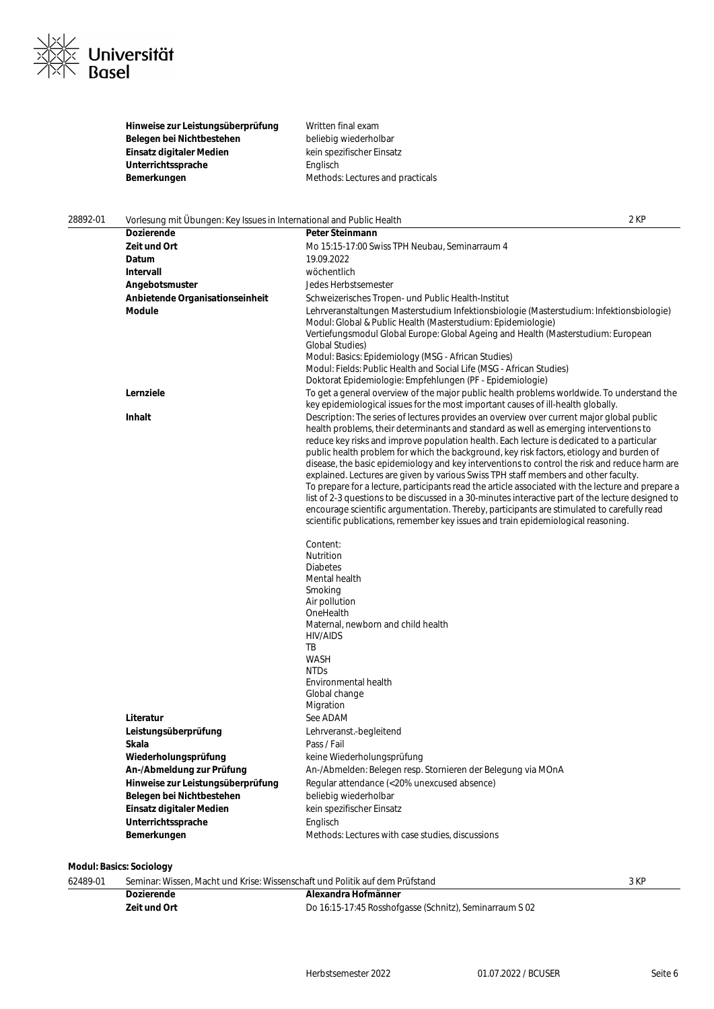

**Hinweise zur Leistungsüberprüfung** Written final exam<br> **Belegen bei Nichtbestehen** beliebig wiederholbar Belegen bei Nichtbestehen **Einsatz digitaler Medien**<br> **Einsatz Unterrichtssprache**<br> **Einsatz Einsatz Einsatz Einsatz Einsatz Unterrichtssprache Bemerkungen** Methods: Lectures and practicals

| 28892-01 | Vorlesung mit Übungen: Key Issues in International and Public Health |                                                                                                                                                                                                                                                                                                                                                                                                                                                                                                                                                                                                                                                                                                                                                                                                                                                                                                                                                                  | 2 KP |
|----------|----------------------------------------------------------------------|------------------------------------------------------------------------------------------------------------------------------------------------------------------------------------------------------------------------------------------------------------------------------------------------------------------------------------------------------------------------------------------------------------------------------------------------------------------------------------------------------------------------------------------------------------------------------------------------------------------------------------------------------------------------------------------------------------------------------------------------------------------------------------------------------------------------------------------------------------------------------------------------------------------------------------------------------------------|------|
|          | <b>Dozierende</b>                                                    | <b>Peter Steinmann</b>                                                                                                                                                                                                                                                                                                                                                                                                                                                                                                                                                                                                                                                                                                                                                                                                                                                                                                                                           |      |
|          | Zeit und Ort                                                         | Mo 15:15-17:00 Swiss TPH Neubau, Seminarraum 4                                                                                                                                                                                                                                                                                                                                                                                                                                                                                                                                                                                                                                                                                                                                                                                                                                                                                                                   |      |
|          | Datum                                                                | 19.09.2022                                                                                                                                                                                                                                                                                                                                                                                                                                                                                                                                                                                                                                                                                                                                                                                                                                                                                                                                                       |      |
|          | Intervall                                                            | wöchentlich                                                                                                                                                                                                                                                                                                                                                                                                                                                                                                                                                                                                                                                                                                                                                                                                                                                                                                                                                      |      |
|          | Angebotsmuster                                                       | Jedes Herbstsemester                                                                                                                                                                                                                                                                                                                                                                                                                                                                                                                                                                                                                                                                                                                                                                                                                                                                                                                                             |      |
|          | Anbietende Organisationseinheit                                      | Schweizerisches Tropen- und Public Health-Institut                                                                                                                                                                                                                                                                                                                                                                                                                                                                                                                                                                                                                                                                                                                                                                                                                                                                                                               |      |
|          | <b>Module</b>                                                        | Lehrveranstaltungen Masterstudium Infektionsbiologie (Masterstudium: Infektionsbiologie)<br>Modul: Global & Public Health (Masterstudium: Epidemiologie)<br>Vertiefungsmodul Global Europe: Global Ageing and Health (Masterstudium: European<br><b>Global Studies)</b><br>Modul: Basics: Epidemiology (MSG - African Studies)<br>Modul: Fields: Public Health and Social Life (MSG - African Studies)<br>Doktorat Epidemiologie: Empfehlungen (PF - Epidemiologie)                                                                                                                                                                                                                                                                                                                                                                                                                                                                                              |      |
|          | Lernziele                                                            | To get a general overview of the major public health problems worldwide. To understand the<br>key epidemiological issues for the most important causes of ill-health globally.                                                                                                                                                                                                                                                                                                                                                                                                                                                                                                                                                                                                                                                                                                                                                                                   |      |
|          | Inhalt                                                               | Description: The series of lectures provides an overview over current major global public<br>health problems, their determinants and standard as well as emerging interventions to<br>reduce key risks and improve population health. Each lecture is dedicated to a particular<br>public health problem for which the background, key risk factors, etiology and burden of<br>disease, the basic epidemiology and key interventions to control the risk and reduce harm are<br>explained. Lectures are given by various Swiss TPH staff members and other faculty.<br>To prepare for a lecture, participants read the article associated with the lecture and prepare a<br>list of 2-3 questions to be discussed in a 30-minutes interactive part of the lecture designed to<br>encourage scientific argumentation. Thereby, participants are stimulated to carefully read<br>scientific publications, remember key issues and train epidemiological reasoning. |      |
|          | Literatur<br>Leistungsüberprüfung                                    | Content:<br>Nutrition<br><b>Diabetes</b><br>Mental health<br>Smoking<br>Air pollution<br>OneHealth<br>Maternal, newborn and child health<br>HIV/AIDS<br>TB<br><b>WASH</b><br><b>NTDs</b><br>Environmental health<br>Global change<br>Migration<br>See ADAM<br>Lehrveranst.-begleitend                                                                                                                                                                                                                                                                                                                                                                                                                                                                                                                                                                                                                                                                            |      |
|          | Skala                                                                | Pass / Fail                                                                                                                                                                                                                                                                                                                                                                                                                                                                                                                                                                                                                                                                                                                                                                                                                                                                                                                                                      |      |
|          | Wiederholungsprüfung                                                 | keine Wiederholungsprüfung                                                                                                                                                                                                                                                                                                                                                                                                                                                                                                                                                                                                                                                                                                                                                                                                                                                                                                                                       |      |
|          | An-/Abmeldung zur Prüfung                                            | An-/Abmelden: Belegen resp. Stornieren der Belegung via MOnA                                                                                                                                                                                                                                                                                                                                                                                                                                                                                                                                                                                                                                                                                                                                                                                                                                                                                                     |      |
|          | Hinweise zur Leistungsüberprüfung                                    | Regular attendance (<20% unexcused absence)                                                                                                                                                                                                                                                                                                                                                                                                                                                                                                                                                                                                                                                                                                                                                                                                                                                                                                                      |      |
|          | Belegen bei Nichtbestehen                                            | beliebig wiederholbar                                                                                                                                                                                                                                                                                                                                                                                                                                                                                                                                                                                                                                                                                                                                                                                                                                                                                                                                            |      |
|          | Einsatz digitaler Medien                                             | kein spezifischer Einsatz                                                                                                                                                                                                                                                                                                                                                                                                                                                                                                                                                                                                                                                                                                                                                                                                                                                                                                                                        |      |
|          | Unterrichtssprache                                                   | Englisch                                                                                                                                                                                                                                                                                                                                                                                                                                                                                                                                                                                                                                                                                                                                                                                                                                                                                                                                                         |      |
|          | Bemerkungen                                                          | Methods: Lectures with case studies, discussions                                                                                                                                                                                                                                                                                                                                                                                                                                                                                                                                                                                                                                                                                                                                                                                                                                                                                                                 |      |
|          |                                                                      |                                                                                                                                                                                                                                                                                                                                                                                                                                                                                                                                                                                                                                                                                                                                                                                                                                                                                                                                                                  |      |

**Modul: Basics: Sociology**

|          | Dozierende                                                                   | Alexandra Hofmänner |      |
|----------|------------------------------------------------------------------------------|---------------------|------|
| 62489-01 | Seminar: Wissen, Macht und Krise: Wissenschaft und Politik auf dem Prüfstand |                     | 3 KF |

**Zeit und Ort** Do 16:15-17:45 Rosshofgasse (Schnitz), Seminarraum S 02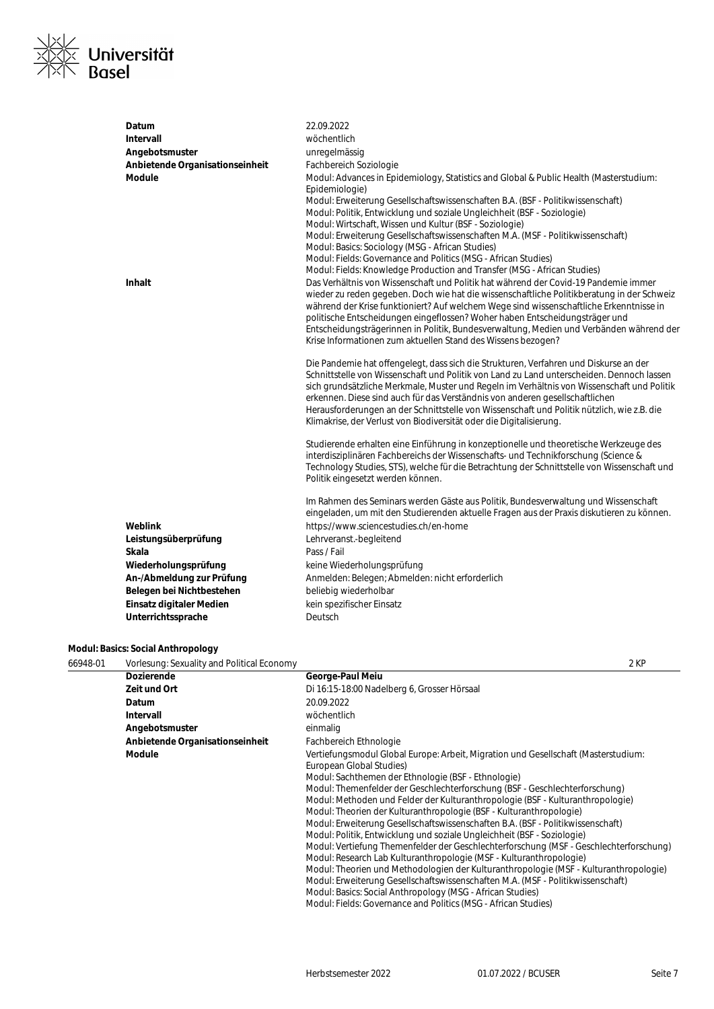

| Datum                           | 22.09.2022                                                                                                                                                                                  |
|---------------------------------|---------------------------------------------------------------------------------------------------------------------------------------------------------------------------------------------|
| Intervall                       | wöchentlich                                                                                                                                                                                 |
| Angebotsmuster                  | unregelmässig                                                                                                                                                                               |
| Anbietende Organisationseinheit | Fachbereich Soziologie                                                                                                                                                                      |
| <b>Module</b>                   | Modul: Advances in Epidemiology, Statistics and Global & Public Health (Masterstudium:<br>Epidemiologie)<br>Modul: Erweiterung Gesellschaftswissenschaften B.A. (BSF - Politikwissenschaft) |
|                                 | Modul: Politik, Entwicklung und soziale Ungleichheit (BSF - Soziologie)                                                                                                                     |
|                                 | Modul: Wirtschaft, Wissen und Kultur (BSF - Soziologie)                                                                                                                                     |
|                                 | Modul: Erweiterung Gesellschaftswissenschaften M.A. (MSF - Politikwissenschaft)                                                                                                             |
|                                 | Modul: Basics: Sociology (MSG - African Studies)<br>Modul: Fields: Governance and Politics (MSG - African Studies)                                                                          |
|                                 | Modul: Fields: Knowledge Production and Transfer (MSG - African Studies)                                                                                                                    |
| <b>Inhalt</b>                   | Das Verhältnis von Wissenschaft und Politik hat während der Covid-19 Pandemie immer                                                                                                         |
|                                 | wieder zu reden gegeben. Doch wie hat die wissenschaftliche Politikberatung in der Schweiz                                                                                                  |
|                                 | während der Krise funktioniert? Auf welchem Wege sind wissenschaftliche Erkenntnisse in                                                                                                     |
|                                 | politische Entscheidungen eingeflossen? Woher haben Entscheidungsträger und<br>Entscheidungsträgerinnen in Politik, Bundesverwaltung, Medien und Verbänden während der                      |
|                                 | Krise Informationen zum aktuellen Stand des Wissens bezogen?                                                                                                                                |
|                                 |                                                                                                                                                                                             |
|                                 | Die Pandemie hat offengelegt, dass sich die Strukturen, Verfahren und Diskurse an der                                                                                                       |
|                                 | Schnittstelle von Wissenschaft und Politik von Land zu Land unterscheiden. Dennoch lassen                                                                                                   |
|                                 | sich grundsätzliche Merkmale, Muster und Regeln im Verhältnis von Wissenschaft und Politik                                                                                                  |
|                                 | erkennen. Diese sind auch für das Verständnis von anderen gesellschaftlichen<br>Herausforderungen an der Schnittstelle von Wissenschaft und Politik nützlich, wie z.B. die                  |
|                                 | Klimakrise, der Verlust von Biodiversität oder die Digitalisierung.                                                                                                                         |
|                                 |                                                                                                                                                                                             |
|                                 | Studierende erhalten eine Einführung in konzeptionelle und theoretische Werkzeuge des                                                                                                       |
|                                 | interdisziplinären Fachbereichs der Wissenschafts- und Technikforschung (Science &                                                                                                          |
|                                 | Technology Studies, STS), welche für die Betrachtung der Schnittstelle von Wissenschaft und                                                                                                 |
|                                 | Politik eingesetzt werden können.                                                                                                                                                           |
|                                 | Im Rahmen des Seminars werden Gäste aus Politik, Bundesverwaltung und Wissenschaft                                                                                                          |
|                                 | eingeladen, um mit den Studierenden aktuelle Fragen aus der Praxis diskutieren zu können.                                                                                                   |
| Weblink                         | https://www.sciencestudies.ch/en-home                                                                                                                                                       |
| Leistungsüberprüfung            | Lehrveranst.-begleitend                                                                                                                                                                     |
| Skala                           | Pass / Fail                                                                                                                                                                                 |
| Wiederholungsprüfung            | keine Wiederholungsprüfung                                                                                                                                                                  |
| An-/Abmeldung zur Prüfung       | Anmelden: Belegen; Abmelden: nicht erforderlich                                                                                                                                             |
| Belegen bei Nichtbestehen       | beliebig wiederholbar                                                                                                                                                                       |
| Einsatz digitaler Medien        | kein spezifischer Einsatz                                                                                                                                                                   |
| Unterrichtssprache              | Deutsch                                                                                                                                                                                     |

# **Modul: Basics: Social Anthropology**

| 66948-01 | Vorlesung: Sexuality and Political Economy | 2 KP                                                                                                                                                                                                                                                                                                                                                                                                                                                                                                                                                                        |
|----------|--------------------------------------------|-----------------------------------------------------------------------------------------------------------------------------------------------------------------------------------------------------------------------------------------------------------------------------------------------------------------------------------------------------------------------------------------------------------------------------------------------------------------------------------------------------------------------------------------------------------------------------|
|          | <b>Dozierende</b>                          | George-Paul Meiu                                                                                                                                                                                                                                                                                                                                                                                                                                                                                                                                                            |
|          | Zeit und Ort                               | Di 16:15-18:00 Nadelberg 6, Grosser Hörsaal                                                                                                                                                                                                                                                                                                                                                                                                                                                                                                                                 |
|          | Datum                                      | 20.09.2022                                                                                                                                                                                                                                                                                                                                                                                                                                                                                                                                                                  |
|          | Intervall                                  | wöchentlich                                                                                                                                                                                                                                                                                                                                                                                                                                                                                                                                                                 |
|          | Angebotsmuster                             | einmalig                                                                                                                                                                                                                                                                                                                                                                                                                                                                                                                                                                    |
|          | Anbietende Organisationseinheit            | Fachbereich Ethnologie                                                                                                                                                                                                                                                                                                                                                                                                                                                                                                                                                      |
|          | <b>Module</b>                              | Vertiefungsmodul Global Europe: Arbeit, Migration und Gesellschaft (Masterstudium:<br>European Global Studies)<br>Modul: Sachthemen der Ethnologie (BSF - Ethnologie)<br>Modul: Themenfelder der Geschlechterforschung (BSF - Geschlechterforschung)<br>Modul: Methoden und Felder der Kulturanthropologie (BSF - Kulturanthropologie)<br>Modul: Theorien der Kulturanthropologie (BSF - Kulturanthropologie)<br>Modul: Erweiterung Gesellschaftswissenschaften B.A. (BSF - Politikwissenschaft)<br>Modul: Politik, Entwicklung und soziale Ungleichheit (BSF - Soziologie) |
|          |                                            | Modul: Vertiefung Themenfelder der Geschlechterforschung (MSF - Geschlechterforschung)<br>Modul: Research Lab Kulturanthropologie (MSF - Kulturanthropologie)<br>Modul: Theorien und Methodologien der Kulturanthropologie (MSF - Kulturanthropologie)<br>Modul: Erweiterung Gesellschaftswissenschaften M.A. (MSF - Politikwissenschaft)<br>Modul: Basics: Social Anthropology (MSG - African Studies)<br>Modul: Fields: Governance and Politics (MSG - African Studies)                                                                                                   |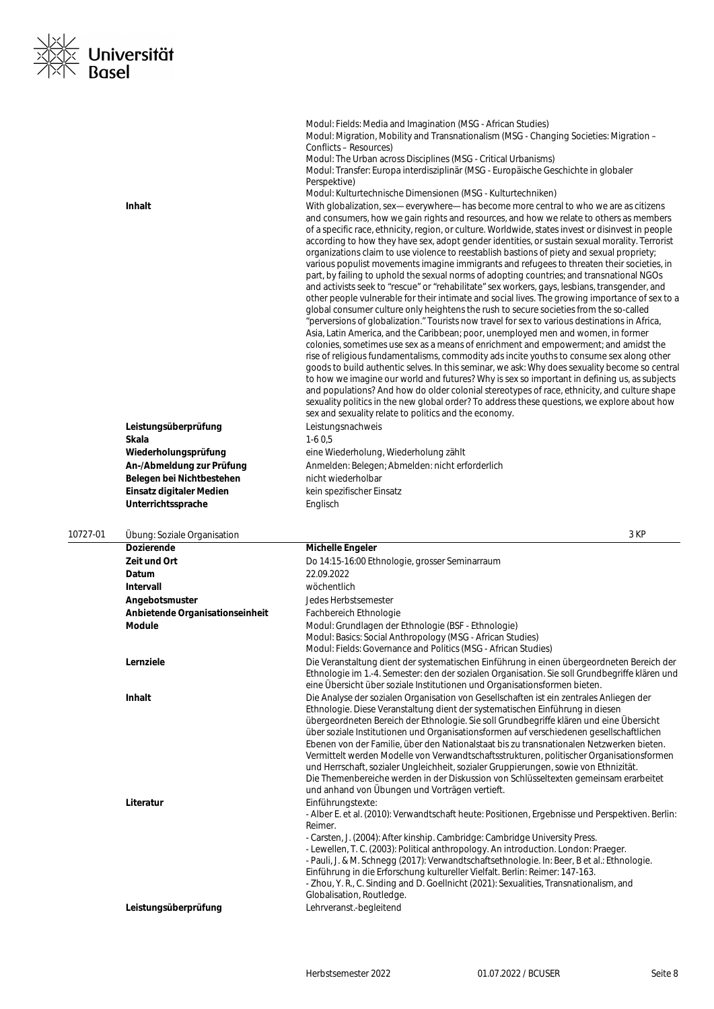

|          | Inhalt<br>Leistungsüberprüfung<br>Skala<br>Wiederholungsprüfung<br>An-/Abmeldung zur Prüfung<br>Belegen bei Nichtbestehen<br>Einsatz digitaler Medien | Modul: Fields: Media and Imagination (MSG - African Studies)<br>Modul: Migration, Mobility and Transnationalism (MSG - Changing Societies: Migration -<br>Conflicts - Resources)<br>Modul: The Urban across Disciplines (MSG - Critical Urbanisms)<br>Modul: Transfer: Europa interdisziplinär (MSG - Europäische Geschichte in globaler<br>Perspektive)<br>Modul: Kulturtechnische Dimensionen (MSG - Kulturtechniken)<br>With globalization, sex-everywhere-has become more central to who we are as citizens<br>and consumers, how we gain rights and resources, and how we relate to others as members<br>of a specific race, ethnicity, region, or culture. Worldwide, states invest or disinvest in people<br>according to how they have sex, adopt gender identities, or sustain sexual morality. Terrorist<br>organizations claim to use violence to reestablish bastions of piety and sexual propriety;<br>various populist movements imagine immigrants and refugees to threaten their societies, in<br>part, by failing to uphold the sexual norms of adopting countries; and transnational NGOs<br>and activists seek to "rescue" or "rehabilitate" sex workers, gays, lesbians, transgender, and<br>other people vulnerable for their intimate and social lives. The growing importance of sex to a<br>global consumer culture only heightens the rush to secure societies from the so-called<br>"perversions of globalization." Tourists now travel for sex to various destinations in Africa,<br>Asia, Latin America, and the Caribbean; poor, unemployed men and women, in former<br>colonies, sometimes use sex as a means of enrichment and empowerment; and amidst the<br>rise of religious fundamentalisms, commodity ads incite youths to consume sex along other<br>goods to build authentic selves. In this seminar, we ask: Why does sexuality become so central<br>to how we imagine our world and futures? Why is sex so important in defining us, as subjects<br>and populations? And how do older colonial stereotypes of race, ethnicity, and culture shape<br>sexuality politics in the new global order? To address these questions, we explore about how<br>sex and sexuality relate to politics and the economy.<br>Leistungsnachweis<br>$1-60,5$<br>eine Wiederholung, Wiederholung zählt<br>Anmelden: Belegen; Abmelden: nicht erforderlich<br>nicht wiederholbar<br>kein spezifischer Einsatz |
|----------|-------------------------------------------------------------------------------------------------------------------------------------------------------|-----------------------------------------------------------------------------------------------------------------------------------------------------------------------------------------------------------------------------------------------------------------------------------------------------------------------------------------------------------------------------------------------------------------------------------------------------------------------------------------------------------------------------------------------------------------------------------------------------------------------------------------------------------------------------------------------------------------------------------------------------------------------------------------------------------------------------------------------------------------------------------------------------------------------------------------------------------------------------------------------------------------------------------------------------------------------------------------------------------------------------------------------------------------------------------------------------------------------------------------------------------------------------------------------------------------------------------------------------------------------------------------------------------------------------------------------------------------------------------------------------------------------------------------------------------------------------------------------------------------------------------------------------------------------------------------------------------------------------------------------------------------------------------------------------------------------------------------------------------------------------------------------------------------------------------------------------------------------------------------------------------------------------------------------------------------------------------------------------------------------------------------------------------------------------------------------------------------------------------------------------------------------------------------------------------------------------------------------------------------------------------------------------------------------------------|
|          | Unterrichtssprache                                                                                                                                    | Englisch                                                                                                                                                                                                                                                                                                                                                                                                                                                                                                                                                                                                                                                                                                                                                                                                                                                                                                                                                                                                                                                                                                                                                                                                                                                                                                                                                                                                                                                                                                                                                                                                                                                                                                                                                                                                                                                                                                                                                                                                                                                                                                                                                                                                                                                                                                                                                                                                                          |
|          |                                                                                                                                                       |                                                                                                                                                                                                                                                                                                                                                                                                                                                                                                                                                                                                                                                                                                                                                                                                                                                                                                                                                                                                                                                                                                                                                                                                                                                                                                                                                                                                                                                                                                                                                                                                                                                                                                                                                                                                                                                                                                                                                                                                                                                                                                                                                                                                                                                                                                                                                                                                                                   |
| 10727-01 | Übung: Soziale Organisation<br><b>Dozierende</b>                                                                                                      | 3 KP<br><b>Michelle Engeler</b>                                                                                                                                                                                                                                                                                                                                                                                                                                                                                                                                                                                                                                                                                                                                                                                                                                                                                                                                                                                                                                                                                                                                                                                                                                                                                                                                                                                                                                                                                                                                                                                                                                                                                                                                                                                                                                                                                                                                                                                                                                                                                                                                                                                                                                                                                                                                                                                                   |
|          | Zeit und Ort                                                                                                                                          | Do 14:15-16:00 Ethnologie, grosser Seminarraum                                                                                                                                                                                                                                                                                                                                                                                                                                                                                                                                                                                                                                                                                                                                                                                                                                                                                                                                                                                                                                                                                                                                                                                                                                                                                                                                                                                                                                                                                                                                                                                                                                                                                                                                                                                                                                                                                                                                                                                                                                                                                                                                                                                                                                                                                                                                                                                    |
|          | Datum                                                                                                                                                 | 22.09.2022                                                                                                                                                                                                                                                                                                                                                                                                                                                                                                                                                                                                                                                                                                                                                                                                                                                                                                                                                                                                                                                                                                                                                                                                                                                                                                                                                                                                                                                                                                                                                                                                                                                                                                                                                                                                                                                                                                                                                                                                                                                                                                                                                                                                                                                                                                                                                                                                                        |
|          | Intervall                                                                                                                                             | wöchentlich                                                                                                                                                                                                                                                                                                                                                                                                                                                                                                                                                                                                                                                                                                                                                                                                                                                                                                                                                                                                                                                                                                                                                                                                                                                                                                                                                                                                                                                                                                                                                                                                                                                                                                                                                                                                                                                                                                                                                                                                                                                                                                                                                                                                                                                                                                                                                                                                                       |
|          | Angebotsmuster                                                                                                                                        | Jedes Herbstsemester                                                                                                                                                                                                                                                                                                                                                                                                                                                                                                                                                                                                                                                                                                                                                                                                                                                                                                                                                                                                                                                                                                                                                                                                                                                                                                                                                                                                                                                                                                                                                                                                                                                                                                                                                                                                                                                                                                                                                                                                                                                                                                                                                                                                                                                                                                                                                                                                              |
|          | Anbietende Organisationseinheit                                                                                                                       | Fachbereich Ethnologie                                                                                                                                                                                                                                                                                                                                                                                                                                                                                                                                                                                                                                                                                                                                                                                                                                                                                                                                                                                                                                                                                                                                                                                                                                                                                                                                                                                                                                                                                                                                                                                                                                                                                                                                                                                                                                                                                                                                                                                                                                                                                                                                                                                                                                                                                                                                                                                                            |
|          | <b>Module</b>                                                                                                                                         | Modul: Grundlagen der Ethnologie (BSF - Ethnologie)<br>Modul: Basics: Social Anthropology (MSG - African Studies)<br>Modul: Fields: Governance and Politics (MSG - African Studies)                                                                                                                                                                                                                                                                                                                                                                                                                                                                                                                                                                                                                                                                                                                                                                                                                                                                                                                                                                                                                                                                                                                                                                                                                                                                                                                                                                                                                                                                                                                                                                                                                                                                                                                                                                                                                                                                                                                                                                                                                                                                                                                                                                                                                                               |
|          | Lernziele                                                                                                                                             | Die Veranstaltung dient der systematischen Einführung in einen übergeordneten Bereich der<br>Ethnologie im 1.-4. Semester: den der sozialen Organisation. Sie soll Grundbegriffe klären und<br>eine Übersicht über soziale Institutionen und Organisationsformen bieten.                                                                                                                                                                                                                                                                                                                                                                                                                                                                                                                                                                                                                                                                                                                                                                                                                                                                                                                                                                                                                                                                                                                                                                                                                                                                                                                                                                                                                                                                                                                                                                                                                                                                                                                                                                                                                                                                                                                                                                                                                                                                                                                                                          |
|          | Inhalt                                                                                                                                                | Die Analyse der sozialen Organisation von Gesellschaften ist ein zentrales Anliegen der<br>Ethnologie. Diese Veranstaltung dient der systematischen Einführung in diesen<br>übergeordneten Bereich der Ethnologie. Sie soll Grundbegriffe klären und eine Übersicht<br>über soziale Institutionen und Organisationsformen auf verschiedenen gesellschaftlichen<br>Ebenen von der Familie, über den Nationalstaat bis zu transnationalen Netzwerken bieten.<br>Vermittelt werden Modelle von Verwandtschaftsstrukturen, politischer Organisationsformen<br>und Herrschaft, sozialer Ungleichheit, sozialer Gruppierungen, sowie von Ethnizität.<br>Die Themenbereiche werden in der Diskussion von Schlüsseltexten gemeinsam erarbeitet<br>und anhand von Übungen und Vorträgen vertieft.                                                                                                                                                                                                                                                                                                                                                                                                                                                                                                                                                                                                                                                                                                                                                                                                                                                                                                                                                                                                                                                                                                                                                                                                                                                                                                                                                                                                                                                                                                                                                                                                                                          |
|          | Literatur                                                                                                                                             | Einführungstexte:<br>- Alber E. et al. (2010): Verwandtschaft heute: Positionen, Ergebnisse und Perspektiven. Berlin:<br>Reimer.<br>- Carsten, J. (2004): After kinship. Cambridge: Cambridge University Press.<br>- Lewellen, T. C. (2003): Political anthropology. An introduction. London: Praeger.<br>- Pauli, J. & M. Schnegg (2017): Verwandtschaftsethnologie. In: Beer, B et al.: Ethnologie.<br>Einführung in die Erforschung kultureller Vielfalt. Berlin: Reimer: 147-163.<br>- Zhou, Y. R., C. Sinding and D. Goellnicht (2021): Sexualities, Transnationalism, and<br>Globalisation, Routledge.                                                                                                                                                                                                                                                                                                                                                                                                                                                                                                                                                                                                                                                                                                                                                                                                                                                                                                                                                                                                                                                                                                                                                                                                                                                                                                                                                                                                                                                                                                                                                                                                                                                                                                                                                                                                                      |
|          | Leistungsüberprüfung                                                                                                                                  | Lehrveranst.-begleitend                                                                                                                                                                                                                                                                                                                                                                                                                                                                                                                                                                                                                                                                                                                                                                                                                                                                                                                                                                                                                                                                                                                                                                                                                                                                                                                                                                                                                                                                                                                                                                                                                                                                                                                                                                                                                                                                                                                                                                                                                                                                                                                                                                                                                                                                                                                                                                                                           |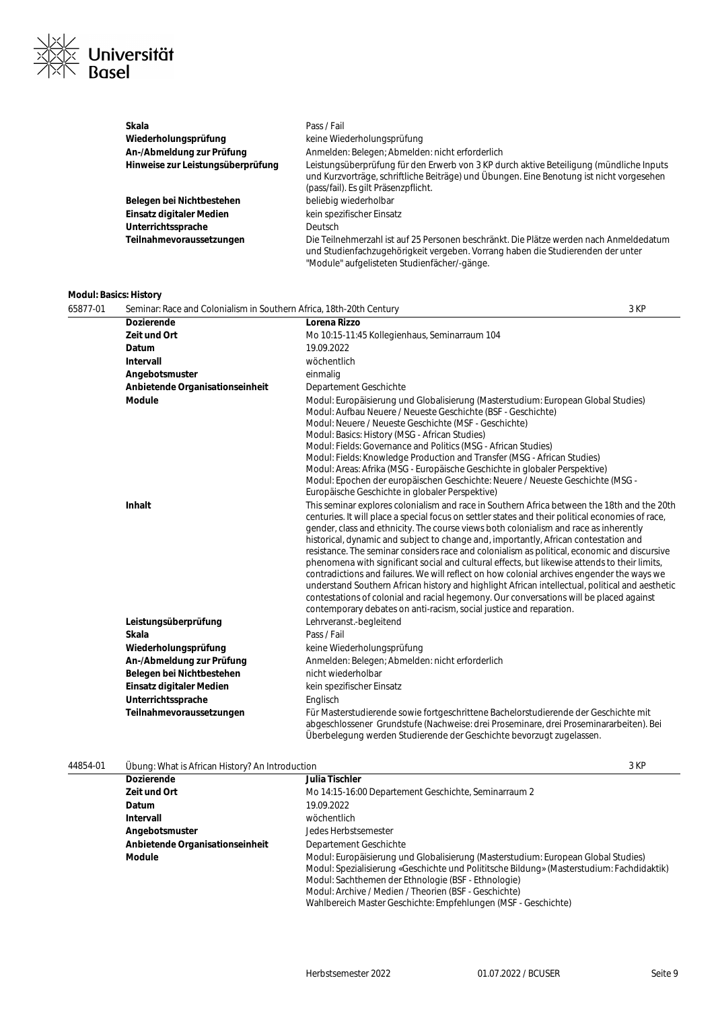

| Skala                             | Pass / Fail                                                                                                                                                                                                                 |
|-----------------------------------|-----------------------------------------------------------------------------------------------------------------------------------------------------------------------------------------------------------------------------|
| Wiederholungsprüfung              | keine Wiederholungsprüfung                                                                                                                                                                                                  |
| An-/Abmeldung zur Prüfung         | Anmelden: Belegen: Abmelden: nicht erforderlich                                                                                                                                                                             |
| Hinweise zur Leistungsüberprüfung | Leistungsüberprüfung für den Erwerb von 3 KP durch aktive Beteiligung (mündliche Inputs<br>und Kurzvorträge, schriftliche Beiträge) und Übungen. Eine Benotung ist nicht vorgesehen<br>(pass/fail). Es gilt Präsenzpflicht. |
| Belegen bei Nichtbestehen         | beliebig wiederholbar                                                                                                                                                                                                       |
| Einsatz digitaler Medien          | kein spezifischer Einsatz                                                                                                                                                                                                   |
| Unterrichtssprache                | <b>Deutsch</b>                                                                                                                                                                                                              |
| Teilnahmevoraussetzungen          | Die Teilnehmerzahl ist auf 25 Personen beschränkt. Die Plätze werden nach Anmeldedatum<br>und Studienfachzugehörigkeit vergeben. Vorrang haben die Studierenden der unter<br>"Module" aufgelisteten Studienfächer/-gänge.   |

# **Modul: Basics: History**

| 65877-01 | Seminar: Race and Colonialism in Southern Africa, 18th-20th Century |                                                                                                                                                                                                                                                                                                                                                                                                                                                                                                                                                                                                                                                                                                                                                                                                                                                                                                                                                                                                                                                                                                                                                                                                                                                                                                                                                                                                                       | 3 KP |
|----------|---------------------------------------------------------------------|-----------------------------------------------------------------------------------------------------------------------------------------------------------------------------------------------------------------------------------------------------------------------------------------------------------------------------------------------------------------------------------------------------------------------------------------------------------------------------------------------------------------------------------------------------------------------------------------------------------------------------------------------------------------------------------------------------------------------------------------------------------------------------------------------------------------------------------------------------------------------------------------------------------------------------------------------------------------------------------------------------------------------------------------------------------------------------------------------------------------------------------------------------------------------------------------------------------------------------------------------------------------------------------------------------------------------------------------------------------------------------------------------------------------------|------|
|          | <b>Dozierende</b>                                                   | Lorena Rizzo                                                                                                                                                                                                                                                                                                                                                                                                                                                                                                                                                                                                                                                                                                                                                                                                                                                                                                                                                                                                                                                                                                                                                                                                                                                                                                                                                                                                          |      |
|          | Zeit und Ort                                                        | Mo 10:15-11:45 Kollegienhaus, Seminarraum 104                                                                                                                                                                                                                                                                                                                                                                                                                                                                                                                                                                                                                                                                                                                                                                                                                                                                                                                                                                                                                                                                                                                                                                                                                                                                                                                                                                         |      |
|          | Datum                                                               | 19.09.2022                                                                                                                                                                                                                                                                                                                                                                                                                                                                                                                                                                                                                                                                                                                                                                                                                                                                                                                                                                                                                                                                                                                                                                                                                                                                                                                                                                                                            |      |
|          | Intervall                                                           | wöchentlich                                                                                                                                                                                                                                                                                                                                                                                                                                                                                                                                                                                                                                                                                                                                                                                                                                                                                                                                                                                                                                                                                                                                                                                                                                                                                                                                                                                                           |      |
|          | Angebotsmuster                                                      | einmalig                                                                                                                                                                                                                                                                                                                                                                                                                                                                                                                                                                                                                                                                                                                                                                                                                                                                                                                                                                                                                                                                                                                                                                                                                                                                                                                                                                                                              |      |
|          | Anbietende Organisationseinheit                                     | Departement Geschichte                                                                                                                                                                                                                                                                                                                                                                                                                                                                                                                                                                                                                                                                                                                                                                                                                                                                                                                                                                                                                                                                                                                                                                                                                                                                                                                                                                                                |      |
|          | <b>Module</b><br><b>Inhalt</b>                                      | Modul: Europäisierung und Globalisierung (Masterstudium: European Global Studies)<br>Modul: Aufbau Neuere / Neueste Geschichte (BSF - Geschichte)<br>Modul: Neuere / Neueste Geschichte (MSF - Geschichte)<br>Modul: Basics: History (MSG - African Studies)<br>Modul: Fields: Governance and Politics (MSG - African Studies)<br>Modul: Fields: Knowledge Production and Transfer (MSG - African Studies)<br>Modul: Areas: Afrika (MSG - Europäische Geschichte in globaler Perspektive)<br>Modul: Epochen der europäischen Geschichte: Neuere / Neueste Geschichte (MSG -<br>Europäische Geschichte in globaler Perspektive)<br>This seminar explores colonialism and race in Southern Africa between the 18th and the 20th<br>centuries. It will place a special focus on settler states and their political economies of race,<br>gender, class and ethnicity. The course views both colonialism and race as inherently<br>historical, dynamic and subject to change and, importantly, African contestation and<br>resistance. The seminar considers race and colonialism as political, economic and discursive<br>phenomena with significant social and cultural effects, but likewise attends to their limits,<br>contradictions and failures. We will reflect on how colonial archives engender the ways we<br>understand Southern African history and highlight African intellectual, political and aesthetic |      |
|          |                                                                     | contestations of colonial and racial hegemony. Our conversations will be placed against                                                                                                                                                                                                                                                                                                                                                                                                                                                                                                                                                                                                                                                                                                                                                                                                                                                                                                                                                                                                                                                                                                                                                                                                                                                                                                                               |      |
|          | Leistungsüberprüfung                                                | contemporary debates on anti-racism, social justice and reparation.<br>Lehrveranst.-begleitend                                                                                                                                                                                                                                                                                                                                                                                                                                                                                                                                                                                                                                                                                                                                                                                                                                                                                                                                                                                                                                                                                                                                                                                                                                                                                                                        |      |
|          | Skala                                                               | Pass / Fail                                                                                                                                                                                                                                                                                                                                                                                                                                                                                                                                                                                                                                                                                                                                                                                                                                                                                                                                                                                                                                                                                                                                                                                                                                                                                                                                                                                                           |      |
|          | Wiederholungsprüfung                                                | keine Wiederholungsprüfung                                                                                                                                                                                                                                                                                                                                                                                                                                                                                                                                                                                                                                                                                                                                                                                                                                                                                                                                                                                                                                                                                                                                                                                                                                                                                                                                                                                            |      |
|          | An-/Abmeldung zur Prüfung                                           | Anmelden: Belegen; Abmelden: nicht erforderlich                                                                                                                                                                                                                                                                                                                                                                                                                                                                                                                                                                                                                                                                                                                                                                                                                                                                                                                                                                                                                                                                                                                                                                                                                                                                                                                                                                       |      |
|          | Belegen bei Nichtbestehen                                           | nicht wiederholbar                                                                                                                                                                                                                                                                                                                                                                                                                                                                                                                                                                                                                                                                                                                                                                                                                                                                                                                                                                                                                                                                                                                                                                                                                                                                                                                                                                                                    |      |
|          | Einsatz digitaler Medien                                            |                                                                                                                                                                                                                                                                                                                                                                                                                                                                                                                                                                                                                                                                                                                                                                                                                                                                                                                                                                                                                                                                                                                                                                                                                                                                                                                                                                                                                       |      |
|          | Unterrichtssprache                                                  | kein spezifischer Einsatz<br>Englisch                                                                                                                                                                                                                                                                                                                                                                                                                                                                                                                                                                                                                                                                                                                                                                                                                                                                                                                                                                                                                                                                                                                                                                                                                                                                                                                                                                                 |      |
|          |                                                                     |                                                                                                                                                                                                                                                                                                                                                                                                                                                                                                                                                                                                                                                                                                                                                                                                                                                                                                                                                                                                                                                                                                                                                                                                                                                                                                                                                                                                                       |      |
|          | Teilnahmevoraussetzungen                                            | Für Masterstudierende sowie fortgeschrittene Bachelorstudierende der Geschichte mit<br>abgeschlossener Grundstufe (Nachweise: drei Proseminare, drei Proseminararbeiten). Bei<br>Überbelegung werden Studierende der Geschichte bevorzugt zugelassen.                                                                                                                                                                                                                                                                                                                                                                                                                                                                                                                                                                                                                                                                                                                                                                                                                                                                                                                                                                                                                                                                                                                                                                 |      |

# 44854-01 Übung: What is African History? An Introduction 3 KP

|  | <b>Dozierende</b>               | Julia Tischler                                                                                                                                                                                                                                                                                                                                                   |
|--|---------------------------------|------------------------------------------------------------------------------------------------------------------------------------------------------------------------------------------------------------------------------------------------------------------------------------------------------------------------------------------------------------------|
|  | Zeit und Ort                    | Mo 14:15-16:00 Departement Geschichte, Seminarraum 2                                                                                                                                                                                                                                                                                                             |
|  | <b>Datum</b>                    | 19.09.2022                                                                                                                                                                                                                                                                                                                                                       |
|  | Intervall                       | wöchentlich                                                                                                                                                                                                                                                                                                                                                      |
|  | Angebotsmuster                  | Jedes Herbstsemester                                                                                                                                                                                                                                                                                                                                             |
|  | Anbietende Organisationseinheit | Departement Geschichte                                                                                                                                                                                                                                                                                                                                           |
|  | Module                          | Modul: Europäisierung und Globalisierung (Masterstudium: European Global Studies)<br>Modul: Spezialisierung «Geschichte und Polititsche Bildung» (Masterstudium: Fachdidaktik)<br>Modul: Sachthemen der Ethnologie (BSF - Ethnologie)<br>Modul: Archive / Medien / Theorien (BSF - Geschichte)<br>Wahlbereich Master Geschichte: Empfehlungen (MSF - Geschichte) |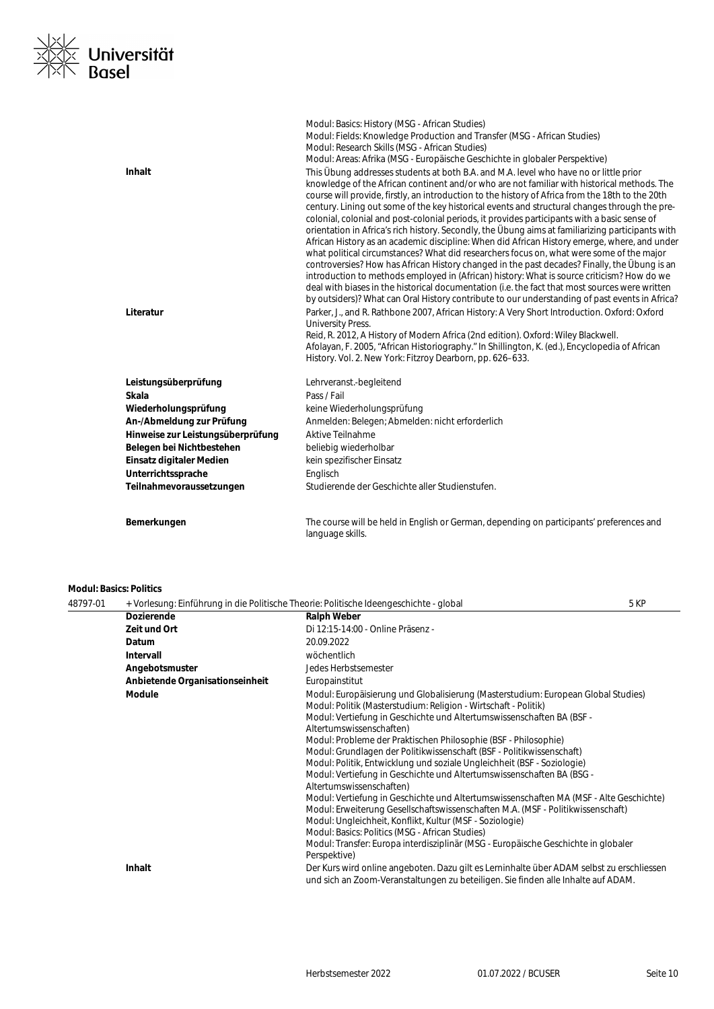

|                                   | Modul: Basics: History (MSG - African Studies)<br>Modul: Fields: Knowledge Production and Transfer (MSG - African Studies)<br>Modul: Research Skills (MSG - African Studies)<br>Modul: Areas: Afrika (MSG - Europäische Geschichte in globaler Perspektive)                                                                                                                                                                                                                                                                                                                                                                                                                                                                                                                                                                                                                                                                                                                                                                                                                                                                                                                                  |
|-----------------------------------|----------------------------------------------------------------------------------------------------------------------------------------------------------------------------------------------------------------------------------------------------------------------------------------------------------------------------------------------------------------------------------------------------------------------------------------------------------------------------------------------------------------------------------------------------------------------------------------------------------------------------------------------------------------------------------------------------------------------------------------------------------------------------------------------------------------------------------------------------------------------------------------------------------------------------------------------------------------------------------------------------------------------------------------------------------------------------------------------------------------------------------------------------------------------------------------------|
| Inhalt                            | This Übung addresses students at both B.A. and M.A. level who have no or little prior<br>knowledge of the African continent and/or who are not familiar with historical methods. The<br>course will provide, firstly, an introduction to the history of Africa from the 18th to the 20th<br>century. Lining out some of the key historical events and structural changes through the pre-<br>colonial, colonial and post-colonial periods, it provides participants with a basic sense of<br>orientation in Africa's rich history. Secondly, the Übung aims at familiarizing participants with<br>African History as an academic discipline: When did African History emerge, where, and under<br>what political circumstances? What did researchers focus on, what were some of the major<br>controversies? How has African History changed in the past decades? Finally, the Übung is an<br>introduction to methods employed in (African) history: What is source criticism? How do we<br>deal with biases in the historical documentation (i.e. the fact that most sources were written<br>by outsiders)? What can Oral History contribute to our understanding of past events in Africa? |
| Literatur                         | Parker, J., and R. Rathbone 2007, African History: A Very Short Introduction. Oxford: Oxford<br><b>University Press.</b><br>Reid, R. 2012, A History of Modern Africa (2nd edition). Oxford: Wiley Blackwell.<br>Afolayan, F. 2005, "African Historiography." In Shillington, K. (ed.), Encyclopedia of African<br>History. Vol. 2. New York: Fitzroy Dearborn, pp. 626-633.                                                                                                                                                                                                                                                                                                                                                                                                                                                                                                                                                                                                                                                                                                                                                                                                                 |
| Leistungsüberprüfung              | Lehrveranst.-begleitend                                                                                                                                                                                                                                                                                                                                                                                                                                                                                                                                                                                                                                                                                                                                                                                                                                                                                                                                                                                                                                                                                                                                                                      |
| Skala                             | Pass / Fail                                                                                                                                                                                                                                                                                                                                                                                                                                                                                                                                                                                                                                                                                                                                                                                                                                                                                                                                                                                                                                                                                                                                                                                  |
| Wiederholungsprüfung              | keine Wiederholungsprüfung                                                                                                                                                                                                                                                                                                                                                                                                                                                                                                                                                                                                                                                                                                                                                                                                                                                                                                                                                                                                                                                                                                                                                                   |
| An-/Abmeldung zur Prüfung         | Anmelden: Belegen; Abmelden: nicht erforderlich                                                                                                                                                                                                                                                                                                                                                                                                                                                                                                                                                                                                                                                                                                                                                                                                                                                                                                                                                                                                                                                                                                                                              |
| Hinweise zur Leistungsüberprüfung | Aktive Teilnahme                                                                                                                                                                                                                                                                                                                                                                                                                                                                                                                                                                                                                                                                                                                                                                                                                                                                                                                                                                                                                                                                                                                                                                             |
| Belegen bei Nichtbestehen         | beliebig wiederholbar                                                                                                                                                                                                                                                                                                                                                                                                                                                                                                                                                                                                                                                                                                                                                                                                                                                                                                                                                                                                                                                                                                                                                                        |
| Einsatz digitaler Medien          | kein spezifischer Einsatz                                                                                                                                                                                                                                                                                                                                                                                                                                                                                                                                                                                                                                                                                                                                                                                                                                                                                                                                                                                                                                                                                                                                                                    |
| Unterrichtssprache                | Englisch                                                                                                                                                                                                                                                                                                                                                                                                                                                                                                                                                                                                                                                                                                                                                                                                                                                                                                                                                                                                                                                                                                                                                                                     |
| Teilnahmevoraussetzungen          | Studierende der Geschichte aller Studienstufen.                                                                                                                                                                                                                                                                                                                                                                                                                                                                                                                                                                                                                                                                                                                                                                                                                                                                                                                                                                                                                                                                                                                                              |
| Bemerkungen                       | The course will be held in English or German, depending on participants' preferences and<br>language skills.                                                                                                                                                                                                                                                                                                                                                                                                                                                                                                                                                                                                                                                                                                                                                                                                                                                                                                                                                                                                                                                                                 |

# **Modul: Basics: Politics**

| 48797-01 | + Vorlesung: Einführung in die Politische Theorie: Politische Ideengeschichte - global |                                                                                                                                                                                                                                                                                                                                                                                                                                                                                                                                                                                                                                                                                                                                                                                                                                                                                                                                                                                         | 5 KP |
|----------|----------------------------------------------------------------------------------------|-----------------------------------------------------------------------------------------------------------------------------------------------------------------------------------------------------------------------------------------------------------------------------------------------------------------------------------------------------------------------------------------------------------------------------------------------------------------------------------------------------------------------------------------------------------------------------------------------------------------------------------------------------------------------------------------------------------------------------------------------------------------------------------------------------------------------------------------------------------------------------------------------------------------------------------------------------------------------------------------|------|
|          | <b>Dozierende</b>                                                                      | <b>Ralph Weber</b>                                                                                                                                                                                                                                                                                                                                                                                                                                                                                                                                                                                                                                                                                                                                                                                                                                                                                                                                                                      |      |
|          | Zeit und Ort                                                                           | Di 12:15-14:00 - Online Präsenz -                                                                                                                                                                                                                                                                                                                                                                                                                                                                                                                                                                                                                                                                                                                                                                                                                                                                                                                                                       |      |
|          | Datum                                                                                  | 20.09.2022                                                                                                                                                                                                                                                                                                                                                                                                                                                                                                                                                                                                                                                                                                                                                                                                                                                                                                                                                                              |      |
|          | Intervall                                                                              | wöchentlich                                                                                                                                                                                                                                                                                                                                                                                                                                                                                                                                                                                                                                                                                                                                                                                                                                                                                                                                                                             |      |
|          | Angebotsmuster                                                                         | Jedes Herbstsemester                                                                                                                                                                                                                                                                                                                                                                                                                                                                                                                                                                                                                                                                                                                                                                                                                                                                                                                                                                    |      |
|          | Anbietende Organisationseinheit                                                        | Europainstitut                                                                                                                                                                                                                                                                                                                                                                                                                                                                                                                                                                                                                                                                                                                                                                                                                                                                                                                                                                          |      |
|          | Module                                                                                 | Modul: Europäisierung und Globalisierung (Masterstudium: European Global Studies)<br>Modul: Politik (Masterstudium: Religion - Wirtschaft - Politik)<br>Modul: Vertiefung in Geschichte und Altertumswissenschaften BA (BSF -<br>Altertumswissenschaften)<br>Modul: Probleme der Praktischen Philosophie (BSF - Philosophie)<br>Modul: Grundlagen der Politikwissenschaft (BSF - Politikwissenschaft)<br>Modul: Politik, Entwicklung und soziale Ungleichheit (BSF - Soziologie)<br>Modul: Vertiefung in Geschichte und Altertumswissenschaften BA (BSG -<br>Altertumswissenschaften)<br>Modul: Vertiefung in Geschichte und Altertumswissenschaften MA (MSF - Alte Geschichte)<br>Modul: Erweiterung Gesellschaftswissenschaften M.A. (MSF - Politikwissenschaft)<br>Modul: Ungleichheit, Konflikt, Kultur (MSF - Soziologie)<br>Modul: Basics: Politics (MSG - African Studies)<br>Modul: Transfer: Europa interdisziplinär (MSG - Europäische Geschichte in globaler<br>Perspektive) |      |
|          | <b>Inhalt</b>                                                                          | Der Kurs wird online angeboten. Dazu gilt es Lerninhalte über ADAM selbst zu erschliessen<br>und sich an Zoom-Veranstaltungen zu beteiligen. Sie finden alle Inhalte auf ADAM.                                                                                                                                                                                                                                                                                                                                                                                                                                                                                                                                                                                                                                                                                                                                                                                                          |      |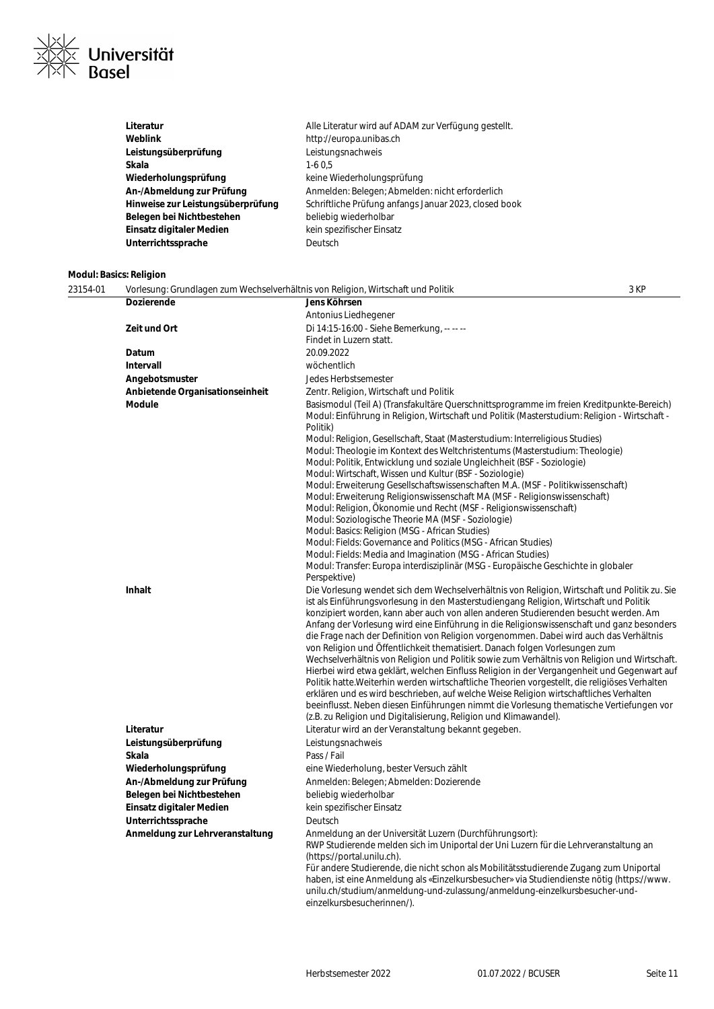

| Literatur                         | Alle Literatur wird auf ADAM zur Verfügung gestellt.  |
|-----------------------------------|-------------------------------------------------------|
| Weblink                           | http://europa.unibas.ch                               |
| Leistungsüberprüfung              | Leistungsnachweis                                     |
| Skala                             | $1-60.5$                                              |
| Wiederholungsprüfung              | keine Wiederholungsprüfung                            |
| An-/Abmeldung zur Prüfung         | Anmelden: Belegen; Abmelden: nicht erforderlich       |
| Hinweise zur Leistungsüberprüfung | Schriftliche Prüfung anfangs Januar 2023, closed book |
| Belegen bei Nichtbestehen         | beliebig wiederholbar                                 |
| Einsatz digitaler Medien          | kein spezifischer Einsatz                             |
| Unterrichtssprache                | Deutsch                                               |

# **Modul: Basics: Religion**

| 23154-01 | Vorlesung: Grundlagen zum Wechselverhältnis von Religion, Wirtschaft und Politik |                                                                                                                                                                               | 3 KP |
|----------|----------------------------------------------------------------------------------|-------------------------------------------------------------------------------------------------------------------------------------------------------------------------------|------|
|          | <b>Dozierende</b>                                                                | Jens Köhrsen                                                                                                                                                                  |      |
|          |                                                                                  | Antonius Liedhegener                                                                                                                                                          |      |
|          | Zeit und Ort                                                                     | Di 14:15-16:00 - Siehe Bemerkung, -- -- --                                                                                                                                    |      |
|          |                                                                                  | Findet in Luzern statt.                                                                                                                                                       |      |
|          | Datum                                                                            | 20.09.2022                                                                                                                                                                    |      |
|          | <b>Intervall</b>                                                                 | wöchentlich                                                                                                                                                                   |      |
|          | Angebotsmuster                                                                   | Jedes Herbstsemester                                                                                                                                                          |      |
|          | Anbietende Organisationseinheit                                                  | Zentr. Religion, Wirtschaft und Politik                                                                                                                                       |      |
|          | <b>Module</b>                                                                    | Basismodul (Teil A) (Transfakultäre Querschnittsprogramme im freien Kreditpunkte-Bereich)                                                                                     |      |
|          |                                                                                  | Modul: Einführung in Religion, Wirtschaft und Politik (Masterstudium: Religion - Wirtschaft -                                                                                 |      |
|          |                                                                                  | Politik)                                                                                                                                                                      |      |
|          |                                                                                  | Modul: Religion, Gesellschaft, Staat (Masterstudium: Interreligious Studies)                                                                                                  |      |
|          |                                                                                  | Modul: Theologie im Kontext des Weltchristentums (Masterstudium: Theologie)                                                                                                   |      |
|          |                                                                                  | Modul: Politik, Entwicklung und soziale Ungleichheit (BSF - Soziologie)                                                                                                       |      |
|          |                                                                                  | Modul: Wirtschaft, Wissen und Kultur (BSF - Soziologie)                                                                                                                       |      |
|          |                                                                                  | Modul: Erweiterung Gesellschaftswissenschaften M.A. (MSF - Politikwissenschaft)<br>Modul: Erweiterung Religionswissenschaft MA (MSF - Religionswissenschaft)                  |      |
|          |                                                                                  | Modul: Religion, Ökonomie und Recht (MSF - Religionswissenschaft)                                                                                                             |      |
|          |                                                                                  | Modul: Soziologische Theorie MA (MSF - Soziologie)                                                                                                                            |      |
|          |                                                                                  | Modul: Basics: Religion (MSG - African Studies)                                                                                                                               |      |
|          |                                                                                  | Modul: Fields: Governance and Politics (MSG - African Studies)                                                                                                                |      |
|          |                                                                                  | Modul: Fields: Media and Imagination (MSG - African Studies)                                                                                                                  |      |
|          |                                                                                  | Modul: Transfer: Europa interdisziplinär (MSG - Europäische Geschichte in globaler                                                                                            |      |
|          |                                                                                  | Perspektive)                                                                                                                                                                  |      |
|          | <b>Inhalt</b>                                                                    | Die Vorlesung wendet sich dem Wechselverhältnis von Religion, Wirtschaft und Politik zu. Sie                                                                                  |      |
|          |                                                                                  | ist als Einführungsvorlesung in den Masterstudiengang Religion, Wirtschaft und Politik<br>konzipiert worden, kann aber auch von allen anderen Studierenden besucht werden. Am |      |
|          |                                                                                  | Anfang der Vorlesung wird eine Einführung in die Religionswissenschaft und ganz besonders                                                                                     |      |
|          |                                                                                  | die Frage nach der Definition von Religion vorgenommen. Dabei wird auch das Verhältnis                                                                                        |      |
|          |                                                                                  | von Religion und Öffentlichkeit thematisiert. Danach folgen Vorlesungen zum                                                                                                   |      |
|          |                                                                                  | Wechselverhältnis von Religion und Politik sowie zum Verhältnis von Religion und Wirtschaft.                                                                                  |      |
|          |                                                                                  | Hierbei wird etwa geklärt, welchen Einfluss Religion in der Vergangenheit und Gegenwart auf                                                                                   |      |
|          |                                                                                  | Politik hatte. Weiterhin werden wirtschaftliche Theorien vorgestellt, die religiöses Verhalten                                                                                |      |
|          |                                                                                  | erklären und es wird beschrieben, auf welche Weise Religion wirtschaftliches Verhalten                                                                                        |      |
|          |                                                                                  | beeinflusst. Neben diesen Einführungen nimmt die Vorlesung thematische Vertiefungen vor<br>(z.B. zu Religion und Digitalisierung, Religion und Klimawandel).                  |      |
|          | Literatur                                                                        | Literatur wird an der Veranstaltung bekannt gegeben.                                                                                                                          |      |
|          | Leistungsüberprüfung                                                             | Leistungsnachweis                                                                                                                                                             |      |
|          | <b>Skala</b>                                                                     | Pass / Fail                                                                                                                                                                   |      |
|          | Wiederholungsprüfung                                                             | eine Wiederholung, bester Versuch zählt                                                                                                                                       |      |
|          | An-/Abmeldung zur Prüfung                                                        | Anmelden: Belegen; Abmelden: Dozierende                                                                                                                                       |      |
|          | Belegen bei Nichtbestehen                                                        | beliebig wiederholbar                                                                                                                                                         |      |
|          | Einsatz digitaler Medien                                                         | kein spezifischer Einsatz                                                                                                                                                     |      |
|          | Unterrichtssprache                                                               | Deutsch                                                                                                                                                                       |      |
|          | Anmeldung zur Lehrveranstaltung                                                  | Anmeldung an der Universität Luzern (Durchführungsort):                                                                                                                       |      |
|          |                                                                                  | RWP Studierende melden sich im Uniportal der Uni Luzern für die Lehrveranstaltung an                                                                                          |      |
|          |                                                                                  | (https://portal.unilu.ch).                                                                                                                                                    |      |
|          |                                                                                  | Für andere Studierende, die nicht schon als Mobilitätsstudierende Zugang zum Uniportal                                                                                        |      |
|          |                                                                                  | haben, ist eine Anmeldung als «Einzelkursbesucher» via Studiendienste nötig (https://www.                                                                                     |      |
|          |                                                                                  | unilu.ch/studium/anmeldung-und-zulassung/anmeldung-einzelkursbesucher-und-                                                                                                    |      |
|          |                                                                                  | einzelkursbesucherinnen/).                                                                                                                                                    |      |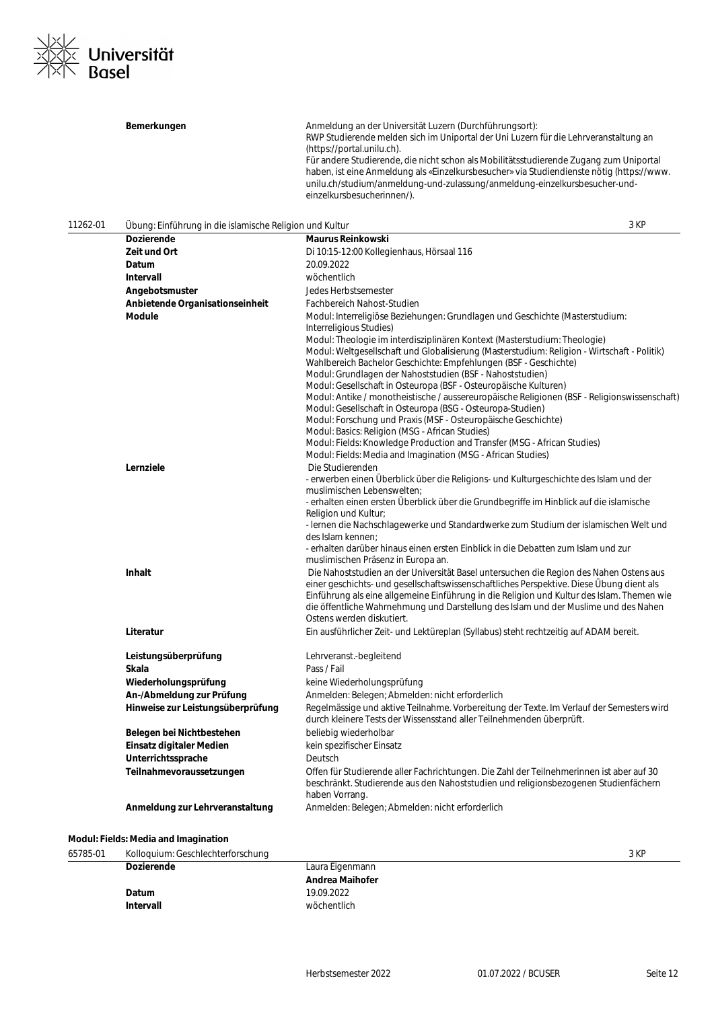

|          | Bemerkungen                                             | Anmeldung an der Universität Luzern (Durchführungsort):<br>RWP Studierende melden sich im Uniportal der Uni Luzern für die Lehrveranstaltung an<br>(https://portal.unilu.ch).                                                                                                                   |
|----------|---------------------------------------------------------|-------------------------------------------------------------------------------------------------------------------------------------------------------------------------------------------------------------------------------------------------------------------------------------------------|
|          |                                                         | Für andere Studierende, die nicht schon als Mobilitätsstudierende Zugang zum Uniportal<br>haben, ist eine Anmeldung als «Einzelkursbesucher» via Studiendienste nötig (https://www.<br>unilu.ch/studium/anmeldung-und-zulassung/anmeldung-einzelkursbesucher-und-<br>einzelkursbesucherinnen/). |
| 11262-01 | Übung: Einführung in die islamische Religion und Kultur | 3 KP                                                                                                                                                                                                                                                                                            |
|          | <b>Dozierende</b>                                       | <b>Maurus Reinkowski</b>                                                                                                                                                                                                                                                                        |
|          | Zeit und Ort                                            | Di 10:15-12:00 Kollegienhaus, Hörsaal 116                                                                                                                                                                                                                                                       |
|          | Datum                                                   | 20.09.2022                                                                                                                                                                                                                                                                                      |
|          | Intervall                                               | wöchentlich                                                                                                                                                                                                                                                                                     |
|          | Angebotsmuster                                          | Jedes Herbstsemester                                                                                                                                                                                                                                                                            |
|          | Anbietende Organisationseinheit                         | Fachbereich Nahost-Studien                                                                                                                                                                                                                                                                      |
|          | Module                                                  | Modul: Interreligiöse Beziehungen: Grundlagen und Geschichte (Masterstudium:                                                                                                                                                                                                                    |
|          |                                                         | Interreligious Studies)                                                                                                                                                                                                                                                                         |
|          |                                                         | Modul: Theologie im interdisziplinären Kontext (Masterstudium: Theologie)<br>Modul: Weltgesellschaft und Globalisierung (Masterstudium: Religion - Wirtschaft - Politik)<br>Wahlbereich Bachelor Geschichte: Empfehlungen (BSF - Geschichte)                                                    |
|          |                                                         | Modul: Grundlagen der Nahoststudien (BSF - Nahoststudien)<br>Modul: Gesellschaft in Osteuropa (BSF - Osteuropäische Kulturen)                                                                                                                                                                   |
|          |                                                         | Modul: Antike / monotheistische / aussereuropäische Religionen (BSF - Religionswissenschaft)                                                                                                                                                                                                    |
|          |                                                         | Modul: Gesellschaft in Osteuropa (BSG - Osteuropa-Studien)                                                                                                                                                                                                                                      |
|          |                                                         | Modul: Forschung und Praxis (MSF - Osteuropäische Geschichte)                                                                                                                                                                                                                                   |
|          |                                                         | Modul: Basics: Religion (MSG - African Studies)                                                                                                                                                                                                                                                 |
|          |                                                         | Modul: Fields: Knowledge Production and Transfer (MSG - African Studies)                                                                                                                                                                                                                        |
|          | Lernziele                                               | Modul: Fields: Media and Imagination (MSG - African Studies)<br>Die Studierenden                                                                                                                                                                                                                |
|          |                                                         | - erwerben einen Überblick über die Religions- und Kulturgeschichte des Islam und der                                                                                                                                                                                                           |
|          |                                                         | muslimischen Lebenswelten;                                                                                                                                                                                                                                                                      |
|          |                                                         | - erhalten einen ersten Überblick über die Grundbegriffe im Hinblick auf die islamische                                                                                                                                                                                                         |
|          |                                                         | Religion und Kultur;                                                                                                                                                                                                                                                                            |
|          |                                                         | - Iernen die Nachschlagewerke und Standardwerke zum Studium der islamischen Welt und                                                                                                                                                                                                            |
|          |                                                         | des Islam kennen;<br>- erhalten darüber hinaus einen ersten Einblick in die Debatten zum Islam und zur                                                                                                                                                                                          |
|          |                                                         | muslimischen Präsenz in Europa an.                                                                                                                                                                                                                                                              |
|          | <b>Inhalt</b>                                           | Die Nahoststudien an der Universität Basel untersuchen die Region des Nahen Ostens aus                                                                                                                                                                                                          |
|          |                                                         | einer geschichts- und gesellschaftswissenschaftliches Perspektive. Diese Übung dient als<br>Einführung als eine allgemeine Einführung in die Religion und Kultur des Islam. Themen wie<br>die öffentliche Wahrnehmung und Darstellung des Islam und der Muslime und des Nahen                   |
|          |                                                         | Ostens werden diskutiert.                                                                                                                                                                                                                                                                       |
|          | Literatur                                               | Ein ausführlicher Zeit- und Lektüreplan (Syllabus) steht rechtzeitig auf ADAM bereit.                                                                                                                                                                                                           |
|          | Leistungsüberprüfung                                    | Lehrveranst.-begleitend                                                                                                                                                                                                                                                                         |
|          | Skala                                                   | Pass / Fail                                                                                                                                                                                                                                                                                     |
|          | Wiederholungsprüfung                                    | keine Wiederholungsprüfung                                                                                                                                                                                                                                                                      |
|          | An-/Abmeldung zur Prüfung                               | Anmelden: Belegen; Abmelden: nicht erforderlich                                                                                                                                                                                                                                                 |
|          | Hinweise zur Leistungsüberprüfung                       | Regelmässige und aktive Teilnahme. Vorbereitung der Texte. Im Verlauf der Semesters wird<br>durch kleinere Tests der Wissensstand aller Teilnehmenden überprüft.                                                                                                                                |
|          | Belegen bei Nichtbestehen                               | beliebig wiederholbar                                                                                                                                                                                                                                                                           |
|          | Einsatz digitaler Medien                                | kein spezifischer Einsatz                                                                                                                                                                                                                                                                       |
|          | Unterrichtssprache                                      | Deutsch                                                                                                                                                                                                                                                                                         |
|          | Teilnahmevoraussetzungen                                | Offen für Studierende aller Fachrichtungen. Die Zahl der Teilnehmerinnen ist aber auf 30<br>beschränkt. Studierende aus den Nahoststudien und religionsbezogenen Studienfächern<br>haben Vorrang.                                                                                               |
|          | Anmeldung zur Lehrveranstaltung                         | Anmelden: Belegen; Abmelden: nicht erforderlich                                                                                                                                                                                                                                                 |

# **Modul: Fields: Media and Imagination**

| 65785-01 | Kolloquium: Geschlechterforschung |                        | 3 KP |
|----------|-----------------------------------|------------------------|------|
|          | <b>Dozierende</b>                 | Laura Eigenmann        |      |
|          |                                   | <b>Andrea Maihofer</b> |      |
|          | Datum                             | 19.09.2022             |      |
|          | Intervall                         | wöchentlich            |      |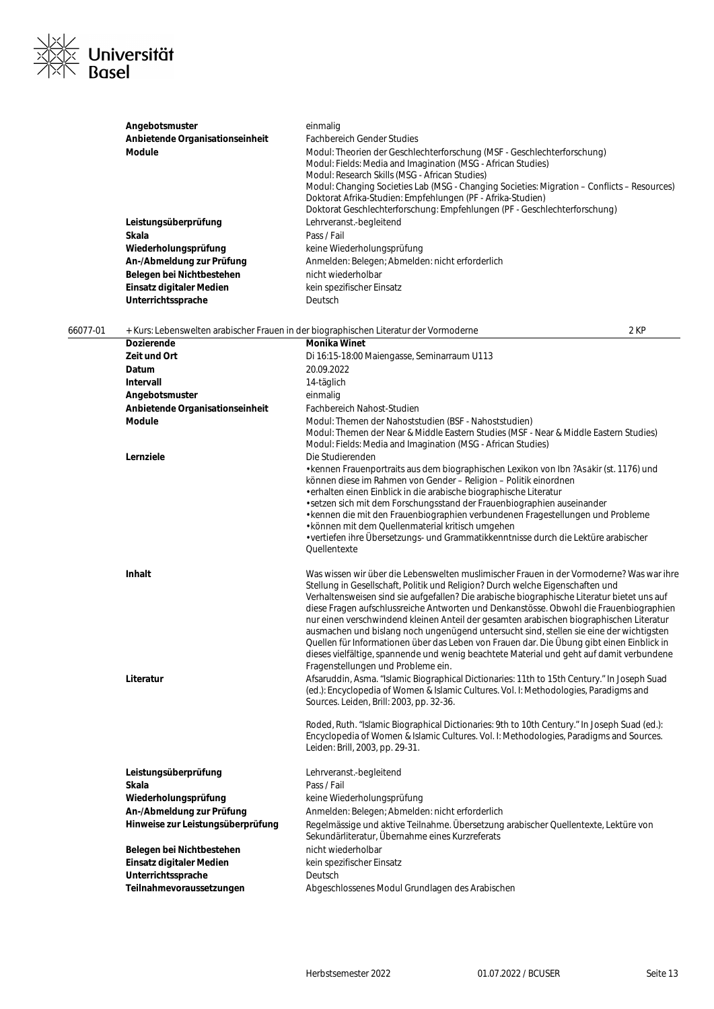| <u>Nxlz</u>       |                        |
|-------------------|------------------------|
|                   | <b>XXX</b> Universität |
| $\sqrt{ \times }$ | <b>Basel</b>           |

|          | Angebotsmuster                  | einmalig                                                                                                                                                   |  |
|----------|---------------------------------|------------------------------------------------------------------------------------------------------------------------------------------------------------|--|
|          | Anbietende Organisationseinheit | <b>Fachbereich Gender Studies</b>                                                                                                                          |  |
|          | <b>Module</b>                   | Modul: Theorien der Geschlechterforschung (MSF - Geschlechterforschung)                                                                                    |  |
|          |                                 | Modul: Fields: Media and Imagination (MSG - African Studies)                                                                                               |  |
|          |                                 | Modul: Research Skills (MSG - African Studies)                                                                                                             |  |
|          |                                 | Modul: Changing Societies Lab (MSG - Changing Societies: Migration – Conflicts – Resources)<br>Doktorat Afrika-Studien: Empfehlungen (PF - Afrika-Studien) |  |
|          |                                 | Doktorat Geschlechterforschung: Empfehlungen (PF - Geschlechterforschung)                                                                                  |  |
|          | Leistungsüberprüfung            | Lehrveranst.-begleitend                                                                                                                                    |  |
|          | Skala                           | Pass / Fail                                                                                                                                                |  |
|          | Wiederholungsprüfung            | keine Wiederholungsprüfung                                                                                                                                 |  |
|          | An-/Abmeldung zur Prüfung       | Anmelden: Belegen; Abmelden: nicht erforderlich                                                                                                            |  |
|          | Belegen bei Nichtbestehen       | nicht wiederholbar                                                                                                                                         |  |
|          | Einsatz digitaler Medien        | kein spezifischer Einsatz                                                                                                                                  |  |
|          | Unterrichtssprache              | Deutsch                                                                                                                                                    |  |
|          |                                 |                                                                                                                                                            |  |
| 66077-01 |                                 | 2 KP<br>+ Kurs: Lebenswelten arabischer Frauen in der biographischen Literatur der Vormoderne                                                              |  |
|          | <b>Dozierende</b>               | <b>Monika Winet</b>                                                                                                                                        |  |
|          | Zeit und Ort                    | Di 16:15-18:00 Maiengasse, Seminarraum U113                                                                                                                |  |
|          | Datum                           | 20.09.2022                                                                                                                                                 |  |
|          | Intervall                       | 14-täglich                                                                                                                                                 |  |
|          | Angebotsmuster                  | einmalig                                                                                                                                                   |  |
|          | Anbietende Organisationseinheit | Fachbereich Nahost-Studien                                                                                                                                 |  |
|          | <b>Module</b>                   | Modul: Themen der Nahoststudien (BSF - Nahoststudien)                                                                                                      |  |
|          |                                 | Modul: Themen der Near & Middle Eastern Studies (MSF - Near & Middle Eastern Studies)                                                                      |  |
|          |                                 | Modul: Fields: Media and Imagination (MSG - African Studies)                                                                                               |  |
|          | Lernziele                       | Die Studierenden                                                                                                                                           |  |
|          |                                 | • kennen Frauenportraits aus dem biographischen Lexikon von Ibn ? As äkir (st. 1176) und                                                                   |  |
|          |                                 | können diese im Rahmen von Gender - Religion - Politik einordnen                                                                                           |  |
|          |                                 | · erhalten einen Einblick in die arabische biographische Literatur                                                                                         |  |
|          |                                 | · setzen sich mit dem Forschungsstand der Frauenbiographien auseinander<br>· kennen die mit den Frauenbiographien verbundenen Fragestellungen und Probleme |  |
|          |                                 | · können mit dem Quellenmaterial kritisch umgehen                                                                                                          |  |
|          |                                 | • vertiefen ihre Übersetzungs- und Grammatikkenntnisse durch die Lektüre arabischer                                                                        |  |
|          |                                 | Quellentexte                                                                                                                                               |  |

| Inhalt    | Was wissen wir über die Lebenswelten muslimischer Frauen in der Vormoderne? Was war ihre<br>Stellung in Gesellschaft, Politik und Religion? Durch welche Eigenschaften und<br>Verhaltensweisen sind sie aufgefallen? Die arabische biographische Literatur bietet uns auf<br>diese Fragen aufschlussreiche Antworten und Denkanstösse. Obwohl die Frauenbiographien<br>nur einen verschwindend kleinen Anteil der gesamten arabischen biographischen Literatur<br>ausmachen und bislang noch ungenügend untersucht sind, stellen sie eine der wichtigsten |
|-----------|-----------------------------------------------------------------------------------------------------------------------------------------------------------------------------------------------------------------------------------------------------------------------------------------------------------------------------------------------------------------------------------------------------------------------------------------------------------------------------------------------------------------------------------------------------------|
|           | Quellen für Informationen über das Leben von Frauen dar. Die Übung gibt einen Einblick in<br>dieses vielfältige, spannende und wenig beachtete Material und geht auf damit verbundene<br>Fragenstellungen und Probleme ein.                                                                                                                                                                                                                                                                                                                               |
| Literatur | Afsaruddin, Asma. "Islamic Biographical Dictionaries: 11th to 15th Century." In Joseph Suad                                                                                                                                                                                                                                                                                                                                                                                                                                                               |

(ed.): Encyclopedia of Women & Islamic Cultures. Vol. I: Methodologies, Paradigms and Sources. Leiden, Brill: 2003, pp. 32-36.

Roded, Ruth. "Islamic Biographical Dictionaries: 9th to 10th Century." In Joseph Suad (ed.): Encyclopedia of Women & Islamic Cultures. Vol. I: Methodologies, Paradigms and Sources. Leiden: Brill, 2003, pp. 29-31.

| Leistungsüberprüfung              | Lehrveranst.-begleitend                                                                                                                |
|-----------------------------------|----------------------------------------------------------------------------------------------------------------------------------------|
| Skala                             | Pass / Fail                                                                                                                            |
| Wiederholungsprüfung              | keine Wiederholungsprüfung                                                                                                             |
| An-/Abmeldung zur Prüfung         | Anmelden: Belegen; Abmelden: nicht erforderlich                                                                                        |
| Hinweise zur Leistungsüberprüfung | Regelmässige und aktive Teilnahme. Übersetzung arabischer Quellentexte, Lektüre von<br>Sekundärliteratur, Übernahme eines Kurzreferats |
| Belegen bei Nichtbestehen         | nicht wiederholbar                                                                                                                     |
| Einsatz digitaler Medien          | kein spezifischer Einsatz                                                                                                              |
| Unterrichtssprache                | <b>Deutsch</b>                                                                                                                         |
| Teilnahmevoraussetzungen          | Abgeschlossenes Modul Grundlagen des Arabischen                                                                                        |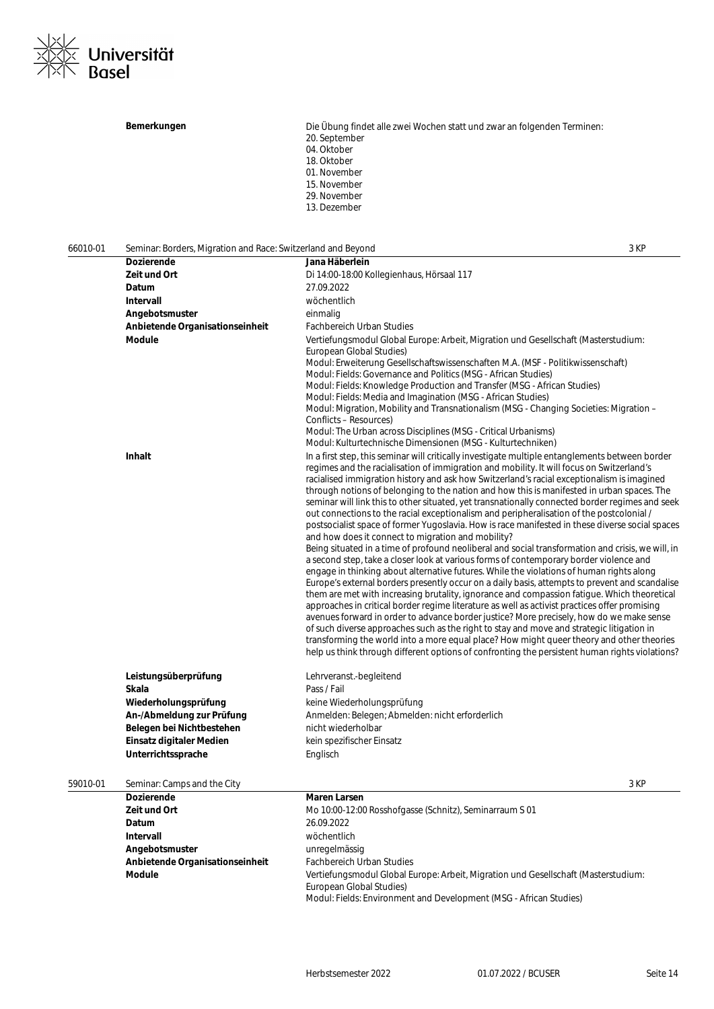

Bemerkungen **Bemerkungen** Die Übung findet alle zwei Wochen statt und zwar an folgenden Terminen: 20. September 04. Oktober 18. Oktober 01. November 15. November 29. November 13. Dezember

66010-01 Seminar: Borders, Migration and Race: Switzerland and Beyond 3 KP **Dozierende Jana Häberlein Zeit und Ort** Di 14:00-18:00 Kollegienhaus, Hörsaal 117 **Datum** 27.09.2022 **Intervall** wöchentlich **Angebotsmuster** einmalig **Anbietende Organisationseinheit** Fachbereich Urban Studies **Module** Vertiefungsmodul Global Europe: Arbeit, Migration und Gesellschaft (Masterstudium: European Global Studies) Modul: Erweiterung Gesellschaftswissenschaften M.A. (MSF - Politikwissenschaft) Modul: Fields: Governance and Politics (MSG - African Studies) Modul: Fields: Knowledge Production and Transfer (MSG - African Studies) Modul: Fields: Media and Imagination (MSG - African Studies) Modul: Migration, Mobility and Transnationalism (MSG - Changing Societies: Migration – Conflicts – Resources) Modul: The Urban across Disciplines (MSG - Critical Urbanisms) Modul: Kulturtechnische Dimensionen (MSG - Kulturtechniken) **Inhalt** In a first step, this seminar will critically investigate multiple entanglements between border regimes and the racialisation of immigration and mobility. It will focus on Switzerland's racialised immigration history and ask how Switzerland's racial exceptionalism is imagined through notions of belonging to the nation and how this is manifested in urban spaces. The seminar will link this to other situated, yet transnationally connected border regimes and seek out connections to the racial exceptionalism and peripheralisation of the postcolonial / postsocialist space of former Yugoslavia. How is race manifested in these diverse social spaces and how does it connect to migration and mobility? Being situated in a time of profound neoliberal and social transformation and crisis, we will, in a second step, take a closer look at various forms of contemporary border violence and engage in thinking about alternative futures. While the violations of human rights along Europe's external borders presently occur on a daily basis, attempts to prevent and scandalise them are met with increasing brutality, ignorance and compassion fatigue. Which theoretical approaches in critical border regime literature as well as activist practices offer promising avenues forward in order to advance border justice? More precisely, how do we make sense of such diverse approaches such as the right to stay and move and strategic litigation in transforming the world into a more equal place? How might queer theory and other theories help us think through different options of confronting the persistent human rights violations? **Leistungsüberprüfung** Lehrveranst.-begleitend **Skala** Pass / Fail **Wiederholungsprüfung** keine Wiederholungsprüfung An-/Abmeldung zur Prüfung **Anmelden: Belegen; Abmelden: nicht erforderlich Belegen bei Nichtbestehen** nicht wiederholbar **Einsatz digitaler Medien** kein spezifischer Einsatz **Unterrichtssprache** Englisch 59010-01 Seminar: Camps and the City 3 KP **Dozierende Maren Larsen Zeit und Ort** Mo 10:00-12:00 Rosshofgasse (Schnitz), Seminarraum S 01 **Datum** 26.09.2022 **Intervall** wöchentlich Angebotsmuster **and angles** unregelmässig **Anbietende Organisationseinheit** Fachbereich Urban Studies **Module** Vertiefungsmodul Global Europe: Arbeit, Migration und Gesellschaft (Masterstudium:

> European Global Studies) Modul: Fields: Environment and Development (MSG - African Studies)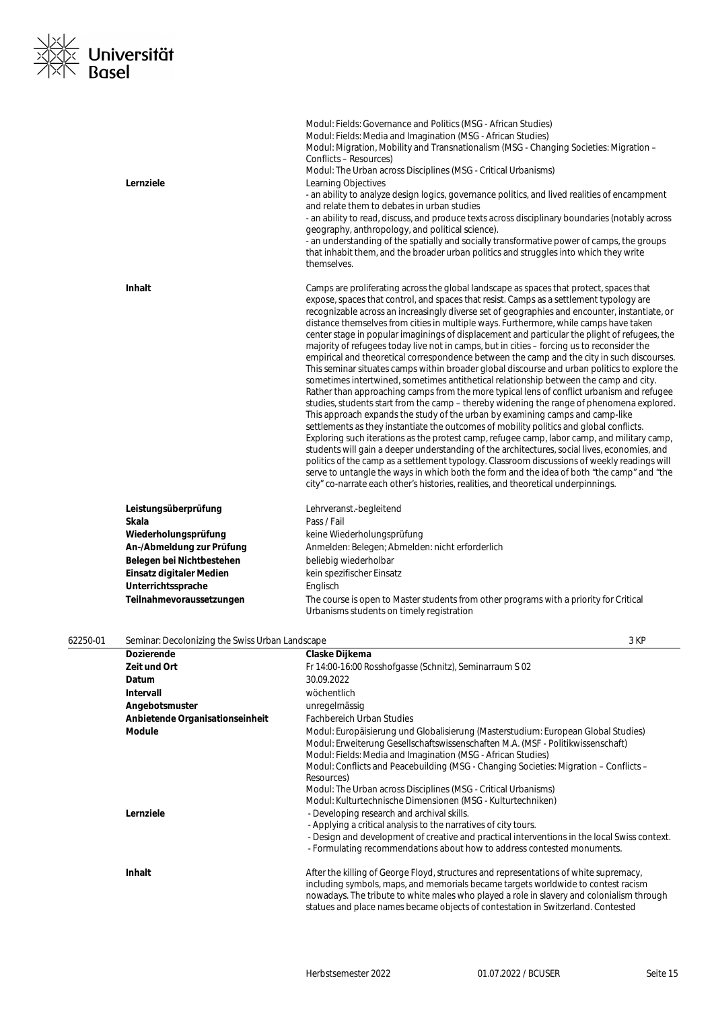# l∕<br>|≪ Universität<br>|≦ Basel  $\frac{1}{2}$

|                                      | Modul: Fields: Governance and Politics (MSG - African Studies)<br>Modul: Fields: Media and Imagination (MSG - African Studies)<br>Modul: Migration, Mobility and Transnationalism (MSG - Changing Societies: Migration –<br>Conflicts – Resources)<br>Modul: The Urban across Disciplines (MSG - Critical Urbanisms)                                                                                                                                                                                                                                                                                                                                                                                                                                                                                                                                                                                                                                                                                                                                                                                                                                                                                                                                                                                                                                                                                                                                                                                                                                                                                                                                                                                                         |
|--------------------------------------|------------------------------------------------------------------------------------------------------------------------------------------------------------------------------------------------------------------------------------------------------------------------------------------------------------------------------------------------------------------------------------------------------------------------------------------------------------------------------------------------------------------------------------------------------------------------------------------------------------------------------------------------------------------------------------------------------------------------------------------------------------------------------------------------------------------------------------------------------------------------------------------------------------------------------------------------------------------------------------------------------------------------------------------------------------------------------------------------------------------------------------------------------------------------------------------------------------------------------------------------------------------------------------------------------------------------------------------------------------------------------------------------------------------------------------------------------------------------------------------------------------------------------------------------------------------------------------------------------------------------------------------------------------------------------------------------------------------------------|
| Lernziele                            | Learning Objectives<br>- an ability to analyze design logics, governance politics, and lived realities of encampment<br>and relate them to debates in urban studies<br>- an ability to read, discuss, and produce texts across disciplinary boundaries (notably across<br>geography, anthropology, and political science).<br>- an understanding of the spatially and socially transformative power of camps, the groups<br>that inhabit them, and the broader urban politics and struggles into which they write<br>themselves.                                                                                                                                                                                                                                                                                                                                                                                                                                                                                                                                                                                                                                                                                                                                                                                                                                                                                                                                                                                                                                                                                                                                                                                             |
| <b>Inhalt</b>                        | Camps are proliferating across the global landscape as spaces that protect, spaces that<br>expose, spaces that control, and spaces that resist. Camps as a settlement typology are<br>recognizable across an increasingly diverse set of geographies and encounter, instantiate, or<br>distance themselves from cities in multiple ways. Furthermore, while camps have taken<br>center stage in popular imaginings of displacement and particular the plight of refugees, the<br>majority of refugees today live not in camps, but in cities - forcing us to reconsider the<br>empirical and theoretical correspondence between the camp and the city in such discourses.<br>This seminar situates camps within broader global discourse and urban politics to explore the<br>sometimes intertwined, sometimes antithetical relationship between the camp and city.<br>Rather than approaching camps from the more typical lens of conflict urbanism and refugee<br>studies, students start from the camp – thereby widening the range of phenomena explored.<br>This approach expands the study of the urban by examining camps and camp-like<br>settlements as they instantiate the outcomes of mobility politics and global conflicts.<br>Exploring such iterations as the protest camp, refugee camp, labor camp, and military camp,<br>students will gain a deeper understanding of the architectures, social lives, economies, and<br>politics of the camp as a settlement typology. Classroom discussions of weekly readings will<br>serve to untangle the ways in which both the form and the idea of both "the camp" and "the<br>city" co-narrate each other's histories, realities, and theoretical underpinnings. |
| Leistungsüberprüfung<br><b>Skala</b> | Lehrveranst.-begleitend<br>Pass / Fail                                                                                                                                                                                                                                                                                                                                                                                                                                                                                                                                                                                                                                                                                                                                                                                                                                                                                                                                                                                                                                                                                                                                                                                                                                                                                                                                                                                                                                                                                                                                                                                                                                                                                       |
| Wiederholungsprüfung                 | keine Wiederholungsprüfung                                                                                                                                                                                                                                                                                                                                                                                                                                                                                                                                                                                                                                                                                                                                                                                                                                                                                                                                                                                                                                                                                                                                                                                                                                                                                                                                                                                                                                                                                                                                                                                                                                                                                                   |
| An-/Abmeldung zur Prüfung            | Anmelden: Belegen; Abmelden: nicht erforderlich                                                                                                                                                                                                                                                                                                                                                                                                                                                                                                                                                                                                                                                                                                                                                                                                                                                                                                                                                                                                                                                                                                                                                                                                                                                                                                                                                                                                                                                                                                                                                                                                                                                                              |
| Belegen bei Nichtbestehen            | beliebig wiederholbar                                                                                                                                                                                                                                                                                                                                                                                                                                                                                                                                                                                                                                                                                                                                                                                                                                                                                                                                                                                                                                                                                                                                                                                                                                                                                                                                                                                                                                                                                                                                                                                                                                                                                                        |
| Einsatz digitaler Medien             | kein spezifischer Einsatz                                                                                                                                                                                                                                                                                                                                                                                                                                                                                                                                                                                                                                                                                                                                                                                                                                                                                                                                                                                                                                                                                                                                                                                                                                                                                                                                                                                                                                                                                                                                                                                                                                                                                                    |
| Unterrichtssprache                   | Englisch                                                                                                                                                                                                                                                                                                                                                                                                                                                                                                                                                                                                                                                                                                                                                                                                                                                                                                                                                                                                                                                                                                                                                                                                                                                                                                                                                                                                                                                                                                                                                                                                                                                                                                                     |
| Teilnahmevoraussetzungen             | The course is open to Master students from other programs with a priority for Critical<br>Urbanisms students on timely registration                                                                                                                                                                                                                                                                                                                                                                                                                                                                                                                                                                                                                                                                                                                                                                                                                                                                                                                                                                                                                                                                                                                                                                                                                                                                                                                                                                                                                                                                                                                                                                                          |
|                                      |                                                                                                                                                                                                                                                                                                                                                                                                                                                                                                                                                                                                                                                                                                                                                                                                                                                                                                                                                                                                                                                                                                                                                                                                                                                                                                                                                                                                                                                                                                                                                                                                                                                                                                                              |

| 62250-01 | Seminar: Decolonizing the Swiss Urban Landscape |                                                                                                                                                                                                                                                                                                                                                                                                                                                                              |
|----------|-------------------------------------------------|------------------------------------------------------------------------------------------------------------------------------------------------------------------------------------------------------------------------------------------------------------------------------------------------------------------------------------------------------------------------------------------------------------------------------------------------------------------------------|
|          | <b>Dozierende</b>                               | Claske Dijkema                                                                                                                                                                                                                                                                                                                                                                                                                                                               |
|          | Zeit und Ort                                    | Fr 14:00-16:00 Rosshofgasse (Schnitz), Seminarraum S 02                                                                                                                                                                                                                                                                                                                                                                                                                      |
|          | Datum                                           | 30.09.2022                                                                                                                                                                                                                                                                                                                                                                                                                                                                   |
|          | Intervall                                       | wöchentlich                                                                                                                                                                                                                                                                                                                                                                                                                                                                  |
|          | Angebotsmuster                                  | unregelmässig                                                                                                                                                                                                                                                                                                                                                                                                                                                                |
|          | Anbietende Organisationseinheit                 | <b>Fachbereich Urban Studies</b>                                                                                                                                                                                                                                                                                                                                                                                                                                             |
|          | <b>Module</b>                                   | Modul: Europäisierung und Globalisierung (Masterstudium: European Global Studies)<br>Modul: Erweiterung Gesellschaftswissenschaften M.A. (MSF - Politikwissenschaft)<br>Modul: Fields: Media and Imagination (MSG - African Studies)<br>Modul: Conflicts and Peacebuilding (MSG - Changing Societies: Migration – Conflicts –<br>Resources)<br>Modul: The Urban across Disciplines (MSG - Critical Urbanisms)<br>Modul: Kulturtechnische Dimensionen (MSG - Kulturtechniken) |
|          | Lernziele                                       | - Developing research and archival skills.<br>- Applying a critical analysis to the narratives of city tours.<br>- Design and development of creative and practical interventions in the local Swiss context.<br>- Formulating recommendations about how to address contested monuments.                                                                                                                                                                                     |
|          | Inhalt                                          | After the killing of George Floyd, structures and representations of white supremacy,<br>including symbols, maps, and memorials became targets worldwide to contest racism<br>nowadays. The tribute to white males who played a role in slavery and colonialism through<br>statues and place names became objects of contestation in Switzerland. Contested                                                                                                                  |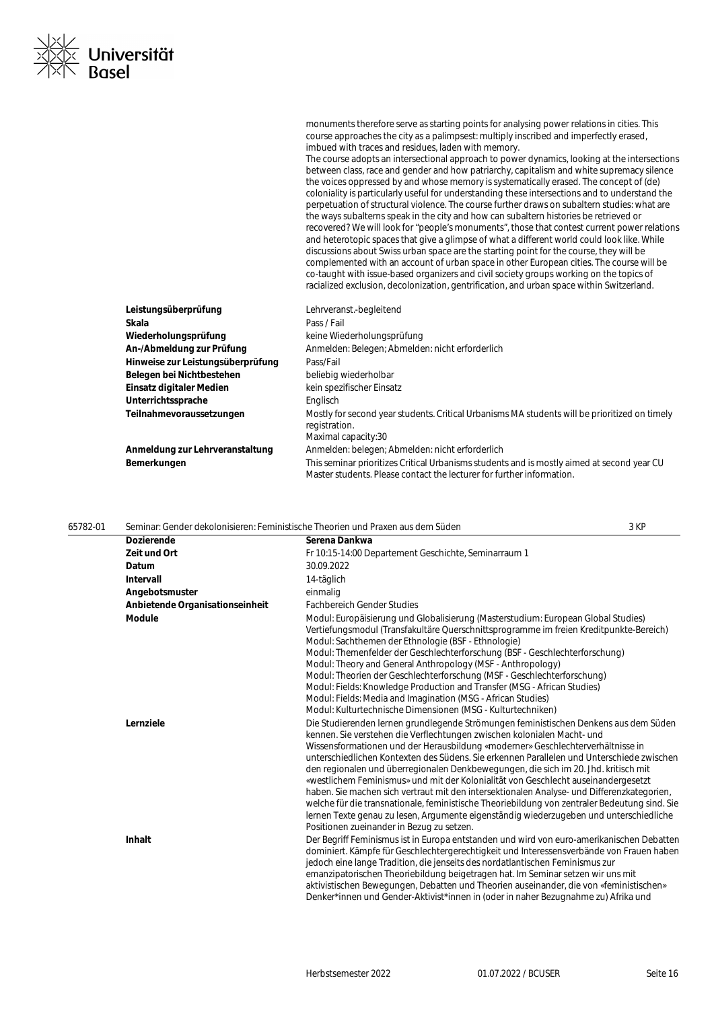Herbstsemester 2022 01.07.2022 / BCUSER

| Seite 16 |  |
|----------|--|

| 65782-01 |                                 | Seminar: Gender dekolonisieren: Feministische Theorien und Praxen aus dem Süden                                                                                                                                                                                                                                                                                                                                                                                                                                                                                                                                                                                                                                                                                                                                                                                    | 3 KP |
|----------|---------------------------------|--------------------------------------------------------------------------------------------------------------------------------------------------------------------------------------------------------------------------------------------------------------------------------------------------------------------------------------------------------------------------------------------------------------------------------------------------------------------------------------------------------------------------------------------------------------------------------------------------------------------------------------------------------------------------------------------------------------------------------------------------------------------------------------------------------------------------------------------------------------------|------|
|          | <b>Dozierende</b>               | Serena Dankwa                                                                                                                                                                                                                                                                                                                                                                                                                                                                                                                                                                                                                                                                                                                                                                                                                                                      |      |
|          | Zeit und Ort                    | Fr 10:15-14:00 Departement Geschichte, Seminarraum 1                                                                                                                                                                                                                                                                                                                                                                                                                                                                                                                                                                                                                                                                                                                                                                                                               |      |
|          | Datum                           | 30.09.2022                                                                                                                                                                                                                                                                                                                                                                                                                                                                                                                                                                                                                                                                                                                                                                                                                                                         |      |
|          | Intervall                       | 14-täglich                                                                                                                                                                                                                                                                                                                                                                                                                                                                                                                                                                                                                                                                                                                                                                                                                                                         |      |
|          | Angebotsmuster                  | einmalig                                                                                                                                                                                                                                                                                                                                                                                                                                                                                                                                                                                                                                                                                                                                                                                                                                                           |      |
|          | Anbietende Organisationseinheit | <b>Fachbereich Gender Studies</b>                                                                                                                                                                                                                                                                                                                                                                                                                                                                                                                                                                                                                                                                                                                                                                                                                                  |      |
|          | <b>Module</b>                   | Modul: Europäisierung und Globalisierung (Masterstudium: European Global Studies)<br>Vertiefungsmodul (Transfakultäre Querschnittsprogramme im freien Kreditpunkte-Bereich)<br>Modul: Sachthemen der Ethnologie (BSF - Ethnologie)<br>Modul: Themenfelder der Geschlechterforschung (BSF - Geschlechterforschung)<br>Modul: Theory and General Anthropology (MSF - Anthropology)<br>Modul: Theorien der Geschlechterforschung (MSF - Geschlechterforschung)<br>Modul: Fields: Knowledge Production and Transfer (MSG - African Studies)<br>Modul: Fields: Media and Imagination (MSG - African Studies)<br>Modul: Kulturtechnische Dimensionen (MSG - Kulturtechniken)                                                                                                                                                                                             |      |
|          | Lernziele                       | Die Studierenden lernen grundlegende Strömungen feministischen Denkens aus dem Süden<br>kennen. Sie verstehen die Verflechtungen zwischen kolonialen Macht- und<br>Wissensformationen und der Herausbildung «moderner» Geschlechterverhältnisse in<br>unterschiedlichen Kontexten des Südens. Sie erkennen Parallelen und Unterschiede zwischen<br>den regionalen und überregionalen Denkbewegungen, die sich im 20. Jhd. kritisch mit<br>«westlichem Feminismus» und mit der Kolonialität von Geschlecht auseinandergesetzt<br>haben. Sie machen sich vertraut mit den intersektionalen Analyse- und Differenzkategorien,<br>welche für die transnationale, feministische Theoriebildung von zentraler Bedeutung sind. Sie<br>lernen Texte genau zu lesen, Argumente eigenständig wiederzugeben und unterschiedliche<br>Positionen zueinander in Bezug zu setzen. |      |
|          | <b>Inhalt</b>                   | Der Begriff Feminismus ist in Europa entstanden und wird von euro-amerikanischen Debatten<br>dominiert. Kämpfe für Geschlechtergerechtigkeit und Interessensverbände von Frauen haben<br>jedoch eine lange Tradition, die jenseits des nordatlantischen Feminismus zur<br>emanzipatorischen Theoriebildung beigetragen hat. Im Seminar setzen wir uns mit<br>aktivistischen Bewegungen, Debatten und Theorien auseinander, die von «feministischen»<br>Denker*innen und Gender-Aktivist*innen in (oder in naher Bezugnahme zu) Afrika und                                                                                                                                                                                                                                                                                                                          |      |

**Teilnahmevoraussetzungen** Mostly for second year students. Critical Urbanisms MA students will be prioritized on timely

**Bemerkungen** This seminar prioritizes Critical Urbanisms students and is mostly aimed at second year CU

Master students. Please contact the lecturer for further information.

monuments therefore serve as starting points for analysing power relations in cities. This course approaches the city as a palimpsest: multiply inscribed and imperfectly erased, imbued with traces and residues, laden with memory.

The course adopts an intersectional approach to power dynamics, looking at the intersections between class, race and gender and how patriarchy, capitalism and white supremacy silence the voices oppressed by and whose memory is systematically erased. The concept of (de) coloniality is particularly useful for understanding these intersections and to understand the perpetuation of structural violence. The course further draws on subaltern studies: what are the ways subalterns speak in the city and how can subaltern histories be retrieved or recovered? We will look for "people's monuments", those that contest current power relations and heterotopic spaces that give a glimpse of what a different world could look like. While discussions about Swiss urban space are the starting point for the course, they will be complemented with an account of urban space in other European cities. The course will be co-taught with issue-based organizers and civil society groups working on the topics of racialized exclusion, decolonization, gentrification, and urban space within Switzerland.

| . <u>⊠∠</u><br>1⊠≤ Universität<br>1⊠N Basel |
|---------------------------------------------|
|                                             |

**Leistungsüberprüfung** Lehrveranst.-begleitend

Belegen bei Nichtbestehen beliebig wiederholbar **Einsatz digitaler Medien** kein spezifischer Einsatz

Wiederholungsprüfung **Keine Wiederholungsprüfung** 

An-/Abmeldung zur Prüfung **Anmelden: Belegen; Abmelden: nicht erforderlich** 

registration. Maximal capacity:30

**Anmeldung zur Lehrveranstaltung Anmelden: belegen; Abmelden: nicht erforderlich** 

**Skala** Pass / Fail

**Hinweise zur Leistungsüberprüfung** Pass/Fail

Unterrichtssprache **Englisch**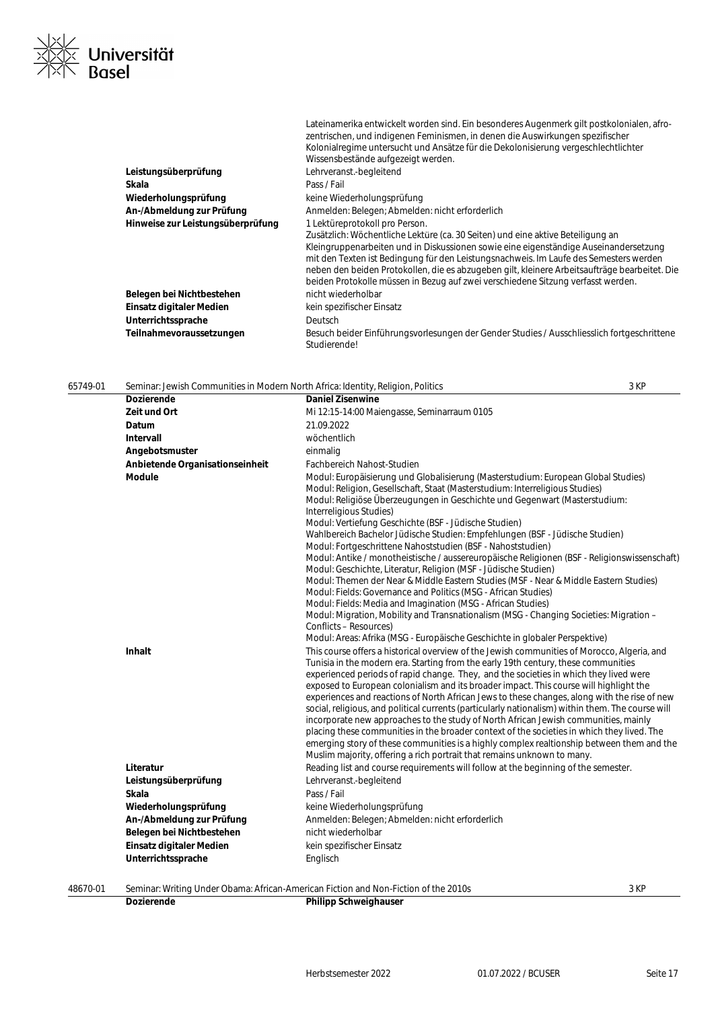

|                                   | Lateinamerika entwickelt worden sind. Ein besonderes Augenmerk gilt postkolonialen, afro-<br>zentrischen, und indigenen Feminismen, in denen die Auswirkungen spezifischer<br>Kolonialregime untersucht und Ansätze für die Dekolonisierung vergeschlechtlichter                                                                                                                                                                                                                        |
|-----------------------------------|-----------------------------------------------------------------------------------------------------------------------------------------------------------------------------------------------------------------------------------------------------------------------------------------------------------------------------------------------------------------------------------------------------------------------------------------------------------------------------------------|
|                                   | Wissensbestände aufgezeigt werden.                                                                                                                                                                                                                                                                                                                                                                                                                                                      |
| Leistungsüberprüfung              | Lehrveranst.-begleitend                                                                                                                                                                                                                                                                                                                                                                                                                                                                 |
| Skala                             | Pass / Fail                                                                                                                                                                                                                                                                                                                                                                                                                                                                             |
| Wiederholungsprüfung              | keine Wiederholungsprüfung                                                                                                                                                                                                                                                                                                                                                                                                                                                              |
| An-/Abmeldung zur Prüfung         | Anmelden: Belegen; Abmelden: nicht erforderlich                                                                                                                                                                                                                                                                                                                                                                                                                                         |
| Hinweise zur Leistungsüberprüfung | 1 Lektüreprotokoll pro Person.<br>Zusätzlich: Wöchentliche Lektüre (ca. 30 Seiten) und eine aktive Beteiligung an<br>Kleingruppenarbeiten und in Diskussionen sowie eine eigenständige Auseinandersetzung<br>mit den Texten ist Bedingung für den Leistungsnachweis. Im Laufe des Semesters werden<br>neben den beiden Protokollen, die es abzugeben gilt, kleinere Arbeitsaufträge bearbeitet. Die<br>beiden Protokolle müssen in Bezug auf zwei verschiedene Sitzung verfasst werden. |
| Belegen bei Nichtbestehen         | nicht wiederholbar                                                                                                                                                                                                                                                                                                                                                                                                                                                                      |
| Einsatz digitaler Medien          | kein spezifischer Einsatz                                                                                                                                                                                                                                                                                                                                                                                                                                                               |
| Unterrichtssprache                | Deutsch                                                                                                                                                                                                                                                                                                                                                                                                                                                                                 |
| Teilnahmevoraussetzungen          | Besuch beider Einführungsvorlesungen der Gender Studies / Ausschliesslich fortgeschrittene<br>Studierende!                                                                                                                                                                                                                                                                                                                                                                              |

| 65749-01 | Seminar: Jewish Communities in Modern North Africa: Identity, Religion, Politics |                                                                                                                                                                                                                                                                                                                                                                                                                                                                                                                                                                                                                                                                                                                                                                                                                                                                                                                                                                                                                                                                                     | 3 KP |
|----------|----------------------------------------------------------------------------------|-------------------------------------------------------------------------------------------------------------------------------------------------------------------------------------------------------------------------------------------------------------------------------------------------------------------------------------------------------------------------------------------------------------------------------------------------------------------------------------------------------------------------------------------------------------------------------------------------------------------------------------------------------------------------------------------------------------------------------------------------------------------------------------------------------------------------------------------------------------------------------------------------------------------------------------------------------------------------------------------------------------------------------------------------------------------------------------|------|
|          | <b>Dozierende</b>                                                                | <b>Daniel Zisenwine</b>                                                                                                                                                                                                                                                                                                                                                                                                                                                                                                                                                                                                                                                                                                                                                                                                                                                                                                                                                                                                                                                             |      |
|          | Zeit und Ort                                                                     | Mi 12:15-14:00 Maiengasse, Seminarraum 0105                                                                                                                                                                                                                                                                                                                                                                                                                                                                                                                                                                                                                                                                                                                                                                                                                                                                                                                                                                                                                                         |      |
|          | Datum                                                                            | 21.09.2022                                                                                                                                                                                                                                                                                                                                                                                                                                                                                                                                                                                                                                                                                                                                                                                                                                                                                                                                                                                                                                                                          |      |
|          | Intervall                                                                        | wöchentlich                                                                                                                                                                                                                                                                                                                                                                                                                                                                                                                                                                                                                                                                                                                                                                                                                                                                                                                                                                                                                                                                         |      |
|          | Angebotsmuster                                                                   | einmalig                                                                                                                                                                                                                                                                                                                                                                                                                                                                                                                                                                                                                                                                                                                                                                                                                                                                                                                                                                                                                                                                            |      |
|          | Anbietende Organisationseinheit                                                  | <b>Fachbereich Nahost-Studien</b>                                                                                                                                                                                                                                                                                                                                                                                                                                                                                                                                                                                                                                                                                                                                                                                                                                                                                                                                                                                                                                                   |      |
|          | <b>Module</b>                                                                    | Modul: Europäisierung und Globalisierung (Masterstudium: European Global Studies)<br>Modul: Religion, Gesellschaft, Staat (Masterstudium: Interreligious Studies)<br>Modul: Religiöse Überzeugungen in Geschichte und Gegenwart (Masterstudium:<br>Interreligious Studies)<br>Modul: Vertiefung Geschichte (BSF - Jüdische Studien)<br>Wahlbereich Bachelor Jüdische Studien: Empfehlungen (BSF - Jüdische Studien)<br>Modul: Fortgeschrittene Nahoststudien (BSF - Nahoststudien)<br>Modul: Antike / monotheistische / aussereuropäische Religionen (BSF - Religionswissenschaft)<br>Modul: Geschichte, Literatur, Religion (MSF - Jüdische Studien)<br>Modul: Themen der Near & Middle Eastern Studies (MSF - Near & Middle Eastern Studies)<br>Modul: Fields: Governance and Politics (MSG - African Studies)<br>Modul: Fields: Media and Imagination (MSG - African Studies)<br>Modul: Migration, Mobility and Transnationalism (MSG - Changing Societies: Migration –<br>Conflicts - Resources)<br>Modul: Areas: Afrika (MSG - Europäische Geschichte in globaler Perspektive) |      |
|          | Inhalt                                                                           | This course offers a historical overview of the Jewish communities of Morocco, Algeria, and<br>Tunisia in the modern era. Starting from the early 19th century, these communities<br>experienced periods of rapid change. They, and the societies in which they lived were<br>exposed to European colonialism and its broader impact. This course will highlight the<br>experiences and reactions of North African Jews to these changes, along with the rise of new<br>social, religious, and political currents (particularly nationalism) within them. The course will<br>incorporate new approaches to the study of North African Jewish communities, mainly<br>placing these communities in the broader context of the societies in which they lived. The<br>emerging story of these communities is a highly complex realtionship between them and the<br>Muslim majority, offering a rich portrait that remains unknown to many.                                                                                                                                              |      |
|          | Literatur                                                                        | Reading list and course requirements will follow at the beginning of the semester.                                                                                                                                                                                                                                                                                                                                                                                                                                                                                                                                                                                                                                                                                                                                                                                                                                                                                                                                                                                                  |      |
|          | Leistungsüberprüfung                                                             | Lehrveranst.-begleitend                                                                                                                                                                                                                                                                                                                                                                                                                                                                                                                                                                                                                                                                                                                                                                                                                                                                                                                                                                                                                                                             |      |
|          | Skala                                                                            | Pass / Fail                                                                                                                                                                                                                                                                                                                                                                                                                                                                                                                                                                                                                                                                                                                                                                                                                                                                                                                                                                                                                                                                         |      |
|          | Wiederholungsprüfung                                                             | keine Wiederholungsprüfung                                                                                                                                                                                                                                                                                                                                                                                                                                                                                                                                                                                                                                                                                                                                                                                                                                                                                                                                                                                                                                                          |      |
|          | An-/Abmeldung zur Prüfung                                                        | Anmelden: Belegen; Abmelden: nicht erforderlich                                                                                                                                                                                                                                                                                                                                                                                                                                                                                                                                                                                                                                                                                                                                                                                                                                                                                                                                                                                                                                     |      |
|          | Belegen bei Nichtbestehen                                                        | nicht wiederholbar                                                                                                                                                                                                                                                                                                                                                                                                                                                                                                                                                                                                                                                                                                                                                                                                                                                                                                                                                                                                                                                                  |      |
|          | Einsatz digitaler Medien                                                         | kein spezifischer Einsatz                                                                                                                                                                                                                                                                                                                                                                                                                                                                                                                                                                                                                                                                                                                                                                                                                                                                                                                                                                                                                                                           |      |
|          | Unterrichtssprache                                                               | Englisch                                                                                                                                                                                                                                                                                                                                                                                                                                                                                                                                                                                                                                                                                                                                                                                                                                                                                                                                                                                                                                                                            |      |

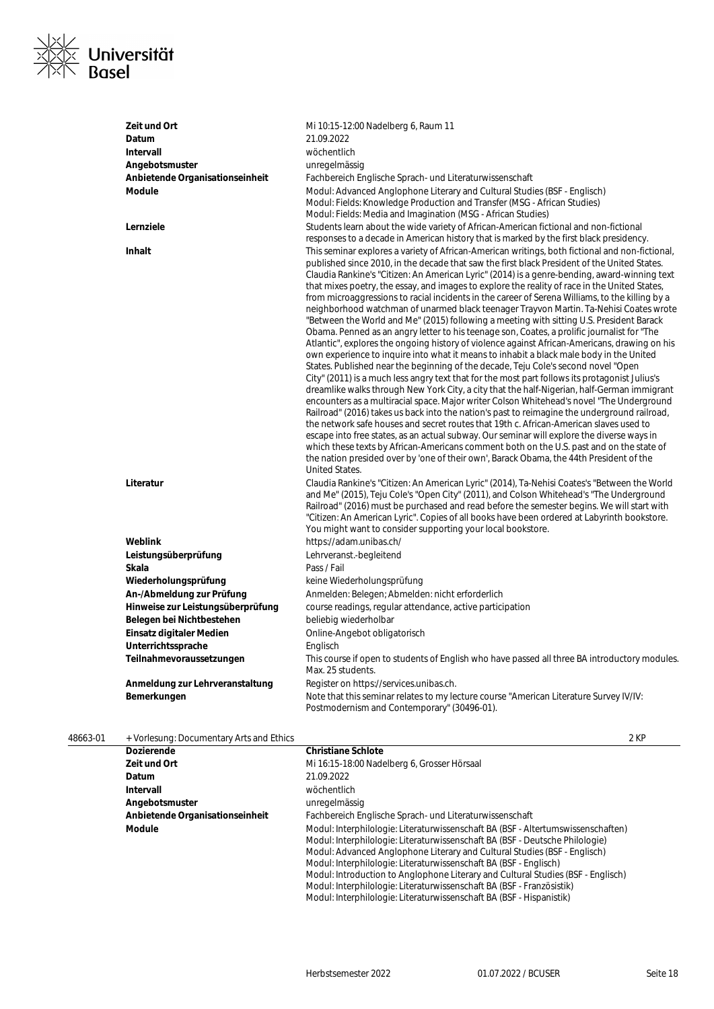

| Zeit und Ort                      | Mi 10:15-12:00 Nadelberg 6, Raum 11                                                                                                                                                                                                                                                                                                                                                                                                                                                                                                                                                                                                                                                                                                                                                                                                                                                                                                                                                                                                                                                                                                                                                                                                                                                                                                                                                                                                                                                                                                                                                                                                                                                                                                                                                                                                                                       |
|-----------------------------------|---------------------------------------------------------------------------------------------------------------------------------------------------------------------------------------------------------------------------------------------------------------------------------------------------------------------------------------------------------------------------------------------------------------------------------------------------------------------------------------------------------------------------------------------------------------------------------------------------------------------------------------------------------------------------------------------------------------------------------------------------------------------------------------------------------------------------------------------------------------------------------------------------------------------------------------------------------------------------------------------------------------------------------------------------------------------------------------------------------------------------------------------------------------------------------------------------------------------------------------------------------------------------------------------------------------------------------------------------------------------------------------------------------------------------------------------------------------------------------------------------------------------------------------------------------------------------------------------------------------------------------------------------------------------------------------------------------------------------------------------------------------------------------------------------------------------------------------------------------------------------|
| Datum                             | 21.09.2022                                                                                                                                                                                                                                                                                                                                                                                                                                                                                                                                                                                                                                                                                                                                                                                                                                                                                                                                                                                                                                                                                                                                                                                                                                                                                                                                                                                                                                                                                                                                                                                                                                                                                                                                                                                                                                                                |
| <b>Intervall</b>                  | wöchentlich                                                                                                                                                                                                                                                                                                                                                                                                                                                                                                                                                                                                                                                                                                                                                                                                                                                                                                                                                                                                                                                                                                                                                                                                                                                                                                                                                                                                                                                                                                                                                                                                                                                                                                                                                                                                                                                               |
| Angebotsmuster                    | unregelmässig                                                                                                                                                                                                                                                                                                                                                                                                                                                                                                                                                                                                                                                                                                                                                                                                                                                                                                                                                                                                                                                                                                                                                                                                                                                                                                                                                                                                                                                                                                                                                                                                                                                                                                                                                                                                                                                             |
| Anbietende Organisationseinheit   | Fachbereich Englische Sprach- und Literaturwissenschaft                                                                                                                                                                                                                                                                                                                                                                                                                                                                                                                                                                                                                                                                                                                                                                                                                                                                                                                                                                                                                                                                                                                                                                                                                                                                                                                                                                                                                                                                                                                                                                                                                                                                                                                                                                                                                   |
| <b>Module</b>                     | Modul: Advanced Anglophone Literary and Cultural Studies (BSF - Englisch)<br>Modul: Fields: Knowledge Production and Transfer (MSG - African Studies)<br>Modul: Fields: Media and Imagination (MSG - African Studies)                                                                                                                                                                                                                                                                                                                                                                                                                                                                                                                                                                                                                                                                                                                                                                                                                                                                                                                                                                                                                                                                                                                                                                                                                                                                                                                                                                                                                                                                                                                                                                                                                                                     |
| Lernziele                         | Students learn about the wide variety of African-American fictional and non-fictional<br>responses to a decade in American history that is marked by the first black presidency.                                                                                                                                                                                                                                                                                                                                                                                                                                                                                                                                                                                                                                                                                                                                                                                                                                                                                                                                                                                                                                                                                                                                                                                                                                                                                                                                                                                                                                                                                                                                                                                                                                                                                          |
| <b>Inhalt</b>                     | This seminar explores a variety of African-American writings, both fictional and non-fictional,<br>published since 2010, in the decade that saw the first black President of the United States.<br>Claudia Rankine's "Citizen: An American Lyric" (2014) is a genre-bending, award-winning text<br>that mixes poetry, the essay, and images to explore the reality of race in the United States,<br>from microaggressions to racial incidents in the career of Serena Williams, to the killing by a<br>neighborhood watchman of unarmed black teenager Trayvon Martin. Ta-Nehisi Coates wrote<br>"Between the World and Me" (2015) following a meeting with sitting U.S. President Barack<br>Obama. Penned as an angry letter to his teenage son, Coates, a prolific journalist for "The<br>Atlantic", explores the ongoing history of violence against African-Americans, drawing on his<br>own experience to inquire into what it means to inhabit a black male body in the United<br>States. Published near the beginning of the decade, Teju Cole's second novel "Open<br>City" (2011) is a much less angry text that for the most part follows its protagonist Julius's<br>dreamlike walks through New York City, a city that the half-Nigerian, half-German immigrant<br>encounters as a multiracial space. Major writer Colson Whitehead's novel "The Underground<br>Railroad" (2016) takes us back into the nation's past to reimagine the underground railroad,<br>the network safe houses and secret routes that 19th c. African-American slaves used to<br>escape into free states, as an actual subway. Our seminar will explore the diverse ways in<br>which these texts by African-Americans comment both on the U.S. past and on the state of<br>the nation presided over by 'one of their own', Barack Obama, the 44th President of the<br>United States. |
| Literatur                         | Claudia Rankine's "Citizen: An American Lyric" (2014), Ta-Nehisi Coates's "Between the World<br>and Me" (2015), Teju Cole's "Open City" (2011), and Colson Whitehead's "The Underground<br>Railroad" (2016) must be purchased and read before the semester begins. We will start with<br>"Citizen: An American Lyric". Copies of all books have been ordered at Labyrinth bookstore.<br>You might want to consider supporting your local bookstore.                                                                                                                                                                                                                                                                                                                                                                                                                                                                                                                                                                                                                                                                                                                                                                                                                                                                                                                                                                                                                                                                                                                                                                                                                                                                                                                                                                                                                       |
| Weblink                           | https://adam.unibas.ch/                                                                                                                                                                                                                                                                                                                                                                                                                                                                                                                                                                                                                                                                                                                                                                                                                                                                                                                                                                                                                                                                                                                                                                                                                                                                                                                                                                                                                                                                                                                                                                                                                                                                                                                                                                                                                                                   |
| Leistungsüberprüfung              | Lehrveranst.-begleitend                                                                                                                                                                                                                                                                                                                                                                                                                                                                                                                                                                                                                                                                                                                                                                                                                                                                                                                                                                                                                                                                                                                                                                                                                                                                                                                                                                                                                                                                                                                                                                                                                                                                                                                                                                                                                                                   |
| Skala                             | Pass / Fail                                                                                                                                                                                                                                                                                                                                                                                                                                                                                                                                                                                                                                                                                                                                                                                                                                                                                                                                                                                                                                                                                                                                                                                                                                                                                                                                                                                                                                                                                                                                                                                                                                                                                                                                                                                                                                                               |
| Wiederholungsprüfung              | keine Wiederholungsprüfung                                                                                                                                                                                                                                                                                                                                                                                                                                                                                                                                                                                                                                                                                                                                                                                                                                                                                                                                                                                                                                                                                                                                                                                                                                                                                                                                                                                                                                                                                                                                                                                                                                                                                                                                                                                                                                                |
| An-/Abmeldung zur Prüfung         | Anmelden: Belegen; Abmelden: nicht erforderlich                                                                                                                                                                                                                                                                                                                                                                                                                                                                                                                                                                                                                                                                                                                                                                                                                                                                                                                                                                                                                                                                                                                                                                                                                                                                                                                                                                                                                                                                                                                                                                                                                                                                                                                                                                                                                           |
| Hinweise zur Leistungsüberprüfung | course readings, regular attendance, active participation                                                                                                                                                                                                                                                                                                                                                                                                                                                                                                                                                                                                                                                                                                                                                                                                                                                                                                                                                                                                                                                                                                                                                                                                                                                                                                                                                                                                                                                                                                                                                                                                                                                                                                                                                                                                                 |
| Belegen bei Nichtbestehen         | beliebig wiederholbar                                                                                                                                                                                                                                                                                                                                                                                                                                                                                                                                                                                                                                                                                                                                                                                                                                                                                                                                                                                                                                                                                                                                                                                                                                                                                                                                                                                                                                                                                                                                                                                                                                                                                                                                                                                                                                                     |
| Einsatz digitaler Medien          | Online-Angebot obligatorisch                                                                                                                                                                                                                                                                                                                                                                                                                                                                                                                                                                                                                                                                                                                                                                                                                                                                                                                                                                                                                                                                                                                                                                                                                                                                                                                                                                                                                                                                                                                                                                                                                                                                                                                                                                                                                                              |
| Unterrichtssprache                | Englisch                                                                                                                                                                                                                                                                                                                                                                                                                                                                                                                                                                                                                                                                                                                                                                                                                                                                                                                                                                                                                                                                                                                                                                                                                                                                                                                                                                                                                                                                                                                                                                                                                                                                                                                                                                                                                                                                  |
| Teilnahmevoraussetzungen          | This course if open to students of English who have passed all three BA introductory modules.<br>Max. 25 students.                                                                                                                                                                                                                                                                                                                                                                                                                                                                                                                                                                                                                                                                                                                                                                                                                                                                                                                                                                                                                                                                                                                                                                                                                                                                                                                                                                                                                                                                                                                                                                                                                                                                                                                                                        |
| Anmeldung zur Lehrveranstaltung   | Register on https://services.unibas.ch.                                                                                                                                                                                                                                                                                                                                                                                                                                                                                                                                                                                                                                                                                                                                                                                                                                                                                                                                                                                                                                                                                                                                                                                                                                                                                                                                                                                                                                                                                                                                                                                                                                                                                                                                                                                                                                   |
| Bemerkungen                       | Note that this seminar relates to my lecture course "American Literature Survey IV/IV:<br>Postmodernism and Contemporary" (30496-01).                                                                                                                                                                                                                                                                                                                                                                                                                                                                                                                                                                                                                                                                                                                                                                                                                                                                                                                                                                                                                                                                                                                                                                                                                                                                                                                                                                                                                                                                                                                                                                                                                                                                                                                                     |

48663-01 + Vorlesung: Documentary Arts and Ethics 2 KP

| <b>Dozierende</b>               | <b>Christiane Schlote</b>                                                                                                                                                                                                                                                                                                                                                                                                                                                                                                                               |
|---------------------------------|---------------------------------------------------------------------------------------------------------------------------------------------------------------------------------------------------------------------------------------------------------------------------------------------------------------------------------------------------------------------------------------------------------------------------------------------------------------------------------------------------------------------------------------------------------|
| Zeit und Ort                    | Mi 16:15-18:00 Nadelberg 6, Grosser Hörsaal                                                                                                                                                                                                                                                                                                                                                                                                                                                                                                             |
| Datum                           | 21.09.2022                                                                                                                                                                                                                                                                                                                                                                                                                                                                                                                                              |
| Intervall                       | wöchentlich                                                                                                                                                                                                                                                                                                                                                                                                                                                                                                                                             |
| Angebotsmuster                  | unregelmässig                                                                                                                                                                                                                                                                                                                                                                                                                                                                                                                                           |
| Anbietende Organisationseinheit | Fachbereich Englische Sprach- und Literaturwissenschaft                                                                                                                                                                                                                                                                                                                                                                                                                                                                                                 |
| Module                          | Modul: Interphilologie: Literaturwissenschaft BA (BSF - Altertumswissenschaften)<br>Modul: Interphilologie: Literaturwissenschaft BA (BSF - Deutsche Philologie)<br>Modul: Advanced Anglophone Literary and Cultural Studies (BSF - Englisch)<br>Modul: Interphilologie: Literaturwissenschaft BA (BSF - Englisch)<br>Modul: Introduction to Anglophone Literary and Cultural Studies (BSF - Englisch)<br>Modul: Interphilologie: Literaturwissenschaft BA (BSF - Französistik)<br>Modul: Interphilologie: Literaturwissenschaft BA (BSF - Hispanistik) |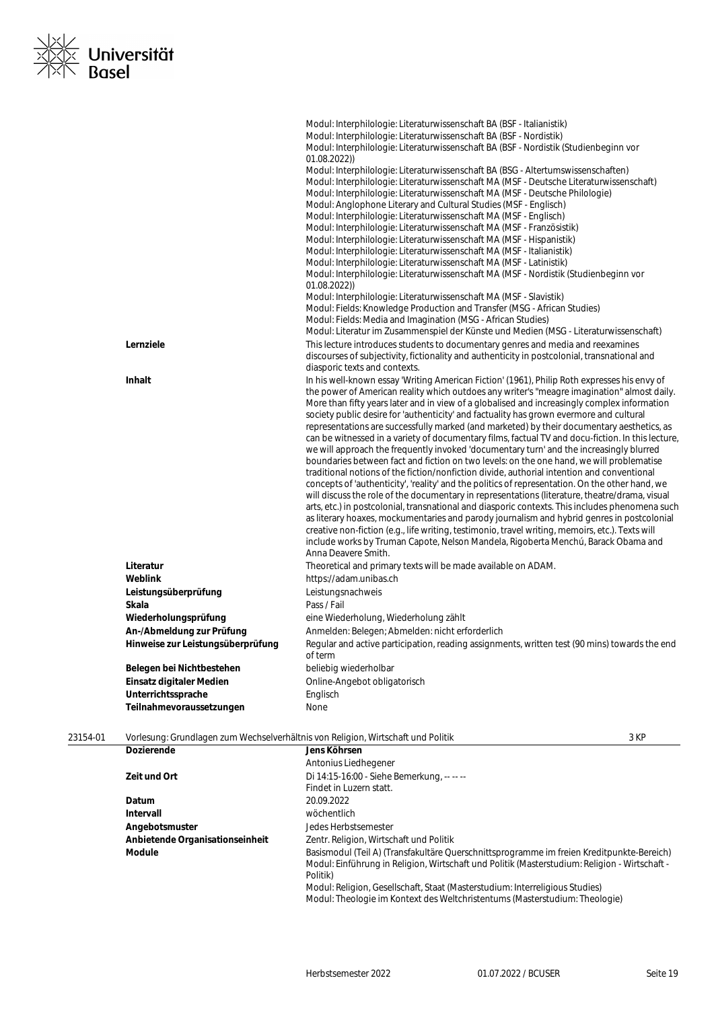

|                                   | Modul: Interphilologie: Literaturwissenschaft BA (BSF - Italianistik)<br>Modul: Interphilologie: Literaturwissenschaft BA (BSF - Nordistik)<br>Modul: Interphilologie: Literaturwissenschaft BA (BSF - Nordistik (Studienbeginn vor                                                                                                                                                                                                                                                                                                                                                                                                                                                                                                                                                                                                                                                                                                                                                                                                                                                                                                                                                                                                                                                                                                                                                                                                                                                                   |
|-----------------------------------|-------------------------------------------------------------------------------------------------------------------------------------------------------------------------------------------------------------------------------------------------------------------------------------------------------------------------------------------------------------------------------------------------------------------------------------------------------------------------------------------------------------------------------------------------------------------------------------------------------------------------------------------------------------------------------------------------------------------------------------------------------------------------------------------------------------------------------------------------------------------------------------------------------------------------------------------------------------------------------------------------------------------------------------------------------------------------------------------------------------------------------------------------------------------------------------------------------------------------------------------------------------------------------------------------------------------------------------------------------------------------------------------------------------------------------------------------------------------------------------------------------|
|                                   | 01.08.2022)<br>Modul: Interphilologie: Literaturwissenschaft BA (BSG - Altertumswissenschaften)<br>Modul: Interphilologie: Literaturwissenschaft MA (MSF - Deutsche Literaturwissenschaft)<br>Modul: Interphilologie: Literaturwissenschaft MA (MSF - Deutsche Philologie)<br>Modul: Anglophone Literary and Cultural Studies (MSF - Englisch)<br>Modul: Interphilologie: Literaturwissenschaft MA (MSF - Englisch)<br>Modul: Interphilologie: Literaturwissenschaft MA (MSF - Französistik)<br>Modul: Interphilologie: Literaturwissenschaft MA (MSF - Hispanistik)<br>Modul: Interphilologie: Literaturwissenschaft MA (MSF - Italianistik)<br>Modul: Interphilologie: Literaturwissenschaft MA (MSF - Latinistik)<br>Modul: Interphilologie: Literaturwissenschaft MA (MSF - Nordistik (Studienbeginn vor<br>01.08.2022)<br>Modul: Interphilologie: Literaturwissenschaft MA (MSF - Slavistik)<br>Modul: Fields: Knowledge Production and Transfer (MSG - African Studies)                                                                                                                                                                                                                                                                                                                                                                                                                                                                                                                         |
|                                   | Modul: Fields: Media and Imagination (MSG - African Studies)<br>Modul: Literatur im Zusammenspiel der Künste und Medien (MSG - Literaturwissenschaft)                                                                                                                                                                                                                                                                                                                                                                                                                                                                                                                                                                                                                                                                                                                                                                                                                                                                                                                                                                                                                                                                                                                                                                                                                                                                                                                                                 |
| Lernziele                         | This lecture introduces students to documentary genres and media and reexamines<br>discourses of subjectivity, fictionality and authenticity in postcolonial, transnational and<br>diasporic texts and contexts.                                                                                                                                                                                                                                                                                                                                                                                                                                                                                                                                                                                                                                                                                                                                                                                                                                                                                                                                                                                                                                                                                                                                                                                                                                                                                      |
| <b>Inhalt</b>                     | In his well-known essay 'Writing American Fiction' (1961), Philip Roth expresses his envy of<br>the power of American reality which outdoes any writer's "meagre imagination" almost daily.<br>More than fifty years later and in view of a globalised and increasingly complex information<br>society public desire for 'authenticity' and factuality has grown evermore and cultural<br>representations are successfully marked (and marketed) by their documentary aesthetics, as<br>can be witnessed in a variety of documentary films, factual TV and docu-fiction. In this lecture,<br>we will approach the frequently invoked 'documentary turn' and the increasingly blurred<br>boundaries between fact and fiction on two levels: on the one hand, we will problematise<br>traditional notions of the fiction/nonfiction divide, authorial intention and conventional<br>concepts of 'authenticity', 'reality' and the politics of representation. On the other hand, we<br>will discuss the role of the documentary in representations (literature, theatre/drama, visual<br>arts, etc.) in postcolonial, transnational and diasporic contexts. This includes phenomena such<br>as literary hoaxes, mockumentaries and parody journalism and hybrid genres in postcolonial<br>creative non-fiction (e.g., life writing, testimonio, travel writing, memoirs, etc.). Texts will<br>include works by Truman Capote, Nelson Mandela, Rigoberta Menchú, Barack Obama and<br>Anna Deavere Smith. |
| Literatur                         | Theoretical and primary texts will be made available on ADAM.                                                                                                                                                                                                                                                                                                                                                                                                                                                                                                                                                                                                                                                                                                                                                                                                                                                                                                                                                                                                                                                                                                                                                                                                                                                                                                                                                                                                                                         |
| Weblink                           | https://adam.unibas.ch                                                                                                                                                                                                                                                                                                                                                                                                                                                                                                                                                                                                                                                                                                                                                                                                                                                                                                                                                                                                                                                                                                                                                                                                                                                                                                                                                                                                                                                                                |
| Leistungsüberprüfung              | Leistungsnachweis                                                                                                                                                                                                                                                                                                                                                                                                                                                                                                                                                                                                                                                                                                                                                                                                                                                                                                                                                                                                                                                                                                                                                                                                                                                                                                                                                                                                                                                                                     |
| Skala                             | Pass / Fail                                                                                                                                                                                                                                                                                                                                                                                                                                                                                                                                                                                                                                                                                                                                                                                                                                                                                                                                                                                                                                                                                                                                                                                                                                                                                                                                                                                                                                                                                           |
| Wiederholungsprüfung              | eine Wiederholung, Wiederholung zählt                                                                                                                                                                                                                                                                                                                                                                                                                                                                                                                                                                                                                                                                                                                                                                                                                                                                                                                                                                                                                                                                                                                                                                                                                                                                                                                                                                                                                                                                 |
| An-/Abmeldung zur Prüfung         | Anmelden: Belegen; Abmelden: nicht erforderlich                                                                                                                                                                                                                                                                                                                                                                                                                                                                                                                                                                                                                                                                                                                                                                                                                                                                                                                                                                                                                                                                                                                                                                                                                                                                                                                                                                                                                                                       |
| Hinweise zur Leistungsüberprüfung | Regular and active participation, reading assignments, written test (90 mins) towards the end<br>of term                                                                                                                                                                                                                                                                                                                                                                                                                                                                                                                                                                                                                                                                                                                                                                                                                                                                                                                                                                                                                                                                                                                                                                                                                                                                                                                                                                                              |
| Belegen bei Nichtbestehen         | beliebig wiederholbar                                                                                                                                                                                                                                                                                                                                                                                                                                                                                                                                                                                                                                                                                                                                                                                                                                                                                                                                                                                                                                                                                                                                                                                                                                                                                                                                                                                                                                                                                 |
| Einsatz digitaler Medien          | Online-Angebot obligatorisch                                                                                                                                                                                                                                                                                                                                                                                                                                                                                                                                                                                                                                                                                                                                                                                                                                                                                                                                                                                                                                                                                                                                                                                                                                                                                                                                                                                                                                                                          |
| Unterrichtssprache                | Englisch                                                                                                                                                                                                                                                                                                                                                                                                                                                                                                                                                                                                                                                                                                                                                                                                                                                                                                                                                                                                                                                                                                                                                                                                                                                                                                                                                                                                                                                                                              |
| Teilnahmevoraussetzungen          | None                                                                                                                                                                                                                                                                                                                                                                                                                                                                                                                                                                                                                                                                                                                                                                                                                                                                                                                                                                                                                                                                                                                                                                                                                                                                                                                                                                                                                                                                                                  |

| 23154-01 | Vorlesung: Grundlagen zum Wechselverhältnis von Religion, Wirtschaft und Politik |                                                                                                                                                                                                        | 3 KP |
|----------|----------------------------------------------------------------------------------|--------------------------------------------------------------------------------------------------------------------------------------------------------------------------------------------------------|------|
|          | <b>Dozierende</b>                                                                | Jens Köhrsen                                                                                                                                                                                           |      |
|          |                                                                                  | Antonius Liedhegener                                                                                                                                                                                   |      |
|          | Zeit und Ort                                                                     | Di 14:15-16:00 - Siehe Bemerkung, -- -- --                                                                                                                                                             |      |
|          |                                                                                  | Findet in Luzern statt.                                                                                                                                                                                |      |
|          | Datum                                                                            | 20.09.2022                                                                                                                                                                                             |      |
|          | Intervall                                                                        | wöchentlich                                                                                                                                                                                            |      |
|          | Angebotsmuster                                                                   | Jedes Herbstsemester                                                                                                                                                                                   |      |
|          | Anbietende Organisationseinheit                                                  | Zentr. Religion, Wirtschaft und Politik                                                                                                                                                                |      |
|          | <b>Module</b>                                                                    | Basismodul (Teil A) (Transfakultäre Querschnittsprogramme im freien Kreditpunkte-Bereich)<br>Modul: Einführung in Religion, Wirtschaft und Politik (Masterstudium: Religion - Wirtschaft -<br>Politik) |      |
|          |                                                                                  | Modul: Religion, Gesellschaft, Staat (Masterstudium: Interreligious Studies)<br>Modul: Theologie im Kontext des Weltchristentums (Masterstudium: Theologie)                                            |      |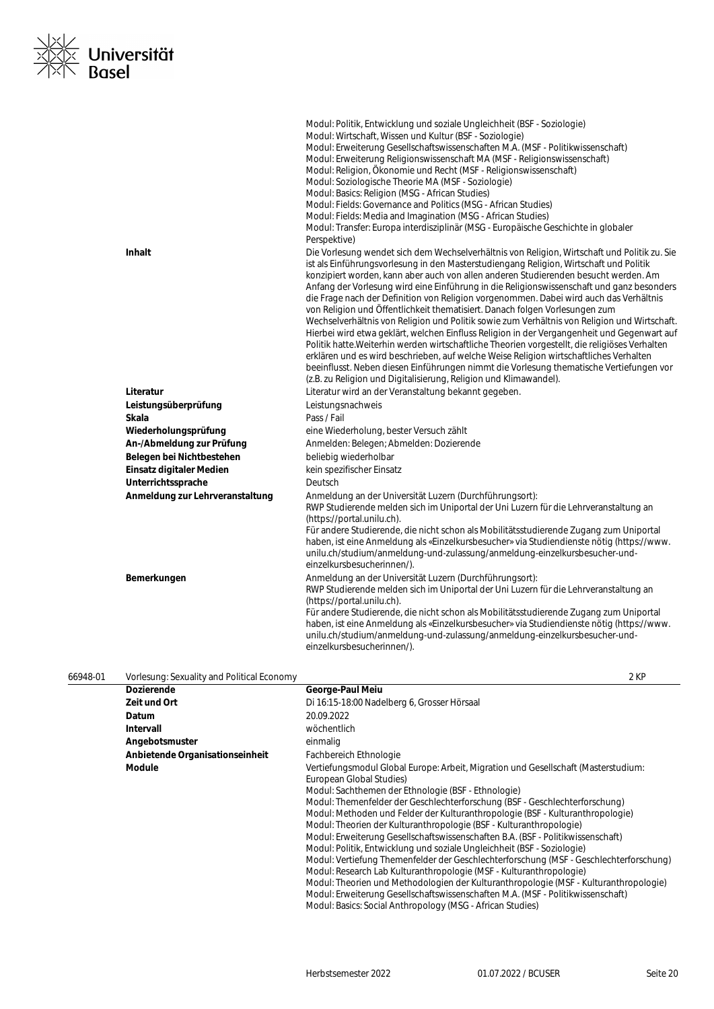

|                                 | Modul: Politik, Entwicklung und soziale Ungleichheit (BSF - Soziologie)<br>Modul: Wirtschaft, Wissen und Kultur (BSF - Soziologie)<br>Modul: Erweiterung Gesellschaftswissenschaften M.A. (MSF - Politikwissenschaft)<br>Modul: Erweiterung Religionswissenschaft MA (MSF - Religionswissenschaft)<br>Modul: Religion, Ökonomie und Recht (MSF - Religionswissenschaft)<br>Modul: Soziologische Theorie MA (MSF - Soziologie)<br>Modul: Basics: Religion (MSG - African Studies)<br>Modul: Fields: Governance and Politics (MSG - African Studies)<br>Modul: Fields: Media and Imagination (MSG - African Studies)<br>Modul: Transfer: Europa interdisziplinär (MSG - Europäische Geschichte in globaler                                                                                                                                                                                                                                                                                                                                                                                                                       |
|---------------------------------|--------------------------------------------------------------------------------------------------------------------------------------------------------------------------------------------------------------------------------------------------------------------------------------------------------------------------------------------------------------------------------------------------------------------------------------------------------------------------------------------------------------------------------------------------------------------------------------------------------------------------------------------------------------------------------------------------------------------------------------------------------------------------------------------------------------------------------------------------------------------------------------------------------------------------------------------------------------------------------------------------------------------------------------------------------------------------------------------------------------------------------|
| Inhalt                          | Perspektive)<br>Die Vorlesung wendet sich dem Wechselverhältnis von Religion, Wirtschaft und Politik zu. Sie<br>ist als Einführungsvorlesung in den Masterstudiengang Religion, Wirtschaft und Politik<br>konzipiert worden, kann aber auch von allen anderen Studierenden besucht werden. Am<br>Anfang der Vorlesung wird eine Einführung in die Religionswissenschaft und ganz besonders<br>die Frage nach der Definition von Religion vorgenommen. Dabei wird auch das Verhältnis<br>von Religion und Öffentlichkeit thematisiert. Danach folgen Vorlesungen zum<br>Wechselverhältnis von Religion und Politik sowie zum Verhältnis von Religion und Wirtschaft.<br>Hierbei wird etwa geklärt, welchen Einfluss Religion in der Vergangenheit und Gegenwart auf<br>Politik hatte. Weiterhin werden wirtschaftliche Theorien vorgestellt, die religiöses Verhalten<br>erklären und es wird beschrieben, auf welche Weise Religion wirtschaftliches Verhalten<br>beeinflusst. Neben diesen Einführungen nimmt die Vorlesung thematische Vertiefungen vor<br>(z.B. zu Religion und Digitalisierung, Religion und Klimawandel). |
| Literatur                       | Literatur wird an der Veranstaltung bekannt gegeben.                                                                                                                                                                                                                                                                                                                                                                                                                                                                                                                                                                                                                                                                                                                                                                                                                                                                                                                                                                                                                                                                           |
| Leistungsüberprüfung            | Leistungsnachweis                                                                                                                                                                                                                                                                                                                                                                                                                                                                                                                                                                                                                                                                                                                                                                                                                                                                                                                                                                                                                                                                                                              |
| Skala                           | Pass / Fail                                                                                                                                                                                                                                                                                                                                                                                                                                                                                                                                                                                                                                                                                                                                                                                                                                                                                                                                                                                                                                                                                                                    |
| Wiederholungsprüfung            | eine Wiederholung, bester Versuch zählt                                                                                                                                                                                                                                                                                                                                                                                                                                                                                                                                                                                                                                                                                                                                                                                                                                                                                                                                                                                                                                                                                        |
| An-/Abmeldung zur Prüfung       | Anmelden: Belegen; Abmelden: Dozierende                                                                                                                                                                                                                                                                                                                                                                                                                                                                                                                                                                                                                                                                                                                                                                                                                                                                                                                                                                                                                                                                                        |
| Belegen bei Nichtbestehen       | beliebig wiederholbar                                                                                                                                                                                                                                                                                                                                                                                                                                                                                                                                                                                                                                                                                                                                                                                                                                                                                                                                                                                                                                                                                                          |
| Einsatz digitaler Medien        | kein spezifischer Einsatz                                                                                                                                                                                                                                                                                                                                                                                                                                                                                                                                                                                                                                                                                                                                                                                                                                                                                                                                                                                                                                                                                                      |
| Unterrichtssprache              | Deutsch                                                                                                                                                                                                                                                                                                                                                                                                                                                                                                                                                                                                                                                                                                                                                                                                                                                                                                                                                                                                                                                                                                                        |
| Anmeldung zur Lehrveranstaltung | Anmeldung an der Universität Luzern (Durchführungsort):<br>RWP Studierende melden sich im Uniportal der Uni Luzern für die Lehrveranstaltung an<br>(https://portal.unilu.ch).<br>Für andere Studierende, die nicht schon als Mobilitätsstudierende Zugang zum Uniportal<br>haben, ist eine Anmeldung als «Einzelkursbesucher» via Studiendienste nötig (https://www.<br>unilu.ch/studium/anmeldung-und-zulassung/anmeldung-einzelkursbesucher-und-<br>einzelkursbesucherinnen/).                                                                                                                                                                                                                                                                                                                                                                                                                                                                                                                                                                                                                                               |
| Bemerkungen                     | Anmeldung an der Universität Luzern (Durchführungsort):<br>RWP Studierende melden sich im Uniportal der Uni Luzern für die Lehrveranstaltung an<br>(https://portal.unilu.ch).<br>Für andere Studierende, die nicht schon als Mobilitätsstudierende Zugang zum Uniportal<br>haben, ist eine Anmeldung als «Einzelkursbesucher» via Studiendienste nötig (https://www.<br>unilu.ch/studium/anmeldung-und-zulassung/anmeldung-einzelkursbesucher-und-<br>einzelkursbesucherinnen/).                                                                                                                                                                                                                                                                                                                                                                                                                                                                                                                                                                                                                                               |

| 66948-01 | Vorlesung: Sexuality and Political Economy | 2 KP                                                                                                                                                                                                                                                                                                                                                                                                                                                                                                                                                                                                                                                                                                                                                                                                                                                                                                                                                                                   |
|----------|--------------------------------------------|----------------------------------------------------------------------------------------------------------------------------------------------------------------------------------------------------------------------------------------------------------------------------------------------------------------------------------------------------------------------------------------------------------------------------------------------------------------------------------------------------------------------------------------------------------------------------------------------------------------------------------------------------------------------------------------------------------------------------------------------------------------------------------------------------------------------------------------------------------------------------------------------------------------------------------------------------------------------------------------|
|          | <b>Dozierende</b>                          | George-Paul Meiu                                                                                                                                                                                                                                                                                                                                                                                                                                                                                                                                                                                                                                                                                                                                                                                                                                                                                                                                                                       |
|          | Zeit und Ort                               | Di 16:15-18:00 Nadelberg 6, Grosser Hörsaal                                                                                                                                                                                                                                                                                                                                                                                                                                                                                                                                                                                                                                                                                                                                                                                                                                                                                                                                            |
|          | Datum                                      | 20.09.2022                                                                                                                                                                                                                                                                                                                                                                                                                                                                                                                                                                                                                                                                                                                                                                                                                                                                                                                                                                             |
|          | Intervall                                  | wöchentlich                                                                                                                                                                                                                                                                                                                                                                                                                                                                                                                                                                                                                                                                                                                                                                                                                                                                                                                                                                            |
|          | Angebotsmuster                             | einmalig                                                                                                                                                                                                                                                                                                                                                                                                                                                                                                                                                                                                                                                                                                                                                                                                                                                                                                                                                                               |
|          | Anbietende Organisationseinheit            | Fachbereich Ethnologie                                                                                                                                                                                                                                                                                                                                                                                                                                                                                                                                                                                                                                                                                                                                                                                                                                                                                                                                                                 |
|          | Module                                     | Vertiefungsmodul Global Europe: Arbeit, Migration und Gesellschaft (Masterstudium:<br>European Global Studies)<br>Modul: Sachthemen der Ethnologie (BSF - Ethnologie)<br>Modul: Themenfelder der Geschlechterforschung (BSF - Geschlechterforschung)<br>Modul: Methoden und Felder der Kulturanthropologie (BSF - Kulturanthropologie)<br>Modul: Theorien der Kulturanthropologie (BSF - Kulturanthropologie)<br>Modul: Erweiterung Gesellschaftswissenschaften B.A. (BSF - Politikwissenschaft)<br>Modul: Politik, Entwicklung und soziale Ungleichheit (BSF - Soziologie)<br>Modul: Vertiefung Themenfelder der Geschlechterforschung (MSF - Geschlechterforschung)<br>Modul: Research Lab Kulturanthropologie (MSF - Kulturanthropologie)<br>Modul: Theorien und Methodologien der Kulturanthropologie (MSF - Kulturanthropologie)<br>Modul: Erweiterung Gesellschaftswissenschaften M.A. (MSF - Politikwissenschaft)<br>Modul: Basics: Social Anthropology (MSG - African Studies) |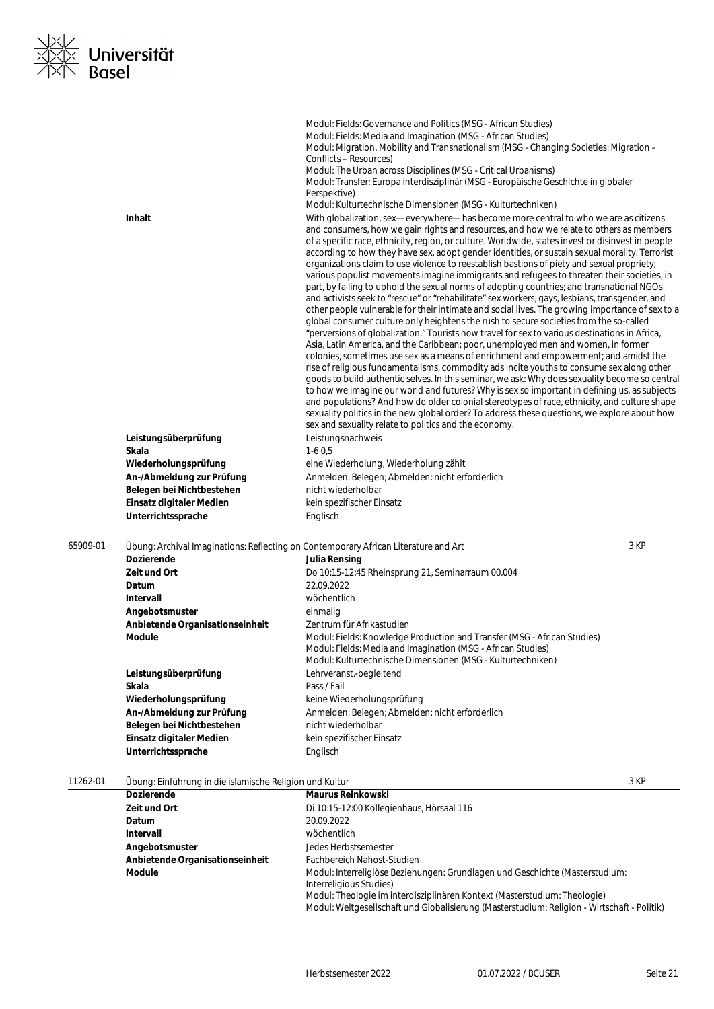

|          |                                       | Modul: Fields: Governance and Politics (MSG - African Studies)                                                                                                                                                                                                                                                                                                                                                                                                                                                                                                                                                                                                                                                                                                                                                                                                                                                                                                                                                                                                                                                                                                                                                                                                                                                                                                                                                                                                                                                                                                                                                                                                                                                                                                                                                                              |
|----------|---------------------------------------|---------------------------------------------------------------------------------------------------------------------------------------------------------------------------------------------------------------------------------------------------------------------------------------------------------------------------------------------------------------------------------------------------------------------------------------------------------------------------------------------------------------------------------------------------------------------------------------------------------------------------------------------------------------------------------------------------------------------------------------------------------------------------------------------------------------------------------------------------------------------------------------------------------------------------------------------------------------------------------------------------------------------------------------------------------------------------------------------------------------------------------------------------------------------------------------------------------------------------------------------------------------------------------------------------------------------------------------------------------------------------------------------------------------------------------------------------------------------------------------------------------------------------------------------------------------------------------------------------------------------------------------------------------------------------------------------------------------------------------------------------------------------------------------------------------------------------------------------|
|          |                                       | Modul: Fields: Media and Imagination (MSG - African Studies)                                                                                                                                                                                                                                                                                                                                                                                                                                                                                                                                                                                                                                                                                                                                                                                                                                                                                                                                                                                                                                                                                                                                                                                                                                                                                                                                                                                                                                                                                                                                                                                                                                                                                                                                                                                |
|          |                                       | Modul: Migration, Mobility and Transnationalism (MSG - Changing Societies: Migration -<br>Conflicts - Resources)                                                                                                                                                                                                                                                                                                                                                                                                                                                                                                                                                                                                                                                                                                                                                                                                                                                                                                                                                                                                                                                                                                                                                                                                                                                                                                                                                                                                                                                                                                                                                                                                                                                                                                                            |
|          |                                       | Modul: The Urban across Disciplines (MSG - Critical Urbanisms)                                                                                                                                                                                                                                                                                                                                                                                                                                                                                                                                                                                                                                                                                                                                                                                                                                                                                                                                                                                                                                                                                                                                                                                                                                                                                                                                                                                                                                                                                                                                                                                                                                                                                                                                                                              |
|          |                                       | Modul: Transfer: Europa interdisziplinär (MSG - Europäische Geschichte in globaler                                                                                                                                                                                                                                                                                                                                                                                                                                                                                                                                                                                                                                                                                                                                                                                                                                                                                                                                                                                                                                                                                                                                                                                                                                                                                                                                                                                                                                                                                                                                                                                                                                                                                                                                                          |
|          |                                       | Perspektive)                                                                                                                                                                                                                                                                                                                                                                                                                                                                                                                                                                                                                                                                                                                                                                                                                                                                                                                                                                                                                                                                                                                                                                                                                                                                                                                                                                                                                                                                                                                                                                                                                                                                                                                                                                                                                                |
|          |                                       | Modul: Kulturtechnische Dimensionen (MSG - Kulturtechniken)                                                                                                                                                                                                                                                                                                                                                                                                                                                                                                                                                                                                                                                                                                                                                                                                                                                                                                                                                                                                                                                                                                                                                                                                                                                                                                                                                                                                                                                                                                                                                                                                                                                                                                                                                                                 |
|          | <b>Inhalt</b><br>Leistungsüberprüfung | With globalization, sex—everywhere—has become more central to who we are as citizens<br>and consumers, how we gain rights and resources, and how we relate to others as members<br>of a specific race, ethnicity, region, or culture. Worldwide, states invest or disinvest in people<br>according to how they have sex, adopt gender identities, or sustain sexual morality. Terrorist<br>organizations claim to use violence to reestablish bastions of piety and sexual propriety;<br>various populist movements imagine immigrants and refugees to threaten their societies, in<br>part, by failing to uphold the sexual norms of adopting countries; and transnational NGOs<br>and activists seek to "rescue" or "rehabilitate" sex workers, gays, lesbians, transgender, and<br>other people vulnerable for their intimate and social lives. The growing importance of sex to a<br>global consumer culture only heightens the rush to secure societies from the so-called<br>"perversions of globalization." Tourists now travel for sex to various destinations in Africa,<br>Asia, Latin America, and the Caribbean; poor, unemployed men and women, in former<br>colonies, sometimes use sex as a means of enrichment and empowerment; and amidst the<br>rise of religious fundamentalisms, commodity ads incite youths to consume sex along other<br>goods to build authentic selves. In this seminar, we ask: Why does sexuality become so central<br>to how we imagine our world and futures? Why is sex so important in defining us, as subjects<br>and populations? And how do older colonial stereotypes of race, ethnicity, and culture shape<br>sexuality politics in the new global order? To address these questions, we explore about how<br>sex and sexuality relate to politics and the economy.<br>Leistungsnachweis |
|          | Skala                                 | $1-60,5$                                                                                                                                                                                                                                                                                                                                                                                                                                                                                                                                                                                                                                                                                                                                                                                                                                                                                                                                                                                                                                                                                                                                                                                                                                                                                                                                                                                                                                                                                                                                                                                                                                                                                                                                                                                                                                    |
|          | Wiederholungsprüfung                  | eine Wiederholung, Wiederholung zählt                                                                                                                                                                                                                                                                                                                                                                                                                                                                                                                                                                                                                                                                                                                                                                                                                                                                                                                                                                                                                                                                                                                                                                                                                                                                                                                                                                                                                                                                                                                                                                                                                                                                                                                                                                                                       |
|          | An-/Abmeldung zur Prüfung             | Anmelden: Belegen; Abmelden: nicht erforderlich                                                                                                                                                                                                                                                                                                                                                                                                                                                                                                                                                                                                                                                                                                                                                                                                                                                                                                                                                                                                                                                                                                                                                                                                                                                                                                                                                                                                                                                                                                                                                                                                                                                                                                                                                                                             |
|          | Belegen bei Nichtbestehen             | nicht wiederholbar                                                                                                                                                                                                                                                                                                                                                                                                                                                                                                                                                                                                                                                                                                                                                                                                                                                                                                                                                                                                                                                                                                                                                                                                                                                                                                                                                                                                                                                                                                                                                                                                                                                                                                                                                                                                                          |
|          | Einsatz digitaler Medien              | kein spezifischer Einsatz                                                                                                                                                                                                                                                                                                                                                                                                                                                                                                                                                                                                                                                                                                                                                                                                                                                                                                                                                                                                                                                                                                                                                                                                                                                                                                                                                                                                                                                                                                                                                                                                                                                                                                                                                                                                                   |
|          | Unterrichtssprache                    | Englisch                                                                                                                                                                                                                                                                                                                                                                                                                                                                                                                                                                                                                                                                                                                                                                                                                                                                                                                                                                                                                                                                                                                                                                                                                                                                                                                                                                                                                                                                                                                                                                                                                                                                                                                                                                                                                                    |
| 65909-01 |                                       | 3 KP<br>Übung: Archival Imaginations: Reflecting on Contemporary African Literature and Art                                                                                                                                                                                                                                                                                                                                                                                                                                                                                                                                                                                                                                                                                                                                                                                                                                                                                                                                                                                                                                                                                                                                                                                                                                                                                                                                                                                                                                                                                                                                                                                                                                                                                                                                                 |
|          | Dozierende                            | lulia Doncina                                                                                                                                                                                                                                                                                                                                                                                                                                                                                                                                                                                                                                                                                                                                                                                                                                                                                                                                                                                                                                                                                                                                                                                                                                                                                                                                                                                                                                                                                                                                                                                                                                                                                                                                                                                                                               |

| <b>Dozierende</b>               | Julia Rensing                                                                                                                                                                                           |  |
|---------------------------------|---------------------------------------------------------------------------------------------------------------------------------------------------------------------------------------------------------|--|
| Zeit und Ort                    | Do 10:15-12:45 Rheinsprung 21, Seminarraum 00.004                                                                                                                                                       |  |
| <b>Datum</b>                    | 22.09.2022                                                                                                                                                                                              |  |
| Intervall                       | wöchentlich                                                                                                                                                                                             |  |
| Angebotsmuster                  | einmalig                                                                                                                                                                                                |  |
| Anbietende Organisationseinheit | Zentrum für Afrikastudien                                                                                                                                                                               |  |
| <b>Module</b>                   | Modul: Fields: Knowledge Production and Transfer (MSG - African Studies)<br>Modul: Fields: Media and Imagination (MSG - African Studies)<br>Modul: Kulturtechnische Dimensionen (MSG - Kulturtechniken) |  |
| Leistungsüberprüfung            | Lehrveranst.-begleitend                                                                                                                                                                                 |  |
| Skala                           | Pass / Fail                                                                                                                                                                                             |  |
| Wiederholungsprüfung            | keine Wiederholungsprüfung                                                                                                                                                                              |  |
| An-/Abmeldung zur Prüfung       | Anmelden: Belegen; Abmelden: nicht erforderlich                                                                                                                                                         |  |
| Belegen bei Nichtbestehen       | nicht wiederholbar                                                                                                                                                                                      |  |
| Einsatz digitaler Medien        | kein spezifischer Einsatz                                                                                                                                                                               |  |
| Unterrichtssprache              | Englisch                                                                                                                                                                                                |  |

# 11262-01 Übung: Einführung in die islamische Religion und Kultur 3 KP

| <u>obang, Emmannang milato islamisono nonglon ana nahal</u> |                                                                                                                                                                          |  |
|-------------------------------------------------------------|--------------------------------------------------------------------------------------------------------------------------------------------------------------------------|--|
| <b>Dozierende</b>                                           | <b>Maurus Reinkowski</b>                                                                                                                                                 |  |
| Zeit und Ort                                                | Di 10:15-12:00 Kollegienhaus, Hörsaal 116                                                                                                                                |  |
| <b>Datum</b>                                                | 20.09.2022                                                                                                                                                               |  |
| Intervall                                                   | wöchentlich                                                                                                                                                              |  |
| Angebotsmuster                                              | Jedes Herbstsemester                                                                                                                                                     |  |
| Anbietende Organisationseinheit                             | Fachbereich Nahost-Studien                                                                                                                                               |  |
| <b>Module</b>                                               | Modul: Interreligiöse Beziehungen: Grundlagen und Geschichte (Masterstudium:<br>Interreligious Studies)                                                                  |  |
|                                                             | Modul: Theologie im interdisziplinären Kontext (Masterstudium: Theologie)<br>Modul: Weltgesellschaft und Globalisierung (Masterstudium: Religion - Wirtschaft - Politik) |  |
|                                                             |                                                                                                                                                                          |  |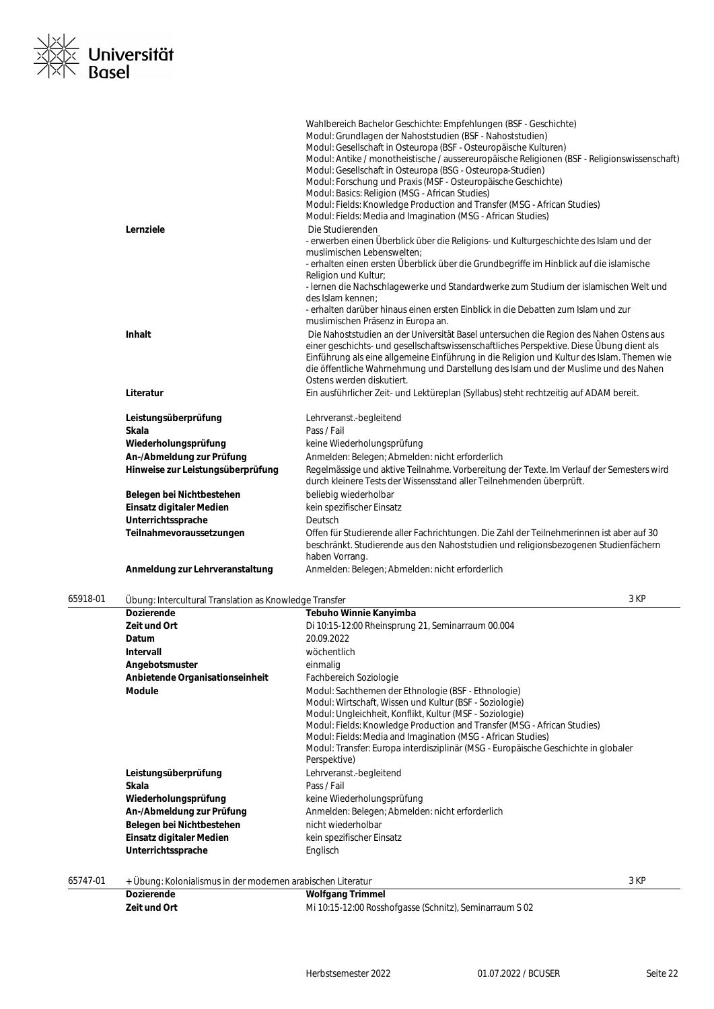

|                                   | Wahlbereich Bachelor Geschichte: Empfehlungen (BSF - Geschichte)                             |
|-----------------------------------|----------------------------------------------------------------------------------------------|
|                                   | Modul: Grundlagen der Nahoststudien (BSF - Nahoststudien)                                    |
|                                   | Modul: Gesellschaft in Osteuropa (BSF - Osteuropäische Kulturen)                             |
|                                   | Modul: Antike / monotheistische / aussereuropäische Religionen (BSF - Religionswissenschaft) |
|                                   | Modul: Gesellschaft in Osteuropa (BSG - Osteuropa-Studien)                                   |
|                                   | Modul: Forschung und Praxis (MSF - Osteuropäische Geschichte)                                |
|                                   | Modul: Basics: Religion (MSG - African Studies)                                              |
|                                   | Modul: Fields: Knowledge Production and Transfer (MSG - African Studies)                     |
|                                   | Modul: Fields: Media and Imagination (MSG - African Studies)                                 |
| Lernziele                         | Die Studierenden                                                                             |
|                                   | - erwerben einen Überblick über die Religions- und Kulturgeschichte des Islam und der        |
|                                   | muslimischen Lebenswelten:                                                                   |
|                                   | - erhalten einen ersten Überblick über die Grundbegriffe im Hinblick auf die islamische      |
|                                   | Religion und Kultur;                                                                         |
|                                   | - Iernen die Nachschlagewerke und Standardwerke zum Studium der islamischen Welt und         |
|                                   | des Islam kennen:                                                                            |
|                                   | - erhalten darüber hinaus einen ersten Einblick in die Debatten zum Islam und zur            |
|                                   | muslimischen Präsenz in Europa an.                                                           |
| Inhalt                            | Die Nahoststudien an der Universität Basel untersuchen die Region des Nahen Ostens aus       |
|                                   | einer geschichts- und gesellschaftswissenschaftliches Perspektive. Diese Übung dient als     |
|                                   | Einführung als eine allgemeine Einführung in die Religion und Kultur des Islam. Themen wie   |
|                                   | die öffentliche Wahrnehmung und Darstellung des Islam und der Muslime und des Nahen          |
|                                   | Ostens werden diskutiert.                                                                    |
| Literatur                         | Ein ausführlicher Zeit- und Lektüreplan (Syllabus) steht rechtzeitig auf ADAM bereit.        |
| Leistungsüberprüfung              | Lehrveranst.-begleitend                                                                      |
| Skala                             | Pass / Fail                                                                                  |
| Wiederholungsprüfung              | keine Wiederholungsprüfung                                                                   |
| An-/Abmeldung zur Prüfung         | Anmelden: Belegen; Abmelden: nicht erforderlich                                              |
| Hinweise zur Leistungsüberprüfung | Regelmässige und aktive Teilnahme. Vorbereitung der Texte. Im Verlauf der Semesters wird     |
|                                   | durch kleinere Tests der Wissensstand aller Teilnehmenden überprüft.                         |
| Belegen bei Nichtbestehen         | beliebig wiederholbar                                                                        |
| Einsatz digitaler Medien          | kein spezifischer Einsatz                                                                    |
| Unterrichtssprache                | Deutsch                                                                                      |
| Teilnahmevoraussetzungen          | Offen für Studierende aller Fachrichtungen. Die Zahl der Teilnehmerinnen ist aber auf 30     |
|                                   | beschränkt. Studierende aus den Nahoststudien und religionsbezogenen Studienfächern          |
|                                   | haben Vorrang.                                                                               |
| Anmeldung zur Lehrveranstaltung   | Anmelden: Belegen; Abmelden: nicht erforderlich                                              |
|                                   |                                                                                              |

| 65918-01 | Übung: Intercultural Translation as Knowledge Transfer |                                                                                    | 3 KP |
|----------|--------------------------------------------------------|------------------------------------------------------------------------------------|------|
|          | <b>Dozierende</b>                                      | Tebuho Winnie Kanyimba                                                             |      |
|          | Zeit und Ort                                           | Di 10:15-12:00 Rheinsprung 21, Seminarraum 00.004                                  |      |
|          | Datum                                                  | 20.09.2022                                                                         |      |
|          | <b>Intervall</b>                                       | wöchentlich                                                                        |      |
|          | Angebotsmuster                                         | einmalig                                                                           |      |
|          | Anbietende Organisationseinheit                        | Fachbereich Soziologie                                                             |      |
|          | <b>Module</b>                                          | Modul: Sachthemen der Ethnologie (BSF - Ethnologie)                                |      |
|          |                                                        | Modul: Wirtschaft, Wissen und Kultur (BSF - Soziologie)                            |      |
|          |                                                        | Modul: Ungleichheit, Konflikt, Kultur (MSF - Soziologie)                           |      |
|          |                                                        | Modul: Fields: Knowledge Production and Transfer (MSG - African Studies)           |      |
|          |                                                        | Modul: Fields: Media and Imagination (MSG - African Studies)                       |      |
|          |                                                        | Modul: Transfer: Europa interdisziplinär (MSG - Europäische Geschichte in globaler |      |
|          |                                                        | Perspektive)                                                                       |      |
|          | Leistungsüberprüfung                                   | Lehrveranst.-begleitend                                                            |      |
|          | Skala                                                  | Pass / Fail                                                                        |      |
|          | Wiederholungsprüfung                                   | keine Wiederholungsprüfung                                                         |      |
|          | An-/Abmeldung zur Prüfung                              | Anmelden: Belegen; Abmelden: nicht erforderlich                                    |      |
|          | Belegen bei Nichtbestehen                              | nicht wiederholbar                                                                 |      |
|          | Einsatz digitaler Medien                               | kein spezifischer Einsatz                                                          |      |
|          | Unterrichtssprache                                     | Englisch                                                                           |      |
|          |                                                        |                                                                                    |      |

65747-01 + Übung: Kolonialismus in der modernen arabischen Literatur 3 KP

| <b>Dozierende</b> | <b>Wolfgang Trimmel</b>                                 |
|-------------------|---------------------------------------------------------|
| Zeit und Ort      | Mi 10:15-12:00 Rosshofgasse (Schnitz), Seminarraum S 02 |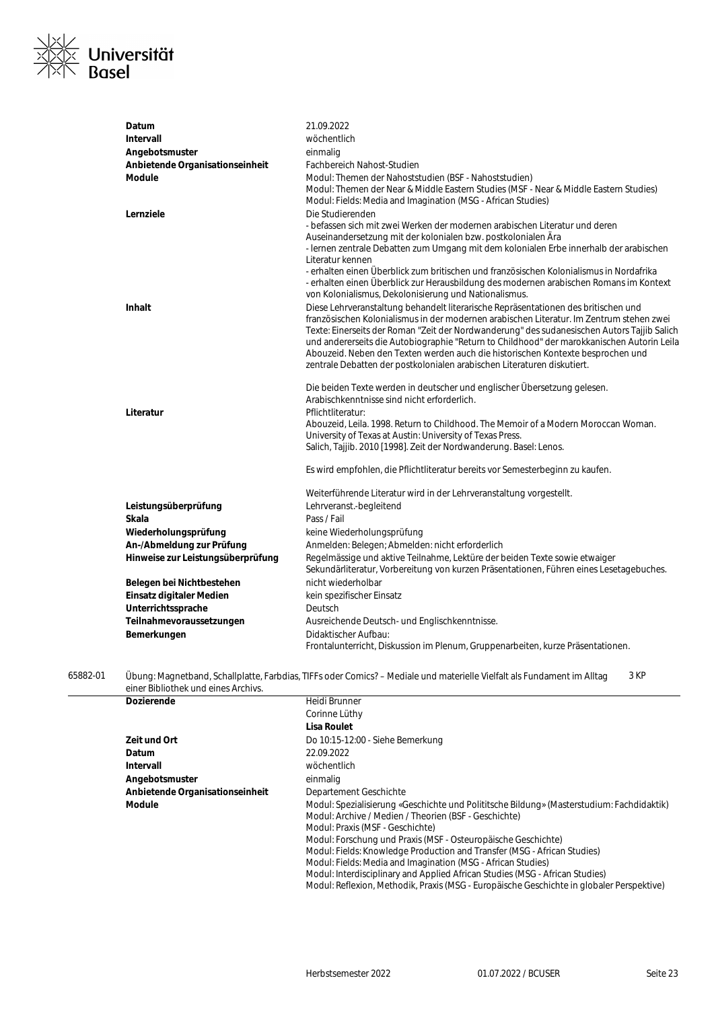

| Datum                             | 21.09.2022                                                                                                                                                                                                                                                                                                                                                                                                                                                                                                                                |
|-----------------------------------|-------------------------------------------------------------------------------------------------------------------------------------------------------------------------------------------------------------------------------------------------------------------------------------------------------------------------------------------------------------------------------------------------------------------------------------------------------------------------------------------------------------------------------------------|
| Intervall                         | wöchentlich                                                                                                                                                                                                                                                                                                                                                                                                                                                                                                                               |
| Angebotsmuster                    | einmalig                                                                                                                                                                                                                                                                                                                                                                                                                                                                                                                                  |
| Anbietende Organisationseinheit   | <b>Fachbereich Nahost-Studien</b>                                                                                                                                                                                                                                                                                                                                                                                                                                                                                                         |
| Module                            | Modul: Themen der Nahoststudien (BSF - Nahoststudien)<br>Modul: Themen der Near & Middle Eastern Studies (MSF - Near & Middle Eastern Studies)<br>Modul: Fields: Media and Imagination (MSG - African Studies)                                                                                                                                                                                                                                                                                                                            |
| Lernziele                         | Die Studierenden<br>- befassen sich mit zwei Werken der modernen arabischen Literatur und deren<br>Auseinandersetzung mit der kolonialen bzw. postkolonialen Ära<br>- Iernen zentrale Debatten zum Umgang mit dem kolonialen Erbe innerhalb der arabischen<br>Literatur kennen<br>- erhalten einen Überblick zum britischen und französischen Kolonialismus in Nordafrika<br>- erhalten einen Überblick zur Herausbildung des modernen arabischen Romans im Kontext<br>von Kolonialismus, Dekolonisierung und Nationalismus.              |
| <b>Inhalt</b>                     | Diese Lehrveranstaltung behandelt literarische Repräsentationen des britischen und<br>französischen Kolonialismus in der modernen arabischen Literatur. Im Zentrum stehen zwei<br>Texte: Einerseits der Roman "Zeit der Nordwanderung" des sudanesischen Autors Tajjib Salich<br>und andererseits die Autobiographie "Return to Childhood" der marokkanischen Autorin Leila<br>Abouzeid. Neben den Texten werden auch die historischen Kontexte besprochen und<br>zentrale Debatten der postkolonialen arabischen Literaturen diskutiert. |
| Literatur                         | Die beiden Texte werden in deutscher und englischer Übersetzung gelesen.<br>Arabischkenntnisse sind nicht erforderlich.<br>Pflichtliteratur:<br>Abouzeid, Leila. 1998. Return to Childhood. The Memoir of a Modern Moroccan Woman.<br>University of Texas at Austin: University of Texas Press.<br>Salich, Tajjib. 2010 [1998]. Zeit der Nordwanderung. Basel: Lenos.                                                                                                                                                                     |
|                                   | Es wird empfohlen, die Pflichtliteratur bereits vor Semesterbeginn zu kaufen.                                                                                                                                                                                                                                                                                                                                                                                                                                                             |
|                                   | Weiterführende Literatur wird in der Lehrveranstaltung vorgestellt.                                                                                                                                                                                                                                                                                                                                                                                                                                                                       |
| Leistungsüberprüfung              | Lehrveranst.-begleitend                                                                                                                                                                                                                                                                                                                                                                                                                                                                                                                   |
| Skala                             | Pass / Fail                                                                                                                                                                                                                                                                                                                                                                                                                                                                                                                               |
| Wiederholungsprüfung              | keine Wiederholungsprüfung                                                                                                                                                                                                                                                                                                                                                                                                                                                                                                                |
| An-/Abmeldung zur Prüfung         | Anmelden: Belegen; Abmelden: nicht erforderlich                                                                                                                                                                                                                                                                                                                                                                                                                                                                                           |
| Hinweise zur Leistungsüberprüfung | Regelmässige und aktive Teilnahme, Lektüre der beiden Texte sowie etwaiger<br>Sekundärliteratur, Vorbereitung von kurzen Präsentationen, Führen eines Lesetagebuches.                                                                                                                                                                                                                                                                                                                                                                     |
| Belegen bei Nichtbestehen         | nicht wiederholbar                                                                                                                                                                                                                                                                                                                                                                                                                                                                                                                        |
| Einsatz digitaler Medien          | kein spezifischer Einsatz                                                                                                                                                                                                                                                                                                                                                                                                                                                                                                                 |
| Unterrichtssprache                | Deutsch                                                                                                                                                                                                                                                                                                                                                                                                                                                                                                                                   |
| Teilnahmevoraussetzungen          | Ausreichende Deutsch- und Englischkenntnisse.                                                                                                                                                                                                                                                                                                                                                                                                                                                                                             |
| Bemerkungen                       | Didaktischer Aufbau:<br>Frontalunterricht, Diskussion im Plenum, Gruppenarbeiten, kurze Präsentationen.                                                                                                                                                                                                                                                                                                                                                                                                                                   |

| 65882-01 | Übung: Magnetband, Schallplatte, Farbdias, TIFFs oder Comics? – Mediale und materielle Vielfalt als Fundament im Alltag | 3 KP |
|----------|-------------------------------------------------------------------------------------------------------------------------|------|
|          | ainer Ribliothek und eines Archivs                                                                                      |      |

| einer Bibliothek und eines Archivs. |                                                                                           |
|-------------------------------------|-------------------------------------------------------------------------------------------|
| <b>Dozierende</b>                   | Heidi Brunner                                                                             |
|                                     | Corinne Lüthy                                                                             |
|                                     | Lisa Roulet                                                                               |
| Zeit und Ort                        | Do 10:15-12:00 - Siehe Bemerkung                                                          |
| <b>Datum</b>                        | 22.09.2022                                                                                |
| Intervall                           | wöchentlich                                                                               |
| Angebotsmuster                      | einmalig                                                                                  |
| Anbietende Organisationseinheit     | Departement Geschichte                                                                    |
| <b>Module</b>                       | Modul: Spezialisierung «Geschichte und Polititsche Bildung» (Masterstudium: Fachdidaktik) |
|                                     | Modul: Archive / Medien / Theorien (BSF - Geschichte)                                     |
|                                     | Modul: Praxis (MSF - Geschichte)                                                          |
|                                     | Modul: Forschung und Praxis (MSF - Osteuropäische Geschichte)                             |
|                                     | Modul: Fields: Knowledge Production and Transfer (MSG - African Studies)                  |
|                                     | Modul: Fields: Media and Imagination (MSG - African Studies)                              |
|                                     | Modul: Interdisciplinary and Applied African Studies (MSG - African Studies)              |
|                                     | Modul: Reflexion, Methodik, Praxis (MSG - Europäische Geschichte in globaler Perspektive) |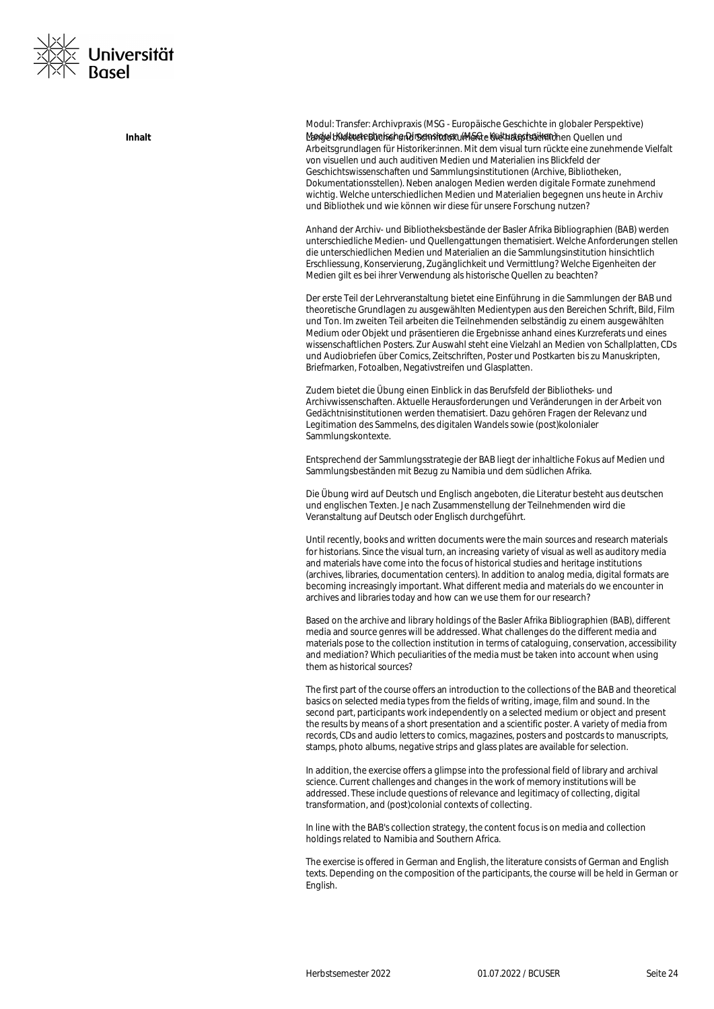

Modul: Transfer: Archivpraxis (MSG - Europäische Geschichte in globaler Perspektive) Modul: Kulturtechnische Dimensionen (MSG - Kulturtechniken) **Inhalt** Lange bildeten Bücher und Schriftdokumente die hauptsächlichen Quellen und Arbeitsgrundlagen für Historiker:innen. Mit dem visual turn rückte eine zunehmende Vielfalt von visuellen und auch auditiven Medien und Materialien ins Blickfeld der Geschichtswissenschaften und Sammlungsinstitutionen (Archive, Bibliotheken, Dokumentationsstellen). Neben analogen Medien werden digitale Formate zunehmend wichtig. Welche unterschiedlichen Medien und Materialien begegnen uns heute in Archiv und Bibliothek und wie können wir diese für unsere Forschung nutzen?

> Anhand der Archiv- und Bibliotheksbestände der Basler Afrika Bibliographien (BAB) werden unterschiedliche Medien- und Quellengattungen thematisiert. Welche Anforderungen stellen die unterschiedlichen Medien und Materialien an die Sammlungsinstitution hinsichtlich Erschliessung, Konservierung, Zugänglichkeit und Vermittlung? Welche Eigenheiten der Medien gilt es bei ihrer Verwendung als historische Quellen zu beachten?

> Der erste Teil der Lehrveranstaltung bietet eine Einführung in die Sammlungen der BAB und theoretische Grundlagen zu ausgewählten Medientypen aus den Bereichen Schrift, Bild, Film und Ton. Im zweiten Teil arbeiten die Teilnehmenden selbständig zu einem ausgewählten Medium oder Objekt und präsentieren die Ergebnisse anhand eines Kurzreferats und eines wissenschaftlichen Posters. Zur Auswahl steht eine Vielzahl an Medien von Schallplatten, CDs und Audiobriefen über Comics, Zeitschriften, Poster und Postkarten bis zu Manuskripten, Briefmarken, Fotoalben, Negativstreifen und Glasplatten.

Zudem bietet die Übung einen Einblick in das Berufsfeld der Bibliotheks- und Archivwissenschaften. Aktuelle Herausforderungen und Veränderungen in der Arbeit von Gedächtnisinstitutionen werden thematisiert. Dazu gehören Fragen der Relevanz und Legitimation des Sammelns, des digitalen Wandels sowie (post)kolonialer Sammlungskontexte.

Entsprechend der Sammlungsstrategie der BAB liegt der inhaltliche Fokus auf Medien und Sammlungsbeständen mit Bezug zu Namibia und dem südlichen Afrika.

Die Übung wird auf Deutsch und Englisch angeboten, die Literatur besteht aus deutschen und englischen Texten. Je nach Zusammenstellung der Teilnehmenden wird die Veranstaltung auf Deutsch oder Englisch durchgeführt.

Until recently, books and written documents were the main sources and research materials for historians. Since the visual turn, an increasing variety of visual as well as auditory media and materials have come into the focus of historical studies and heritage institutions (archives, libraries, documentation centers). In addition to analog media, digital formats are becoming increasingly important. What different media and materials do we encounter in archives and libraries today and how can we use them for our research?

Based on the archive and library holdings of the Basler Afrika Bibliographien (BAB), different media and source genres will be addressed. What challenges do the different media and materials pose to the collection institution in terms of cataloguing, conservation, accessibility and mediation? Which peculiarities of the media must be taken into account when using them as historical sources?

The first part of the course offers an introduction to the collections of the BAB and theoretical basics on selected media types from the fields of writing, image, film and sound. In the second part, participants work independently on a selected medium or object and present the results by means of a short presentation and a scientific poster. A variety of media from records, CDs and audio letters to comics, magazines, posters and postcards to manuscripts, stamps, photo albums, negative strips and glass plates are available for selection.

In addition, the exercise offers a glimpse into the professional field of library and archival science. Current challenges and changes in the work of memory institutions will be addressed. These include questions of relevance and legitimacy of collecting, digital transformation, and (post)colonial contexts of collecting.

In line with the BAB's collection strategy, the content focus is on media and collection holdings related to Namibia and Southern Africa.

The exercise is offered in German and English, the literature consists of German and English texts. Depending on the composition of the participants, the course will be held in German or English.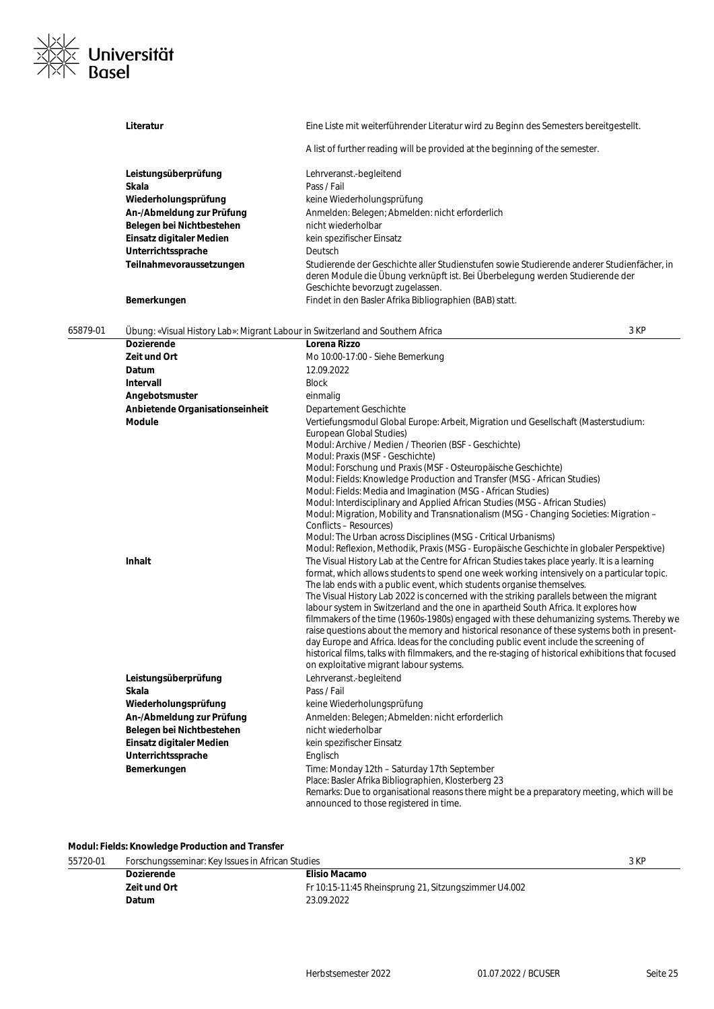

|          | Literatur                                                                      | Eine Liste mit weiterführender Literatur wird zu Beginn des Semesters bereitgestellt.                                                                                                                                                                                                                                                                                                                                                                                                                                                                                                                                                                                                                                                                                                                                                                                                        |
|----------|--------------------------------------------------------------------------------|----------------------------------------------------------------------------------------------------------------------------------------------------------------------------------------------------------------------------------------------------------------------------------------------------------------------------------------------------------------------------------------------------------------------------------------------------------------------------------------------------------------------------------------------------------------------------------------------------------------------------------------------------------------------------------------------------------------------------------------------------------------------------------------------------------------------------------------------------------------------------------------------|
|          |                                                                                | A list of further reading will be provided at the beginning of the semester.                                                                                                                                                                                                                                                                                                                                                                                                                                                                                                                                                                                                                                                                                                                                                                                                                 |
|          | Leistungsüberprüfung                                                           | Lehrveranst.-begleitend                                                                                                                                                                                                                                                                                                                                                                                                                                                                                                                                                                                                                                                                                                                                                                                                                                                                      |
|          | Skala                                                                          | Pass / Fail                                                                                                                                                                                                                                                                                                                                                                                                                                                                                                                                                                                                                                                                                                                                                                                                                                                                                  |
|          | Wiederholungsprüfung                                                           | keine Wiederholungsprüfung                                                                                                                                                                                                                                                                                                                                                                                                                                                                                                                                                                                                                                                                                                                                                                                                                                                                   |
|          | An-/Abmeldung zur Prüfung                                                      | Anmelden: Belegen; Abmelden: nicht erforderlich                                                                                                                                                                                                                                                                                                                                                                                                                                                                                                                                                                                                                                                                                                                                                                                                                                              |
|          | Belegen bei Nichtbestehen                                                      | nicht wiederholbar                                                                                                                                                                                                                                                                                                                                                                                                                                                                                                                                                                                                                                                                                                                                                                                                                                                                           |
|          | Einsatz digitaler Medien                                                       | kein spezifischer Einsatz                                                                                                                                                                                                                                                                                                                                                                                                                                                                                                                                                                                                                                                                                                                                                                                                                                                                    |
|          | Unterrichtssprache                                                             | Deutsch                                                                                                                                                                                                                                                                                                                                                                                                                                                                                                                                                                                                                                                                                                                                                                                                                                                                                      |
|          | Teilnahmevoraussetzungen                                                       | Studierende der Geschichte aller Studienstufen sowie Studierende anderer Studienfächer, in<br>deren Module die Übung verknüpft ist. Bei Überbelegung werden Studierende der<br>Geschichte bevorzugt zugelassen.                                                                                                                                                                                                                                                                                                                                                                                                                                                                                                                                                                                                                                                                              |
|          | Bemerkungen                                                                    | Findet in den Basler Afrika Bibliographien (BAB) statt.                                                                                                                                                                                                                                                                                                                                                                                                                                                                                                                                                                                                                                                                                                                                                                                                                                      |
| 65879-01 | Übung: «Visual History Lab»: Migrant Labour in Switzerland and Southern Africa | 3 KP                                                                                                                                                                                                                                                                                                                                                                                                                                                                                                                                                                                                                                                                                                                                                                                                                                                                                         |
|          | <b>Dozierende</b>                                                              | Lorena Rizzo                                                                                                                                                                                                                                                                                                                                                                                                                                                                                                                                                                                                                                                                                                                                                                                                                                                                                 |
|          | Zeit und Ort                                                                   | Mo 10:00-17:00 - Siehe Bemerkung                                                                                                                                                                                                                                                                                                                                                                                                                                                                                                                                                                                                                                                                                                                                                                                                                                                             |
|          | Datum                                                                          | 12.09.2022                                                                                                                                                                                                                                                                                                                                                                                                                                                                                                                                                                                                                                                                                                                                                                                                                                                                                   |
|          | Intervall                                                                      | <b>Block</b>                                                                                                                                                                                                                                                                                                                                                                                                                                                                                                                                                                                                                                                                                                                                                                                                                                                                                 |
|          | Angebotsmuster                                                                 | einmalig                                                                                                                                                                                                                                                                                                                                                                                                                                                                                                                                                                                                                                                                                                                                                                                                                                                                                     |
|          | Anbietende Organisationseinheit                                                | Departement Geschichte                                                                                                                                                                                                                                                                                                                                                                                                                                                                                                                                                                                                                                                                                                                                                                                                                                                                       |
|          | <b>Module</b><br>Inhalt                                                        | Vertiefungsmodul Global Europe: Arbeit, Migration und Gesellschaft (Masterstudium:<br>European Global Studies)<br>Modul: Archive / Medien / Theorien (BSF - Geschichte)<br>Modul: Praxis (MSF - Geschichte)<br>Modul: Forschung und Praxis (MSF - Osteuropäische Geschichte)<br>Modul: Fields: Knowledge Production and Transfer (MSG - African Studies)<br>Modul: Fields: Media and Imagination (MSG - African Studies)<br>Modul: Interdisciplinary and Applied African Studies (MSG - African Studies)<br>Modul: Migration, Mobility and Transnationalism (MSG - Changing Societies: Migration –<br>Conflicts - Resources)<br>Modul: The Urban across Disciplines (MSG - Critical Urbanisms)<br>Modul: Reflexion, Methodik, Praxis (MSG - Europäische Geschichte in globaler Perspektive)<br>The Visual History Lab at the Centre for African Studies takes place yearly. It is a learning |
|          |                                                                                | format, which allows students to spend one week working intensively on a particular topic.<br>The lab ends with a public event, which students organise themselves.<br>The Visual History Lab 2022 is concerned with the striking parallels between the migrant<br>labour system in Switzerland and the one in apartheid South Africa. It explores how<br>filmmakers of the time (1960s-1980s) engaged with these dehumanizing systems. Thereby we<br>raise questions about the memory and historical resonance of these systems both in present-<br>day Europe and Africa. Ideas for the concluding public event include the screening of<br>historical films, talks with filmmakers, and the re-staging of historical exhibitions that focused<br>on exploitative migrant labour systems.                                                                                                  |
|          | Leistungsüberprüfung                                                           | Lehrveranst.-begleitend                                                                                                                                                                                                                                                                                                                                                                                                                                                                                                                                                                                                                                                                                                                                                                                                                                                                      |
|          | Skala                                                                          | Pass / Fail                                                                                                                                                                                                                                                                                                                                                                                                                                                                                                                                                                                                                                                                                                                                                                                                                                                                                  |
|          | Wiederholungsprüfung                                                           | keine Wiederholungsprüfung                                                                                                                                                                                                                                                                                                                                                                                                                                                                                                                                                                                                                                                                                                                                                                                                                                                                   |
|          | An-/Abmeldung zur Prüfung<br>Belegen bei Nichtbestehen                         | Anmelden: Belegen; Abmelden: nicht erforderlich<br>nicht wiederholbar                                                                                                                                                                                                                                                                                                                                                                                                                                                                                                                                                                                                                                                                                                                                                                                                                        |
|          | Einsatz digitaler Medien                                                       | kein spezifischer Einsatz                                                                                                                                                                                                                                                                                                                                                                                                                                                                                                                                                                                                                                                                                                                                                                                                                                                                    |
|          | Unterrichtssprache                                                             | Englisch                                                                                                                                                                                                                                                                                                                                                                                                                                                                                                                                                                                                                                                                                                                                                                                                                                                                                     |
|          | Bemerkungen                                                                    | Time: Monday 12th - Saturday 17th September                                                                                                                                                                                                                                                                                                                                                                                                                                                                                                                                                                                                                                                                                                                                                                                                                                                  |
|          |                                                                                | Place: Basler Afrika Bibliographien, Klosterberg 23                                                                                                                                                                                                                                                                                                                                                                                                                                                                                                                                                                                                                                                                                                                                                                                                                                          |
|          |                                                                                | Remarks: Due to organisational reasons there might be a preparatory meeting, which will be<br>announced to those registered in time.                                                                                                                                                                                                                                                                                                                                                                                                                                                                                                                                                                                                                                                                                                                                                         |

# **Modul: Fields: Knowledge Production and Transfer**

| 55720-01 | Forschungsseminar: Key Issues in African Studies |                                                      | 3 KP |
|----------|--------------------------------------------------|------------------------------------------------------|------|
|          | <b>Dozierende</b>                                | Elisio Macamo                                        |      |
|          | Zeit und Ort                                     | Fr 10:15-11:45 Rheinsprung 21, Sitzungszimmer U4.002 |      |
|          | Datum                                            | 23.09.2022                                           |      |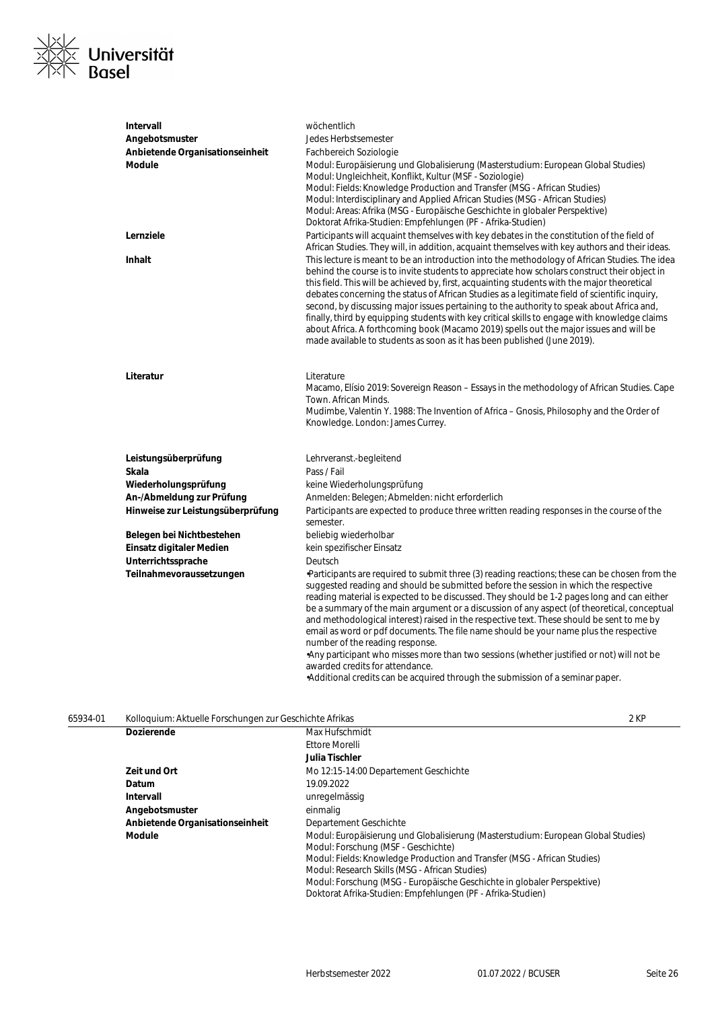

| <b>Intervall</b>                  | wöchentlich                                                                                                                                                                                                                                                                                                                                                                                                                                                                                                                                                                                                                                                                                                                                                        |
|-----------------------------------|--------------------------------------------------------------------------------------------------------------------------------------------------------------------------------------------------------------------------------------------------------------------------------------------------------------------------------------------------------------------------------------------------------------------------------------------------------------------------------------------------------------------------------------------------------------------------------------------------------------------------------------------------------------------------------------------------------------------------------------------------------------------|
| Angebotsmuster                    | Jedes Herbstsemester                                                                                                                                                                                                                                                                                                                                                                                                                                                                                                                                                                                                                                                                                                                                               |
| Anbietende Organisationseinheit   | Fachbereich Soziologie                                                                                                                                                                                                                                                                                                                                                                                                                                                                                                                                                                                                                                                                                                                                             |
| <b>Module</b>                     | Modul: Europäisierung und Globalisierung (Masterstudium: European Global Studies)<br>Modul: Ungleichheit, Konflikt, Kultur (MSF - Soziologie)<br>Modul: Fields: Knowledge Production and Transfer (MSG - African Studies)<br>Modul: Interdisciplinary and Applied African Studies (MSG - African Studies)<br>Modul: Areas: Afrika (MSG - Europäische Geschichte in globaler Perspektive)<br>Doktorat Afrika-Studien: Empfehlungen (PF - Afrika-Studien)                                                                                                                                                                                                                                                                                                            |
| Lernziele                         | Participants will acquaint themselves with key debates in the constitution of the field of<br>African Studies. They will, in addition, acquaint themselves with key authors and their ideas.                                                                                                                                                                                                                                                                                                                                                                                                                                                                                                                                                                       |
| Inhalt                            | This lecture is meant to be an introduction into the methodology of African Studies. The idea<br>behind the course is to invite students to appreciate how scholars construct their object in<br>this field. This will be achieved by, first, acquainting students with the major theoretical<br>debates concerning the status of African Studies as a legitimate field of scientific inquiry,<br>second, by discussing major issues pertaining to the authority to speak about Africa and,<br>finally, third by equipping students with key critical skills to engage with knowledge claims<br>about Africa. A forthcoming book (Macamo 2019) spells out the major issues and will be<br>made available to students as soon as it has been published (June 2019). |
| Literatur                         | Literature<br>Macamo, Elísio 2019: Sovereign Reason – Essays in the methodology of African Studies. Cape<br>Town. African Minds.<br>Mudimbe, Valentin Y. 1988: The Invention of Africa - Gnosis, Philosophy and the Order of<br>Knowledge. London: James Currey.                                                                                                                                                                                                                                                                                                                                                                                                                                                                                                   |
| Leistungsüberprüfung              | Lehrveranst.-begleitend                                                                                                                                                                                                                                                                                                                                                                                                                                                                                                                                                                                                                                                                                                                                            |
| Skala                             | Pass / Fail                                                                                                                                                                                                                                                                                                                                                                                                                                                                                                                                                                                                                                                                                                                                                        |
| Wiederholungsprüfung              | keine Wiederholungsprüfung                                                                                                                                                                                                                                                                                                                                                                                                                                                                                                                                                                                                                                                                                                                                         |
| An-/Abmeldung zur Prüfung         | Anmelden: Belegen; Abmelden: nicht erforderlich                                                                                                                                                                                                                                                                                                                                                                                                                                                                                                                                                                                                                                                                                                                    |
| Hinweise zur Leistungsüberprüfung | Participants are expected to produce three written reading responses in the course of the<br>semester.                                                                                                                                                                                                                                                                                                                                                                                                                                                                                                                                                                                                                                                             |
| Belegen bei Nichtbestehen         | beliebig wiederholbar                                                                                                                                                                                                                                                                                                                                                                                                                                                                                                                                                                                                                                                                                                                                              |
| Einsatz digitaler Medien          | kein spezifischer Einsatz                                                                                                                                                                                                                                                                                                                                                                                                                                                                                                                                                                                                                                                                                                                                          |
| Unterrichtssprache                | Deutsch                                                                                                                                                                                                                                                                                                                                                                                                                                                                                                                                                                                                                                                                                                                                                            |
| Teilnahmevoraussetzungen          | •Participants are required to submit three (3) reading reactions; these can be chosen from the<br>suggested reading and should be submitted before the session in which the respective<br>reading material is expected to be discussed. They should be 1-2 pages long and can either<br>be a summary of the main argument or a discussion of any aspect (of theoretical, conceptual<br>and methodological interest) raised in the respective text. These should be sent to me by<br>email as word or pdf documents. The file name should be your name plus the respective<br>number of the reading response.<br>Any participant who misses more than two sessions (whether justified or not) will not be<br>awarded credits for attendance.                        |

•Additional credits can be acquired through the submission of a seminar paper.

| 65934-01 | Kolloquium: Aktuelle Forschungen zur Geschichte Afrikas |                                                                                                                          | 2 KP |
|----------|---------------------------------------------------------|--------------------------------------------------------------------------------------------------------------------------|------|
|          | <b>Dozierende</b>                                       | Max Hufschmidt                                                                                                           |      |
|          |                                                         | Ettore Morelli                                                                                                           |      |
|          |                                                         | Julia Tischler                                                                                                           |      |
|          | Zeit und Ort                                            | Mo 12:15-14:00 Departement Geschichte                                                                                    |      |
|          | Datum                                                   | 19.09.2022                                                                                                               |      |
|          | Intervall                                               | unregelmässig                                                                                                            |      |
|          | Angebotsmuster                                          | einmalig                                                                                                                 |      |
|          | Anbietende Organisationseinheit                         | Departement Geschichte                                                                                                   |      |
|          | <b>Module</b>                                           | Modul: Europäisierung und Globalisierung (Masterstudium: European Global Studies)<br>Modul: Forschung (MSF - Geschichte) |      |
|          |                                                         | Modul: Fields: Knowledge Production and Transfer (MSG - African Studies)                                                 |      |
|          |                                                         | Modul: Research Skills (MSG - African Studies)                                                                           |      |
|          |                                                         | Modul: Forschung (MSG - Europäische Geschichte in globaler Perspektive)                                                  |      |
|          |                                                         | Doktorat Afrika-Studien: Empfehlungen (PF - Afrika-Studien)                                                              |      |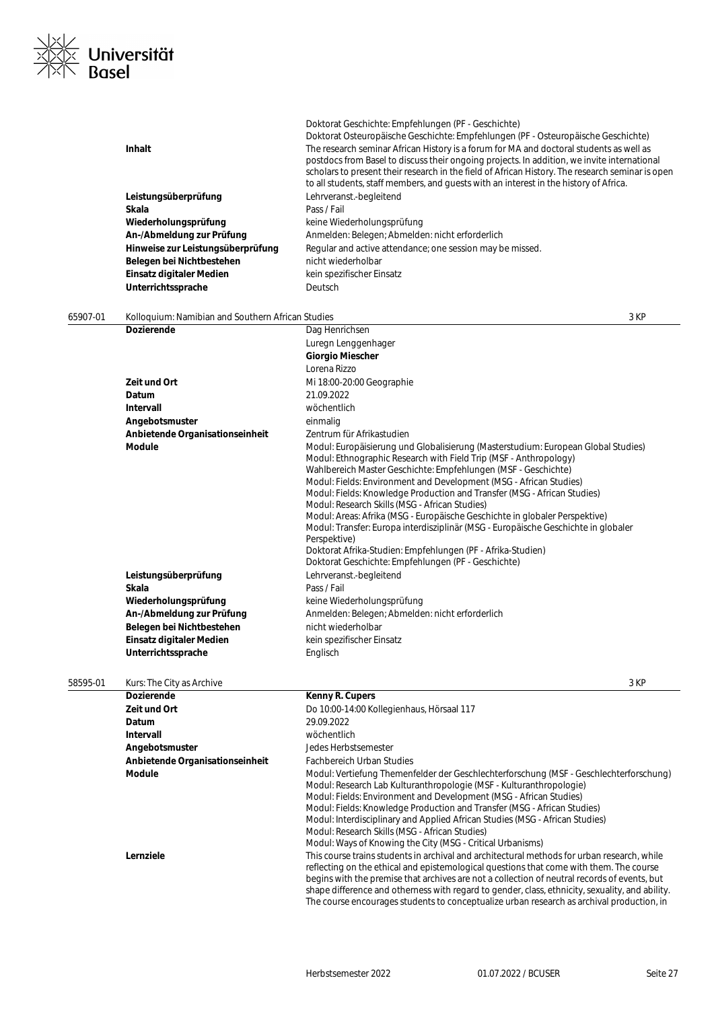

|          |                                                   | Doktorat Geschichte: Empfehlungen (PF - Geschichte)                                              |
|----------|---------------------------------------------------|--------------------------------------------------------------------------------------------------|
|          |                                                   | Doktorat Osteuropäische Geschichte: Empfehlungen (PF - Osteuropäische Geschichte)                |
|          | Inhalt                                            | The research seminar African History is a forum for MA and doctoral students as well as          |
|          |                                                   | postdocs from Basel to discuss their ongoing projects. In addition, we invite international      |
|          |                                                   | scholars to present their research in the field of African History. The research seminar is open |
|          |                                                   | to all students, staff members, and quests with an interest in the history of Africa.            |
|          | Leistungsüberprüfung                              | Lehrveranst.-begleitend                                                                          |
|          | Skala                                             | Pass / Fail                                                                                      |
|          | Wiederholungsprüfung                              | keine Wiederholungsprüfung                                                                       |
|          | An-/Abmeldung zur Prüfung                         | Anmelden: Belegen; Abmelden: nicht erforderlich                                                  |
|          | Hinweise zur Leistungsüberprüfung                 | Regular and active attendance; one session may be missed.                                        |
|          | Belegen bei Nichtbestehen                         | nicht wiederholbar                                                                               |
|          | Einsatz digitaler Medien                          | kein spezifischer Einsatz                                                                        |
|          |                                                   |                                                                                                  |
|          | Unterrichtssprache                                | Deutsch                                                                                          |
|          |                                                   |                                                                                                  |
| 65907-01 | Kolloquium: Namibian and Southern African Studies | 3 KP                                                                                             |
|          | <b>Dozierende</b>                                 | Dag Henrichsen                                                                                   |
|          |                                                   | Luregn Lenggenhager                                                                              |
|          |                                                   | <b>Giorgio Miescher</b>                                                                          |
|          |                                                   | Lorena Rizzo                                                                                     |
|          | Zeit und Ort                                      | Mi 18:00-20:00 Geographie                                                                        |
|          | Datum                                             | 21.09.2022                                                                                       |
|          | Intervall                                         |                                                                                                  |
|          |                                                   | wöchentlich                                                                                      |
|          | Angebotsmuster                                    | einmalig                                                                                         |
|          | Anbietende Organisationseinheit                   | Zentrum für Afrikastudien                                                                        |
|          | <b>Module</b>                                     | Modul: Europäisierung und Globalisierung (Masterstudium: European Global Studies)                |
|          |                                                   | Modul: Ethnographic Research with Field Trip (MSF - Anthropology)                                |
|          |                                                   | Wahlbereich Master Geschichte: Empfehlungen (MSF - Geschichte)                                   |
|          |                                                   | Modul: Fields: Environment and Development (MSG - African Studies)                               |
|          |                                                   | Modul: Fields: Knowledge Production and Transfer (MSG - African Studies)                         |
|          |                                                   | Modul: Research Skills (MSG - African Studies)                                                   |
|          |                                                   | Modul: Areas: Afrika (MSG - Europäische Geschichte in globaler Perspektive)                      |
|          |                                                   | Modul: Transfer: Europa interdisziplinär (MSG - Europäische Geschichte in globaler               |
|          |                                                   | Perspektive)                                                                                     |
|          |                                                   | Doktorat Afrika-Studien: Empfehlungen (PF - Afrika-Studien)                                      |
|          |                                                   | Doktorat Geschichte: Empfehlungen (PF - Geschichte)                                              |
|          | Leistungsüberprüfung                              | Lehrveranst.-begleitend                                                                          |
|          | Skala                                             | Pass / Fail                                                                                      |
|          | Wiederholungsprüfung                              | keine Wiederholungsprüfung                                                                       |
|          | An-/Abmeldung zur Prüfung                         | Anmelden: Belegen; Abmelden: nicht erforderlich                                                  |
|          | Belegen bei Nichtbestehen                         | nicht wiederholbar                                                                               |
|          | Einsatz digitaler Medien                          | kein spezifischer Einsatz                                                                        |
|          | Unterrichtssprache                                |                                                                                                  |
|          |                                                   | Englisch                                                                                         |
|          |                                                   |                                                                                                  |
| 58595-01 | Kurs: The City as Archive                         | 3 KP                                                                                             |
|          | Dozierende                                        | Kenny R. Cupers                                                                                  |
|          | Zeit und Ort                                      | Do 10:00-14:00 Kollegienhaus, Hörsaal 117                                                        |
|          | Datum                                             | 29.09.2022                                                                                       |
|          | Intervall                                         | wöchentlich                                                                                      |
|          | Angebotsmuster                                    | Jedes Herbstsemester                                                                             |
|          | Anbietende Organisationseinheit                   | <b>Fachbereich Urban Studies</b>                                                                 |
|          |                                                   |                                                                                                  |
|          | <b>Module</b>                                     | Modul: Vertiefung Themenfelder der Geschlechterforschung (MSF - Geschlechterforschung)           |
|          |                                                   | Modul: Research Lab Kulturanthropologie (MSF - Kulturanthropologie)                              |
|          |                                                   | Modul: Fields: Environment and Development (MSG - African Studies)                               |
|          |                                                   | Modul: Fields: Knowledge Production and Transfer (MSG - African Studies)                         |
|          |                                                   | Modul: Interdisciplinary and Applied African Studies (MSG - African Studies)                     |
|          |                                                   | Modul: Research Skills (MSG - African Studies)                                                   |
|          |                                                   | Modul: Ways of Knowing the City (MSG - Critical Urbanisms)                                       |
|          | Lernziele                                         | This course trains students in archival and architectural methods for urban research, while      |
|          |                                                   | reflecting on the ethical and epistemological questions that come with them. The course          |
|          |                                                   | begins with the premise that archives are not a collection of neutral records of events, but     |
|          |                                                   | shape difference and otherness with regard to gender, class, ethnicity, sexuality, and ability.  |
|          |                                                   | The course encourages students to conceptualize urban research as archival production, in        |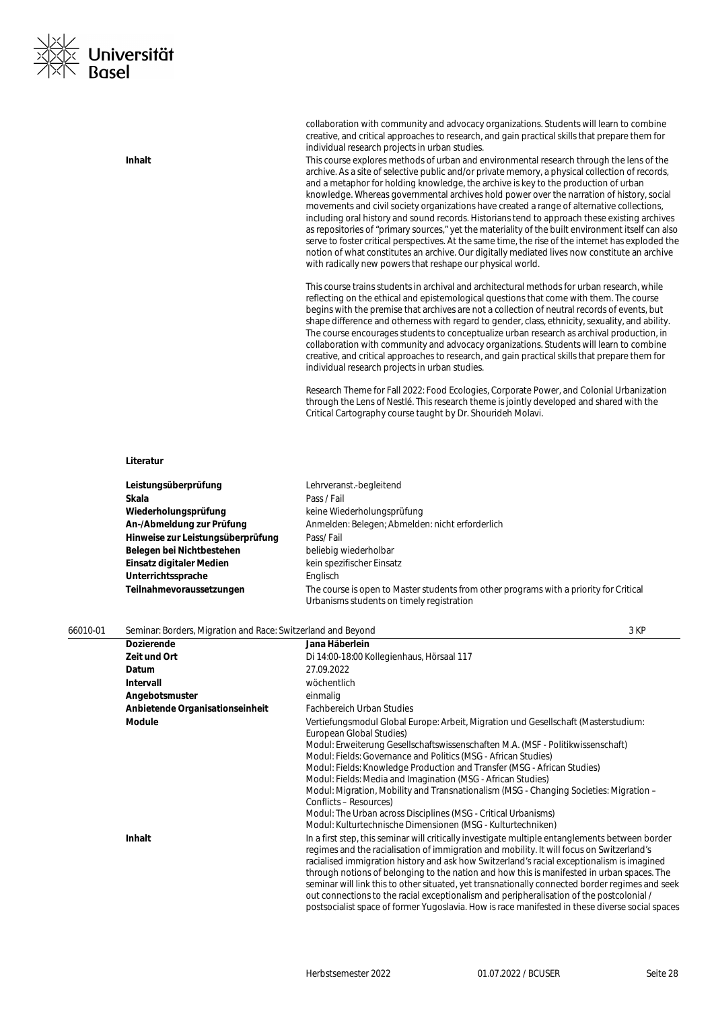

creative, and critical approaches to research, and gain practical skills that prepare them for individual research projects in urban studies. **Inhalt Inhalt** This course explores methods of urban and environmental research through the lens of the archive. As a site of selective public and/or private memory, a physical collection of records, and a metaphor for holding knowledge, the archive is key to the production of urban knowledge. Whereas governmental archives hold power over the narration of history, social movements and civil society organizations have created a range of alternative collections, including oral history and sound records. Historians tend to approach these existing archives as repositories of "primary sources," yet the materiality of the built environment itself can also serve to foster critical perspectives. At the same time, the rise of the internet has exploded the notion of what constitutes an archive. Our digitally mediated lives now constitute an archive with radically new powers that reshape our physical world. This course trains students in archival and architectural methods for urban research, while reflecting on the ethical and epistemological questions that come with them. The course begins with the premise that archives are not a collection of neutral records of events, but shape difference and otherness with regard to gender, class, ethnicity, sexuality, and ability. The course encourages students to conceptualize urban research as archival production, in collaboration with community and advocacy organizations. Students will learn to combine creative, and critical approaches to research, and gain practical skills that prepare them for

individual research projects in urban studies.

Research Theme for Fall 2022: Food Ecologies, Corporate Power, and Colonial Urbanization through the Lens of Nestlé. This research theme is jointly developed and shared with the Critical Cartography course taught by Dr. Shourideh Molavi.

collaboration with community and advocacy organizations. Students will learn to combine

#### **Literatur**

| Leistungsüberprüfung              | Lehrveranst.-begleitend                                                                                                             |
|-----------------------------------|-------------------------------------------------------------------------------------------------------------------------------------|
| Skala                             | Pass / Fail                                                                                                                         |
| Wiederholungsprüfung              | keine Wiederholungsprüfung                                                                                                          |
| An-/Abmeldung zur Prüfung         | Anmelden: Belegen; Abmelden: nicht erforderlich                                                                                     |
| Hinweise zur Leistungsüberprüfung | Pass/Fail                                                                                                                           |
| Belegen bei Nichtbestehen         | beliebig wiederholbar                                                                                                               |
| Einsatz digitaler Medien          | kein spezifischer Einsatz                                                                                                           |
| Unterrichtssprache                | Englisch                                                                                                                            |
| Teilnahmevoraussetzungen          | The course is open to Master students from other programs with a priority for Critical<br>Urbanisms students on timely registration |

| 66010-01 | Seminar: Borders, Migration and Race: Switzerland and Beyond |                                                                                                                                                                                                                                                                                                                                                                                                                                                                                                                                                                                                                                                                                            | 3 KP |
|----------|--------------------------------------------------------------|--------------------------------------------------------------------------------------------------------------------------------------------------------------------------------------------------------------------------------------------------------------------------------------------------------------------------------------------------------------------------------------------------------------------------------------------------------------------------------------------------------------------------------------------------------------------------------------------------------------------------------------------------------------------------------------------|------|
|          | <b>Dozierende</b>                                            | Jana Häberlein                                                                                                                                                                                                                                                                                                                                                                                                                                                                                                                                                                                                                                                                             |      |
|          | Zeit und Ort                                                 | Di 14:00-18:00 Kollegienhaus, Hörsaal 117                                                                                                                                                                                                                                                                                                                                                                                                                                                                                                                                                                                                                                                  |      |
|          | Datum                                                        | 27.09.2022                                                                                                                                                                                                                                                                                                                                                                                                                                                                                                                                                                                                                                                                                 |      |
|          | Intervall                                                    | wöchentlich                                                                                                                                                                                                                                                                                                                                                                                                                                                                                                                                                                                                                                                                                |      |
|          | Angebotsmuster                                               | einmalig                                                                                                                                                                                                                                                                                                                                                                                                                                                                                                                                                                                                                                                                                   |      |
|          | Anbietende Organisationseinheit                              | <b>Fachbereich Urban Studies</b>                                                                                                                                                                                                                                                                                                                                                                                                                                                                                                                                                                                                                                                           |      |
|          | Module                                                       | Vertiefungsmodul Global Europe: Arbeit, Migration und Gesellschaft (Masterstudium:<br>European Global Studies)<br>Modul: Erweiterung Gesellschaftswissenschaften M.A. (MSF - Politikwissenschaft)<br>Modul: Fields: Governance and Politics (MSG - African Studies)<br>Modul: Fields: Knowledge Production and Transfer (MSG - African Studies)<br>Modul: Fields: Media and Imagination (MSG - African Studies)<br>Modul: Migration, Mobility and Transnationalism (MSG - Changing Societies: Migration –<br>Conflicts – Resources)<br>Modul: The Urban across Disciplines (MSG - Critical Urbanisms)<br>Modul: Kulturtechnische Dimensionen (MSG - Kulturtechniken)                       |      |
|          | Inhalt                                                       | In a first step, this seminar will critically investigate multiple entanglements between border<br>regimes and the racialisation of immigration and mobility. It will focus on Switzerland's<br>racialised immigration history and ask how Switzerland's racial exceptionalism is imagined<br>through notions of belonging to the nation and how this is manifested in urban spaces. The<br>seminar will link this to other situated, yet transnationally connected border regimes and seek<br>out connections to the racial exceptionalism and peripheralisation of the postcolonial /<br>postsocialist space of former Yugoslavia. How is race manifested in these diverse social spaces |      |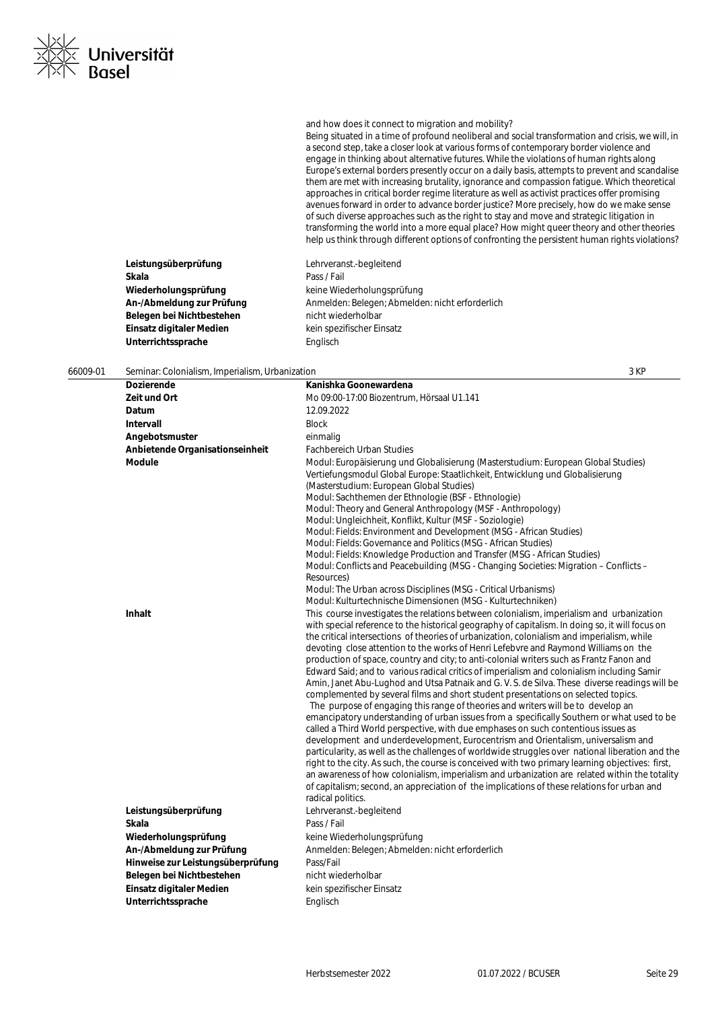| <b>Dozierende</b>                 | Kanishka Goonewardena                                                                                                                                                                                                                                                                                                                                                                                                                                                                                                                                                                                                                                                                                                                                                                                                                                                                                                                                                                                                                                                                                                                                                                                                                                                                                                                                                                                                                                                                                                                                    |
|-----------------------------------|----------------------------------------------------------------------------------------------------------------------------------------------------------------------------------------------------------------------------------------------------------------------------------------------------------------------------------------------------------------------------------------------------------------------------------------------------------------------------------------------------------------------------------------------------------------------------------------------------------------------------------------------------------------------------------------------------------------------------------------------------------------------------------------------------------------------------------------------------------------------------------------------------------------------------------------------------------------------------------------------------------------------------------------------------------------------------------------------------------------------------------------------------------------------------------------------------------------------------------------------------------------------------------------------------------------------------------------------------------------------------------------------------------------------------------------------------------------------------------------------------------------------------------------------------------|
| Zeit und Ort                      | Mo 09:00-17:00 Biozentrum, Hörsaal U1.141                                                                                                                                                                                                                                                                                                                                                                                                                                                                                                                                                                                                                                                                                                                                                                                                                                                                                                                                                                                                                                                                                                                                                                                                                                                                                                                                                                                                                                                                                                                |
| Datum                             | 12.09.2022                                                                                                                                                                                                                                                                                                                                                                                                                                                                                                                                                                                                                                                                                                                                                                                                                                                                                                                                                                                                                                                                                                                                                                                                                                                                                                                                                                                                                                                                                                                                               |
| Intervall                         | <b>Block</b>                                                                                                                                                                                                                                                                                                                                                                                                                                                                                                                                                                                                                                                                                                                                                                                                                                                                                                                                                                                                                                                                                                                                                                                                                                                                                                                                                                                                                                                                                                                                             |
| Angebotsmuster                    | einmalig                                                                                                                                                                                                                                                                                                                                                                                                                                                                                                                                                                                                                                                                                                                                                                                                                                                                                                                                                                                                                                                                                                                                                                                                                                                                                                                                                                                                                                                                                                                                                 |
| Anbietende Organisationseinheit   | <b>Fachbereich Urban Studies</b>                                                                                                                                                                                                                                                                                                                                                                                                                                                                                                                                                                                                                                                                                                                                                                                                                                                                                                                                                                                                                                                                                                                                                                                                                                                                                                                                                                                                                                                                                                                         |
| Module                            | Modul: Europäisierung und Globalisierung (Masterstudium: European Global Studies)<br>Vertiefungsmodul Global Europe: Staatlichkeit, Entwicklung und Globalisierung<br>(Masterstudium: European Global Studies)<br>Modul: Sachthemen der Ethnologie (BSF - Ethnologie)<br>Modul: Theory and General Anthropology (MSF - Anthropology)<br>Modul: Ungleichheit, Konflikt, Kultur (MSF - Soziologie)<br>Modul: Fields: Environment and Development (MSG - African Studies)<br>Modul: Fields: Governance and Politics (MSG - African Studies)<br>Modul: Fields: Knowledge Production and Transfer (MSG - African Studies)<br>Modul: Conflicts and Peacebuilding (MSG - Changing Societies: Migration – Conflicts –<br>Resources)<br>Modul: The Urban across Disciplines (MSG - Critical Urbanisms)<br>Modul: Kulturtechnische Dimensionen (MSG - Kulturtechniken)                                                                                                                                                                                                                                                                                                                                                                                                                                                                                                                                                                                                                                                                                             |
| <b>Inhalt</b>                     | This course investigates the relations between colonialism, imperialism and urbanization<br>with special reference to the historical geography of capitalism. In doing so, it will focus on<br>the critical intersections of theories of urbanization, colonialism and imperialism, while<br>devoting close attention to the works of Henri Lefebvre and Raymond Williams on the<br>production of space, country and city; to anti-colonial writers such as Frantz Fanon and<br>Edward Said; and to various radical critics of imperialism and colonialism including Samir<br>Amin, Janet Abu-Lughod and Utsa Patnaik and G. V. S. de Silva. These diverse readings will be<br>complemented by several films and short student presentations on selected topics.<br>The purpose of engaging this range of theories and writers will be to develop an<br>emancipatory understanding of urban issues from a specifically Southern or what used to be<br>called a Third World perspective, with due emphases on such contentious issues as<br>development and underdevelopment, Eurocentrism and Orientalism, universalism and<br>particularity, as well as the challenges of worldwide struggles over national liberation and the<br>right to the city. As such, the course is conceived with two primary learning objectives: first,<br>an awareness of how colonialism, imperialism and urbanization are related within the totality<br>of capitalism; second, an appreciation of the implications of these relations for urban and<br>radical politics. |
| Leistungsüberprüfung              | Lehrveranst.-begleitend                                                                                                                                                                                                                                                                                                                                                                                                                                                                                                                                                                                                                                                                                                                                                                                                                                                                                                                                                                                                                                                                                                                                                                                                                                                                                                                                                                                                                                                                                                                                  |
| Skala                             | Pass / Fail                                                                                                                                                                                                                                                                                                                                                                                                                                                                                                                                                                                                                                                                                                                                                                                                                                                                                                                                                                                                                                                                                                                                                                                                                                                                                                                                                                                                                                                                                                                                              |
| Wiederholungsprüfung              | keine Wiederholungsprüfung                                                                                                                                                                                                                                                                                                                                                                                                                                                                                                                                                                                                                                                                                                                                                                                                                                                                                                                                                                                                                                                                                                                                                                                                                                                                                                                                                                                                                                                                                                                               |
| An-/Abmeldung zur Prüfung         | Anmelden: Belegen; Abmelden: nicht erforderlich                                                                                                                                                                                                                                                                                                                                                                                                                                                                                                                                                                                                                                                                                                                                                                                                                                                                                                                                                                                                                                                                                                                                                                                                                                                                                                                                                                                                                                                                                                          |
| Hinweise zur Leistungsüberprüfung | Pass/Fail                                                                                                                                                                                                                                                                                                                                                                                                                                                                                                                                                                                                                                                                                                                                                                                                                                                                                                                                                                                                                                                                                                                                                                                                                                                                                                                                                                                                                                                                                                                                                |
| Belegen bei Nichtbestehen         | nicht wiederholbar                                                                                                                                                                                                                                                                                                                                                                                                                                                                                                                                                                                                                                                                                                                                                                                                                                                                                                                                                                                                                                                                                                                                                                                                                                                                                                                                                                                                                                                                                                                                       |
| Einsatz digitaler Medien          | kein spezifischer Einsatz                                                                                                                                                                                                                                                                                                                                                                                                                                                                                                                                                                                                                                                                                                                                                                                                                                                                                                                                                                                                                                                                                                                                                                                                                                                                                                                                                                                                                                                                                                                                |
| Unterrichtssprache                | Englisch                                                                                                                                                                                                                                                                                                                                                                                                                                                                                                                                                                                                                                                                                                                                                                                                                                                                                                                                                                                                                                                                                                                                                                                                                                                                                                                                                                                                                                                                                                                                                 |
|                                   |                                                                                                                                                                                                                                                                                                                                                                                                                                                                                                                                                                                                                                                                                                                                                                                                                                                                                                                                                                                                                                                                                                                                                                                                                                                                                                                                                                                                                                                                                                                                                          |

# 66009-01 Seminar: Colonialism, Imperialism, Urbanization 3 KP

**Leistungsüberprüfung** Lehrveranst.-begleitend

Belegen bei Nichtbestehen **nicht wiederholbar Einsatz digitaler Medien** kein spezifischer Einsatz

**Wiederholungsprüfung** keine Wiederholungsprüfung

An-/Abmeldung zur Prüfung **Anmelden: Belegen; Abmelden: nicht erforderlich** 

**Skala** Pass / Fail

Unterrichtssprache **Englisch** 



and how does it connect to migration and mobility?

Being situated in a time of profound neoliberal and social transformation and crisis, we will, in a second step, take a closer look at various forms of contemporary border violence and engage in thinking about alternative futures. While the violations of human rights along Europe's external borders presently occur on a daily basis, attempts to prevent and scandalise them are met with increasing brutality, ignorance and compassion fatigue. Which theoretical approaches in critical border regime literature as well as activist practices offer promising avenues forward in order to advance border justice? More precisely, how do we make sense of such diverse approaches such as the right to stay and move and strategic litigation in transforming the world into a more equal place? How might queer theory and other theories help us think through different options of confronting the persistent human rights violations?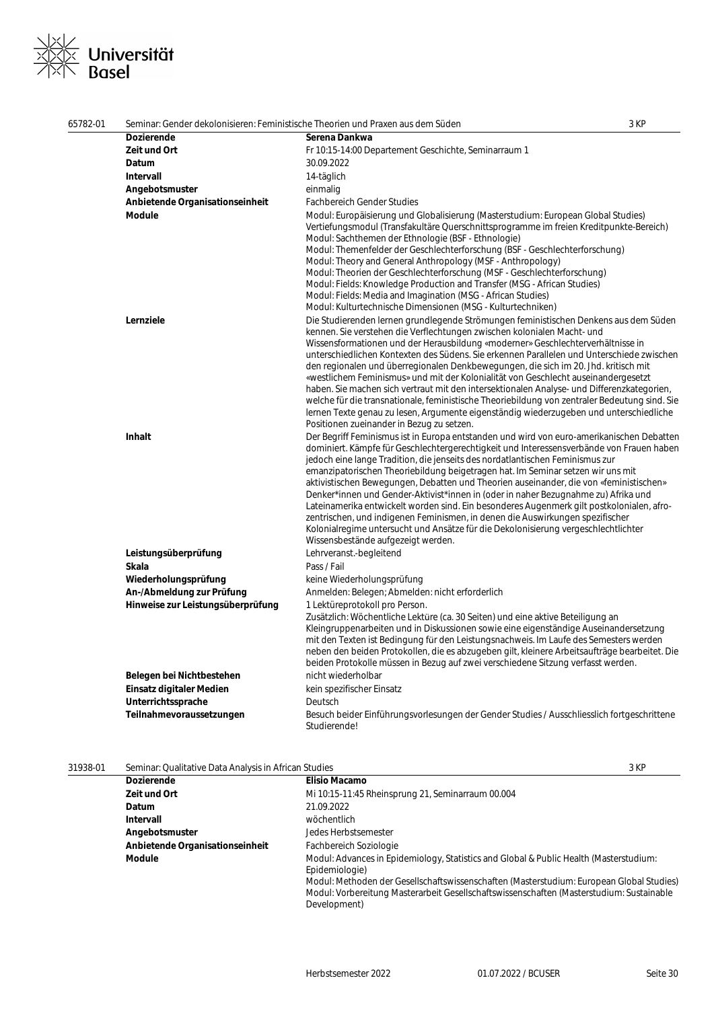# .<br>I Universität<br>I Basel  $\overline{\phantom{a}}$

| 65782-01 | Seminar: Gender dekolonisieren: Feministische Theorien und Praxen aus dem Süden |                                                                                                                                                                                                                                                                                                                                                                                                                                                                                                                                                                                                                                                                                                                                                                                                                                                                    | 3 KP |
|----------|---------------------------------------------------------------------------------|--------------------------------------------------------------------------------------------------------------------------------------------------------------------------------------------------------------------------------------------------------------------------------------------------------------------------------------------------------------------------------------------------------------------------------------------------------------------------------------------------------------------------------------------------------------------------------------------------------------------------------------------------------------------------------------------------------------------------------------------------------------------------------------------------------------------------------------------------------------------|------|
|          | <b>Dozierende</b>                                                               | Serena Dankwa                                                                                                                                                                                                                                                                                                                                                                                                                                                                                                                                                                                                                                                                                                                                                                                                                                                      |      |
|          | Zeit und Ort                                                                    | Fr 10:15-14:00 Departement Geschichte, Seminarraum 1                                                                                                                                                                                                                                                                                                                                                                                                                                                                                                                                                                                                                                                                                                                                                                                                               |      |
|          | Datum                                                                           | 30.09.2022                                                                                                                                                                                                                                                                                                                                                                                                                                                                                                                                                                                                                                                                                                                                                                                                                                                         |      |
|          | Intervall                                                                       | 14-täglich                                                                                                                                                                                                                                                                                                                                                                                                                                                                                                                                                                                                                                                                                                                                                                                                                                                         |      |
|          | Angebotsmuster                                                                  | einmalig                                                                                                                                                                                                                                                                                                                                                                                                                                                                                                                                                                                                                                                                                                                                                                                                                                                           |      |
|          | Anbietende Organisationseinheit                                                 | <b>Fachbereich Gender Studies</b>                                                                                                                                                                                                                                                                                                                                                                                                                                                                                                                                                                                                                                                                                                                                                                                                                                  |      |
|          | <b>Module</b>                                                                   | Modul: Europäisierung und Globalisierung (Masterstudium: European Global Studies)<br>Vertiefungsmodul (Transfakultäre Querschnittsprogramme im freien Kreditpunkte-Bereich)<br>Modul: Sachthemen der Ethnologie (BSF - Ethnologie)<br>Modul: Themenfelder der Geschlechterforschung (BSF - Geschlechterforschung)<br>Modul: Theory and General Anthropology (MSF - Anthropology)<br>Modul: Theorien der Geschlechterforschung (MSF - Geschlechterforschung)<br>Modul: Fields: Knowledge Production and Transfer (MSG - African Studies)<br>Modul: Fields: Media and Imagination (MSG - African Studies)<br>Modul: Kulturtechnische Dimensionen (MSG - Kulturtechniken)                                                                                                                                                                                             |      |
|          | Lernziele                                                                       | Die Studierenden lernen grundlegende Strömungen feministischen Denkens aus dem Süden<br>kennen. Sie verstehen die Verflechtungen zwischen kolonialen Macht- und<br>Wissensformationen und der Herausbildung «moderner» Geschlechterverhältnisse in<br>unterschiedlichen Kontexten des Südens. Sie erkennen Parallelen und Unterschiede zwischen<br>den regionalen und überregionalen Denkbewegungen, die sich im 20. Jhd. kritisch mit<br>«westlichem Feminismus» und mit der Kolonialität von Geschlecht auseinandergesetzt<br>haben. Sie machen sich vertraut mit den intersektionalen Analyse- und Differenzkategorien,<br>welche für die transnationale, feministische Theoriebildung von zentraler Bedeutung sind. Sie<br>lernen Texte genau zu lesen, Argumente eigenständig wiederzugeben und unterschiedliche<br>Positionen zueinander in Bezug zu setzen. |      |
|          | <b>Inhalt</b>                                                                   | Der Begriff Feminismus ist in Europa entstanden und wird von euro-amerikanischen Debatten<br>dominiert. Kämpfe für Geschlechtergerechtigkeit und Interessensverbände von Frauen haben<br>jedoch eine lange Tradition, die jenseits des nordatlantischen Feminismus zur<br>emanzipatorischen Theoriebildung beigetragen hat. Im Seminar setzen wir uns mit<br>aktivistischen Bewegungen, Debatten und Theorien auseinander, die von «feministischen»<br>Denker*innen und Gender-Aktivist*innen in (oder in naher Bezugnahme zu) Afrika und<br>Lateinamerika entwickelt worden sind. Ein besonderes Augenmerk gilt postkolonialen, afro-<br>zentrischen, und indigenen Feminismen, in denen die Auswirkungen spezifischer<br>Kolonialregime untersucht und Ansätze für die Dekolonisierung vergeschlechtlichter<br>Wissensbestände aufgezeigt werden.                |      |
|          | Leistungsüberprüfung                                                            | Lehrveranst.-begleitend                                                                                                                                                                                                                                                                                                                                                                                                                                                                                                                                                                                                                                                                                                                                                                                                                                            |      |
|          | Skala                                                                           | Pass / Fail                                                                                                                                                                                                                                                                                                                                                                                                                                                                                                                                                                                                                                                                                                                                                                                                                                                        |      |
|          | Wiederholungsprüfung                                                            | keine Wiederholungsprüfung                                                                                                                                                                                                                                                                                                                                                                                                                                                                                                                                                                                                                                                                                                                                                                                                                                         |      |
|          | An-/Abmeldung zur Prüfung                                                       | Anmelden: Belegen; Abmelden: nicht erforderlich                                                                                                                                                                                                                                                                                                                                                                                                                                                                                                                                                                                                                                                                                                                                                                                                                    |      |
|          | Hinweise zur Leistungsüberprüfung                                               | 1 Lektüreprotokoll pro Person.<br>Zusätzlich: Wöchentliche Lektüre (ca. 30 Seiten) und eine aktive Beteiligung an<br>Kleingruppenarbeiten und in Diskussionen sowie eine eigenständige Auseinandersetzung<br>mit den Texten ist Bedingung für den Leistungsnachweis. Im Laufe des Semesters werden<br>neben den beiden Protokollen, die es abzugeben gilt, kleinere Arbeitsaufträge bearbeitet. Die<br>beiden Protokolle müssen in Bezug auf zwei verschiedene Sitzung verfasst werden.                                                                                                                                                                                                                                                                                                                                                                            |      |
|          | Belegen bei Nichtbestehen                                                       | nicht wiederholbar                                                                                                                                                                                                                                                                                                                                                                                                                                                                                                                                                                                                                                                                                                                                                                                                                                                 |      |
|          | Einsatz digitaler Medien                                                        | kein spezifischer Einsatz                                                                                                                                                                                                                                                                                                                                                                                                                                                                                                                                                                                                                                                                                                                                                                                                                                          |      |
|          | Unterrichtssprache                                                              | Deutsch                                                                                                                                                                                                                                                                                                                                                                                                                                                                                                                                                                                                                                                                                                                                                                                                                                                            |      |
|          | Teilnahmevoraussetzungen                                                        | Besuch beider Einführungsvorlesungen der Gender Studies / Ausschliesslich fortgeschrittene<br>Studierende!                                                                                                                                                                                                                                                                                                                                                                                                                                                                                                                                                                                                                                                                                                                                                         |      |

| 31938-01 | Seminar: Qualitative Data Analysis in African Studies |                                                                                                                                                                                                                                                                                                                  | 3 KP |
|----------|-------------------------------------------------------|------------------------------------------------------------------------------------------------------------------------------------------------------------------------------------------------------------------------------------------------------------------------------------------------------------------|------|
|          | <b>Dozierende</b>                                     | <b>Elisio Macamo</b>                                                                                                                                                                                                                                                                                             |      |
|          | Zeit und Ort                                          | Mi 10:15-11:45 Rheinsprung 21, Seminarraum 00.004                                                                                                                                                                                                                                                                |      |
|          | Datum                                                 | 21.09.2022                                                                                                                                                                                                                                                                                                       |      |
|          | Intervall                                             | wöchentlich                                                                                                                                                                                                                                                                                                      |      |
|          | Angebotsmuster                                        | Jedes Herbstsemester                                                                                                                                                                                                                                                                                             |      |
|          | Anbietende Organisationseinheit                       | Fachbereich Soziologie                                                                                                                                                                                                                                                                                           |      |
|          | Module                                                | Modul: Advances in Epidemiology, Statistics and Global & Public Health (Masterstudium:<br>Epidemiologie)<br>Modul: Methoden der Gesellschaftswissenschaften (Masterstudium: European Global Studies)<br>Modul: Vorbereitung Masterarbeit Gesellschaftswissenschaften (Masterstudium: Sustainable<br>Development) |      |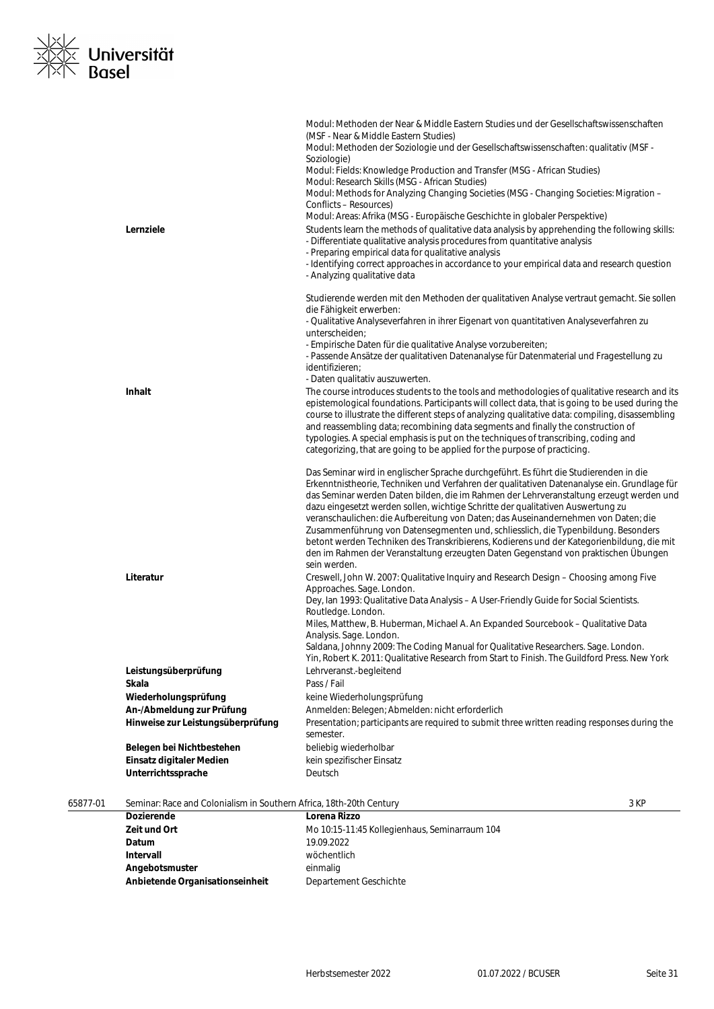

|          |                                                                     | Modul: Methoden der Near & Middle Eastern Studies und der Gesellschaftswissenschaften<br>(MSF - Near & Middle Eastern Studies)<br>Modul: Methoden der Soziologie und der Gesellschaftswissenschaften: qualitativ (MSF -<br>Soziologie)<br>Modul: Fields: Knowledge Production and Transfer (MSG - African Studies)<br>Modul: Research Skills (MSG - African Studies)<br>Modul: Methods for Analyzing Changing Societies (MSG - Changing Societies: Migration -<br>Conflicts - Resources)                                                                                                                                                                                                                                                         |
|----------|---------------------------------------------------------------------|--------------------------------------------------------------------------------------------------------------------------------------------------------------------------------------------------------------------------------------------------------------------------------------------------------------------------------------------------------------------------------------------------------------------------------------------------------------------------------------------------------------------------------------------------------------------------------------------------------------------------------------------------------------------------------------------------------------------------------------------------|
|          | Lernziele                                                           | Modul: Areas: Afrika (MSG - Europäische Geschichte in globaler Perspektive)<br>Students learn the methods of qualitative data analysis by apprehending the following skills:<br>- Differentiate qualitative analysis procedures from quantitative analysis<br>- Preparing empirical data for qualitative analysis<br>- Identifying correct approaches in accordance to your empirical data and research question<br>- Analyzing qualitative data                                                                                                                                                                                                                                                                                                 |
|          |                                                                     | Studierende werden mit den Methoden der qualitativen Analyse vertraut gemacht. Sie sollen<br>die Fähigkeit erwerben:<br>- Qualitative Analyseverfahren in ihrer Eigenart von quantitativen Analyseverfahren zu<br>unterscheiden;<br>- Empirische Daten für die qualitative Analyse vorzubereiten;<br>- Passende Ansätze der qualitativen Datenanalyse für Datenmaterial und Fragestellung zu<br>identifizieren;<br>- Daten qualitativ auszuwerten.                                                                                                                                                                                                                                                                                               |
|          | Inhalt                                                              | The course introduces students to the tools and methodologies of qualitative research and its<br>epistemological foundations. Participants will collect data, that is going to be used during the<br>course to illustrate the different steps of analyzing qualitative data: compiling, disassembling<br>and reassembling data; recombining data segments and finally the construction of<br>typologies. A special emphasis is put on the techniques of transcribing, coding and<br>categorizing, that are going to be applied for the purpose of practicing.                                                                                                                                                                                    |
|          |                                                                     | Das Seminar wird in englischer Sprache durchgeführt. Es führt die Studierenden in die<br>Erkenntnistheorie, Techniken und Verfahren der qualitativen Datenanalyse ein. Grundlage für<br>das Seminar werden Daten bilden, die im Rahmen der Lehrveranstaltung erzeugt werden und<br>dazu eingesetzt werden sollen, wichtige Schritte der qualitativen Auswertung zu<br>veranschaulichen: die Aufbereitung von Daten; das Auseinandernehmen von Daten; die<br>Zusammenführung von Datensegmenten und, schliesslich, die Typenbildung. Besonders<br>betont werden Techniken des Transkribierens, Kodierens und der Kategorienbildung, die mit<br>den im Rahmen der Veranstaltung erzeugten Daten Gegenstand von praktischen Übungen<br>sein werden. |
|          | Literatur                                                           | Creswell, John W. 2007: Qualitative Inquiry and Research Design - Choosing among Five<br>Approaches. Sage. London.<br>Dey, Ian 1993: Qualitative Data Analysis - A User-Friendly Guide for Social Scientists.<br>Routledge. London.<br>Miles, Matthew, B. Huberman, Michael A. An Expanded Sourcebook - Qualitative Data<br>Analysis. Sage. London.<br>Saldana, Johnny 2009: The Coding Manual for Qualitative Researchers. Sage. London.<br>Yin, Robert K. 2011: Qualitative Research from Start to Finish. The Guildford Press. New York                                                                                                                                                                                                       |
|          | Leistungsüberprüfung                                                | Lehrveranst.-begleitend                                                                                                                                                                                                                                                                                                                                                                                                                                                                                                                                                                                                                                                                                                                          |
|          | Skala                                                               | Pass / Fail                                                                                                                                                                                                                                                                                                                                                                                                                                                                                                                                                                                                                                                                                                                                      |
|          | Wiederholungsprüfung                                                | keine Wiederholungsprüfung                                                                                                                                                                                                                                                                                                                                                                                                                                                                                                                                                                                                                                                                                                                       |
|          | An-/Abmeldung zur Prüfung                                           | Anmelden: Belegen; Abmelden: nicht erforderlich                                                                                                                                                                                                                                                                                                                                                                                                                                                                                                                                                                                                                                                                                                  |
|          | Hinweise zur Leistungsüberprüfung                                   | Presentation; participants are required to submit three written reading responses during the                                                                                                                                                                                                                                                                                                                                                                                                                                                                                                                                                                                                                                                     |
|          | Belegen bei Nichtbestehen                                           | semester.<br>beliebig wiederholbar                                                                                                                                                                                                                                                                                                                                                                                                                                                                                                                                                                                                                                                                                                               |
|          | Einsatz digitaler Medien                                            | kein spezifischer Einsatz                                                                                                                                                                                                                                                                                                                                                                                                                                                                                                                                                                                                                                                                                                                        |
|          | Unterrichtssprache                                                  | Deutsch                                                                                                                                                                                                                                                                                                                                                                                                                                                                                                                                                                                                                                                                                                                                          |
| 65877-01 | Seminar: Race and Colonialism in Southern Africa, 18th-20th Century | 3 KP                                                                                                                                                                                                                                                                                                                                                                                                                                                                                                                                                                                                                                                                                                                                             |

| <b>Dozierende</b>               | Lorena Rizzo                                  |
|---------------------------------|-----------------------------------------------|
| Zeit und Ort                    | Mo 10:15-11:45 Kollegienhaus, Seminarraum 104 |
| Datum                           | 19.09.2022                                    |
| Intervall                       | wöchentlich                                   |
| Angebotsmuster                  | einmalig                                      |
| Anbietende Organisationseinheit | Departement Geschichte                        |
|                                 |                                               |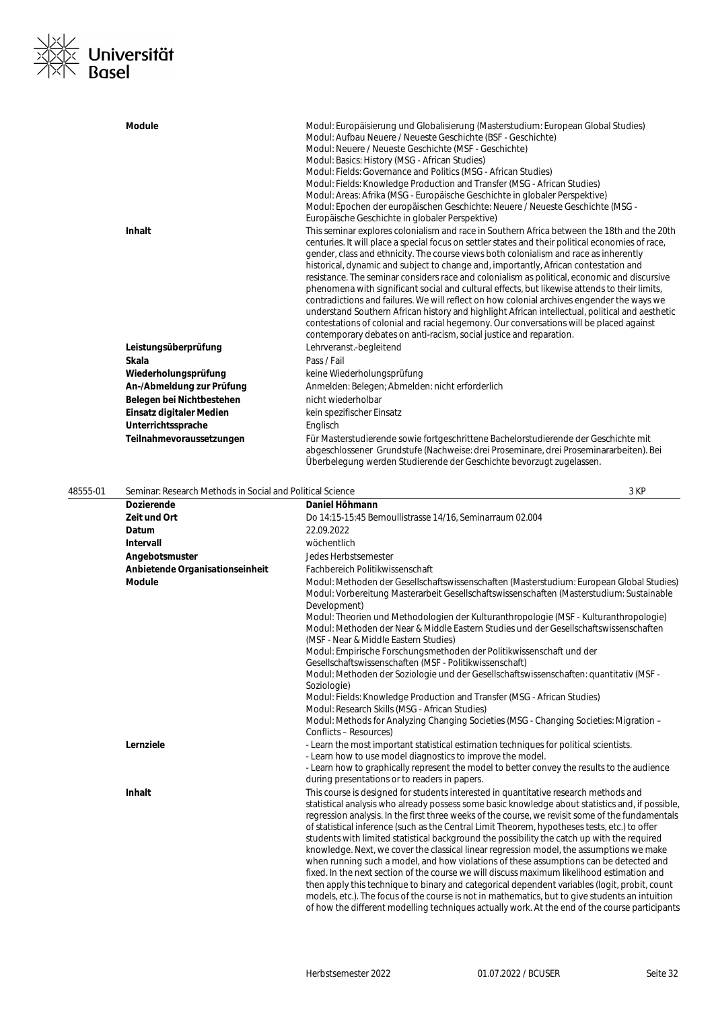

|          | <b>Module</b>                                             | Modul: Europäisierung und Globalisierung (Masterstudium: European Global Studies)<br>Modul: Aufbau Neuere / Neueste Geschichte (BSF - Geschichte)<br>Modul: Neuere / Neueste Geschichte (MSF - Geschichte)<br>Modul: Basics: History (MSG - African Studies)<br>Modul: Fields: Governance and Politics (MSG - African Studies)<br>Modul: Fields: Knowledge Production and Transfer (MSG - African Studies)<br>Modul: Areas: Afrika (MSG - Europäische Geschichte in globaler Perspektive)<br>Modul: Epochen der europäischen Geschichte: Neuere / Neueste Geschichte (MSG -<br>Europäische Geschichte in globaler Perspektive)                                                                                                                                                                                                                                                                                                                        |      |
|----------|-----------------------------------------------------------|-------------------------------------------------------------------------------------------------------------------------------------------------------------------------------------------------------------------------------------------------------------------------------------------------------------------------------------------------------------------------------------------------------------------------------------------------------------------------------------------------------------------------------------------------------------------------------------------------------------------------------------------------------------------------------------------------------------------------------------------------------------------------------------------------------------------------------------------------------------------------------------------------------------------------------------------------------|------|
|          | <b>Inhalt</b>                                             | This seminar explores colonialism and race in Southern Africa between the 18th and the 20th<br>centuries. It will place a special focus on settler states and their political economies of race,<br>gender, class and ethnicity. The course views both colonialism and race as inherently<br>historical, dynamic and subject to change and, importantly, African contestation and<br>resistance. The seminar considers race and colonialism as political, economic and discursive<br>phenomena with significant social and cultural effects, but likewise attends to their limits,<br>contradictions and failures. We will reflect on how colonial archives engender the ways we<br>understand Southern African history and highlight African intellectual, political and aesthetic<br>contestations of colonial and racial hegemony. Our conversations will be placed against<br>contemporary debates on anti-racism, social justice and reparation. |      |
|          | Leistungsüberprüfung                                      | Lehrveranst.-begleitend                                                                                                                                                                                                                                                                                                                                                                                                                                                                                                                                                                                                                                                                                                                                                                                                                                                                                                                               |      |
|          | Skala                                                     | Pass / Fail                                                                                                                                                                                                                                                                                                                                                                                                                                                                                                                                                                                                                                                                                                                                                                                                                                                                                                                                           |      |
|          | Wiederholungsprüfung                                      | keine Wiederholungsprüfung                                                                                                                                                                                                                                                                                                                                                                                                                                                                                                                                                                                                                                                                                                                                                                                                                                                                                                                            |      |
|          | An-/Abmeldung zur Prüfung                                 | Anmelden: Belegen; Abmelden: nicht erforderlich                                                                                                                                                                                                                                                                                                                                                                                                                                                                                                                                                                                                                                                                                                                                                                                                                                                                                                       |      |
|          | Belegen bei Nichtbestehen                                 | nicht wiederholbar                                                                                                                                                                                                                                                                                                                                                                                                                                                                                                                                                                                                                                                                                                                                                                                                                                                                                                                                    |      |
|          | Einsatz digitaler Medien                                  | kein spezifischer Einsatz                                                                                                                                                                                                                                                                                                                                                                                                                                                                                                                                                                                                                                                                                                                                                                                                                                                                                                                             |      |
|          | Unterrichtssprache                                        | Englisch                                                                                                                                                                                                                                                                                                                                                                                                                                                                                                                                                                                                                                                                                                                                                                                                                                                                                                                                              |      |
|          | Teilnahmevoraussetzungen                                  | Für Masterstudierende sowie fortgeschrittene Bachelorstudierende der Geschichte mit<br>abgeschlossener Grundstufe (Nachweise: drei Proseminare, drei Proseminararbeiten). Bei<br>Überbelegung werden Studierende der Geschichte bevorzugt zugelassen.                                                                                                                                                                                                                                                                                                                                                                                                                                                                                                                                                                                                                                                                                                 |      |
| 48555-01 | Seminar: Research Methods in Social and Political Science |                                                                                                                                                                                                                                                                                                                                                                                                                                                                                                                                                                                                                                                                                                                                                                                                                                                                                                                                                       | 3 KP |

| <b>Dozierende</b>               | Daniel Höhmann                                                                                                                                                                                                          |
|---------------------------------|-------------------------------------------------------------------------------------------------------------------------------------------------------------------------------------------------------------------------|
| Zeit und Ort                    | Do 14:15-15:45 Bernoullistrasse 14/16, Seminarraum 02.004                                                                                                                                                               |
| Datum                           | 22.09.2022                                                                                                                                                                                                              |
| Intervall                       | wöchentlich                                                                                                                                                                                                             |
| Angebotsmuster                  | Jedes Herbstsemester                                                                                                                                                                                                    |
| Anbietende Organisationseinheit | Fachbereich Politikwissenschaft                                                                                                                                                                                         |
| <b>Module</b>                   | Modul: Methoden der Gesellschaftswissenschaften (Masterstudium: European Global Studies)<br>Modul: Vorbereitung Masterarbeit Gesellschaftswissenschaften (Masterstudium: Sustainable<br>Development)                    |
|                                 | Modul: Theorien und Methodologien der Kulturanthropologie (MSF - Kulturanthropologie)<br>Modul: Methoden der Near & Middle Eastern Studies und der Gesellschaftswissenschaften<br>(MSF - Near & Middle Eastern Studies) |
|                                 | Modul: Empirische Forschungsmethoden der Politikwissenschaft und der<br>Gesellschaftswissenschaften (MSF - Politikwissenschaft)                                                                                         |
|                                 | Modul: Methoden der Soziologie und der Gesellschaftswissenschaften: quantitativ (MSF -<br>Soziologie)                                                                                                                   |
|                                 | Modul: Fields: Knowledge Production and Transfer (MSG - African Studies)<br>Modul: Research Skills (MSG - African Studies)                                                                                              |
|                                 | Modul: Methods for Analyzing Changing Societies (MSG - Changing Societies: Migration -<br>Conflicts - Resources)                                                                                                        |
| Lernziele                       | - Learn the most important statistical estimation techniques for political scientists.<br>- Learn how to use model diagnostics to improve the model.                                                                    |
|                                 | - Learn how to graphically represent the model to better convey the results to the audience<br>during presentations or to readers in papers.                                                                            |
| <b>Inhalt</b>                   | This course is designed for students interested in quantitative research methods and<br>statistical analysis who already possess some basic knowledge about statistics and, if possible,                                |
|                                 | regression analysis. In the first three weeks of the course, we revisit some of the fundamentals<br>of statistical inference (such as the Central Limit Theorem, hypotheses tests, etc.) to offer                       |
|                                 | students with limited statistical background the possibility the catch up with the required                                                                                                                             |
|                                 | knowledge. Next, we cover the classical linear regression model, the assumptions we make                                                                                                                                |
|                                 | when running such a model, and how violations of these assumptions can be detected and                                                                                                                                  |
|                                 | fixed. In the next section of the course we will discuss maximum likelihood estimation and                                                                                                                              |
|                                 | then apply this technique to binary and categorical dependent variables (logit, probit, count                                                                                                                           |
|                                 | models, etc.). The focus of the course is not in mathematics, but to give students an intuition                                                                                                                         |
|                                 | of how the different modelling techniques actually work. At the end of the course participants                                                                                                                          |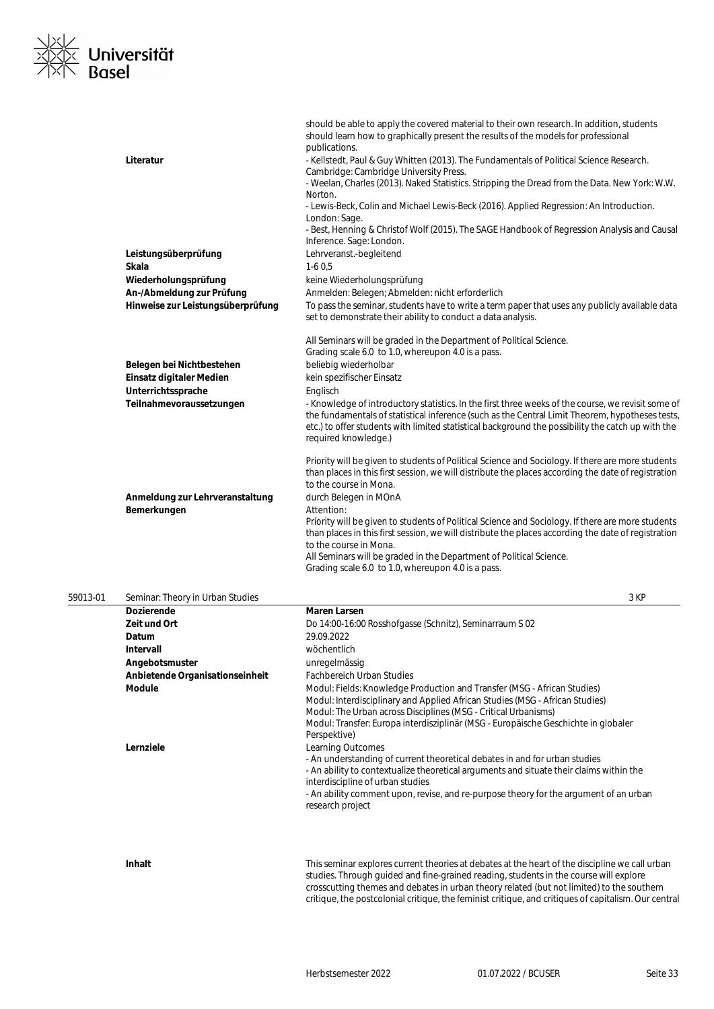

|                                                | should be able to apply the covered material to their own research. In addition, students<br>should learn how to graphically present the results of the models for professional<br>publications.                                   |
|------------------------------------------------|------------------------------------------------------------------------------------------------------------------------------------------------------------------------------------------------------------------------------------|
| Literatur                                      | - Kellstedt, Paul & Guy Whitten (2013). The Fundamentals of Political Science Research.<br>Cambridge: Cambridge University Press.                                                                                                  |
|                                                | - Weelan, Charles (2013). Naked Statistics. Stripping the Dread from the Data. New York: W.W.<br>Norton.                                                                                                                           |
|                                                | - Lewis-Beck, Colin and Michael Lewis-Beck (2016). Applied Regression: An Introduction.<br>London: Sage.                                                                                                                           |
|                                                | - Best, Henning & Christof Wolf (2015). The SAGE Handbook of Regression Analysis and Causal<br>Inference. Sage: London.                                                                                                            |
| Leistungsüberprüfung                           | Lehrveranst.-begleitend                                                                                                                                                                                                            |
| Skala                                          | $1-60.5$                                                                                                                                                                                                                           |
| Wiederholungsprüfung                           | keine Wiederholungsprüfung                                                                                                                                                                                                         |
| An-/Abmeldung zur Prüfung                      | Anmelden: Belegen; Abmelden: nicht erforderlich                                                                                                                                                                                    |
| Hinweise zur Leistungsüberprüfung              | To pass the seminar, students have to write a term paper that uses any publicly available data                                                                                                                                     |
|                                                | set to demonstrate their ability to conduct a data analysis.                                                                                                                                                                       |
|                                                | All Seminars will be graded in the Department of Political Science.                                                                                                                                                                |
|                                                | Grading scale 6.0 to 1.0, whereupon 4.0 is a pass.                                                                                                                                                                                 |
| Belegen bei Nichtbestehen                      | beliebig wiederholbar                                                                                                                                                                                                              |
| Einsatz digitaler Medien                       | kein spezifischer Einsatz                                                                                                                                                                                                          |
| Unterrichtssprache<br>Teilnahmevoraussetzungen | Englisch<br>- Knowledge of introductory statistics. In the first three weeks of the course, we revisit some of                                                                                                                     |
|                                                | the fundamentals of statistical inference (such as the Central Limit Theorem, hypotheses tests,<br>etc.) to offer students with limited statistical background the possibility the catch up with the<br>required knowledge.)       |
|                                                | Priority will be given to students of Political Science and Sociology. If there are more students<br>than places in this first session, we will distribute the places according the date of registration<br>to the course in Mona. |
| Anmeldung zur Lehrveranstaltung                | durch Belegen in MOnA                                                                                                                                                                                                              |
| Bemerkungen                                    | Attention:                                                                                                                                                                                                                         |
|                                                | Priority will be given to students of Political Science and Sociology. If there are more students<br>than places in this first session, we will distribute the places according the date of registration<br>to the course in Mona. |
|                                                | All Seminars will be graded in the Department of Political Science.                                                                                                                                                                |
|                                                | Grading scale 6.0 to 1.0, whereupon 4.0 is a pass.                                                                                                                                                                                 |

| 59013-01 | Seminar: Theory in Urban Studies |                                                                                                                                                                                                                                                                                                                                             | 3 KP |
|----------|----------------------------------|---------------------------------------------------------------------------------------------------------------------------------------------------------------------------------------------------------------------------------------------------------------------------------------------------------------------------------------------|------|
|          | <b>Dozierende</b>                | <b>Maren Larsen</b>                                                                                                                                                                                                                                                                                                                         |      |
|          | Zeit und Ort                     | Do 14:00-16:00 Rosshofgasse (Schnitz), Seminarraum S 02                                                                                                                                                                                                                                                                                     |      |
|          | Datum                            | 29.09.2022                                                                                                                                                                                                                                                                                                                                  |      |
|          | Intervall                        | wöchentlich                                                                                                                                                                                                                                                                                                                                 |      |
|          | Angebotsmuster                   | unregelmässig                                                                                                                                                                                                                                                                                                                               |      |
|          | Anbietende Organisationseinheit  | <b>Fachbereich Urban Studies</b>                                                                                                                                                                                                                                                                                                            |      |
|          | <b>Module</b>                    | Modul: Fields: Knowledge Production and Transfer (MSG - African Studies)<br>Modul: Interdisciplinary and Applied African Studies (MSG - African Studies)<br>Modul: The Urban across Disciplines (MSG - Critical Urbanisms)<br>Modul: Transfer: Europa interdisziplinär (MSG - Europäische Geschichte in globaler<br>Perspektive)            |      |
|          | Lernziele                        | Learning Outcomes<br>- An understanding of current theoretical debates in and for urban studies<br>- An ability to contextualize theoretical arguments and situate their claims within the<br>interdiscipline of urban studies<br>- An ability comment upon, revise, and re-purpose theory for the argument of an urban<br>research project |      |
|          | Inhalt                           | This seminar explores current theories at debates at the heart of the discipline we call urban                                                                                                                                                                                                                                              |      |

studies. Through guided and fine-grained reading, students in the course will explore crosscutting themes and debates in urban theory related (but not limited) to the southern critique, the postcolonial critique, the feminist critique, and critiques of capitalism. Our central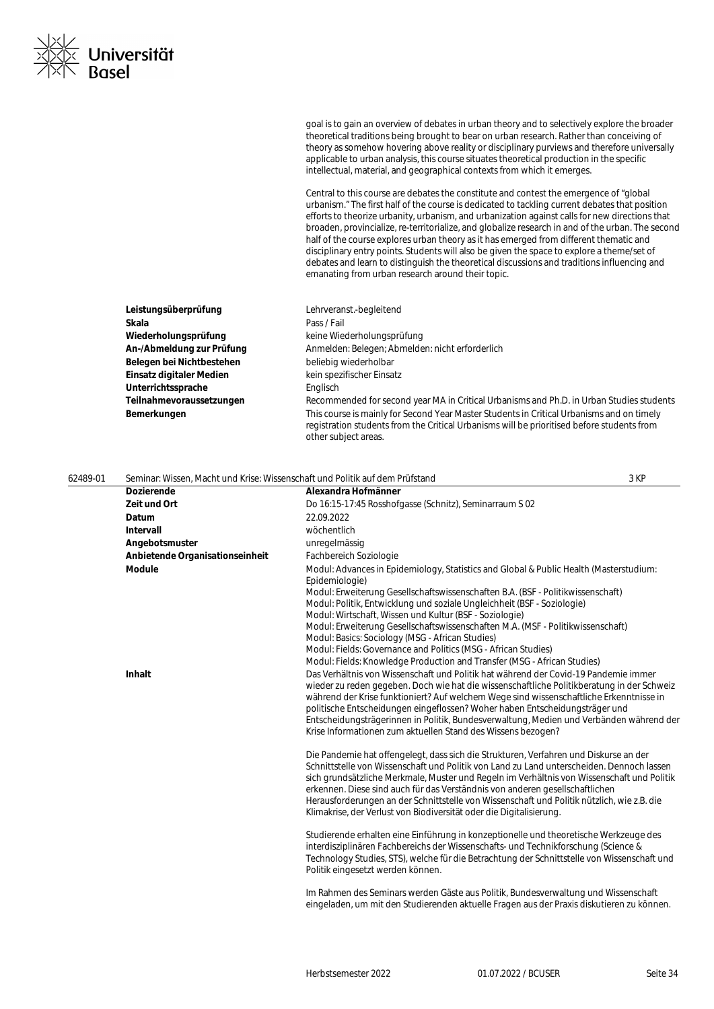goal is to gain an overview of debates in urban theory and to selectively explore the broader theoretical traditions being brought to bear on urban research. Rather than conceiving of theory as somehow hovering above reality or disciplinary purviews and therefore universally applicable to urban analysis, this course situates theoretical production in the specific intellectual, material, and geographical contexts from which it emerges.

Central to this course are debates the constitute and contest the emergence of "global urbanism." The first half of the course is dedicated to tackling current debates that position efforts to theorize urbanity, urbanism, and urbanization against calls for new directions that broaden, provincialize, re-territorialize, and globalize research in and of the urban. The second half of the course explores urban theory as it has emerged from different thematic and disciplinary entry points. Students will also be given the space to explore a theme/set of debates and learn to distinguish the theoretical discussions and traditions influencing and emanating from urban research around their topic.

| Leistungsüberprüfung      | Lehrveranst.-begleitend                                                                                                                                                                                         |
|---------------------------|-----------------------------------------------------------------------------------------------------------------------------------------------------------------------------------------------------------------|
| Skala                     | Pass / Fail                                                                                                                                                                                                     |
| Wiederholungsprüfung      | keine Wiederholungsprüfung                                                                                                                                                                                      |
| An-/Abmeldung zur Prüfung | Anmelden: Belegen; Abmelden: nicht erforderlich                                                                                                                                                                 |
| Belegen bei Nichtbestehen | beliebig wiederholbar                                                                                                                                                                                           |
| Einsatz digitaler Medien  | kein spezifischer Einsatz                                                                                                                                                                                       |
| Unterrichtssprache        | Englisch                                                                                                                                                                                                        |
| Teilnahmevoraussetzungen  | Recommended for second year MA in Critical Urbanisms and Ph.D. in Urban Studies students                                                                                                                        |
| Bemerkungen               | This course is mainly for Second Year Master Students in Critical Urbanisms and on timely<br>registration students from the Critical Urbanisms will be prioritised before students from<br>other subject areas. |

| 62489-01 | Seminar: Wissen, Macht und Krise: Wissenschaft und Politik auf dem Prüfstand |                                                                                                                                                                                                                        | 3 KP |
|----------|------------------------------------------------------------------------------|------------------------------------------------------------------------------------------------------------------------------------------------------------------------------------------------------------------------|------|
|          | <b>Dozierende</b>                                                            | Alexandra Hofmänner                                                                                                                                                                                                    |      |
|          | Zeit und Ort                                                                 | Do 16:15-17:45 Rosshofgasse (Schnitz), Seminarraum S 02                                                                                                                                                                |      |
|          | Datum                                                                        | 22.09.2022                                                                                                                                                                                                             |      |
|          | <b>Intervall</b>                                                             | wöchentlich                                                                                                                                                                                                            |      |
|          | Angebotsmuster                                                               | unregelmässig                                                                                                                                                                                                          |      |
|          | Anbietende Organisationseinheit                                              | Fachbereich Soziologie                                                                                                                                                                                                 |      |
|          | <b>Module</b>                                                                | Modul: Advances in Epidemiology, Statistics and Global & Public Health (Masterstudium:<br>Epidemiologie)                                                                                                               |      |
|          |                                                                              | Modul: Erweiterung Gesellschaftswissenschaften B.A. (BSF - Politikwissenschaft)<br>Modul: Politik, Entwicklung und soziale Ungleichheit (BSF - Soziologie)                                                             |      |
|          |                                                                              | Modul: Wirtschaft, Wissen und Kultur (BSF - Soziologie)                                                                                                                                                                |      |
|          |                                                                              | Modul: Erweiterung Gesellschaftswissenschaften M.A. (MSF - Politikwissenschaft)                                                                                                                                        |      |
|          |                                                                              | Modul: Basics: Sociology (MSG - African Studies)                                                                                                                                                                       |      |
|          |                                                                              | Modul: Fields: Governance and Politics (MSG - African Studies)                                                                                                                                                         |      |
|          |                                                                              | Modul: Fields: Knowledge Production and Transfer (MSG - African Studies)                                                                                                                                               |      |
|          | Inhalt                                                                       | Das Verhältnis von Wissenschaft und Politik hat während der Covid-19 Pandemie immer                                                                                                                                    |      |
|          |                                                                              | wieder zu reden gegeben. Doch wie hat die wissenschaftliche Politikberatung in der Schweiz<br>während der Krise funktioniert? Auf welchem Wege sind wissenschaftliche Erkenntnisse in                                  |      |
|          |                                                                              | politische Entscheidungen eingeflossen? Woher haben Entscheidungsträger und                                                                                                                                            |      |
|          |                                                                              | Entscheidungsträgerinnen in Politik, Bundesverwaltung, Medien und Verbänden während der                                                                                                                                |      |
|          |                                                                              | Krise Informationen zum aktuellen Stand des Wissens bezogen?                                                                                                                                                           |      |
|          |                                                                              | Die Pandemie hat offengelegt, dass sich die Strukturen, Verfahren und Diskurse an der                                                                                                                                  |      |
|          |                                                                              | Schnittstelle von Wissenschaft und Politik von Land zu Land unterscheiden. Dennoch lassen                                                                                                                              |      |
|          |                                                                              | sich grundsätzliche Merkmale, Muster und Regeln im Verhältnis von Wissenschaft und Politik<br>erkennen. Diese sind auch für das Verständnis von anderen gesellschaftlichen                                             |      |
|          |                                                                              | Herausforderungen an der Schnittstelle von Wissenschaft und Politik nützlich, wie z.B. die                                                                                                                             |      |
|          |                                                                              | Klimakrise, der Verlust von Biodiversität oder die Digitalisierung.                                                                                                                                                    |      |
|          |                                                                              | Studierende erhalten eine Einführung in konzeptionelle und theoretische Werkzeuge des                                                                                                                                  |      |
|          |                                                                              | interdisziplinären Fachbereichs der Wissenschafts- und Technikforschung (Science &<br>Technology Studies, STS), welche für die Betrachtung der Schnittstelle von Wissenschaft und<br>Politik eingesetzt werden können. |      |
|          |                                                                              | Im Rahmen des Seminars werden Gäste aus Politik, Bundesverwaltung und Wissenschaft                                                                                                                                     |      |
|          |                                                                              | eingeladen, um mit den Studierenden aktuelle Fragen aus der Praxis diskutieren zu können.                                                                                                                              |      |
|          |                                                                              |                                                                                                                                                                                                                        |      |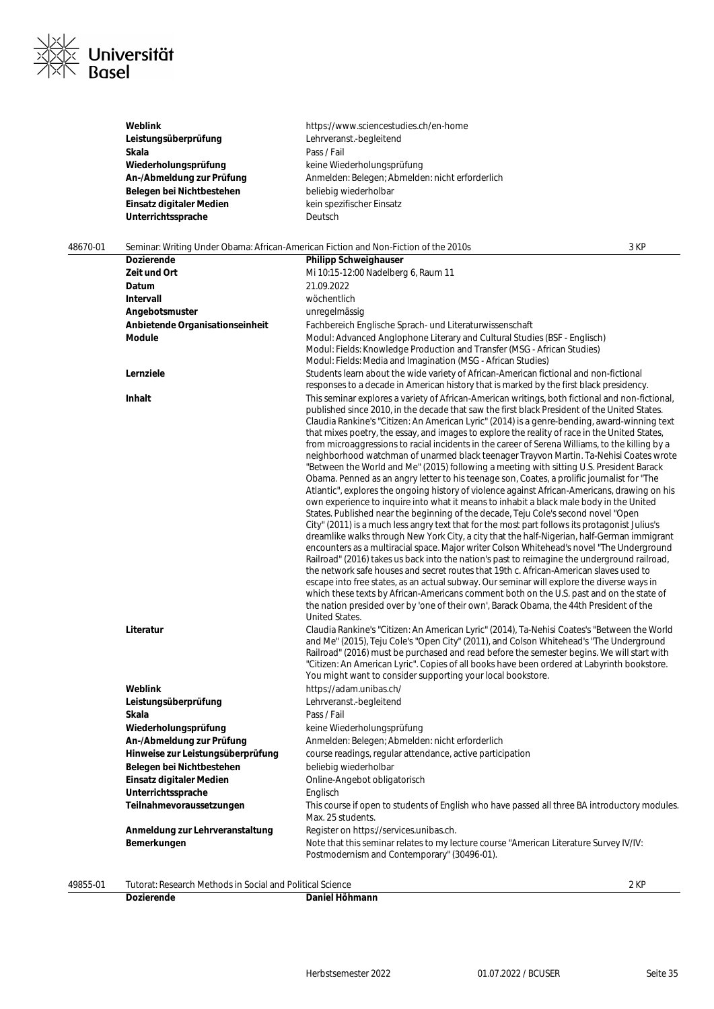

|          | Weblink                         | https://www.sciencestudies.ch/en-home                                                                                                                                                                                                                                                                                                                                                                                                                                                                                                                                                                                                                                                                                                                                                                                                                                                                                                                                                                                                                                                                                                                                                                                                                                                                                                                                                                                                                                                                                                                                                                                                                                                                                                                                                                                                                                            |      |
|----------|---------------------------------|----------------------------------------------------------------------------------------------------------------------------------------------------------------------------------------------------------------------------------------------------------------------------------------------------------------------------------------------------------------------------------------------------------------------------------------------------------------------------------------------------------------------------------------------------------------------------------------------------------------------------------------------------------------------------------------------------------------------------------------------------------------------------------------------------------------------------------------------------------------------------------------------------------------------------------------------------------------------------------------------------------------------------------------------------------------------------------------------------------------------------------------------------------------------------------------------------------------------------------------------------------------------------------------------------------------------------------------------------------------------------------------------------------------------------------------------------------------------------------------------------------------------------------------------------------------------------------------------------------------------------------------------------------------------------------------------------------------------------------------------------------------------------------------------------------------------------------------------------------------------------------|------|
|          | Leistungsüberprüfung            | Lehrveranst.-begleitend                                                                                                                                                                                                                                                                                                                                                                                                                                                                                                                                                                                                                                                                                                                                                                                                                                                                                                                                                                                                                                                                                                                                                                                                                                                                                                                                                                                                                                                                                                                                                                                                                                                                                                                                                                                                                                                          |      |
|          | Skala                           | Pass / Fail                                                                                                                                                                                                                                                                                                                                                                                                                                                                                                                                                                                                                                                                                                                                                                                                                                                                                                                                                                                                                                                                                                                                                                                                                                                                                                                                                                                                                                                                                                                                                                                                                                                                                                                                                                                                                                                                      |      |
|          | Wiederholungsprüfung            | keine Wiederholungsprüfung                                                                                                                                                                                                                                                                                                                                                                                                                                                                                                                                                                                                                                                                                                                                                                                                                                                                                                                                                                                                                                                                                                                                                                                                                                                                                                                                                                                                                                                                                                                                                                                                                                                                                                                                                                                                                                                       |      |
|          | An-/Abmeldung zur Prüfung       | Anmelden: Belegen; Abmelden: nicht erforderlich                                                                                                                                                                                                                                                                                                                                                                                                                                                                                                                                                                                                                                                                                                                                                                                                                                                                                                                                                                                                                                                                                                                                                                                                                                                                                                                                                                                                                                                                                                                                                                                                                                                                                                                                                                                                                                  |      |
|          | Belegen bei Nichtbestehen       | beliebig wiederholbar                                                                                                                                                                                                                                                                                                                                                                                                                                                                                                                                                                                                                                                                                                                                                                                                                                                                                                                                                                                                                                                                                                                                                                                                                                                                                                                                                                                                                                                                                                                                                                                                                                                                                                                                                                                                                                                            |      |
|          | Einsatz digitaler Medien        | kein spezifischer Einsatz                                                                                                                                                                                                                                                                                                                                                                                                                                                                                                                                                                                                                                                                                                                                                                                                                                                                                                                                                                                                                                                                                                                                                                                                                                                                                                                                                                                                                                                                                                                                                                                                                                                                                                                                                                                                                                                        |      |
|          | Unterrichtssprache              | Deutsch                                                                                                                                                                                                                                                                                                                                                                                                                                                                                                                                                                                                                                                                                                                                                                                                                                                                                                                                                                                                                                                                                                                                                                                                                                                                                                                                                                                                                                                                                                                                                                                                                                                                                                                                                                                                                                                                          |      |
|          |                                 |                                                                                                                                                                                                                                                                                                                                                                                                                                                                                                                                                                                                                                                                                                                                                                                                                                                                                                                                                                                                                                                                                                                                                                                                                                                                                                                                                                                                                                                                                                                                                                                                                                                                                                                                                                                                                                                                                  |      |
| 48670-01 |                                 | Seminar: Writing Under Obama: African-American Fiction and Non-Fiction of the 2010s                                                                                                                                                                                                                                                                                                                                                                                                                                                                                                                                                                                                                                                                                                                                                                                                                                                                                                                                                                                                                                                                                                                                                                                                                                                                                                                                                                                                                                                                                                                                                                                                                                                                                                                                                                                              | 3 KP |
|          | <b>Dozierende</b>               | <b>Philipp Schweighauser</b>                                                                                                                                                                                                                                                                                                                                                                                                                                                                                                                                                                                                                                                                                                                                                                                                                                                                                                                                                                                                                                                                                                                                                                                                                                                                                                                                                                                                                                                                                                                                                                                                                                                                                                                                                                                                                                                     |      |
|          | Zeit und Ort                    | Mi 10:15-12:00 Nadelberg 6, Raum 11                                                                                                                                                                                                                                                                                                                                                                                                                                                                                                                                                                                                                                                                                                                                                                                                                                                                                                                                                                                                                                                                                                                                                                                                                                                                                                                                                                                                                                                                                                                                                                                                                                                                                                                                                                                                                                              |      |
|          | Datum                           | 21.09.2022                                                                                                                                                                                                                                                                                                                                                                                                                                                                                                                                                                                                                                                                                                                                                                                                                                                                                                                                                                                                                                                                                                                                                                                                                                                                                                                                                                                                                                                                                                                                                                                                                                                                                                                                                                                                                                                                       |      |
|          | Intervall                       | wöchentlich                                                                                                                                                                                                                                                                                                                                                                                                                                                                                                                                                                                                                                                                                                                                                                                                                                                                                                                                                                                                                                                                                                                                                                                                                                                                                                                                                                                                                                                                                                                                                                                                                                                                                                                                                                                                                                                                      |      |
|          | Angebotsmuster                  | unregelmässig                                                                                                                                                                                                                                                                                                                                                                                                                                                                                                                                                                                                                                                                                                                                                                                                                                                                                                                                                                                                                                                                                                                                                                                                                                                                                                                                                                                                                                                                                                                                                                                                                                                                                                                                                                                                                                                                    |      |
|          | Anbietende Organisationseinheit | Fachbereich Englische Sprach- und Literaturwissenschaft                                                                                                                                                                                                                                                                                                                                                                                                                                                                                                                                                                                                                                                                                                                                                                                                                                                                                                                                                                                                                                                                                                                                                                                                                                                                                                                                                                                                                                                                                                                                                                                                                                                                                                                                                                                                                          |      |
|          | Module                          | Modul: Advanced Anglophone Literary and Cultural Studies (BSF - Englisch)<br>Modul: Fields: Knowledge Production and Transfer (MSG - African Studies)                                                                                                                                                                                                                                                                                                                                                                                                                                                                                                                                                                                                                                                                                                                                                                                                                                                                                                                                                                                                                                                                                                                                                                                                                                                                                                                                                                                                                                                                                                                                                                                                                                                                                                                            |      |
|          |                                 | Modul: Fields: Media and Imagination (MSG - African Studies)                                                                                                                                                                                                                                                                                                                                                                                                                                                                                                                                                                                                                                                                                                                                                                                                                                                                                                                                                                                                                                                                                                                                                                                                                                                                                                                                                                                                                                                                                                                                                                                                                                                                                                                                                                                                                     |      |
|          | Lernziele                       | Students learn about the wide variety of African-American fictional and non-fictional<br>responses to a decade in American history that is marked by the first black presidency.                                                                                                                                                                                                                                                                                                                                                                                                                                                                                                                                                                                                                                                                                                                                                                                                                                                                                                                                                                                                                                                                                                                                                                                                                                                                                                                                                                                                                                                                                                                                                                                                                                                                                                 |      |
|          | Inhalt                          | This seminar explores a variety of African-American writings, both fictional and non-fictional,<br>published since 2010, in the decade that saw the first black President of the United States.<br>Claudia Rankine's "Citizen: An American Lyric" (2014) is a genre-bending, award-winning text<br>that mixes poetry, the essay, and images to explore the reality of race in the United States,<br>from microaggressions to racial incidents in the career of Serena Williams, to the killing by a<br>neighborhood watchman of unarmed black teenager Trayvon Martin. Ta-Nehisi Coates wrote<br>"Between the World and Me" (2015) following a meeting with sitting U.S. President Barack<br>Obama. Penned as an angry letter to his teenage son, Coates, a prolific journalist for "The<br>Atlantic", explores the ongoing history of violence against African-Americans, drawing on his<br>own experience to inquire into what it means to inhabit a black male body in the United<br>States. Published near the beginning of the decade, Teju Cole's second novel "Open<br>City" (2011) is a much less angry text that for the most part follows its protagonist Julius's<br>dreamlike walks through New York City, a city that the half-Nigerian, half-German immigrant<br>encounters as a multiracial space. Major writer Colson Whitehead's novel "The Underground<br>Railroad" (2016) takes us back into the nation's past to reimagine the underground railroad,<br>the network safe houses and secret routes that 19th c. African-American slaves used to<br>escape into free states, as an actual subway. Our seminar will explore the diverse ways in<br>which these texts by African-Americans comment both on the U.S. past and on the state of<br>the nation presided over by 'one of their own', Barack Obama, the 44th President of the<br><b>United States.</b> |      |
|          | Literatur                       | Claudia Rankine's "Citizen: An American Lyric" (2014), Ta-Nehisi Coates's "Between the World<br>and Me" (2015), Teju Cole's "Open City" (2011), and Colson Whitehead's "The Underground<br>Railroad" (2016) must be purchased and read before the semester begins. We will start with<br>"Citizen: An American Lyric". Copies of all books have been ordered at Labyrinth bookstore.<br>You might want to consider supporting your local bookstore.                                                                                                                                                                                                                                                                                                                                                                                                                                                                                                                                                                                                                                                                                                                                                                                                                                                                                                                                                                                                                                                                                                                                                                                                                                                                                                                                                                                                                              |      |
|          | Weblink                         | https://adam.unibas.ch/                                                                                                                                                                                                                                                                                                                                                                                                                                                                                                                                                                                                                                                                                                                                                                                                                                                                                                                                                                                                                                                                                                                                                                                                                                                                                                                                                                                                                                                                                                                                                                                                                                                                                                                                                                                                                                                          |      |
|          | Leistungsüberprüfung            | Lehrveranst.-begleitend                                                                                                                                                                                                                                                                                                                                                                                                                                                                                                                                                                                                                                                                                                                                                                                                                                                                                                                                                                                                                                                                                                                                                                                                                                                                                                                                                                                                                                                                                                                                                                                                                                                                                                                                                                                                                                                          |      |

| Weblink                           | https://adam.unibas.ch/                                                                                                               |
|-----------------------------------|---------------------------------------------------------------------------------------------------------------------------------------|
| Leistungsüberprüfung              | Lehrveranst.-begleitend                                                                                                               |
| Skala                             | Pass / Fail                                                                                                                           |
| Wiederholungsprüfung              | keine Wiederholungsprüfung                                                                                                            |
| An-/Abmeldung zur Prüfung         | Anmelden: Belegen; Abmelden: nicht erforderlich                                                                                       |
| Hinweise zur Leistungsüberprüfung | course readings, regular attendance, active participation                                                                             |
| Belegen bei Nichtbestehen         | beliebig wiederholbar                                                                                                                 |
| Einsatz digitaler Medien          | Online-Angebot obligatorisch                                                                                                          |
| Unterrichtssprache                | Englisch                                                                                                                              |
| Teilnahmevoraussetzungen          | This course if open to students of English who have passed all three BA introductory modules.<br>Max. 25 students.                    |
| Anmeldung zur Lehrveranstaltung   | Register on https://services.unibas.ch.                                                                                               |
| Bemerkungen                       | Note that this seminar relates to my lecture course "American Literature Survey IV/IV:<br>Postmodernism and Contemporary" (30496-01). |
|                                   |                                                                                                                                       |

49855-01 Tutorat: Research Methods in Social and Political Science 2 KP

```
Dozierende Daniel Höhmann
```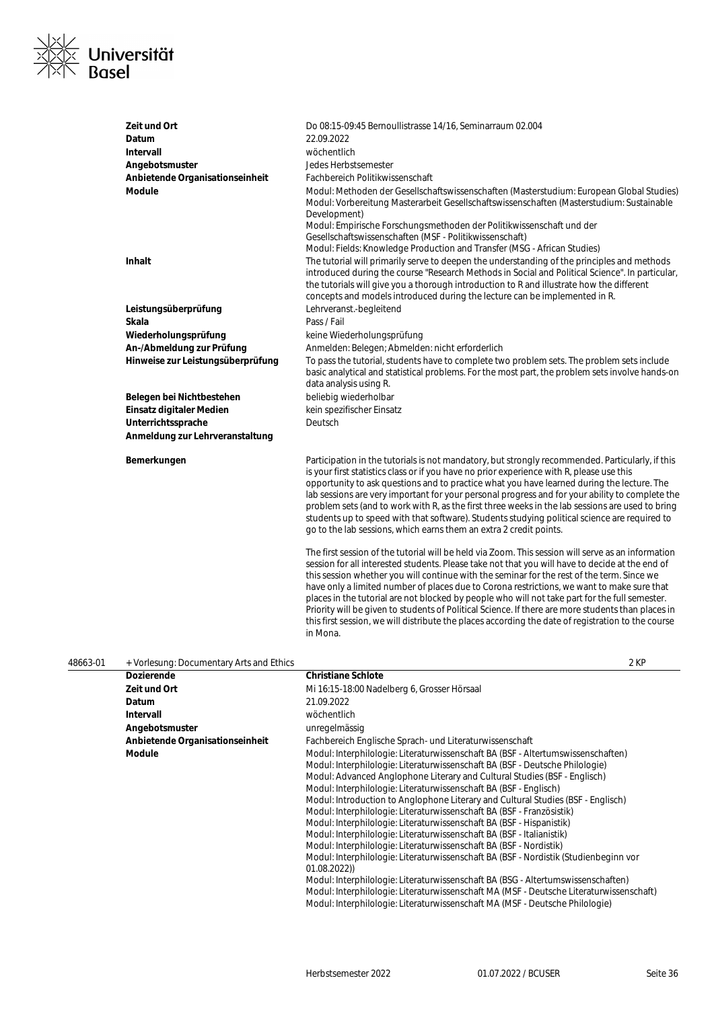

| Zeit und Ort<br>Datum<br>Intervall<br>Angebotsmuster<br>Anbietende Organisationseinheit<br>Module | Do 08:15-09:45 Bernoullistrasse 14/16, Seminarraum 02.004<br>22.09.2022<br>wöchentlich<br>Jedes Herbstsemester<br>Fachbereich Politikwissenschaft<br>Modul: Methoden der Gesellschaftswissenschaften (Masterstudium: European Global Studies)<br>Modul: Vorbereitung Masterarbeit Gesellschaftswissenschaften (Masterstudium: Sustainable<br>Development)<br>Modul: Empirische Forschungsmethoden der Politikwissenschaft und der<br>Gesellschaftswissenschaften (MSF - Politikwissenschaft)                                                                                                                                                                                                                                |
|---------------------------------------------------------------------------------------------------|-----------------------------------------------------------------------------------------------------------------------------------------------------------------------------------------------------------------------------------------------------------------------------------------------------------------------------------------------------------------------------------------------------------------------------------------------------------------------------------------------------------------------------------------------------------------------------------------------------------------------------------------------------------------------------------------------------------------------------|
| <b>Inhalt</b>                                                                                     | Modul: Fields: Knowledge Production and Transfer (MSG - African Studies)<br>The tutorial will primarily serve to deepen the understanding of the principles and methods<br>introduced during the course "Research Methods in Social and Political Science". In particular,<br>the tutorials will give you a thorough introduction to R and illustrate how the different<br>concepts and models introduced during the lecture can be implemented in R.                                                                                                                                                                                                                                                                       |
| Leistungsüberprüfung                                                                              | Lehrveranst.-begleitend                                                                                                                                                                                                                                                                                                                                                                                                                                                                                                                                                                                                                                                                                                     |
| <b>Skala</b>                                                                                      | Pass / Fail                                                                                                                                                                                                                                                                                                                                                                                                                                                                                                                                                                                                                                                                                                                 |
| Wiederholungsprüfung                                                                              | keine Wiederholungsprüfung                                                                                                                                                                                                                                                                                                                                                                                                                                                                                                                                                                                                                                                                                                  |
| An-/Abmeldung zur Prüfung                                                                         | Anmelden: Belegen; Abmelden: nicht erforderlich                                                                                                                                                                                                                                                                                                                                                                                                                                                                                                                                                                                                                                                                             |
| Hinweise zur Leistungsüberprüfung                                                                 | To pass the tutorial, students have to complete two problem sets. The problem sets include<br>basic analytical and statistical problems. For the most part, the problem sets involve hands-on<br>data analysis using R.                                                                                                                                                                                                                                                                                                                                                                                                                                                                                                     |
| Belegen bei Nichtbestehen                                                                         | beliebig wiederholbar                                                                                                                                                                                                                                                                                                                                                                                                                                                                                                                                                                                                                                                                                                       |
| Einsatz digitaler Medien                                                                          | kein spezifischer Einsatz                                                                                                                                                                                                                                                                                                                                                                                                                                                                                                                                                                                                                                                                                                   |
| Unterrichtssprache                                                                                | Deutsch                                                                                                                                                                                                                                                                                                                                                                                                                                                                                                                                                                                                                                                                                                                     |
| Anmeldung zur Lehrveranstaltung                                                                   |                                                                                                                                                                                                                                                                                                                                                                                                                                                                                                                                                                                                                                                                                                                             |
|                                                                                                   |                                                                                                                                                                                                                                                                                                                                                                                                                                                                                                                                                                                                                                                                                                                             |
| Bemerkungen                                                                                       | Participation in the tutorials is not mandatory, but strongly recommended. Particularly, if this<br>is your first statistics class or if you have no prior experience with R, please use this<br>opportunity to ask questions and to practice what you have learned during the lecture. The<br>lab sessions are very important for your personal progress and for your ability to complete the<br>problem sets (and to work with R, as the first three weeks in the lab sessions are used to bring<br>students up to speed with that software). Students studying political science are required to<br>go to the lab sessions, which earns them an extra 2 credit points.                                                   |
|                                                                                                   | The first session of the tutorial will be held via Zoom. This session will serve as an information<br>session for all interested students. Please take not that you will have to decide at the end of<br>this session whether you will continue with the seminar for the rest of the term. Since we<br>have only a limited number of places due to Corona restrictions, we want to make sure that<br>places in the tutorial are not blocked by people who will not take part for the full semester.<br>Priority will be given to students of Political Science. If there are more students than places in<br>this first session, we will distribute the places according the date of registration to the course<br>in Mona. |

| 48663-01 | + Vorlesung: Documentary Arts and Ethics |                                                                                                                                                                                                                                                                                                                                                                                                                                                                                                                                                                                                                                                                                                                                                                                                                                                                                                                                                                                                                                                                              | 2 KP |
|----------|------------------------------------------|------------------------------------------------------------------------------------------------------------------------------------------------------------------------------------------------------------------------------------------------------------------------------------------------------------------------------------------------------------------------------------------------------------------------------------------------------------------------------------------------------------------------------------------------------------------------------------------------------------------------------------------------------------------------------------------------------------------------------------------------------------------------------------------------------------------------------------------------------------------------------------------------------------------------------------------------------------------------------------------------------------------------------------------------------------------------------|------|
|          | <b>Dozierende</b>                        | <b>Christiane Schlote</b>                                                                                                                                                                                                                                                                                                                                                                                                                                                                                                                                                                                                                                                                                                                                                                                                                                                                                                                                                                                                                                                    |      |
|          | Zeit und Ort                             | Mi 16:15-18:00 Nadelberg 6, Grosser Hörsaal                                                                                                                                                                                                                                                                                                                                                                                                                                                                                                                                                                                                                                                                                                                                                                                                                                                                                                                                                                                                                                  |      |
|          | Datum                                    | 21.09.2022                                                                                                                                                                                                                                                                                                                                                                                                                                                                                                                                                                                                                                                                                                                                                                                                                                                                                                                                                                                                                                                                   |      |
|          | Intervall                                | wöchentlich                                                                                                                                                                                                                                                                                                                                                                                                                                                                                                                                                                                                                                                                                                                                                                                                                                                                                                                                                                                                                                                                  |      |
|          | Angebotsmuster                           | unregelmässig                                                                                                                                                                                                                                                                                                                                                                                                                                                                                                                                                                                                                                                                                                                                                                                                                                                                                                                                                                                                                                                                |      |
|          | Anbietende Organisationseinheit          | Fachbereich Englische Sprach- und Literaturwissenschaft                                                                                                                                                                                                                                                                                                                                                                                                                                                                                                                                                                                                                                                                                                                                                                                                                                                                                                                                                                                                                      |      |
|          | <b>Module</b>                            | Modul: Interphilologie: Literaturwissenschaft BA (BSF - Altertumswissenschaften)<br>Modul: Interphilologie: Literaturwissenschaft BA (BSF - Deutsche Philologie)<br>Modul: Advanced Anglophone Literary and Cultural Studies (BSF - Englisch)<br>Modul: Interphilologie: Literaturwissenschaft BA (BSF - Englisch)<br>Modul: Introduction to Anglophone Literary and Cultural Studies (BSF - Englisch)<br>Modul: Interphilologie: Literaturwissenschaft BA (BSF - Französistik)<br>Modul: Interphilologie: Literaturwissenschaft BA (BSF - Hispanistik)<br>Modul: Interphilologie: Literaturwissenschaft BA (BSF - Italianistik)<br>Modul: Interphilologie: Literaturwissenschaft BA (BSF - Nordistik)<br>Modul: Interphilologie: Literaturwissenschaft BA (BSF - Nordistik (Studienbeginn vor<br>01.08.2022)<br>Modul: Interphilologie: Literaturwissenschaft BA (BSG - Altertumswissenschaften)<br>Modul: Interphilologie: Literaturwissenschaft MA (MSF - Deutsche Literaturwissenschaft)<br>Modul: Interphilologie: Literaturwissenschaft MA (MSF - Deutsche Philologie) |      |

 $\overline{\phantom{0}}$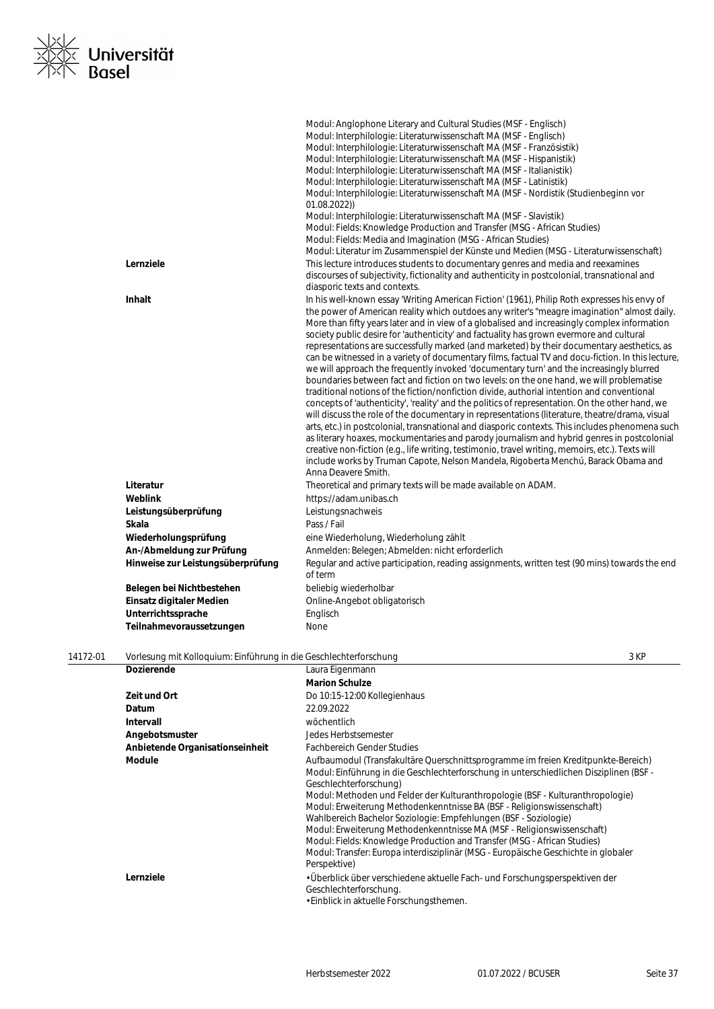

|                                   | Modul: Anglophone Literary and Cultural Studies (MSF - Englisch)<br>Modul: Interphilologie: Literaturwissenschaft MA (MSF - Englisch)<br>Modul: Interphilologie: Literaturwissenschaft MA (MSF - Französistik)<br>Modul: Interphilologie: Literaturwissenschaft MA (MSF - Hispanistik)<br>Modul: Interphilologie: Literaturwissenschaft MA (MSF - Italianistik)<br>Modul: Interphilologie: Literaturwissenschaft MA (MSF - Latinistik)<br>Modul: Interphilologie: Literaturwissenschaft MA (MSF - Nordistik (Studienbeginn vor<br>01.08.2022)<br>Modul: Interphilologie: Literaturwissenschaft MA (MSF - Slavistik)<br>Modul: Fields: Knowledge Production and Transfer (MSG - African Studies)<br>Modul: Fields: Media and Imagination (MSG - African Studies)<br>Modul: Literatur im Zusammenspiel der Künste und Medien (MSG - Literaturwissenschaft)                                                                                                                                                                                                                                                                                                                                                                                                                                                                                                                                                                                                                                              |
|-----------------------------------|-------------------------------------------------------------------------------------------------------------------------------------------------------------------------------------------------------------------------------------------------------------------------------------------------------------------------------------------------------------------------------------------------------------------------------------------------------------------------------------------------------------------------------------------------------------------------------------------------------------------------------------------------------------------------------------------------------------------------------------------------------------------------------------------------------------------------------------------------------------------------------------------------------------------------------------------------------------------------------------------------------------------------------------------------------------------------------------------------------------------------------------------------------------------------------------------------------------------------------------------------------------------------------------------------------------------------------------------------------------------------------------------------------------------------------------------------------------------------------------------------------|
| Lernziele                         | This lecture introduces students to documentary genres and media and reexamines<br>discourses of subjectivity, fictionality and authenticity in postcolonial, transnational and<br>diasporic texts and contexts.                                                                                                                                                                                                                                                                                                                                                                                                                                                                                                                                                                                                                                                                                                                                                                                                                                                                                                                                                                                                                                                                                                                                                                                                                                                                                      |
| <b>Inhalt</b>                     | In his well-known essay 'Writing American Fiction' (1961), Philip Roth expresses his envy of<br>the power of American reality which outdoes any writer's "meagre imagination" almost daily.<br>More than fifty years later and in view of a globalised and increasingly complex information<br>society public desire for 'authenticity' and factuality has grown evermore and cultural<br>representations are successfully marked (and marketed) by their documentary aesthetics, as<br>can be witnessed in a variety of documentary films, factual TV and docu-fiction. In this lecture,<br>we will approach the frequently invoked 'documentary turn' and the increasingly blurred<br>boundaries between fact and fiction on two levels: on the one hand, we will problematise<br>traditional notions of the fiction/nonfiction divide, authorial intention and conventional<br>concepts of 'authenticity', 'reality' and the politics of representation. On the other hand, we<br>will discuss the role of the documentary in representations (literature, theatre/drama, visual<br>arts, etc.) in postcolonial, transnational and diasporic contexts. This includes phenomena such<br>as literary hoaxes, mockumentaries and parody journalism and hybrid genres in postcolonial<br>creative non-fiction (e.g., life writing, testimonio, travel writing, memoirs, etc.). Texts will<br>include works by Truman Capote, Nelson Mandela, Rigoberta Menchú, Barack Obama and<br>Anna Deavere Smith. |
| Literatur                         | Theoretical and primary texts will be made available on ADAM.                                                                                                                                                                                                                                                                                                                                                                                                                                                                                                                                                                                                                                                                                                                                                                                                                                                                                                                                                                                                                                                                                                                                                                                                                                                                                                                                                                                                                                         |
| <b>Weblink</b>                    | https://adam.unibas.ch                                                                                                                                                                                                                                                                                                                                                                                                                                                                                                                                                                                                                                                                                                                                                                                                                                                                                                                                                                                                                                                                                                                                                                                                                                                                                                                                                                                                                                                                                |
| Leistungsüberprüfung              | Leistungsnachweis                                                                                                                                                                                                                                                                                                                                                                                                                                                                                                                                                                                                                                                                                                                                                                                                                                                                                                                                                                                                                                                                                                                                                                                                                                                                                                                                                                                                                                                                                     |
| Skala                             | Pass / Fail                                                                                                                                                                                                                                                                                                                                                                                                                                                                                                                                                                                                                                                                                                                                                                                                                                                                                                                                                                                                                                                                                                                                                                                                                                                                                                                                                                                                                                                                                           |
| Wiederholungsprüfung              | eine Wiederholung, Wiederholung zählt                                                                                                                                                                                                                                                                                                                                                                                                                                                                                                                                                                                                                                                                                                                                                                                                                                                                                                                                                                                                                                                                                                                                                                                                                                                                                                                                                                                                                                                                 |
| An-/Abmeldung zur Prüfung         | Anmelden: Belegen; Abmelden: nicht erforderlich                                                                                                                                                                                                                                                                                                                                                                                                                                                                                                                                                                                                                                                                                                                                                                                                                                                                                                                                                                                                                                                                                                                                                                                                                                                                                                                                                                                                                                                       |
| Hinweise zur Leistungsüberprüfung | Regular and active participation, reading assignments, written test (90 mins) towards the end<br>of term                                                                                                                                                                                                                                                                                                                                                                                                                                                                                                                                                                                                                                                                                                                                                                                                                                                                                                                                                                                                                                                                                                                                                                                                                                                                                                                                                                                              |
| Belegen bei Nichtbestehen         | beliebig wiederholbar                                                                                                                                                                                                                                                                                                                                                                                                                                                                                                                                                                                                                                                                                                                                                                                                                                                                                                                                                                                                                                                                                                                                                                                                                                                                                                                                                                                                                                                                                 |
| Einsatz digitaler Medien          | Online-Angebot obligatorisch                                                                                                                                                                                                                                                                                                                                                                                                                                                                                                                                                                                                                                                                                                                                                                                                                                                                                                                                                                                                                                                                                                                                                                                                                                                                                                                                                                                                                                                                          |
| Unterrichtssprache                | Englisch                                                                                                                                                                                                                                                                                                                                                                                                                                                                                                                                                                                                                                                                                                                                                                                                                                                                                                                                                                                                                                                                                                                                                                                                                                                                                                                                                                                                                                                                                              |
|                                   |                                                                                                                                                                                                                                                                                                                                                                                                                                                                                                                                                                                                                                                                                                                                                                                                                                                                                                                                                                                                                                                                                                                                                                                                                                                                                                                                                                                                                                                                                                       |

| 14172-01 | Vorlesung mit Kolloguium: Einführung in die Geschlechterforschung |                                                                                                                                                                                                                                                                                                                                                                                                                                                                                                                                                                                                                                                                                                   | 3 KP |
|----------|-------------------------------------------------------------------|---------------------------------------------------------------------------------------------------------------------------------------------------------------------------------------------------------------------------------------------------------------------------------------------------------------------------------------------------------------------------------------------------------------------------------------------------------------------------------------------------------------------------------------------------------------------------------------------------------------------------------------------------------------------------------------------------|------|
|          | <b>Dozierende</b>                                                 | Laura Eigenmann                                                                                                                                                                                                                                                                                                                                                                                                                                                                                                                                                                                                                                                                                   |      |
|          |                                                                   | <b>Marion Schulze</b>                                                                                                                                                                                                                                                                                                                                                                                                                                                                                                                                                                                                                                                                             |      |
|          | Zeit und Ort                                                      | Do 10:15-12:00 Kollegienhaus                                                                                                                                                                                                                                                                                                                                                                                                                                                                                                                                                                                                                                                                      |      |
|          | Datum                                                             | 22.09.2022                                                                                                                                                                                                                                                                                                                                                                                                                                                                                                                                                                                                                                                                                        |      |
|          | <b>Intervall</b>                                                  | wöchentlich                                                                                                                                                                                                                                                                                                                                                                                                                                                                                                                                                                                                                                                                                       |      |
|          | Angebotsmuster                                                    | Jedes Herbstsemester                                                                                                                                                                                                                                                                                                                                                                                                                                                                                                                                                                                                                                                                              |      |
|          | Anbietende Organisationseinheit                                   | <b>Fachbereich Gender Studies</b>                                                                                                                                                                                                                                                                                                                                                                                                                                                                                                                                                                                                                                                                 |      |
|          | Module                                                            | Aufbaumodul (Transfakultäre Querschnittsprogramme im freien Kreditpunkte-Bereich)<br>Modul: Einführung in die Geschlechterforschung in unterschiedlichen Disziplinen (BSF -<br>Geschlechterforschung)<br>Modul: Methoden und Felder der Kulturanthropologie (BSF - Kulturanthropologie)<br>Modul: Erweiterung Methodenkenntnisse BA (BSF - Religionswissenschaft)<br>Wahlbereich Bachelor Soziologie: Empfehlungen (BSF - Soziologie)<br>Modul: Erweiterung Methodenkenntnisse MA (MSF - Religionswissenschaft)<br>Modul: Fields: Knowledge Production and Transfer (MSG - African Studies)<br>Modul: Transfer: Europa interdisziplinär (MSG - Europäische Geschichte in globaler<br>Perspektive) |      |
|          | Lernziele                                                         | • Überblick über verschiedene aktuelle Fach- und Forschungsperspektiven der<br>Geschlechterforschung.                                                                                                                                                                                                                                                                                                                                                                                                                                                                                                                                                                                             |      |

• Einblick in aktuelle Forschungsthemen.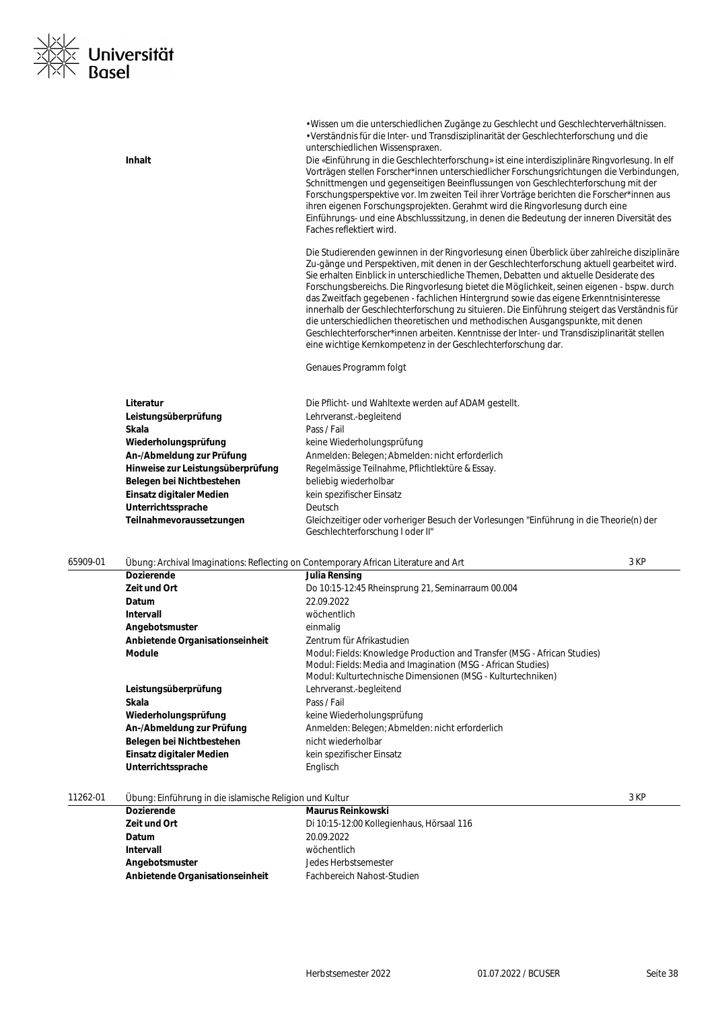

|          | Inhalt                                                  | · Wissen um die unterschiedlichen Zugänge zu Geschlecht und Geschlechterverhältnissen.<br>· Verständnis für die Inter- und Transdisziplinarität der Geschlechterforschung und die<br>unterschiedlichen Wissenspraxen.<br>Die «Einführung in die Geschlechterforschung» ist eine interdisziplinäre Ringvorlesung. In elf<br>Vorträgen stellen Forscher*innen unterschiedlicher Forschungsrichtungen die Verbindungen,<br>Schnittmengen und gegenseitigen Beeinflussungen von Geschlechterforschung mit der<br>Forschungsperspektive vor. Im zweiten Teil ihrer Vorträge berichten die Forscher*innen aus<br>ihren eigenen Forschungsprojekten. Gerahmt wird die Ringvorlesung durch eine<br>Einführungs- und eine Abschlusssitzung, in denen die Bedeutung der inneren Diversität des<br>Faches reflektiert wird.              |      |
|----------|---------------------------------------------------------|-------------------------------------------------------------------------------------------------------------------------------------------------------------------------------------------------------------------------------------------------------------------------------------------------------------------------------------------------------------------------------------------------------------------------------------------------------------------------------------------------------------------------------------------------------------------------------------------------------------------------------------------------------------------------------------------------------------------------------------------------------------------------------------------------------------------------------|------|
|          |                                                         | Die Studierenden gewinnen in der Ringvorlesung einen Überblick über zahlreiche disziplinäre<br>Zu-gänge und Perspektiven, mit denen in der Geschlechterforschung aktuell gearbeitet wird.<br>Sie erhalten Einblick in unterschiedliche Themen, Debatten und aktuelle Desiderate des<br>Forschungsbereichs. Die Ringvorlesung bietet die Möglichkeit, seinen eigenen - bspw. durch<br>das Zweitfach gegebenen - fachlichen Hintergrund sowie das eigene Erkenntnisinteresse<br>innerhalb der Geschlechterforschung zu situieren. Die Einführung steigert das Verständnis für<br>die unterschiedlichen theoretischen und methodischen Ausgangspunkte, mit denen<br>Geschlechterforscher*innen arbeiten. Kenntnisse der Inter- und Transdisziplinarität stellen<br>eine wichtige Kernkompetenz in der Geschlechterforschung dar. |      |
|          |                                                         | Genaues Programm folgt                                                                                                                                                                                                                                                                                                                                                                                                                                                                                                                                                                                                                                                                                                                                                                                                        |      |
|          | Literatur                                               | Die Pflicht- und Wahltexte werden auf ADAM gestellt.                                                                                                                                                                                                                                                                                                                                                                                                                                                                                                                                                                                                                                                                                                                                                                          |      |
|          | Leistungsüberprüfung                                    | Lehrveranst.-begleitend                                                                                                                                                                                                                                                                                                                                                                                                                                                                                                                                                                                                                                                                                                                                                                                                       |      |
|          | Skala                                                   | Pass / Fail                                                                                                                                                                                                                                                                                                                                                                                                                                                                                                                                                                                                                                                                                                                                                                                                                   |      |
|          | Wiederholungsprüfung                                    | keine Wiederholungsprüfung                                                                                                                                                                                                                                                                                                                                                                                                                                                                                                                                                                                                                                                                                                                                                                                                    |      |
|          | An-/Abmeldung zur Prüfung                               | Anmelden: Belegen; Abmelden: nicht erforderlich                                                                                                                                                                                                                                                                                                                                                                                                                                                                                                                                                                                                                                                                                                                                                                               |      |
|          | Hinweise zur Leistungsüberprüfung                       | Regelmässige Teilnahme, Pflichtlektüre & Essay.                                                                                                                                                                                                                                                                                                                                                                                                                                                                                                                                                                                                                                                                                                                                                                               |      |
|          | Belegen bei Nichtbestehen                               | beliebig wiederholbar                                                                                                                                                                                                                                                                                                                                                                                                                                                                                                                                                                                                                                                                                                                                                                                                         |      |
|          | Einsatz digitaler Medien                                | kein spezifischer Einsatz                                                                                                                                                                                                                                                                                                                                                                                                                                                                                                                                                                                                                                                                                                                                                                                                     |      |
|          | Unterrichtssprache                                      | Deutsch                                                                                                                                                                                                                                                                                                                                                                                                                                                                                                                                                                                                                                                                                                                                                                                                                       |      |
|          | Teilnahmevoraussetzungen                                | Gleichzeitiger oder vorheriger Besuch der Vorlesungen "Einführung in die Theorie(n) der<br>Geschlechterforschung I oder II"                                                                                                                                                                                                                                                                                                                                                                                                                                                                                                                                                                                                                                                                                                   |      |
| 65909-01 |                                                         | Übung: Archival Imaginations: Reflecting on Contemporary African Literature and Art                                                                                                                                                                                                                                                                                                                                                                                                                                                                                                                                                                                                                                                                                                                                           | 3 KP |
|          | <b>Dozierende</b>                                       | Julia Rensing                                                                                                                                                                                                                                                                                                                                                                                                                                                                                                                                                                                                                                                                                                                                                                                                                 |      |
|          | Zeit und Ort                                            | Do 10:15-12:45 Rheinsprung 21, Seminarraum 00.004                                                                                                                                                                                                                                                                                                                                                                                                                                                                                                                                                                                                                                                                                                                                                                             |      |
|          | Datum                                                   | 22.09.2022                                                                                                                                                                                                                                                                                                                                                                                                                                                                                                                                                                                                                                                                                                                                                                                                                    |      |
|          | Intervall                                               | wöchentlich                                                                                                                                                                                                                                                                                                                                                                                                                                                                                                                                                                                                                                                                                                                                                                                                                   |      |
|          | Angebotsmuster                                          | einmalig                                                                                                                                                                                                                                                                                                                                                                                                                                                                                                                                                                                                                                                                                                                                                                                                                      |      |
|          | Anbietende Organisationseinheit                         | Zentrum für Afrikastudien                                                                                                                                                                                                                                                                                                                                                                                                                                                                                                                                                                                                                                                                                                                                                                                                     |      |
|          | <b>Module</b>                                           | Modul: Fields: Knowledge Production and Transfer (MSG - African Studies)<br>Modul: Fields: Media and Imagination (MSG - African Studies)<br>Modul: Kulturtechnische Dimensionen (MSG - Kulturtechniken)                                                                                                                                                                                                                                                                                                                                                                                                                                                                                                                                                                                                                       |      |
|          | Leistungsüberprüfung                                    | Lehrveranst.-begleitend                                                                                                                                                                                                                                                                                                                                                                                                                                                                                                                                                                                                                                                                                                                                                                                                       |      |
|          | Skala                                                   | Pass / Fail                                                                                                                                                                                                                                                                                                                                                                                                                                                                                                                                                                                                                                                                                                                                                                                                                   |      |
|          | Wiederholungsprüfung                                    | keine Wiederholungsprüfung                                                                                                                                                                                                                                                                                                                                                                                                                                                                                                                                                                                                                                                                                                                                                                                                    |      |
|          | An-/Abmeldung zur Prüfung                               | Anmelden: Belegen; Abmelden: nicht erforderlich                                                                                                                                                                                                                                                                                                                                                                                                                                                                                                                                                                                                                                                                                                                                                                               |      |
|          | Belegen bei Nichtbestehen                               | nicht wiederholbar                                                                                                                                                                                                                                                                                                                                                                                                                                                                                                                                                                                                                                                                                                                                                                                                            |      |
|          | Einsatz digitaler Medien                                | kein spezifischer Einsatz                                                                                                                                                                                                                                                                                                                                                                                                                                                                                                                                                                                                                                                                                                                                                                                                     |      |
|          | Unterrichtssprache                                      | Englisch                                                                                                                                                                                                                                                                                                                                                                                                                                                                                                                                                                                                                                                                                                                                                                                                                      |      |
| 11262-01 | Übung: Einführung in die islamische Religion und Kultur |                                                                                                                                                                                                                                                                                                                                                                                                                                                                                                                                                                                                                                                                                                                                                                                                                               | 3 KP |
|          | <b>Dozierende</b>                                       | <b>Maurus Reinkowski</b>                                                                                                                                                                                                                                                                                                                                                                                                                                                                                                                                                                                                                                                                                                                                                                                                      |      |
|          | Zeit und Ort                                            | Di 10:15-12:00 Kollegienhaus, Hörsaal 116                                                                                                                                                                                                                                                                                                                                                                                                                                                                                                                                                                                                                                                                                                                                                                                     |      |
|          | Datum                                                   | 20.09.2022                                                                                                                                                                                                                                                                                                                                                                                                                                                                                                                                                                                                                                                                                                                                                                                                                    |      |

**Jedes Herbstsemester<br>Fachbereich Nahost-Studien** 

**Intervall** wöchentlich<br> **Angebotsmuster** en anders versien bedes Herbst

**Anbietende Organisationseinheit**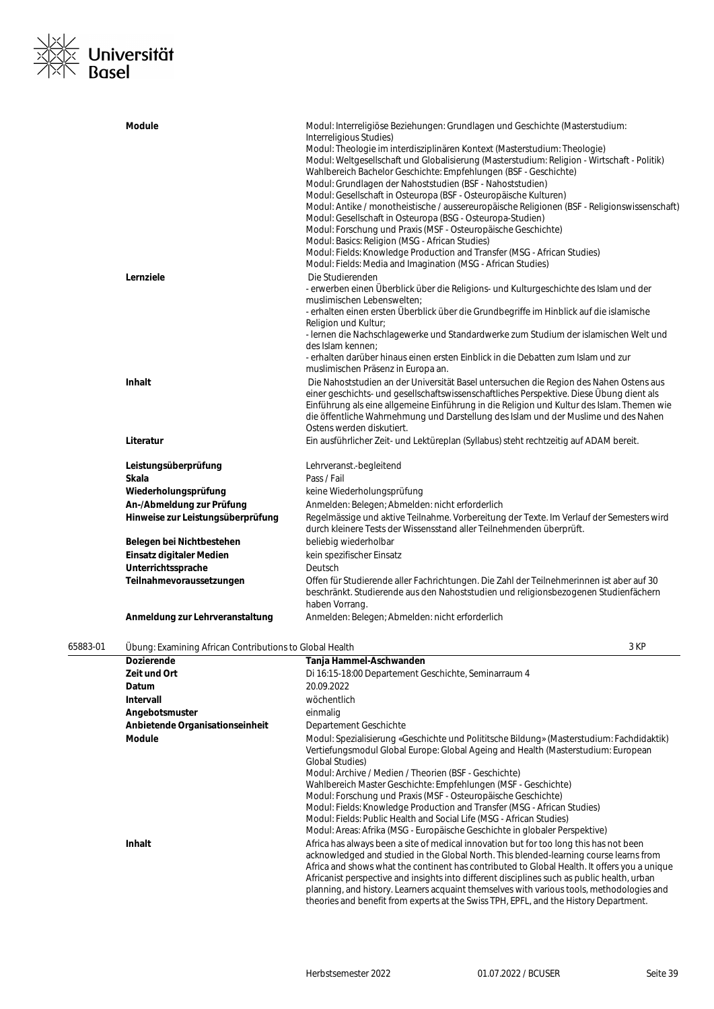# ∠<br>≤ Universität<br>√ Basel

|          | <b>Module</b>                                           | Modul: Interreligiöse Beziehungen: Grundlagen und Geschichte (Masterstudium:                                                |
|----------|---------------------------------------------------------|-----------------------------------------------------------------------------------------------------------------------------|
|          |                                                         | Interreligious Studies)                                                                                                     |
|          |                                                         | Modul: Theologie im interdisziplinären Kontext (Masterstudium: Theologie)                                                   |
|          |                                                         | Modul: Weltgesellschaft und Globalisierung (Masterstudium: Religion - Wirtschaft - Politik)                                 |
|          |                                                         | Wahlbereich Bachelor Geschichte: Empfehlungen (BSF - Geschichte)                                                            |
|          |                                                         | Modul: Grundlagen der Nahoststudien (BSF - Nahoststudien)                                                                   |
|          |                                                         | Modul: Gesellschaft in Osteuropa (BSF - Osteuropäische Kulturen)                                                            |
|          |                                                         | Modul: Antike / monotheistische / aussereuropäische Religionen (BSF - Religionswissenschaft)                                |
|          |                                                         | Modul: Gesellschaft in Osteuropa (BSG - Osteuropa-Studien)                                                                  |
|          |                                                         | Modul: Forschung und Praxis (MSF - Osteuropäische Geschichte)                                                               |
|          |                                                         | Modul: Basics: Religion (MSG - African Studies)<br>Modul: Fields: Knowledge Production and Transfer (MSG - African Studies) |
|          |                                                         | Modul: Fields: Media and Imagination (MSG - African Studies)                                                                |
|          | Lernziele                                               | Die Studierenden                                                                                                            |
|          |                                                         | - erwerben einen Überblick über die Religions- und Kulturgeschichte des Islam und der                                       |
|          |                                                         | muslimischen Lebenswelten;                                                                                                  |
|          |                                                         | - erhalten einen ersten Überblick über die Grundbegriffe im Hinblick auf die islamische                                     |
|          |                                                         | Religion und Kultur;                                                                                                        |
|          |                                                         | - Iernen die Nachschlagewerke und Standardwerke zum Studium der islamischen Welt und                                        |
|          |                                                         | des Islam kennen;                                                                                                           |
|          |                                                         | - erhalten darüber hinaus einen ersten Einblick in die Debatten zum Islam und zur                                           |
|          |                                                         | muslimischen Präsenz in Europa an.                                                                                          |
|          | <b>Inhalt</b>                                           | Die Nahoststudien an der Universität Basel untersuchen die Region des Nahen Ostens aus                                      |
|          |                                                         | einer geschichts- und gesellschaftswissenschaftliches Perspektive. Diese Übung dient als                                    |
|          |                                                         | Einführung als eine allgemeine Einführung in die Religion und Kultur des Islam. Themen wie                                  |
|          |                                                         | die öffentliche Wahrnehmung und Darstellung des Islam und der Muslime und des Nahen                                         |
|          |                                                         | Ostens werden diskutiert.                                                                                                   |
|          | Literatur                                               | Ein ausführlicher Zeit- und Lektüreplan (Syllabus) steht rechtzeitig auf ADAM bereit.                                       |
|          | Leistungsüberprüfung                                    | Lehrveranst.-begleitend                                                                                                     |
|          | Skala                                                   | Pass / Fail                                                                                                                 |
|          | Wiederholungsprüfung                                    | keine Wiederholungsprüfung                                                                                                  |
|          | An-/Abmeldung zur Prüfung                               | Anmelden: Belegen; Abmelden: nicht erforderlich                                                                             |
|          | Hinweise zur Leistungsüberprüfung                       | Regelmässige und aktive Teilnahme. Vorbereitung der Texte. Im Verlauf der Semesters wird                                    |
|          |                                                         | durch kleinere Tests der Wissensstand aller Teilnehmenden überprüft.                                                        |
|          | Belegen bei Nichtbestehen                               | beliebig wiederholbar                                                                                                       |
|          | Einsatz digitaler Medien                                | kein spezifischer Einsatz                                                                                                   |
|          | Unterrichtssprache                                      | Deutsch                                                                                                                     |
|          | Teilnahmevoraussetzungen                                | Offen für Studierende aller Fachrichtungen. Die Zahl der Teilnehmerinnen ist aber auf 30                                    |
|          |                                                         | beschränkt. Studierende aus den Nahoststudien und religionsbezogenen Studienfächern                                         |
|          | Anmeldung zur Lehrveranstaltung                         | haben Vorrang.<br>Anmelden: Belegen; Abmelden: nicht erforderlich                                                           |
|          |                                                         |                                                                                                                             |
| 65883-01 | Ubung: Examining African Contributions to Global Health | 3 KP                                                                                                                        |
|          | Dozierende                                              | Tanja Hammel-Aschwanden                                                                                                     |
|          | Zeit und Ort                                            | Di 16:15-18:00 Departement Geschichte, Seminarraum 4                                                                        |
|          | Datum                                                   | 20.09.2022                                                                                                                  |
|          | Intervall                                               | wöchentlich                                                                                                                 |
|          | Angebotsmuster                                          | einmalig                                                                                                                    |
|          | Anbietende Organisationseinheit                         | Departement Geschichte                                                                                                      |
|          | Module                                                  | Modul: Spezialisierung «Geschichte und Polititsche Bildung» (Masterstudium: Fachdidaktik)                                   |
|          |                                                         | Vertiefungsmodul Global Europe: Global Ageing and Health (Masterstudium: European                                           |
|          |                                                         | <b>Global Studies)</b>                                                                                                      |
|          |                                                         | Modul: Archive / Medien / Theorien (BSF - Geschichte)                                                                       |
|          |                                                         | Wahlbereich Master Geschichte: Empfehlungen (MSF - Geschichte)                                                              |
|          |                                                         | Modul: Forschung und Praxis (MSF - Osteuropäische Geschichte)                                                               |
|          |                                                         | Modul: Fields: Knowledge Production and Transfer (MSG - African Studies)                                                    |
|          |                                                         | Modul: Fields: Public Health and Social Life (MSG - African Studies)                                                        |
|          |                                                         | Modul: Areas: Afrika (MSG - Europäische Geschichte in globaler Perspektive)                                                 |
|          | Inhalt                                                  | Africa has always been a site of medical innovation but for too long this has not been                                      |
|          |                                                         | acknowledged and studied in the Global North. This blended-learning course learns from                                      |
|          |                                                         | Africa and shows what the continent has contributed to Global Health. It offers you a unique                                |
|          |                                                         | Africanist perspective and insights into different disciplines such as public health, urban                                 |
|          |                                                         | planning, and history. Learners acquaint themselves with various tools, methodologies and                                   |

theories and benefit from experts at the Swiss TPH, EPFL, and the History Department.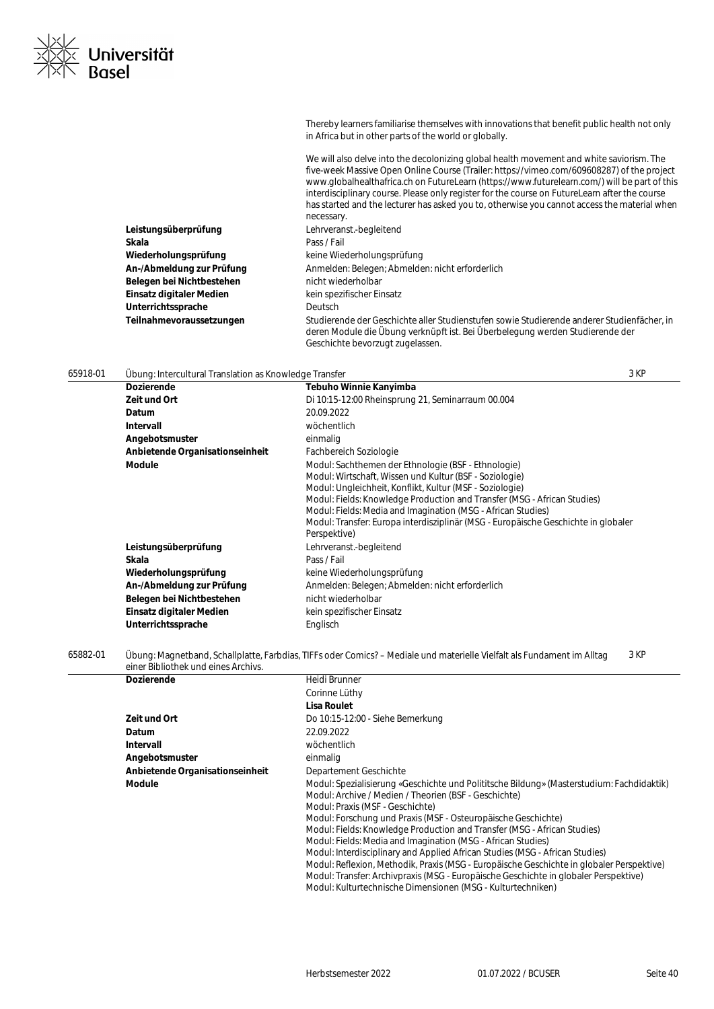| Thereby learners familiarise themselves with innovations that benefit public health not only |
|----------------------------------------------------------------------------------------------|
| in Africa but in other parts of the world or globally.                                       |

We will also delve into the decolonizing global health movement and white saviorism. The five-week Massive Open Online Course (Trailer: https://vimeo.com/609608287) of the project www.globalhealthafrica.ch on FutureLearn (https://www.futurelearn.com/) will be part of this interdisciplinary course. Please only register for the course on FutureLearn after the course has started and the lecturer has asked you to, otherwise you cannot access the material when necessary. **Leistungsüberprüfung** Lehrveranst.-begleitend **Skala** Pass / Fail Wiederholungsprüfung **Keine Wiederholungsprüfung An-/Abmeldung zur Prüfung** Anmelden: Belegen; Abmelden: nicht erforderlich Belegen bei Nichtbestehen **nicht wiederholbar Einsatz digitaler Medien** kein spezifischer Einsatz Unterrichtssprache **Deutsch Teilnahmevoraussetzungen** Studierende der Geschichte aller Studienstufen sowie Studierende anderer Studienfächer, in deren Module die Übung verknüpft ist. Bei Überbelegung werden Studierende der Geschichte bevorzugt zugelassen.

### 65918-01 Übung: Intercultural Translation as Knowledge Transfer 3 KP

Universität

**Dozierende Tebuho Winnie Kanyimba Zeit und Ort** Di 10:15-12:00 Rheinsprung 21, Seminarraum 00.004 **Datum** 20.09.2022 **Intervall** wöchentlich Angebotsmuster einmalig **Anbietende Organisationseinheit** Fachbereich Soziologie **Module** Modul: Sachthemen der Ethnologie (BSF - Ethnologie) Modul: Wirtschaft, Wissen und Kultur (BSF - Soziologie) Modul: Ungleichheit, Konflikt, Kultur (MSF - Soziologie) Modul: Fields: Knowledge Production and Transfer (MSG - African Studies) Modul: Fields: Media and Imagination (MSG - African Studies) Modul: Transfer: Europa interdisziplinär (MSG - Europäische Geschichte in globaler Perspektive) **Leistungsüberprüfung** Lehrveranst.-begleitend **Skala** Pass / Fail Wiederholungsprüfung **Keine Wiederholungsprüfung An-/Abmeldung zur Prüfung** Anmelden: Belegen; Abmelden: nicht erforderlich **Belegen bei Nichtbestehen** nicht wiederholbar **Einsatz digitaler Medien** kein spezifischer Einsatz Unterrichtssprache **Englisch** 

65882-01 Übung: Magnetband, Schallplatte, Farbdias, TIFFs oder Comics? – Mediale und materielle Vielfalt als Fundament im Alltag einer Bibliothek und eines Archivs. 3 KP

| <b>Dozierende</b>               | Heidi Brunner                                                                             |
|---------------------------------|-------------------------------------------------------------------------------------------|
|                                 |                                                                                           |
|                                 | Corinne Lüthy                                                                             |
|                                 | Lisa Roulet                                                                               |
| Zeit und Ort                    | Do 10:15-12:00 - Siehe Bemerkung                                                          |
| <b>Datum</b>                    | 22.09.2022                                                                                |
| Intervall                       | wöchentlich                                                                               |
| Angebotsmuster                  | einmalig                                                                                  |
| Anbietende Organisationseinheit | Departement Geschichte                                                                    |
| Module                          | Modul: Spezialisierung «Geschichte und Polititsche Bildung» (Masterstudium: Fachdidaktik) |
|                                 | Modul: Archive / Medien / Theorien (BSF - Geschichte)                                     |
|                                 | Modul: Praxis (MSF - Geschichte)                                                          |
|                                 | Modul: Forschung und Praxis (MSF - Osteuropäische Geschichte)                             |
|                                 | Modul: Fields: Knowledge Production and Transfer (MSG - African Studies)                  |
|                                 | Modul: Fields: Media and Imagination (MSG - African Studies)                              |
|                                 | Modul: Interdisciplinary and Applied African Studies (MSG - African Studies)              |
|                                 | Modul: Reflexion, Methodik, Praxis (MSG - Europäische Geschichte in globaler Perspektive) |
|                                 | Modul: Transfer: Archivpraxis (MSG - Europäische Geschichte in globaler Perspektive)      |
|                                 | Modul: Kulturtechnische Dimensionen (MSG - Kulturtechniken)                               |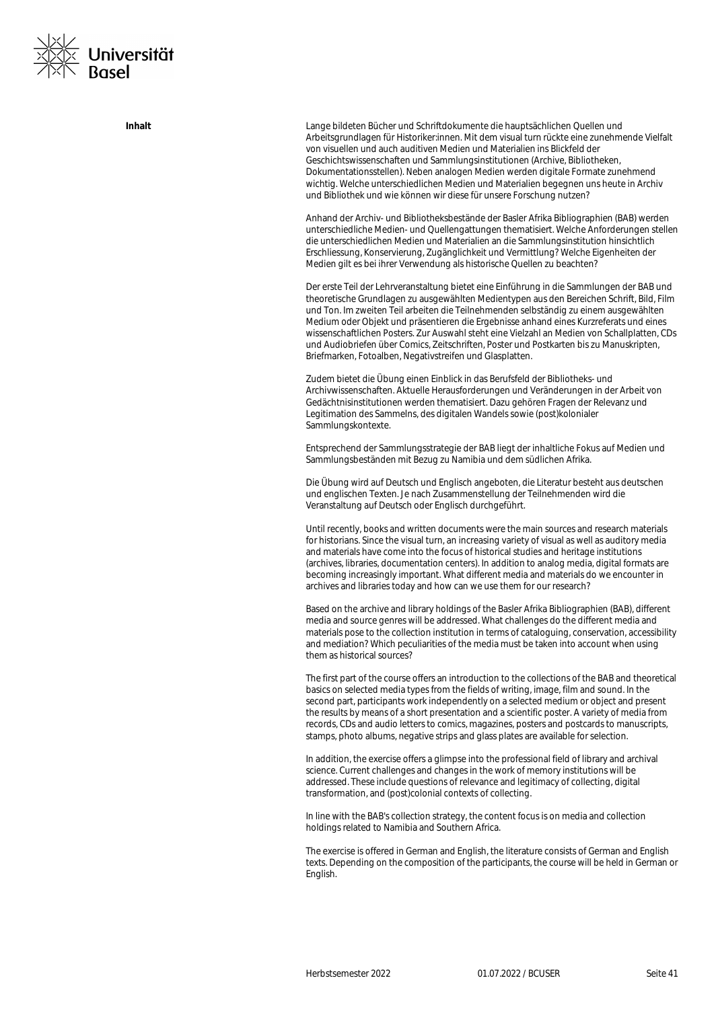

**Inhalt** Lange bildeten Bücher und Schriftdokumente die hauptsächlichen Quellen und Arbeitsgrundlagen für Historiker:innen. Mit dem visual turn rückte eine zunehmende Vielfalt von visuellen und auch auditiven Medien und Materialien ins Blickfeld der Geschichtswissenschaften und Sammlungsinstitutionen (Archive, Bibliotheken, Dokumentationsstellen). Neben analogen Medien werden digitale Formate zunehmend wichtig. Welche unterschiedlichen Medien und Materialien begegnen uns heute in Archiv und Bibliothek und wie können wir diese für unsere Forschung nutzen?

> Anhand der Archiv- und Bibliotheksbestände der Basler Afrika Bibliographien (BAB) werden unterschiedliche Medien- und Quellengattungen thematisiert. Welche Anforderungen stellen die unterschiedlichen Medien und Materialien an die Sammlungsinstitution hinsichtlich Erschliessung, Konservierung, Zugänglichkeit und Vermittlung? Welche Eigenheiten der Medien gilt es bei ihrer Verwendung als historische Quellen zu beachten?

> Der erste Teil der Lehrveranstaltung bietet eine Einführung in die Sammlungen der BAB und theoretische Grundlagen zu ausgewählten Medientypen aus den Bereichen Schrift, Bild, Film und Ton. Im zweiten Teil arbeiten die Teilnehmenden selbständig zu einem ausgewählten Medium oder Objekt und präsentieren die Ergebnisse anhand eines Kurzreferats und eines wissenschaftlichen Posters. Zur Auswahl steht eine Vielzahl an Medien von Schallplatten, CDs und Audiobriefen über Comics, Zeitschriften, Poster und Postkarten bis zu Manuskripten, Briefmarken, Fotoalben, Negativstreifen und Glasplatten.

Zudem bietet die Übung einen Einblick in das Berufsfeld der Bibliotheks- und Archivwissenschaften. Aktuelle Herausforderungen und Veränderungen in der Arbeit von Gedächtnisinstitutionen werden thematisiert. Dazu gehören Fragen der Relevanz und Legitimation des Sammelns, des digitalen Wandels sowie (post)kolonialer Sammlungskontexte.

Entsprechend der Sammlungsstrategie der BAB liegt der inhaltliche Fokus auf Medien und Sammlungsbeständen mit Bezug zu Namibia und dem südlichen Afrika.

Die Übung wird auf Deutsch und Englisch angeboten, die Literatur besteht aus deutschen und englischen Texten. Je nach Zusammenstellung der Teilnehmenden wird die Veranstaltung auf Deutsch oder Englisch durchgeführt.

Until recently, books and written documents were the main sources and research materials for historians. Since the visual turn, an increasing variety of visual as well as auditory media and materials have come into the focus of historical studies and heritage institutions (archives, libraries, documentation centers). In addition to analog media, digital formats are becoming increasingly important. What different media and materials do we encounter in archives and libraries today and how can we use them for our research?

Based on the archive and library holdings of the Basler Afrika Bibliographien (BAB), different media and source genres will be addressed. What challenges do the different media and materials pose to the collection institution in terms of cataloguing, conservation, accessibility and mediation? Which peculiarities of the media must be taken into account when using them as historical sources?

The first part of the course offers an introduction to the collections of the BAB and theoretical basics on selected media types from the fields of writing, image, film and sound. In the second part, participants work independently on a selected medium or object and present the results by means of a short presentation and a scientific poster. A variety of media from records, CDs and audio letters to comics, magazines, posters and postcards to manuscripts, stamps, photo albums, negative strips and glass plates are available for selection.

In addition, the exercise offers a glimpse into the professional field of library and archival science. Current challenges and changes in the work of memory institutions will be addressed. These include questions of relevance and legitimacy of collecting, digital transformation, and (post)colonial contexts of collecting.

In line with the BAB's collection strategy, the content focus is on media and collection holdings related to Namibia and Southern Africa.

The exercise is offered in German and English, the literature consists of German and English texts. Depending on the composition of the participants, the course will be held in German or English.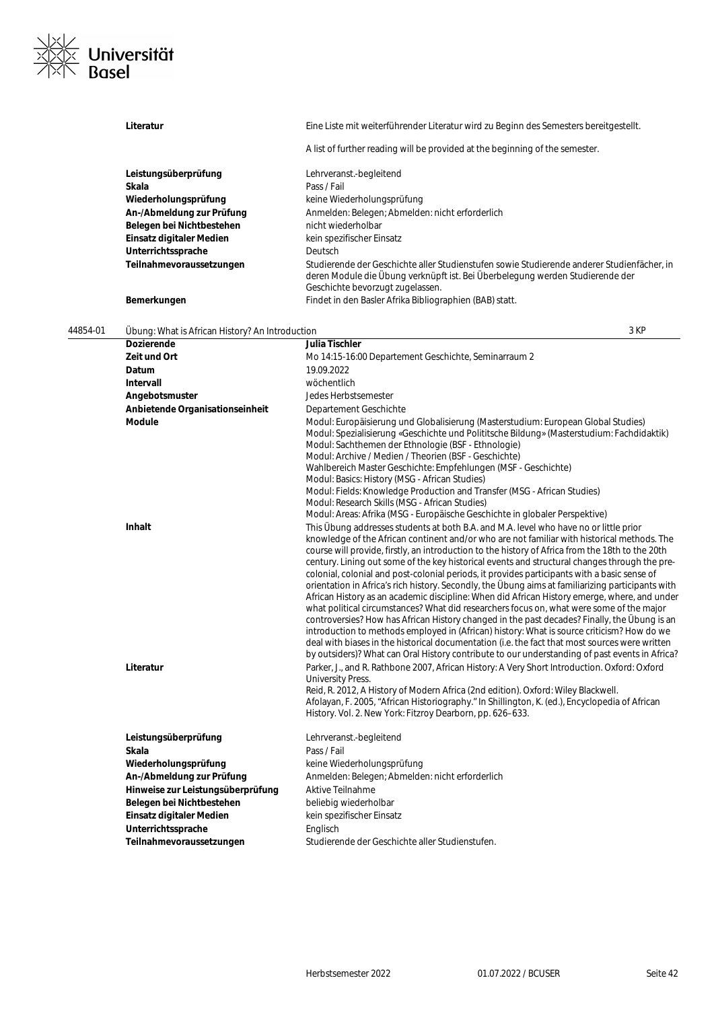

|          | Literatur                                                                                                                                                                                              | Eine Liste mit weiterführender Literatur wird zu Beginn des Semesters bereitgestellt.                                                                                                                                                                                                                                                                                                                                                                                                                                                                                                                                                                                                                                                                                                                                                                                                                                                                                                                                                                                                                                                                                                                                                                                                                                                                                                                                                                                                                           |
|----------|--------------------------------------------------------------------------------------------------------------------------------------------------------------------------------------------------------|-----------------------------------------------------------------------------------------------------------------------------------------------------------------------------------------------------------------------------------------------------------------------------------------------------------------------------------------------------------------------------------------------------------------------------------------------------------------------------------------------------------------------------------------------------------------------------------------------------------------------------------------------------------------------------------------------------------------------------------------------------------------------------------------------------------------------------------------------------------------------------------------------------------------------------------------------------------------------------------------------------------------------------------------------------------------------------------------------------------------------------------------------------------------------------------------------------------------------------------------------------------------------------------------------------------------------------------------------------------------------------------------------------------------------------------------------------------------------------------------------------------------|
|          |                                                                                                                                                                                                        | A list of further reading will be provided at the beginning of the semester.                                                                                                                                                                                                                                                                                                                                                                                                                                                                                                                                                                                                                                                                                                                                                                                                                                                                                                                                                                                                                                                                                                                                                                                                                                                                                                                                                                                                                                    |
|          | Leistungsüberprüfung                                                                                                                                                                                   | Lehrveranst.-begleitend                                                                                                                                                                                                                                                                                                                                                                                                                                                                                                                                                                                                                                                                                                                                                                                                                                                                                                                                                                                                                                                                                                                                                                                                                                                                                                                                                                                                                                                                                         |
|          | Skala                                                                                                                                                                                                  | Pass / Fail                                                                                                                                                                                                                                                                                                                                                                                                                                                                                                                                                                                                                                                                                                                                                                                                                                                                                                                                                                                                                                                                                                                                                                                                                                                                                                                                                                                                                                                                                                     |
|          | Wiederholungsprüfung                                                                                                                                                                                   | keine Wiederholungsprüfung                                                                                                                                                                                                                                                                                                                                                                                                                                                                                                                                                                                                                                                                                                                                                                                                                                                                                                                                                                                                                                                                                                                                                                                                                                                                                                                                                                                                                                                                                      |
|          | An-/Abmeldung zur Prüfung                                                                                                                                                                              | Anmelden: Belegen; Abmelden: nicht erforderlich                                                                                                                                                                                                                                                                                                                                                                                                                                                                                                                                                                                                                                                                                                                                                                                                                                                                                                                                                                                                                                                                                                                                                                                                                                                                                                                                                                                                                                                                 |
|          | Belegen bei Nichtbestehen                                                                                                                                                                              | nicht wiederholbar                                                                                                                                                                                                                                                                                                                                                                                                                                                                                                                                                                                                                                                                                                                                                                                                                                                                                                                                                                                                                                                                                                                                                                                                                                                                                                                                                                                                                                                                                              |
|          | Einsatz digitaler Medien                                                                                                                                                                               | kein spezifischer Einsatz                                                                                                                                                                                                                                                                                                                                                                                                                                                                                                                                                                                                                                                                                                                                                                                                                                                                                                                                                                                                                                                                                                                                                                                                                                                                                                                                                                                                                                                                                       |
|          | Unterrichtssprache                                                                                                                                                                                     | Deutsch                                                                                                                                                                                                                                                                                                                                                                                                                                                                                                                                                                                                                                                                                                                                                                                                                                                                                                                                                                                                                                                                                                                                                                                                                                                                                                                                                                                                                                                                                                         |
|          | Teilnahmevoraussetzungen                                                                                                                                                                               | Studierende der Geschichte aller Studienstufen sowie Studierende anderer Studienfächer, in<br>deren Module die Übung verknüpft ist. Bei Überbelegung werden Studierende der<br>Geschichte bevorzugt zugelassen.                                                                                                                                                                                                                                                                                                                                                                                                                                                                                                                                                                                                                                                                                                                                                                                                                                                                                                                                                                                                                                                                                                                                                                                                                                                                                                 |
|          | Bemerkungen                                                                                                                                                                                            | Findet in den Basler Afrika Bibliographien (BAB) statt.                                                                                                                                                                                                                                                                                                                                                                                                                                                                                                                                                                                                                                                                                                                                                                                                                                                                                                                                                                                                                                                                                                                                                                                                                                                                                                                                                                                                                                                         |
| 44854-01 | Übung: What is African History? An Introduction                                                                                                                                                        | 3 KP                                                                                                                                                                                                                                                                                                                                                                                                                                                                                                                                                                                                                                                                                                                                                                                                                                                                                                                                                                                                                                                                                                                                                                                                                                                                                                                                                                                                                                                                                                            |
|          | <b>Dozierende</b>                                                                                                                                                                                      | Julia Tischler                                                                                                                                                                                                                                                                                                                                                                                                                                                                                                                                                                                                                                                                                                                                                                                                                                                                                                                                                                                                                                                                                                                                                                                                                                                                                                                                                                                                                                                                                                  |
|          | Zeit und Ort                                                                                                                                                                                           | Mo 14:15-16:00 Departement Geschichte, Seminarraum 2                                                                                                                                                                                                                                                                                                                                                                                                                                                                                                                                                                                                                                                                                                                                                                                                                                                                                                                                                                                                                                                                                                                                                                                                                                                                                                                                                                                                                                                            |
|          | Datum                                                                                                                                                                                                  | 19.09.2022                                                                                                                                                                                                                                                                                                                                                                                                                                                                                                                                                                                                                                                                                                                                                                                                                                                                                                                                                                                                                                                                                                                                                                                                                                                                                                                                                                                                                                                                                                      |
|          | Intervall                                                                                                                                                                                              | wöchentlich                                                                                                                                                                                                                                                                                                                                                                                                                                                                                                                                                                                                                                                                                                                                                                                                                                                                                                                                                                                                                                                                                                                                                                                                                                                                                                                                                                                                                                                                                                     |
|          | Angebotsmuster                                                                                                                                                                                         | Jedes Herbstsemester                                                                                                                                                                                                                                                                                                                                                                                                                                                                                                                                                                                                                                                                                                                                                                                                                                                                                                                                                                                                                                                                                                                                                                                                                                                                                                                                                                                                                                                                                            |
|          | Anbietende Organisationseinheit<br><b>Module</b>                                                                                                                                                       | Departement Geschichte<br>Modul: Europäisierung und Globalisierung (Masterstudium: European Global Studies)                                                                                                                                                                                                                                                                                                                                                                                                                                                                                                                                                                                                                                                                                                                                                                                                                                                                                                                                                                                                                                                                                                                                                                                                                                                                                                                                                                                                     |
|          |                                                                                                                                                                                                        | Modul: Spezialisierung «Geschichte und Polititsche Bildung» (Masterstudium: Fachdidaktik)<br>Modul: Sachthemen der Ethnologie (BSF - Ethnologie)<br>Modul: Archive / Medien / Theorien (BSF - Geschichte)<br>Wahlbereich Master Geschichte: Empfehlungen (MSF - Geschichte)<br>Modul: Basics: History (MSG - African Studies)<br>Modul: Fields: Knowledge Production and Transfer (MSG - African Studies)<br>Modul: Research Skills (MSG - African Studies)<br>Modul: Areas: Afrika (MSG - Europäische Geschichte in globaler Perspektive)                                                                                                                                                                                                                                                                                                                                                                                                                                                                                                                                                                                                                                                                                                                                                                                                                                                                                                                                                                      |
|          | Inhalt<br>Literatur                                                                                                                                                                                    | This Übung addresses students at both B.A. and M.A. level who have no or little prior<br>knowledge of the African continent and/or who are not familiar with historical methods. The<br>course will provide, firstly, an introduction to the history of Africa from the 18th to the 20th<br>century. Lining out some of the key historical events and structural changes through the pre-<br>colonial, colonial and post-colonial periods, it provides participants with a basic sense of<br>orientation in Africa's rich history. Secondly, the Übung aims at familiarizing participants with<br>African History as an academic discipline: When did African History emerge, where, and under<br>what political circumstances? What did researchers focus on, what were some of the major<br>controversies? How has African History changed in the past decades? Finally, the Ubung is an<br>introduction to methods employed in (African) history: What is source criticism? How do we<br>deal with biases in the historical documentation (i.e. the fact that most sources were written<br>by outsiders)? What can Oral History contribute to our understanding of past events in Africa?<br>Parker, J., and R. Rathbone 2007, African History: A Very Short Introduction. Oxford: Oxford<br><b>University Press.</b><br>Reid, R. 2012, A History of Modern Africa (2nd edition). Oxford: Wiley Blackwell.<br>Afolayan, F. 2005, "African Historiography." In Shillington, K. (ed.), Encyclopedia of African |
|          | Leistungsüberprüfung<br>Skala<br>Wiederholungsprüfung<br>An-/Abmeldung zur Prüfung<br>Hinweise zur Leistungsüberprüfung<br>Belegen bei Nichtbestehen<br>Einsatz digitaler Medien<br>Unterrichtssprache | History. Vol. 2. New York: Fitzroy Dearborn, pp. 626-633.<br>Lehrveranst.-begleitend<br>Pass / Fail<br>keine Wiederholungsprüfung<br>Anmelden: Belegen; Abmelden: nicht erforderlich<br><b>Aktive Teilnahme</b><br>beliebig wiederholbar<br>kein spezifischer Einsatz<br>Englisch                                                                                                                                                                                                                                                                                                                                                                                                                                                                                                                                                                                                                                                                                                                                                                                                                                                                                                                                                                                                                                                                                                                                                                                                                               |
|          | Teilnahmevoraussetzungen                                                                                                                                                                               | Studierende der Geschichte aller Studienstufen.                                                                                                                                                                                                                                                                                                                                                                                                                                                                                                                                                                                                                                                                                                                                                                                                                                                                                                                                                                                                                                                                                                                                                                                                                                                                                                                                                                                                                                                                 |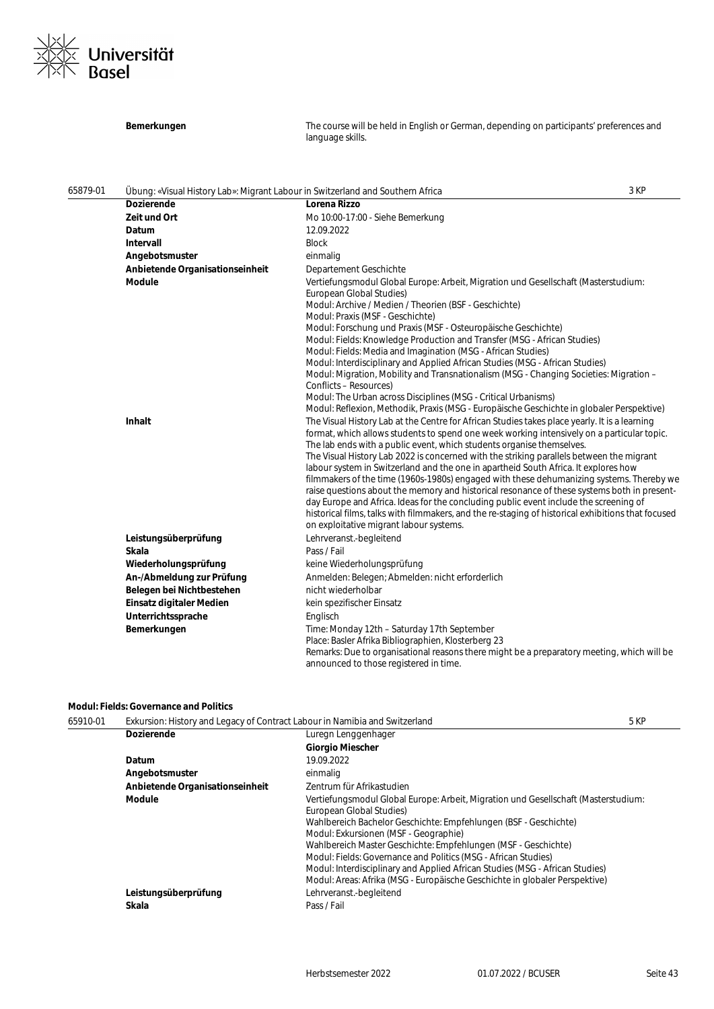

|          | Bemerkungen                                                                    | The course will be held in English or German, depending on participants' preferences and<br>language skills.                                                                                                                                                                                                                                                                                                                                                                                                                                                                                                                                                                                                                                                                                                                                                                                                                                                                                                                                                                                                                                                                                                                                                                                                                                                                                                                                                                                                                                                                                                                                                                                |      |
|----------|--------------------------------------------------------------------------------|---------------------------------------------------------------------------------------------------------------------------------------------------------------------------------------------------------------------------------------------------------------------------------------------------------------------------------------------------------------------------------------------------------------------------------------------------------------------------------------------------------------------------------------------------------------------------------------------------------------------------------------------------------------------------------------------------------------------------------------------------------------------------------------------------------------------------------------------------------------------------------------------------------------------------------------------------------------------------------------------------------------------------------------------------------------------------------------------------------------------------------------------------------------------------------------------------------------------------------------------------------------------------------------------------------------------------------------------------------------------------------------------------------------------------------------------------------------------------------------------------------------------------------------------------------------------------------------------------------------------------------------------------------------------------------------------|------|
| 65879-01 | Übung: «Visual History Lab»: Migrant Labour in Switzerland and Southern Africa |                                                                                                                                                                                                                                                                                                                                                                                                                                                                                                                                                                                                                                                                                                                                                                                                                                                                                                                                                                                                                                                                                                                                                                                                                                                                                                                                                                                                                                                                                                                                                                                                                                                                                             | 3 KP |
|          | <b>Dozierende</b>                                                              | Lorena Rizzo                                                                                                                                                                                                                                                                                                                                                                                                                                                                                                                                                                                                                                                                                                                                                                                                                                                                                                                                                                                                                                                                                                                                                                                                                                                                                                                                                                                                                                                                                                                                                                                                                                                                                |      |
|          | Zeit und Ort                                                                   | Mo 10:00-17:00 - Siehe Bemerkung                                                                                                                                                                                                                                                                                                                                                                                                                                                                                                                                                                                                                                                                                                                                                                                                                                                                                                                                                                                                                                                                                                                                                                                                                                                                                                                                                                                                                                                                                                                                                                                                                                                            |      |
|          | Datum                                                                          | 12.09.2022                                                                                                                                                                                                                                                                                                                                                                                                                                                                                                                                                                                                                                                                                                                                                                                                                                                                                                                                                                                                                                                                                                                                                                                                                                                                                                                                                                                                                                                                                                                                                                                                                                                                                  |      |
|          | Intervall                                                                      | <b>Block</b>                                                                                                                                                                                                                                                                                                                                                                                                                                                                                                                                                                                                                                                                                                                                                                                                                                                                                                                                                                                                                                                                                                                                                                                                                                                                                                                                                                                                                                                                                                                                                                                                                                                                                |      |
|          | Angebotsmuster                                                                 | einmalig                                                                                                                                                                                                                                                                                                                                                                                                                                                                                                                                                                                                                                                                                                                                                                                                                                                                                                                                                                                                                                                                                                                                                                                                                                                                                                                                                                                                                                                                                                                                                                                                                                                                                    |      |
|          | Anbietende Organisationseinheit                                                | Departement Geschichte                                                                                                                                                                                                                                                                                                                                                                                                                                                                                                                                                                                                                                                                                                                                                                                                                                                                                                                                                                                                                                                                                                                                                                                                                                                                                                                                                                                                                                                                                                                                                                                                                                                                      |      |
|          | <b>Module</b><br><b>Inhalt</b>                                                 | Vertiefungsmodul Global Europe: Arbeit, Migration und Gesellschaft (Masterstudium:<br>European Global Studies)<br>Modul: Archive / Medien / Theorien (BSF - Geschichte)<br>Modul: Praxis (MSF - Geschichte)<br>Modul: Forschung und Praxis (MSF - Osteuropäische Geschichte)<br>Modul: Fields: Knowledge Production and Transfer (MSG - African Studies)<br>Modul: Fields: Media and Imagination (MSG - African Studies)<br>Modul: Interdisciplinary and Applied African Studies (MSG - African Studies)<br>Modul: Migration, Mobility and Transnationalism (MSG - Changing Societies: Migration –<br>Conflicts – Resources)<br>Modul: The Urban across Disciplines (MSG - Critical Urbanisms)<br>Modul: Reflexion, Methodik, Praxis (MSG - Europäische Geschichte in globaler Perspektive)<br>The Visual History Lab at the Centre for African Studies takes place yearly. It is a learning<br>format, which allows students to spend one week working intensively on a particular topic.<br>The lab ends with a public event, which students organise themselves.<br>The Visual History Lab 2022 is concerned with the striking parallels between the migrant<br>labour system in Switzerland and the one in apartheid South Africa. It explores how<br>filmmakers of the time (1960s-1980s) engaged with these dehumanizing systems. Thereby we<br>raise questions about the memory and historical resonance of these systems both in present-<br>day Europe and Africa. Ideas for the concluding public event include the screening of<br>historical films, talks with filmmakers, and the re-staging of historical exhibitions that focused<br>on exploitative migrant labour systems. |      |
|          | Leistungsüberprüfung                                                           | Lehrveranst.-begleitend                                                                                                                                                                                                                                                                                                                                                                                                                                                                                                                                                                                                                                                                                                                                                                                                                                                                                                                                                                                                                                                                                                                                                                                                                                                                                                                                                                                                                                                                                                                                                                                                                                                                     |      |
|          | Skala                                                                          | Pass / Fail                                                                                                                                                                                                                                                                                                                                                                                                                                                                                                                                                                                                                                                                                                                                                                                                                                                                                                                                                                                                                                                                                                                                                                                                                                                                                                                                                                                                                                                                                                                                                                                                                                                                                 |      |
|          | Wiederholungsprüfung                                                           | keine Wiederholungsprüfung                                                                                                                                                                                                                                                                                                                                                                                                                                                                                                                                                                                                                                                                                                                                                                                                                                                                                                                                                                                                                                                                                                                                                                                                                                                                                                                                                                                                                                                                                                                                                                                                                                                                  |      |
|          | An-/Abmeldung zur Prüfung                                                      | Anmelden: Belegen; Abmelden: nicht erforderlich                                                                                                                                                                                                                                                                                                                                                                                                                                                                                                                                                                                                                                                                                                                                                                                                                                                                                                                                                                                                                                                                                                                                                                                                                                                                                                                                                                                                                                                                                                                                                                                                                                             |      |
|          | Belegen bei Nichtbestehen                                                      | nicht wiederholbar                                                                                                                                                                                                                                                                                                                                                                                                                                                                                                                                                                                                                                                                                                                                                                                                                                                                                                                                                                                                                                                                                                                                                                                                                                                                                                                                                                                                                                                                                                                                                                                                                                                                          |      |
|          | Einsatz digitaler Medien                                                       | kein spezifischer Einsatz                                                                                                                                                                                                                                                                                                                                                                                                                                                                                                                                                                                                                                                                                                                                                                                                                                                                                                                                                                                                                                                                                                                                                                                                                                                                                                                                                                                                                                                                                                                                                                                                                                                                   |      |
|          | Unterrichtssprache                                                             | Englisch                                                                                                                                                                                                                                                                                                                                                                                                                                                                                                                                                                                                                                                                                                                                                                                                                                                                                                                                                                                                                                                                                                                                                                                                                                                                                                                                                                                                                                                                                                                                                                                                                                                                                    |      |
|          | Bemerkungen                                                                    | Time: Monday 12th - Saturday 17th September<br>Place: Basler Afrika Bibliographien, Klosterberg 23<br>Remarks: Due to organisational reasons there might be a preparatory meeting, which will be<br>announced to those registered in time.                                                                                                                                                                                                                                                                                                                                                                                                                                                                                                                                                                                                                                                                                                                                                                                                                                                                                                                                                                                                                                                                                                                                                                                                                                                                                                                                                                                                                                                  |      |

### **Modul: Fields: Governance and Politics**

| 65910-01 | Exkursion: History and Legacy of Contract Labour in Namibia and Switzerland |                                                                                                                                                                                                                                                                                                                                                                                                                                                                                                                                | 5 KP |
|----------|-----------------------------------------------------------------------------|--------------------------------------------------------------------------------------------------------------------------------------------------------------------------------------------------------------------------------------------------------------------------------------------------------------------------------------------------------------------------------------------------------------------------------------------------------------------------------------------------------------------------------|------|
|          | <b>Dozierende</b>                                                           | Luregn Lenggenhager                                                                                                                                                                                                                                                                                                                                                                                                                                                                                                            |      |
|          |                                                                             | <b>Giorgio Miescher</b>                                                                                                                                                                                                                                                                                                                                                                                                                                                                                                        |      |
|          | Datum                                                                       | 19.09.2022                                                                                                                                                                                                                                                                                                                                                                                                                                                                                                                     |      |
|          | Angebotsmuster                                                              | einmalig                                                                                                                                                                                                                                                                                                                                                                                                                                                                                                                       |      |
|          | Anbietende Organisationseinheit                                             | Zentrum für Afrikastudien                                                                                                                                                                                                                                                                                                                                                                                                                                                                                                      |      |
|          | Module                                                                      | Vertiefungsmodul Global Europe: Arbeit, Migration und Gesellschaft (Masterstudium:<br>European Global Studies)<br>Wahlbereich Bachelor Geschichte: Empfehlungen (BSF - Geschichte)<br>Modul: Exkursionen (MSF - Geographie)<br>Wahlbereich Master Geschichte: Empfehlungen (MSF - Geschichte)<br>Modul: Fields: Governance and Politics (MSG - African Studies)<br>Modul: Interdisciplinary and Applied African Studies (MSG - African Studies)<br>Modul: Areas: Afrika (MSG - Europäische Geschichte in globaler Perspektive) |      |
|          | Leistungsüberprüfung                                                        | Lehrveranst.-begleitend                                                                                                                                                                                                                                                                                                                                                                                                                                                                                                        |      |
|          | Skala                                                                       | Pass / Fail                                                                                                                                                                                                                                                                                                                                                                                                                                                                                                                    |      |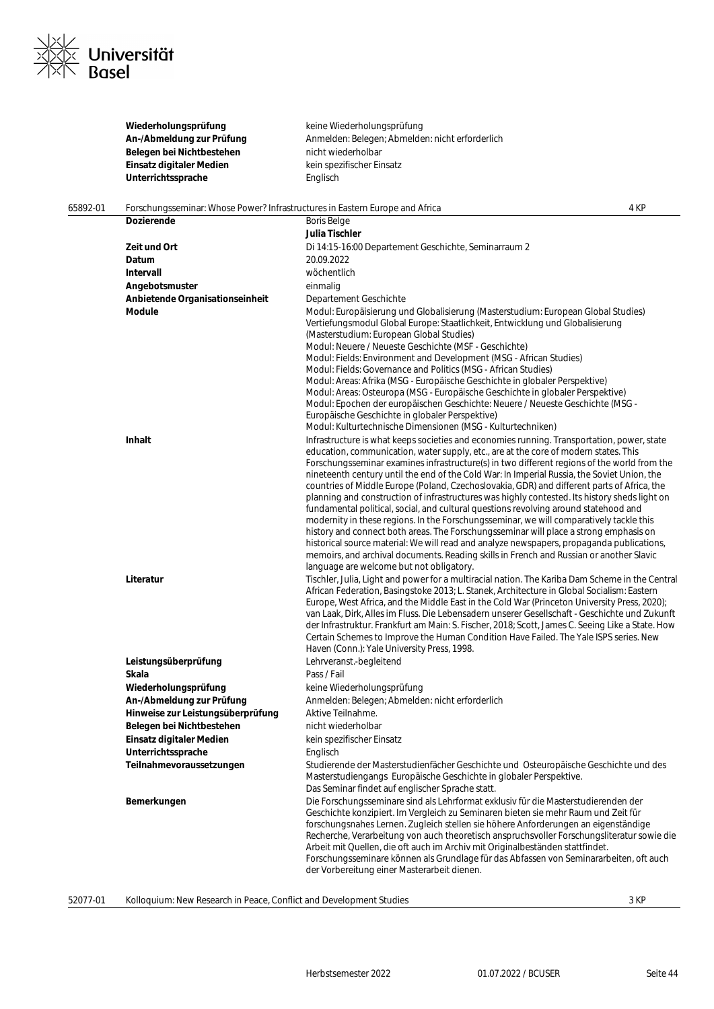

|          | Wiederholungsprüfung<br>An-/Abmeldung zur Prüfung<br>Belegen bei Nichtbestehen<br>Einsatz digitaler Medien<br>Unterrichtssprache | keine Wiederholungsprüfung<br>Anmelden: Belegen; Abmelden: nicht erforderlich<br>nicht wiederholbar<br>kein spezifischer Einsatz<br>Englisch                                                                                                                                                                                                                                                                                                                                                                                                                                                                                                                                                                                                                                                                                                                                                                                                                                                                                                                                                                                                                                                                                                                                                                                                                                                                                                                                                                                                                                                                                                                                                    |  |
|----------|----------------------------------------------------------------------------------------------------------------------------------|-------------------------------------------------------------------------------------------------------------------------------------------------------------------------------------------------------------------------------------------------------------------------------------------------------------------------------------------------------------------------------------------------------------------------------------------------------------------------------------------------------------------------------------------------------------------------------------------------------------------------------------------------------------------------------------------------------------------------------------------------------------------------------------------------------------------------------------------------------------------------------------------------------------------------------------------------------------------------------------------------------------------------------------------------------------------------------------------------------------------------------------------------------------------------------------------------------------------------------------------------------------------------------------------------------------------------------------------------------------------------------------------------------------------------------------------------------------------------------------------------------------------------------------------------------------------------------------------------------------------------------------------------------------------------------------------------|--|
| 65892-01 | Forschungsseminar: Whose Power? Infrastructures in Eastern Europe and Africa                                                     | 4 KP                                                                                                                                                                                                                                                                                                                                                                                                                                                                                                                                                                                                                                                                                                                                                                                                                                                                                                                                                                                                                                                                                                                                                                                                                                                                                                                                                                                                                                                                                                                                                                                                                                                                                            |  |
|          | Dozierende                                                                                                                       | <b>Boris Belge</b>                                                                                                                                                                                                                                                                                                                                                                                                                                                                                                                                                                                                                                                                                                                                                                                                                                                                                                                                                                                                                                                                                                                                                                                                                                                                                                                                                                                                                                                                                                                                                                                                                                                                              |  |
|          |                                                                                                                                  | Julia Tischler                                                                                                                                                                                                                                                                                                                                                                                                                                                                                                                                                                                                                                                                                                                                                                                                                                                                                                                                                                                                                                                                                                                                                                                                                                                                                                                                                                                                                                                                                                                                                                                                                                                                                  |  |
|          | Zeit und Ort                                                                                                                     | Di 14:15-16:00 Departement Geschichte, Seminarraum 2                                                                                                                                                                                                                                                                                                                                                                                                                                                                                                                                                                                                                                                                                                                                                                                                                                                                                                                                                                                                                                                                                                                                                                                                                                                                                                                                                                                                                                                                                                                                                                                                                                            |  |
|          | Datum                                                                                                                            | 20.09.2022                                                                                                                                                                                                                                                                                                                                                                                                                                                                                                                                                                                                                                                                                                                                                                                                                                                                                                                                                                                                                                                                                                                                                                                                                                                                                                                                                                                                                                                                                                                                                                                                                                                                                      |  |
|          | Intervall                                                                                                                        | wöchentlich                                                                                                                                                                                                                                                                                                                                                                                                                                                                                                                                                                                                                                                                                                                                                                                                                                                                                                                                                                                                                                                                                                                                                                                                                                                                                                                                                                                                                                                                                                                                                                                                                                                                                     |  |
|          | Angebotsmuster                                                                                                                   | einmalig                                                                                                                                                                                                                                                                                                                                                                                                                                                                                                                                                                                                                                                                                                                                                                                                                                                                                                                                                                                                                                                                                                                                                                                                                                                                                                                                                                                                                                                                                                                                                                                                                                                                                        |  |
|          | Anbietende Organisationseinheit<br>Module                                                                                        | Departement Geschichte<br>Modul: Europäisierung und Globalisierung (Masterstudium: European Global Studies)<br>Vertiefungsmodul Global Europe: Staatlichkeit, Entwicklung und Globalisierung<br>(Masterstudium: European Global Studies)<br>Modul: Neuere / Neueste Geschichte (MSF - Geschichte)<br>Modul: Fields: Environment and Development (MSG - African Studies)<br>Modul: Fields: Governance and Politics (MSG - African Studies)<br>Modul: Areas: Afrika (MSG - Europäische Geschichte in globaler Perspektive)<br>Modul: Areas: Osteuropa (MSG - Europäische Geschichte in globaler Perspektive)<br>Modul: Epochen der europäischen Geschichte: Neuere / Neueste Geschichte (MSG -<br>Europäische Geschichte in globaler Perspektive)<br>Modul: Kulturtechnische Dimensionen (MSG - Kulturtechniken)                                                                                                                                                                                                                                                                                                                                                                                                                                                                                                                                                                                                                                                                                                                                                                                                                                                                                  |  |
|          | <b>Inhalt</b><br>Literatur                                                                                                       | Infrastructure is what keeps societies and economies running. Transportation, power, state<br>education, communication, water supply, etc., are at the core of modern states. This<br>Forschungsseminar examines infrastructure(s) in two different regions of the world from the<br>nineteenth century until the end of the Cold War: In Imperial Russia, the Soviet Union, the<br>countries of Middle Europe (Poland, Czechoslovakia, GDR) and different parts of Africa, the<br>planning and construction of infrastructures was highly contested. Its history sheds light on<br>fundamental political, social, and cultural questions revolving around statehood and<br>modernity in these regions. In the Forschungsseminar, we will comparatively tackle this<br>history and connect both areas. The Forschungsseminar will place a strong emphasis on<br>historical source material: We will read and analyze newspapers, propaganda publications,<br>memoirs, and archival documents. Reading skills in French and Russian or another Slavic<br>language are welcome but not obligatory.<br>Tischler, Julia, Light and power for a multiracial nation. The Kariba Dam Scheme in the Central<br>African Federation, Basingstoke 2013; L. Stanek, Architecture in Global Socialism: Eastern<br>Europe, West Africa, and the Middle East in the Cold War (Princeton University Press, 2020);<br>van Laak, Dirk, Alles im Fluss. Die Lebensadern unserer Gesellschaft - Geschichte und Zukunft<br>der Infrastruktur. Frankfurt am Main: S. Fischer, 2018; Scott, James C. Seeing Like a State. How<br>Certain Schemes to Improve the Human Condition Have Failed. The Yale ISPS series. New |  |
|          |                                                                                                                                  | Haven (Conn.): Yale University Press, 1998.                                                                                                                                                                                                                                                                                                                                                                                                                                                                                                                                                                                                                                                                                                                                                                                                                                                                                                                                                                                                                                                                                                                                                                                                                                                                                                                                                                                                                                                                                                                                                                                                                                                     |  |
|          | Leistungsüberprüfung                                                                                                             | Lehrveranst.-begleitend                                                                                                                                                                                                                                                                                                                                                                                                                                                                                                                                                                                                                                                                                                                                                                                                                                                                                                                                                                                                                                                                                                                                                                                                                                                                                                                                                                                                                                                                                                                                                                                                                                                                         |  |
|          | Skala                                                                                                                            | Pass / Fail                                                                                                                                                                                                                                                                                                                                                                                                                                                                                                                                                                                                                                                                                                                                                                                                                                                                                                                                                                                                                                                                                                                                                                                                                                                                                                                                                                                                                                                                                                                                                                                                                                                                                     |  |
|          | Wiederholungsprüfung                                                                                                             | keine Wiederholungsprüfung                                                                                                                                                                                                                                                                                                                                                                                                                                                                                                                                                                                                                                                                                                                                                                                                                                                                                                                                                                                                                                                                                                                                                                                                                                                                                                                                                                                                                                                                                                                                                                                                                                                                      |  |
|          | An-/Abmeldung zur Prüfung                                                                                                        | Anmelden: Belegen; Abmelden: nicht erforderlich                                                                                                                                                                                                                                                                                                                                                                                                                                                                                                                                                                                                                                                                                                                                                                                                                                                                                                                                                                                                                                                                                                                                                                                                                                                                                                                                                                                                                                                                                                                                                                                                                                                 |  |
|          | Hinweise zur Leistungsüberprüfung                                                                                                | Aktive Teilnahme.                                                                                                                                                                                                                                                                                                                                                                                                                                                                                                                                                                                                                                                                                                                                                                                                                                                                                                                                                                                                                                                                                                                                                                                                                                                                                                                                                                                                                                                                                                                                                                                                                                                                               |  |
|          | Belegen bei Nichtbestehen                                                                                                        | nicht wiederholbar                                                                                                                                                                                                                                                                                                                                                                                                                                                                                                                                                                                                                                                                                                                                                                                                                                                                                                                                                                                                                                                                                                                                                                                                                                                                                                                                                                                                                                                                                                                                                                                                                                                                              |  |
|          | Einsatz digitaler Medien                                                                                                         | kein spezifischer Einsatz                                                                                                                                                                                                                                                                                                                                                                                                                                                                                                                                                                                                                                                                                                                                                                                                                                                                                                                                                                                                                                                                                                                                                                                                                                                                                                                                                                                                                                                                                                                                                                                                                                                                       |  |
|          | Unterrichtssprache                                                                                                               | Englisch                                                                                                                                                                                                                                                                                                                                                                                                                                                                                                                                                                                                                                                                                                                                                                                                                                                                                                                                                                                                                                                                                                                                                                                                                                                                                                                                                                                                                                                                                                                                                                                                                                                                                        |  |
|          | Teilnahmevoraussetzungen                                                                                                         | Studierende der Masterstudienfächer Geschichte und Osteuropäische Geschichte und des<br>Masterstudiengangs Europäische Geschichte in globaler Perspektive.<br>Das Seminar findet auf englischer Sprache statt.                                                                                                                                                                                                                                                                                                                                                                                                                                                                                                                                                                                                                                                                                                                                                                                                                                                                                                                                                                                                                                                                                                                                                                                                                                                                                                                                                                                                                                                                                  |  |
|          | Bemerkungen                                                                                                                      | Die Forschungsseminare sind als Lehrformat exklusiv für die Masterstudierenden der<br>Geschichte konzipiert. Im Vergleich zu Seminaren bieten sie mehr Raum und Zeit für<br>forschungsnahes Lernen. Zugleich stellen sie höhere Anforderungen an eigenständige<br>Recherche, Verarbeitung von auch theoretisch anspruchsvoller Forschungsliteratur sowie die<br>Arbeit mit Quellen, die oft auch im Archiv mit Originalbeständen stattfindet.<br>Forschungsseminare können als Grundlage für das Abfassen von Seminararbeiten, oft auch<br>der Vorbereitung einer Masterarbeit dienen.                                                                                                                                                                                                                                                                                                                                                                                                                                                                                                                                                                                                                                                                                                                                                                                                                                                                                                                                                                                                                                                                                                          |  |

52077-01 Kolloquium: New Research in Peace, Conflict and Development Studies 3KP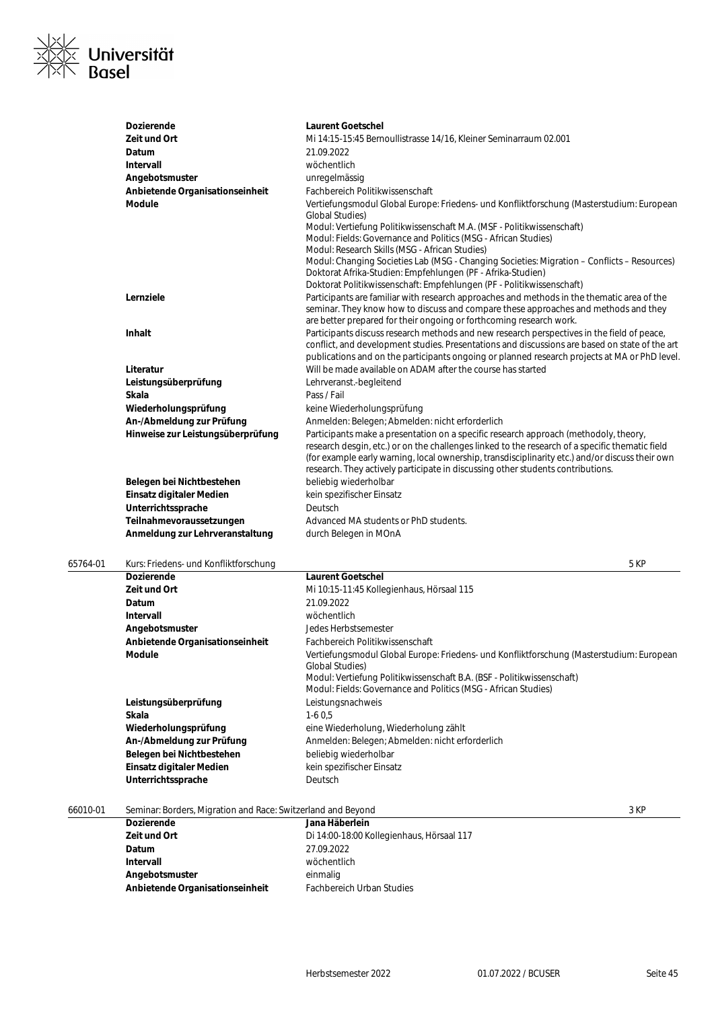

| <b>Dozierende</b>                 | <b>Laurent Goetschel</b>                                                                                                                                                                                                                                                                                                                                                      |
|-----------------------------------|-------------------------------------------------------------------------------------------------------------------------------------------------------------------------------------------------------------------------------------------------------------------------------------------------------------------------------------------------------------------------------|
| Zeit und Ort                      | Mi 14:15-15:45 Bernoullistrasse 14/16, Kleiner Seminarraum 02.001                                                                                                                                                                                                                                                                                                             |
| Datum                             | 21.09.2022                                                                                                                                                                                                                                                                                                                                                                    |
| Intervall                         | wöchentlich                                                                                                                                                                                                                                                                                                                                                                   |
| Angebotsmuster                    | unregelmässig                                                                                                                                                                                                                                                                                                                                                                 |
| Anbietende Organisationseinheit   | Fachbereich Politikwissenschaft                                                                                                                                                                                                                                                                                                                                               |
| <b>Module</b>                     | Vertiefungsmodul Global Europe: Friedens- und Konfliktforschung (Masterstudium: European<br><b>Global Studies</b> )                                                                                                                                                                                                                                                           |
|                                   | Modul: Vertiefung Politikwissenschaft M.A. (MSF - Politikwissenschaft)                                                                                                                                                                                                                                                                                                        |
|                                   | Modul: Fields: Governance and Politics (MSG - African Studies)                                                                                                                                                                                                                                                                                                                |
|                                   | Modul: Research Skills (MSG - African Studies)                                                                                                                                                                                                                                                                                                                                |
|                                   | Modul: Changing Societies Lab (MSG - Changing Societies: Migration – Conflicts – Resources)<br>Doktorat Afrika-Studien: Empfehlungen (PF - Afrika-Studien)                                                                                                                                                                                                                    |
|                                   | Doktorat Politikwissenschaft: Empfehlungen (PF - Politikwissenschaft)                                                                                                                                                                                                                                                                                                         |
| Lernziele                         | Participants are familiar with research approaches and methods in the thematic area of the<br>seminar. They know how to discuss and compare these approaches and methods and they                                                                                                                                                                                             |
|                                   | are better prepared for their ongoing or forthcoming research work.                                                                                                                                                                                                                                                                                                           |
| <b>Inhalt</b>                     | Participants discuss research methods and new research perspectives in the field of peace,<br>conflict, and development studies. Presentations and discussions are based on state of the art<br>publications and on the participants ongoing or planned research projects at MA or PhD level.                                                                                 |
| Literatur                         | Will be made available on ADAM after the course has started                                                                                                                                                                                                                                                                                                                   |
| Leistungsüberprüfung              | Lehrveranst.-begleitend                                                                                                                                                                                                                                                                                                                                                       |
| Skala                             | Pass / Fail                                                                                                                                                                                                                                                                                                                                                                   |
| Wiederholungsprüfung              | keine Wiederholungsprüfung                                                                                                                                                                                                                                                                                                                                                    |
| An-/Abmeldung zur Prüfung         | Anmelden: Belegen; Abmelden: nicht erforderlich                                                                                                                                                                                                                                                                                                                               |
| Hinweise zur Leistungsüberprüfung | Participants make a presentation on a specific research approach (methodoly, theory,<br>research desgin, etc.) or on the challenges linked to the research of a specific thematic field<br>(for example early warning, local ownership, transdisciplinarity etc.) and/or discuss their own<br>research. They actively participate in discussing other students contributions. |
| Belegen bei Nichtbestehen         | beliebig wiederholbar                                                                                                                                                                                                                                                                                                                                                         |
| Einsatz digitaler Medien          | kein spezifischer Einsatz                                                                                                                                                                                                                                                                                                                                                     |
| Unterrichtssprache                | Deutsch                                                                                                                                                                                                                                                                                                                                                                       |
|                                   |                                                                                                                                                                                                                                                                                                                                                                               |
| Teilnahmevoraussetzungen          | Advanced MA students or PhD students.                                                                                                                                                                                                                                                                                                                                         |

### 65764-01 Kurs: Friedens- und Konfliktforschung 5 KP

| 03704-01 | NUIS. FILCUCIIS- UIIU NOI IIIIKUUISCHUIIU | O NE                                                                                                                                                                                                                                                    |
|----------|-------------------------------------------|---------------------------------------------------------------------------------------------------------------------------------------------------------------------------------------------------------------------------------------------------------|
|          | Dozierende                                | <b>Laurent Goetschel</b>                                                                                                                                                                                                                                |
|          | Zeit und Ort                              | Mi 10:15-11:45 Kollegienhaus, Hörsaal 115                                                                                                                                                                                                               |
|          | Datum                                     | 21.09.2022                                                                                                                                                                                                                                              |
|          | Intervall                                 | wöchentlich                                                                                                                                                                                                                                             |
|          | Angebotsmuster                            | Jedes Herbstsemester                                                                                                                                                                                                                                    |
|          | Anbietende Organisationseinheit           | Fachbereich Politikwissenschaft                                                                                                                                                                                                                         |
|          | <b>Module</b>                             | Vertiefungsmodul Global Europe: Friedens- und Konfliktforschung (Masterstudium: European<br>Global Studies)<br>Modul: Vertiefung Politikwissenschaft B.A. (BSF - Politikwissenschaft)<br>Modul: Fields: Governance and Politics (MSG - African Studies) |
|          | Leistungsüberprüfung                      | Leistungsnachweis                                                                                                                                                                                                                                       |
|          | Skala                                     | $1-60.5$                                                                                                                                                                                                                                                |
|          | Wiederholungsprüfung                      | eine Wiederholung, Wiederholung zählt                                                                                                                                                                                                                   |
|          | An-/Abmeldung zur Prüfung                 | Anmelden: Belegen; Abmelden: nicht erforderlich                                                                                                                                                                                                         |
|          | Belegen bei Nichtbestehen                 | beliebig wiederholbar                                                                                                                                                                                                                                   |
|          | Einsatz digitaler Medien                  | kein spezifischer Einsatz                                                                                                                                                                                                                               |
|          | Unterrichtssprache                        | Deutsch                                                                                                                                                                                                                                                 |
|          |                                           |                                                                                                                                                                                                                                                         |

| 66010-01 | Seminar: Borders, Migration and Race: Switzerland and Beyond |                                           | 3 KP |
|----------|--------------------------------------------------------------|-------------------------------------------|------|
|          | <b>Dozierende</b>                                            | Jana Häberlein                            |      |
|          | Zeit und Ort                                                 | Di 14:00-18:00 Kollegienhaus, Hörsaal 117 |      |
|          | Datum                                                        | 27.09.2022                                |      |
|          | Intervall                                                    | wöchentlich                               |      |
|          | Angebotsmuster                                               | einmalig                                  |      |
|          | Anbietende Organisationseinheit                              | <b>Fachbereich Urban Studies</b>          |      |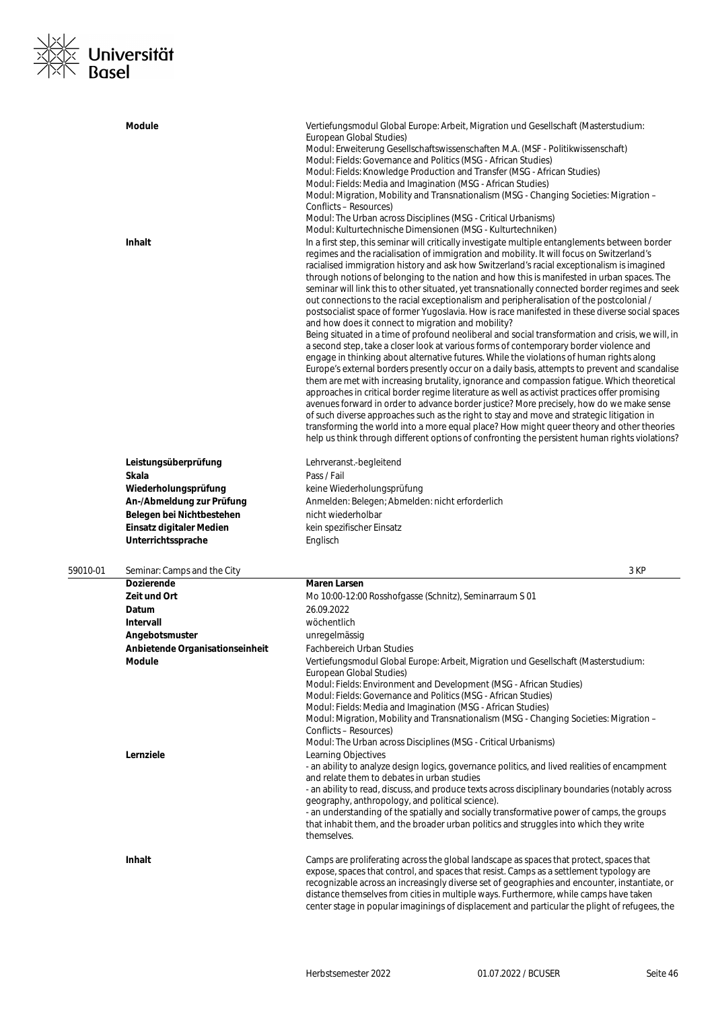

|          | <b>Module</b>                                                                                                                                                     | Vertiefungsmodul Global Europe: Arbeit, Migration und Gesellschaft (Masterstudium:<br>European Global Studies)<br>Modul: Erweiterung Gesellschaftswissenschaften M.A. (MSF - Politikwissenschaft)<br>Modul: Fields: Governance and Politics (MSG - African Studies)<br>Modul: Fields: Knowledge Production and Transfer (MSG - African Studies)<br>Modul: Fields: Media and Imagination (MSG - African Studies)<br>Modul: Migration, Mobility and Transnationalism (MSG - Changing Societies: Migration –<br>Conflicts – Resources)<br>Modul: The Urban across Disciplines (MSG - Critical Urbanisms)                                                                                                                                                                                                                                                                                                                                                                                                                                                                                                                                                                                                                                                                                                                                                                                                                                                                                                                                                                                                                                                                                                                                                                                                |
|----------|-------------------------------------------------------------------------------------------------------------------------------------------------------------------|------------------------------------------------------------------------------------------------------------------------------------------------------------------------------------------------------------------------------------------------------------------------------------------------------------------------------------------------------------------------------------------------------------------------------------------------------------------------------------------------------------------------------------------------------------------------------------------------------------------------------------------------------------------------------------------------------------------------------------------------------------------------------------------------------------------------------------------------------------------------------------------------------------------------------------------------------------------------------------------------------------------------------------------------------------------------------------------------------------------------------------------------------------------------------------------------------------------------------------------------------------------------------------------------------------------------------------------------------------------------------------------------------------------------------------------------------------------------------------------------------------------------------------------------------------------------------------------------------------------------------------------------------------------------------------------------------------------------------------------------------------------------------------------------------|
|          | Inhalt                                                                                                                                                            | Modul: Kulturtechnische Dimensionen (MSG - Kulturtechniken)<br>In a first step, this seminar will critically investigate multiple entanglements between border<br>regimes and the racialisation of immigration and mobility. It will focus on Switzerland's<br>racialised immigration history and ask how Switzerland's racial exceptionalism is imagined<br>through notions of belonging to the nation and how this is manifested in urban spaces. The<br>seminar will link this to other situated, yet transnationally connected border regimes and seek<br>out connections to the racial exceptionalism and peripheralisation of the postcolonial /<br>postsocialist space of former Yugoslavia. How is race manifested in these diverse social spaces<br>and how does it connect to migration and mobility?<br>Being situated in a time of profound neoliberal and social transformation and crisis, we will, in<br>a second step, take a closer look at various forms of contemporary border violence and<br>engage in thinking about alternative futures. While the violations of human rights along<br>Europe's external borders presently occur on a daily basis, attempts to prevent and scandalise<br>them are met with increasing brutality, ignorance and compassion fatigue. Which theoretical<br>approaches in critical border regime literature as well as activist practices offer promising<br>avenues forward in order to advance border justice? More precisely, how do we make sense<br>of such diverse approaches such as the right to stay and move and strategic litigation in<br>transforming the world into a more equal place? How might queer theory and other theories<br>help us think through different options of confronting the persistent human rights violations? |
|          | Leistungsüberprüfung<br>Skala<br>Wiederholungsprüfung<br>An-/Abmeldung zur Prüfung<br>Belegen bei Nichtbestehen<br>Einsatz digitaler Medien<br>Unterrichtssprache | Lehrveranst.-begleitend<br>Pass / Fail<br>keine Wiederholungsprüfung<br>Anmelden: Belegen; Abmelden: nicht erforderlich<br>nicht wiederholbar<br>kein spezifischer Einsatz<br>Englisch                                                                                                                                                                                                                                                                                                                                                                                                                                                                                                                                                                                                                                                                                                                                                                                                                                                                                                                                                                                                                                                                                                                                                                                                                                                                                                                                                                                                                                                                                                                                                                                                               |
| 59010-01 | Seminar: Camps and the City                                                                                                                                       | 3 KP                                                                                                                                                                                                                                                                                                                                                                                                                                                                                                                                                                                                                                                                                                                                                                                                                                                                                                                                                                                                                                                                                                                                                                                                                                                                                                                                                                                                                                                                                                                                                                                                                                                                                                                                                                                                 |
|          | <b>Dozierende</b>                                                                                                                                                 | <b>Maren Larsen</b>                                                                                                                                                                                                                                                                                                                                                                                                                                                                                                                                                                                                                                                                                                                                                                                                                                                                                                                                                                                                                                                                                                                                                                                                                                                                                                                                                                                                                                                                                                                                                                                                                                                                                                                                                                                  |
|          | Zeit und Ort<br>Datum                                                                                                                                             | Mo 10:00-12:00 Rosshofgasse (Schnitz), Seminarraum S 01<br>26.09.2022                                                                                                                                                                                                                                                                                                                                                                                                                                                                                                                                                                                                                                                                                                                                                                                                                                                                                                                                                                                                                                                                                                                                                                                                                                                                                                                                                                                                                                                                                                                                                                                                                                                                                                                                |
|          | Intervall                                                                                                                                                         | wöchentlich                                                                                                                                                                                                                                                                                                                                                                                                                                                                                                                                                                                                                                                                                                                                                                                                                                                                                                                                                                                                                                                                                                                                                                                                                                                                                                                                                                                                                                                                                                                                                                                                                                                                                                                                                                                          |
|          | Angebotsmuster                                                                                                                                                    | unregelmässig                                                                                                                                                                                                                                                                                                                                                                                                                                                                                                                                                                                                                                                                                                                                                                                                                                                                                                                                                                                                                                                                                                                                                                                                                                                                                                                                                                                                                                                                                                                                                                                                                                                                                                                                                                                        |
|          | Anbietende Organisationseinheit                                                                                                                                   | <b>Fachbereich Urban Studies</b>                                                                                                                                                                                                                                                                                                                                                                                                                                                                                                                                                                                                                                                                                                                                                                                                                                                                                                                                                                                                                                                                                                                                                                                                                                                                                                                                                                                                                                                                                                                                                                                                                                                                                                                                                                     |
|          | Module                                                                                                                                                            | Vertiefungsmodul Global Europe: Arbeit, Migration und Gesellschaft (Masterstudium:<br>European Global Studies)<br>Modul: Fields: Environment and Development (MSG - African Studies)<br>Modul: Fields: Governance and Politics (MSG - African Studies)<br>Modul: Fields: Media and Imagination (MSG - African Studies)<br>Modul: Migration, Mobility and Transnationalism (MSG - Changing Societies: Migration -<br>Conflicts - Resources)<br>Modul: The Urban across Disciplines (MSG - Critical Urbanisms)                                                                                                                                                                                                                                                                                                                                                                                                                                                                                                                                                                                                                                                                                                                                                                                                                                                                                                                                                                                                                                                                                                                                                                                                                                                                                         |
|          | Lernziele                                                                                                                                                         | Learning Objectives<br>- an ability to analyze design logics, governance politics, and lived realities of encampment<br>and relate them to debates in urban studies<br>- an ability to read, discuss, and produce texts across disciplinary boundaries (notably across<br>geography, anthropology, and political science).<br>- an understanding of the spatially and socially transformative power of camps, the groups<br>that inhabit them, and the broader urban politics and struggles into which they write<br>themselves.                                                                                                                                                                                                                                                                                                                                                                                                                                                                                                                                                                                                                                                                                                                                                                                                                                                                                                                                                                                                                                                                                                                                                                                                                                                                     |
|          | <b>Inhalt</b>                                                                                                                                                     | Camps are proliferating across the global landscape as spaces that protect, spaces that<br>expose, spaces that control, and spaces that resist. Camps as a settlement typology are<br>recognizable across an increasingly diverse set of geographies and encounter, instantiate, or<br>distance themselves from cities in multiple ways. Furthermore, while camps have taken<br>center stage in popular imaginings of displacement and particular the plight of refugees, the                                                                                                                                                                                                                                                                                                                                                                                                                                                                                                                                                                                                                                                                                                                                                                                                                                                                                                                                                                                                                                                                                                                                                                                                                                                                                                                        |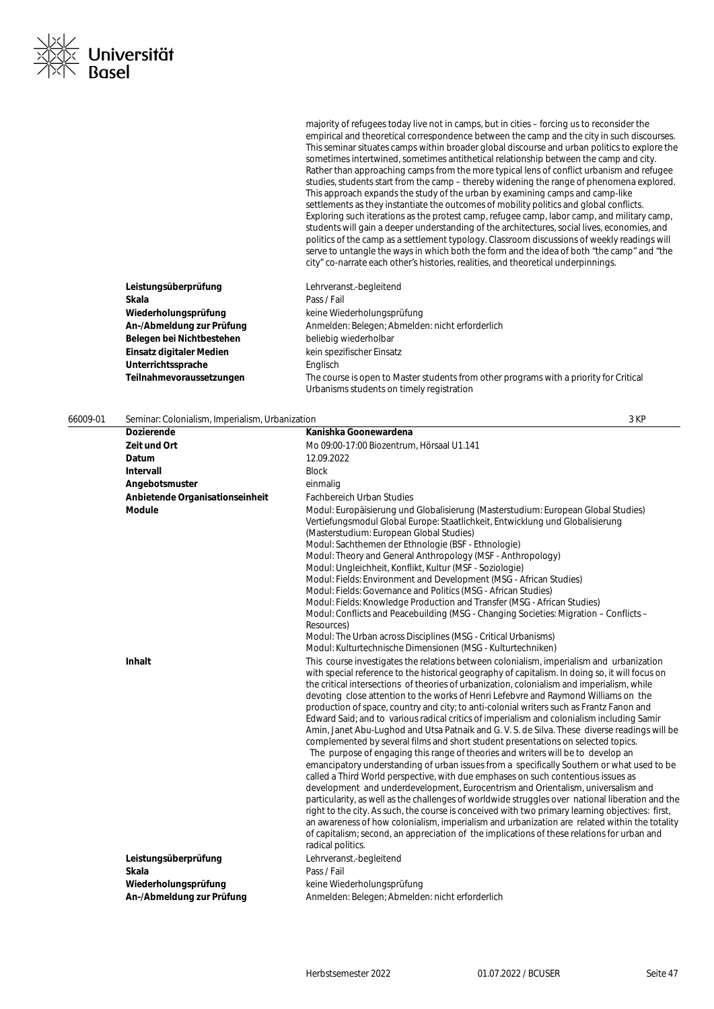majority of refugees today live not in camps, but in cities – forcing us to reconsider the empirical and theoretical correspondence between the camp and the city in such discourses. This seminar situates camps within broader global discourse and urban politics to explore the sometimes intertwined, sometimes antithetical relationship between the camp and city. Rather than approaching camps from the more typical lens of conflict urbanism and refugee studies, students start from the camp – thereby widening the range of phenomena explored. This approach expands the study of the urban by examining camps and camp-like settlements as they instantiate the outcomes of mobility politics and global conflicts. Exploring such iterations as the protest camp, refugee camp, labor camp, and military camp, students will gain a deeper understanding of the architectures, social lives, economies, and politics of the camp as a settlement typology. Classroom discussions of weekly readings will serve to untangle the ways in which both the form and the idea of both "the camp" and "the city" co-narrate each other's histories, realities, and theoretical underpinnings.

| Leistungsüberprüfung      | Lehrveranst.-begleitend                                                                                                             |
|---------------------------|-------------------------------------------------------------------------------------------------------------------------------------|
| Skala                     | Pass / Fail                                                                                                                         |
| Wiederholungsprüfung      | keine Wiederholungsprüfung                                                                                                          |
| An-/Abmeldung zur Prüfung | Anmelden: Belegen; Abmelden: nicht erforderlich                                                                                     |
| Belegen bei Nichtbestehen | beliebig wiederholbar                                                                                                               |
| Einsatz digitaler Medien  | kein spezifischer Einsatz                                                                                                           |
| Unterrichtssprache        | Englisch                                                                                                                            |
| Teilnahmevoraussetzungen  | The course is open to Master students from other programs with a priority for Critical<br>Urbanisms students on timely registration |

| 66009-01 | Seminar: Colonialism, Imperialism, Urbanization                                    |                                                                                                                                                                                                                                                                                                                                                                                                                                                                                                                                                                                                                                                                                                                                                                                                                                                                                                                                                                                                                                                                                                                                                                                                                                                                                                                                                                                                                                                                                                                                                                                                    | 3 KP |
|----------|------------------------------------------------------------------------------------|----------------------------------------------------------------------------------------------------------------------------------------------------------------------------------------------------------------------------------------------------------------------------------------------------------------------------------------------------------------------------------------------------------------------------------------------------------------------------------------------------------------------------------------------------------------------------------------------------------------------------------------------------------------------------------------------------------------------------------------------------------------------------------------------------------------------------------------------------------------------------------------------------------------------------------------------------------------------------------------------------------------------------------------------------------------------------------------------------------------------------------------------------------------------------------------------------------------------------------------------------------------------------------------------------------------------------------------------------------------------------------------------------------------------------------------------------------------------------------------------------------------------------------------------------------------------------------------------------|------|
|          | <b>Dozierende</b>                                                                  | Kanishka Goonewardena                                                                                                                                                                                                                                                                                                                                                                                                                                                                                                                                                                                                                                                                                                                                                                                                                                                                                                                                                                                                                                                                                                                                                                                                                                                                                                                                                                                                                                                                                                                                                                              |      |
|          | Zeit und Ort                                                                       | Mo 09:00-17:00 Biozentrum, Hörsaal U1.141                                                                                                                                                                                                                                                                                                                                                                                                                                                                                                                                                                                                                                                                                                                                                                                                                                                                                                                                                                                                                                                                                                                                                                                                                                                                                                                                                                                                                                                                                                                                                          |      |
|          | Datum                                                                              | 12.09.2022                                                                                                                                                                                                                                                                                                                                                                                                                                                                                                                                                                                                                                                                                                                                                                                                                                                                                                                                                                                                                                                                                                                                                                                                                                                                                                                                                                                                                                                                                                                                                                                         |      |
|          | Intervall                                                                          | <b>Block</b>                                                                                                                                                                                                                                                                                                                                                                                                                                                                                                                                                                                                                                                                                                                                                                                                                                                                                                                                                                                                                                                                                                                                                                                                                                                                                                                                                                                                                                                                                                                                                                                       |      |
|          | Angebotsmuster                                                                     | einmalig                                                                                                                                                                                                                                                                                                                                                                                                                                                                                                                                                                                                                                                                                                                                                                                                                                                                                                                                                                                                                                                                                                                                                                                                                                                                                                                                                                                                                                                                                                                                                                                           |      |
|          | Anbietende Organisationseinheit                                                    | <b>Fachbereich Urban Studies</b>                                                                                                                                                                                                                                                                                                                                                                                                                                                                                                                                                                                                                                                                                                                                                                                                                                                                                                                                                                                                                                                                                                                                                                                                                                                                                                                                                                                                                                                                                                                                                                   |      |
|          | <b>Module</b>                                                                      | Modul: Europäisierung und Globalisierung (Masterstudium: European Global Studies)<br>Vertiefungsmodul Global Europe: Staatlichkeit, Entwicklung und Globalisierung<br>(Masterstudium: European Global Studies)<br>Modul: Sachthemen der Ethnologie (BSF - Ethnologie)<br>Modul: Theory and General Anthropology (MSF - Anthropology)<br>Modul: Ungleichheit, Konflikt, Kultur (MSF - Soziologie)<br>Modul: Fields: Environment and Development (MSG - African Studies)<br>Modul: Fields: Governance and Politics (MSG - African Studies)<br>Modul: Fields: Knowledge Production and Transfer (MSG - African Studies)<br>Modul: Conflicts and Peacebuilding (MSG - Changing Societies: Migration – Conflicts –<br>Resources)<br>Modul: The Urban across Disciplines (MSG - Critical Urbanisms)                                                                                                                                                                                                                                                                                                                                                                                                                                                                                                                                                                                                                                                                                                                                                                                                      |      |
|          | <b>Inhalt</b>                                                                      | Modul: Kulturtechnische Dimensionen (MSG - Kulturtechniken)<br>This course investigates the relations between colonialism, imperialism and urbanization<br>with special reference to the historical geography of capitalism. In doing so, it will focus on<br>the critical intersections of theories of urbanization, colonialism and imperialism, while<br>devoting close attention to the works of Henri Lefebvre and Raymond Williams on the<br>production of space, country and city; to anti-colonial writers such as Frantz Fanon and<br>Edward Said; and to various radical critics of imperialism and colonialism including Samir<br>Amin, Janet Abu-Lughod and Utsa Patnaik and G. V. S. de Silva. These diverse readings will be<br>complemented by several films and short student presentations on selected topics.<br>The purpose of engaging this range of theories and writers will be to develop an<br>emancipatory understanding of urban issues from a specifically Southern or what used to be<br>called a Third World perspective, with due emphases on such contentious issues as<br>development and underdevelopment, Eurocentrism and Orientalism, universalism and<br>particularity, as well as the challenges of worldwide struggles over national liberation and the<br>right to the city. As such, the course is conceived with two primary learning objectives: first,<br>an awareness of how colonialism, imperialism and urbanization are related within the totality<br>of capitalism; second, an appreciation of the implications of these relations for urban and |      |
|          | Leistungsüberprüfung<br>Skala<br>Wiederholungsprüfung<br>An-/Abmeldung zur Prüfung | radical politics.<br>Lehrveranst.-begleitend<br>Pass / Fail<br>keine Wiederholungsprüfung<br>Anmelden: Belegen; Abmelden: nicht erforderlich                                                                                                                                                                                                                                                                                                                                                                                                                                                                                                                                                                                                                                                                                                                                                                                                                                                                                                                                                                                                                                                                                                                                                                                                                                                                                                                                                                                                                                                       |      |
|          |                                                                                    |                                                                                                                                                                                                                                                                                                                                                                                                                                                                                                                                                                                                                                                                                                                                                                                                                                                                                                                                                                                                                                                                                                                                                                                                                                                                                                                                                                                                                                                                                                                                                                                                    |      |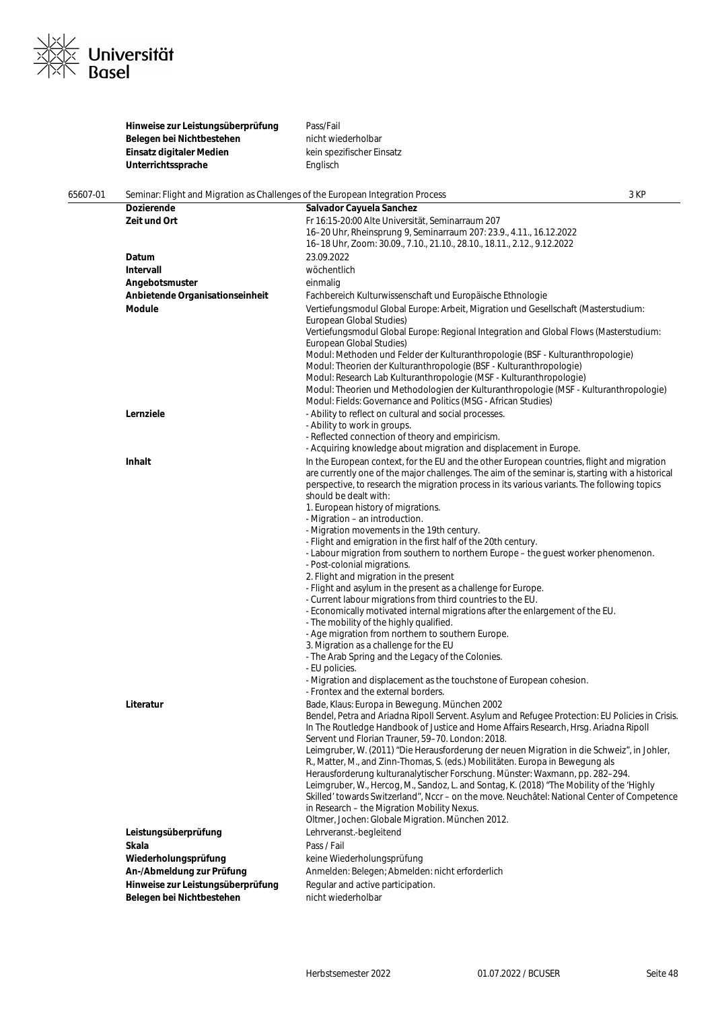

|          | Hinweise zur Leistungsüberprüfung<br>Belegen bei Nichtbestehen<br>Einsatz digitaler Medien  | Pass/Fail<br>nicht wiederholbar<br>kein spezifischer Einsatz                                                                                                                                                                                                                                                                                                                                                                                                                                                                                                                                                                                                                                                                                                                                                                                                                                                                                                                                                                                                                                                                                                                                                                                                                                         |      |
|----------|---------------------------------------------------------------------------------------------|------------------------------------------------------------------------------------------------------------------------------------------------------------------------------------------------------------------------------------------------------------------------------------------------------------------------------------------------------------------------------------------------------------------------------------------------------------------------------------------------------------------------------------------------------------------------------------------------------------------------------------------------------------------------------------------------------------------------------------------------------------------------------------------------------------------------------------------------------------------------------------------------------------------------------------------------------------------------------------------------------------------------------------------------------------------------------------------------------------------------------------------------------------------------------------------------------------------------------------------------------------------------------------------------------|------|
|          | Unterrichtssprache                                                                          | Englisch                                                                                                                                                                                                                                                                                                                                                                                                                                                                                                                                                                                                                                                                                                                                                                                                                                                                                                                                                                                                                                                                                                                                                                                                                                                                                             |      |
| 65607-01 | Seminar: Flight and Migration as Challenges of the European Integration Process             |                                                                                                                                                                                                                                                                                                                                                                                                                                                                                                                                                                                                                                                                                                                                                                                                                                                                                                                                                                                                                                                                                                                                                                                                                                                                                                      | 3 KP |
|          | Dozierende<br>Zeit und Ort                                                                  | Salvador Cayuela Sanchez<br>Fr 16:15-20:00 Alte Universität, Seminarraum 207<br>16–20 Uhr, Rheinsprung 9, Seminarraum 207: 23.9., 4.11., 16.12.2022<br>16-18 Uhr, Zoom: 30.09., 7.10., 21.10., 28.10., 18.11., 2.12., 9.12.2022                                                                                                                                                                                                                                                                                                                                                                                                                                                                                                                                                                                                                                                                                                                                                                                                                                                                                                                                                                                                                                                                      |      |
|          | Datum                                                                                       | 23.09.2022                                                                                                                                                                                                                                                                                                                                                                                                                                                                                                                                                                                                                                                                                                                                                                                                                                                                                                                                                                                                                                                                                                                                                                                                                                                                                           |      |
|          | Intervall                                                                                   | wöchentlich                                                                                                                                                                                                                                                                                                                                                                                                                                                                                                                                                                                                                                                                                                                                                                                                                                                                                                                                                                                                                                                                                                                                                                                                                                                                                          |      |
|          | Angebotsmuster                                                                              | einmalig                                                                                                                                                                                                                                                                                                                                                                                                                                                                                                                                                                                                                                                                                                                                                                                                                                                                                                                                                                                                                                                                                                                                                                                                                                                                                             |      |
|          | Anbietende Organisationseinheit                                                             | Fachbereich Kulturwissenschaft und Europäische Ethnologie                                                                                                                                                                                                                                                                                                                                                                                                                                                                                                                                                                                                                                                                                                                                                                                                                                                                                                                                                                                                                                                                                                                                                                                                                                            |      |
|          | Module                                                                                      | Vertiefungsmodul Global Europe: Arbeit, Migration und Gesellschaft (Masterstudium:<br>European Global Studies)<br>Vertiefungsmodul Global Europe: Regional Integration and Global Flows (Masterstudium:<br>European Global Studies)<br>Modul: Methoden und Felder der Kulturanthropologie (BSF - Kulturanthropologie)<br>Modul: Theorien der Kulturanthropologie (BSF - Kulturanthropologie)<br>Modul: Research Lab Kulturanthropologie (MSF - Kulturanthropologie)<br>Modul: Theorien und Methodologien der Kulturanthropologie (MSF - Kulturanthropologie)                                                                                                                                                                                                                                                                                                                                                                                                                                                                                                                                                                                                                                                                                                                                         |      |
|          |                                                                                             | Modul: Fields: Governance and Politics (MSG - African Studies)                                                                                                                                                                                                                                                                                                                                                                                                                                                                                                                                                                                                                                                                                                                                                                                                                                                                                                                                                                                                                                                                                                                                                                                                                                       |      |
|          | Lernziele                                                                                   | - Ability to reflect on cultural and social processes.<br>- Ability to work in groups.<br>- Reflected connection of theory and empiricism.                                                                                                                                                                                                                                                                                                                                                                                                                                                                                                                                                                                                                                                                                                                                                                                                                                                                                                                                                                                                                                                                                                                                                           |      |
|          | Inhalt                                                                                      | - Acquiring knowledge about migration and displacement in Europe.<br>In the European context, for the EU and the other European countries, flight and migration<br>are currently one of the major challenges. The aim of the seminar is, starting with a historical<br>perspective, to research the migration process in its various variants. The following topics<br>should be dealt with:<br>1. European history of migrations.<br>- Migration – an introduction.<br>- Migration movements in the 19th century.<br>- Flight and emigration in the first half of the 20th century.<br>- Labour migration from southern to northern Europe – the quest worker phenomenon.<br>- Post-colonial migrations.<br>2. Flight and migration in the present<br>- Flight and asylum in the present as a challenge for Europe.<br>- Current labour migrations from third countries to the EU.<br>- Economically motivated internal migrations after the enlargement of the EU.<br>- The mobility of the highly qualified.<br>- Age migration from northern to southern Europe.<br>3. Migration as a challenge for the EU<br>- The Arab Spring and the Legacy of the Colonies.<br>- EU policies.<br>- Migration and displacement as the touchstone of European cohesion.<br>- Frontex and the external borders. |      |
|          | Literatur                                                                                   | Bade, Klaus: Europa in Bewegung. München 2002<br>Bendel, Petra and Ariadna Ripoll Servent. Asylum and Refugee Protection: EU Policies in Crisis.<br>In The Routledge Handbook of Justice and Home Affairs Research, Hrsg. Ariadna Ripoll<br>Servent und Florian Trauner, 59-70. London: 2018.<br>Leimgruber, W. (2011) "Die Herausforderung der neuen Migration in die Schweiz", in Johler,<br>R., Matter, M., and Zinn-Thomas, S. (eds.) Mobilitäten. Europa in Bewegung als<br>Herausforderung kulturanalytischer Forschung. Münster: Waxmann, pp. 282–294.<br>Leimgruber, W., Hercog, M., Sandoz, L. and Sontag, K. (2018) "The Mobility of the 'Highly<br>Skilled' towards Switzerland", Nccr – on the move. Neuchâtel: National Center of Competence<br>in Research - the Migration Mobility Nexus.<br>Oltmer, Jochen: Globale Migration. München 2012.                                                                                                                                                                                                                                                                                                                                                                                                                                         |      |
|          | Leistungsüberprüfung                                                                        | Lehrveranst.-begleitend                                                                                                                                                                                                                                                                                                                                                                                                                                                                                                                                                                                                                                                                                                                                                                                                                                                                                                                                                                                                                                                                                                                                                                                                                                                                              |      |
|          | Skala                                                                                       | Pass / Fail                                                                                                                                                                                                                                                                                                                                                                                                                                                                                                                                                                                                                                                                                                                                                                                                                                                                                                                                                                                                                                                                                                                                                                                                                                                                                          |      |
|          | Wiederholungsprüfung                                                                        | keine Wiederholungsprüfung                                                                                                                                                                                                                                                                                                                                                                                                                                                                                                                                                                                                                                                                                                                                                                                                                                                                                                                                                                                                                                                                                                                                                                                                                                                                           |      |
|          | An-/Abmeldung zur Prüfung<br>Hinweise zur Leistungsüberprüfung<br>Belegen bei Nichtbestehen | Anmelden: Belegen; Abmelden: nicht erforderlich<br>Regular and active participation.<br>nicht wiederholbar                                                                                                                                                                                                                                                                                                                                                                                                                                                                                                                                                                                                                                                                                                                                                                                                                                                                                                                                                                                                                                                                                                                                                                                           |      |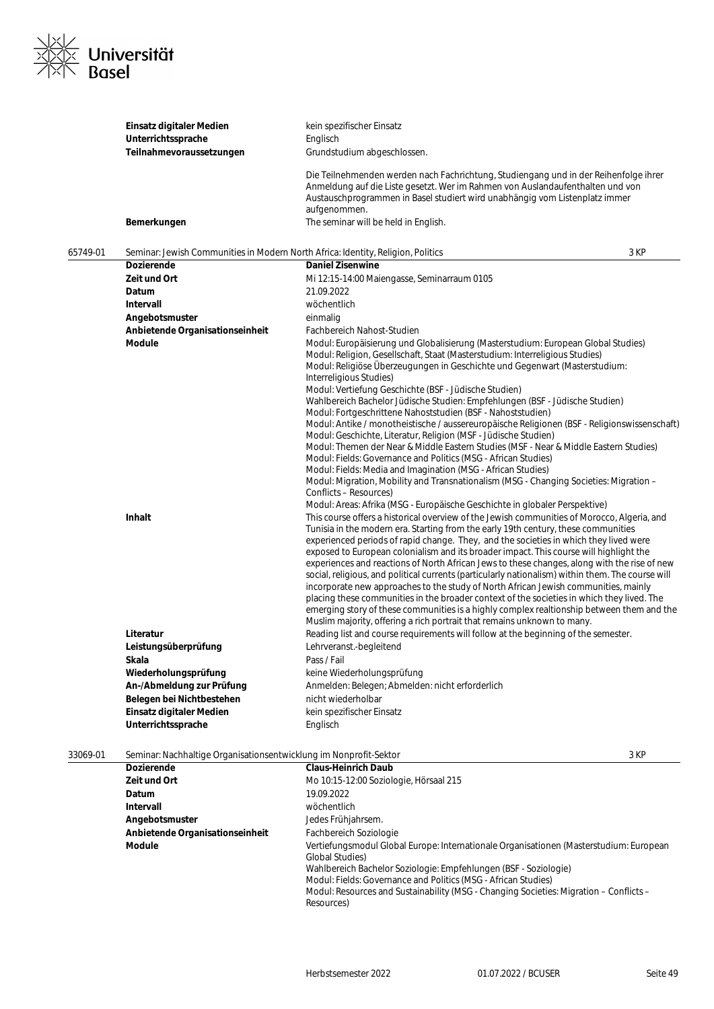

|          | Einsatz digitaler Medien<br>Unterrichtssprache                                   | kein spezifischer Einsatz<br>Englisch                                                                                                                                                                                                                                                                                                                                                                                                                                                                                                                                                                                                                                                                                                                                                                                                                                                                                                                                                                                                                                                                                                                                                                                                                                                                                                                                                                                                                                                                                                                                                                                                                                                                                                                                                                                                                                                                                                                                                                                         |      |
|----------|----------------------------------------------------------------------------------|-------------------------------------------------------------------------------------------------------------------------------------------------------------------------------------------------------------------------------------------------------------------------------------------------------------------------------------------------------------------------------------------------------------------------------------------------------------------------------------------------------------------------------------------------------------------------------------------------------------------------------------------------------------------------------------------------------------------------------------------------------------------------------------------------------------------------------------------------------------------------------------------------------------------------------------------------------------------------------------------------------------------------------------------------------------------------------------------------------------------------------------------------------------------------------------------------------------------------------------------------------------------------------------------------------------------------------------------------------------------------------------------------------------------------------------------------------------------------------------------------------------------------------------------------------------------------------------------------------------------------------------------------------------------------------------------------------------------------------------------------------------------------------------------------------------------------------------------------------------------------------------------------------------------------------------------------------------------------------------------------------------------------------|------|
|          | Teilnahmevoraussetzungen                                                         | Grundstudium abgeschlossen.                                                                                                                                                                                                                                                                                                                                                                                                                                                                                                                                                                                                                                                                                                                                                                                                                                                                                                                                                                                                                                                                                                                                                                                                                                                                                                                                                                                                                                                                                                                                                                                                                                                                                                                                                                                                                                                                                                                                                                                                   |      |
|          | Bemerkungen                                                                      | Die Teilnehmenden werden nach Fachrichtung, Studiengang und in der Reihenfolge ihrer<br>Anmeldung auf die Liste gesetzt. Wer im Rahmen von Auslandaufenthalten und von<br>Austauschprogrammen in Basel studiert wird unabhängig vom Listenplatz immer<br>aufgenommen.<br>The seminar will be held in English.                                                                                                                                                                                                                                                                                                                                                                                                                                                                                                                                                                                                                                                                                                                                                                                                                                                                                                                                                                                                                                                                                                                                                                                                                                                                                                                                                                                                                                                                                                                                                                                                                                                                                                                 |      |
|          |                                                                                  |                                                                                                                                                                                                                                                                                                                                                                                                                                                                                                                                                                                                                                                                                                                                                                                                                                                                                                                                                                                                                                                                                                                                                                                                                                                                                                                                                                                                                                                                                                                                                                                                                                                                                                                                                                                                                                                                                                                                                                                                                               |      |
| 65749-01 | Seminar: Jewish Communities in Modern North Africa: Identity, Religion, Politics |                                                                                                                                                                                                                                                                                                                                                                                                                                                                                                                                                                                                                                                                                                                                                                                                                                                                                                                                                                                                                                                                                                                                                                                                                                                                                                                                                                                                                                                                                                                                                                                                                                                                                                                                                                                                                                                                                                                                                                                                                               | 3 KP |
|          | Dozierende                                                                       | <b>Daniel Zisenwine</b>                                                                                                                                                                                                                                                                                                                                                                                                                                                                                                                                                                                                                                                                                                                                                                                                                                                                                                                                                                                                                                                                                                                                                                                                                                                                                                                                                                                                                                                                                                                                                                                                                                                                                                                                                                                                                                                                                                                                                                                                       |      |
|          | Zeit und Ort                                                                     | Mi 12:15-14:00 Maiengasse, Seminarraum 0105                                                                                                                                                                                                                                                                                                                                                                                                                                                                                                                                                                                                                                                                                                                                                                                                                                                                                                                                                                                                                                                                                                                                                                                                                                                                                                                                                                                                                                                                                                                                                                                                                                                                                                                                                                                                                                                                                                                                                                                   |      |
|          | Datum                                                                            | 21.09.2022                                                                                                                                                                                                                                                                                                                                                                                                                                                                                                                                                                                                                                                                                                                                                                                                                                                                                                                                                                                                                                                                                                                                                                                                                                                                                                                                                                                                                                                                                                                                                                                                                                                                                                                                                                                                                                                                                                                                                                                                                    |      |
|          | Intervall                                                                        | wöchentlich                                                                                                                                                                                                                                                                                                                                                                                                                                                                                                                                                                                                                                                                                                                                                                                                                                                                                                                                                                                                                                                                                                                                                                                                                                                                                                                                                                                                                                                                                                                                                                                                                                                                                                                                                                                                                                                                                                                                                                                                                   |      |
|          | Angebotsmuster                                                                   | einmalig                                                                                                                                                                                                                                                                                                                                                                                                                                                                                                                                                                                                                                                                                                                                                                                                                                                                                                                                                                                                                                                                                                                                                                                                                                                                                                                                                                                                                                                                                                                                                                                                                                                                                                                                                                                                                                                                                                                                                                                                                      |      |
|          | Anbietende Organisationseinheit                                                  | Fachbereich Nahost-Studien                                                                                                                                                                                                                                                                                                                                                                                                                                                                                                                                                                                                                                                                                                                                                                                                                                                                                                                                                                                                                                                                                                                                                                                                                                                                                                                                                                                                                                                                                                                                                                                                                                                                                                                                                                                                                                                                                                                                                                                                    |      |
|          | Module<br><b>Inhalt</b>                                                          | Modul: Europäisierung und Globalisierung (Masterstudium: European Global Studies)<br>Modul: Religion, Gesellschaft, Staat (Masterstudium: Interreligious Studies)<br>Modul: Religiöse Überzeugungen in Geschichte und Gegenwart (Masterstudium:<br>Interreligious Studies)<br>Modul: Vertiefung Geschichte (BSF - Jüdische Studien)<br>Wahlbereich Bachelor Jüdische Studien: Empfehlungen (BSF - Jüdische Studien)<br>Modul: Fortgeschrittene Nahoststudien (BSF - Nahoststudien)<br>Modul: Antike / monotheistische / aussereuropäische Religionen (BSF - Religionswissenschaft)<br>Modul: Geschichte, Literatur, Religion (MSF - Jüdische Studien)<br>Modul: Themen der Near & Middle Eastern Studies (MSF - Near & Middle Eastern Studies)<br>Modul: Fields: Governance and Politics (MSG - African Studies)<br>Modul: Fields: Media and Imagination (MSG - African Studies)<br>Modul: Migration, Mobility and Transnationalism (MSG - Changing Societies: Migration -<br>Conflicts - Resources)<br>Modul: Areas: Afrika (MSG - Europäische Geschichte in globaler Perspektive)<br>This course offers a historical overview of the Jewish communities of Morocco, Algeria, and<br>Tunisia in the modern era. Starting from the early 19th century, these communities<br>experienced periods of rapid change. They, and the societies in which they lived were<br>exposed to European colonialism and its broader impact. This course will highlight the<br>experiences and reactions of North African Jews to these changes, along with the rise of new<br>social, religious, and political currents (particularly nationalism) within them. The course will<br>incorporate new approaches to the study of North African Jewish communities, mainly<br>placing these communities in the broader context of the societies in which they lived. The<br>emerging story of these communities is a highly complex realtionship between them and the<br>Muslim majority, offering a rich portrait that remains unknown to many. |      |
|          | Literatur                                                                        | Reading list and course requirements will follow at the beginning of the semester.                                                                                                                                                                                                                                                                                                                                                                                                                                                                                                                                                                                                                                                                                                                                                                                                                                                                                                                                                                                                                                                                                                                                                                                                                                                                                                                                                                                                                                                                                                                                                                                                                                                                                                                                                                                                                                                                                                                                            |      |
|          | Leistungsüberprüfung                                                             | Lehrveranst.-begleitend                                                                                                                                                                                                                                                                                                                                                                                                                                                                                                                                                                                                                                                                                                                                                                                                                                                                                                                                                                                                                                                                                                                                                                                                                                                                                                                                                                                                                                                                                                                                                                                                                                                                                                                                                                                                                                                                                                                                                                                                       |      |
|          | Skala                                                                            | Pass / Fail                                                                                                                                                                                                                                                                                                                                                                                                                                                                                                                                                                                                                                                                                                                                                                                                                                                                                                                                                                                                                                                                                                                                                                                                                                                                                                                                                                                                                                                                                                                                                                                                                                                                                                                                                                                                                                                                                                                                                                                                                   |      |
|          | Wiederholungsprüfung                                                             | keine Wiederholungsprüfung                                                                                                                                                                                                                                                                                                                                                                                                                                                                                                                                                                                                                                                                                                                                                                                                                                                                                                                                                                                                                                                                                                                                                                                                                                                                                                                                                                                                                                                                                                                                                                                                                                                                                                                                                                                                                                                                                                                                                                                                    |      |
|          | An-/Abmeldung zur Prüfung                                                        | Anmelden: Belegen; Abmelden: nicht erforderlich                                                                                                                                                                                                                                                                                                                                                                                                                                                                                                                                                                                                                                                                                                                                                                                                                                                                                                                                                                                                                                                                                                                                                                                                                                                                                                                                                                                                                                                                                                                                                                                                                                                                                                                                                                                                                                                                                                                                                                               |      |
|          | Belegen bei Nichtbestehen                                                        | nicht wiederholbar                                                                                                                                                                                                                                                                                                                                                                                                                                                                                                                                                                                                                                                                                                                                                                                                                                                                                                                                                                                                                                                                                                                                                                                                                                                                                                                                                                                                                                                                                                                                                                                                                                                                                                                                                                                                                                                                                                                                                                                                            |      |
|          | Einsatz digitaler Medien                                                         | kein spezifischer Einsatz                                                                                                                                                                                                                                                                                                                                                                                                                                                                                                                                                                                                                                                                                                                                                                                                                                                                                                                                                                                                                                                                                                                                                                                                                                                                                                                                                                                                                                                                                                                                                                                                                                                                                                                                                                                                                                                                                                                                                                                                     |      |
|          | Unterrichtssprache                                                               | Englisch                                                                                                                                                                                                                                                                                                                                                                                                                                                                                                                                                                                                                                                                                                                                                                                                                                                                                                                                                                                                                                                                                                                                                                                                                                                                                                                                                                                                                                                                                                                                                                                                                                                                                                                                                                                                                                                                                                                                                                                                                      |      |
| 33069-01 | Seminar: Nachhaltige Organisationsentwicklung im Nonprofit-Sektor                |                                                                                                                                                                                                                                                                                                                                                                                                                                                                                                                                                                                                                                                                                                                                                                                                                                                                                                                                                                                                                                                                                                                                                                                                                                                                                                                                                                                                                                                                                                                                                                                                                                                                                                                                                                                                                                                                                                                                                                                                                               | 3 KP |

| ,,,,,,,,, | <u>Johnnan, nachmannyc Organisationschtwicklung inn nompromt Joktor</u> |                                                                                                                   | ווי ש |
|-----------|-------------------------------------------------------------------------|-------------------------------------------------------------------------------------------------------------------|-------|
|           | <b>Dozierende</b>                                                       | <b>Claus-Heinrich Daub</b>                                                                                        |       |
|           | Zeit und Ort                                                            | Mo 10:15-12:00 Soziologie, Hörsaal 215                                                                            |       |
|           | <b>Datum</b>                                                            | 19.09.2022                                                                                                        |       |
|           | Intervall                                                               | wöchentlich                                                                                                       |       |
|           | Angebotsmuster                                                          | Jedes Frühjahrsem.                                                                                                |       |
|           | Anbietende Organisationseinheit                                         | Fachbereich Soziologie                                                                                            |       |
|           | <b>Module</b>                                                           | Vertiefungsmodul Global Europe: Internationale Organisationen (Masterstudium: European<br><b>Global Studies</b> ) |       |
|           |                                                                         | Wahlbereich Bachelor Soziologie: Empfehlungen (BSF - Soziologie)                                                  |       |
|           |                                                                         | Modul: Fields: Governance and Politics (MSG - African Studies)                                                    |       |
|           |                                                                         | Modul: Resources and Sustainability (MSG - Changing Societies: Migration – Conflicts –<br>Resources)              |       |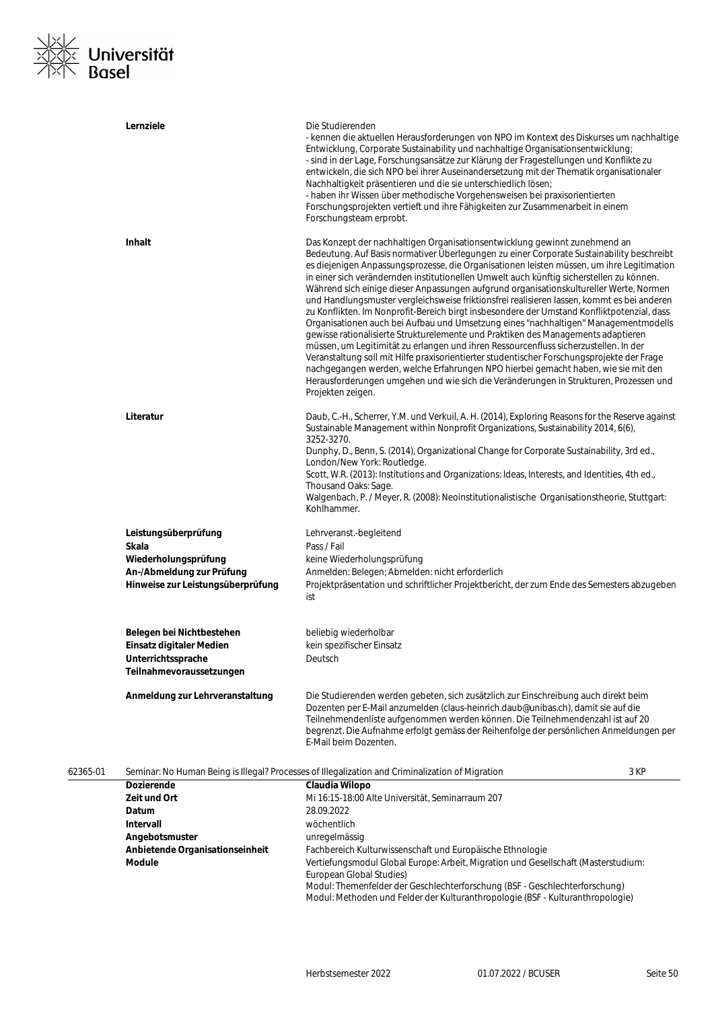

|          | Lernziele                                                                                                               | Die Studierenden<br>- kennen die aktuellen Herausforderungen von NPO im Kontext des Diskurses um nachhaltige<br>Entwicklung, Corporate Sustainability und nachhaltige Organisationsentwicklung;<br>- sind in der Lage, Forschungsansätze zur Klärung der Fragestellungen und Konflikte zu<br>entwickeln, die sich NPO bei ihrer Auseinandersetzung mit der Thematik organisationaler<br>Nachhaltigkeit präsentieren und die sie unterschiedlich lösen;<br>- haben ihr Wissen über methodische Vorgehensweisen bei praxisorientierten<br>Forschungsprojekten vertieft und ihre Fähigkeiten zur Zusammenarbeit in einem<br>Forschungsteam erprobt.                                                                                                                                                                                                                                                                                                                                                                                                                                                                                                                                                                             |      |
|----------|-------------------------------------------------------------------------------------------------------------------------|------------------------------------------------------------------------------------------------------------------------------------------------------------------------------------------------------------------------------------------------------------------------------------------------------------------------------------------------------------------------------------------------------------------------------------------------------------------------------------------------------------------------------------------------------------------------------------------------------------------------------------------------------------------------------------------------------------------------------------------------------------------------------------------------------------------------------------------------------------------------------------------------------------------------------------------------------------------------------------------------------------------------------------------------------------------------------------------------------------------------------------------------------------------------------------------------------------------------------|------|
|          | <b>Inhalt</b>                                                                                                           | Das Konzept der nachhaltigen Organisationsentwicklung gewinnt zunehmend an<br>Bedeutung. Auf Basis normativer Überlegungen zu einer Corporate Sustainability beschreibt<br>es diejenigen Anpassungsprozesse, die Organisationen leisten müssen, um ihre Legitimation<br>in einer sich verändernden institutionellen Umwelt auch künftig sicherstellen zu können.<br>Während sich einige dieser Anpassungen aufgrund organisationskultureller Werte, Normen<br>und Handlungsmuster vergleichsweise friktionsfrei realisieren lassen, kommt es bei anderen<br>zu Konflikten. Im Nonprofit-Bereich birgt insbesondere der Umstand Konfliktpotenzial, dass<br>Organisationen auch bei Aufbau und Umsetzung eines "nachhaltigen" Managementmodells<br>gewisse rationalisierte Strukturelemente und Praktiken des Managements adaptieren<br>müssen, um Legitimität zu erlangen und ihren Ressourcenfluss sicherzustellen. In der<br>Veranstaltung soll mit Hilfe praxisorientierter studentischer Forschungsprojekte der Frage<br>nachgegangen werden, welche Erfahrungen NPO hierbei gemacht haben, wie sie mit den<br>Herausforderungen umgehen und wie sich die Veränderungen in Strukturen, Prozessen und<br>Projekten zeigen. |      |
|          | Literatur                                                                                                               | Daub, C.-H., Scherrer, Y.M. und Verkuil, A. H. (2014), Exploring Reasons for the Reserve against<br>Sustainable Management within Nonprofit Organizations, Sustainability 2014, 6(6),<br>3252-3270.<br>Dunphy, D., Benn, S. (2014), Organizational Change for Corporate Sustainability, 3rd ed.,<br>London/New York: Routledge.<br>Scott, W.R. (2013): Institutions and Organizations: Ideas, Interests, and Identities, 4th ed.,<br>Thousand Oaks: Sage.<br>Walgenbach, P. / Meyer, R. (2008): Neoinstitutionalistische Organisationstheorie, Stuttgart:<br>Kohlhammer.                                                                                                                                                                                                                                                                                                                                                                                                                                                                                                                                                                                                                                                     |      |
|          | Leistungsüberprüfung<br>Skala<br>Wiederholungsprüfung<br>An-/Abmeldung zur Prüfung<br>Hinweise zur Leistungsüberprüfung | Lehrveranst.-begleitend<br>Pass / Fail<br>keine Wiederholungsprüfung<br>Anmelden: Belegen; Abmelden: nicht erforderlich<br>Projektpräsentation und schriftlicher Projektbericht, der zum Ende des Semesters abzugeben                                                                                                                                                                                                                                                                                                                                                                                                                                                                                                                                                                                                                                                                                                                                                                                                                                                                                                                                                                                                        |      |
|          | Belegen bei Nichtbestehen<br>Einsatz digitaler Medien<br>Unterrichtssprache<br>Teilnahmevoraussetzungen                 | ist<br>beliebig wiederholbar<br>kein spezifischer Einsatz<br>Deutsch                                                                                                                                                                                                                                                                                                                                                                                                                                                                                                                                                                                                                                                                                                                                                                                                                                                                                                                                                                                                                                                                                                                                                         |      |
|          | Anmeldung zur Lehrveranstaltung                                                                                         | Die Studierenden werden gebeten, sich zusätzlich zur Einschreibung auch direkt beim<br>Dozenten per E-Mail anzumelden (claus-heinrich.daub@unibas.ch), damit sie auf die<br>Teilnehmendenliste aufgenommen werden können. Die Teilnehmendenzahl ist auf 20<br>begrenzt. Die Aufnahme erfolgt gemäss der Reihenfolge der persönlichen Anmeldungen per<br>E-Mail beim Dozenten.                                                                                                                                                                                                                                                                                                                                                                                                                                                                                                                                                                                                                                                                                                                                                                                                                                                |      |
| 62365-01 |                                                                                                                         | Seminar: No Human Being is Illegal? Processes of Illegalization and Criminalization of Migration                                                                                                                                                                                                                                                                                                                                                                                                                                                                                                                                                                                                                                                                                                                                                                                                                                                                                                                                                                                                                                                                                                                             | 3 KP |
|          | <b>Dozierende</b>                                                                                                       | Claudia Wilopo                                                                                                                                                                                                                                                                                                                                                                                                                                                                                                                                                                                                                                                                                                                                                                                                                                                                                                                                                                                                                                                                                                                                                                                                               |      |
|          | Zeit und Ort                                                                                                            | Mi 16:15-18:00 Alte Universität, Seminarraum 207                                                                                                                                                                                                                                                                                                                                                                                                                                                                                                                                                                                                                                                                                                                                                                                                                                                                                                                                                                                                                                                                                                                                                                             |      |
|          | <b>Datum</b>                                                                                                            | 28.09.2022                                                                                                                                                                                                                                                                                                                                                                                                                                                                                                                                                                                                                                                                                                                                                                                                                                                                                                                                                                                                                                                                                                                                                                                                                   |      |

**Anbietende Organisationseinheit** Fachbereich Kulturwissenschaft und Europäische Ethnologie

European Global Studies)

**Intervall** wöchentlich **Angebotsmuster** unregelmässig

**Module** Vertiefungsmodul Global Europe: Arbeit, Migration und Gesellschaft (Masterstudium:

Modul: Themenfelder der Geschlechterforschung (BSF - Geschlechterforschung) Modul: Methoden und Felder der Kulturanthropologie (BSF - Kulturanthropologie)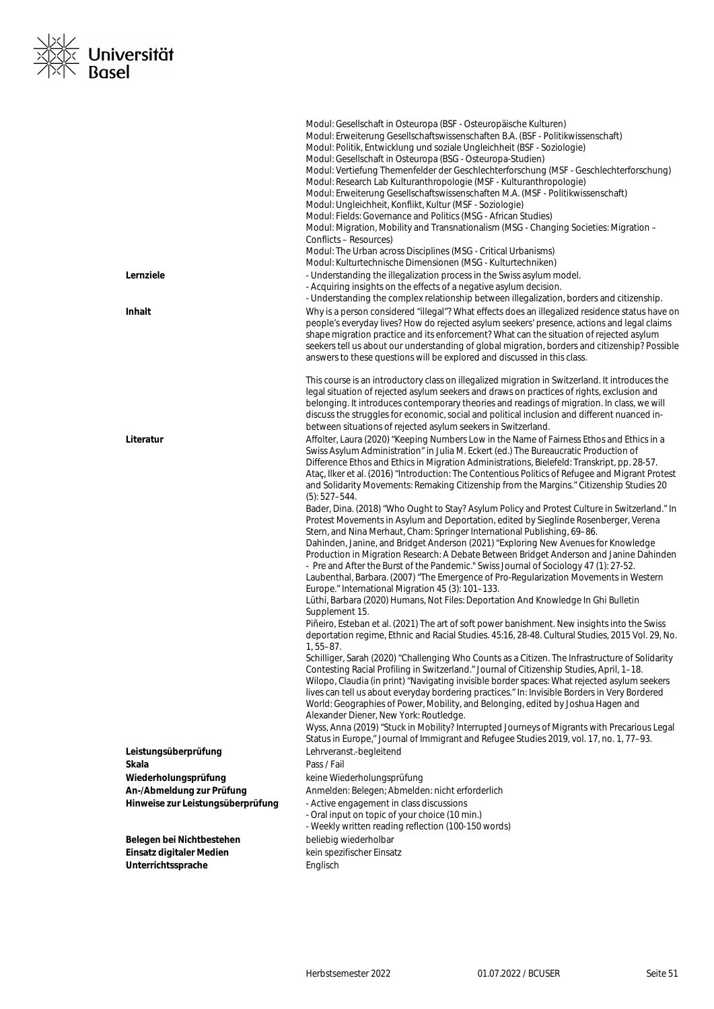

|                                   | Modul: Gesellschaft in Osteuropa (BSF - Osteuropäische Kulturen)<br>Modul: Erweiterung Gesellschaftswissenschaften B.A. (BSF - Politikwissenschaft)<br>Modul: Politik, Entwicklung und soziale Ungleichheit (BSF - Soziologie)<br>Modul: Gesellschaft in Osteuropa (BSG - Osteuropa-Studien)                                                                                                                                                                                      |
|-----------------------------------|-----------------------------------------------------------------------------------------------------------------------------------------------------------------------------------------------------------------------------------------------------------------------------------------------------------------------------------------------------------------------------------------------------------------------------------------------------------------------------------|
|                                   | Modul: Vertiefung Themenfelder der Geschlechterforschung (MSF - Geschlechterforschung)<br>Modul: Research Lab Kulturanthropologie (MSF - Kulturanthropologie)<br>Modul: Erweiterung Gesellschaftswissenschaften M.A. (MSF - Politikwissenschaft)<br>Modul: Ungleichheit, Konflikt, Kultur (MSF - Soziologie)<br>Modul: Fields: Governance and Politics (MSG - African Studies)                                                                                                    |
|                                   | Modul: Migration, Mobility and Transnationalism (MSG - Changing Societies: Migration -<br>Conflicts - Resources)<br>Modul: The Urban across Disciplines (MSG - Critical Urbanisms)                                                                                                                                                                                                                                                                                                |
|                                   | Modul: Kulturtechnische Dimensionen (MSG - Kulturtechniken)                                                                                                                                                                                                                                                                                                                                                                                                                       |
| Lernziele                         | - Understanding the illegalization process in the Swiss asylum model.<br>- Acquiring insights on the effects of a negative asylum decision.<br>- Understanding the complex relationship between illegalization, borders and citizenship.                                                                                                                                                                                                                                          |
| Inhalt                            | Why is a person considered "illegal"? What effects does an illegalized residence status have on<br>people's everyday lives? How do rejected asylum seekers' presence, actions and legal claims<br>shape migration practice and its enforcement? What can the situation of rejected asylum<br>seekers tell us about our understanding of global migration, borders and citizenship? Possible<br>answers to these questions will be explored and discussed in this class.           |
|                                   | This course is an introductory class on illegalized migration in Switzerland. It introduces the<br>legal situation of rejected asylum seekers and draws on practices of rights, exclusion and<br>belonging. It introduces contemporary theories and readings of migration. In class, we will<br>discuss the struggles for economic, social and political inclusion and different nuanced in-<br>between situations of rejected asylum seekers in Switzerland.                     |
| Literatur                         | Affolter, Laura (2020) "Keeping Numbers Low in the Name of Fairness Ethos and Ethics in a<br>Swiss Asylum Administration" in Julia M. Eckert (ed.) The Bureaucratic Production of<br>Difference Ethos and Ethics in Migration Administrations, Bielefeld: Transkript, pp. 28-57.<br>Ataç, Ilker et al. (2016) "Introduction: The Contentious Politics of Refugee and Migrant Protest<br>and Solidarity Movements: Remaking Citizenship from the Margins." Citizenship Studies 20  |
|                                   | $(5): 527 - 544.$<br>Bader, Dina. (2018) "Who Ought to Stay? Asylum Policy and Protest Culture in Switzerland." In<br>Protest Movements in Asylum and Deportation, edited by Sieglinde Rosenberger, Verena<br>Stern, and Nina Merhaut, Cham: Springer International Publishing, 69-86.                                                                                                                                                                                            |
|                                   | Dahinden, Janine, and Bridget Anderson (2021) "Exploring New Avenues for Knowledge<br>Production in Migration Research: A Debate Between Bridget Anderson and Janine Dahinden<br>- Pre and After the Burst of the Pandemic." Swiss Journal of Sociology 47 (1): 27-52.<br>Laubenthal, Barbara. (2007) "The Emergence of Pro-Regularization Movements in Western<br>Europe." International Migration 45 (3): 101-133.                                                              |
|                                   | Lüthi, Barbara (2020) Humans, Not Files: Deportation And Knowledge In Ghi Bulletin<br>Supplement 15.                                                                                                                                                                                                                                                                                                                                                                              |
|                                   | Piñeiro, Esteban et al. (2021) The art of soft power banishment. New insights into the Swiss<br>deportation regime, Ethnic and Racial Studies. 45:16, 28-48. Cultural Studies, 2015 Vol. 29, No.<br>$1, 55 - 87.$                                                                                                                                                                                                                                                                 |
|                                   | Schilliger, Sarah (2020) "Challenging Who Counts as a Citizen. The Infrastructure of Solidarity<br>Contesting Racial Profiling in Switzerland." Journal of Citizenship Studies, April, 1-18.<br>Wilopo, Claudia (in print) "Navigating invisible border spaces: What rejected asylum seekers<br>lives can tell us about everyday bordering practices." In: Invisible Borders in Very Bordered<br>World: Geographies of Power, Mobility, and Belonging, edited by Joshua Hagen and |
|                                   | Alexander Diener, New York: Routledge.<br>Wyss, Anna (2019) "Stuck in Mobility? Interrupted Journeys of Migrants with Precarious Legal<br>Status in Europe," Journal of Immigrant and Refugee Studies 2019, vol. 17, no. 1, 77-93.                                                                                                                                                                                                                                                |
| Leistungsüberprüfung              | Lehrveranst.-begleitend                                                                                                                                                                                                                                                                                                                                                                                                                                                           |
| Skala                             | Pass / Fail                                                                                                                                                                                                                                                                                                                                                                                                                                                                       |
| Wiederholungsprüfung              | keine Wiederholungsprüfung                                                                                                                                                                                                                                                                                                                                                                                                                                                        |
| An-/Abmeldung zur Prüfung         | Anmelden: Belegen; Abmelden: nicht erforderlich                                                                                                                                                                                                                                                                                                                                                                                                                                   |
| Hinweise zur Leistungsüberprüfung | - Active engagement in class discussions<br>- Oral input on topic of your choice (10 min.)<br>- Weekly written reading reflection (100-150 words)                                                                                                                                                                                                                                                                                                                                 |
| Belegen bei Nichtbestehen         | beliebig wiederholbar                                                                                                                                                                                                                                                                                                                                                                                                                                                             |
| Einsatz digitaler Medien          | kein spezifischer Einsatz                                                                                                                                                                                                                                                                                                                                                                                                                                                         |
| Unterrichtssprache                | Englisch                                                                                                                                                                                                                                                                                                                                                                                                                                                                          |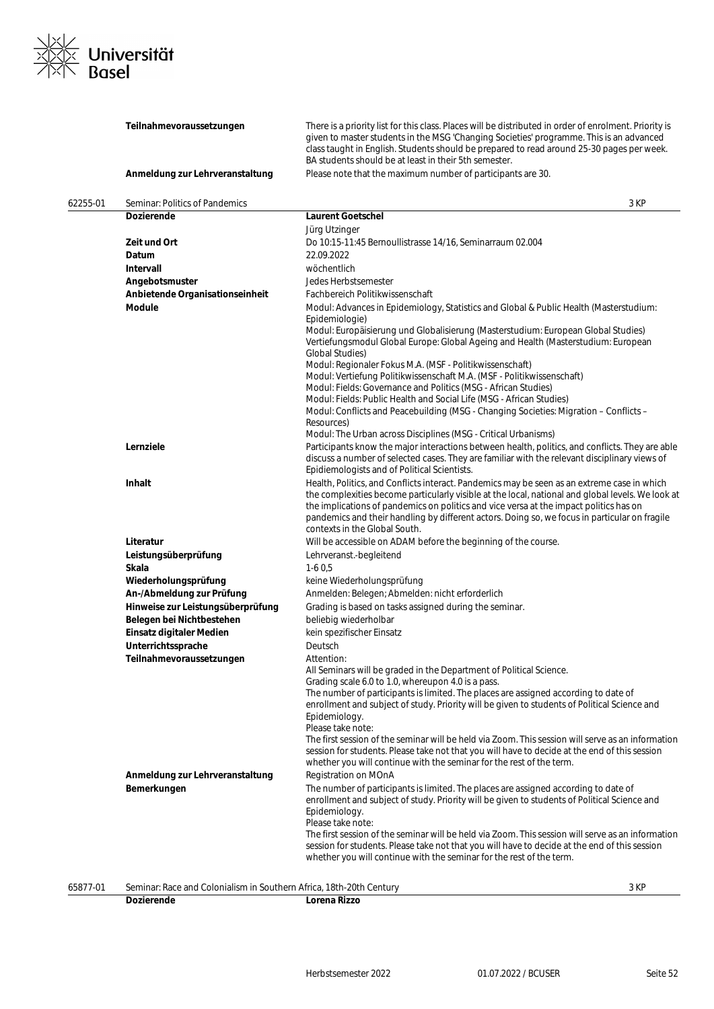

|          | Teilnahmevoraussetzungen                                            | There is a priority list for this class. Places will be distributed in order of enrolment. Priority is<br>given to master students in the MSG 'Changing Societies' programme. This is an advanced<br>class taught in English. Students should be prepared to read around 25-30 pages per week.<br>BA students should be at least in their 5th semester.                                                                      |      |
|----------|---------------------------------------------------------------------|------------------------------------------------------------------------------------------------------------------------------------------------------------------------------------------------------------------------------------------------------------------------------------------------------------------------------------------------------------------------------------------------------------------------------|------|
|          | Anmeldung zur Lehrveranstaltung                                     | Please note that the maximum number of participants are 30.                                                                                                                                                                                                                                                                                                                                                                  |      |
| 62255-01 | Seminar: Politics of Pandemics                                      |                                                                                                                                                                                                                                                                                                                                                                                                                              | 3 KP |
|          | Dozierende                                                          | <b>Laurent Goetschel</b>                                                                                                                                                                                                                                                                                                                                                                                                     |      |
|          |                                                                     | Jürg Utzinger                                                                                                                                                                                                                                                                                                                                                                                                                |      |
|          | Zeit und Ort                                                        | Do 10:15-11:45 Bernoullistrasse 14/16, Seminarraum 02.004                                                                                                                                                                                                                                                                                                                                                                    |      |
|          | Datum                                                               | 22.09.2022                                                                                                                                                                                                                                                                                                                                                                                                                   |      |
|          | Intervall                                                           | wöchentlich                                                                                                                                                                                                                                                                                                                                                                                                                  |      |
|          | Angebotsmuster                                                      | Jedes Herbstsemester                                                                                                                                                                                                                                                                                                                                                                                                         |      |
|          | Anbietende Organisationseinheit                                     | Fachbereich Politikwissenschaft                                                                                                                                                                                                                                                                                                                                                                                              |      |
|          | <b>Module</b>                                                       | Modul: Advances in Epidemiology, Statistics and Global & Public Health (Masterstudium:                                                                                                                                                                                                                                                                                                                                       |      |
|          |                                                                     | Epidemiologie)<br>Modul: Europäisierung und Globalisierung (Masterstudium: European Global Studies)<br>Vertiefungsmodul Global Europe: Global Ageing and Health (Masterstudium: European<br><b>Global Studies)</b>                                                                                                                                                                                                           |      |
|          |                                                                     | Modul: Regionaler Fokus M.A. (MSF - Politikwissenschaft)                                                                                                                                                                                                                                                                                                                                                                     |      |
|          |                                                                     | Modul: Vertiefung Politikwissenschaft M.A. (MSF - Politikwissenschaft)                                                                                                                                                                                                                                                                                                                                                       |      |
|          |                                                                     | Modul: Fields: Governance and Politics (MSG - African Studies)<br>Modul: Fields: Public Health and Social Life (MSG - African Studies)                                                                                                                                                                                                                                                                                       |      |
|          |                                                                     | Modul: Conflicts and Peacebuilding (MSG - Changing Societies: Migration – Conflicts –                                                                                                                                                                                                                                                                                                                                        |      |
|          |                                                                     | Resources)                                                                                                                                                                                                                                                                                                                                                                                                                   |      |
|          |                                                                     | Modul: The Urban across Disciplines (MSG - Critical Urbanisms)                                                                                                                                                                                                                                                                                                                                                               |      |
|          | Lernziele                                                           | Participants know the major interactions between health, politics, and conflicts. They are able<br>discuss a number of selected cases. They are familiar with the relevant disciplinary views of<br>Epidiemologists and of Political Scientists.                                                                                                                                                                             |      |
|          | Inhalt                                                              | Health, Politics, and Conflicts interact. Pandemics may be seen as an extreme case in which<br>the complexities become particularly visible at the local, national and global levels. We look at<br>the implications of pandemics on politics and vice versa at the impact politics has on<br>pandemics and their handling by different actors. Doing so, we focus in particular on fragile<br>contexts in the Global South. |      |
|          | Literatur                                                           | Will be accessible on ADAM before the beginning of the course.                                                                                                                                                                                                                                                                                                                                                               |      |
|          | Leistungsüberprüfung                                                | Lehrveranst.-begleitend                                                                                                                                                                                                                                                                                                                                                                                                      |      |
|          | Skala                                                               | $1-60.5$                                                                                                                                                                                                                                                                                                                                                                                                                     |      |
|          | Wiederholungsprüfung                                                | keine Wiederholungsprüfung                                                                                                                                                                                                                                                                                                                                                                                                   |      |
|          | An-/Abmeldung zur Prüfung                                           | Anmelden: Belegen; Abmelden: nicht erforderlich                                                                                                                                                                                                                                                                                                                                                                              |      |
|          | Hinweise zur Leistungsüberprüfung                                   | Grading is based on tasks assigned during the seminar.                                                                                                                                                                                                                                                                                                                                                                       |      |
|          | Belegen bei Nichtbestehen                                           | beliebig wiederholbar                                                                                                                                                                                                                                                                                                                                                                                                        |      |
|          | Einsatz digitaler Medien                                            | kein spezifischer Einsatz                                                                                                                                                                                                                                                                                                                                                                                                    |      |
|          | Unterrichtssprache                                                  | Deutsch                                                                                                                                                                                                                                                                                                                                                                                                                      |      |
|          | Teilnahmevoraussetzungen                                            | Attention:                                                                                                                                                                                                                                                                                                                                                                                                                   |      |
|          |                                                                     | All Seminars will be graded in the Department of Political Science.                                                                                                                                                                                                                                                                                                                                                          |      |
|          |                                                                     | Grading scale 6.0 to 1.0, whereupon 4.0 is a pass.                                                                                                                                                                                                                                                                                                                                                                           |      |
|          |                                                                     | The number of participants is limited. The places are assigned according to date of<br>enrollment and subject of study. Priority will be given to students of Political Science and                                                                                                                                                                                                                                          |      |
|          |                                                                     | Epidemiology.                                                                                                                                                                                                                                                                                                                                                                                                                |      |
|          |                                                                     | Please take note:                                                                                                                                                                                                                                                                                                                                                                                                            |      |
|          |                                                                     | The first session of the seminar will be held via Zoom. This session will serve as an information<br>session for students. Please take not that you will have to decide at the end of this session                                                                                                                                                                                                                           |      |
|          | Anmeldung zur Lehrveranstaltung                                     | whether you will continue with the seminar for the rest of the term.<br>Registration on MOnA                                                                                                                                                                                                                                                                                                                                 |      |
|          | Bemerkungen                                                         | The number of participants is limited. The places are assigned according to date of                                                                                                                                                                                                                                                                                                                                          |      |
|          |                                                                     | enrollment and subject of study. Priority will be given to students of Political Science and<br>Epidemiology.                                                                                                                                                                                                                                                                                                                |      |
|          |                                                                     | Please take note:<br>The first session of the seminar will be held via Zoom. This session will serve as an information                                                                                                                                                                                                                                                                                                       |      |
|          |                                                                     | session for students. Please take not that you will have to decide at the end of this session<br>whether you will continue with the seminar for the rest of the term.                                                                                                                                                                                                                                                        |      |
| 65877-01 | Seminar: Race and Colonialism in Southern Africa, 18th-20th Century |                                                                                                                                                                                                                                                                                                                                                                                                                              | 3 KP |

**Dozierende Lorena Rizzo**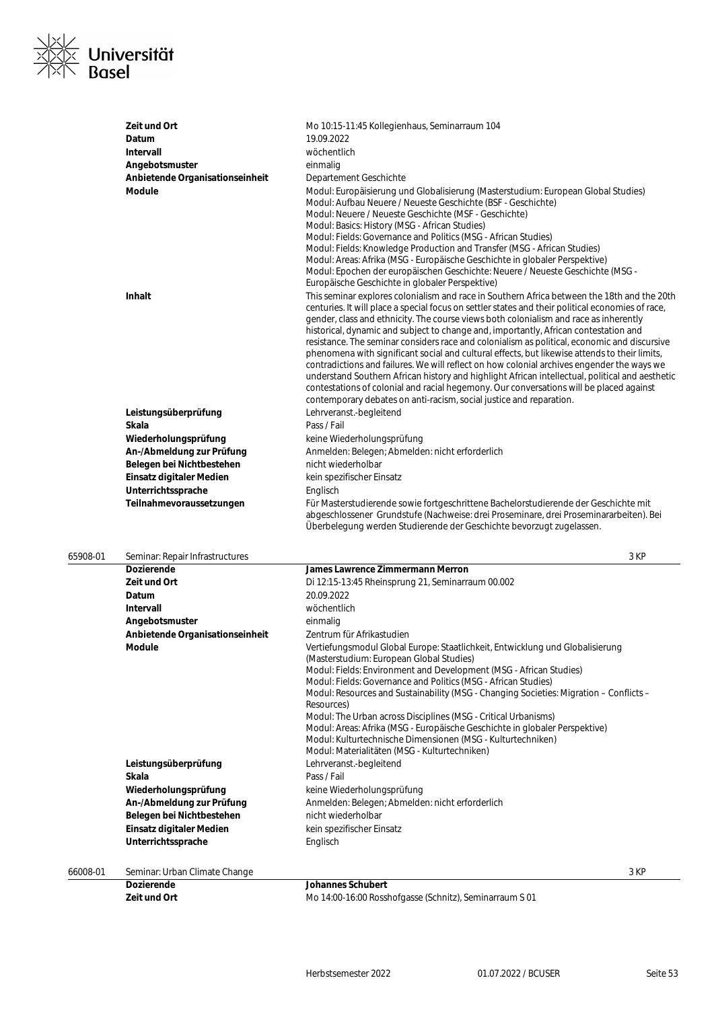

| Zeit und Ort                                   | Mo 10:15-11:45 Kollegienhaus, Seminarraum 104                                                                                                                                                                                                                                                                                                                                                                                                                                                                                                                                                                                                                                                                                                                                                                                                                                                                                                         |
|------------------------------------------------|-------------------------------------------------------------------------------------------------------------------------------------------------------------------------------------------------------------------------------------------------------------------------------------------------------------------------------------------------------------------------------------------------------------------------------------------------------------------------------------------------------------------------------------------------------------------------------------------------------------------------------------------------------------------------------------------------------------------------------------------------------------------------------------------------------------------------------------------------------------------------------------------------------------------------------------------------------|
| Datum                                          | 19.09.2022                                                                                                                                                                                                                                                                                                                                                                                                                                                                                                                                                                                                                                                                                                                                                                                                                                                                                                                                            |
| Intervall                                      | wöchentlich                                                                                                                                                                                                                                                                                                                                                                                                                                                                                                                                                                                                                                                                                                                                                                                                                                                                                                                                           |
| Angebotsmuster                                 | einmalig                                                                                                                                                                                                                                                                                                                                                                                                                                                                                                                                                                                                                                                                                                                                                                                                                                                                                                                                              |
| Anbietende Organisationseinheit                | Departement Geschichte                                                                                                                                                                                                                                                                                                                                                                                                                                                                                                                                                                                                                                                                                                                                                                                                                                                                                                                                |
| Module                                         | Modul: Europäisierung und Globalisierung (Masterstudium: European Global Studies)<br>Modul: Aufbau Neuere / Neueste Geschichte (BSF - Geschichte)<br>Modul: Neuere / Neueste Geschichte (MSF - Geschichte)<br>Modul: Basics: History (MSG - African Studies)<br>Modul: Fields: Governance and Politics (MSG - African Studies)<br>Modul: Fields: Knowledge Production and Transfer (MSG - African Studies)<br>Modul: Areas: Afrika (MSG - Europäische Geschichte in globaler Perspektive)<br>Modul: Epochen der europäischen Geschichte: Neuere / Neueste Geschichte (MSG -<br>Europäische Geschichte in globaler Perspektive)                                                                                                                                                                                                                                                                                                                        |
| <b>Inhalt</b>                                  | This seminar explores colonialism and race in Southern Africa between the 18th and the 20th<br>centuries. It will place a special focus on settler states and their political economies of race,<br>gender, class and ethnicity. The course views both colonialism and race as inherently<br>historical, dynamic and subject to change and, importantly, African contestation and<br>resistance. The seminar considers race and colonialism as political, economic and discursive<br>phenomena with significant social and cultural effects, but likewise attends to their limits,<br>contradictions and failures. We will reflect on how colonial archives engender the ways we<br>understand Southern African history and highlight African intellectual, political and aesthetic<br>contestations of colonial and racial hegemony. Our conversations will be placed against<br>contemporary debates on anti-racism, social justice and reparation. |
| Leistungsüberprüfung                           | Lehrveranst.-begleitend                                                                                                                                                                                                                                                                                                                                                                                                                                                                                                                                                                                                                                                                                                                                                                                                                                                                                                                               |
| <b>Skala</b>                                   | Pass / Fail                                                                                                                                                                                                                                                                                                                                                                                                                                                                                                                                                                                                                                                                                                                                                                                                                                                                                                                                           |
| Wiederholungsprüfung                           | keine Wiederholungsprüfung                                                                                                                                                                                                                                                                                                                                                                                                                                                                                                                                                                                                                                                                                                                                                                                                                                                                                                                            |
| An-/Abmeldung zur Prüfung                      | Anmelden: Belegen; Abmelden: nicht erforderlich                                                                                                                                                                                                                                                                                                                                                                                                                                                                                                                                                                                                                                                                                                                                                                                                                                                                                                       |
| Belegen bei Nichtbestehen                      | nicht wiederholbar                                                                                                                                                                                                                                                                                                                                                                                                                                                                                                                                                                                                                                                                                                                                                                                                                                                                                                                                    |
| Einsatz digitaler Medien                       | kein spezifischer Einsatz                                                                                                                                                                                                                                                                                                                                                                                                                                                                                                                                                                                                                                                                                                                                                                                                                                                                                                                             |
| Unterrichtssprache<br>Teilnahmevoraussetzungen | Englisch<br>Für Masterstudierende sowie fortgeschrittene Bachelorstudierende der Geschichte mit<br>abgeschlossener Grundstufe (Nachweise: drei Proseminare, drei Proseminararbeiten). Bei<br>Überbelegung werden Studierende der Geschichte bevorzugt zugelassen.                                                                                                                                                                                                                                                                                                                                                                                                                                                                                                                                                                                                                                                                                     |

| 65908-01 |  | Seminar: Repair Infrastructure |
|----------|--|--------------------------------|
|          |  |                                |

| 65908-01 | Seminar: Repair Infrastructures | 3 KP                                                                                                                                                                                                                                                                                                                                                                                                                                                                                                                                                                                                                                       |
|----------|---------------------------------|--------------------------------------------------------------------------------------------------------------------------------------------------------------------------------------------------------------------------------------------------------------------------------------------------------------------------------------------------------------------------------------------------------------------------------------------------------------------------------------------------------------------------------------------------------------------------------------------------------------------------------------------|
|          | <b>Dozierende</b>               | <b>James Lawrence Zimmermann Merron</b>                                                                                                                                                                                                                                                                                                                                                                                                                                                                                                                                                                                                    |
|          | Zeit und Ort                    | Di 12:15-13:45 Rheinsprung 21, Seminarraum 00.002                                                                                                                                                                                                                                                                                                                                                                                                                                                                                                                                                                                          |
|          | Datum                           | 20.09.2022                                                                                                                                                                                                                                                                                                                                                                                                                                                                                                                                                                                                                                 |
|          | Intervall                       | wöchentlich                                                                                                                                                                                                                                                                                                                                                                                                                                                                                                                                                                                                                                |
|          | Angebotsmuster                  | einmalig                                                                                                                                                                                                                                                                                                                                                                                                                                                                                                                                                                                                                                   |
|          | Anbietende Organisationseinheit | Zentrum für Afrikastudien                                                                                                                                                                                                                                                                                                                                                                                                                                                                                                                                                                                                                  |
|          | <b>Module</b>                   | Vertiefungsmodul Global Europe: Staatlichkeit, Entwicklung und Globalisierung<br>(Masterstudium: European Global Studies)<br>Modul: Fields: Environment and Development (MSG - African Studies)<br>Modul: Fields: Governance and Politics (MSG - African Studies)<br>Modul: Resources and Sustainability (MSG - Changing Societies: Migration – Conflicts –<br>Resources)<br>Modul: The Urban across Disciplines (MSG - Critical Urbanisms)<br>Modul: Areas: Afrika (MSG - Europäische Geschichte in globaler Perspektive)<br>Modul: Kulturtechnische Dimensionen (MSG - Kulturtechniken)<br>Modul: Materialitäten (MSG - Kulturtechniken) |
|          | Leistungsüberprüfung            | Lehrveranst.-begleitend                                                                                                                                                                                                                                                                                                                                                                                                                                                                                                                                                                                                                    |
|          | Skala                           | Pass / Fail                                                                                                                                                                                                                                                                                                                                                                                                                                                                                                                                                                                                                                |
|          | Wiederholungsprüfung            | keine Wiederholungsprüfung                                                                                                                                                                                                                                                                                                                                                                                                                                                                                                                                                                                                                 |
|          | An-/Abmeldung zur Prüfung       | Anmelden: Belegen; Abmelden: nicht erforderlich                                                                                                                                                                                                                                                                                                                                                                                                                                                                                                                                                                                            |
|          | Belegen bei Nichtbestehen       | nicht wiederholbar                                                                                                                                                                                                                                                                                                                                                                                                                                                                                                                                                                                                                         |
|          | Einsatz digitaler Medien        | kein spezifischer Einsatz                                                                                                                                                                                                                                                                                                                                                                                                                                                                                                                                                                                                                  |
|          | Unterrichtssprache              | Englisch                                                                                                                                                                                                                                                                                                                                                                                                                                                                                                                                                                                                                                   |
| 66008-01 | Seminar: Urban Climate Change   | 3 KP                                                                                                                                                                                                                                                                                                                                                                                                                                                                                                                                                                                                                                       |
|          | <b>Dozierende</b>               | <b>Johannes Schubert</b>                                                                                                                                                                                                                                                                                                                                                                                                                                                                                                                                                                                                                   |

**Zeit und Ort** Mo 14:00-16:00 Rosshofgasse (Schnitz), Seminarraum S 01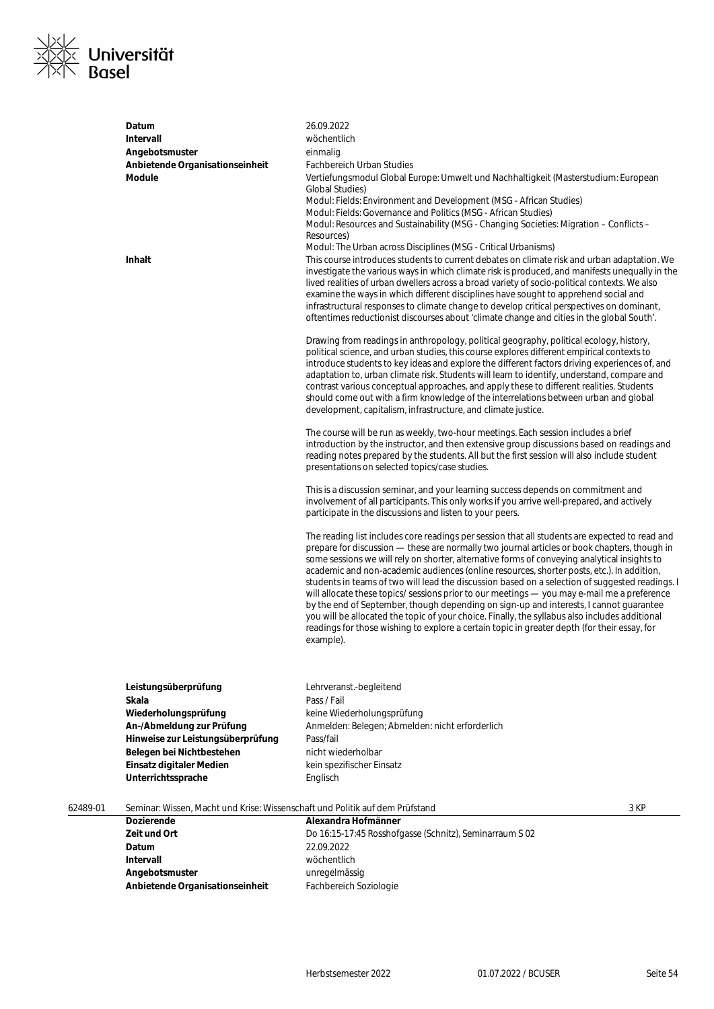

|          | Datum<br><b>Intervall</b><br>Angebotsmuster<br>Anbietende Organisationseinheit<br><b>Module</b><br>Inhalt | 26.09.2022<br>wöchentlich<br>einmalig<br><b>Fachbereich Urban Studies</b><br>Vertiefungsmodul Global Europe: Umwelt und Nachhaltigkeit (Masterstudium: European<br><b>Global Studies)</b><br>Modul: Fields: Environment and Development (MSG - African Studies)<br>Modul: Fields: Governance and Politics (MSG - African Studies)<br>Modul: Resources and Sustainability (MSG - Changing Societies: Migration - Conflicts -<br>Resources)<br>Modul: The Urban across Disciplines (MSG - Critical Urbanisms)<br>This course introduces students to current debates on climate risk and urban adaptation. We<br>investigate the various ways in which climate risk is produced, and manifests unequally in the<br>lived realities of urban dwellers across a broad variety of socio-political contexts. We also<br>examine the ways in which different disciplines have sought to apprehend social and   |      |
|----------|-----------------------------------------------------------------------------------------------------------|--------------------------------------------------------------------------------------------------------------------------------------------------------------------------------------------------------------------------------------------------------------------------------------------------------------------------------------------------------------------------------------------------------------------------------------------------------------------------------------------------------------------------------------------------------------------------------------------------------------------------------------------------------------------------------------------------------------------------------------------------------------------------------------------------------------------------------------------------------------------------------------------------------|------|
|          |                                                                                                           | infrastructural responses to climate change to develop critical perspectives on dominant,<br>oftentimes reductionist discourses about 'climate change and cities in the global South'.<br>Drawing from readings in anthropology, political geography, political ecology, history,<br>political science, and urban studies, this course explores different empirical contexts to<br>introduce students to key ideas and explore the different factors driving experiences of, and<br>adaptation to, urban climate risk. Students will learn to identify, understand, compare and<br>contrast various conceptual approaches, and apply these to different realities. Students<br>should come out with a firm knowledge of the interrelations between urban and global                                                                                                                                    |      |
|          |                                                                                                           | development, capitalism, infrastructure, and climate justice.<br>The course will be run as weekly, two-hour meetings. Each session includes a brief<br>introduction by the instructor, and then extensive group discussions based on readings and<br>reading notes prepared by the students. All but the first session will also include student<br>presentations on selected topics/case studies.                                                                                                                                                                                                                                                                                                                                                                                                                                                                                                     |      |
|          |                                                                                                           | This is a discussion seminar, and your learning success depends on commitment and<br>involvement of all participants. This only works if you arrive well-prepared, and actively<br>participate in the discussions and listen to your peers.                                                                                                                                                                                                                                                                                                                                                                                                                                                                                                                                                                                                                                                            |      |
|          |                                                                                                           | The reading list includes core readings per session that all students are expected to read and<br>prepare for discussion — these are normally two journal articles or book chapters, though in<br>some sessions we will rely on shorter, alternative forms of conveying analytical insights to<br>academic and non-academic audiences (online resources, shorter posts, etc.). In addition,<br>students in teams of two will lead the discussion based on a selection of suggested readings. I<br>will allocate these topics/ sessions prior to our meetings - you may e-mail me a preference<br>by the end of September, though depending on sign-up and interests, I cannot guarantee<br>you will be allocated the topic of your choice. Finally, the syllabus also includes additional<br>readings for those wishing to explore a certain topic in greater depth (for their essay, for<br>example). |      |
|          | Leistungsüberprüfung                                                                                      | Lehrveranst.-begleitend                                                                                                                                                                                                                                                                                                                                                                                                                                                                                                                                                                                                                                                                                                                                                                                                                                                                                |      |
|          | Skala                                                                                                     | Pass / Fail                                                                                                                                                                                                                                                                                                                                                                                                                                                                                                                                                                                                                                                                                                                                                                                                                                                                                            |      |
|          | Wiederholungsprüfung                                                                                      | keine Wiederholungsprüfung                                                                                                                                                                                                                                                                                                                                                                                                                                                                                                                                                                                                                                                                                                                                                                                                                                                                             |      |
|          | An-/Abmeldung zur Prüfung                                                                                 | Anmelden: Belegen; Abmelden: nicht erforderlich                                                                                                                                                                                                                                                                                                                                                                                                                                                                                                                                                                                                                                                                                                                                                                                                                                                        |      |
|          | Hinweise zur Leistungsüberprüfung                                                                         | Pass/fail<br>nicht wiederholbar                                                                                                                                                                                                                                                                                                                                                                                                                                                                                                                                                                                                                                                                                                                                                                                                                                                                        |      |
|          | Belegen bei Nichtbestehen                                                                                 | kein spezifischer Einsatz                                                                                                                                                                                                                                                                                                                                                                                                                                                                                                                                                                                                                                                                                                                                                                                                                                                                              |      |
|          | Einsatz digitaler Medien<br>Unterrichtssprache                                                            | Englisch                                                                                                                                                                                                                                                                                                                                                                                                                                                                                                                                                                                                                                                                                                                                                                                                                                                                                               |      |
|          |                                                                                                           |                                                                                                                                                                                                                                                                                                                                                                                                                                                                                                                                                                                                                                                                                                                                                                                                                                                                                                        |      |
| 62489-01 | Seminar: Wissen, Macht und Krise: Wissenschaft und Politik auf dem Prüfstand                              |                                                                                                                                                                                                                                                                                                                                                                                                                                                                                                                                                                                                                                                                                                                                                                                                                                                                                                        | 3 KP |
|          | <b>Dozierende</b>                                                                                         | Alexandra Hofmänner                                                                                                                                                                                                                                                                                                                                                                                                                                                                                                                                                                                                                                                                                                                                                                                                                                                                                    |      |
|          | Zeit und Ort                                                                                              | Do 16:15-17:45 Rosshofgasse (Schnitz), Seminarraum S 02                                                                                                                                                                                                                                                                                                                                                                                                                                                                                                                                                                                                                                                                                                                                                                                                                                                |      |
|          | Datum                                                                                                     | 22.09.2022                                                                                                                                                                                                                                                                                                                                                                                                                                                                                                                                                                                                                                                                                                                                                                                                                                                                                             |      |
|          | <b>Intervall</b>                                                                                          | wöchentlich                                                                                                                                                                                                                                                                                                                                                                                                                                                                                                                                                                                                                                                                                                                                                                                                                                                                                            |      |
|          | Angebotsmuster                                                                                            | unregelmässig                                                                                                                                                                                                                                                                                                                                                                                                                                                                                                                                                                                                                                                                                                                                                                                                                                                                                          |      |
|          | Anbietende Organisationseinheit                                                                           | Fachbereich Soziologie                                                                                                                                                                                                                                                                                                                                                                                                                                                                                                                                                                                                                                                                                                                                                                                                                                                                                 |      |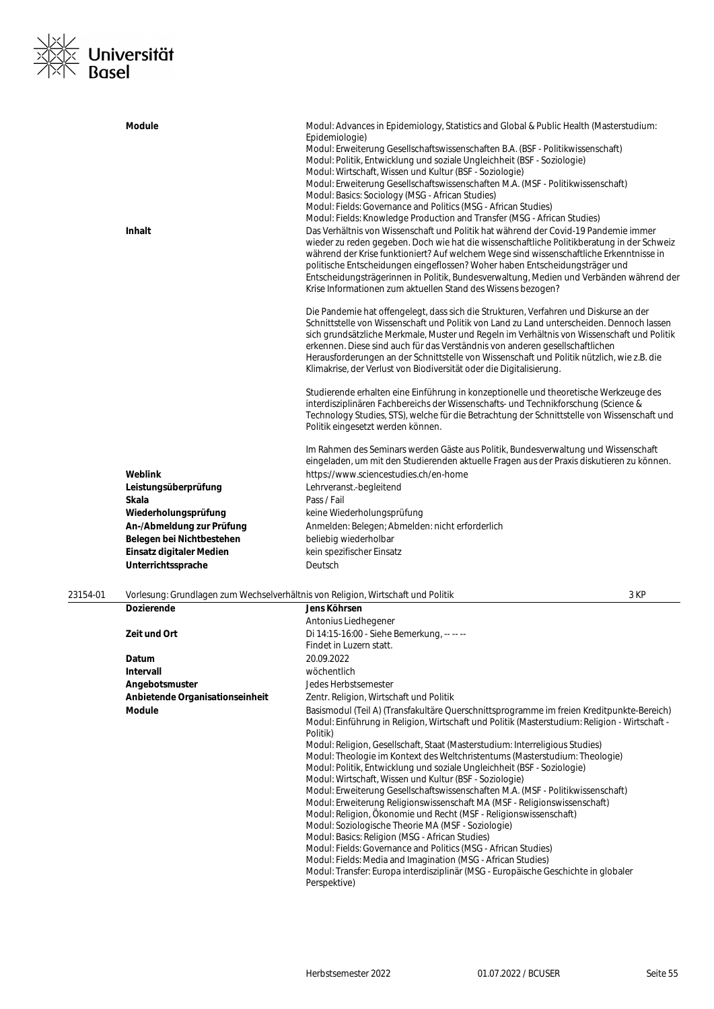

|          | <b>Module</b><br><b>Inhalt</b> | Modul: Advances in Epidemiology, Statistics and Global & Public Health (Masterstudium:<br>Epidemiologie)<br>Modul: Erweiterung Gesellschaftswissenschaften B.A. (BSF - Politikwissenschaft)<br>Modul: Politik, Entwicklung und soziale Ungleichheit (BSF - Soziologie)<br>Modul: Wirtschaft, Wissen und Kultur (BSF - Soziologie)<br>Modul: Erweiterung Gesellschaftswissenschaften M.A. (MSF - Politikwissenschaft)<br>Modul: Basics: Sociology (MSG - African Studies)<br>Modul: Fields: Governance and Politics (MSG - African Studies)<br>Modul: Fields: Knowledge Production and Transfer (MSG - African Studies)<br>Das Verhältnis von Wissenschaft und Politik hat während der Covid-19 Pandemie immer<br>wieder zu reden gegeben. Doch wie hat die wissenschaftliche Politikberatung in der Schweiz<br>während der Krise funktioniert? Auf welchem Wege sind wissenschaftliche Erkenntnisse in<br>politische Entscheidungen eingeflossen? Woher haben Entscheidungsträger und<br>Entscheidungsträgerinnen in Politik, Bundesverwaltung, Medien und Verbänden während der<br>Krise Informationen zum aktuellen Stand des Wissens bezogen?<br>Die Pandemie hat offengelegt, dass sich die Strukturen, Verfahren und Diskurse an der<br>Schnittstelle von Wissenschaft und Politik von Land zu Land unterscheiden. Dennoch lassen<br>sich grundsätzliche Merkmale, Muster und Regeln im Verhältnis von Wissenschaft und Politik<br>erkennen. Diese sind auch für das Verständnis von anderen gesellschaftlichen<br>Herausforderungen an der Schnittstelle von Wissenschaft und Politik nützlich, wie z.B. die<br>Klimakrise, der Verlust von Biodiversität oder die Digitalisierung. |      |
|----------|--------------------------------|-------------------------------------------------------------------------------------------------------------------------------------------------------------------------------------------------------------------------------------------------------------------------------------------------------------------------------------------------------------------------------------------------------------------------------------------------------------------------------------------------------------------------------------------------------------------------------------------------------------------------------------------------------------------------------------------------------------------------------------------------------------------------------------------------------------------------------------------------------------------------------------------------------------------------------------------------------------------------------------------------------------------------------------------------------------------------------------------------------------------------------------------------------------------------------------------------------------------------------------------------------------------------------------------------------------------------------------------------------------------------------------------------------------------------------------------------------------------------------------------------------------------------------------------------------------------------------------------------------------------------------------------------------------------------------------------|------|
|          |                                | Studierende erhalten eine Einführung in konzeptionelle und theoretische Werkzeuge des<br>interdisziplinären Fachbereichs der Wissenschafts- und Technikforschung (Science &<br>Technology Studies, STS), welche für die Betrachtung der Schnittstelle von Wissenschaft und<br>Politik eingesetzt werden können.                                                                                                                                                                                                                                                                                                                                                                                                                                                                                                                                                                                                                                                                                                                                                                                                                                                                                                                                                                                                                                                                                                                                                                                                                                                                                                                                                                           |      |
|          | Weblink                        | Im Rahmen des Seminars werden Gäste aus Politik, Bundesverwaltung und Wissenschaft<br>eingeladen, um mit den Studierenden aktuelle Fragen aus der Praxis diskutieren zu können.<br>https://www.sciencestudies.ch/en-home                                                                                                                                                                                                                                                                                                                                                                                                                                                                                                                                                                                                                                                                                                                                                                                                                                                                                                                                                                                                                                                                                                                                                                                                                                                                                                                                                                                                                                                                  |      |
|          | Leistungsüberprüfung           | Lehrveranst.-begleitend                                                                                                                                                                                                                                                                                                                                                                                                                                                                                                                                                                                                                                                                                                                                                                                                                                                                                                                                                                                                                                                                                                                                                                                                                                                                                                                                                                                                                                                                                                                                                                                                                                                                   |      |
|          | <b>Skala</b>                   | Pass / Fail                                                                                                                                                                                                                                                                                                                                                                                                                                                                                                                                                                                                                                                                                                                                                                                                                                                                                                                                                                                                                                                                                                                                                                                                                                                                                                                                                                                                                                                                                                                                                                                                                                                                               |      |
|          | Wiederholungsprüfung           | keine Wiederholungsprüfung                                                                                                                                                                                                                                                                                                                                                                                                                                                                                                                                                                                                                                                                                                                                                                                                                                                                                                                                                                                                                                                                                                                                                                                                                                                                                                                                                                                                                                                                                                                                                                                                                                                                |      |
|          | An-/Abmeldung zur Prüfung      | Anmelden: Belegen; Abmelden: nicht erforderlich                                                                                                                                                                                                                                                                                                                                                                                                                                                                                                                                                                                                                                                                                                                                                                                                                                                                                                                                                                                                                                                                                                                                                                                                                                                                                                                                                                                                                                                                                                                                                                                                                                           |      |
|          | Belegen bei Nichtbestehen      | beliebig wiederholbar                                                                                                                                                                                                                                                                                                                                                                                                                                                                                                                                                                                                                                                                                                                                                                                                                                                                                                                                                                                                                                                                                                                                                                                                                                                                                                                                                                                                                                                                                                                                                                                                                                                                     |      |
|          | Einsatz digitaler Medien       | kein spezifischer Einsatz                                                                                                                                                                                                                                                                                                                                                                                                                                                                                                                                                                                                                                                                                                                                                                                                                                                                                                                                                                                                                                                                                                                                                                                                                                                                                                                                                                                                                                                                                                                                                                                                                                                                 |      |
|          | Unterrichtssprache             | Deutsch                                                                                                                                                                                                                                                                                                                                                                                                                                                                                                                                                                                                                                                                                                                                                                                                                                                                                                                                                                                                                                                                                                                                                                                                                                                                                                                                                                                                                                                                                                                                                                                                                                                                                   |      |
| 23154-01 |                                | Vorlesung: Grundlagen zum Wechselverhältnis von Religion, Wirtschaft und Politik                                                                                                                                                                                                                                                                                                                                                                                                                                                                                                                                                                                                                                                                                                                                                                                                                                                                                                                                                                                                                                                                                                                                                                                                                                                                                                                                                                                                                                                                                                                                                                                                          | 3 KP |
|          | <b>Dozierende</b>              | Jens Köhrsen                                                                                                                                                                                                                                                                                                                                                                                                                                                                                                                                                                                                                                                                                                                                                                                                                                                                                                                                                                                                                                                                                                                                                                                                                                                                                                                                                                                                                                                                                                                                                                                                                                                                              |      |
|          |                                | Antonius Liedhegener                                                                                                                                                                                                                                                                                                                                                                                                                                                                                                                                                                                                                                                                                                                                                                                                                                                                                                                                                                                                                                                                                                                                                                                                                                                                                                                                                                                                                                                                                                                                                                                                                                                                      |      |

|                                 | Antonius Liedhegener                                                                                                                                                                                                                                                                                                                                                                                                                                                                                                                                                                                                                                                                                                                                                                                                                                                                                                                                                                                                                                                                              |
|---------------------------------|---------------------------------------------------------------------------------------------------------------------------------------------------------------------------------------------------------------------------------------------------------------------------------------------------------------------------------------------------------------------------------------------------------------------------------------------------------------------------------------------------------------------------------------------------------------------------------------------------------------------------------------------------------------------------------------------------------------------------------------------------------------------------------------------------------------------------------------------------------------------------------------------------------------------------------------------------------------------------------------------------------------------------------------------------------------------------------------------------|
| Zeit und Ort                    | Di 14:15-16:00 - Siehe Bemerkung, -- -- --                                                                                                                                                                                                                                                                                                                                                                                                                                                                                                                                                                                                                                                                                                                                                                                                                                                                                                                                                                                                                                                        |
|                                 | Findet in Luzern statt.                                                                                                                                                                                                                                                                                                                                                                                                                                                                                                                                                                                                                                                                                                                                                                                                                                                                                                                                                                                                                                                                           |
| Datum                           | 20.09.2022                                                                                                                                                                                                                                                                                                                                                                                                                                                                                                                                                                                                                                                                                                                                                                                                                                                                                                                                                                                                                                                                                        |
| Intervall                       | wöchentlich                                                                                                                                                                                                                                                                                                                                                                                                                                                                                                                                                                                                                                                                                                                                                                                                                                                                                                                                                                                                                                                                                       |
| Angebotsmuster                  | Jedes Herbstsemester                                                                                                                                                                                                                                                                                                                                                                                                                                                                                                                                                                                                                                                                                                                                                                                                                                                                                                                                                                                                                                                                              |
| Anbietende Organisationseinheit | Zentr. Religion, Wirtschaft und Politik                                                                                                                                                                                                                                                                                                                                                                                                                                                                                                                                                                                                                                                                                                                                                                                                                                                                                                                                                                                                                                                           |
| <b>Module</b>                   | Basismodul (Teil A) (Transfakultäre Querschnittsprogramme im freien Kreditpunkte-Bereich)<br>Modul: Einführung in Religion, Wirtschaft und Politik (Masterstudium: Religion - Wirtschaft -<br>Politik)<br>Modul: Religion, Gesellschaft, Staat (Masterstudium: Interreligious Studies)<br>Modul: Theologie im Kontext des Weltchristentums (Masterstudium: Theologie)<br>Modul: Politik, Entwicklung und soziale Ungleichheit (BSF - Soziologie)<br>Modul: Wirtschaft, Wissen und Kultur (BSF - Soziologie)<br>Modul: Erweiterung Gesellschaftswissenschaften M.A. (MSF - Politikwissenschaft)<br>Modul: Erweiterung Religionswissenschaft MA (MSF - Religionswissenschaft)<br>Modul: Religion, Ökonomie und Recht (MSF - Religionswissenschaft)<br>Modul: Soziologische Theorie MA (MSF - Soziologie)<br>Modul: Basics: Religion (MSG - African Studies)<br>Modul: Fields: Governance and Politics (MSG - African Studies)<br>Modul: Fields: Media and Imagination (MSG - African Studies)<br>Modul: Transfer: Europa interdisziplinär (MSG - Europäische Geschichte in globaler<br>Perspektive) |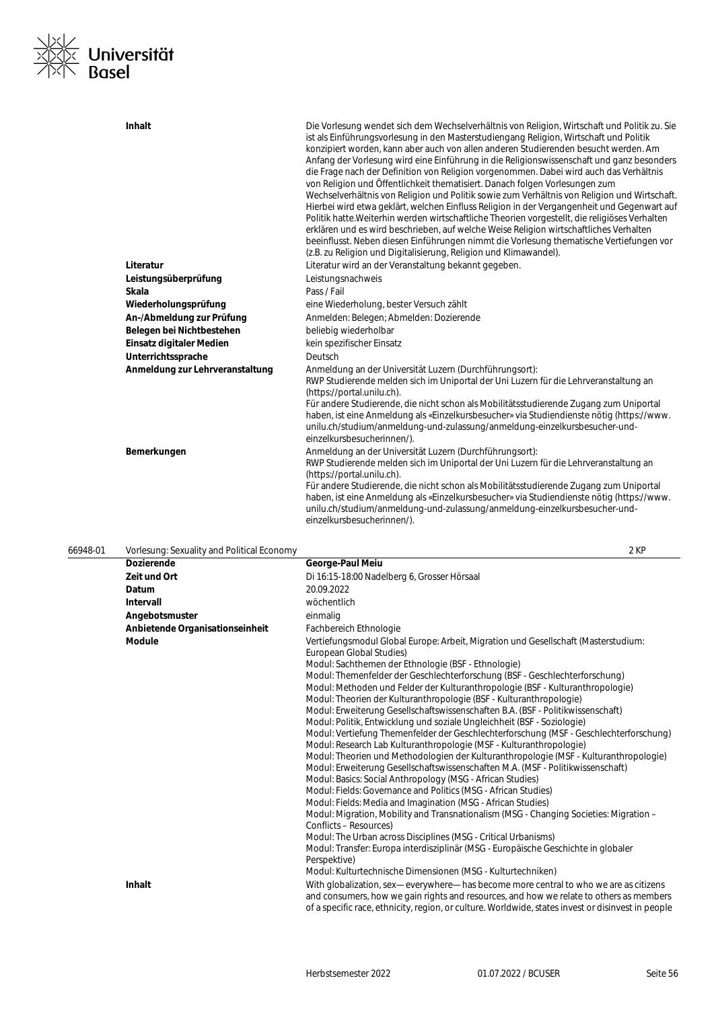

|          | Inhalt<br>Literatur<br>Leistungsüberprüfung<br>Skala<br>Wiederholungsprüfung<br>An-/Abmeldung zur Prüfung<br>Belegen bei Nichtbestehen | Die Vorlesung wendet sich dem Wechselverhältnis von Religion, Wirtschaft und Politik zu. Sie<br>ist als Einführungsvorlesung in den Masterstudiengang Religion, Wirtschaft und Politik<br>konzipiert worden, kann aber auch von allen anderen Studierenden besucht werden. Am<br>Anfang der Vorlesung wird eine Einführung in die Religionswissenschaft und ganz besonders<br>die Frage nach der Definition von Religion vorgenommen. Dabei wird auch das Verhältnis<br>von Religion und Öffentlichkeit thematisiert. Danach folgen Vorlesungen zum<br>Wechselverhältnis von Religion und Politik sowie zum Verhältnis von Religion und Wirtschaft.<br>Hierbei wird etwa geklärt, welchen Einfluss Religion in der Vergangenheit und Gegenwart auf<br>Politik hatte. Weiterhin werden wirtschaftliche Theorien vorgestellt, die religiöses Verhalten<br>erklären und es wird beschrieben, auf welche Weise Religion wirtschaftliches Verhalten<br>beeinflusst. Neben diesen Einführungen nimmt die Vorlesung thematische Vertiefungen vor<br>(z.B. zu Religion und Digitalisierung, Religion und Klimawandel).<br>Literatur wird an der Veranstaltung bekannt gegeben.<br>Leistungsnachweis<br>Pass / Fail<br>eine Wiederholung, bester Versuch zählt<br>Anmelden: Belegen; Abmelden: Dozierende<br>beliebig wiederholbar |
|----------|----------------------------------------------------------------------------------------------------------------------------------------|---------------------------------------------------------------------------------------------------------------------------------------------------------------------------------------------------------------------------------------------------------------------------------------------------------------------------------------------------------------------------------------------------------------------------------------------------------------------------------------------------------------------------------------------------------------------------------------------------------------------------------------------------------------------------------------------------------------------------------------------------------------------------------------------------------------------------------------------------------------------------------------------------------------------------------------------------------------------------------------------------------------------------------------------------------------------------------------------------------------------------------------------------------------------------------------------------------------------------------------------------------------------------------------------------------------------------|
|          | Einsatz digitaler Medien                                                                                                               | kein spezifischer Einsatz                                                                                                                                                                                                                                                                                                                                                                                                                                                                                                                                                                                                                                                                                                                                                                                                                                                                                                                                                                                                                                                                                                                                                                                                                                                                                                 |
|          | Unterrichtssprache                                                                                                                     | Deutsch                                                                                                                                                                                                                                                                                                                                                                                                                                                                                                                                                                                                                                                                                                                                                                                                                                                                                                                                                                                                                                                                                                                                                                                                                                                                                                                   |
|          | Anmeldung zur Lehrveranstaltung                                                                                                        | Anmeldung an der Universität Luzern (Durchführungsort):<br>RWP Studierende melden sich im Uniportal der Uni Luzern für die Lehrveranstaltung an<br>(https://portal.unilu.ch).<br>Für andere Studierende, die nicht schon als Mobilitätsstudierende Zugang zum Uniportal<br>haben, ist eine Anmeldung als «Einzelkursbesucher» via Studiendienste nötig (https://www.<br>unilu.ch/studium/anmeldung-und-zulassung/anmeldung-einzelkursbesucher-und-<br>einzelkursbesucherinnen/).                                                                                                                                                                                                                                                                                                                                                                                                                                                                                                                                                                                                                                                                                                                                                                                                                                          |
|          | Bemerkungen                                                                                                                            | Anmeldung an der Universität Luzern (Durchführungsort):<br>RWP Studierende melden sich im Uniportal der Uni Luzern für die Lehrveranstaltung an<br>(https://portal.unilu.ch).<br>Für andere Studierende, die nicht schon als Mobilitätsstudierende Zugang zum Uniportal<br>haben, ist eine Anmeldung als «Einzelkursbesucher» via Studiendienste nötig (https://www.<br>unilu.ch/studium/anmeldung-und-zulassung/anmeldung-einzelkursbesucher-und-<br>einzelkursbesucherinnen/).                                                                                                                                                                                                                                                                                                                                                                                                                                                                                                                                                                                                                                                                                                                                                                                                                                          |
| 66948-01 | Vorlesung: Sexuality and Political Economy                                                                                             | 2 KP                                                                                                                                                                                                                                                                                                                                                                                                                                                                                                                                                                                                                                                                                                                                                                                                                                                                                                                                                                                                                                                                                                                                                                                                                                                                                                                      |
|          | <b>Dozierende</b>                                                                                                                      | George-Paul Meiu                                                                                                                                                                                                                                                                                                                                                                                                                                                                                                                                                                                                                                                                                                                                                                                                                                                                                                                                                                                                                                                                                                                                                                                                                                                                                                          |
|          | Zeit und Ort                                                                                                                           | Di 16:15-18:00 Nadelberg 6, Grosser Hörsaal                                                                                                                                                                                                                                                                                                                                                                                                                                                                                                                                                                                                                                                                                                                                                                                                                                                                                                                                                                                                                                                                                                                                                                                                                                                                               |
|          | Datum                                                                                                                                  | 20.09.2022                                                                                                                                                                                                                                                                                                                                                                                                                                                                                                                                                                                                                                                                                                                                                                                                                                                                                                                                                                                                                                                                                                                                                                                                                                                                                                                |
|          | Intervall                                                                                                                              | wöchentlich                                                                                                                                                                                                                                                                                                                                                                                                                                                                                                                                                                                                                                                                                                                                                                                                                                                                                                                                                                                                                                                                                                                                                                                                                                                                                                               |
|          | Angebotsmuster                                                                                                                         | einmalig                                                                                                                                                                                                                                                                                                                                                                                                                                                                                                                                                                                                                                                                                                                                                                                                                                                                                                                                                                                                                                                                                                                                                                                                                                                                                                                  |
|          | Anbietende Organisationseinheit                                                                                                        | Fachbereich Ethnologie                                                                                                                                                                                                                                                                                                                                                                                                                                                                                                                                                                                                                                                                                                                                                                                                                                                                                                                                                                                                                                                                                                                                                                                                                                                                                                    |

| Module | Vertiefungsmodul Global Europe: Arbeit, Migration und Gesellschaft (Masterstudium: |
|--------|------------------------------------------------------------------------------------|
|        | European Global Studies)                                                           |
|        | Modul: Sachthemen der Ethnologie (BSF - Ethnologie)                                |
|        | Martin Through Hough and $\alpha$ is the characteristic of $\alpha$                |

Modul: Themenfelder der Geschlechterforschung (BSF - Geschlechterforschung)

Modul: Methoden und Felder der Kulturanthropologie (BSF - Kulturanthropologie)

- Modul: Theorien der Kulturanthropologie (BSF Kulturanthropologie)
- Modul: Erweiterung Gesellschaftswissenschaften B.A. (BSF Politikwissenschaft)
- Modul: Politik, Entwicklung und soziale Ungleichheit (BSF Soziologie)
- Modul: Vertiefung Themenfelder der Geschlechterforschung (MSF Geschlechterforschung) Modul: Research Lab Kulturanthropologie (MSF - Kulturanthropologie)
- Modul: Theorien und Methodologien der Kulturanthropologie (MSF Kulturanthropologie)
	- Modul: Erweiterung Gesellschaftswissenschaften M.A. (MSF Politikwissenschaft)
- Modul: Basics: Social Anthropology (MSG African Studies)
- Modul: Fields: Governance and Politics (MSG African Studies)
- Modul: Fields: Media and Imagination (MSG African Studies)
- Modul: Migration, Mobility and Transnationalism (MSG Changing Societies: Migration Conflicts – Resources)

Modul: The Urban across Disciplines (MSG - Critical Urbanisms)

Modul: Transfer: Europa interdisziplinär (MSG - Europäische Geschichte in globaler Perspektive)

Modul: Kulturtechnische Dimensionen (MSG - Kulturtechniken)

**Inhalt** Mith globalization, sex—everywhere—has become more central to who we are as citizens and consumers, how we gain rights and resources, and how we relate to others as members of a specific race, ethnicity, region, or culture. Worldwide, states invest or disinvest in people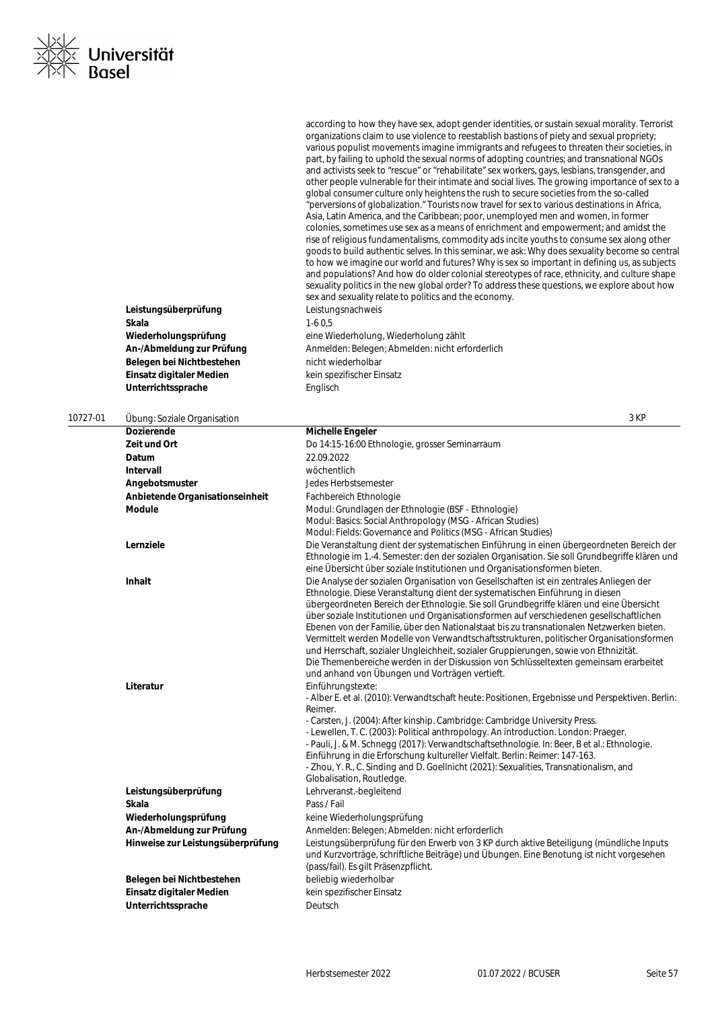|          | Wiederholungsprüfung<br>An-/Abmeldung zur Prüfung | eine Wiederholung, Wiederholung zählt<br>Anmelden: Belegen; Abmelden: nicht erforderlich                                                                                                                                                                                                                                                                                                                                                                                                                                                                                                                                                                                                                                                                                                 |  |
|----------|---------------------------------------------------|------------------------------------------------------------------------------------------------------------------------------------------------------------------------------------------------------------------------------------------------------------------------------------------------------------------------------------------------------------------------------------------------------------------------------------------------------------------------------------------------------------------------------------------------------------------------------------------------------------------------------------------------------------------------------------------------------------------------------------------------------------------------------------------|--|
|          | Belegen bei Nichtbestehen                         | nicht wiederholbar                                                                                                                                                                                                                                                                                                                                                                                                                                                                                                                                                                                                                                                                                                                                                                       |  |
|          | Einsatz digitaler Medien                          | kein spezifischer Einsatz                                                                                                                                                                                                                                                                                                                                                                                                                                                                                                                                                                                                                                                                                                                                                                |  |
|          | Unterrichtssprache                                | Englisch                                                                                                                                                                                                                                                                                                                                                                                                                                                                                                                                                                                                                                                                                                                                                                                 |  |
|          |                                                   |                                                                                                                                                                                                                                                                                                                                                                                                                                                                                                                                                                                                                                                                                                                                                                                          |  |
| 10727-01 | Ubung: Soziale Organisation                       | 3 KP                                                                                                                                                                                                                                                                                                                                                                                                                                                                                                                                                                                                                                                                                                                                                                                     |  |
|          | <b>Dozierende</b>                                 | Michelle Engeler                                                                                                                                                                                                                                                                                                                                                                                                                                                                                                                                                                                                                                                                                                                                                                         |  |
|          | Zeit und Ort                                      | Do 14:15-16:00 Ethnologie, grosser Seminarraum                                                                                                                                                                                                                                                                                                                                                                                                                                                                                                                                                                                                                                                                                                                                           |  |
|          | Datum                                             | 22.09.2022                                                                                                                                                                                                                                                                                                                                                                                                                                                                                                                                                                                                                                                                                                                                                                               |  |
|          | <b>Intervall</b>                                  | wöchentlich                                                                                                                                                                                                                                                                                                                                                                                                                                                                                                                                                                                                                                                                                                                                                                              |  |
|          | Angebotsmuster                                    | Jedes Herbstsemester                                                                                                                                                                                                                                                                                                                                                                                                                                                                                                                                                                                                                                                                                                                                                                     |  |
|          | Anbietende Organisationseinheit                   | Fachbereich Ethnologie                                                                                                                                                                                                                                                                                                                                                                                                                                                                                                                                                                                                                                                                                                                                                                   |  |
|          | <b>Module</b>                                     | Modul: Grundlagen der Ethnologie (BSF - Ethnologie)<br>Modul: Basics: Social Anthropology (MSG - African Studies)<br>Modul: Fields: Governance and Politics (MSG - African Studies)                                                                                                                                                                                                                                                                                                                                                                                                                                                                                                                                                                                                      |  |
|          | Lernziele                                         | Die Veranstaltung dient der systematischen Einführung in einen übergeordneten Bereich der<br>Ethnologie im 1.-4. Semester: den der sozialen Organisation. Sie soll Grundbegriffe klären und<br>eine Übersicht über soziale Institutionen und Organisationsformen bieten.                                                                                                                                                                                                                                                                                                                                                                                                                                                                                                                 |  |
|          | <b>Inhalt</b>                                     | Die Analyse der sozialen Organisation von Gesellschaften ist ein zentrales Anliegen der<br>Ethnologie. Diese Veranstaltung dient der systematischen Einführung in diesen<br>übergeordneten Bereich der Ethnologie. Sie soll Grundbegriffe klären und eine Übersicht<br>über soziale Institutionen und Organisationsformen auf verschiedenen gesellschaftlichen<br>Ebenen von der Familie, über den Nationalstaat bis zu transnationalen Netzwerken bieten.<br>Vermittelt werden Modelle von Verwandtschaftsstrukturen, politischer Organisationsformen<br>und Herrschaft, sozialer Ungleichheit, sozialer Gruppierungen, sowie von Ethnizität.<br>Die Themenbereiche werden in der Diskussion von Schlüsseltexten gemeinsam erarbeitet<br>und anhand von Übungen und Vorträgen vertieft. |  |
|          | Literatur                                         | Einführungstexte:<br>- Alber E. et al. (2010): Verwandtschaft heute: Positionen, Ergebnisse und Perspektiven. Berlin:<br>Reimer.<br>- Carsten, J. (2004): After kinship. Cambridge: Cambridge University Press.<br>- Lewellen, T. C. (2003): Political anthropology. An introduction. London: Praeger.<br>- Pauli, J. & M. Schnegg (2017): Verwandtschaftsethnologie. In: Beer, B et al.: Ethnologie.<br>Einführung in die Erforschung kultureller Vielfalt. Berlin: Reimer: 147-163.<br>- Zhou, Y. R., C. Sinding and D. Goellnicht (2021): Sexualities, Transnationalism, and<br>Globalisation, Routledge.                                                                                                                                                                             |  |
|          | Leistungsüberprüfung                              | Lehrveranst.-begleitend                                                                                                                                                                                                                                                                                                                                                                                                                                                                                                                                                                                                                                                                                                                                                                  |  |
|          | Skala                                             | Pass / Fail                                                                                                                                                                                                                                                                                                                                                                                                                                                                                                                                                                                                                                                                                                                                                                              |  |
|          | Wiederholungsprüfung                              | keine Wiederholungsprüfung                                                                                                                                                                                                                                                                                                                                                                                                                                                                                                                                                                                                                                                                                                                                                               |  |
|          | An-/Abmeldung zur Prüfung                         | Anmelden: Belegen: Abmelden: nicht erforderlich                                                                                                                                                                                                                                                                                                                                                                                                                                                                                                                                                                                                                                                                                                                                          |  |
|          | Hinweise zur Leistungsüberprüfung                 | Leistungsüberprüfung für den Erwerb von 3 KP durch aktive Beteiligung (mündliche Inputs<br>und Kurzvorträge, schriftliche Beiträge) und Übungen. Eine Benotung ist nicht vorgesehen<br>(pass/fail). Es gilt Präsenzpflicht.                                                                                                                                                                                                                                                                                                                                                                                                                                                                                                                                                              |  |
|          | Belegen bei Nichtbestehen                         | beliebig wiederholbar                                                                                                                                                                                                                                                                                                                                                                                                                                                                                                                                                                                                                                                                                                                                                                    |  |
|          | Einsatz digitaler Medien                          | kein spezifischer Einsatz                                                                                                                                                                                                                                                                                                                                                                                                                                                                                                                                                                                                                                                                                                                                                                |  |
|          | Unterrichtssprache                                | Deutsch                                                                                                                                                                                                                                                                                                                                                                                                                                                                                                                                                                                                                                                                                                                                                                                  |  |

**Leistungsüberprüfung** Leistungsnachweis **Skala** 1-6 0,5

according to how they have sex, adopt gender identities, or sustain sexual morality. Terrorist organizations claim to use violence to reestablish bastions of piety and sexual propriety; various populist movements imagine immigrants and refugees to threaten their societies, in part, by failing to uphold the sexual norms of adopting countries; and transnational NGOs and activists seek to "rescue" or "rehabilitate" sex workers, gays, lesbians, transgender, and other people vulnerable for their intimate and social lives. The growing importance of sex to a global consumer culture only heightens the rush to secure societies from the so-called "perversions of globalization." Tourists now travel for sex to various destinations in Africa, Asia, Latin America, and the Caribbean; poor, unemployed men and women, in former colonies, sometimes use sex as a means of enrichment and empowerment; and amidst the rise of religious fundamentalisms, commodity ads incite youths to consume sex along other goods to build authentic selves. In this seminar, we ask: Why does sexuality become so central to how we imagine our world and futures? Why is sex so important in defining us, as subjects and populations? And how do older colonial stereotypes of race, ethnicity, and culture shape sexuality politics in the new global order? To address these questions, we explore about how sex and sexuality relate to politics and the economy.

Universität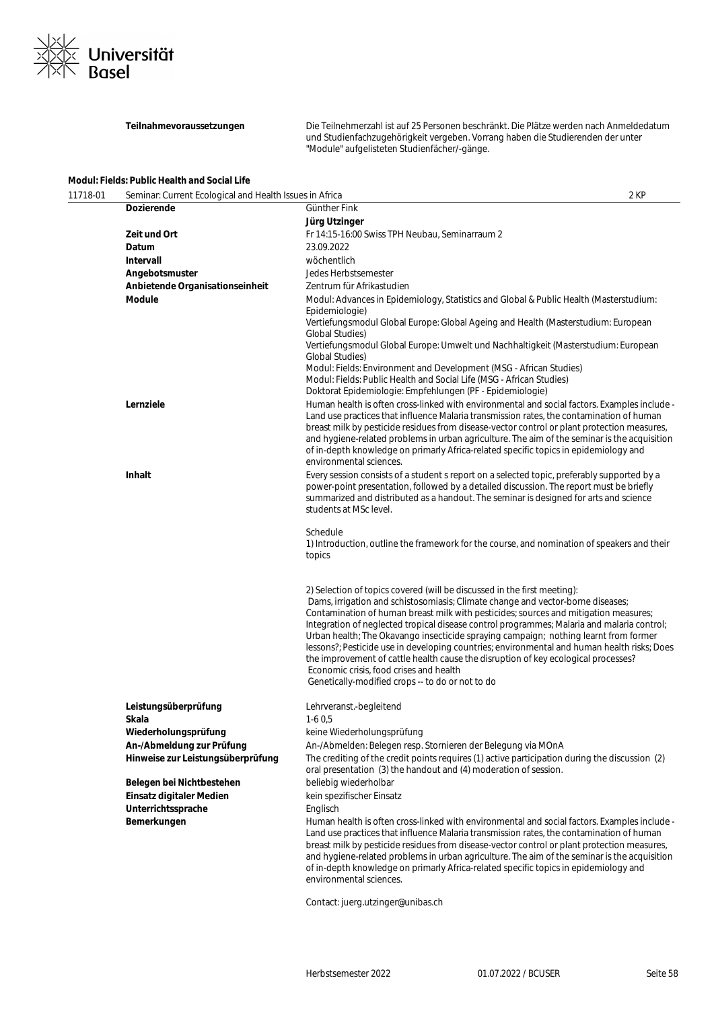

**Teilnahmevoraussetzungen** Die Teilnehmerzahl ist auf 25 Personen beschränkt. Die Plätze werden nach Anmeldedatum und Studienfachzugehörigkeit vergeben. Vorrang haben die Studierenden der unter "Module" aufgelisteten Studienfächer/-gänge.

| 11718-01<br>Seminar: Current Ecological and Health Issues in Africa |                                                                | 2 KP                                                                                                                                                                                                                                                                                                                                                                                                                                                                                                                                                                                                                                                                                                                          |
|---------------------------------------------------------------------|----------------------------------------------------------------|-------------------------------------------------------------------------------------------------------------------------------------------------------------------------------------------------------------------------------------------------------------------------------------------------------------------------------------------------------------------------------------------------------------------------------------------------------------------------------------------------------------------------------------------------------------------------------------------------------------------------------------------------------------------------------------------------------------------------------|
|                                                                     | <b>Dozierende</b>                                              | Günther Fink                                                                                                                                                                                                                                                                                                                                                                                                                                                                                                                                                                                                                                                                                                                  |
|                                                                     |                                                                | Jürg Utzinger                                                                                                                                                                                                                                                                                                                                                                                                                                                                                                                                                                                                                                                                                                                 |
|                                                                     | Zeit und Ort                                                   | Fr 14:15-16:00 Swiss TPH Neubau, Seminarraum 2                                                                                                                                                                                                                                                                                                                                                                                                                                                                                                                                                                                                                                                                                |
|                                                                     | Datum                                                          | 23.09.2022                                                                                                                                                                                                                                                                                                                                                                                                                                                                                                                                                                                                                                                                                                                    |
|                                                                     | Intervall                                                      | wöchentlich                                                                                                                                                                                                                                                                                                                                                                                                                                                                                                                                                                                                                                                                                                                   |
|                                                                     | Angebotsmuster                                                 | Jedes Herbstsemester                                                                                                                                                                                                                                                                                                                                                                                                                                                                                                                                                                                                                                                                                                          |
|                                                                     | Anbietende Organisationseinheit                                | Zentrum für Afrikastudien                                                                                                                                                                                                                                                                                                                                                                                                                                                                                                                                                                                                                                                                                                     |
|                                                                     | <b>Module</b>                                                  | Modul: Advances in Epidemiology, Statistics and Global & Public Health (Masterstudium:<br>Epidemiologie)<br>Vertiefungsmodul Global Europe: Global Ageing and Health (Masterstudium: European<br><b>Global Studies)</b><br>Vertiefungsmodul Global Europe: Umwelt und Nachhaltigkeit (Masterstudium: European<br>Global Studies)<br>Modul: Fields: Environment and Development (MSG - African Studies)<br>Modul: Fields: Public Health and Social Life (MSG - African Studies)<br>Doktorat Epidemiologie: Empfehlungen (PF - Epidemiologie)                                                                                                                                                                                   |
|                                                                     | Lernziele                                                      | Human health is often cross-linked with environmental and social factors. Examples include -<br>Land use practices that influence Malaria transmission rates, the contamination of human<br>breast milk by pesticide residues from disease-vector control or plant protection measures,<br>and hygiene-related problems in urban agriculture. The aim of the seminar is the acquisition<br>of in-depth knowledge on primarly Africa-related specific topics in epidemiology and<br>environmental sciences.                                                                                                                                                                                                                    |
|                                                                     | <b>Inhalt</b>                                                  | Every session consists of a student s report on a selected topic, preferably supported by a<br>power-point presentation, followed by a detailed discussion. The report must be briefly<br>summarized and distributed as a handout. The seminar is designed for arts and science<br>students at MSc level.                                                                                                                                                                                                                                                                                                                                                                                                                     |
|                                                                     |                                                                | Schedule<br>1) Introduction, outline the framework for the course, and nomination of speakers and their<br>topics                                                                                                                                                                                                                                                                                                                                                                                                                                                                                                                                                                                                             |
|                                                                     |                                                                | 2) Selection of topics covered (will be discussed in the first meeting):<br>Dams, irrigation and schistosomiasis; Climate change and vector-borne diseases;<br>Contamination of human breast milk with pesticides; sources and mitigation measures;<br>Integration of neglected tropical disease control programmes; Malaria and malaria control;<br>Urban health; The Okavango insecticide spraying campaign; nothing learnt from former<br>lessons?; Pesticide use in developing countries; environmental and human health risks; Does<br>the improvement of cattle health cause the disruption of key ecological processes?<br>Economic crisis, food crises and health<br>Genetically-modified crops -- to do or not to do |
|                                                                     | Leistungsüberprüfung                                           | Lehrveranst.-begleitend                                                                                                                                                                                                                                                                                                                                                                                                                                                                                                                                                                                                                                                                                                       |
|                                                                     | Skala                                                          | $1-60,5$                                                                                                                                                                                                                                                                                                                                                                                                                                                                                                                                                                                                                                                                                                                      |
|                                                                     | Wiederholungsprüfung                                           |                                                                                                                                                                                                                                                                                                                                                                                                                                                                                                                                                                                                                                                                                                                               |
|                                                                     |                                                                | keine Wiederholungsprüfung                                                                                                                                                                                                                                                                                                                                                                                                                                                                                                                                                                                                                                                                                                    |
|                                                                     | An-/Abmeldung zur Prüfung<br>Hinweise zur Leistungsüberprüfung | An-/Abmelden: Belegen resp. Stornieren der Belegung via MOnA<br>The crediting of the credit points requires (1) active participation during the discussion (2)<br>oral presentation (3) the handout and (4) moderation of session.                                                                                                                                                                                                                                                                                                                                                                                                                                                                                            |
|                                                                     | Belegen bei Nichtbestehen                                      | beliebig wiederholbar                                                                                                                                                                                                                                                                                                                                                                                                                                                                                                                                                                                                                                                                                                         |
|                                                                     | Einsatz digitaler Medien                                       | kein spezifischer Einsatz                                                                                                                                                                                                                                                                                                                                                                                                                                                                                                                                                                                                                                                                                                     |
|                                                                     | Unterrichtssprache                                             | Englisch                                                                                                                                                                                                                                                                                                                                                                                                                                                                                                                                                                                                                                                                                                                      |
|                                                                     | Bemerkungen                                                    | Human health is often cross-linked with environmental and social factors. Examples include -<br>Land use practices that influence Malaria transmission rates, the contamination of human<br>breast milk by pesticide residues from disease-vector control or plant protection measures,<br>and hygiene-related problems in urban agriculture. The aim of the seminar is the acquisition<br>of in-depth knowledge on primarly Africa-related specific topics in epidemiology and<br>environmental sciences.                                                                                                                                                                                                                    |

Contact: juerg.utzinger@unibas.ch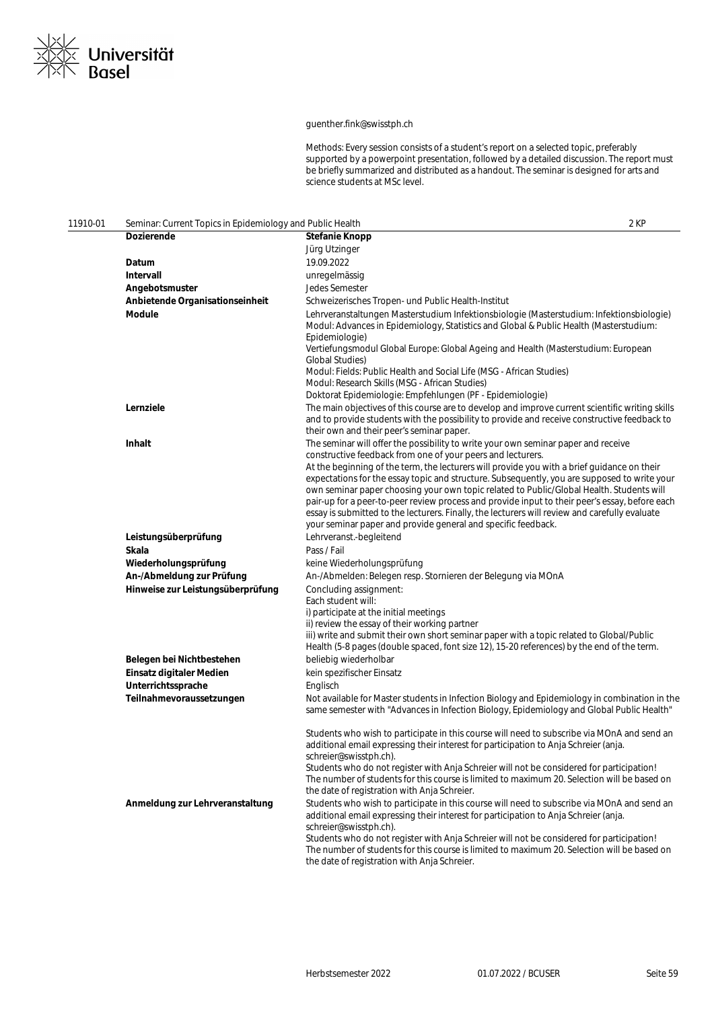

### guenther.fink@swisstph.ch

Methods: Every session consists of a student's report on a selected topic, preferably supported by a powerpoint presentation, followed by a detailed discussion. The report must be briefly summarized and distributed as a handout. The seminar is designed for arts and science students at MSc level.

| 11910-01 | Seminar: Current Topics in Epidemiology and Public Health |                                                                                                                                                                                                                                                                                                                                                                                                                                                                                                                                                                                                                                                                                                                   | 2 KP |
|----------|-----------------------------------------------------------|-------------------------------------------------------------------------------------------------------------------------------------------------------------------------------------------------------------------------------------------------------------------------------------------------------------------------------------------------------------------------------------------------------------------------------------------------------------------------------------------------------------------------------------------------------------------------------------------------------------------------------------------------------------------------------------------------------------------|------|
|          | <b>Dozierende</b>                                         | Stefanie Knopp                                                                                                                                                                                                                                                                                                                                                                                                                                                                                                                                                                                                                                                                                                    |      |
|          |                                                           | Jürg Utzinger                                                                                                                                                                                                                                                                                                                                                                                                                                                                                                                                                                                                                                                                                                     |      |
|          | Datum                                                     | 19.09.2022                                                                                                                                                                                                                                                                                                                                                                                                                                                                                                                                                                                                                                                                                                        |      |
|          | <b>Intervall</b>                                          | unregelmässig                                                                                                                                                                                                                                                                                                                                                                                                                                                                                                                                                                                                                                                                                                     |      |
|          | Angebotsmuster                                            | <b>Jedes Semester</b>                                                                                                                                                                                                                                                                                                                                                                                                                                                                                                                                                                                                                                                                                             |      |
|          | Anbietende Organisationseinheit                           | Schweizerisches Tropen- und Public Health-Institut                                                                                                                                                                                                                                                                                                                                                                                                                                                                                                                                                                                                                                                                |      |
|          | Module                                                    | Lehrveranstaltungen Masterstudium Infektionsbiologie (Masterstudium: Infektionsbiologie)<br>Modul: Advances in Epidemiology, Statistics and Global & Public Health (Masterstudium:<br>Epidemiologie)                                                                                                                                                                                                                                                                                                                                                                                                                                                                                                              |      |
|          |                                                           | Vertiefungsmodul Global Europe: Global Ageing and Health (Masterstudium: European<br>Global Studies)<br>Modul: Fields: Public Health and Social Life (MSG - African Studies)                                                                                                                                                                                                                                                                                                                                                                                                                                                                                                                                      |      |
|          |                                                           | Modul: Research Skills (MSG - African Studies)<br>Doktorat Epidemiologie: Empfehlungen (PF - Epidemiologie)                                                                                                                                                                                                                                                                                                                                                                                                                                                                                                                                                                                                       |      |
|          | Lernziele                                                 | The main objectives of this course are to develop and improve current scientific writing skills                                                                                                                                                                                                                                                                                                                                                                                                                                                                                                                                                                                                                   |      |
|          |                                                           | and to provide students with the possibility to provide and receive constructive feedback to<br>their own and their peer's seminar paper.                                                                                                                                                                                                                                                                                                                                                                                                                                                                                                                                                                         |      |
|          | Inhalt                                                    | The seminar will offer the possibility to write your own seminar paper and receive<br>constructive feedback from one of your peers and lecturers.<br>At the beginning of the term, the lecturers will provide you with a brief guidance on their<br>expectations for the essay topic and structure. Subsequently, you are supposed to write your<br>own seminar paper choosing your own topic related to Public/Global Health. Students will<br>pair-up for a peer-to-peer review process and provide input to their peer's essay, before each<br>essay is submitted to the lecturers. Finally, the lecturers will review and carefully evaluate<br>your seminar paper and provide general and specific feedback. |      |
|          | Leistungsüberprüfung                                      | Lehrveranst.-begleitend                                                                                                                                                                                                                                                                                                                                                                                                                                                                                                                                                                                                                                                                                           |      |
|          | Skala                                                     | Pass / Fail                                                                                                                                                                                                                                                                                                                                                                                                                                                                                                                                                                                                                                                                                                       |      |
|          | Wiederholungsprüfung                                      | keine Wiederholungsprüfung                                                                                                                                                                                                                                                                                                                                                                                                                                                                                                                                                                                                                                                                                        |      |
|          | An-/Abmeldung zur Prüfung                                 | An-/Abmelden: Belegen resp. Stornieren der Belegung via MOnA                                                                                                                                                                                                                                                                                                                                                                                                                                                                                                                                                                                                                                                      |      |
|          | Hinweise zur Leistungsüberprüfung                         | Concluding assignment:<br>Each student will:<br>i) participate at the initial meetings<br>ii) review the essay of their working partner<br>iii) write and submit their own short seminar paper with a topic related to Global/Public<br>Health (5-8 pages (double spaced, font size 12), 15-20 references) by the end of the term.                                                                                                                                                                                                                                                                                                                                                                                |      |
|          | Belegen bei Nichtbestehen                                 | beliebig wiederholbar                                                                                                                                                                                                                                                                                                                                                                                                                                                                                                                                                                                                                                                                                             |      |
|          | Einsatz digitaler Medien                                  | kein spezifischer Einsatz                                                                                                                                                                                                                                                                                                                                                                                                                                                                                                                                                                                                                                                                                         |      |
|          | Unterrichtssprache                                        | Englisch                                                                                                                                                                                                                                                                                                                                                                                                                                                                                                                                                                                                                                                                                                          |      |
|          | Teilnahmevoraussetzungen                                  | Not available for Master students in Infection Biology and Epidemiology in combination in the<br>same semester with "Advances in Infection Biology, Epidemiology and Global Public Health"                                                                                                                                                                                                                                                                                                                                                                                                                                                                                                                        |      |
|          |                                                           | Students who wish to participate in this course will need to subscribe via MOnA and send an<br>additional email expressing their interest for participation to Anja Schreier (anja.<br>schreier@swisstph.ch).<br>Students who do not register with Anja Schreier will not be considered for participation!                                                                                                                                                                                                                                                                                                                                                                                                        |      |
|          |                                                           | The number of students for this course is limited to maximum 20. Selection will be based on<br>the date of registration with Anja Schreier.                                                                                                                                                                                                                                                                                                                                                                                                                                                                                                                                                                       |      |
|          | Anmeldung zur Lehrveranstaltung                           | Students who wish to participate in this course will need to subscribe via MOnA and send an<br>additional email expressing their interest for participation to Anja Schreier (anja.<br>schreier@swisstph.ch).                                                                                                                                                                                                                                                                                                                                                                                                                                                                                                     |      |
|          |                                                           | Students who do not register with Anja Schreier will not be considered for participation!<br>The number of students for this course is limited to maximum 20. Selection will be based on<br>the date of registration with Anja Schreier.                                                                                                                                                                                                                                                                                                                                                                                                                                                                          |      |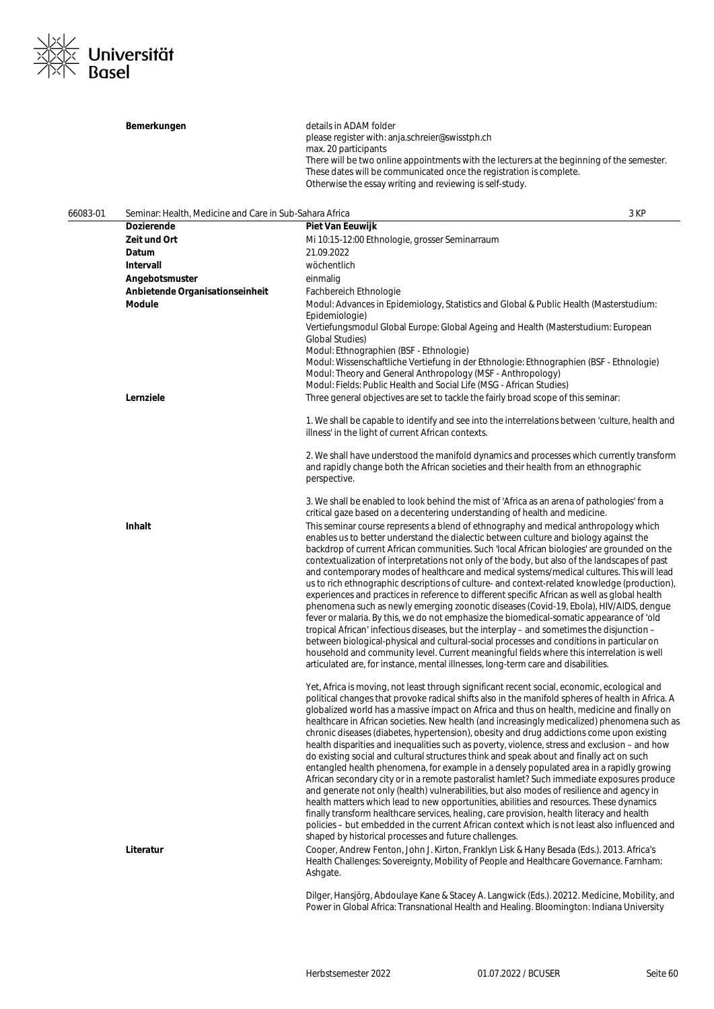

|          | Bemerkungen                                             | details in ADAM folder                                                                                                                                                                  |  |
|----------|---------------------------------------------------------|-----------------------------------------------------------------------------------------------------------------------------------------------------------------------------------------|--|
|          |                                                         | please register with: anja.schreier@swisstph.ch<br>max. 20 participants                                                                                                                 |  |
|          |                                                         | There will be two online appointments with the lecturers at the beginning of the semester.                                                                                              |  |
|          |                                                         | These dates will be communicated once the registration is complete.                                                                                                                     |  |
|          |                                                         | Otherwise the essay writing and reviewing is self-study.                                                                                                                                |  |
| 66083-01 | Seminar: Health, Medicine and Care in Sub-Sahara Africa | 3 KP                                                                                                                                                                                    |  |
|          | <b>Dozierende</b>                                       | Piet Van Eeuwijk                                                                                                                                                                        |  |
|          | Zeit und Ort                                            | Mi 10:15-12:00 Ethnologie, grosser Seminarraum                                                                                                                                          |  |
|          | Datum                                                   | 21.09.2022                                                                                                                                                                              |  |
|          | Intervall                                               | wöchentlich                                                                                                                                                                             |  |
|          |                                                         |                                                                                                                                                                                         |  |
|          | Angebotsmuster<br>Anbietende Organisationseinheit       | einmalig<br>Fachbereich Ethnologie                                                                                                                                                      |  |
|          | <b>Module</b>                                           | Modul: Advances in Epidemiology, Statistics and Global & Public Health (Masterstudium:                                                                                                  |  |
|          |                                                         | Epidemiologie)                                                                                                                                                                          |  |
|          |                                                         | Vertiefungsmodul Global Europe: Global Ageing and Health (Masterstudium: European                                                                                                       |  |
|          |                                                         | <b>Global Studies)</b>                                                                                                                                                                  |  |
|          |                                                         | Modul: Ethnographien (BSF - Ethnologie)                                                                                                                                                 |  |
|          |                                                         | Modul: Wissenschaftliche Vertiefung in der Ethnologie: Ethnographien (BSF - Ethnologie)                                                                                                 |  |
|          |                                                         | Modul: Theory and General Anthropology (MSF - Anthropology)                                                                                                                             |  |
|          |                                                         | Modul: Fields: Public Health and Social Life (MSG - African Studies)                                                                                                                    |  |
|          | Lernziele                                               | Three general objectives are set to tackle the fairly broad scope of this seminar:                                                                                                      |  |
|          |                                                         | 1. We shall be capable to identify and see into the interrelations between 'culture, health and<br>illness' in the light of current African contexts.                                   |  |
|          |                                                         | 2. We shall have understood the manifold dynamics and processes which currently transform                                                                                               |  |
|          |                                                         | and rapidly change both the African societies and their health from an ethnographic                                                                                                     |  |
|          |                                                         | perspective.                                                                                                                                                                            |  |
|          |                                                         | 3. We shall be enabled to look behind the mist of 'Africa as an arena of pathologies' from a                                                                                            |  |
|          |                                                         | critical gaze based on a decentering understanding of health and medicine.                                                                                                              |  |
|          | Inhalt                                                  | This seminar course represents a blend of ethnography and medical anthropology which                                                                                                    |  |
|          |                                                         | enables us to better understand the dialectic between culture and biology against the                                                                                                   |  |
|          |                                                         | backdrop of current African communities. Such 'local African biologies' are grounded on the                                                                                             |  |
|          |                                                         | contextualization of interpretations not only of the body, but also of the landscapes of past                                                                                           |  |
|          |                                                         | and contemporary modes of healthcare and medical systems/medical cultures. This will lead                                                                                               |  |
|          |                                                         | us to rich ethnographic descriptions of culture- and context-related knowledge (production),                                                                                            |  |
|          |                                                         | experiences and practices in reference to different specific African as well as global health<br>phenomena such as newly emerging zoonotic diseases (Covid-19, Ebola), HIV/AIDS, dengue |  |
|          |                                                         | fever or malaria. By this, we do not emphasize the biomedical-somatic appearance of 'old                                                                                                |  |
|          |                                                         | tropical African' infectious diseases, but the interplay - and sometimes the disjunction -                                                                                              |  |
|          |                                                         | between biological-physical and cultural-social processes and conditions in particular on                                                                                               |  |
|          |                                                         | household and community level. Current meaningful fields where this interrelation is well                                                                                               |  |
|          |                                                         | articulated are, for instance, mental illnesses, long-term care and disabilities.                                                                                                       |  |
|          |                                                         | Yet, Africa is moving, not least through significant recent social, economic, ecological and                                                                                            |  |
|          |                                                         | political changes that provoke radical shifts also in the manifold spheres of health in Africa. A                                                                                       |  |
|          |                                                         | globalized world has a massive impact on Africa and thus on health, medicine and finally on                                                                                             |  |
|          |                                                         | healthcare in African societies. New health (and increasingly medicalized) phenomena such as                                                                                            |  |
|          |                                                         | chronic diseases (diabetes, hypertension), obesity and drug addictions come upon existing                                                                                               |  |
|          |                                                         | health disparities and inequalities such as poverty, violence, stress and exclusion – and how                                                                                           |  |
|          |                                                         | do existing social and cultural structures think and speak about and finally act on such                                                                                                |  |
|          |                                                         | entangled health phenomena, for example in a densely populated area in a rapidly growing                                                                                                |  |
|          |                                                         | African secondary city or in a remote pastoralist hamlet? Such immediate exposures produce                                                                                              |  |
|          |                                                         | and generate not only (health) vulnerabilities, but also modes of resilience and agency in                                                                                              |  |
|          |                                                         | health matters which lead to new opportunities, abilities and resources. These dynamics<br>finally transform healthcare services, healing, care provision, health literacy and health   |  |
|          |                                                         | policies – but embedded in the current African context which is not least also influenced and                                                                                           |  |
|          |                                                         | shaped by historical processes and future challenges.                                                                                                                                   |  |
|          | Literatur                                               | Cooper, Andrew Fenton, John J. Kirton, Franklyn Lisk & Hany Besada (Eds.). 2013. Africa's                                                                                               |  |
|          |                                                         | Health Challenges: Sovereignty, Mobility of People and Healthcare Governance. Farnham:                                                                                                  |  |
|          |                                                         | Ashgate.                                                                                                                                                                                |  |
|          |                                                         |                                                                                                                                                                                         |  |
|          |                                                         | Dilger, Hansjörg, Abdoulaye Kane & Stacey A. Langwick (Eds.). 20212. Medicine, Mobility, and                                                                                            |  |
|          |                                                         | Power in Global Africa: Transnational Health and Healing. Bloomington: Indiana University                                                                                               |  |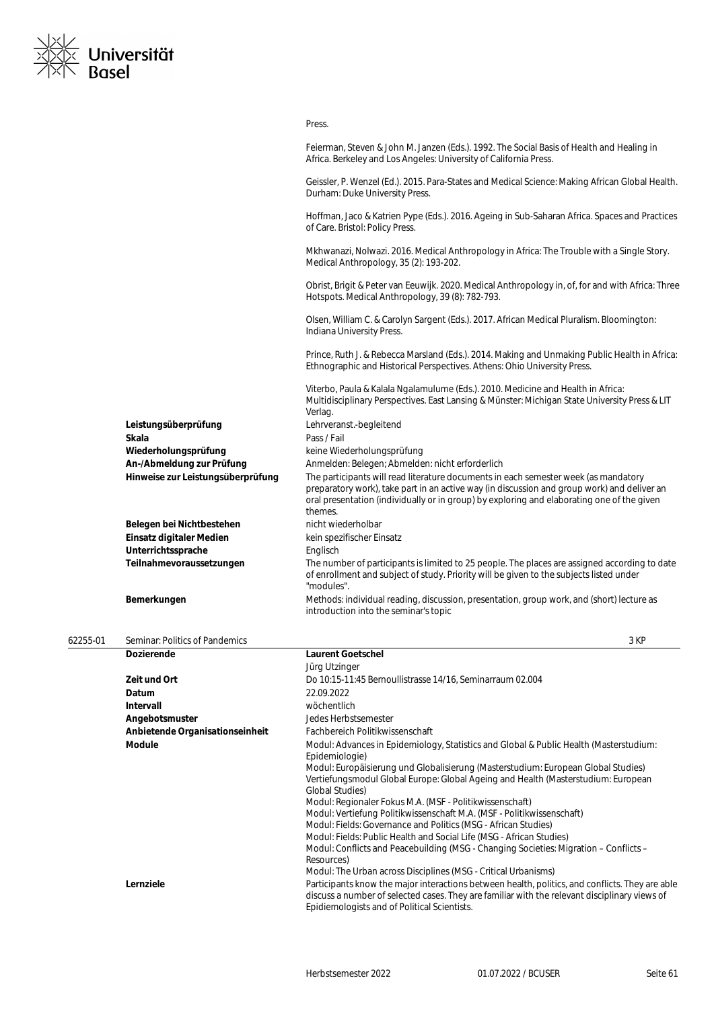

|          |                                   | Press.                                                                                                                                                                                                                                                                                      |
|----------|-----------------------------------|---------------------------------------------------------------------------------------------------------------------------------------------------------------------------------------------------------------------------------------------------------------------------------------------|
|          |                                   | Feierman, Steven & John M. Janzen (Eds.). 1992. The Social Basis of Health and Healing in<br>Africa. Berkeley and Los Angeles: University of California Press.                                                                                                                              |
|          |                                   | Geissler, P. Wenzel (Ed.). 2015. Para-States and Medical Science: Making African Global Health.<br>Durham: Duke University Press.                                                                                                                                                           |
|          |                                   | Hoffman, Jaco & Katrien Pype (Eds.). 2016. Ageing in Sub-Saharan Africa. Spaces and Practices<br>of Care. Bristol: Policy Press.                                                                                                                                                            |
|          |                                   | Mkhwanazi, Nolwazi. 2016. Medical Anthropology in Africa: The Trouble with a Single Story.<br>Medical Anthropology, 35 (2): 193-202.                                                                                                                                                        |
|          |                                   | Obrist, Brigit & Peter van Eeuwijk. 2020. Medical Anthropology in, of, for and with Africa: Three<br>Hotspots. Medical Anthropology, 39 (8): 782-793.                                                                                                                                       |
|          |                                   | Olsen, William C. & Carolyn Sargent (Eds.). 2017. African Medical Pluralism. Bloomington:<br>Indiana University Press.                                                                                                                                                                      |
|          |                                   | Prince, Ruth J. & Rebecca Marsland (Eds.). 2014. Making and Unmaking Public Health in Africa:<br>Ethnographic and Historical Perspectives. Athens: Ohio University Press.                                                                                                                   |
|          |                                   | Viterbo, Paula & Kalala Ngalamulume (Eds.). 2010. Medicine and Health in Africa:<br>Multidisciplinary Perspectives. East Lansing & Münster: Michigan State University Press & LIT<br>Verlag.                                                                                                |
|          | Leistungsüberprüfung              | Lehrveranst.-begleitend                                                                                                                                                                                                                                                                     |
|          | <b>Skala</b>                      | Pass / Fail                                                                                                                                                                                                                                                                                 |
|          | Wiederholungsprüfung              | keine Wiederholungsprüfung                                                                                                                                                                                                                                                                  |
|          | An-/Abmeldung zur Prüfung         | Anmelden: Belegen; Abmelden: nicht erforderlich                                                                                                                                                                                                                                             |
|          | Hinweise zur Leistungsüberprüfung | The participants will read literature documents in each semester week (as mandatory<br>preparatory work), take part in an active way (in discussion and group work) and deliver an<br>oral presentation (individually or in group) by exploring and elaborating one of the given<br>themes. |
|          | Belegen bei Nichtbestehen         | nicht wiederholbar                                                                                                                                                                                                                                                                          |
|          | Einsatz digitaler Medien          | kein spezifischer Einsatz                                                                                                                                                                                                                                                                   |
|          | Unterrichtssprache                | Englisch                                                                                                                                                                                                                                                                                    |
|          | Teilnahmevoraussetzungen          | The number of participants is limited to 25 people. The places are assigned according to date<br>of enrollment and subject of study. Priority will be given to the subjects listed under<br>"modules".                                                                                      |
|          | Bemerkungen                       | Methods: individual reading, discussion, presentation, group work, and (short) lecture as<br>introduction into the seminar's topic                                                                                                                                                          |
| 62255-01 | Seminar: Politics of Pandemics    | 3 KP                                                                                                                                                                                                                                                                                        |
|          | <b>Descriptions</b> of the        | the compact Article of the F                                                                                                                                                                                                                                                                |

| <b>Dozierende</b>               | <b>Laurent Goetschel</b>                                                                                                                                                                                                                         |
|---------------------------------|--------------------------------------------------------------------------------------------------------------------------------------------------------------------------------------------------------------------------------------------------|
|                                 | Jürg Utzinger                                                                                                                                                                                                                                    |
| Zeit und Ort                    | Do 10:15-11:45 Bernoullistrasse 14/16, Seminarraum 02.004                                                                                                                                                                                        |
| Datum                           | 22.09.2022                                                                                                                                                                                                                                       |
| <b>Intervall</b>                | wöchentlich                                                                                                                                                                                                                                      |
| Angebotsmuster                  | Jedes Herbstsemester                                                                                                                                                                                                                             |
| Anbietende Organisationseinheit | Fachbereich Politikwissenschaft                                                                                                                                                                                                                  |
| <b>Module</b>                   | Modul: Advances in Epidemiology, Statistics and Global & Public Health (Masterstudium:<br>Epidemiologie)                                                                                                                                         |
|                                 | Modul: Europäisierung und Globalisierung (Masterstudium: European Global Studies)<br>Vertiefungsmodul Global Europe: Global Ageing and Health (Masterstudium: European<br><b>Global Studies</b> )                                                |
|                                 | Modul: Regionaler Fokus M.A. (MSF - Politikwissenschaft)                                                                                                                                                                                         |
|                                 | Modul: Vertiefung Politikwissenschaft M.A. (MSF - Politikwissenschaft)                                                                                                                                                                           |
|                                 | Modul: Fields: Governance and Politics (MSG - African Studies)                                                                                                                                                                                   |
|                                 | Modul: Fields: Public Health and Social Life (MSG - African Studies)                                                                                                                                                                             |
|                                 | Modul: Conflicts and Peacebuilding (MSG - Changing Societies: Migration – Conflicts –<br>Resources)                                                                                                                                              |
|                                 | Modul: The Urban across Disciplines (MSG - Critical Urbanisms)                                                                                                                                                                                   |
| Lernziele                       | Participants know the major interactions between health, politics, and conflicts. They are able<br>discuss a number of selected cases. They are familiar with the relevant disciplinary views of<br>Epidiemologists and of Political Scientists. |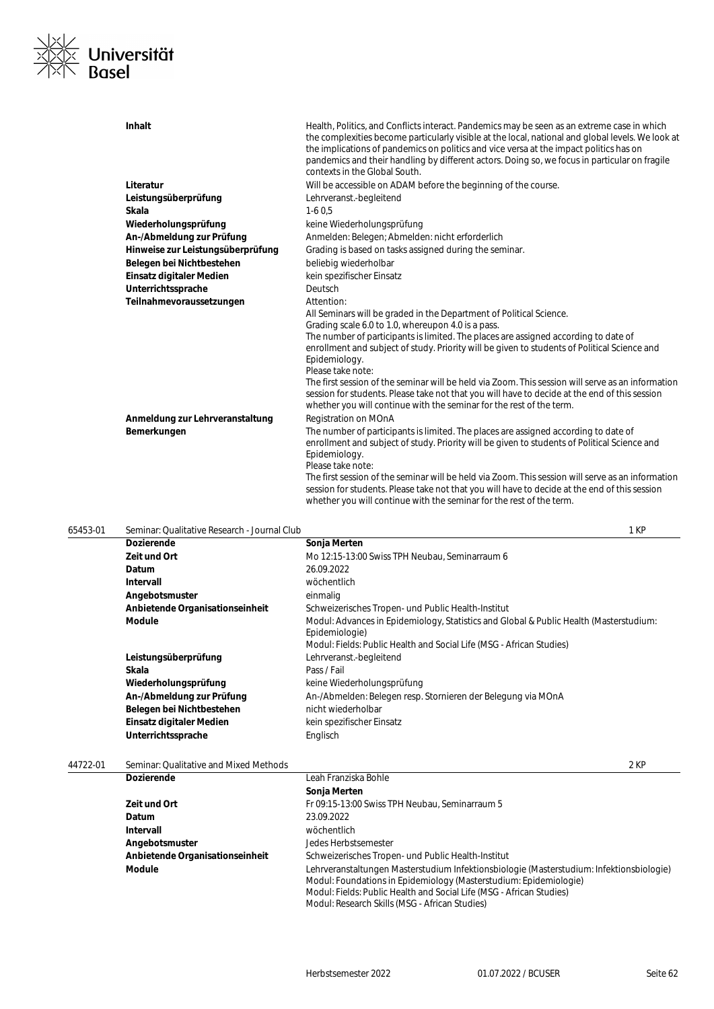

**Inhalt Inhalt Health, Politics, and Conflicts interact. Pandemics may be seen as an extreme case in which** the complexities become particularly visible at the local, national and global levels. We look at the implications of pandemics on politics and vice versa at the impact politics has on pandemics and their handling by different actors. Doing so, we focus in particular on fragile contexts in the Global South. **Literatur Literatur Will be accessible on ADAM before the beginning of the course. Leistungsüberprüfung** Lehrveranst.-begleitend **Skala** 1-6 0,5 Wiederholungsprüfung **Wiederholungsprüfung** keine Wiederholungsprüfung An-/Abmeldung zur Prüfung **Anmelden: Belegen; Abmelden: nicht erforderlich Hinweise zur Leistungsüberprüfung** Grading is based on tasks assigned during the seminar. Belegen bei Nichtbestehen beliebig wiederholbar **Einsatz digitaler Medien** kein spezifischer Einsatz Unterrichtssprache **Deutsch** Teilnahmevoraussetzungen **Attention:** All Seminars will be graded in the Department of Political Science. Grading scale 6.0 to 1.0, whereupon 4.0 is a pass. The number of participants is limited. The places are assigned according to date of enrollment and subject of study. Priority will be given to students of Political Science and Epidemiology. Please take note: The first session of the seminar will be held via Zoom. This session will serve as an information session for students. Please take not that you will have to decide at the end of this session whether you will continue with the seminar for the rest of the term. **Anmeldung zur Lehrveranstaltung Registration on MOnA Bemerkungen** The number of participants is limited. The places are assigned according to date of enrollment and subject of study. Priority will be given to students of Political Science and Epidemiology. Please take note: The first session of the seminar will be held via Zoom. This session will serve as an information session for students. Please take not that you will have to decide at the end of this session whether you will continue with the seminar for the rest of the term.

65453-01 Seminar: Qualitative Research - Journal Club 1 KP **Dozierende Sonja Merten Zeit und Ort** Mo 12:15-13:00 Swiss TPH Neubau, Seminarraum 6 **Datum** 26.09.2022 **Intervall** wöchentlich Angebotsmuster **and a matter of the einmalig Anbietende Organisationseinheit** Schweizerisches Tropen- und Public Health-Institut Module **Modul: Advances in Epidemiology, Statistics and Global & Public Health (Masterstudium: Advances in Epidemiology, Statistics and Global & Public Health (Masterstudium:** Epidemiologie) Modul: Fields: Public Health and Social Life (MSG - African Studies) **Leistungsüberprüfung** Lehrveranst.-begleitend **Skala** Pass / Fail Wiederholungsprüfung **Keine Wiederholungsprüfung An-/Abmeldung zur Prüfung An-/Abmelden: Belegen resp. Stornieren der Belegung via MOnA** Belegen bei Nichtbestehen **nicht wiederholbar Einsatz digitaler Medien** kein spezifischer Einsatz Unterrichtssprache **Englisch** 

### 44722-01 Seminar: Qualitative and Mixed Methods 2 KP

| <b>Dozierende</b>               | Leah Franziska Bohle                                                                     |
|---------------------------------|------------------------------------------------------------------------------------------|
|                                 | Sonja Merten                                                                             |
| Zeit und Ort                    | Fr 09:15-13:00 Swiss TPH Neubau, Seminarraum 5                                           |
| <b>Datum</b>                    | 23.09.2022                                                                               |
| Intervall                       | wöchentlich                                                                              |
| Angebotsmuster                  | Jedes Herbstsemester                                                                     |
| Anbietende Organisationseinheit | Schweizerisches Tropen- und Public Health-Institut                                       |
| <b>Module</b>                   | Lehrveranstaltungen Masterstudium Infektionsbiologie (Masterstudium: Infektionsbiologie) |
|                                 | Modul: Foundations in Epidemiology (Masterstudium: Epidemiologie)                        |
|                                 | Modul: Fields: Public Health and Social Life (MSG - African Studies)                     |
|                                 | Modul: Research Skills (MSG - African Studies)                                           |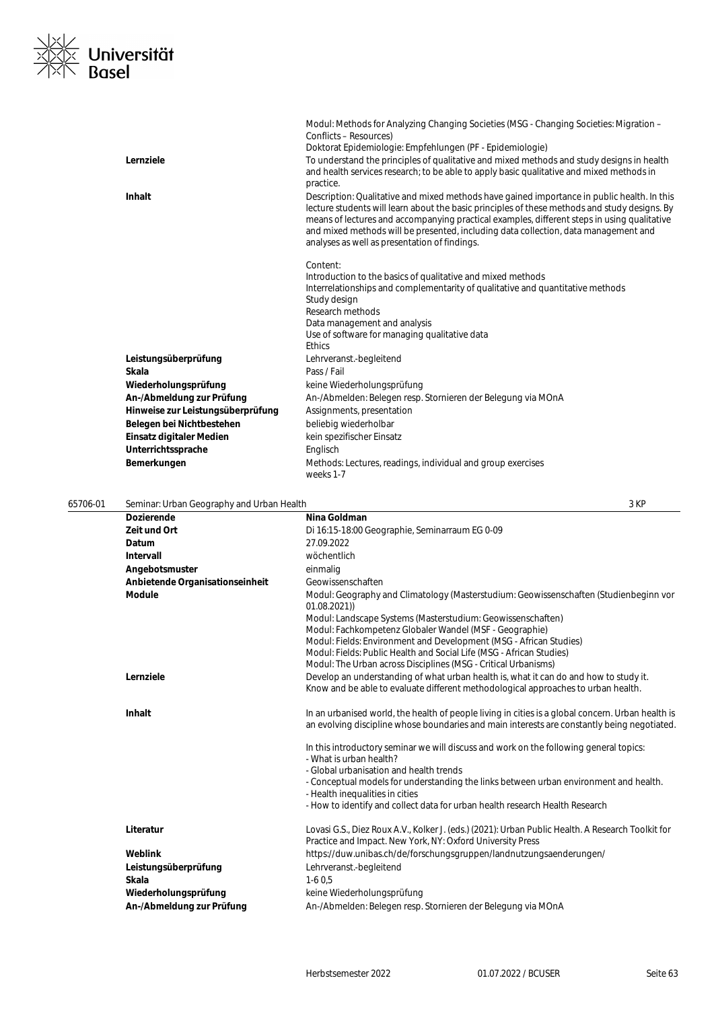

|                                   | Modul: Methods for Analyzing Changing Societies (MSG - Changing Societies: Migration –<br>Conflicts - Resources)                                                                                                                                                                                                                                                                                                                    |
|-----------------------------------|-------------------------------------------------------------------------------------------------------------------------------------------------------------------------------------------------------------------------------------------------------------------------------------------------------------------------------------------------------------------------------------------------------------------------------------|
|                                   | Doktorat Epidemiologie: Empfehlungen (PF - Epidemiologie)                                                                                                                                                                                                                                                                                                                                                                           |
| Lernziele                         | To understand the principles of qualitative and mixed methods and study designs in health<br>and health services research; to be able to apply basic qualitative and mixed methods in<br>practice.                                                                                                                                                                                                                                  |
| Inhalt                            | Description: Qualitative and mixed methods have gained importance in public health. In this<br>lecture students will learn about the basic principles of these methods and study designs. By<br>means of lectures and accompanying practical examples, different steps in using qualitative<br>and mixed methods will be presented, including data collection, data management and<br>analyses as well as presentation of findings. |
|                                   | Content:                                                                                                                                                                                                                                                                                                                                                                                                                            |
|                                   | Introduction to the basics of qualitative and mixed methods                                                                                                                                                                                                                                                                                                                                                                         |
|                                   | Interrelationships and complementarity of qualitative and quantitative methods                                                                                                                                                                                                                                                                                                                                                      |
|                                   | Study design                                                                                                                                                                                                                                                                                                                                                                                                                        |
|                                   | Research methods                                                                                                                                                                                                                                                                                                                                                                                                                    |
|                                   | Data management and analysis                                                                                                                                                                                                                                                                                                                                                                                                        |
|                                   | Use of software for managing qualitative data<br><b>Ethics</b>                                                                                                                                                                                                                                                                                                                                                                      |
| Leistungsüberprüfung              | Lehrveranst.-begleitend                                                                                                                                                                                                                                                                                                                                                                                                             |
| <b>Skala</b>                      | Pass / Fail                                                                                                                                                                                                                                                                                                                                                                                                                         |
| Wiederholungsprüfung              | keine Wiederholungsprüfung                                                                                                                                                                                                                                                                                                                                                                                                          |
| An-/Abmeldung zur Prüfung         | An-/Abmelden: Belegen resp. Stornieren der Belegung via MOnA                                                                                                                                                                                                                                                                                                                                                                        |
| Hinweise zur Leistungsüberprüfung | Assignments, presentation                                                                                                                                                                                                                                                                                                                                                                                                           |
| Belegen bei Nichtbestehen         | beliebig wiederholbar                                                                                                                                                                                                                                                                                                                                                                                                               |
| Einsatz digitaler Medien          | kein spezifischer Einsatz                                                                                                                                                                                                                                                                                                                                                                                                           |
| Unterrichtssprache                | Englisch                                                                                                                                                                                                                                                                                                                                                                                                                            |
| Bemerkungen                       | Methods: Lectures, readings, individual and group exercises<br>weeks 1-7                                                                                                                                                                                                                                                                                                                                                            |
|                                   |                                                                                                                                                                                                                                                                                                                                                                                                                                     |

| 65706-01 | Seminar: Urban Geography and Urban Health |                                                                                                                                                                                                  | 3 KP |
|----------|-------------------------------------------|--------------------------------------------------------------------------------------------------------------------------------------------------------------------------------------------------|------|
|          | <b>Dozierende</b>                         | Nina Goldman                                                                                                                                                                                     |      |
|          | Zeit und Ort                              | Di 16:15-18:00 Geographie, Seminarraum EG 0-09                                                                                                                                                   |      |
|          | Datum                                     | 27.09.2022                                                                                                                                                                                       |      |
|          | Intervall                                 | wöchentlich                                                                                                                                                                                      |      |
|          | Angebotsmuster                            | einmalig                                                                                                                                                                                         |      |
|          | Anbietende Organisationseinheit           | Geowissenschaften                                                                                                                                                                                |      |
|          | <b>Module</b>                             | Modul: Geography and Climatology (Masterstudium: Geowissenschaften (Studienbeginn vor<br>01.08.2021)                                                                                             |      |
|          |                                           | Modul: Landscape Systems (Masterstudium: Geowissenschaften)<br>Modul: Fachkompetenz Globaler Wandel (MSF - Geographie)                                                                           |      |
|          |                                           | Modul: Fields: Environment and Development (MSG - African Studies)                                                                                                                               |      |
|          |                                           | Modul: Fields: Public Health and Social Life (MSG - African Studies)                                                                                                                             |      |
|          | Lernziele                                 | Modul: The Urban across Disciplines (MSG - Critical Urbanisms)<br>Develop an understanding of what urban health is, what it can do and how to study it.                                          |      |
|          |                                           | Know and be able to evaluate different methodological approaches to urban health.                                                                                                                |      |
|          | <b>Inhalt</b>                             | In an urbanised world, the health of people living in cities is a global concern. Urban health is<br>an evolving discipline whose boundaries and main interests are constantly being negotiated. |      |
|          |                                           | In this introductory seminar we will discuss and work on the following general topics:<br>- What is urban health?                                                                                |      |
|          |                                           | - Global urbanisation and health trends                                                                                                                                                          |      |
|          |                                           | - Conceptual models for understanding the links between urban environment and health.<br>- Health inequalities in cities                                                                         |      |
|          |                                           | - How to identify and collect data for urban health research Health Research                                                                                                                     |      |
|          | Literatur                                 | Lovasi G.S., Diez Roux A.V., Kolker J. (eds.) (2021): Urban Public Health. A Research Toolkit for<br>Practice and Impact. New York, NY: Oxford University Press                                  |      |
|          | Weblink                                   | https://duw.unibas.ch/de/forschungsgruppen/landnutzungsaenderungen/                                                                                                                              |      |
|          | Leistungsüberprüfung                      | Lehrveranst.-begleitend                                                                                                                                                                          |      |
|          | Skala                                     | $1-60.5$                                                                                                                                                                                         |      |
|          | Wiederholungsprüfung                      | keine Wiederholungsprüfung                                                                                                                                                                       |      |
|          | An-/Abmeldung zur Prüfung                 | An-/Abmelden: Belegen resp. Stornieren der Belegung via MOnA                                                                                                                                     |      |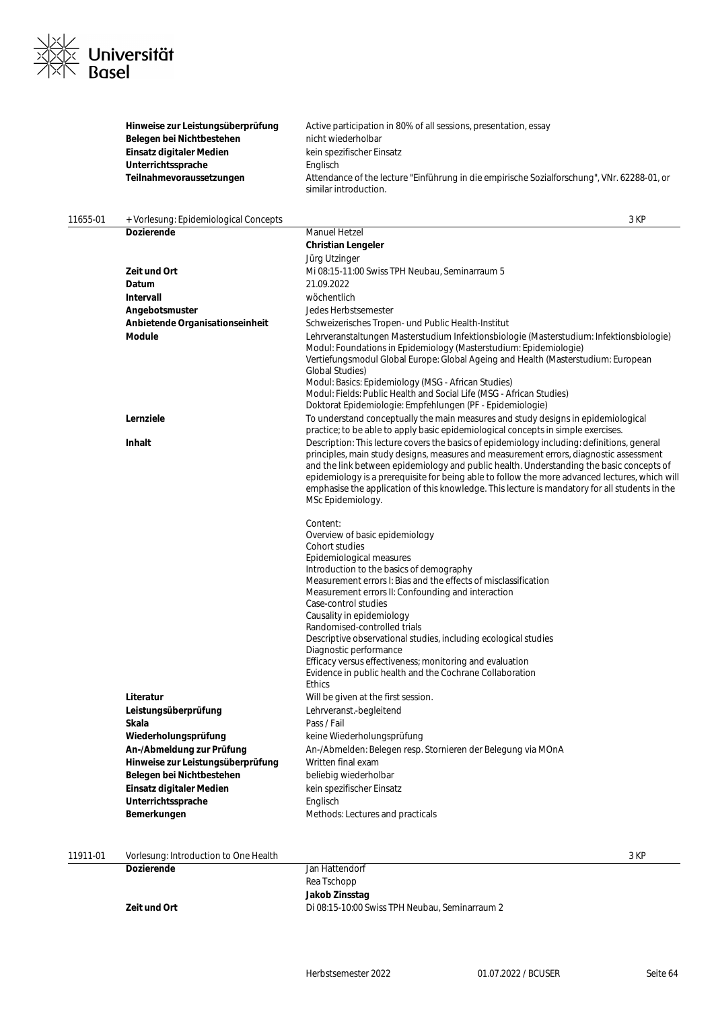

|          | Hinweise zur Leistungsüberprüfung<br>Belegen bei Nichtbestehen<br>Einsatz digitaler Medien<br>Unterrichtssprache<br>Teilnahmevoraussetzungen                                                                                       | Active participation in 80% of all sessions, presentation, essay<br>nicht wiederholbar<br>kein spezifischer Einsatz<br>Englisch<br>Attendance of the lecture "Einführung in die empirische Sozialforschung", VNr. 62288-01, or<br>similar introduction.                                                                                                                                                                                                                                                                                                                                                                                                                                                                                                                                                                                                                                             |      |
|----------|------------------------------------------------------------------------------------------------------------------------------------------------------------------------------------------------------------------------------------|-----------------------------------------------------------------------------------------------------------------------------------------------------------------------------------------------------------------------------------------------------------------------------------------------------------------------------------------------------------------------------------------------------------------------------------------------------------------------------------------------------------------------------------------------------------------------------------------------------------------------------------------------------------------------------------------------------------------------------------------------------------------------------------------------------------------------------------------------------------------------------------------------------|------|
| 11655-01 | + Vorlesung: Epidemiological Concepts                                                                                                                                                                                              |                                                                                                                                                                                                                                                                                                                                                                                                                                                                                                                                                                                                                                                                                                                                                                                                                                                                                                     | 3 KP |
|          | Dozierende                                                                                                                                                                                                                         | <b>Manuel Hetzel</b>                                                                                                                                                                                                                                                                                                                                                                                                                                                                                                                                                                                                                                                                                                                                                                                                                                                                                |      |
|          |                                                                                                                                                                                                                                    | <b>Christian Lengeler</b>                                                                                                                                                                                                                                                                                                                                                                                                                                                                                                                                                                                                                                                                                                                                                                                                                                                                           |      |
|          |                                                                                                                                                                                                                                    | Jürg Utzinger                                                                                                                                                                                                                                                                                                                                                                                                                                                                                                                                                                                                                                                                                                                                                                                                                                                                                       |      |
|          | Zeit und Ort                                                                                                                                                                                                                       | Mi 08:15-11:00 Swiss TPH Neubau, Seminarraum 5                                                                                                                                                                                                                                                                                                                                                                                                                                                                                                                                                                                                                                                                                                                                                                                                                                                      |      |
|          | Datum                                                                                                                                                                                                                              | 21.09.2022                                                                                                                                                                                                                                                                                                                                                                                                                                                                                                                                                                                                                                                                                                                                                                                                                                                                                          |      |
|          | Intervall                                                                                                                                                                                                                          | wöchentlich                                                                                                                                                                                                                                                                                                                                                                                                                                                                                                                                                                                                                                                                                                                                                                                                                                                                                         |      |
|          | Angebotsmuster                                                                                                                                                                                                                     | Jedes Herbstsemester                                                                                                                                                                                                                                                                                                                                                                                                                                                                                                                                                                                                                                                                                                                                                                                                                                                                                |      |
|          | Anbietende Organisationseinheit                                                                                                                                                                                                    | Schweizerisches Tropen- und Public Health-Institut                                                                                                                                                                                                                                                                                                                                                                                                                                                                                                                                                                                                                                                                                                                                                                                                                                                  |      |
|          | <b>Module</b>                                                                                                                                                                                                                      | Lehrveranstaltungen Masterstudium Infektionsbiologie (Masterstudium: Infektionsbiologie)<br>Modul: Foundations in Epidemiology (Masterstudium: Epidemiologie)<br>Vertiefungsmodul Global Europe: Global Ageing and Health (Masterstudium: European<br><b>Global Studies)</b><br>Modul: Basics: Epidemiology (MSG - African Studies)<br>Modul: Fields: Public Health and Social Life (MSG - African Studies)<br>Doktorat Epidemiologie: Empfehlungen (PF - Epidemiologie)                                                                                                                                                                                                                                                                                                                                                                                                                            |      |
|          | Lernziele                                                                                                                                                                                                                          | To understand conceptually the main measures and study designs in epidemiological<br>practice; to be able to apply basic epidemiological concepts in simple exercises.                                                                                                                                                                                                                                                                                                                                                                                                                                                                                                                                                                                                                                                                                                                              |      |
|          | Inhalt                                                                                                                                                                                                                             | Description: This lecture covers the basics of epidemiology including: definitions, general<br>principles, main study designs, measures and measurement errors, diagnostic assessment<br>and the link between epidemiology and public health. Understanding the basic concepts of<br>epidemiology is a prerequisite for being able to follow the more advanced lectures, which will<br>emphasise the application of this knowledge. This lecture is mandatory for all students in the<br>MSc Epidemiology.                                                                                                                                                                                                                                                                                                                                                                                          |      |
|          | Literatur<br>Leistungsüberprüfung<br>Skala<br>Wiederholungsprüfung<br>An-/Abmeldung zur Prüfung<br>Hinweise zur Leistungsüberprüfung<br>Belegen bei Nichtbestehen<br>Einsatz digitaler Medien<br>Unterrichtssprache<br>Bemerkungen | Content:<br>Overview of basic epidemiology<br>Cohort studies<br>Epidemiological measures<br>Introduction to the basics of demography<br>Measurement errors I: Bias and the effects of misclassification<br>Measurement errors II: Confounding and interaction<br>Case-control studies<br>Causality in epidemiology<br>Randomised-controlled trials<br>Descriptive observational studies, including ecological studies<br>Diagnostic performance<br>Efficacy versus effectiveness; monitoring and evaluation<br>Evidence in public health and the Cochrane Collaboration<br><b>Ethics</b><br>Will be given at the first session.<br>Lehrveranst.-begleitend<br>Pass / Fail<br>keine Wiederholungsprüfung<br>An-/Abmelden: Belegen resp. Stornieren der Belegung via MOnA<br>Written final exam<br>beliebig wiederholbar<br>kein spezifischer Einsatz<br>Englisch<br>Methods: Lectures and practicals |      |
| 11911-01 | Vorlesung: Introduction to One Health                                                                                                                                                                                              |                                                                                                                                                                                                                                                                                                                                                                                                                                                                                                                                                                                                                                                                                                                                                                                                                                                                                                     | 3 KP |
|          | Dozierende                                                                                                                                                                                                                         | Jan Hattendorf                                                                                                                                                                                                                                                                                                                                                                                                                                                                                                                                                                                                                                                                                                                                                                                                                                                                                      |      |

| VOLIESURIQ: INTRODUCTION TO OTHE HEARTY |                                                |
|-----------------------------------------|------------------------------------------------|
| <b>Dozierende</b>                       | Jan Hattendorf                                 |
|                                         | Rea Tschopp                                    |
|                                         | Jakob Zinsstag                                 |
| Zeit und Ort                            | Di 08:15-10:00 Swiss TPH Neubau, Seminarraum 2 |
|                                         |                                                |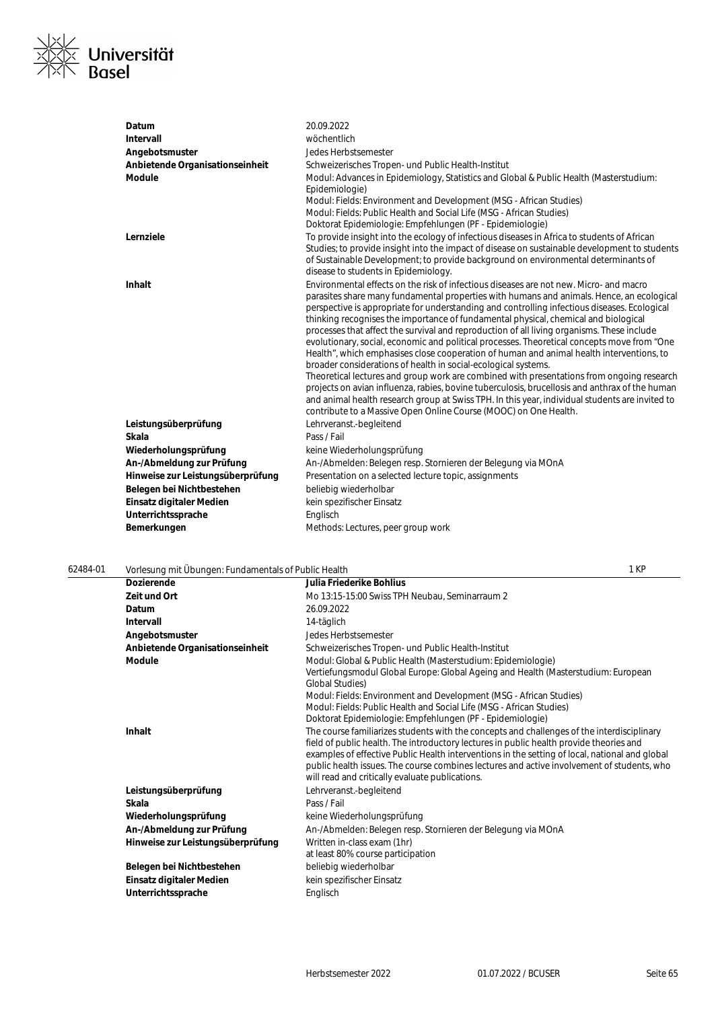

| Datum                             | 20.09.2022                                                                                                                                                                                                                                                                                                                                                                                                                                                                                                                                                                                                                                                                                                                                                                                                                                                                                                                                                                                                                                                                                                  |
|-----------------------------------|-------------------------------------------------------------------------------------------------------------------------------------------------------------------------------------------------------------------------------------------------------------------------------------------------------------------------------------------------------------------------------------------------------------------------------------------------------------------------------------------------------------------------------------------------------------------------------------------------------------------------------------------------------------------------------------------------------------------------------------------------------------------------------------------------------------------------------------------------------------------------------------------------------------------------------------------------------------------------------------------------------------------------------------------------------------------------------------------------------------|
| Intervall                         | wöchentlich                                                                                                                                                                                                                                                                                                                                                                                                                                                                                                                                                                                                                                                                                                                                                                                                                                                                                                                                                                                                                                                                                                 |
| Angebotsmuster                    | Jedes Herbstsemester                                                                                                                                                                                                                                                                                                                                                                                                                                                                                                                                                                                                                                                                                                                                                                                                                                                                                                                                                                                                                                                                                        |
| Anbietende Organisationseinheit   | Schweizerisches Tropen- und Public Health-Institut                                                                                                                                                                                                                                                                                                                                                                                                                                                                                                                                                                                                                                                                                                                                                                                                                                                                                                                                                                                                                                                          |
| <b>Module</b>                     | Modul: Advances in Epidemiology, Statistics and Global & Public Health (Masterstudium:<br>Epidemiologie)<br>Modul: Fields: Environment and Development (MSG - African Studies)<br>Modul: Fields: Public Health and Social Life (MSG - African Studies)<br>Doktorat Epidemiologie: Empfehlungen (PF - Epidemiologie)                                                                                                                                                                                                                                                                                                                                                                                                                                                                                                                                                                                                                                                                                                                                                                                         |
| Lernziele                         | To provide insight into the ecology of infectious diseases in Africa to students of African<br>Studies; to provide insight into the impact of disease on sustainable development to students<br>of Sustainable Development; to provide background on environmental determinants of<br>disease to students in Epidemiology.                                                                                                                                                                                                                                                                                                                                                                                                                                                                                                                                                                                                                                                                                                                                                                                  |
| Inhalt                            | Environmental effects on the risk of infectious diseases are not new. Micro- and macro<br>parasites share many fundamental properties with humans and animals. Hence, an ecological<br>perspective is appropriate for understanding and controlling infectious diseases. Ecological<br>thinking recognises the importance of fundamental physical, chemical and biological<br>processes that affect the survival and reproduction of all living organisms. These include<br>evolutionary, social, economic and political processes. Theoretical concepts move from "One<br>Health", which emphasises close cooperation of human and animal health interventions, to<br>broader considerations of health in social-ecological systems.<br>Theoretical lectures and group work are combined with presentations from ongoing research<br>projects on avian influenza, rabies, bovine tuberculosis, brucellosis and anthrax of the human<br>and animal health research group at Swiss TPH. In this year, individual students are invited to<br>contribute to a Massive Open Online Course (MOOC) on One Health. |
| Leistungsüberprüfung              | Lehrveranst.-begleitend                                                                                                                                                                                                                                                                                                                                                                                                                                                                                                                                                                                                                                                                                                                                                                                                                                                                                                                                                                                                                                                                                     |
| Skala                             | Pass / Fail                                                                                                                                                                                                                                                                                                                                                                                                                                                                                                                                                                                                                                                                                                                                                                                                                                                                                                                                                                                                                                                                                                 |
| Wiederholungsprüfung              | keine Wiederholungsprüfung                                                                                                                                                                                                                                                                                                                                                                                                                                                                                                                                                                                                                                                                                                                                                                                                                                                                                                                                                                                                                                                                                  |
| An-/Abmeldung zur Prüfung         | An-/Abmelden: Belegen resp. Stornieren der Belegung via MOnA                                                                                                                                                                                                                                                                                                                                                                                                                                                                                                                                                                                                                                                                                                                                                                                                                                                                                                                                                                                                                                                |
| Hinweise zur Leistungsüberprüfung | Presentation on a selected lecture topic, assignments                                                                                                                                                                                                                                                                                                                                                                                                                                                                                                                                                                                                                                                                                                                                                                                                                                                                                                                                                                                                                                                       |
| Belegen bei Nichtbestehen         | beliebig wiederholbar                                                                                                                                                                                                                                                                                                                                                                                                                                                                                                                                                                                                                                                                                                                                                                                                                                                                                                                                                                                                                                                                                       |
| Einsatz digitaler Medien          | kein spezifischer Einsatz                                                                                                                                                                                                                                                                                                                                                                                                                                                                                                                                                                                                                                                                                                                                                                                                                                                                                                                                                                                                                                                                                   |
| Unterrichtssprache                | Englisch                                                                                                                                                                                                                                                                                                                                                                                                                                                                                                                                                                                                                                                                                                                                                                                                                                                                                                                                                                                                                                                                                                    |
| Bemerkungen                       | Methods: Lectures, peer group work                                                                                                                                                                                                                                                                                                                                                                                                                                                                                                                                                                                                                                                                                                                                                                                                                                                                                                                                                                                                                                                                          |

62484-01 Vorlesung mit Übungen: Fundamentals of Public Health 1 KP

| <u>VOLICSUNG THIL ODUNGCH. FUNDAMENTION (ADIE FUDIE FICALITI</u> |                                                                                                                                                                                                                                                                                                                                                                                                                                          |  |
|------------------------------------------------------------------|------------------------------------------------------------------------------------------------------------------------------------------------------------------------------------------------------------------------------------------------------------------------------------------------------------------------------------------------------------------------------------------------------------------------------------------|--|
| <b>Dozierende</b>                                                | Julia Friederike Bohlius                                                                                                                                                                                                                                                                                                                                                                                                                 |  |
| <b>Zeit und Ort</b>                                              | Mo 13:15-15:00 Swiss TPH Neubau, Seminarraum 2                                                                                                                                                                                                                                                                                                                                                                                           |  |
| Datum                                                            | 26.09.2022                                                                                                                                                                                                                                                                                                                                                                                                                               |  |
| Intervall                                                        | 14-täglich                                                                                                                                                                                                                                                                                                                                                                                                                               |  |
| Angebotsmuster                                                   | <b>Jedes Herbstsemester</b>                                                                                                                                                                                                                                                                                                                                                                                                              |  |
| Anbietende Organisationseinheit                                  | Schweizerisches Tropen- und Public Health-Institut                                                                                                                                                                                                                                                                                                                                                                                       |  |
| <b>Module</b>                                                    | Modul: Global & Public Health (Masterstudium: Epidemiologie)<br>Vertiefungsmodul Global Europe: Global Ageing and Health (Masterstudium: European<br><b>Global Studies</b> )<br>Modul: Fields: Environment and Development (MSG - African Studies)<br>Modul: Fields: Public Health and Social Life (MSG - African Studies)<br>Doktorat Epidemiologie: Empfehlungen (PF - Epidemiologie)                                                  |  |
| Inhalt                                                           | The course familiarizes students with the concepts and challenges of the interdisciplinary<br>field of public health. The introductory lectures in public health provide theories and<br>examples of effective Public Health interventions in the setting of local, national and global<br>public health issues. The course combines lectures and active involvement of students, who<br>will read and critically evaluate publications. |  |
| Leistungsüberprüfung                                             | Lehrveranst.-begleitend                                                                                                                                                                                                                                                                                                                                                                                                                  |  |
| Skala                                                            | Pass / Fail                                                                                                                                                                                                                                                                                                                                                                                                                              |  |
| Wiederholungsprüfung                                             | keine Wiederholungsprüfung                                                                                                                                                                                                                                                                                                                                                                                                               |  |
| An-/Abmeldung zur Prüfung                                        | An-/Abmelden: Belegen resp. Stornieren der Belegung via MOnA                                                                                                                                                                                                                                                                                                                                                                             |  |
| Hinweise zur Leistungsüberprüfung                                | Written in-class exam (1hr)<br>at least 80% course participation                                                                                                                                                                                                                                                                                                                                                                         |  |
| Belegen bei Nichtbestehen                                        | beliebig wiederholbar                                                                                                                                                                                                                                                                                                                                                                                                                    |  |
| Einsatz digitaler Medien                                         | kein spezifischer Einsatz                                                                                                                                                                                                                                                                                                                                                                                                                |  |
| Unterrichtssprache                                               | Englisch                                                                                                                                                                                                                                                                                                                                                                                                                                 |  |
|                                                                  |                                                                                                                                                                                                                                                                                                                                                                                                                                          |  |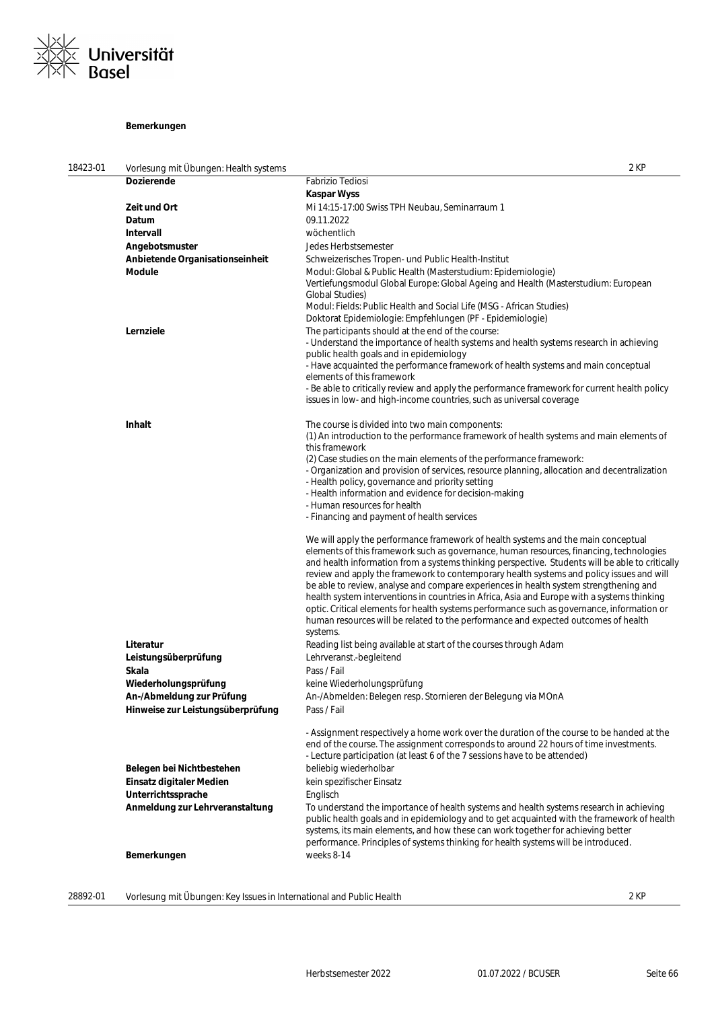

### **Bemerkungen**

| 18423-01 | Vorlesung mit Übungen: Health systems | 2 KP                                                                                                                                                                             |
|----------|---------------------------------------|----------------------------------------------------------------------------------------------------------------------------------------------------------------------------------|
|          | <b>Dozierende</b>                     | <b>Fabrizio Tediosi</b>                                                                                                                                                          |
|          |                                       | <b>Kaspar Wyss</b>                                                                                                                                                               |
|          | Zeit und Ort                          | Mi 14:15-17:00 Swiss TPH Neubau, Seminarraum 1                                                                                                                                   |
|          | Datum                                 | 09.11.2022                                                                                                                                                                       |
|          | Intervall                             | wöchentlich                                                                                                                                                                      |
|          | Angebotsmuster                        | Jedes Herbstsemester                                                                                                                                                             |
|          | Anbietende Organisationseinheit       | Schweizerisches Tropen- und Public Health-Institut                                                                                                                               |
|          | Module                                | Modul: Global & Public Health (Masterstudium: Epidemiologie)                                                                                                                     |
|          |                                       | Vertiefungsmodul Global Europe: Global Ageing and Health (Masterstudium: European                                                                                                |
|          |                                       | Global Studies)                                                                                                                                                                  |
|          |                                       | Modul: Fields: Public Health and Social Life (MSG - African Studies)                                                                                                             |
|          |                                       | Doktorat Epidemiologie: Empfehlungen (PF - Epidemiologie)                                                                                                                        |
|          | Lernziele                             | The participants should at the end of the course:                                                                                                                                |
|          |                                       | - Understand the importance of health systems and health systems research in achieving                                                                                           |
|          |                                       | public health goals and in epidemiology                                                                                                                                          |
|          |                                       | - Have acquainted the performance framework of health systems and main conceptual                                                                                                |
|          |                                       | elements of this framework                                                                                                                                                       |
|          |                                       | - Be able to critically review and apply the performance framework for current health policy                                                                                     |
|          |                                       | issues in low- and high-income countries, such as universal coverage                                                                                                             |
|          |                                       |                                                                                                                                                                                  |
|          | Inhalt                                | The course is divided into two main components:                                                                                                                                  |
|          |                                       | (1) An introduction to the performance framework of health systems and main elements of                                                                                          |
|          |                                       | this framework                                                                                                                                                                   |
|          |                                       | (2) Case studies on the main elements of the performance framework:<br>- Organization and provision of services, resource planning, allocation and decentralization              |
|          |                                       | - Health policy, governance and priority setting                                                                                                                                 |
|          |                                       | - Health information and evidence for decision-making                                                                                                                            |
|          |                                       | - Human resources for health                                                                                                                                                     |
|          |                                       | - Financing and payment of health services                                                                                                                                       |
|          |                                       |                                                                                                                                                                                  |
|          |                                       | We will apply the performance framework of health systems and the main conceptual                                                                                                |
|          |                                       | elements of this framework such as governance, human resources, financing, technologies                                                                                          |
|          |                                       | and health information from a systems thinking perspective. Students will be able to critically                                                                                  |
|          |                                       | review and apply the framework to contemporary health systems and policy issues and will                                                                                         |
|          |                                       | be able to review, analyse and compare experiences in health system strengthening and                                                                                            |
|          |                                       | health system interventions in countries in Africa, Asia and Europe with a systems thinking                                                                                      |
|          |                                       | optic. Critical elements for health systems performance such as governance, information or<br>human resources will be related to the performance and expected outcomes of health |
|          |                                       | systems.                                                                                                                                                                         |
|          | Literatur                             | Reading list being available at start of the courses through Adam                                                                                                                |
|          | Leistungsüberprüfung                  | Lehrveranst.-begleitend                                                                                                                                                          |
|          | Skala                                 | Pass / Fail                                                                                                                                                                      |
|          | Wiederholungsprüfung                  | keine Wiederholungsprüfung                                                                                                                                                       |
|          | An-/Abmeldung zur Prüfung             | An-/Abmelden: Belegen resp. Stornieren der Belegung via MOnA                                                                                                                     |
|          |                                       |                                                                                                                                                                                  |
|          | Hinweise zur Leistungsüberprüfung     | Pass / Fail                                                                                                                                                                      |
|          |                                       | - Assignment respectively a home work over the duration of the course to be handed at the                                                                                        |
|          |                                       | end of the course. The assignment corresponds to around 22 hours of time investments.                                                                                            |
|          |                                       | - Lecture participation (at least 6 of the 7 sessions have to be attended)                                                                                                       |
|          | Belegen bei Nichtbestehen             | beliebig wiederholbar                                                                                                                                                            |
|          | Einsatz digitaler Medien              | kein spezifischer Einsatz                                                                                                                                                        |
|          | Unterrichtssprache                    | Englisch                                                                                                                                                                         |
|          | Anmeldung zur Lehrveranstaltung       | To understand the importance of health systems and health systems research in achieving                                                                                          |
|          |                                       | public health goals and in epidemiology and to get acquainted with the framework of health                                                                                       |
|          |                                       | systems, its main elements, and how these can work together for achieving better                                                                                                 |
|          |                                       | performance. Principles of systems thinking for health systems will be introduced.                                                                                               |
|          | Bemerkungen                           | weeks 8-14                                                                                                                                                                       |
|          |                                       |                                                                                                                                                                                  |
|          |                                       |                                                                                                                                                                                  |

28892-01 Vorlesung mit Übungen: Key Issues in International and Public Health 2 KP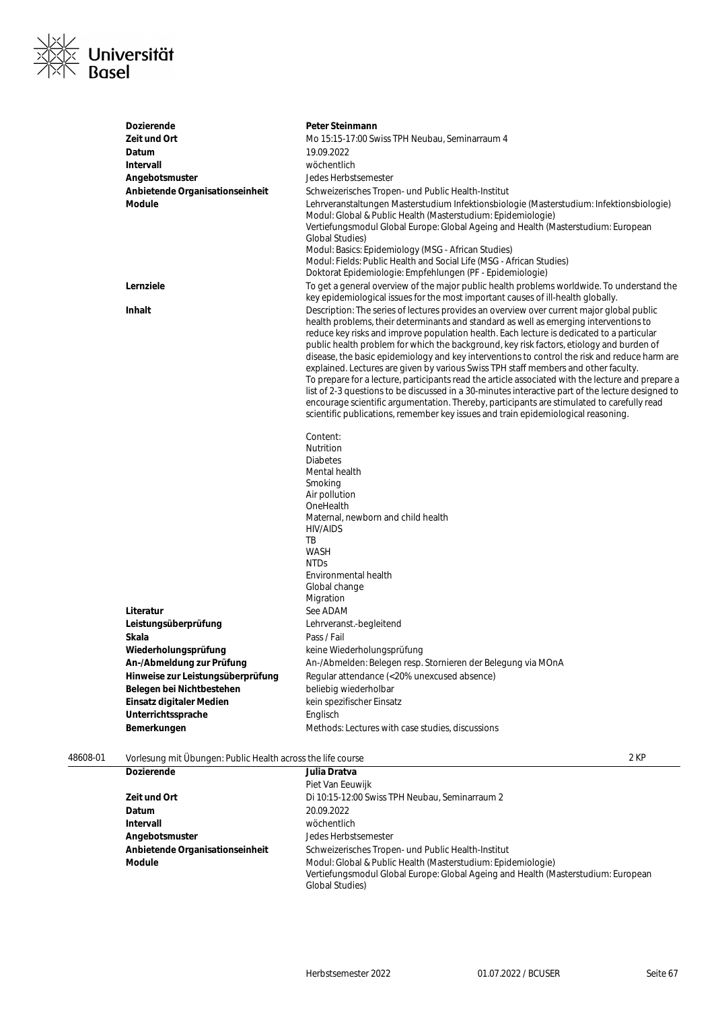

|          | Dozierende                                                  | Peter Steinmann                                                                                                                                                                                                                                                                                                                                                                                                                                                                                                                                                                                                                                                                                                                                                                                                                                                                                                                                                  |  |
|----------|-------------------------------------------------------------|------------------------------------------------------------------------------------------------------------------------------------------------------------------------------------------------------------------------------------------------------------------------------------------------------------------------------------------------------------------------------------------------------------------------------------------------------------------------------------------------------------------------------------------------------------------------------------------------------------------------------------------------------------------------------------------------------------------------------------------------------------------------------------------------------------------------------------------------------------------------------------------------------------------------------------------------------------------|--|
|          | Zeit und Ort                                                | Mo 15:15-17:00 Swiss TPH Neubau, Seminarraum 4                                                                                                                                                                                                                                                                                                                                                                                                                                                                                                                                                                                                                                                                                                                                                                                                                                                                                                                   |  |
|          | Datum                                                       | 19.09.2022                                                                                                                                                                                                                                                                                                                                                                                                                                                                                                                                                                                                                                                                                                                                                                                                                                                                                                                                                       |  |
|          | <b>Intervall</b>                                            | wöchentlich                                                                                                                                                                                                                                                                                                                                                                                                                                                                                                                                                                                                                                                                                                                                                                                                                                                                                                                                                      |  |
|          | Angebotsmuster                                              | Jedes Herbstsemester                                                                                                                                                                                                                                                                                                                                                                                                                                                                                                                                                                                                                                                                                                                                                                                                                                                                                                                                             |  |
|          | Anbietende Organisationseinheit                             | Schweizerisches Tropen- und Public Health-Institut                                                                                                                                                                                                                                                                                                                                                                                                                                                                                                                                                                                                                                                                                                                                                                                                                                                                                                               |  |
|          | Module                                                      | Lehrveranstaltungen Masterstudium Infektionsbiologie (Masterstudium: Infektionsbiologie)<br>Modul: Global & Public Health (Masterstudium: Epidemiologie)<br>Vertiefungsmodul Global Europe: Global Ageing and Health (Masterstudium: European<br>Global Studies)<br>Modul: Basics: Epidemiology (MSG - African Studies)<br>Modul: Fields: Public Health and Social Life (MSG - African Studies)<br>Doktorat Epidemiologie: Empfehlungen (PF - Epidemiologie)                                                                                                                                                                                                                                                                                                                                                                                                                                                                                                     |  |
|          | Lernziele                                                   | To get a general overview of the major public health problems worldwide. To understand the<br>key epidemiological issues for the most important causes of ill-health globally.                                                                                                                                                                                                                                                                                                                                                                                                                                                                                                                                                                                                                                                                                                                                                                                   |  |
|          | Inhalt                                                      | Description: The series of lectures provides an overview over current major global public<br>health problems, their determinants and standard as well as emerging interventions to<br>reduce key risks and improve population health. Each lecture is dedicated to a particular<br>public health problem for which the background, key risk factors, etiology and burden of<br>disease, the basic epidemiology and key interventions to control the risk and reduce harm are<br>explained. Lectures are given by various Swiss TPH staff members and other faculty.<br>To prepare for a lecture, participants read the article associated with the lecture and prepare a<br>list of 2-3 questions to be discussed in a 30-minutes interactive part of the lecture designed to<br>encourage scientific argumentation. Thereby, participants are stimulated to carefully read<br>scientific publications, remember key issues and train epidemiological reasoning. |  |
|          |                                                             | Content:<br>Nutrition<br><b>Diabetes</b><br>Mental health<br>Smoking<br>Air pollution<br>OneHealth<br>Maternal, newborn and child health<br>HIV/AIDS<br>TB<br><b>WASH</b><br><b>NTDs</b><br>Environmental health                                                                                                                                                                                                                                                                                                                                                                                                                                                                                                                                                                                                                                                                                                                                                 |  |
|          |                                                             | Global change                                                                                                                                                                                                                                                                                                                                                                                                                                                                                                                                                                                                                                                                                                                                                                                                                                                                                                                                                    |  |
|          |                                                             | Migration                                                                                                                                                                                                                                                                                                                                                                                                                                                                                                                                                                                                                                                                                                                                                                                                                                                                                                                                                        |  |
|          | Literatur                                                   | See ADAM                                                                                                                                                                                                                                                                                                                                                                                                                                                                                                                                                                                                                                                                                                                                                                                                                                                                                                                                                         |  |
|          | Leistungsüberprüfung                                        | Lehrveranst.-begleitend                                                                                                                                                                                                                                                                                                                                                                                                                                                                                                                                                                                                                                                                                                                                                                                                                                                                                                                                          |  |
|          | Skala                                                       | Pass / Fail                                                                                                                                                                                                                                                                                                                                                                                                                                                                                                                                                                                                                                                                                                                                                                                                                                                                                                                                                      |  |
|          | Wiederholungsprüfung                                        | keine Wiederholungsprüfung                                                                                                                                                                                                                                                                                                                                                                                                                                                                                                                                                                                                                                                                                                                                                                                                                                                                                                                                       |  |
|          | An-/Abmeldung zur Prüfung                                   | An-/Abmelden: Belegen resp. Stornieren der Belegung via MOnA                                                                                                                                                                                                                                                                                                                                                                                                                                                                                                                                                                                                                                                                                                                                                                                                                                                                                                     |  |
|          | Hinweise zur Leistungsüberprüfung                           | Regular attendance (<20% unexcused absence)                                                                                                                                                                                                                                                                                                                                                                                                                                                                                                                                                                                                                                                                                                                                                                                                                                                                                                                      |  |
|          | Belegen bei Nichtbestehen                                   | beliebig wiederholbar                                                                                                                                                                                                                                                                                                                                                                                                                                                                                                                                                                                                                                                                                                                                                                                                                                                                                                                                            |  |
|          | Einsatz digitaler Medien                                    | kein spezifischer Einsatz                                                                                                                                                                                                                                                                                                                                                                                                                                                                                                                                                                                                                                                                                                                                                                                                                                                                                                                                        |  |
|          | Unterrichtssprache                                          | Englisch                                                                                                                                                                                                                                                                                                                                                                                                                                                                                                                                                                                                                                                                                                                                                                                                                                                                                                                                                         |  |
|          | Bemerkungen                                                 | Methods: Lectures with case studies, discussions                                                                                                                                                                                                                                                                                                                                                                                                                                                                                                                                                                                                                                                                                                                                                                                                                                                                                                                 |  |
| 48608-01 | Vorlesung mit Übungen: Public Health across the life course | 2 KP                                                                                                                                                                                                                                                                                                                                                                                                                                                                                                                                                                                                                                                                                                                                                                                                                                                                                                                                                             |  |
|          | Dozierende                                                  | Julia Dratva                                                                                                                                                                                                                                                                                                                                                                                                                                                                                                                                                                                                                                                                                                                                                                                                                                                                                                                                                     |  |

| <b>Dozierende</b>               | Julia Dratva                                                                                                                                                                 |
|---------------------------------|------------------------------------------------------------------------------------------------------------------------------------------------------------------------------|
|                                 | Piet Van Eeuwijk                                                                                                                                                             |
| Zeit und Ort                    | Di 10:15-12:00 Swiss TPH Neubau, Seminarraum 2                                                                                                                               |
| Datum                           | 20.09.2022                                                                                                                                                                   |
| Intervall                       | wöchentlich                                                                                                                                                                  |
| Angebotsmuster                  | Jedes Herbstsemester                                                                                                                                                         |
| Anbietende Organisationseinheit | Schweizerisches Tropen- und Public Health-Institut                                                                                                                           |
| Module                          | Modul: Global & Public Health (Masterstudium: Epidemiologie)<br>Vertiefungsmodul Global Europe: Global Ageing and Health (Masterstudium: European<br><b>Global Studies</b> ) |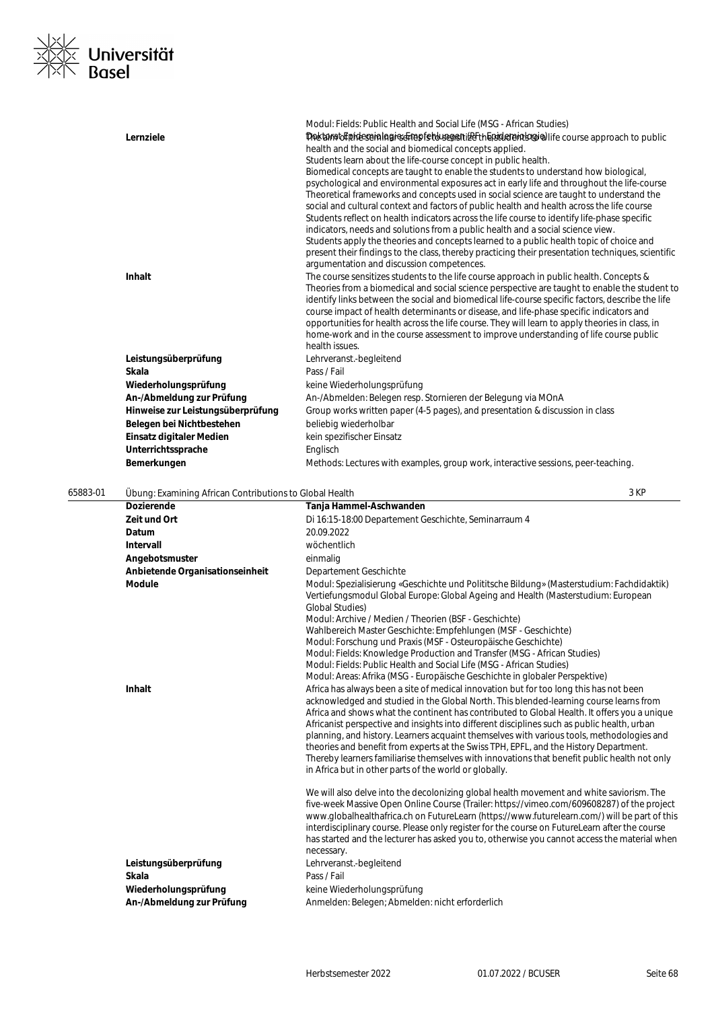

|          | Lernziele                                               | Modul: Fields: Public Health and Social Life (MSG - African Studies)<br>Doctom of pidespiologics of repferous gentle the piderpin logic life course approach to public<br>health and the social and biomedical concepts applied.                                                                                                                                                                                                                                                                                                                                                                                                                                                                                                                                                                                                                                             |
|----------|---------------------------------------------------------|------------------------------------------------------------------------------------------------------------------------------------------------------------------------------------------------------------------------------------------------------------------------------------------------------------------------------------------------------------------------------------------------------------------------------------------------------------------------------------------------------------------------------------------------------------------------------------------------------------------------------------------------------------------------------------------------------------------------------------------------------------------------------------------------------------------------------------------------------------------------------|
|          |                                                         | Students learn about the life-course concept in public health.<br>Biomedical concepts are taught to enable the students to understand how biological,<br>psychological and environmental exposures act in early life and throughout the life-course<br>Theoretical frameworks and concepts used in social science are taught to understand the<br>social and cultural context and factors of public health and health across the life course<br>Students reflect on health indicators across the life course to identify life-phase specific<br>indicators, needs and solutions from a public health and a social science view.<br>Students apply the theories and concepts learned to a public health topic of choice and<br>present their findings to the class, thereby practicing their presentation techniques, scientific<br>argumentation and discussion competences. |
|          | Inhalt                                                  | The course sensitizes students to the life course approach in public health. Concepts &<br>Theories from a biomedical and social science perspective are taught to enable the student to<br>identify links between the social and biomedical life-course specific factors, describe the life<br>course impact of health determinants or disease, and life-phase specific indicators and<br>opportunities for health across the life course. They will learn to apply theories in class, in<br>home-work and in the course assessment to improve understanding of life course public<br>health issues.                                                                                                                                                                                                                                                                        |
|          | Leistungsüberprüfung                                    | Lehrveranst.-begleitend                                                                                                                                                                                                                                                                                                                                                                                                                                                                                                                                                                                                                                                                                                                                                                                                                                                      |
|          | Skala                                                   | Pass / Fail                                                                                                                                                                                                                                                                                                                                                                                                                                                                                                                                                                                                                                                                                                                                                                                                                                                                  |
|          | Wiederholungsprüfung                                    | keine Wiederholungsprüfung                                                                                                                                                                                                                                                                                                                                                                                                                                                                                                                                                                                                                                                                                                                                                                                                                                                   |
|          | An-/Abmeldung zur Prüfung                               | An-/Abmelden: Belegen resp. Stornieren der Belegung via MOnA                                                                                                                                                                                                                                                                                                                                                                                                                                                                                                                                                                                                                                                                                                                                                                                                                 |
|          | Hinweise zur Leistungsüberprüfung                       | Group works written paper (4-5 pages), and presentation & discussion in class                                                                                                                                                                                                                                                                                                                                                                                                                                                                                                                                                                                                                                                                                                                                                                                                |
|          | Belegen bei Nichtbestehen                               | beliebig wiederholbar                                                                                                                                                                                                                                                                                                                                                                                                                                                                                                                                                                                                                                                                                                                                                                                                                                                        |
|          | Einsatz digitaler Medien                                | kein spezifischer Einsatz                                                                                                                                                                                                                                                                                                                                                                                                                                                                                                                                                                                                                                                                                                                                                                                                                                                    |
|          | Unterrichtssprache                                      | Englisch                                                                                                                                                                                                                                                                                                                                                                                                                                                                                                                                                                                                                                                                                                                                                                                                                                                                     |
|          | Bemerkungen                                             | Methods: Lectures with examples, group work, interactive sessions, peer-teaching.                                                                                                                                                                                                                                                                                                                                                                                                                                                                                                                                                                                                                                                                                                                                                                                            |
| 65883-01 | Übung: Examining African Contributions to Global Health | 3 KP                                                                                                                                                                                                                                                                                                                                                                                                                                                                                                                                                                                                                                                                                                                                                                                                                                                                         |
|          | <b>Dozierende</b>                                       | Tanja Hammel-Aschwanden                                                                                                                                                                                                                                                                                                                                                                                                                                                                                                                                                                                                                                                                                                                                                                                                                                                      |
|          | Zeit und Ort                                            | Di 16:15-18:00 Departement Geschichte, Seminarraum 4                                                                                                                                                                                                                                                                                                                                                                                                                                                                                                                                                                                                                                                                                                                                                                                                                         |
|          | Datum                                                   | 20.09.2022                                                                                                                                                                                                                                                                                                                                                                                                                                                                                                                                                                                                                                                                                                                                                                                                                                                                   |
|          | Intervall                                               | wöchentlich                                                                                                                                                                                                                                                                                                                                                                                                                                                                                                                                                                                                                                                                                                                                                                                                                                                                  |
|          | Angebotsmuster                                          | einmalig                                                                                                                                                                                                                                                                                                                                                                                                                                                                                                                                                                                                                                                                                                                                                                                                                                                                     |
|          | Anbietende Organisationseinheit                         | Departement Geschichte                                                                                                                                                                                                                                                                                                                                                                                                                                                                                                                                                                                                                                                                                                                                                                                                                                                       |
|          | <b>Module</b>                                           | Modul: Spezialisierung «Geschichte und Polititsche Bildung» (Masterstudium: Fachdidaktik)<br>Vertiefungsmodul Global Europe: Global Ageing and Health (Masterstudium: European<br><b>Global Studies)</b><br>Modul: Archive / Medien / Theorien (BSF - Geschichte)                                                                                                                                                                                                                                                                                                                                                                                                                                                                                                                                                                                                            |
|          |                                                         | Wahlbereich Master Geschichte: Empfehlungen (MSF - Geschichte)<br>Modul: Forschung und Praxis (MSF - Osteuropäische Geschichte)                                                                                                                                                                                                                                                                                                                                                                                                                                                                                                                                                                                                                                                                                                                                              |
|          |                                                         | Modul: Fields: Knowledge Production and Transfer (MSG - African Studies)                                                                                                                                                                                                                                                                                                                                                                                                                                                                                                                                                                                                                                                                                                                                                                                                     |
|          |                                                         | Modul: Fields: Public Health and Social Life (MSG - African Studies)<br>Modul: Areas: Afrika (MSG - Europäische Geschichte in globaler Perspektive)                                                                                                                                                                                                                                                                                                                                                                                                                                                                                                                                                                                                                                                                                                                          |
|          | Inhalt                                                  | Africa has always been a site of medical innovation but for too long this has not been<br>acknowledged and studied in the Global North. This blended-learning course learns from<br>Africa and shows what the continent has contributed to Global Health. It offers you a unique<br>Africanist perspective and insights into different disciplines such as public health, urban<br>planning, and history. Learners acquaint themselves with various tools, methodologies and<br>theories and benefit from experts at the Swiss TPH, EPFL, and the History Department.<br>Thereby learners familiarise themselves with innovations that benefit public health not only<br>in Africa but in other parts of the world or globally.                                                                                                                                              |
|          | Leistungsüberprüfung<br>Skala                           | We will also delve into the decolonizing global health movement and white saviorism. The<br>five-week Massive Open Online Course (Trailer: https://vimeo.com/609608287) of the project<br>www.qlobalhealthafrica.ch on FutureLearn (https://www.futurelearn.com/) will be part of this<br>interdisciplinary course. Please only register for the course on FutureLearn after the course<br>has started and the lecturer has asked you to, otherwise you cannot access the material when<br>necessary.<br>Lehrveranst.-begleitend<br>Pass / Fail                                                                                                                                                                                                                                                                                                                              |
|          |                                                         |                                                                                                                                                                                                                                                                                                                                                                                                                                                                                                                                                                                                                                                                                                                                                                                                                                                                              |
|          | Wiederholungsprüfung                                    | keine Wiederholungsprüfung                                                                                                                                                                                                                                                                                                                                                                                                                                                                                                                                                                                                                                                                                                                                                                                                                                                   |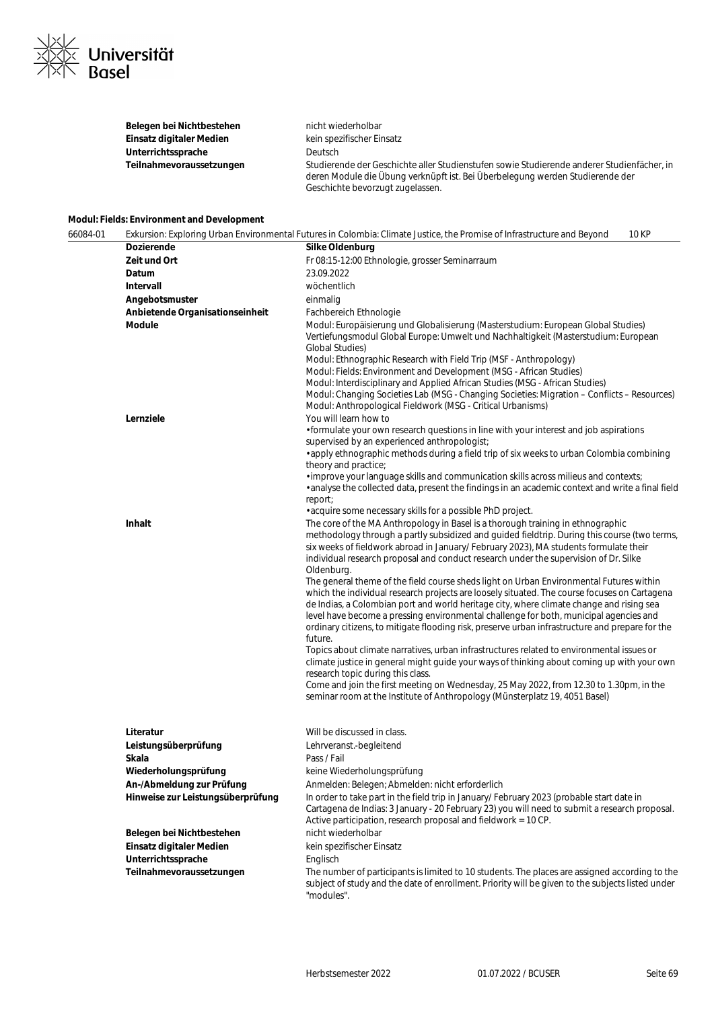

| Belegen bei Nichtbestehen | nicht wiederholbar                                                                                                                                                                                              |
|---------------------------|-----------------------------------------------------------------------------------------------------------------------------------------------------------------------------------------------------------------|
| Einsatz digitaler Medien  | kein spezifischer Einsatz                                                                                                                                                                                       |
| Unterrichtssprache        | Deutsch                                                                                                                                                                                                         |
| Teilnahmevoraussetzungen  | Studierende der Geschichte aller Studienstufen sowie Studierende anderer Studienfächer, in<br>deren Module die Übung verknüpft ist. Bei Überbelegung werden Studierende der<br>Geschichte bevorzugt zugelassen. |

### **Modul: Fields: Environment and Development**

| 66084-01 |                                                                                                                                                                                               | Exkursion: Exploring Urban Environmental Futures in Colombia: Climate Justice, the Promise of Infrastructure and Beyond<br>10 KP                                                                                                                                                                                                                                                                                                                                                                                                                                                                                                                                                                                                                                                                                                                                                                                                                                                                                                                                                                                                                                                                                                                                                       |
|----------|-----------------------------------------------------------------------------------------------------------------------------------------------------------------------------------------------|----------------------------------------------------------------------------------------------------------------------------------------------------------------------------------------------------------------------------------------------------------------------------------------------------------------------------------------------------------------------------------------------------------------------------------------------------------------------------------------------------------------------------------------------------------------------------------------------------------------------------------------------------------------------------------------------------------------------------------------------------------------------------------------------------------------------------------------------------------------------------------------------------------------------------------------------------------------------------------------------------------------------------------------------------------------------------------------------------------------------------------------------------------------------------------------------------------------------------------------------------------------------------------------|
|          | Dozierende                                                                                                                                                                                    | Silke Oldenburg                                                                                                                                                                                                                                                                                                                                                                                                                                                                                                                                                                                                                                                                                                                                                                                                                                                                                                                                                                                                                                                                                                                                                                                                                                                                        |
|          | Zeit und Ort                                                                                                                                                                                  | Fr 08:15-12:00 Ethnologie, grosser Seminarraum                                                                                                                                                                                                                                                                                                                                                                                                                                                                                                                                                                                                                                                                                                                                                                                                                                                                                                                                                                                                                                                                                                                                                                                                                                         |
|          | Datum                                                                                                                                                                                         | 23.09.2022                                                                                                                                                                                                                                                                                                                                                                                                                                                                                                                                                                                                                                                                                                                                                                                                                                                                                                                                                                                                                                                                                                                                                                                                                                                                             |
|          | Intervall                                                                                                                                                                                     | wöchentlich                                                                                                                                                                                                                                                                                                                                                                                                                                                                                                                                                                                                                                                                                                                                                                                                                                                                                                                                                                                                                                                                                                                                                                                                                                                                            |
|          | Angebotsmuster                                                                                                                                                                                | einmalig                                                                                                                                                                                                                                                                                                                                                                                                                                                                                                                                                                                                                                                                                                                                                                                                                                                                                                                                                                                                                                                                                                                                                                                                                                                                               |
|          | Anbietende Organisationseinheit                                                                                                                                                               | Fachbereich Ethnologie                                                                                                                                                                                                                                                                                                                                                                                                                                                                                                                                                                                                                                                                                                                                                                                                                                                                                                                                                                                                                                                                                                                                                                                                                                                                 |
|          | <b>Module</b>                                                                                                                                                                                 | Modul: Europäisierung und Globalisierung (Masterstudium: European Global Studies)<br>Vertiefungsmodul Global Europe: Umwelt und Nachhaltigkeit (Masterstudium: European<br><b>Global Studies</b> )<br>Modul: Ethnographic Research with Field Trip (MSF - Anthropology)<br>Modul: Fields: Environment and Development (MSG - African Studies)<br>Modul: Interdisciplinary and Applied African Studies (MSG - African Studies)<br>Modul: Changing Societies Lab (MSG - Changing Societies: Migration - Conflicts - Resources)<br>Modul: Anthropological Fieldwork (MSG - Critical Urbanisms)                                                                                                                                                                                                                                                                                                                                                                                                                                                                                                                                                                                                                                                                                            |
|          | Lernziele                                                                                                                                                                                     | You will learn how to<br>• formulate your own research questions in line with your interest and job aspirations<br>supervised by an experienced anthropologist;<br>• apply ethnographic methods during a field trip of six weeks to urban Colombia combining<br>theory and practice;<br>· improve your language skills and communication skills across milieus and contexts;<br>. analyse the collected data, present the findings in an academic context and write a final field<br>report;<br>• acquire some necessary skills for a possible PhD project.                                                                                                                                                                                                                                                                                                                                                                                                                                                                                                                                                                                                                                                                                                                            |
|          | Inhalt                                                                                                                                                                                        | The core of the MA Anthropology in Basel is a thorough training in ethnographic<br>methodology through a partly subsidized and guided fieldtrip. During this course (two terms,<br>six weeks of fieldwork abroad in January/ February 2023), MA students formulate their<br>individual research proposal and conduct research under the supervision of Dr. Silke<br>Oldenburg.<br>The general theme of the field course sheds light on Urban Environmental Futures within<br>which the individual research projects are loosely situated. The course focuses on Cartagena<br>de Indias, a Colombian port and world heritage city, where climate change and rising sea<br>level have become a pressing environmental challenge for both, municipal agencies and<br>ordinary citizens, to mitigate flooding risk, preserve urban infrastructure and prepare for the<br>future.<br>Topics about climate narratives, urban infrastructures related to environmental issues or<br>climate justice in general might guide your ways of thinking about coming up with your own<br>research topic during this class.<br>Come and join the first meeting on Wednesday, 25 May 2022, from 12.30 to 1.30pm, in the<br>seminar room at the Institute of Anthropology (Münsterplatz 19, 4051 Basel) |
|          | Literatur<br>Leistungsüberprüfung<br>Skala<br>Wiederholungsprüfung<br>An-/Abmeldung zur Prüfung<br>Hinweise zur Leistungsüberprüfung<br>Belegen bei Nichtbestehen<br>Einsatz digitaler Medien | Will be discussed in class.<br>Lehrveranst.-begleitend<br>Pass / Fail<br>keine Wiederholungsprüfung<br>Anmelden: Belegen; Abmelden: nicht erforderlich<br>In order to take part in the field trip in January/February 2023 (probable start date in<br>Cartagena de Indias: 3 January - 20 February 23) you will need to submit a research proposal.<br>Active participation, research proposal and fieldwork = 10 CP.<br>nicht wiederholbar<br>kein spezifischer Einsatz                                                                                                                                                                                                                                                                                                                                                                                                                                                                                                                                                                                                                                                                                                                                                                                                               |
|          | Unterrichtssprache<br>Teilnahmevoraussetzungen                                                                                                                                                | Englisch<br>The number of participants is limited to 10 students. The places are assigned according to the<br>subject of study and the date of enrollment. Priority will be given to the subjects listed under<br>"modules".                                                                                                                                                                                                                                                                                                                                                                                                                                                                                                                                                                                                                                                                                                                                                                                                                                                                                                                                                                                                                                                           |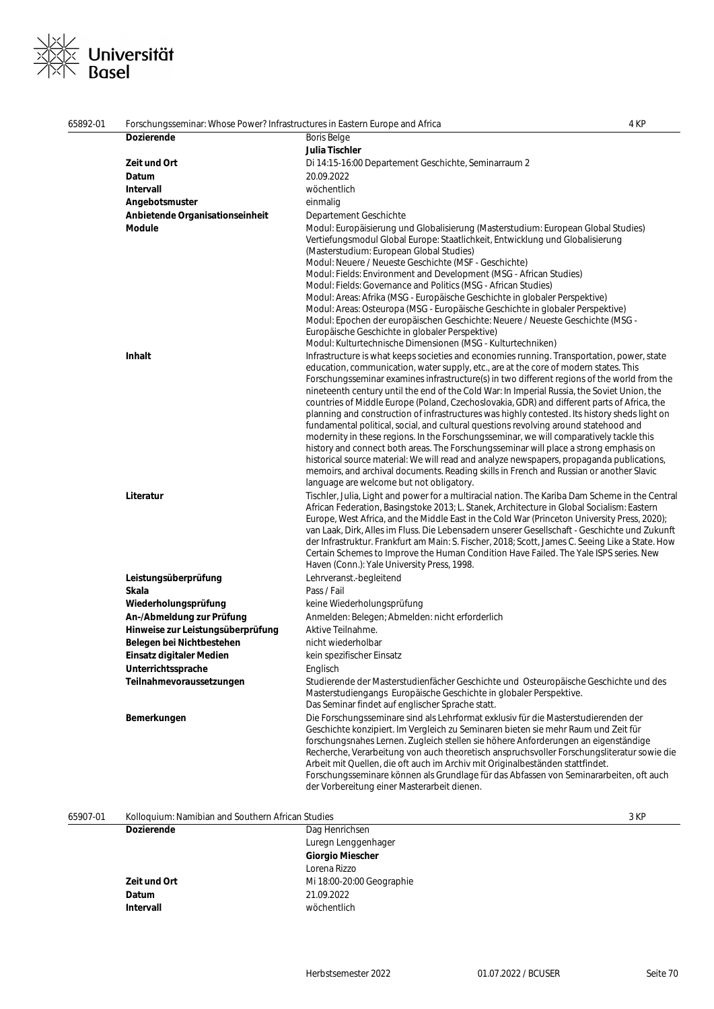## ※∠<br>※≫ Universität<br>×∧ Basel  $\frac{1}{x}$

| 65892-01 | Forschungsseminar: Whose Power? Infrastructures in Eastern Europe and Africa |                                                                                                                                                                                                                                                                                                                                                                                                                                                                                                                                                                                                                                                                                                                                                                                                                                                                                                                                                                                                                                                                                                  | 4 KP |
|----------|------------------------------------------------------------------------------|--------------------------------------------------------------------------------------------------------------------------------------------------------------------------------------------------------------------------------------------------------------------------------------------------------------------------------------------------------------------------------------------------------------------------------------------------------------------------------------------------------------------------------------------------------------------------------------------------------------------------------------------------------------------------------------------------------------------------------------------------------------------------------------------------------------------------------------------------------------------------------------------------------------------------------------------------------------------------------------------------------------------------------------------------------------------------------------------------|------|
|          | <b>Dozierende</b>                                                            | <b>Boris Belge</b>                                                                                                                                                                                                                                                                                                                                                                                                                                                                                                                                                                                                                                                                                                                                                                                                                                                                                                                                                                                                                                                                               |      |
|          |                                                                              | Julia Tischler                                                                                                                                                                                                                                                                                                                                                                                                                                                                                                                                                                                                                                                                                                                                                                                                                                                                                                                                                                                                                                                                                   |      |
|          | Zeit und Ort                                                                 | Di 14:15-16:00 Departement Geschichte, Seminarraum 2                                                                                                                                                                                                                                                                                                                                                                                                                                                                                                                                                                                                                                                                                                                                                                                                                                                                                                                                                                                                                                             |      |
|          | Datum                                                                        | 20.09.2022                                                                                                                                                                                                                                                                                                                                                                                                                                                                                                                                                                                                                                                                                                                                                                                                                                                                                                                                                                                                                                                                                       |      |
|          | <b>Intervall</b>                                                             | wöchentlich                                                                                                                                                                                                                                                                                                                                                                                                                                                                                                                                                                                                                                                                                                                                                                                                                                                                                                                                                                                                                                                                                      |      |
|          | Angebotsmuster                                                               | einmalig                                                                                                                                                                                                                                                                                                                                                                                                                                                                                                                                                                                                                                                                                                                                                                                                                                                                                                                                                                                                                                                                                         |      |
|          |                                                                              |                                                                                                                                                                                                                                                                                                                                                                                                                                                                                                                                                                                                                                                                                                                                                                                                                                                                                                                                                                                                                                                                                                  |      |
|          | Anbietende Organisationseinheit                                              | Departement Geschichte                                                                                                                                                                                                                                                                                                                                                                                                                                                                                                                                                                                                                                                                                                                                                                                                                                                                                                                                                                                                                                                                           |      |
|          | <b>Module</b>                                                                | Modul: Europäisierung und Globalisierung (Masterstudium: European Global Studies)<br>Vertiefungsmodul Global Europe: Staatlichkeit, Entwicklung und Globalisierung<br>(Masterstudium: European Global Studies)<br>Modul: Neuere / Neueste Geschichte (MSF - Geschichte)<br>Modul: Fields: Environment and Development (MSG - African Studies)<br>Modul: Fields: Governance and Politics (MSG - African Studies)<br>Modul: Areas: Afrika (MSG - Europäische Geschichte in globaler Perspektive)<br>Modul: Areas: Osteuropa (MSG - Europäische Geschichte in globaler Perspektive)<br>Modul: Epochen der europäischen Geschichte: Neuere / Neueste Geschichte (MSG -<br>Europäische Geschichte in globaler Perspektive)                                                                                                                                                                                                                                                                                                                                                                            |      |
|          |                                                                              | Modul: Kulturtechnische Dimensionen (MSG - Kulturtechniken)                                                                                                                                                                                                                                                                                                                                                                                                                                                                                                                                                                                                                                                                                                                                                                                                                                                                                                                                                                                                                                      |      |
|          | Inhalt                                                                       | Infrastructure is what keeps societies and economies running. Transportation, power, state<br>education, communication, water supply, etc., are at the core of modern states. This<br>Forschungsseminar examines infrastructure(s) in two different regions of the world from the<br>nineteenth century until the end of the Cold War: In Imperial Russia, the Soviet Union, the<br>countries of Middle Europe (Poland, Czechoslovakia, GDR) and different parts of Africa, the<br>planning and construction of infrastructures was highly contested. Its history sheds light on<br>fundamental political, social, and cultural questions revolving around statehood and<br>modernity in these regions. In the Forschungsseminar, we will comparatively tackle this<br>history and connect both areas. The Forschungsseminar will place a strong emphasis on<br>historical source material: We will read and analyze newspapers, propaganda publications,<br>memoirs, and archival documents. Reading skills in French and Russian or another Slavic<br>language are welcome but not obligatory. |      |
|          | Literatur                                                                    | Tischler, Julia, Light and power for a multiracial nation. The Kariba Dam Scheme in the Central<br>African Federation, Basingstoke 2013; L. Stanek, Architecture in Global Socialism: Eastern<br>Europe, West Africa, and the Middle East in the Cold War (Princeton University Press, 2020);<br>van Laak, Dirk, Alles im Fluss. Die Lebensadern unserer Gesellschaft - Geschichte und Zukunft<br>der Infrastruktur. Frankfurt am Main: S. Fischer, 2018; Scott, James C. Seeing Like a State. How<br>Certain Schemes to Improve the Human Condition Have Failed. The Yale ISPS series. New<br>Haven (Conn.): Yale University Press, 1998.                                                                                                                                                                                                                                                                                                                                                                                                                                                       |      |
|          | Leistungsüberprüfung                                                         | Lehrveranst.-begleitend                                                                                                                                                                                                                                                                                                                                                                                                                                                                                                                                                                                                                                                                                                                                                                                                                                                                                                                                                                                                                                                                          |      |
|          | Skala                                                                        | Pass / Fail                                                                                                                                                                                                                                                                                                                                                                                                                                                                                                                                                                                                                                                                                                                                                                                                                                                                                                                                                                                                                                                                                      |      |
|          | Wiederholungsprüfung                                                         | keine Wiederholungsprüfung                                                                                                                                                                                                                                                                                                                                                                                                                                                                                                                                                                                                                                                                                                                                                                                                                                                                                                                                                                                                                                                                       |      |
|          | An-/Abmeldung zur Prüfung                                                    | Anmelden: Belegen; Abmelden: nicht erforderlich                                                                                                                                                                                                                                                                                                                                                                                                                                                                                                                                                                                                                                                                                                                                                                                                                                                                                                                                                                                                                                                  |      |
|          | Hinweise zur Leistungsüberprüfung                                            | Aktive Teilnahme.                                                                                                                                                                                                                                                                                                                                                                                                                                                                                                                                                                                                                                                                                                                                                                                                                                                                                                                                                                                                                                                                                |      |
|          | Belegen bei Nichtbestehen                                                    | nicht wiederholbar                                                                                                                                                                                                                                                                                                                                                                                                                                                                                                                                                                                                                                                                                                                                                                                                                                                                                                                                                                                                                                                                               |      |
|          |                                                                              |                                                                                                                                                                                                                                                                                                                                                                                                                                                                                                                                                                                                                                                                                                                                                                                                                                                                                                                                                                                                                                                                                                  |      |
|          | Einsatz digitaler Medien                                                     | kein spezifischer Einsatz                                                                                                                                                                                                                                                                                                                                                                                                                                                                                                                                                                                                                                                                                                                                                                                                                                                                                                                                                                                                                                                                        |      |
|          | Unterrichtssprache                                                           | Englisch                                                                                                                                                                                                                                                                                                                                                                                                                                                                                                                                                                                                                                                                                                                                                                                                                                                                                                                                                                                                                                                                                         |      |
|          | Teilnahmevoraussetzungen                                                     | Studierende der Masterstudienfächer Geschichte und Osteuropäische Geschichte und des<br>Masterstudiengangs Europäische Geschichte in globaler Perspektive.<br>Das Seminar findet auf englischer Sprache statt.                                                                                                                                                                                                                                                                                                                                                                                                                                                                                                                                                                                                                                                                                                                                                                                                                                                                                   |      |
|          | Bemerkungen                                                                  | Die Forschungsseminare sind als Lehrformat exklusiv für die Masterstudierenden der<br>Geschichte konzipiert. Im Vergleich zu Seminaren bieten sie mehr Raum und Zeit für<br>forschungsnahes Lernen. Zugleich stellen sie höhere Anforderungen an eigenständige<br>Recherche, Verarbeitung von auch theoretisch anspruchsvoller Forschungsliteratur sowie die<br>Arbeit mit Quellen, die oft auch im Archiv mit Originalbeständen stattfindet.<br>Forschungsseminare können als Grundlage für das Abfassen von Seminararbeiten, oft auch<br>der Vorbereitung einer Masterarbeit dienen.                                                                                                                                                                                                                                                                                                                                                                                                                                                                                                           |      |

| 65907-01 | Kolloquium: Namibian and Southern African Studies |                           | 3 KP |
|----------|---------------------------------------------------|---------------------------|------|
|          | <b>Dozierende</b>                                 | Dag Henrichsen            |      |
|          |                                                   | Luregn Lenggenhager       |      |
|          |                                                   | <b>Giorgio Miescher</b>   |      |
|          |                                                   | Lorena Rizzo              |      |
|          | Zeit und Ort                                      | Mi 18:00-20:00 Geographie |      |
|          | Datum                                             | 21.09.2022                |      |
|          | Intervall                                         | wöchentlich               |      |

J.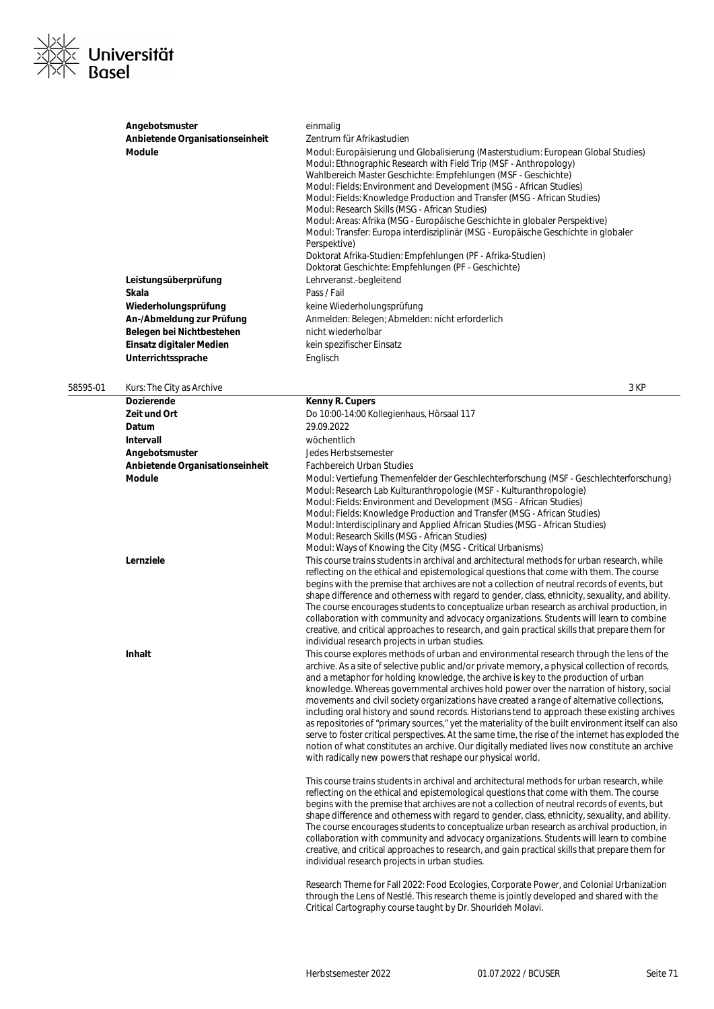

|          | Angebotsmuster<br>Anbietende Organisationseinheit<br>Module<br>Leistungsüberprüfung<br>Skala | einmalig<br>Zentrum für Afrikastudien<br>Modul: Europäisierung und Globalisierung (Masterstudium: European Global Studies)<br>Modul: Ethnographic Research with Field Trip (MSF - Anthropology)<br>Wahlbereich Master Geschichte: Empfehlungen (MSF - Geschichte)<br>Modul: Fields: Environment and Development (MSG - African Studies)<br>Modul: Fields: Knowledge Production and Transfer (MSG - African Studies)<br>Modul: Research Skills (MSG - African Studies)<br>Modul: Areas: Afrika (MSG - Europäische Geschichte in globaler Perspektive)<br>Modul: Transfer: Europa interdisziplinär (MSG - Europäische Geschichte in globaler<br>Perspektive)<br>Doktorat Afrika-Studien: Empfehlungen (PF - Afrika-Studien)<br>Doktorat Geschichte: Empfehlungen (PF - Geschichte)<br>Lehrveranst.-begleitend<br>Pass / Fail                                                                                                                                |
|----------|----------------------------------------------------------------------------------------------|-----------------------------------------------------------------------------------------------------------------------------------------------------------------------------------------------------------------------------------------------------------------------------------------------------------------------------------------------------------------------------------------------------------------------------------------------------------------------------------------------------------------------------------------------------------------------------------------------------------------------------------------------------------------------------------------------------------------------------------------------------------------------------------------------------------------------------------------------------------------------------------------------------------------------------------------------------------|
|          | Wiederholungsprüfung                                                                         | keine Wiederholungsprüfung                                                                                                                                                                                                                                                                                                                                                                                                                                                                                                                                                                                                                                                                                                                                                                                                                                                                                                                                |
|          | An-/Abmeldung zur Prüfung                                                                    | Anmelden: Belegen; Abmelden: nicht erforderlich                                                                                                                                                                                                                                                                                                                                                                                                                                                                                                                                                                                                                                                                                                                                                                                                                                                                                                           |
|          | Belegen bei Nichtbestehen                                                                    | nicht wiederholbar                                                                                                                                                                                                                                                                                                                                                                                                                                                                                                                                                                                                                                                                                                                                                                                                                                                                                                                                        |
|          | Einsatz digitaler Medien                                                                     | kein spezifischer Einsatz                                                                                                                                                                                                                                                                                                                                                                                                                                                                                                                                                                                                                                                                                                                                                                                                                                                                                                                                 |
|          | Unterrichtssprache                                                                           | Englisch                                                                                                                                                                                                                                                                                                                                                                                                                                                                                                                                                                                                                                                                                                                                                                                                                                                                                                                                                  |
| 58595-01 | Kurs: The City as Archive                                                                    | 3 KP                                                                                                                                                                                                                                                                                                                                                                                                                                                                                                                                                                                                                                                                                                                                                                                                                                                                                                                                                      |
|          | <b>Dozierende</b>                                                                            | Kenny R. Cupers                                                                                                                                                                                                                                                                                                                                                                                                                                                                                                                                                                                                                                                                                                                                                                                                                                                                                                                                           |
|          | Zeit und Ort                                                                                 | Do 10:00-14:00 Kollegienhaus, Hörsaal 117                                                                                                                                                                                                                                                                                                                                                                                                                                                                                                                                                                                                                                                                                                                                                                                                                                                                                                                 |
|          | Datum                                                                                        | 29.09.2022                                                                                                                                                                                                                                                                                                                                                                                                                                                                                                                                                                                                                                                                                                                                                                                                                                                                                                                                                |
|          | Intervall                                                                                    | wöchentlich                                                                                                                                                                                                                                                                                                                                                                                                                                                                                                                                                                                                                                                                                                                                                                                                                                                                                                                                               |
|          | Angebotsmuster                                                                               | Jedes Herbstsemester                                                                                                                                                                                                                                                                                                                                                                                                                                                                                                                                                                                                                                                                                                                                                                                                                                                                                                                                      |
|          | Anbietende Organisationseinheit                                                              | <b>Fachbereich Urban Studies</b>                                                                                                                                                                                                                                                                                                                                                                                                                                                                                                                                                                                                                                                                                                                                                                                                                                                                                                                          |
|          | Module                                                                                       | Modul: Vertiefung Themenfelder der Geschlechterforschung (MSF - Geschlechterforschung)<br>Modul: Research Lab Kulturanthropologie (MSF - Kulturanthropologie)<br>Modul: Fields: Environment and Development (MSG - African Studies)<br>Modul: Fields: Knowledge Production and Transfer (MSG - African Studies)<br>Modul: Interdisciplinary and Applied African Studies (MSG - African Studies)<br>Modul: Research Skills (MSG - African Studies)<br>Modul: Ways of Knowing the City (MSG - Critical Urbanisms)                                                                                                                                                                                                                                                                                                                                                                                                                                           |
|          | Lernziele                                                                                    | This course trains students in archival and architectural methods for urban research, while<br>reflecting on the ethical and epistemological questions that come with them. The course<br>begins with the premise that archives are not a collection of neutral records of events, but<br>shape difference and otherness with regard to gender, class, ethnicity, sexuality, and ability.<br>The course encourages students to conceptualize urban research as archival production, in<br>collaboration with community and advocacy organizations. Students will learn to combine<br>creative, and critical approaches to research, and gain practical skills that prepare them for<br>individual research projects in urban studies.                                                                                                                                                                                                                     |
|          | Inhalt                                                                                       | This course explores methods of urban and environmental research through the lens of the<br>archive. As a site of selective public and/or private memory, a physical collection of records,<br>and a metaphor for holding knowledge, the archive is key to the production of urban<br>knowledge. Whereas governmental archives hold power over the narration of history, social<br>movements and civil society organizations have created a range of alternative collections,<br>including oral history and sound records. Historians tend to approach these existing archives<br>as repositories of "primary sources," yet the materiality of the built environment itself can also<br>serve to foster critical perspectives. At the same time, the rise of the internet has exploded the<br>notion of what constitutes an archive. Our digitally mediated lives now constitute an archive<br>with radically new powers that reshape our physical world. |
|          |                                                                                              |                                                                                                                                                                                                                                                                                                                                                                                                                                                                                                                                                                                                                                                                                                                                                                                                                                                                                                                                                           |

This course trains students in archival and architectural methods for urban research, while reflecting on the ethical and epistemological questions that come with them. The course begins with the premise that archives are not a collection of neutral records of events, but shape difference and otherness with regard to gender, class, ethnicity, sexuality, and ability. The course encourages students to conceptualize urban research as archival production, in collaboration with community and advocacy organizations. Students will learn to combine creative, and critical approaches to research, and gain practical skills that prepare them for individual research projects in urban studies.

Research Theme for Fall 2022: Food Ecologies, Corporate Power, and Colonial Urbanization through the Lens of Nestlé. This research theme is jointly developed and shared with the Critical Cartography course taught by Dr. Shourideh Molavi.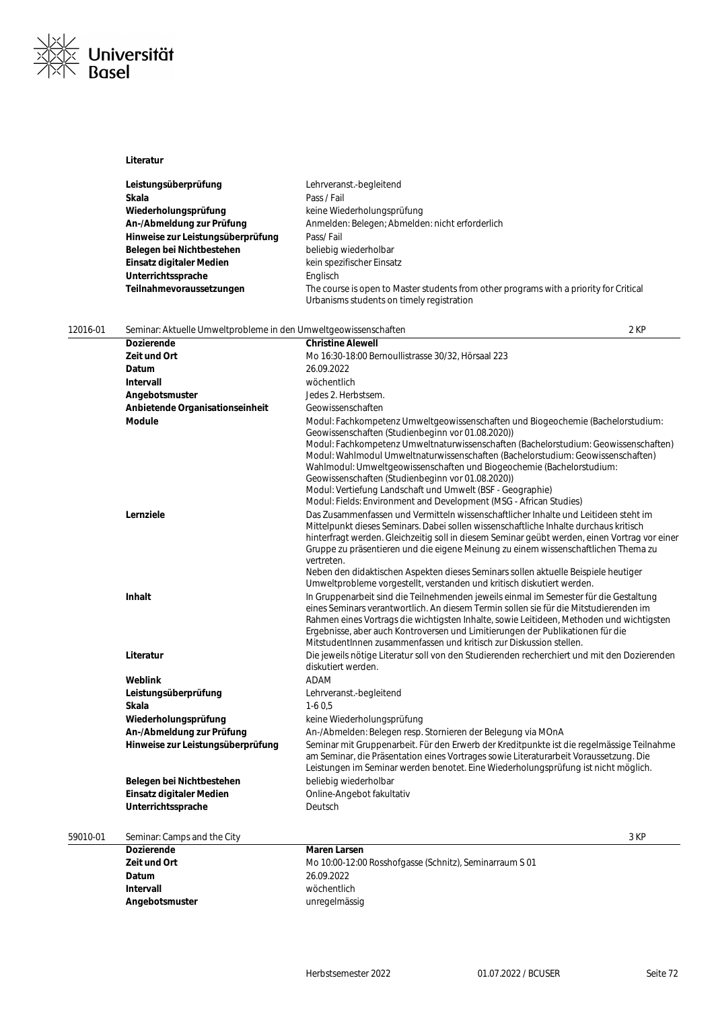

### **Literatur**

| Leistungsüberprüfung              | Lehrveranst.-begleitend                                                                                                             |
|-----------------------------------|-------------------------------------------------------------------------------------------------------------------------------------|
| Skala                             | Pass / Fail                                                                                                                         |
| Wiederholungsprüfung              | keine Wiederholungsprüfung                                                                                                          |
| An-/Abmeldung zur Prüfung         | Anmelden: Belegen; Abmelden: nicht erforderlich                                                                                     |
| Hinweise zur Leistungsüberprüfung | Pass/Fail                                                                                                                           |
| Belegen bei Nichtbestehen         | beliebig wiederholbar                                                                                                               |
| Einsatz digitaler Medien          | kein spezifischer Einsatz                                                                                                           |
| Unterrichtssprache                | Englisch                                                                                                                            |
| Teilnahmevoraussetzungen          | The course is open to Master students from other programs with a priority for Critical<br>Urbanisms students on timely registration |

| 12016-01 | Seminar: Aktuelle Umweltprobleme in den Umweltgeowissenschaften |                                                                                                                                                                                                                                                                                                                                                                                                                                                                                                                                                                                  | 2 KP |
|----------|-----------------------------------------------------------------|----------------------------------------------------------------------------------------------------------------------------------------------------------------------------------------------------------------------------------------------------------------------------------------------------------------------------------------------------------------------------------------------------------------------------------------------------------------------------------------------------------------------------------------------------------------------------------|------|
|          | <b>Dozierende</b>                                               | <b>Christine Alewell</b>                                                                                                                                                                                                                                                                                                                                                                                                                                                                                                                                                         |      |
|          | Zeit und Ort                                                    | Mo 16:30-18:00 Bernoullistrasse 30/32, Hörsaal 223                                                                                                                                                                                                                                                                                                                                                                                                                                                                                                                               |      |
|          | Datum                                                           | 26.09.2022                                                                                                                                                                                                                                                                                                                                                                                                                                                                                                                                                                       |      |
|          | Intervall                                                       | wöchentlich                                                                                                                                                                                                                                                                                                                                                                                                                                                                                                                                                                      |      |
|          | Angebotsmuster                                                  | Jedes 2. Herbstsem.                                                                                                                                                                                                                                                                                                                                                                                                                                                                                                                                                              |      |
|          | Anbietende Organisationseinheit                                 | Geowissenschaften                                                                                                                                                                                                                                                                                                                                                                                                                                                                                                                                                                |      |
|          | Module                                                          | Modul: Fachkompetenz Umweltgeowissenschaften und Biogeochemie (Bachelorstudium:<br>Geowissenschaften (Studienbeginn vor 01.08.2020))<br>Modul: Fachkompetenz Umweltnaturwissenschaften (Bachelorstudium: Geowissenschaften)<br>Modul: Wahlmodul Umweltnaturwissenschaften (Bachelorstudium: Geowissenschaften)<br>Wahlmodul: Umweltgeowissenschaften und Biogeochemie (Bachelorstudium:<br>Geowissenschaften (Studienbeginn vor 01.08.2020))<br>Modul: Vertiefung Landschaft und Umwelt (BSF - Geographie)<br>Modul: Fields: Environment and Development (MSG - African Studies) |      |
|          | Lernziele                                                       | Das Zusammenfassen und Vermitteln wissenschaftlicher Inhalte und Leitideen steht im<br>Mittelpunkt dieses Seminars. Dabei sollen wissenschaftliche Inhalte durchaus kritisch<br>hinterfragt werden. Gleichzeitig soll in diesem Seminar geübt werden, einen Vortrag vor einer<br>Gruppe zu präsentieren und die eigene Meinung zu einem wissenschaftlichen Thema zu<br>vertreten.<br>Neben den didaktischen Aspekten dieses Seminars sollen aktuelle Beispiele heutiger<br>Umweltprobleme vorgestellt, verstanden und kritisch diskutiert werden.                                |      |
|          | <b>Inhalt</b>                                                   | In Gruppenarbeit sind die Teilnehmenden jeweils einmal im Semester für die Gestaltung<br>eines Seminars verantwortlich. An diesem Termin sollen sie für die Mitstudierenden im<br>Rahmen eines Vortrags die wichtigsten Inhalte, sowie Leitideen, Methoden und wichtigsten<br>Ergebnisse, aber auch Kontroversen und Limitierungen der Publikationen für die<br>MitstudentInnen zusammenfassen und kritisch zur Diskussion stellen.                                                                                                                                              |      |
|          | Literatur                                                       | Die jeweils nötige Literatur soll von den Studierenden recherchiert und mit den Dozierenden<br>diskutiert werden.                                                                                                                                                                                                                                                                                                                                                                                                                                                                |      |
|          | Weblink                                                         | <b>ADAM</b>                                                                                                                                                                                                                                                                                                                                                                                                                                                                                                                                                                      |      |
|          | Leistungsüberprüfung                                            | Lehrveranst.-begleitend                                                                                                                                                                                                                                                                                                                                                                                                                                                                                                                                                          |      |
|          | Skala                                                           | $1-60.5$                                                                                                                                                                                                                                                                                                                                                                                                                                                                                                                                                                         |      |
|          | Wiederholungsprüfung                                            | keine Wiederholungsprüfung                                                                                                                                                                                                                                                                                                                                                                                                                                                                                                                                                       |      |
|          | An-/Abmeldung zur Prüfung                                       | An-/Abmelden: Belegen resp. Stornieren der Belegung via MOnA                                                                                                                                                                                                                                                                                                                                                                                                                                                                                                                     |      |
|          | Hinweise zur Leistungsüberprüfung                               | Seminar mit Gruppenarbeit. Für den Erwerb der Kreditpunkte ist die regelmässige Teilnahme<br>am Seminar, die Präsentation eines Vortrages sowie Literaturarbeit Voraussetzung. Die<br>Leistungen im Seminar werden benotet. Eine Wiederholungsprüfung ist nicht möglich.                                                                                                                                                                                                                                                                                                         |      |
|          | Belegen bei Nichtbestehen                                       | beliebig wiederholbar                                                                                                                                                                                                                                                                                                                                                                                                                                                                                                                                                            |      |
|          | Einsatz digitaler Medien                                        | Online-Angebot fakultativ                                                                                                                                                                                                                                                                                                                                                                                                                                                                                                                                                        |      |
|          | Unterrichtssprache                                              | Deutsch                                                                                                                                                                                                                                                                                                                                                                                                                                                                                                                                                                          |      |
|          |                                                                 |                                                                                                                                                                                                                                                                                                                                                                                                                                                                                                                                                                                  | 0.15 |

| 59010-01 | Seminar: Camps and the City |                                                         | 3 KF |
|----------|-----------------------------|---------------------------------------------------------|------|
|          | Dozierende                  | <b>Maren Larsen</b>                                     |      |
|          | Zeit und Ort                | Mo 10:00-12:00 Rosshofgasse (Schnitz), Seminarraum S 01 |      |
|          | <b>Datum</b>                | 26.09.2022                                              |      |
|          | Intervall                   | wöchentlich                                             |      |

**Angebotsmuster** unregelmässig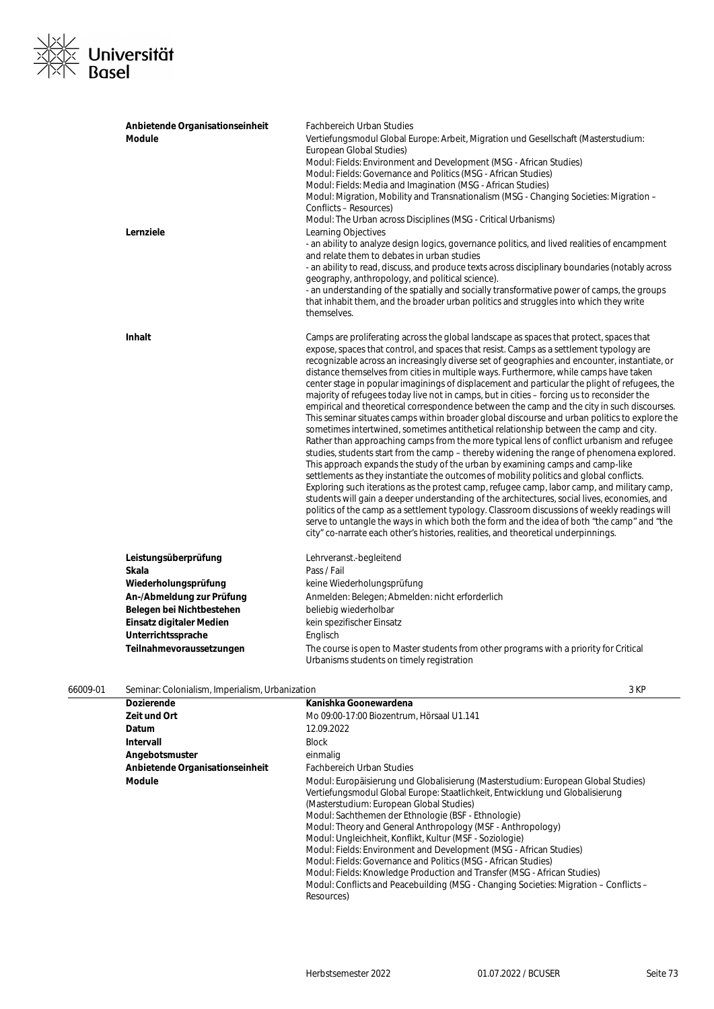## <u>※|∕</u><br>※|≫ Universität<br>×|◇ Basel  $\frac{1}{\times}$

| Anbietende Organisationseinheit | <b>Fachbereich Urban Studies</b>                                                                |
|---------------------------------|-------------------------------------------------------------------------------------------------|
| <b>Module</b>                   | Vertiefungsmodul Global Europe: Arbeit, Migration und Gesellschaft (Masterstudium:              |
|                                 | European Global Studies)                                                                        |
|                                 | Modul: Fields: Environment and Development (MSG - African Studies)                              |
|                                 | Modul: Fields: Governance and Politics (MSG - African Studies)                                  |
|                                 | Modul: Fields: Media and Imagination (MSG - African Studies)                                    |
|                                 | Modul: Migration, Mobility and Transnationalism (MSG - Changing Societies: Migration –          |
|                                 | Conflicts - Resources)                                                                          |
|                                 | Modul: The Urban across Disciplines (MSG - Critical Urbanisms)                                  |
| Lernziele                       | Learning Objectives                                                                             |
|                                 | - an ability to analyze design logics, governance politics, and lived realities of encampment   |
|                                 | and relate them to debates in urban studies                                                     |
|                                 | - an ability to read, discuss, and produce texts across disciplinary boundaries (notably across |
|                                 | geography, anthropology, and political science).                                                |
|                                 | - an understanding of the spatially and socially transformative power of camps, the groups      |
|                                 | that inhabit them, and the broader urban politics and struggles into which they write           |
|                                 | themselves.                                                                                     |
|                                 |                                                                                                 |
| <b>Inhalt</b>                   | Camps are proliferating across the global landscape as spaces that protect, spaces that         |
|                                 | expose, spaces that control, and spaces that resist. Camps as a settlement typology are         |
|                                 | recognizable across an increasingly diverse set of geographies and encounter, instantiate, or   |
|                                 | distance themselves from cities in multiple ways. Furthermore, while camps have taken           |
|                                 | center stage in popular imaginings of displacement and particular the plight of refugees, the   |
|                                 | majority of refugees today live not in camps, but in cities – forcing us to reconsider the      |
|                                 | empirical and theoretical correspondence between the camp and the city in such discourses.      |
|                                 | This seminar situates camps within broader global discourse and urban politics to explore the   |
|                                 | sometimes intertwined, sometimes antithetical relationship between the camp and city.           |
|                                 | Rather than approaching camps from the more typical lens of conflict urbanism and refugee       |
|                                 | studies, students start from the camp – thereby widening the range of phenomena explored.       |
|                                 | This approach expands the study of the urban by examining camps and camp-like                   |
|                                 | settlements as they instantiate the outcomes of mobility politics and global conflicts.         |
|                                 | Exploring such iterations as the protest camp, refugee camp, labor camp, and military camp,     |
|                                 | students will gain a deeper understanding of the architectures, social lives, economies, and    |
|                                 | politics of the camp as a settlement typology. Classroom discussions of weekly readings will    |
|                                 | serve to untangle the ways in which both the form and the idea of both "the camp" and "the      |
|                                 | city" co-narrate each other's histories, realities, and theoretical underpinnings.              |
| Leistungsüberprüfung            | Lehrveranst.-begleitend                                                                         |
| Skala                           | Pass / Fail                                                                                     |
|                                 |                                                                                                 |
| Wiederholungsprüfung            | keine Wiederholungsprüfung                                                                      |
| An-/Abmeldung zur Prüfung       | Anmelden: Belegen; Abmelden: nicht erforderlich                                                 |
| Belegen bei Nichtbestehen       | beliebig wiederholbar                                                                           |
| Einsatz digitaler Medien        | kein spezifischer Einsatz                                                                       |
| Unterrichtssprache              | Englisch                                                                                        |
| Teilnahmevoraussetzungen        | The course is open to Master students from other programs with a priority for Critical          |
|                                 | Urbanisms students on timely registration                                                       |
|                                 |                                                                                                 |

| 66009-01 | Seminar: Colonialism, Imperialism, Urbanization | 3 KF |
|----------|-------------------------------------------------|------|
|----------|-------------------------------------------------|------|

| <b>Dozierende</b>               | Kanishka Goonewardena                                                                                                                                                                                                                                                                                                                                                                                                                                                                                                                                                                                                                                                                                                       |
|---------------------------------|-----------------------------------------------------------------------------------------------------------------------------------------------------------------------------------------------------------------------------------------------------------------------------------------------------------------------------------------------------------------------------------------------------------------------------------------------------------------------------------------------------------------------------------------------------------------------------------------------------------------------------------------------------------------------------------------------------------------------------|
| Zeit und Ort                    | Mo 09:00-17:00 Biozentrum, Hörsaal U1.141                                                                                                                                                                                                                                                                                                                                                                                                                                                                                                                                                                                                                                                                                   |
| Datum                           | 12.09.2022                                                                                                                                                                                                                                                                                                                                                                                                                                                                                                                                                                                                                                                                                                                  |
| Intervall                       | <b>Block</b>                                                                                                                                                                                                                                                                                                                                                                                                                                                                                                                                                                                                                                                                                                                |
| Angebotsmuster                  | einmalig                                                                                                                                                                                                                                                                                                                                                                                                                                                                                                                                                                                                                                                                                                                    |
| Anbietende Organisationseinheit | <b>Fachbereich Urban Studies</b>                                                                                                                                                                                                                                                                                                                                                                                                                                                                                                                                                                                                                                                                                            |
| <b>Module</b>                   | Modul: Europäisierung und Globalisierung (Masterstudium: European Global Studies)<br>Vertiefungsmodul Global Europe: Staatlichkeit, Entwicklung und Globalisierung<br>(Masterstudium: European Global Studies)<br>Modul: Sachthemen der Ethnologie (BSF - Ethnologie)<br>Modul: Theory and General Anthropology (MSF - Anthropology)<br>Modul: Ungleichheit, Konflikt, Kultur (MSF - Soziologie)<br>Modul: Fields: Environment and Development (MSG - African Studies)<br>Modul: Fields: Governance and Politics (MSG - African Studies)<br>Modul: Fields: Knowledge Production and Transfer (MSG - African Studies)<br>Modul: Conflicts and Peacebuilding (MSG - Changing Societies: Migration – Conflicts –<br>Resources) |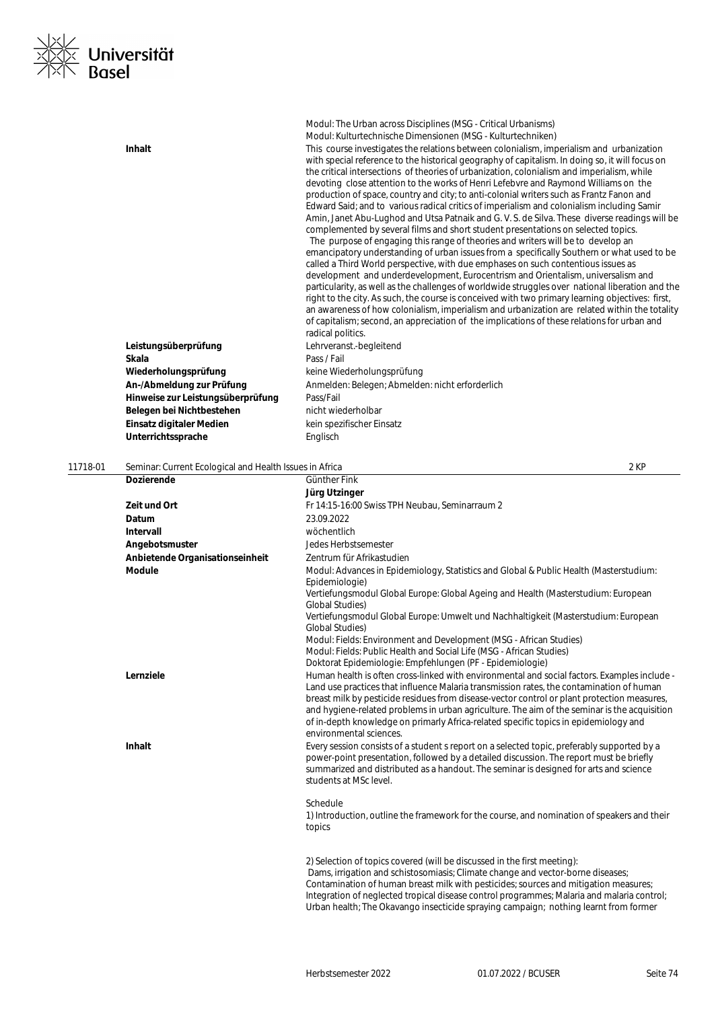

|          | Inhalt<br>Leistungsüberprüfung<br>Skala<br>Wiederholungsprüfung<br>An-/Abmeldung zur Prüfung<br>Hinweise zur Leistungsüberprüfung | Modul: The Urban across Disciplines (MSG - Critical Urbanisms)<br>Modul: Kulturtechnische Dimensionen (MSG - Kulturtechniken)<br>This course investigates the relations between colonialism, imperialism and urbanization<br>with special reference to the historical geography of capitalism. In doing so, it will focus on<br>the critical intersections of theories of urbanization, colonialism and imperialism, while<br>devoting close attention to the works of Henri Lefebvre and Raymond Williams on the<br>production of space, country and city; to anti-colonial writers such as Frantz Fanon and<br>Edward Said; and to various radical critics of imperialism and colonialism including Samir<br>Amin, Janet Abu-Lughod and Utsa Patnaik and G. V. S. de Silva. These diverse readings will be<br>complemented by several films and short student presentations on selected topics.<br>The purpose of engaging this range of theories and writers will be to develop an<br>emancipatory understanding of urban issues from a specifically Southern or what used to be<br>called a Third World perspective, with due emphases on such contentious issues as<br>development and underdevelopment, Eurocentrism and Orientalism, universalism and<br>particularity, as well as the challenges of worldwide struggles over national liberation and the<br>right to the city. As such, the course is conceived with two primary learning objectives: first,<br>an awareness of how colonialism, imperialism and urbanization are related within the totality<br>of capitalism; second, an appreciation of the implications of these relations for urban and<br>radical politics.<br>Lehrveranst.-begleitend<br>Pass / Fail<br>keine Wiederholungsprüfung<br>Anmelden: Belegen; Abmelden: nicht erforderlich<br>Pass/Fail |
|----------|-----------------------------------------------------------------------------------------------------------------------------------|-----------------------------------------------------------------------------------------------------------------------------------------------------------------------------------------------------------------------------------------------------------------------------------------------------------------------------------------------------------------------------------------------------------------------------------------------------------------------------------------------------------------------------------------------------------------------------------------------------------------------------------------------------------------------------------------------------------------------------------------------------------------------------------------------------------------------------------------------------------------------------------------------------------------------------------------------------------------------------------------------------------------------------------------------------------------------------------------------------------------------------------------------------------------------------------------------------------------------------------------------------------------------------------------------------------------------------------------------------------------------------------------------------------------------------------------------------------------------------------------------------------------------------------------------------------------------------------------------------------------------------------------------------------------------------------------------------------------------------------------------------------------------------------------------------------------------------------|
|          | Belegen bei Nichtbestehen                                                                                                         | nicht wiederholbar                                                                                                                                                                                                                                                                                                                                                                                                                                                                                                                                                                                                                                                                                                                                                                                                                                                                                                                                                                                                                                                                                                                                                                                                                                                                                                                                                                                                                                                                                                                                                                                                                                                                                                                                                                                                                |
|          | Einsatz digitaler Medien                                                                                                          | kein spezifischer Einsatz                                                                                                                                                                                                                                                                                                                                                                                                                                                                                                                                                                                                                                                                                                                                                                                                                                                                                                                                                                                                                                                                                                                                                                                                                                                                                                                                                                                                                                                                                                                                                                                                                                                                                                                                                                                                         |
|          | Unterrichtssprache                                                                                                                | Englisch                                                                                                                                                                                                                                                                                                                                                                                                                                                                                                                                                                                                                                                                                                                                                                                                                                                                                                                                                                                                                                                                                                                                                                                                                                                                                                                                                                                                                                                                                                                                                                                                                                                                                                                                                                                                                          |
|          |                                                                                                                                   |                                                                                                                                                                                                                                                                                                                                                                                                                                                                                                                                                                                                                                                                                                                                                                                                                                                                                                                                                                                                                                                                                                                                                                                                                                                                                                                                                                                                                                                                                                                                                                                                                                                                                                                                                                                                                                   |
| 11718-01 | Seminar: Current Ecological and Health Issues in Africa                                                                           | 2 KP                                                                                                                                                                                                                                                                                                                                                                                                                                                                                                                                                                                                                                                                                                                                                                                                                                                                                                                                                                                                                                                                                                                                                                                                                                                                                                                                                                                                                                                                                                                                                                                                                                                                                                                                                                                                                              |
|          | <b>Dozierende</b>                                                                                                                 | Günther Fink                                                                                                                                                                                                                                                                                                                                                                                                                                                                                                                                                                                                                                                                                                                                                                                                                                                                                                                                                                                                                                                                                                                                                                                                                                                                                                                                                                                                                                                                                                                                                                                                                                                                                                                                                                                                                      |
|          |                                                                                                                                   | Jürg Utzinger                                                                                                                                                                                                                                                                                                                                                                                                                                                                                                                                                                                                                                                                                                                                                                                                                                                                                                                                                                                                                                                                                                                                                                                                                                                                                                                                                                                                                                                                                                                                                                                                                                                                                                                                                                                                                     |
|          | Zeit und Ort                                                                                                                      | Fr 14:15-16:00 Swiss TPH Neubau, Seminarraum 2                                                                                                                                                                                                                                                                                                                                                                                                                                                                                                                                                                                                                                                                                                                                                                                                                                                                                                                                                                                                                                                                                                                                                                                                                                                                                                                                                                                                                                                                                                                                                                                                                                                                                                                                                                                    |
|          | Datum                                                                                                                             | 23.09.2022                                                                                                                                                                                                                                                                                                                                                                                                                                                                                                                                                                                                                                                                                                                                                                                                                                                                                                                                                                                                                                                                                                                                                                                                                                                                                                                                                                                                                                                                                                                                                                                                                                                                                                                                                                                                                        |
|          | <b>Intervall</b>                                                                                                                  | wöchentlich                                                                                                                                                                                                                                                                                                                                                                                                                                                                                                                                                                                                                                                                                                                                                                                                                                                                                                                                                                                                                                                                                                                                                                                                                                                                                                                                                                                                                                                                                                                                                                                                                                                                                                                                                                                                                       |
|          | Angebotsmuster                                                                                                                    | Jedes Herbstsemester                                                                                                                                                                                                                                                                                                                                                                                                                                                                                                                                                                                                                                                                                                                                                                                                                                                                                                                                                                                                                                                                                                                                                                                                                                                                                                                                                                                                                                                                                                                                                                                                                                                                                                                                                                                                              |
|          | Anbietende Organisationseinheit                                                                                                   | Zentrum für Afrikastudien                                                                                                                                                                                                                                                                                                                                                                                                                                                                                                                                                                                                                                                                                                                                                                                                                                                                                                                                                                                                                                                                                                                                                                                                                                                                                                                                                                                                                                                                                                                                                                                                                                                                                                                                                                                                         |
|          | <b>Module</b>                                                                                                                     | Modul: Advances in Epidemiology, Statistics and Global & Public Health (Masterstudium:<br>Epidemiologie)<br>Vertiefungsmodul Global Europe: Global Ageing and Health (Masterstudium: European                                                                                                                                                                                                                                                                                                                                                                                                                                                                                                                                                                                                                                                                                                                                                                                                                                                                                                                                                                                                                                                                                                                                                                                                                                                                                                                                                                                                                                                                                                                                                                                                                                     |
|          |                                                                                                                                   | <b>Global Studies)</b>                                                                                                                                                                                                                                                                                                                                                                                                                                                                                                                                                                                                                                                                                                                                                                                                                                                                                                                                                                                                                                                                                                                                                                                                                                                                                                                                                                                                                                                                                                                                                                                                                                                                                                                                                                                                            |
|          |                                                                                                                                   | Vertiefungsmodul Global Europe: Umwelt und Nachhaltigkeit (Masterstudium: European<br><b>Global Studies)</b>                                                                                                                                                                                                                                                                                                                                                                                                                                                                                                                                                                                                                                                                                                                                                                                                                                                                                                                                                                                                                                                                                                                                                                                                                                                                                                                                                                                                                                                                                                                                                                                                                                                                                                                      |
|          |                                                                                                                                   | Modul: Fields: Environment and Development (MSG - African Studies)                                                                                                                                                                                                                                                                                                                                                                                                                                                                                                                                                                                                                                                                                                                                                                                                                                                                                                                                                                                                                                                                                                                                                                                                                                                                                                                                                                                                                                                                                                                                                                                                                                                                                                                                                                |
|          |                                                                                                                                   | Modul: Fields: Public Health and Social Life (MSG - African Studies)                                                                                                                                                                                                                                                                                                                                                                                                                                                                                                                                                                                                                                                                                                                                                                                                                                                                                                                                                                                                                                                                                                                                                                                                                                                                                                                                                                                                                                                                                                                                                                                                                                                                                                                                                              |
|          | Lernziele                                                                                                                         | Doktorat Epidemiologie: Empfehlungen (PF - Epidemiologie)<br>Human health is often cross-linked with environmental and social factors. Examples include -                                                                                                                                                                                                                                                                                                                                                                                                                                                                                                                                                                                                                                                                                                                                                                                                                                                                                                                                                                                                                                                                                                                                                                                                                                                                                                                                                                                                                                                                                                                                                                                                                                                                         |
|          |                                                                                                                                   | Land use practices that influence Malaria transmission rates, the contamination of human<br>breast milk by pesticide residues from disease-vector control or plant protection measures,<br>and hygiene-related problems in urban agriculture. The aim of the seminar is the acquisition<br>of in-depth knowledge on primarly Africa-related specific topics in epidemiology and                                                                                                                                                                                                                                                                                                                                                                                                                                                                                                                                                                                                                                                                                                                                                                                                                                                                                                                                                                                                                                                                                                                                                                                                                                                                                                                                                                                                                                                   |
|          |                                                                                                                                   | environmental sciences.                                                                                                                                                                                                                                                                                                                                                                                                                                                                                                                                                                                                                                                                                                                                                                                                                                                                                                                                                                                                                                                                                                                                                                                                                                                                                                                                                                                                                                                                                                                                                                                                                                                                                                                                                                                                           |
|          | Inhalt                                                                                                                            | Every session consists of a student s report on a selected topic, preferably supported by a<br>power-point presentation, followed by a detailed discussion. The report must be briefly<br>summarized and distributed as a handout. The seminar is designed for arts and science                                                                                                                                                                                                                                                                                                                                                                                                                                                                                                                                                                                                                                                                                                                                                                                                                                                                                                                                                                                                                                                                                                                                                                                                                                                                                                                                                                                                                                                                                                                                                   |

Schedule

students at MSc level.

1) Introduction, outline the framework for the course, and nomination of speakers and their topics

2) Selection of topics covered (will be discussed in the first meeting): Dams, irrigation and schistosomiasis; Climate change and vector-borne diseases; Contamination of human breast milk with pesticides; sources and mitigation measures; Integration of neglected tropical disease control programmes; Malaria and malaria control; Urban health; The Okavango insecticide spraying campaign; nothing learnt from former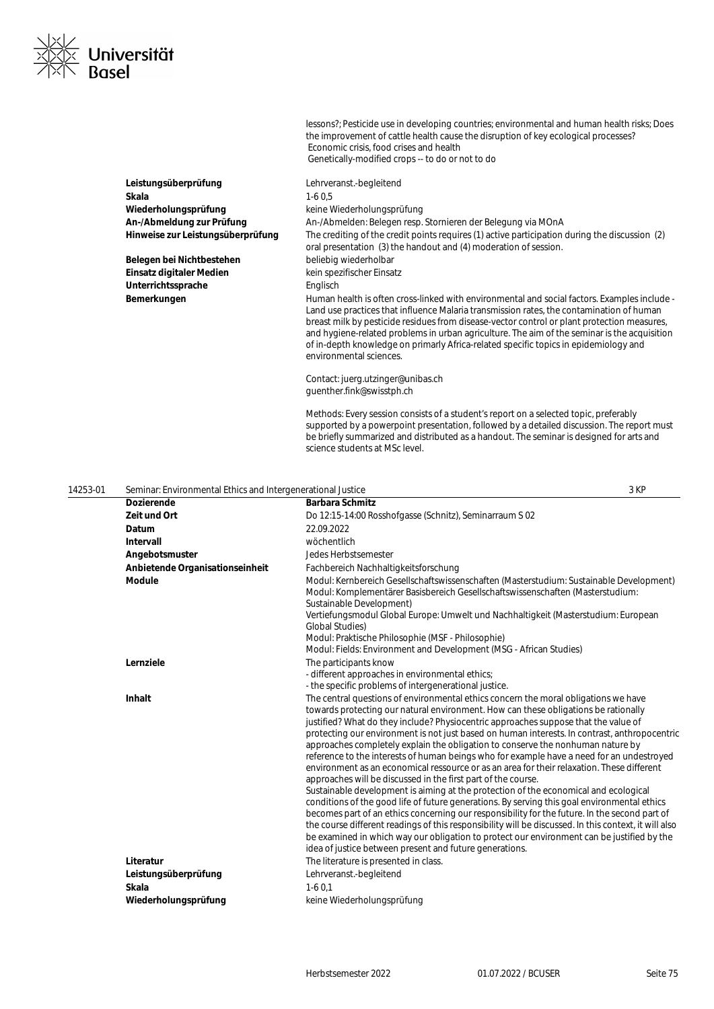

lessons?; Pesticide use in developing countries; environmental and human health risks; Does the improvement of cattle health cause the disruption of key ecological processes? Economic crisis, food crises and health Genetically-modified crops -- to do or not to do

**Leistungsüberprüfung** Lehrveranst.-begleitend **Skala** 1-6 0,5 Wiederholungsprüfung **Wiederholungsprüfung** keine Wiederholungsprüfung

Belegen bei Nichtbestehen bei beliebig wiederholbar **Einsatz digitaler Medien** kein spezifischer Einsatz Unterrichtssprache **Englisch** 

**An-/Abmeldung zur Prüfung** An-/Abmelden: Belegen resp. Stornieren der Belegung via MOnA **Hinweise zur Leistungsüberprüfung** The crediting of the credit points requires (1) active participation during the discussion (2) oral presentation (3) the handout and (4) moderation of session. **Bemerkungen** Human health is often cross-linked with environmental and social factors. Examples include - Land use practices that influence Malaria transmission rates, the contamination of human breast milk by pesticide residues from disease-vector control or plant protection measures, and hygiene-related problems in urban agriculture. The aim of the seminar is the acquisition of in-depth knowledge on primarly Africa-related specific topics in epidemiology and environmental sciences.

> Contact: juerg.utzinger@unibas.ch guenther.fink@swisstph.ch

Methods: Every session consists of a student's report on a selected topic, preferably supported by a powerpoint presentation, followed by a detailed discussion. The report must be briefly summarized and distributed as a handout. The seminar is designed for arts and science students at MSc level.

| 14253-01 | Seminar: Environmental Ethics and Intergenerational Justice |                                                                                                                                                                                                                                                                                                                                                                                                                                                                                                                                                                                                                                                                                                                                                                                                                                                                                                                                                                                                                                                                                                                                                                                                                                                                              | 3 KP |
|----------|-------------------------------------------------------------|------------------------------------------------------------------------------------------------------------------------------------------------------------------------------------------------------------------------------------------------------------------------------------------------------------------------------------------------------------------------------------------------------------------------------------------------------------------------------------------------------------------------------------------------------------------------------------------------------------------------------------------------------------------------------------------------------------------------------------------------------------------------------------------------------------------------------------------------------------------------------------------------------------------------------------------------------------------------------------------------------------------------------------------------------------------------------------------------------------------------------------------------------------------------------------------------------------------------------------------------------------------------------|------|
|          | <b>Dozierende</b>                                           | <b>Barbara Schmitz</b>                                                                                                                                                                                                                                                                                                                                                                                                                                                                                                                                                                                                                                                                                                                                                                                                                                                                                                                                                                                                                                                                                                                                                                                                                                                       |      |
|          | Zeit und Ort                                                | Do 12:15-14:00 Rosshofgasse (Schnitz), Seminarraum S 02                                                                                                                                                                                                                                                                                                                                                                                                                                                                                                                                                                                                                                                                                                                                                                                                                                                                                                                                                                                                                                                                                                                                                                                                                      |      |
|          | Datum                                                       | 22.09.2022                                                                                                                                                                                                                                                                                                                                                                                                                                                                                                                                                                                                                                                                                                                                                                                                                                                                                                                                                                                                                                                                                                                                                                                                                                                                   |      |
|          | Intervall                                                   | wöchentlich                                                                                                                                                                                                                                                                                                                                                                                                                                                                                                                                                                                                                                                                                                                                                                                                                                                                                                                                                                                                                                                                                                                                                                                                                                                                  |      |
|          | Angebotsmuster                                              | <b>Jedes Herbstsemester</b>                                                                                                                                                                                                                                                                                                                                                                                                                                                                                                                                                                                                                                                                                                                                                                                                                                                                                                                                                                                                                                                                                                                                                                                                                                                  |      |
|          | Anbietende Organisationseinheit                             | Fachbereich Nachhaltigkeitsforschung                                                                                                                                                                                                                                                                                                                                                                                                                                                                                                                                                                                                                                                                                                                                                                                                                                                                                                                                                                                                                                                                                                                                                                                                                                         |      |
|          | <b>Module</b>                                               | Modul: Kernbereich Gesellschaftswissenschaften (Masterstudium: Sustainable Development)<br>Modul: Komplementärer Basisbereich Gesellschaftswissenschaften (Masterstudium:<br>Sustainable Development)<br>Vertiefungsmodul Global Europe: Umwelt und Nachhaltigkeit (Masterstudium: European<br><b>Global Studies)</b><br>Modul: Praktische Philosophie (MSF - Philosophie)<br>Modul: Fields: Environment and Development (MSG - African Studies)                                                                                                                                                                                                                                                                                                                                                                                                                                                                                                                                                                                                                                                                                                                                                                                                                             |      |
|          | Lernziele                                                   | The participants know<br>- different approaches in environmental ethics;<br>- the specific problems of intergenerational justice.                                                                                                                                                                                                                                                                                                                                                                                                                                                                                                                                                                                                                                                                                                                                                                                                                                                                                                                                                                                                                                                                                                                                            |      |
|          | Inhalt                                                      | The central questions of environmental ethics concern the moral obligations we have<br>towards protecting our natural environment. How can these obligations be rationally<br>justified? What do they include? Physiocentric approaches suppose that the value of<br>protecting our environment is not just based on human interests. In contrast, anthropocentric<br>approaches completely explain the obligation to conserve the nonhuman nature by<br>reference to the interests of human beings who for example have a need for an undestroyed<br>environment as an economical ressource or as an area for their relaxation. These different<br>approaches will be discussed in the first part of the course.<br>Sustainable development is aiming at the protection of the economical and ecological<br>conditions of the good life of future generations. By serving this goal environmental ethics<br>becomes part of an ethics concerning our responsibility for the future. In the second part of<br>the course different readings of this responsibility will be discussed. In this context, it will also<br>be examined in which way our obligation to protect our environment can be justified by the<br>idea of justice between present and future generations. |      |
|          | Literatur                                                   | The literature is presented in class.                                                                                                                                                                                                                                                                                                                                                                                                                                                                                                                                                                                                                                                                                                                                                                                                                                                                                                                                                                                                                                                                                                                                                                                                                                        |      |
|          | Leistungsüberprüfung                                        | Lehrveranst.-begleitend                                                                                                                                                                                                                                                                                                                                                                                                                                                                                                                                                                                                                                                                                                                                                                                                                                                                                                                                                                                                                                                                                                                                                                                                                                                      |      |
|          | Skala                                                       | $1-60.1$                                                                                                                                                                                                                                                                                                                                                                                                                                                                                                                                                                                                                                                                                                                                                                                                                                                                                                                                                                                                                                                                                                                                                                                                                                                                     |      |
|          | Wiederholungsprüfung                                        | keine Wiederholungsprüfung                                                                                                                                                                                                                                                                                                                                                                                                                                                                                                                                                                                                                                                                                                                                                                                                                                                                                                                                                                                                                                                                                                                                                                                                                                                   |      |
|          |                                                             |                                                                                                                                                                                                                                                                                                                                                                                                                                                                                                                                                                                                                                                                                                                                                                                                                                                                                                                                                                                                                                                                                                                                                                                                                                                                              |      |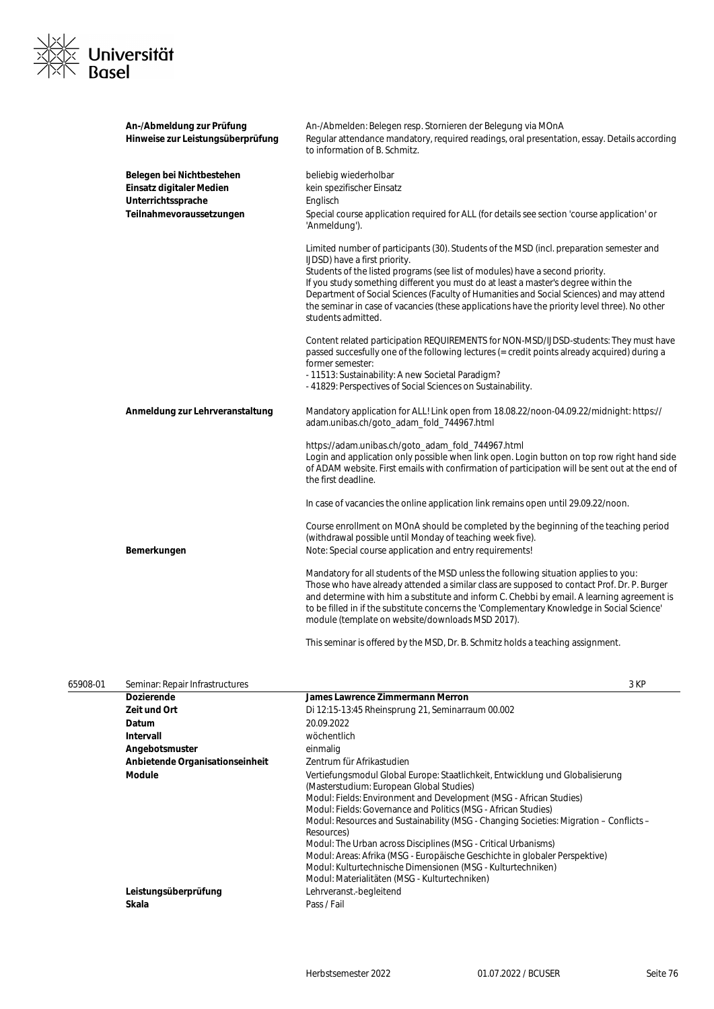

| An-/Abmeldung zur Prüfung<br>Hinweise zur Leistungsüberprüfung                                          | An-/Abmelden: Belegen resp. Stornieren der Belegung via MOnA<br>Regular attendance mandatory, required readings, oral presentation, essay. Details according<br>to information of B. Schmitz.                                                                                                                                                                                                                                                                                                                       |
|---------------------------------------------------------------------------------------------------------|---------------------------------------------------------------------------------------------------------------------------------------------------------------------------------------------------------------------------------------------------------------------------------------------------------------------------------------------------------------------------------------------------------------------------------------------------------------------------------------------------------------------|
| Belegen bei Nichtbestehen<br>Einsatz digitaler Medien<br>Unterrichtssprache<br>Teilnahmevoraussetzungen | beliebig wiederholbar<br>kein spezifischer Einsatz<br>Englisch<br>Special course application required for ALL (for details see section 'course application' or<br>'Anmeldung').                                                                                                                                                                                                                                                                                                                                     |
|                                                                                                         | Limited number of participants (30). Students of the MSD (incl. preparation semester and<br>IJDSD) have a first priority.<br>Students of the listed programs (see list of modules) have a second priority.<br>If you study something different you must do at least a master's degree within the<br>Department of Social Sciences (Faculty of Humanities and Social Sciences) and may attend<br>the seminar in case of vacancies (these applications have the priority level three). No other<br>students admitted. |
|                                                                                                         | Content related participation REQUIREMENTS for NON-MSD/IJDSD-students: They must have<br>passed succesfully one of the following lectures (= credit points already acquired) during a<br>former semester:<br>- 11513: Sustainability: A new Societal Paradigm?<br>-41829: Perspectives of Social Sciences on Sustainability.                                                                                                                                                                                        |
| Anmeldung zur Lehrveranstaltung                                                                         | Mandatory application for ALL! Link open from 18.08.22/noon-04.09.22/midnight: https://<br>adam.unibas.ch/goto_adam_fold_744967.html                                                                                                                                                                                                                                                                                                                                                                                |
|                                                                                                         | https://adam.unibas.ch/goto_adam_fold_744967.html<br>Login and application only possible when link open. Login button on top row right hand side<br>of ADAM website. First emails with confirmation of participation will be sent out at the end of<br>the first deadline.                                                                                                                                                                                                                                          |
|                                                                                                         | In case of vacancies the online application link remains open until 29.09.22/noon.                                                                                                                                                                                                                                                                                                                                                                                                                                  |
| Bemerkungen                                                                                             | Course enrollment on MOnA should be completed by the beginning of the teaching period<br>(withdrawal possible until Monday of teaching week five).<br>Note: Special course application and entry requirements!                                                                                                                                                                                                                                                                                                      |
|                                                                                                         | Mandatory for all students of the MSD unless the following situation applies to you:<br>Those who have already attended a similar class are supposed to contact Prof. Dr. P. Burger<br>and determine with him a substitute and inform C. Chebbi by email. A learning agreement is<br>to be filled in if the substitute concerns the 'Complementary Knowledge in Social Science'<br>module (template on website/downloads MSD 2017).                                                                                 |
|                                                                                                         | This seminar is offered by the MSD, Dr. B. Schmitz holds a teaching assignment.                                                                                                                                                                                                                                                                                                                                                                                                                                     |

| 65908-01 | Seminar: Repair Infrastructures |                                                                                                                                                                                                                                                                                                                                                                                                                                                                                                                                                                                                                                            | 3 KP |
|----------|---------------------------------|--------------------------------------------------------------------------------------------------------------------------------------------------------------------------------------------------------------------------------------------------------------------------------------------------------------------------------------------------------------------------------------------------------------------------------------------------------------------------------------------------------------------------------------------------------------------------------------------------------------------------------------------|------|
|          | <b>Dozierende</b>               | James Lawrence Zimmermann Merron                                                                                                                                                                                                                                                                                                                                                                                                                                                                                                                                                                                                           |      |
|          | Zeit und Ort                    | Di 12:15-13:45 Rheinsprung 21, Seminarraum 00.002                                                                                                                                                                                                                                                                                                                                                                                                                                                                                                                                                                                          |      |
|          | Datum                           | 20.09.2022                                                                                                                                                                                                                                                                                                                                                                                                                                                                                                                                                                                                                                 |      |
|          | Intervall                       | wöchentlich                                                                                                                                                                                                                                                                                                                                                                                                                                                                                                                                                                                                                                |      |
|          | Angebotsmuster                  | einmalig                                                                                                                                                                                                                                                                                                                                                                                                                                                                                                                                                                                                                                   |      |
|          | Anbietende Organisationseinheit | Zentrum für Afrikastudien                                                                                                                                                                                                                                                                                                                                                                                                                                                                                                                                                                                                                  |      |
|          | Module                          | Vertiefungsmodul Global Europe: Staatlichkeit, Entwicklung und Globalisierung<br>(Masterstudium: European Global Studies)<br>Modul: Fields: Environment and Development (MSG - African Studies)<br>Modul: Fields: Governance and Politics (MSG - African Studies)<br>Modul: Resources and Sustainability (MSG - Changing Societies: Migration – Conflicts –<br>Resources)<br>Modul: The Urban across Disciplines (MSG - Critical Urbanisms)<br>Modul: Areas: Afrika (MSG - Europäische Geschichte in globaler Perspektive)<br>Modul: Kulturtechnische Dimensionen (MSG - Kulturtechniken)<br>Modul: Materialitäten (MSG - Kulturtechniken) |      |
|          | Leistungsüberprüfung            | Lehrveranst.-begleitend                                                                                                                                                                                                                                                                                                                                                                                                                                                                                                                                                                                                                    |      |
|          | Skala                           | Pass / Fail                                                                                                                                                                                                                                                                                                                                                                                                                                                                                                                                                                                                                                |      |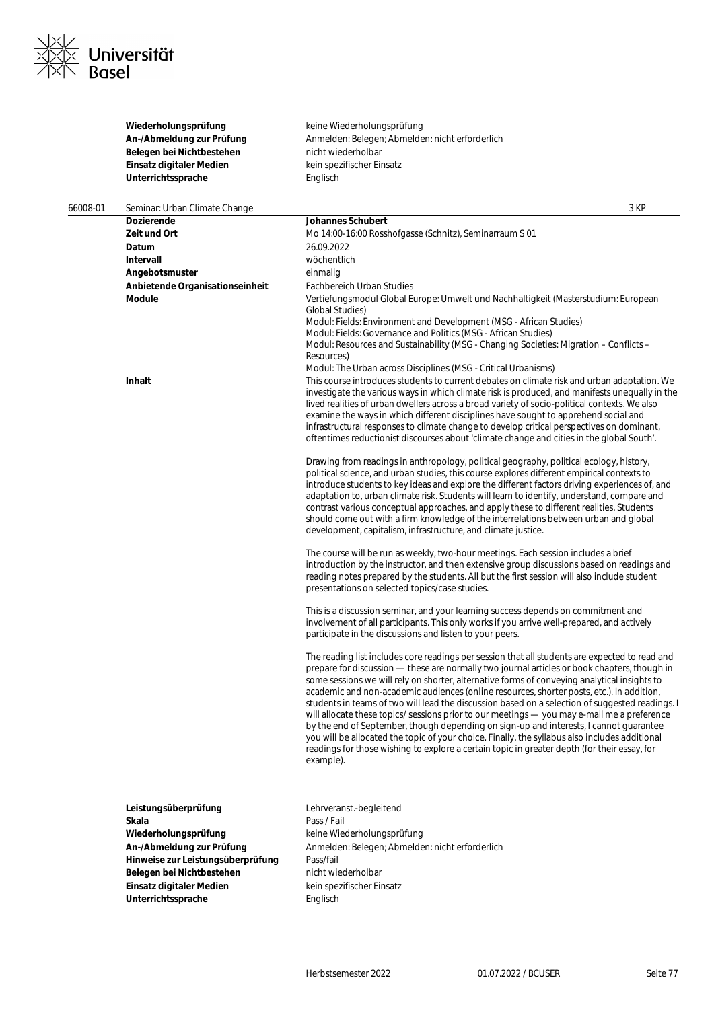

|          | Wiederholungsprüfung<br>An-/Abmeldung zur Prüfung<br>Belegen bei Nichtbestehen<br>Einsatz digitaler Medien<br>Unterrichtssprache | keine Wiederholungsprüfung<br>Anmelden: Belegen; Abmelden: nicht erforderlich<br>nicht wiederholbar<br>kein spezifischer Einsatz<br>Englisch                                                                                                                                                                                                                                                                                                                                                                                                                                                                                                                                                                                                                                                                                                                                                           |
|----------|----------------------------------------------------------------------------------------------------------------------------------|--------------------------------------------------------------------------------------------------------------------------------------------------------------------------------------------------------------------------------------------------------------------------------------------------------------------------------------------------------------------------------------------------------------------------------------------------------------------------------------------------------------------------------------------------------------------------------------------------------------------------------------------------------------------------------------------------------------------------------------------------------------------------------------------------------------------------------------------------------------------------------------------------------|
| 66008-01 | Seminar: Urban Climate Change                                                                                                    | 3 KP                                                                                                                                                                                                                                                                                                                                                                                                                                                                                                                                                                                                                                                                                                                                                                                                                                                                                                   |
|          | Dozierende                                                                                                                       | Johannes Schubert                                                                                                                                                                                                                                                                                                                                                                                                                                                                                                                                                                                                                                                                                                                                                                                                                                                                                      |
|          | Zeit und Ort                                                                                                                     | Mo 14:00-16:00 Rosshofgasse (Schnitz), Seminarraum S 01                                                                                                                                                                                                                                                                                                                                                                                                                                                                                                                                                                                                                                                                                                                                                                                                                                                |
|          | Datum                                                                                                                            | 26.09.2022                                                                                                                                                                                                                                                                                                                                                                                                                                                                                                                                                                                                                                                                                                                                                                                                                                                                                             |
|          | Intervall                                                                                                                        | wöchentlich                                                                                                                                                                                                                                                                                                                                                                                                                                                                                                                                                                                                                                                                                                                                                                                                                                                                                            |
|          | Angebotsmuster                                                                                                                   | einmalig                                                                                                                                                                                                                                                                                                                                                                                                                                                                                                                                                                                                                                                                                                                                                                                                                                                                                               |
|          | Anbietende Organisationseinheit                                                                                                  | <b>Fachbereich Urban Studies</b>                                                                                                                                                                                                                                                                                                                                                                                                                                                                                                                                                                                                                                                                                                                                                                                                                                                                       |
|          | Module                                                                                                                           | Vertiefungsmodul Global Europe: Umwelt und Nachhaltigkeit (Masterstudium: European<br><b>Global Studies)</b>                                                                                                                                                                                                                                                                                                                                                                                                                                                                                                                                                                                                                                                                                                                                                                                           |
|          |                                                                                                                                  | Modul: Fields: Environment and Development (MSG - African Studies)<br>Modul: Fields: Governance and Politics (MSG - African Studies)                                                                                                                                                                                                                                                                                                                                                                                                                                                                                                                                                                                                                                                                                                                                                                   |
|          |                                                                                                                                  | Modul: Resources and Sustainability (MSG - Changing Societies: Migration - Conflicts -                                                                                                                                                                                                                                                                                                                                                                                                                                                                                                                                                                                                                                                                                                                                                                                                                 |
|          |                                                                                                                                  | Resources)<br>Modul: The Urban across Disciplines (MSG - Critical Urbanisms)                                                                                                                                                                                                                                                                                                                                                                                                                                                                                                                                                                                                                                                                                                                                                                                                                           |
|          | Inhalt                                                                                                                           | This course introduces students to current debates on climate risk and urban adaptation. We                                                                                                                                                                                                                                                                                                                                                                                                                                                                                                                                                                                                                                                                                                                                                                                                            |
|          |                                                                                                                                  | investigate the various ways in which climate risk is produced, and manifests unequally in the                                                                                                                                                                                                                                                                                                                                                                                                                                                                                                                                                                                                                                                                                                                                                                                                         |
|          |                                                                                                                                  | lived realities of urban dwellers across a broad variety of socio-political contexts. We also<br>examine the ways in which different disciplines have sought to apprehend social and<br>infrastructural responses to climate change to develop critical perspectives on dominant,<br>oftentimes reductionist discourses about 'climate change and cities in the global South'.                                                                                                                                                                                                                                                                                                                                                                                                                                                                                                                         |
|          |                                                                                                                                  | Drawing from readings in anthropology, political geography, political ecology, history,<br>political science, and urban studies, this course explores different empirical contexts to<br>introduce students to key ideas and explore the different factors driving experiences of, and<br>adaptation to, urban climate risk. Students will learn to identify, understand, compare and<br>contrast various conceptual approaches, and apply these to different realities. Students<br>should come out with a firm knowledge of the interrelations between urban and global<br>development, capitalism, infrastructure, and climate justice.                                                                                                                                                                                                                                                             |
|          |                                                                                                                                  | The course will be run as weekly, two-hour meetings. Each session includes a brief<br>introduction by the instructor, and then extensive group discussions based on readings and<br>reading notes prepared by the students. All but the first session will also include student<br>presentations on selected topics/case studies.                                                                                                                                                                                                                                                                                                                                                                                                                                                                                                                                                                      |
|          |                                                                                                                                  | This is a discussion seminar, and your learning success depends on commitment and<br>involvement of all participants. This only works if you arrive well-prepared, and actively<br>participate in the discussions and listen to your peers.                                                                                                                                                                                                                                                                                                                                                                                                                                                                                                                                                                                                                                                            |
|          |                                                                                                                                  | The reading list includes core readings per session that all students are expected to read and<br>prepare for discussion — these are normally two journal articles or book chapters, though in<br>some sessions we will rely on shorter, alternative forms of conveying analytical insights to<br>academic and non-academic audiences (online resources, shorter posts, etc.). In addition,<br>students in teams of two will lead the discussion based on a selection of suggested readings. I<br>will allocate these topics/ sessions prior to our meetings - you may e-mail me a preference<br>by the end of September, though depending on sign-up and interests, I cannot quarantee<br>you will be allocated the topic of your choice. Finally, the syllabus also includes additional<br>readings for those wishing to explore a certain topic in greater depth (for their essay, for<br>example). |
|          | Leistungsüberprüfung                                                                                                             | Lehrveranst.-begleitend                                                                                                                                                                                                                                                                                                                                                                                                                                                                                                                                                                                                                                                                                                                                                                                                                                                                                |
|          | Skala                                                                                                                            | Pass / Fail                                                                                                                                                                                                                                                                                                                                                                                                                                                                                                                                                                                                                                                                                                                                                                                                                                                                                            |
|          | Wiederholungsprüfung                                                                                                             | keine Wiederholungsprüfung                                                                                                                                                                                                                                                                                                                                                                                                                                                                                                                                                                                                                                                                                                                                                                                                                                                                             |
|          | An-/Abmeldung zur Prüfung                                                                                                        | Anmelden: Belegen; Abmelden: nicht erforderlich                                                                                                                                                                                                                                                                                                                                                                                                                                                                                                                                                                                                                                                                                                                                                                                                                                                        |
|          | Hinweise zur Leistungsüberprüfung                                                                                                | Pass/fail                                                                                                                                                                                                                                                                                                                                                                                                                                                                                                                                                                                                                                                                                                                                                                                                                                                                                              |
|          | Belegen bei Nichtbestehen                                                                                                        | nicht wiederholbar                                                                                                                                                                                                                                                                                                                                                                                                                                                                                                                                                                                                                                                                                                                                                                                                                                                                                     |
|          | Einsatz digitaler Medien                                                                                                         | kein spezifischer Einsatz                                                                                                                                                                                                                                                                                                                                                                                                                                                                                                                                                                                                                                                                                                                                                                                                                                                                              |
|          | Unterrichtssprache                                                                                                               | Englisch                                                                                                                                                                                                                                                                                                                                                                                                                                                                                                                                                                                                                                                                                                                                                                                                                                                                                               |
|          |                                                                                                                                  |                                                                                                                                                                                                                                                                                                                                                                                                                                                                                                                                                                                                                                                                                                                                                                                                                                                                                                        |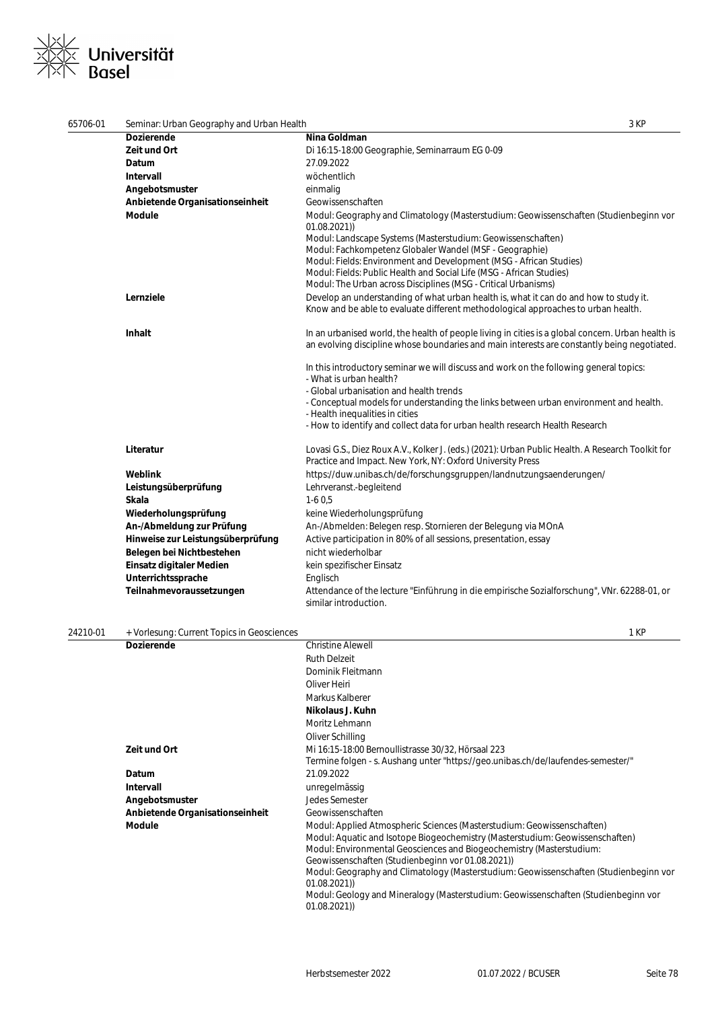## Universität **Base**

| 65706-01 | Seminar: Urban Geography and Urban Health  | 3 KP                                                                                                                                                                                                                                                                                                                                                                                                                                           |  |
|----------|--------------------------------------------|------------------------------------------------------------------------------------------------------------------------------------------------------------------------------------------------------------------------------------------------------------------------------------------------------------------------------------------------------------------------------------------------------------------------------------------------|--|
|          | <b>Dozierende</b>                          | Nina Goldman                                                                                                                                                                                                                                                                                                                                                                                                                                   |  |
|          | Zeit und Ort                               | Di 16:15-18:00 Geographie, Seminarraum EG 0-09                                                                                                                                                                                                                                                                                                                                                                                                 |  |
|          | Datum                                      | 27.09.2022                                                                                                                                                                                                                                                                                                                                                                                                                                     |  |
|          | Intervall                                  | wöchentlich                                                                                                                                                                                                                                                                                                                                                                                                                                    |  |
|          | Angebotsmuster                             | einmalig                                                                                                                                                                                                                                                                                                                                                                                                                                       |  |
|          | Anbietende Organisationseinheit            | Geowissenschaften                                                                                                                                                                                                                                                                                                                                                                                                                              |  |
|          | <b>Module</b>                              | Modul: Geography and Climatology (Masterstudium: Geowissenschaften (Studienbeginn vor<br>01.08.2021)<br>Modul: Landscape Systems (Masterstudium: Geowissenschaften)<br>Modul: Fachkompetenz Globaler Wandel (MSF - Geographie)<br>Modul: Fields: Environment and Development (MSG - African Studies)<br>Modul: Fields: Public Health and Social Life (MSG - African Studies)<br>Modul: The Urban across Disciplines (MSG - Critical Urbanisms) |  |
|          | Lernziele                                  | Develop an understanding of what urban health is, what it can do and how to study it.<br>Know and be able to evaluate different methodological approaches to urban health.                                                                                                                                                                                                                                                                     |  |
|          | Inhalt                                     | In an urbanised world, the health of people living in cities is a global concern. Urban health is<br>an evolving discipline whose boundaries and main interests are constantly being negotiated.                                                                                                                                                                                                                                               |  |
|          |                                            | In this introductory seminar we will discuss and work on the following general topics:<br>- What is urban health?<br>- Global urbanisation and health trends<br>- Conceptual models for understanding the links between urban environment and health.<br>- Health inequalities in cities<br>- How to identify and collect data for urban health research Health Research                                                                       |  |
|          | Literatur                                  | Lovasi G.S., Diez Roux A.V., Kolker J. (eds.) (2021): Urban Public Health. A Research Toolkit for<br>Practice and Impact. New York, NY: Oxford University Press                                                                                                                                                                                                                                                                                |  |
|          | Weblink                                    | https://duw.unibas.ch/de/forschungsgruppen/landnutzungsaenderungen/                                                                                                                                                                                                                                                                                                                                                                            |  |
|          | Leistungsüberprüfung                       | Lehrveranst.-begleitend                                                                                                                                                                                                                                                                                                                                                                                                                        |  |
|          | Skala                                      | $1-60,5$                                                                                                                                                                                                                                                                                                                                                                                                                                       |  |
|          | Wiederholungsprüfung                       | keine Wiederholungsprüfung                                                                                                                                                                                                                                                                                                                                                                                                                     |  |
|          | An-/Abmeldung zur Prüfung                  | An-/Abmelden: Belegen resp. Stornieren der Belegung via MOnA                                                                                                                                                                                                                                                                                                                                                                                   |  |
|          | Hinweise zur Leistungsüberprüfung          | Active participation in 80% of all sessions, presentation, essay                                                                                                                                                                                                                                                                                                                                                                               |  |
|          | Belegen bei Nichtbestehen                  | nicht wiederholbar                                                                                                                                                                                                                                                                                                                                                                                                                             |  |
|          | Einsatz digitaler Medien                   | kein spezifischer Einsatz                                                                                                                                                                                                                                                                                                                                                                                                                      |  |
|          | Unterrichtssprache                         | Englisch                                                                                                                                                                                                                                                                                                                                                                                                                                       |  |
|          | Teilnahmevoraussetzungen                   | Attendance of the lecture "Einführung in die empirische Sozialforschung", VNr. 62288-01, or<br>similar introduction.                                                                                                                                                                                                                                                                                                                           |  |
| 24210-01 | + Vorlesung: Current Topics in Geosciences | 1 KP                                                                                                                                                                                                                                                                                                                                                                                                                                           |  |
|          | <b>Dozierende</b>                          | <b>Christine Alewell</b>                                                                                                                                                                                                                                                                                                                                                                                                                       |  |
|          |                                            | <b>Ruth Delzeit</b>                                                                                                                                                                                                                                                                                                                                                                                                                            |  |
|          |                                            | Dominik Fleitmann                                                                                                                                                                                                                                                                                                                                                                                                                              |  |
|          |                                            | Oliver Heiri                                                                                                                                                                                                                                                                                                                                                                                                                                   |  |
|          |                                            | Markus Kalberer                                                                                                                                                                                                                                                                                                                                                                                                                                |  |

**Nikolaus J. Kuhn** Moritz Lehmann Oliver Schilling **Zeit und Ort** Mi 16:15-18:00 Bernoullistrasse 30/32, Hörsaal 223 Termine folgen - s. Aushang unter "https://geo.unibas.ch/de/laufendes-semester/" **Datum** 21.09.2022 **Intervall** unregelmässig **Angebotsmuster** Jedes Semester **Anbietende Organisationseinheit** Geowissenschaften **Module** Modul: Applied Atmospheric Sciences (Masterstudium: Geowissenschaften) Modul: Aquatic and Isotope Biogeochemistry (Masterstudium: Geowissenschaften) Modul: Environmental Geosciences and Biogeochemistry (Masterstudium: Geowissenschaften (Studienbeginn vor 01.08.2021)) Modul: Geography and Climatology (Masterstudium: Geowissenschaften (Studienbeginn vor 01.08.2021)) Modul: Geology and Mineralogy (Masterstudium: Geowissenschaften (Studienbeginn vor 01.08.2021))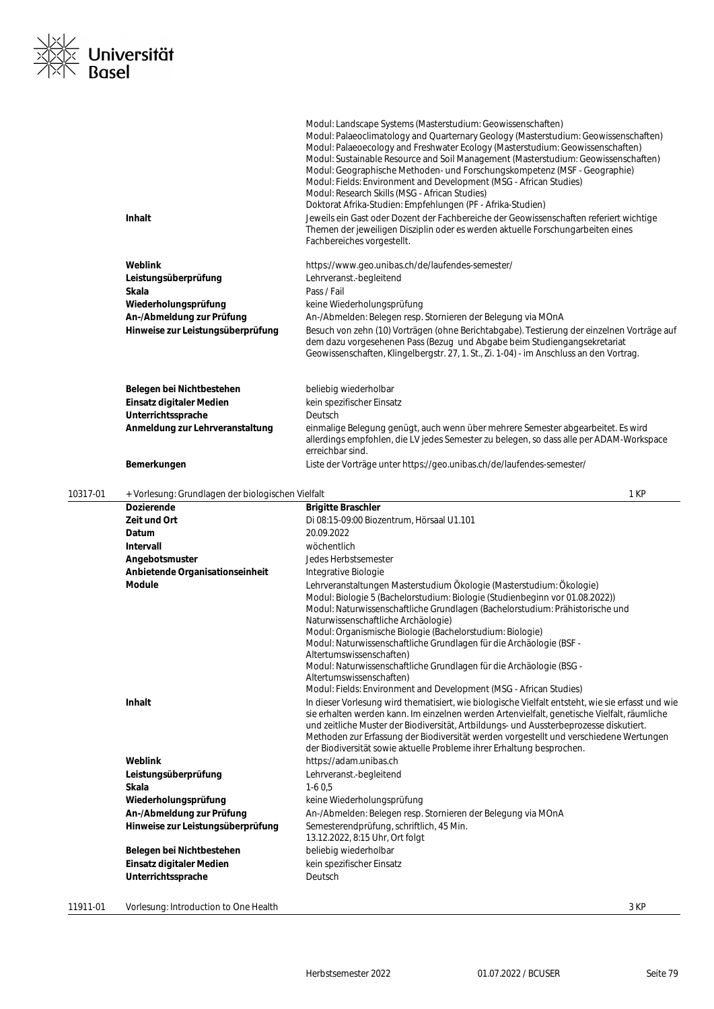

|          | Inhalt                                                                 | Modul: Landscape Systems (Masterstudium: Geowissenschaften)<br>Modul: Palaeoclimatology and Quarternary Geology (Masterstudium: Geowissenschaften)<br>Modul: Palaeoecology and Freshwater Ecology (Masterstudium: Geowissenschaften)<br>Modul: Sustainable Resource and Soil Management (Masterstudium: Geowissenschaften)<br>Modul: Geographische Methoden- und Forschungskompetenz (MSF - Geographie)<br>Modul: Fields: Environment and Development (MSG - African Studies)<br>Modul: Research Skills (MSG - African Studies)<br>Doktorat Afrika-Studien: Empfehlungen (PF - Afrika-Studien)<br>Jeweils ein Gast oder Dozent der Fachbereiche der Geowissenschaften referiert wichtige<br>Themen der jeweiligen Disziplin oder es werden aktuelle Forschungarbeiten eines<br>Fachbereiches vorgestellt. |
|----------|------------------------------------------------------------------------|-----------------------------------------------------------------------------------------------------------------------------------------------------------------------------------------------------------------------------------------------------------------------------------------------------------------------------------------------------------------------------------------------------------------------------------------------------------------------------------------------------------------------------------------------------------------------------------------------------------------------------------------------------------------------------------------------------------------------------------------------------------------------------------------------------------|
|          | Weblink                                                                | https://www.geo.unibas.ch/de/laufendes-semester/                                                                                                                                                                                                                                                                                                                                                                                                                                                                                                                                                                                                                                                                                                                                                          |
|          | Leistungsüberprüfung                                                   | Lehrveranst.-begleitend                                                                                                                                                                                                                                                                                                                                                                                                                                                                                                                                                                                                                                                                                                                                                                                   |
|          | Skala                                                                  | Pass / Fail                                                                                                                                                                                                                                                                                                                                                                                                                                                                                                                                                                                                                                                                                                                                                                                               |
|          | Wiederholungsprüfung                                                   | keine Wiederholungsprüfung                                                                                                                                                                                                                                                                                                                                                                                                                                                                                                                                                                                                                                                                                                                                                                                |
|          | An-/Abmeldung zur Prüfung                                              | An-/Abmelden: Belegen resp. Stornieren der Belegung via MOnA                                                                                                                                                                                                                                                                                                                                                                                                                                                                                                                                                                                                                                                                                                                                              |
|          | Hinweise zur Leistungsüberprüfung                                      | Besuch von zehn (10) Vorträgen (ohne Berichtabgabe). Testierung der einzelnen Vorträge auf<br>dem dazu vorgesehenen Pass (Bezug und Abgabe beim Studiengangsekretariat<br>Geowissenschaften, Klingelbergstr. 27, 1. St., Zi. 1-04) - im Anschluss an den Vortrag.                                                                                                                                                                                                                                                                                                                                                                                                                                                                                                                                         |
|          | Belegen bei Nichtbestehen                                              | beliebig wiederholbar                                                                                                                                                                                                                                                                                                                                                                                                                                                                                                                                                                                                                                                                                                                                                                                     |
|          | Einsatz digitaler Medien                                               | kein spezifischer Einsatz                                                                                                                                                                                                                                                                                                                                                                                                                                                                                                                                                                                                                                                                                                                                                                                 |
|          | Unterrichtssprache                                                     | Deutsch                                                                                                                                                                                                                                                                                                                                                                                                                                                                                                                                                                                                                                                                                                                                                                                                   |
|          | Anmeldung zur Lehrveranstaltung                                        | einmalige Belegung genügt, auch wenn über mehrere Semester abgearbeitet. Es wird<br>allerdings empfohlen, die LV jedes Semester zu belegen, so dass alle per ADAM-Workspace<br>erreichbar sind.                                                                                                                                                                                                                                                                                                                                                                                                                                                                                                                                                                                                           |
|          | Bemerkungen                                                            | Liste der Vorträge unter https://geo.unibas.ch/de/laufendes-semester/                                                                                                                                                                                                                                                                                                                                                                                                                                                                                                                                                                                                                                                                                                                                     |
| 10317-01 | + Vorlesung: Grundlagen der biologischen Vielfalt<br><b>Dozierende</b> | 1 KP                                                                                                                                                                                                                                                                                                                                                                                                                                                                                                                                                                                                                                                                                                                                                                                                      |
|          | Zeit und Ort                                                           | <b>Brigitte Braschler</b><br>Di 08:15-09:00 Biozentrum, Hörsaal U1.101                                                                                                                                                                                                                                                                                                                                                                                                                                                                                                                                                                                                                                                                                                                                    |
|          | Datum                                                                  | 20.09.2022                                                                                                                                                                                                                                                                                                                                                                                                                                                                                                                                                                                                                                                                                                                                                                                                |
|          | Intervall                                                              | wöchentlich                                                                                                                                                                                                                                                                                                                                                                                                                                                                                                                                                                                                                                                                                                                                                                                               |
|          | Angebotsmuster                                                         | Jedes Herbstsemester                                                                                                                                                                                                                                                                                                                                                                                                                                                                                                                                                                                                                                                                                                                                                                                      |
|          | Anbietende Organisationseinheit                                        | Integrative Biologie                                                                                                                                                                                                                                                                                                                                                                                                                                                                                                                                                                                                                                                                                                                                                                                      |
|          | <b>Module</b><br>Inhalt                                                | Lehrveranstaltungen Masterstudium Ökologie (Masterstudium: Ökologie)<br>Modul: Biologie 5 (Bachelorstudium: Biologie (Studienbeginn vor 01.08.2022))<br>Modul: Naturwissenschaftliche Grundlagen (Bachelorstudium: Prähistorische und<br>Naturwissenschaftliche Archäologie)<br>Modul: Organismische Biologie (Bachelorstudium: Biologie)<br>Modul: Naturwissenschaftliche Grundlagen für die Archäologie (BSF -<br>Altertumswissenschaften)<br>Modul: Naturwissenschaftliche Grundlagen für die Archäologie (BSG -<br>Altertumswissenschaften)<br>Modul: Fields: Environment and Development (MSG - African Studies)<br>In dieser Vorlesung wird thematisiert, wie biologische Vielfalt entsteht, wie sie erfasst und wie                                                                                |
|          |                                                                        | sie erhalten werden kann. Im einzelnen werden Artenvielfalt, genetische Vielfalt, räumliche<br>und zeitliche Muster der Biodiversität, Artbildungs- und Aussterbeprozesse diskutiert.<br>Methoden zur Erfassung der Biodiversität werden vorgestellt und verschiedene Wertungen<br>der Biodiversität sowie aktuelle Probleme ihrer Erhaltung besprochen.                                                                                                                                                                                                                                                                                                                                                                                                                                                  |
|          | Weblink                                                                | https://adam.unibas.ch                                                                                                                                                                                                                                                                                                                                                                                                                                                                                                                                                                                                                                                                                                                                                                                    |
|          | Leistungsüberprüfung                                                   | Lehrveranst.-begleitend                                                                                                                                                                                                                                                                                                                                                                                                                                                                                                                                                                                                                                                                                                                                                                                   |
|          | Skala                                                                  | $1-60,5$                                                                                                                                                                                                                                                                                                                                                                                                                                                                                                                                                                                                                                                                                                                                                                                                  |
|          | Wiederholungsprüfung                                                   | keine Wiederholungsprüfung                                                                                                                                                                                                                                                                                                                                                                                                                                                                                                                                                                                                                                                                                                                                                                                |
|          | An-/Abmeldung zur Prüfung<br>Hinweise zur Leistungsüberprüfung         | An-/Abmelden: Belegen resp. Stornieren der Belegung via MOnA<br>Semesterendprüfung, schriftlich, 45 Min.                                                                                                                                                                                                                                                                                                                                                                                                                                                                                                                                                                                                                                                                                                  |
|          |                                                                        | 13.12.2022, 8:15 Uhr, Ort folgt                                                                                                                                                                                                                                                                                                                                                                                                                                                                                                                                                                                                                                                                                                                                                                           |
|          | Belegen bei Nichtbestehen                                              | beliebig wiederholbar                                                                                                                                                                                                                                                                                                                                                                                                                                                                                                                                                                                                                                                                                                                                                                                     |
|          | Einsatz digitaler Medien                                               | kein spezifischer Einsatz                                                                                                                                                                                                                                                                                                                                                                                                                                                                                                                                                                                                                                                                                                                                                                                 |
|          |                                                                        |                                                                                                                                                                                                                                                                                                                                                                                                                                                                                                                                                                                                                                                                                                                                                                                                           |
|          | Unterrichtssprache                                                     | Deutsch                                                                                                                                                                                                                                                                                                                                                                                                                                                                                                                                                                                                                                                                                                                                                                                                   |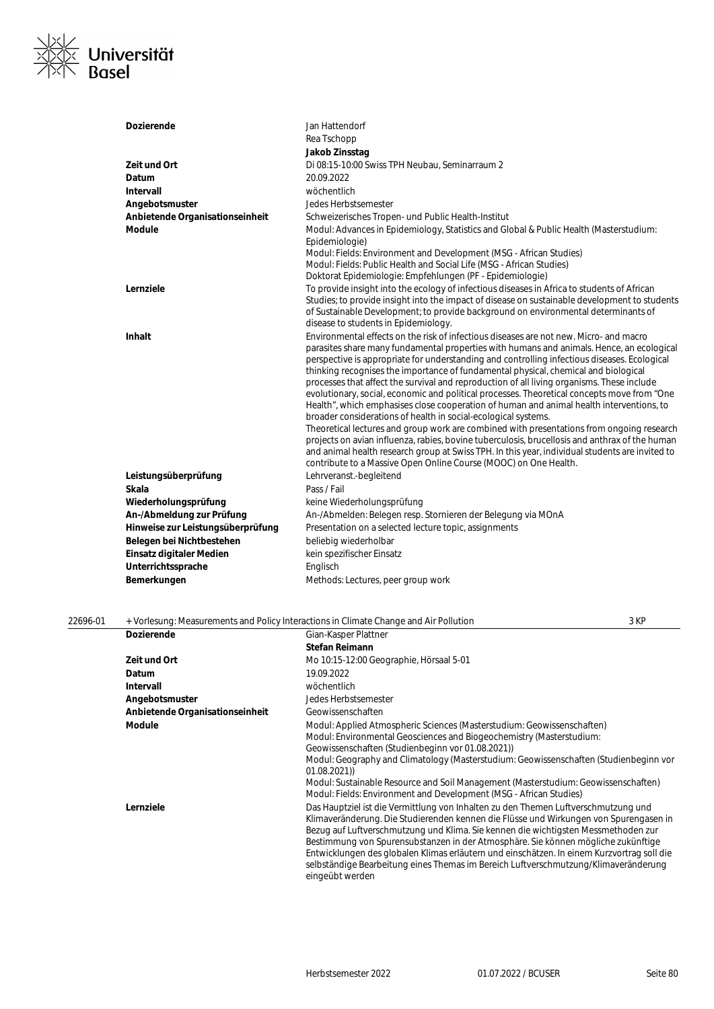

| <b>Dozierende</b>                 | Jan Hattendorf                                                                                                                                                                                                                                                                                                                                                                                                                                                                                                                                                                                                                                                                                                                                                                                                                                                                                                                                                                                                                                                                                              |
|-----------------------------------|-------------------------------------------------------------------------------------------------------------------------------------------------------------------------------------------------------------------------------------------------------------------------------------------------------------------------------------------------------------------------------------------------------------------------------------------------------------------------------------------------------------------------------------------------------------------------------------------------------------------------------------------------------------------------------------------------------------------------------------------------------------------------------------------------------------------------------------------------------------------------------------------------------------------------------------------------------------------------------------------------------------------------------------------------------------------------------------------------------------|
|                                   | Rea Tschopp                                                                                                                                                                                                                                                                                                                                                                                                                                                                                                                                                                                                                                                                                                                                                                                                                                                                                                                                                                                                                                                                                                 |
|                                   | Jakob Zinsstag                                                                                                                                                                                                                                                                                                                                                                                                                                                                                                                                                                                                                                                                                                                                                                                                                                                                                                                                                                                                                                                                                              |
| Zeit und Ort                      | Di 08:15-10:00 Swiss TPH Neubau, Seminarraum 2                                                                                                                                                                                                                                                                                                                                                                                                                                                                                                                                                                                                                                                                                                                                                                                                                                                                                                                                                                                                                                                              |
| Datum                             | 20.09.2022                                                                                                                                                                                                                                                                                                                                                                                                                                                                                                                                                                                                                                                                                                                                                                                                                                                                                                                                                                                                                                                                                                  |
| Intervall                         | wöchentlich                                                                                                                                                                                                                                                                                                                                                                                                                                                                                                                                                                                                                                                                                                                                                                                                                                                                                                                                                                                                                                                                                                 |
| Angebotsmuster                    | <b>Jedes Herbstsemester</b>                                                                                                                                                                                                                                                                                                                                                                                                                                                                                                                                                                                                                                                                                                                                                                                                                                                                                                                                                                                                                                                                                 |
| Anbietende Organisationseinheit   | Schweizerisches Tropen- und Public Health-Institut                                                                                                                                                                                                                                                                                                                                                                                                                                                                                                                                                                                                                                                                                                                                                                                                                                                                                                                                                                                                                                                          |
| <b>Module</b>                     | Modul: Advances in Epidemiology, Statistics and Global & Public Health (Masterstudium:<br>Epidemiologie)                                                                                                                                                                                                                                                                                                                                                                                                                                                                                                                                                                                                                                                                                                                                                                                                                                                                                                                                                                                                    |
|                                   | Modul: Fields: Environment and Development (MSG - African Studies)<br>Modul: Fields: Public Health and Social Life (MSG - African Studies)                                                                                                                                                                                                                                                                                                                                                                                                                                                                                                                                                                                                                                                                                                                                                                                                                                                                                                                                                                  |
|                                   | Doktorat Epidemiologie: Empfehlungen (PF - Epidemiologie)                                                                                                                                                                                                                                                                                                                                                                                                                                                                                                                                                                                                                                                                                                                                                                                                                                                                                                                                                                                                                                                   |
| Lernziele                         | To provide insight into the ecology of infectious diseases in Africa to students of African<br>Studies; to provide insight into the impact of disease on sustainable development to students<br>of Sustainable Development; to provide background on environmental determinants of<br>disease to students in Epidemiology.                                                                                                                                                                                                                                                                                                                                                                                                                                                                                                                                                                                                                                                                                                                                                                                  |
| <b>Inhalt</b>                     | Environmental effects on the risk of infectious diseases are not new. Micro- and macro<br>parasites share many fundamental properties with humans and animals. Hence, an ecological<br>perspective is appropriate for understanding and controlling infectious diseases. Ecological<br>thinking recognises the importance of fundamental physical, chemical and biological<br>processes that affect the survival and reproduction of all living organisms. These include<br>evolutionary, social, economic and political processes. Theoretical concepts move from "One<br>Health", which emphasises close cooperation of human and animal health interventions, to<br>broader considerations of health in social-ecological systems.<br>Theoretical lectures and group work are combined with presentations from ongoing research<br>projects on avian influenza, rabies, bovine tuberculosis, brucellosis and anthrax of the human<br>and animal health research group at Swiss TPH. In this year, individual students are invited to<br>contribute to a Massive Open Online Course (MOOC) on One Health. |
| Leistungsüberprüfung              | Lehrveranst.-begleitend                                                                                                                                                                                                                                                                                                                                                                                                                                                                                                                                                                                                                                                                                                                                                                                                                                                                                                                                                                                                                                                                                     |
| <b>Skala</b>                      | Pass / Fail                                                                                                                                                                                                                                                                                                                                                                                                                                                                                                                                                                                                                                                                                                                                                                                                                                                                                                                                                                                                                                                                                                 |
| Wiederholungsprüfung              | keine Wiederholungsprüfung                                                                                                                                                                                                                                                                                                                                                                                                                                                                                                                                                                                                                                                                                                                                                                                                                                                                                                                                                                                                                                                                                  |
| An-/Abmeldung zur Prüfung         | An-/Abmelden: Belegen resp. Stornieren der Belegung via MOnA                                                                                                                                                                                                                                                                                                                                                                                                                                                                                                                                                                                                                                                                                                                                                                                                                                                                                                                                                                                                                                                |
| Hinweise zur Leistungsüberprüfung | Presentation on a selected lecture topic, assignments                                                                                                                                                                                                                                                                                                                                                                                                                                                                                                                                                                                                                                                                                                                                                                                                                                                                                                                                                                                                                                                       |
| Belegen bei Nichtbestehen         | beliebig wiederholbar                                                                                                                                                                                                                                                                                                                                                                                                                                                                                                                                                                                                                                                                                                                                                                                                                                                                                                                                                                                                                                                                                       |
| Einsatz digitaler Medien          | kein spezifischer Einsatz                                                                                                                                                                                                                                                                                                                                                                                                                                                                                                                                                                                                                                                                                                                                                                                                                                                                                                                                                                                                                                                                                   |
| Unterrichtssprache                | Englisch                                                                                                                                                                                                                                                                                                                                                                                                                                                                                                                                                                                                                                                                                                                                                                                                                                                                                                                                                                                                                                                                                                    |
| Bemerkungen                       | Methods: Lectures, peer group work                                                                                                                                                                                                                                                                                                                                                                                                                                                                                                                                                                                                                                                                                                                                                                                                                                                                                                                                                                                                                                                                          |

| 22696-01 |                                 | + Vorlesung: Measurements and Policy Interactions in Climate Change and Air Pollution                                                                                                                                                                                                                                                                                                                                                                                                                                                                          | 3 KP |
|----------|---------------------------------|----------------------------------------------------------------------------------------------------------------------------------------------------------------------------------------------------------------------------------------------------------------------------------------------------------------------------------------------------------------------------------------------------------------------------------------------------------------------------------------------------------------------------------------------------------------|------|
|          | <b>Dozierende</b>               | Gian-Kasper Plattner                                                                                                                                                                                                                                                                                                                                                                                                                                                                                                                                           |      |
|          |                                 | Stefan Reimann                                                                                                                                                                                                                                                                                                                                                                                                                                                                                                                                                 |      |
|          | Zeit und Ort                    | Mo 10:15-12:00 Geographie, Hörsaal 5-01                                                                                                                                                                                                                                                                                                                                                                                                                                                                                                                        |      |
|          | Datum                           | 19.09.2022                                                                                                                                                                                                                                                                                                                                                                                                                                                                                                                                                     |      |
|          | <b>Intervall</b>                | wöchentlich                                                                                                                                                                                                                                                                                                                                                                                                                                                                                                                                                    |      |
|          | Angebotsmuster                  | Jedes Herbstsemester                                                                                                                                                                                                                                                                                                                                                                                                                                                                                                                                           |      |
|          | Anbietende Organisationseinheit | Geowissenschaften                                                                                                                                                                                                                                                                                                                                                                                                                                                                                                                                              |      |
|          | <b>Module</b>                   | Modul: Applied Atmospheric Sciences (Masterstudium: Geowissenschaften)<br>Modul: Environmental Geosciences and Biogeochemistry (Masterstudium:<br>Geowissenschaften (Studienbeginn vor 01.08.2021))<br>Modul: Geography and Climatology (Masterstudium: Geowissenschaften (Studienbeginn vor<br>01.08.2021)<br>Modul: Sustainable Resource and Soil Management (Masterstudium: Geowissenschaften)<br>Modul: Fields: Environment and Development (MSG - African Studies)                                                                                        |      |
|          | Lernziele                       | Das Hauptziel ist die Vermittlung von Inhalten zu den Themen Luftverschmutzung und<br>Klimaveränderung. Die Studierenden kennen die Flüsse und Wirkungen von Spurengasen in<br>Bezug auf Luftverschmutzung und Klima. Sie kennen die wichtigsten Messmethoden zur<br>Bestimmung von Spurensubstanzen in der Atmosphäre. Sie können mögliche zukünftige<br>Entwicklungen des globalen Klimas erläutern und einschätzen. In einem Kurzvortrag soll die<br>selbständige Bearbeitung eines Themas im Bereich Luftverschmutzung/Klimaveränderung<br>eingeübt werden |      |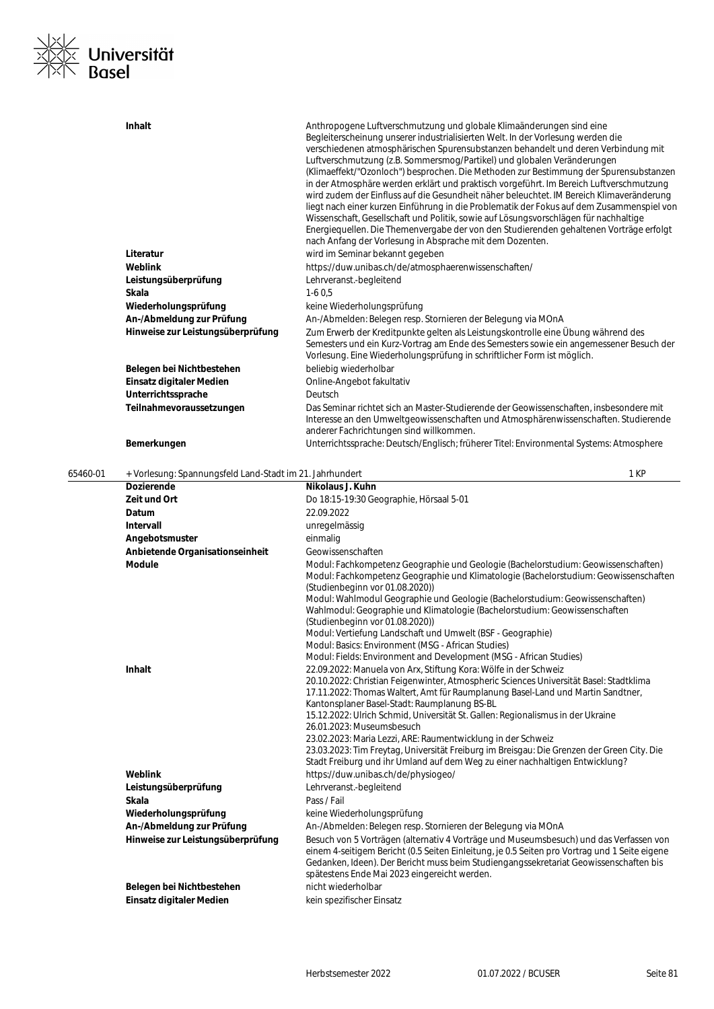

|          | Inhalt                                                   | Anthropogene Luftverschmutzung und globale Klimaänderungen sind eine<br>Begleiterscheinung unserer industrialisierten Welt. In der Vorlesung werden die<br>verschiedenen atmosphärischen Spurensubstanzen behandelt und deren Verbindung mit<br>Luftverschmutzung (z.B. Sommersmog/Partikel) und globalen Veränderungen<br>(Klimaeffekt/"Ozonloch") besprochen. Die Methoden zur Bestimmung der Spurensubstanzen<br>in der Atmosphäre werden erklärt und praktisch vorgeführt. Im Bereich Luftverschmutzung<br>wird zudem der Einfluss auf die Gesundheit näher beleuchtet. IM Bereich Klimaveränderung<br>liegt nach einer kurzen Einführung in die Problematik der Fokus auf dem Zusammenspiel von<br>Wissenschaft, Gesellschaft und Politik, sowie auf Lösungsvorschlägen für nachhaltige<br>Energiequellen. Die Themenvergabe der von den Studierenden gehaltenen Vorträge erfolgt<br>nach Anfang der Vorlesung in Absprache mit dem Dozenten. |
|----------|----------------------------------------------------------|----------------------------------------------------------------------------------------------------------------------------------------------------------------------------------------------------------------------------------------------------------------------------------------------------------------------------------------------------------------------------------------------------------------------------------------------------------------------------------------------------------------------------------------------------------------------------------------------------------------------------------------------------------------------------------------------------------------------------------------------------------------------------------------------------------------------------------------------------------------------------------------------------------------------------------------------------|
|          | Literatur                                                | wird im Seminar bekannt gegeben                                                                                                                                                                                                                                                                                                                                                                                                                                                                                                                                                                                                                                                                                                                                                                                                                                                                                                                    |
|          | Weblink                                                  | https://duw.unibas.ch/de/atmosphaerenwissenschaften/                                                                                                                                                                                                                                                                                                                                                                                                                                                                                                                                                                                                                                                                                                                                                                                                                                                                                               |
|          | Leistungsüberprüfung                                     | Lehrveranst.-begleitend                                                                                                                                                                                                                                                                                                                                                                                                                                                                                                                                                                                                                                                                                                                                                                                                                                                                                                                            |
|          | Skala                                                    | $1-60,5$                                                                                                                                                                                                                                                                                                                                                                                                                                                                                                                                                                                                                                                                                                                                                                                                                                                                                                                                           |
|          | Wiederholungsprüfung                                     | keine Wiederholungsprüfung                                                                                                                                                                                                                                                                                                                                                                                                                                                                                                                                                                                                                                                                                                                                                                                                                                                                                                                         |
|          | An-/Abmeldung zur Prüfung                                | An-/Abmelden: Belegen resp. Stornieren der Belegung via MOnA                                                                                                                                                                                                                                                                                                                                                                                                                                                                                                                                                                                                                                                                                                                                                                                                                                                                                       |
|          | Hinweise zur Leistungsüberprüfung                        | Zum Erwerb der Kreditpunkte gelten als Leistungskontrolle eine Übung während des<br>Semesters und ein Kurz-Vortrag am Ende des Semesters sowie ein angemessener Besuch der                                                                                                                                                                                                                                                                                                                                                                                                                                                                                                                                                                                                                                                                                                                                                                         |
|          |                                                          | Vorlesung. Eine Wiederholungsprüfung in schriftlicher Form ist möglich.                                                                                                                                                                                                                                                                                                                                                                                                                                                                                                                                                                                                                                                                                                                                                                                                                                                                            |
|          | Belegen bei Nichtbestehen                                | beliebig wiederholbar                                                                                                                                                                                                                                                                                                                                                                                                                                                                                                                                                                                                                                                                                                                                                                                                                                                                                                                              |
|          | Einsatz digitaler Medien                                 | Online-Angebot fakultativ                                                                                                                                                                                                                                                                                                                                                                                                                                                                                                                                                                                                                                                                                                                                                                                                                                                                                                                          |
|          | Unterrichtssprache                                       | Deutsch                                                                                                                                                                                                                                                                                                                                                                                                                                                                                                                                                                                                                                                                                                                                                                                                                                                                                                                                            |
|          |                                                          |                                                                                                                                                                                                                                                                                                                                                                                                                                                                                                                                                                                                                                                                                                                                                                                                                                                                                                                                                    |
|          | Teilnahmevoraussetzungen                                 | Das Seminar richtet sich an Master-Studierende der Geowissenschaften, insbesondere mit<br>Interesse an den Umweltgeowissenschaften und Atmosphärenwissenschaften. Studierende<br>anderer Fachrichtungen sind willkommen.                                                                                                                                                                                                                                                                                                                                                                                                                                                                                                                                                                                                                                                                                                                           |
|          | Bemerkungen                                              | Unterrichtssprache: Deutsch/Englisch; früherer Titel: Environmental Systems: Atmosphere                                                                                                                                                                                                                                                                                                                                                                                                                                                                                                                                                                                                                                                                                                                                                                                                                                                            |
|          |                                                          |                                                                                                                                                                                                                                                                                                                                                                                                                                                                                                                                                                                                                                                                                                                                                                                                                                                                                                                                                    |
| 65460-01 | + Vorlesung: Spannungsfeld Land-Stadt im 21. Jahrhundert | 1 KP                                                                                                                                                                                                                                                                                                                                                                                                                                                                                                                                                                                                                                                                                                                                                                                                                                                                                                                                               |
|          | <b>Dozierende</b>                                        | Nikolaus J. Kuhn                                                                                                                                                                                                                                                                                                                                                                                                                                                                                                                                                                                                                                                                                                                                                                                                                                                                                                                                   |
|          | Zeit und Ort                                             | Do 18:15-19:30 Geographie, Hörsaal 5-01                                                                                                                                                                                                                                                                                                                                                                                                                                                                                                                                                                                                                                                                                                                                                                                                                                                                                                            |
|          | Datum                                                    | 22.09.2022                                                                                                                                                                                                                                                                                                                                                                                                                                                                                                                                                                                                                                                                                                                                                                                                                                                                                                                                         |
|          | <b>Intervall</b>                                         | unregelmässig                                                                                                                                                                                                                                                                                                                                                                                                                                                                                                                                                                                                                                                                                                                                                                                                                                                                                                                                      |
|          | Angebotsmuster                                           | einmalig                                                                                                                                                                                                                                                                                                                                                                                                                                                                                                                                                                                                                                                                                                                                                                                                                                                                                                                                           |
|          | Anbietende Organisationseinheit                          | Geowissenschaften                                                                                                                                                                                                                                                                                                                                                                                                                                                                                                                                                                                                                                                                                                                                                                                                                                                                                                                                  |
|          | <b>Module</b>                                            | Modul: Fachkompetenz Geographie und Geologie (Bachelorstudium: Geowissenschaften)<br>Modul: Fachkompetenz Geographie und Klimatologie (Bachelorstudium: Geowissenschaften<br>(Studienbeginn vor 01.08.2020))<br>Modul: Wahlmodul Geographie und Geologie (Bachelorstudium: Geowissenschaften)<br>Wahlmodul: Geographie und Klimatologie (Bachelorstudium: Geowissenschaften<br>(Studienbeginn vor 01.08.2020))<br>Modul: Vertiefung Landschaft und Umwelt (BSF - Geographie)<br>Modul: Basics: Environment (MSG - African Studies)<br>Modul: Fields: Environment and Development (MSG - African Studies)                                                                                                                                                                                                                                                                                                                                           |
|          | Inhalt                                                   | 22.09.2022: Manuela von Arx, Stiftung Kora: Wölfe in der Schweiz                                                                                                                                                                                                                                                                                                                                                                                                                                                                                                                                                                                                                                                                                                                                                                                                                                                                                   |
|          |                                                          | 20.10.2022: Christian Feigenwinter, Atmospheric Sciences Universität Basel: Stadtklima<br>17.11.2022: Thomas Waltert, Amt für Raumplanung Basel-Land und Martin Sandtner,<br>Kantonsplaner Basel-Stadt: Raumplanung BS-BL<br>15.12.2022: Ulrich Schmid, Universität St. Gallen: Regionalismus in der Ukraine<br>26.01.2023: Museumsbesuch<br>23.02.2023: Maria Lezzi, ARE: Raumentwicklung in der Schweiz<br>23.03.2023: Tim Freytag, Universität Freiburg im Breisgau: Die Grenzen der Green City. Die<br>Stadt Freiburg und ihr Umland auf dem Weg zu einer nachhaltigen Entwicklung?                                                                                                                                                                                                                                                                                                                                                            |
|          | Weblink                                                  | https://duw.unibas.ch/de/physiogeo/                                                                                                                                                                                                                                                                                                                                                                                                                                                                                                                                                                                                                                                                                                                                                                                                                                                                                                                |
|          | Leistungsüberprüfung                                     | Lehrveranst.-begleitend                                                                                                                                                                                                                                                                                                                                                                                                                                                                                                                                                                                                                                                                                                                                                                                                                                                                                                                            |
|          | Skala                                                    | Pass / Fail                                                                                                                                                                                                                                                                                                                                                                                                                                                                                                                                                                                                                                                                                                                                                                                                                                                                                                                                        |
|          | Wiederholungsprüfung                                     | keine Wiederholungsprüfung                                                                                                                                                                                                                                                                                                                                                                                                                                                                                                                                                                                                                                                                                                                                                                                                                                                                                                                         |
|          | An-/Abmeldung zur Prüfung                                | An-/Abmelden: Belegen resp. Stornieren der Belegung via MOnA                                                                                                                                                                                                                                                                                                                                                                                                                                                                                                                                                                                                                                                                                                                                                                                                                                                                                       |
|          | Hinweise zur Leistungsüberprüfung                        | Besuch von 5 Vorträgen (alternativ 4 Vorträge und Museumsbesuch) und das Verfassen von                                                                                                                                                                                                                                                                                                                                                                                                                                                                                                                                                                                                                                                                                                                                                                                                                                                             |
|          |                                                          | einem 4-seitigem Bericht (0.5 Seiten Einleitung, je 0.5 Seiten pro Vortrag und 1 Seite eigene<br>Gedanken, Ideen). Der Bericht muss beim Studiengangssekretariat Geowissenschaften bis<br>spätestens Ende Mai 2023 eingereicht werden.                                                                                                                                                                                                                                                                                                                                                                                                                                                                                                                                                                                                                                                                                                             |
|          | Belegen bei Nichtbestehen                                | nicht wiederholbar                                                                                                                                                                                                                                                                                                                                                                                                                                                                                                                                                                                                                                                                                                                                                                                                                                                                                                                                 |
|          | Einsatz digitaler Medien                                 | kein spezifischer Einsatz                                                                                                                                                                                                                                                                                                                                                                                                                                                                                                                                                                                                                                                                                                                                                                                                                                                                                                                          |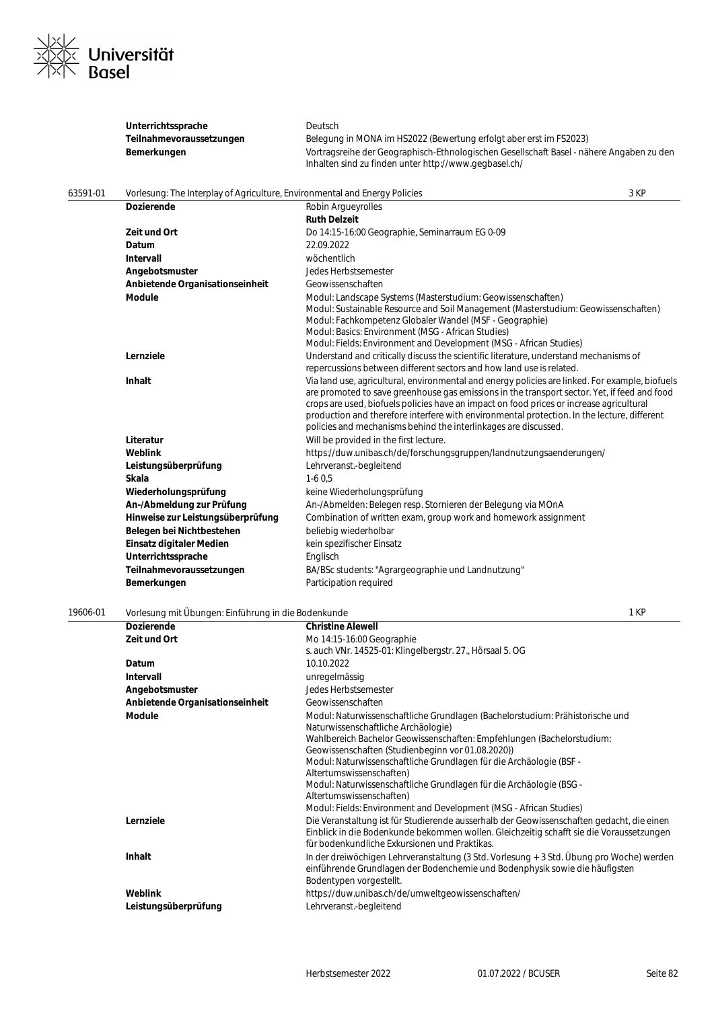

|          | Unterrichtssprache                                                         | Deutsch                                                                                                                                                                                                                                                                                                                                                                                                                                                       |      |
|----------|----------------------------------------------------------------------------|---------------------------------------------------------------------------------------------------------------------------------------------------------------------------------------------------------------------------------------------------------------------------------------------------------------------------------------------------------------------------------------------------------------------------------------------------------------|------|
|          | Teilnahmevoraussetzungen                                                   | Belegung in MONA im HS2022 (Bewertung erfolgt aber erst im FS2023)                                                                                                                                                                                                                                                                                                                                                                                            |      |
|          | Bemerkungen                                                                | Vortragsreihe der Geographisch-Ethnologischen Gesellschaft Basel - nähere Angaben zu den<br>Inhalten sind zu finden unter http://www.gegbasel.ch/                                                                                                                                                                                                                                                                                                             |      |
| 63591-01 | Vorlesung: The Interplay of Agriculture, Environmental and Energy Policies |                                                                                                                                                                                                                                                                                                                                                                                                                                                               | 3 KP |
|          | <b>Dozierende</b>                                                          | <b>Robin Arqueyrolles</b>                                                                                                                                                                                                                                                                                                                                                                                                                                     |      |
|          |                                                                            | <b>Ruth Delzeit</b>                                                                                                                                                                                                                                                                                                                                                                                                                                           |      |
|          | Zeit und Ort                                                               | Do 14:15-16:00 Geographie, Seminarraum EG 0-09                                                                                                                                                                                                                                                                                                                                                                                                                |      |
|          | Datum                                                                      | 22.09.2022                                                                                                                                                                                                                                                                                                                                                                                                                                                    |      |
|          | <b>Intervall</b>                                                           | wöchentlich                                                                                                                                                                                                                                                                                                                                                                                                                                                   |      |
|          | Angebotsmuster                                                             | Jedes Herbstsemester                                                                                                                                                                                                                                                                                                                                                                                                                                          |      |
|          | Anbietende Organisationseinheit                                            | Geowissenschaften                                                                                                                                                                                                                                                                                                                                                                                                                                             |      |
|          | <b>Module</b>                                                              | Modul: Landscape Systems (Masterstudium: Geowissenschaften)<br>Modul: Sustainable Resource and Soil Management (Masterstudium: Geowissenschaften)<br>Modul: Fachkompetenz Globaler Wandel (MSF - Geographie)<br>Modul: Basics: Environment (MSG - African Studies)<br>Modul: Fields: Environment and Development (MSG - African Studies)                                                                                                                      |      |
|          | Lernziele                                                                  | Understand and critically discuss the scientific literature, understand mechanisms of<br>repercussions between different sectors and how land use is related.                                                                                                                                                                                                                                                                                                 |      |
|          | Inhalt                                                                     | Via land use, agricultural, environmental and energy policies are linked. For example, biofuels<br>are promoted to save greenhouse gas emissions in the transport sector. Yet, if feed and food<br>crops are used, biofuels policies have an impact on food prices or increase agricultural<br>production and therefore interfere with environmental protection. In the lecture, different<br>policies and mechanisms behind the interlinkages are discussed. |      |
|          | Literatur                                                                  | Will be provided in the first lecture.                                                                                                                                                                                                                                                                                                                                                                                                                        |      |
|          | Weblink                                                                    | https://duw.unibas.ch/de/forschungsgruppen/landnutzungsaenderungen/                                                                                                                                                                                                                                                                                                                                                                                           |      |
|          | Leistungsüberprüfung                                                       | Lehrveranst.-begleitend                                                                                                                                                                                                                                                                                                                                                                                                                                       |      |
|          | Skala                                                                      | $1-60,5$                                                                                                                                                                                                                                                                                                                                                                                                                                                      |      |
|          | Wiederholungsprüfung                                                       | keine Wiederholungsprüfung                                                                                                                                                                                                                                                                                                                                                                                                                                    |      |
|          | An-/Abmeldung zur Prüfung                                                  | An-/Abmelden: Belegen resp. Stornieren der Belegung via MOnA                                                                                                                                                                                                                                                                                                                                                                                                  |      |
|          | Hinweise zur Leistungsüberprüfung                                          | Combination of written exam, group work and homework assignment                                                                                                                                                                                                                                                                                                                                                                                               |      |
|          | Belegen bei Nichtbestehen                                                  | beliebig wiederholbar                                                                                                                                                                                                                                                                                                                                                                                                                                         |      |
|          | Einsatz digitaler Medien                                                   | kein spezifischer Einsatz                                                                                                                                                                                                                                                                                                                                                                                                                                     |      |
|          | Unterrichtssprache                                                         | Englisch                                                                                                                                                                                                                                                                                                                                                                                                                                                      |      |
|          | Teilnahmevoraussetzungen                                                   | BA/BSc students: "Agrargeographie und Landnutzung"                                                                                                                                                                                                                                                                                                                                                                                                            |      |
|          | Bemerkungen                                                                | Participation required                                                                                                                                                                                                                                                                                                                                                                                                                                        |      |
| 19606-01 | Vorlesung mit Übungen: Einführung in die Bodenkunde                        |                                                                                                                                                                                                                                                                                                                                                                                                                                                               | 1 KP |
|          | <b>Dozierende</b>                                                          | <b>Christine Alewell</b>                                                                                                                                                                                                                                                                                                                                                                                                                                      |      |
|          | Zeit und Ort                                                               | Mo 14:15-16:00 Geographie<br>s. auch VNr. 14525-01: Klingelbergstr. 27., Hörsaal 5. OG                                                                                                                                                                                                                                                                                                                                                                        |      |
|          | Datum                                                                      | 10.10.2022                                                                                                                                                                                                                                                                                                                                                                                                                                                    |      |
|          | <b>Intervall</b>                                                           | unregelmässig                                                                                                                                                                                                                                                                                                                                                                                                                                                 |      |
|          | Angebotsmuster                                                             | Jedes Herbstsemester                                                                                                                                                                                                                                                                                                                                                                                                                                          |      |
|          | Anbietende Organisationseinheit                                            | Geowissenschaften                                                                                                                                                                                                                                                                                                                                                                                                                                             |      |
|          | <b>Module</b>                                                              | Modul: Naturwissenschaftliche Grundlagen (Bachelorstudium: Prähistorische und<br>Naturwissenschaftliche Archäologie)<br>Wahlbereich Bachelor Geowissenschaften: Empfehlungen (Bachelorstudium:<br>Geowissenschaften (Studienbeginn vor 01.08.2020))<br>Modul: Naturwissenschaftliche Grundlagen für die Archäologie (BSF -                                                                                                                                    |      |
|          | Lernziele                                                                  | Altertumswissenschaften)<br>Modul: Naturwissenschaftliche Grundlagen für die Archäologie (BSG -<br>Altertumswissenschaften)<br>Modul: Fields: Environment and Development (MSG - African Studies)<br>Die Veranstaltung ist für Studierende ausserhalb der Geowissenschaften gedacht, die einen                                                                                                                                                                |      |
|          |                                                                            | Einblick in die Bodenkunde bekommen wollen. Gleichzeitig schafft sie die Voraussetzungen<br>für bodenkundliche Exkursionen und Praktikas.                                                                                                                                                                                                                                                                                                                     |      |
|          | Inhalt                                                                     | In der dreiwöchigen Lehrveranstaltung (3 Std. Vorlesung + 3 Std. Übung pro Woche) werden<br>einführende Grundlagen der Bodenchemie und Bodenphysik sowie die häufigsten                                                                                                                                                                                                                                                                                       |      |

- Bodentypen vorgestellt. **Weblink https://duw.unibas.ch/de/umweltgeowissenschaften/**
- **Leistungsüberprüfung** Lehrveranst.-begleitend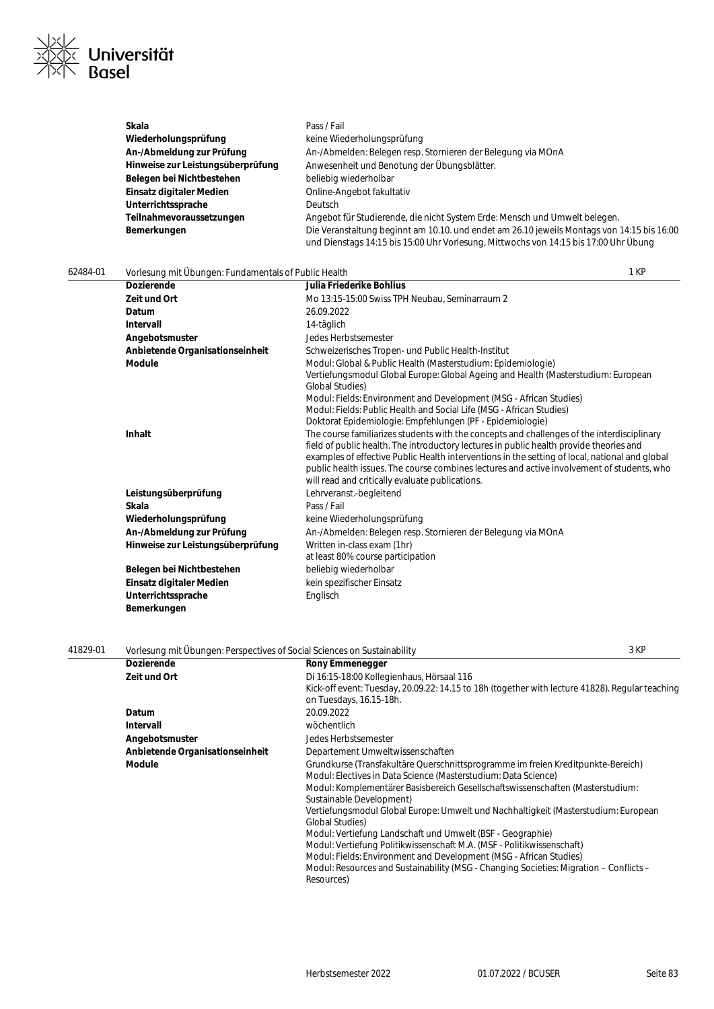

| Skala                             | Pass / Fail                                                                                                                                                                        |
|-----------------------------------|------------------------------------------------------------------------------------------------------------------------------------------------------------------------------------|
| Wiederholungsprüfung              | keine Wiederholungsprüfung                                                                                                                                                         |
| An-/Abmeldung zur Prüfung         | An-/Abmelden: Belegen resp. Stornieren der Belegung via MOnA                                                                                                                       |
| Hinweise zur Leistungsüberprüfung | Anwesenheit und Benotung der Übungsblätter.                                                                                                                                        |
| Belegen bei Nichtbestehen         | beliebig wiederholbar                                                                                                                                                              |
| Einsatz digitaler Medien          | Online-Angebot fakultativ                                                                                                                                                          |
| Unterrichtssprache                | <b>Deutsch</b>                                                                                                                                                                     |
| Teilnahmevoraussetzungen          | Angebot für Studierende, die nicht System Erde: Mensch und Umwelt belegen.                                                                                                         |
| Bemerkungen                       | Die Veranstaltung beginnt am 10.10. und endet am 26.10 jeweils Montags von 14:15 bis 16:00<br>und Dienstags 14:15 bis 15:00 Uhr Vorlesung, Mittwochs von 14:15 bis 17:00 Uhr Übung |

#### 62484-01 Vorlesung mit Übungen: Fundamentals of Public Health 1 KP **Dozierende Julia Friederike Bohlius Zeit und Ort** Mo 13:15-15:00 Swiss TPH Neubau, Seminarraum 2 **Datum** 26.09.2022<br> **Intervall** 24-täglich **Intervall** 14-täglich **Angebotsmuster** Jedes Herbstsemester **Anbietende Organisationseinheit** Schweizerisches Tropen- und Public Health-Institut **Module** Modul: Global & Public Health (Masterstudium: Epidemiologie) Vertiefungsmodul Global Europe: Global Ageing and Health (Masterstudium: European Global Studies) Modul: Fields: Environment and Development (MSG - African Studies) Modul: Fields: Public Health and Social Life (MSG - African Studies) Doktorat Epidemiologie: Empfehlungen (PF - Epidemiologie) **Inhalt Inhalt** The course familiarizes students with the concepts and challenges of the interdisciplinary field of public health. The introductory lectures in public health provide theories and examples of effective Public Health interventions in the setting of local, national and global public health issues. The course combines lectures and active involvement of students, who will read and critically evaluate publications. **Leistungsüberprüfung** Lehrveranst.-begleitend **Skala** Pass / Fail Wiederholungsprüfung **Keine Wiederholungsprüfung** An-/Abmeldung zur Prüfung **An-/Abmelden: Belegen resp. Stornieren der Belegung via MOnA Hinweise zur Leistungsüberprüfung** Written in-class exam (1hr) at least 80% course participation Belegen bei Nichtbestehen beliebig wiederholbar **Einsatz digitaler Medien** kein spezifischer Einsatz Unterrichtssprache **Englisch Bemerkungen**

| 41829-01 | 3 KP<br>Vorlesung mit Übungen: Perspectives of Social Sciences on Sustainability |                                                                                                                                                                                                                                                                                                                                                                                                                                                                                                                                                                                                                                                                                                         |  |
|----------|----------------------------------------------------------------------------------|---------------------------------------------------------------------------------------------------------------------------------------------------------------------------------------------------------------------------------------------------------------------------------------------------------------------------------------------------------------------------------------------------------------------------------------------------------------------------------------------------------------------------------------------------------------------------------------------------------------------------------------------------------------------------------------------------------|--|
|          | <b>Dozierende</b>                                                                | <b>Rony Emmenegger</b>                                                                                                                                                                                                                                                                                                                                                                                                                                                                                                                                                                                                                                                                                  |  |
|          | Zeit und Ort                                                                     | Di 16:15-18:00 Kollegienhaus, Hörsaal 116                                                                                                                                                                                                                                                                                                                                                                                                                                                                                                                                                                                                                                                               |  |
|          |                                                                                  | Kick-off event: Tuesday, 20.09.22: 14.15 to 18h (together with lecture 41828). Regular teaching<br>on Tuesdays, 16.15-18h.                                                                                                                                                                                                                                                                                                                                                                                                                                                                                                                                                                              |  |
|          | Datum                                                                            | 20.09.2022                                                                                                                                                                                                                                                                                                                                                                                                                                                                                                                                                                                                                                                                                              |  |
|          | <b>Intervall</b>                                                                 | wöchentlich                                                                                                                                                                                                                                                                                                                                                                                                                                                                                                                                                                                                                                                                                             |  |
|          | Angebotsmuster                                                                   | Jedes Herbstsemester                                                                                                                                                                                                                                                                                                                                                                                                                                                                                                                                                                                                                                                                                    |  |
|          | Anbietende Organisationseinheit                                                  | Departement Umweltwissenschaften                                                                                                                                                                                                                                                                                                                                                                                                                                                                                                                                                                                                                                                                        |  |
|          | <b>Module</b>                                                                    | Grundkurse (Transfakultäre Querschnittsprogramme im freien Kreditpunkte-Bereich)<br>Modul: Electives in Data Science (Masterstudium: Data Science)<br>Modul: Komplementärer Basisbereich Gesellschaftswissenschaften (Masterstudium:<br>Sustainable Development)<br>Vertiefungsmodul Global Europe: Umwelt und Nachhaltigkeit (Masterstudium: European<br><b>Global Studies</b> )<br>Modul: Vertiefung Landschaft und Umwelt (BSF - Geographie)<br>Modul: Vertiefung Politikwissenschaft M.A. (MSF - Politikwissenschaft)<br>Modul: Fields: Environment and Development (MSG - African Studies)<br>Modul: Resources and Sustainability (MSG - Changing Societies: Migration – Conflicts –<br>Resources) |  |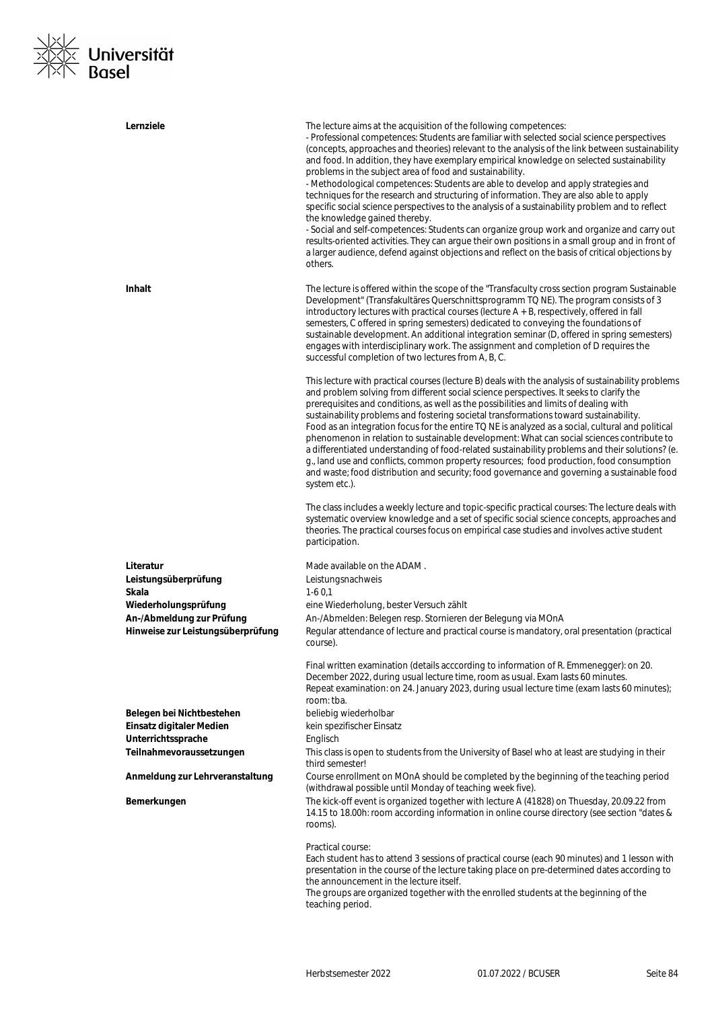

| Lernziele                                                      | The lecture aims at the acquisition of the following competences:<br>- Professional competences: Students are familiar with selected social science perspectives<br>(concepts, approaches and theories) relevant to the analysis of the link between sustainability<br>and food. In addition, they have exemplary empirical knowledge on selected sustainability<br>problems in the subject area of food and sustainability.<br>- Methodological competences: Students are able to develop and apply strategies and<br>techniques for the research and structuring of information. They are also able to apply<br>specific social science perspectives to the analysis of a sustainability problem and to reflect<br>the knowledge gained thereby.<br>- Social and self-competences: Students can organize group work and organize and carry out<br>results-oriented activities. They can argue their own positions in a small group and in front of<br>a larger audience, defend against objections and reflect on the basis of critical objections by<br>others. |
|----------------------------------------------------------------|--------------------------------------------------------------------------------------------------------------------------------------------------------------------------------------------------------------------------------------------------------------------------------------------------------------------------------------------------------------------------------------------------------------------------------------------------------------------------------------------------------------------------------------------------------------------------------------------------------------------------------------------------------------------------------------------------------------------------------------------------------------------------------------------------------------------------------------------------------------------------------------------------------------------------------------------------------------------------------------------------------------------------------------------------------------------|
| <b>Inhalt</b>                                                  | The lecture is offered within the scope of the "Transfaculty cross section program Sustainable<br>Development" (Transfakultäres Querschnittsprogramm TQ NE). The program consists of 3<br>introductory lectures with practical courses (lecture $A + B$ , respectively, offered in fall<br>semesters, C offered in spring semesters) dedicated to conveying the foundations of<br>sustainable development. An additional integration seminar (D, offered in spring semesters)<br>engages with interdisciplinary work. The assignment and completion of D requires the<br>successful completion of two lectures from A, B, C.                                                                                                                                                                                                                                                                                                                                                                                                                                       |
|                                                                | This lecture with practical courses (lecture B) deals with the analysis of sustainability problems<br>and problem solving from different social science perspectives. It seeks to clarify the<br>prerequisites and conditions, as well as the possibilities and limits of dealing with<br>sustainability problems and fostering societal transformations toward sustainability.<br>Food as an integration focus for the entire TQ NE is analyzed as a social, cultural and political<br>phenomenon in relation to sustainable development: What can social sciences contribute to<br>a differentiated understanding of food-related sustainability problems and their solutions? (e.<br>g., land use and conflicts, common property resources; food production, food consumption<br>and waste; food distribution and security; food governance and governing a sustainable food<br>system etc.).                                                                                                                                                                   |
|                                                                | The class includes a weekly lecture and topic-specific practical courses: The lecture deals with<br>systematic overview knowledge and a set of specific social science concepts, approaches and<br>theories. The practical courses focus on empirical case studies and involves active student<br>participation.                                                                                                                                                                                                                                                                                                                                                                                                                                                                                                                                                                                                                                                                                                                                                   |
| Literatur                                                      | Made available on the ADAM.                                                                                                                                                                                                                                                                                                                                                                                                                                                                                                                                                                                                                                                                                                                                                                                                                                                                                                                                                                                                                                        |
| Leistungsüberprüfung                                           | Leistungsnachweis                                                                                                                                                                                                                                                                                                                                                                                                                                                                                                                                                                                                                                                                                                                                                                                                                                                                                                                                                                                                                                                  |
| Skala                                                          | $1-60.1$                                                                                                                                                                                                                                                                                                                                                                                                                                                                                                                                                                                                                                                                                                                                                                                                                                                                                                                                                                                                                                                           |
| Wiederholungsprüfung                                           | eine Wiederholung, bester Versuch zählt                                                                                                                                                                                                                                                                                                                                                                                                                                                                                                                                                                                                                                                                                                                                                                                                                                                                                                                                                                                                                            |
| An-/Abmeldung zur Prüfung<br>Hinweise zur Leistungsüberprüfung | An-/Abmelden: Belegen resp. Stornieren der Belegung via MOnA<br>Regular attendance of lecture and practical course is mandatory, oral presentation (practical<br>course).                                                                                                                                                                                                                                                                                                                                                                                                                                                                                                                                                                                                                                                                                                                                                                                                                                                                                          |
|                                                                | Final written examination (details acccording to information of R. Emmenegger): on 20.<br>December 2022, during usual lecture time, room as usual. Exam lasts 60 minutes.<br>Repeat examination: on 24. January 2023, during usual lecture time (exam lasts 60 minutes);<br>room: tba.                                                                                                                                                                                                                                                                                                                                                                                                                                                                                                                                                                                                                                                                                                                                                                             |
| Belegen bei Nichtbestehen                                      | beliebig wiederholbar                                                                                                                                                                                                                                                                                                                                                                                                                                                                                                                                                                                                                                                                                                                                                                                                                                                                                                                                                                                                                                              |
| Einsatz digitaler Medien                                       | kein spezifischer Einsatz                                                                                                                                                                                                                                                                                                                                                                                                                                                                                                                                                                                                                                                                                                                                                                                                                                                                                                                                                                                                                                          |
| Unterrichtssprache<br>Teilnahmevoraussetzungen                 | Englisch<br>This class is open to students from the University of Basel who at least are studying in their<br>third semester!                                                                                                                                                                                                                                                                                                                                                                                                                                                                                                                                                                                                                                                                                                                                                                                                                                                                                                                                      |
| Anmeldung zur Lehrveranstaltung                                | Course enrollment on MOnA should be completed by the beginning of the teaching period                                                                                                                                                                                                                                                                                                                                                                                                                                                                                                                                                                                                                                                                                                                                                                                                                                                                                                                                                                              |
| Bemerkungen                                                    | (withdrawal possible until Monday of teaching week five).<br>The kick-off event is organized together with lecture A (41828) on Thuesday, 20.09.22 from<br>14.15 to 18.00h: room according information in online course directory (see section "dates &<br>rooms).                                                                                                                                                                                                                                                                                                                                                                                                                                                                                                                                                                                                                                                                                                                                                                                                 |
|                                                                | Practical course:<br>Each student has to attend 3 sessions of practical course (each 90 minutes) and 1 lesson with<br>presentation in the course of the lecture taking place on pre-determined dates according to<br>the announcement in the lecture itself.<br>The groups are organized together with the enrolled students at the beginning of the<br>teaching period.                                                                                                                                                                                                                                                                                                                                                                                                                                                                                                                                                                                                                                                                                           |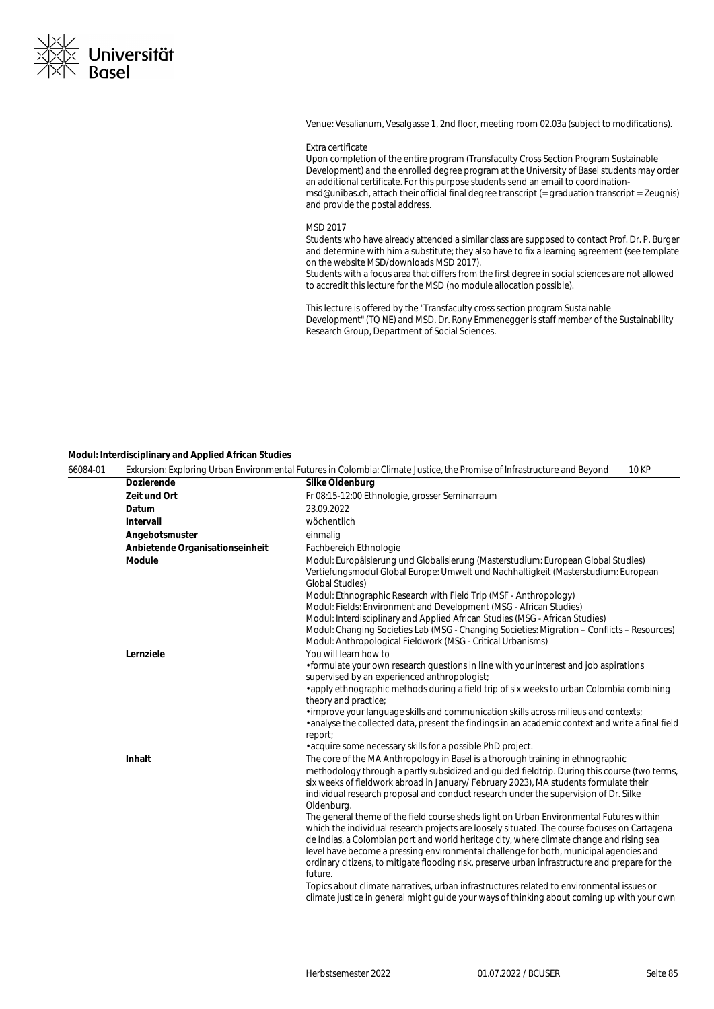

Venue: Vesalianum, Vesalgasse 1, 2nd floor, meeting room 02.03a (subject to modifications).

#### Extra certificate

Upon completion of the entire program (Transfaculty Cross Section Program Sustainable Development) and the enrolled degree program at the University of Basel students may order an additional certificate. For this purpose students send an email to coordinationmsd@unibas.ch, attach their official final degree transcript (= graduation transcript = Zeugnis) and provide the postal address.

#### MSD 2017

Students who have already attended a similar class are supposed to contact Prof. Dr. P. Burger and determine with him a substitute; they also have to fix a learning agreement (see template on the website MSD/downloads MSD 2017).

Students with a focus area that differs from the first degree in social sciences are not allowed to accredit this lecture for the MSD (no module allocation possible).

This lecture is offered by the "Transfaculty cross section program Sustainable Development" (TQ NE) and MSD. Dr. Rony Emmenegger is staff member of the Sustainability Research Group, Department of Social Sciences.

#### **Modul: Interdisciplinary and Applied African Studies**

| 66084-01 | <b>10 KP</b><br>Exkursion: Exploring Urban Environmental Futures in Colombia: Climate Justice, the Promise of Infrastructure and Beyond |                                                                                                                                                                                                                                                                                                                                                                                                                                                                                                                                                                                            |  |
|----------|-----------------------------------------------------------------------------------------------------------------------------------------|--------------------------------------------------------------------------------------------------------------------------------------------------------------------------------------------------------------------------------------------------------------------------------------------------------------------------------------------------------------------------------------------------------------------------------------------------------------------------------------------------------------------------------------------------------------------------------------------|--|
|          | <b>Dozierende</b>                                                                                                                       | Silke Oldenburg                                                                                                                                                                                                                                                                                                                                                                                                                                                                                                                                                                            |  |
|          | Zeit und Ort                                                                                                                            | Fr 08:15-12:00 Ethnologie, grosser Seminarraum                                                                                                                                                                                                                                                                                                                                                                                                                                                                                                                                             |  |
|          | Datum                                                                                                                                   | 23.09.2022                                                                                                                                                                                                                                                                                                                                                                                                                                                                                                                                                                                 |  |
|          | Intervall                                                                                                                               | wöchentlich                                                                                                                                                                                                                                                                                                                                                                                                                                                                                                                                                                                |  |
|          | Angebotsmuster                                                                                                                          | einmalig                                                                                                                                                                                                                                                                                                                                                                                                                                                                                                                                                                                   |  |
|          | Anbietende Organisationseinheit                                                                                                         | Fachbereich Ethnologie                                                                                                                                                                                                                                                                                                                                                                                                                                                                                                                                                                     |  |
|          | <b>Module</b>                                                                                                                           | Modul: Europäisierung und Globalisierung (Masterstudium: European Global Studies)<br>Vertiefungsmodul Global Europe: Umwelt und Nachhaltigkeit (Masterstudium: European<br><b>Global Studies)</b><br>Modul: Ethnographic Research with Field Trip (MSF - Anthropology)<br>Modul: Fields: Environment and Development (MSG - African Studies)<br>Modul: Interdisciplinary and Applied African Studies (MSG - African Studies)<br>Modul: Changing Societies Lab (MSG - Changing Societies: Migration – Conflicts – Resources)<br>Modul: Anthropological Fieldwork (MSG - Critical Urbanisms) |  |
|          | Lernziele                                                                                                                               | You will learn how to                                                                                                                                                                                                                                                                                                                                                                                                                                                                                                                                                                      |  |
|          |                                                                                                                                         | • formulate your own research questions in line with your interest and job aspirations<br>supervised by an experienced anthropologist;<br>· apply ethnographic methods during a field trip of six weeks to urban Colombia combining                                                                                                                                                                                                                                                                                                                                                        |  |
|          |                                                                                                                                         | theory and practice;                                                                                                                                                                                                                                                                                                                                                                                                                                                                                                                                                                       |  |
|          |                                                                                                                                         | · improve your language skills and communication skills across milieus and contexts;<br>. analyse the collected data, present the findings in an academic context and write a final field<br>report;                                                                                                                                                                                                                                                                                                                                                                                       |  |
|          |                                                                                                                                         | • acquire some necessary skills for a possible PhD project.                                                                                                                                                                                                                                                                                                                                                                                                                                                                                                                                |  |
|          | Inhalt                                                                                                                                  | The core of the MA Anthropology in Basel is a thorough training in ethnographic<br>methodology through a partly subsidized and quided fieldtrip. During this course (two terms,<br>six weeks of fieldwork abroad in January/ February 2023), MA students formulate their<br>individual research proposal and conduct research under the supervision of Dr. Silke<br>Oldenburg.                                                                                                                                                                                                             |  |
|          |                                                                                                                                         | The general theme of the field course sheds light on Urban Environmental Futures within<br>which the individual research projects are loosely situated. The course focuses on Cartagena<br>de Indias, a Colombian port and world heritage city, where climate change and rising sea<br>level have become a pressing environmental challenge for both, municipal agencies and<br>ordinary citizens, to mitigate flooding risk, preserve urban infrastructure and prepare for the<br>future.                                                                                                 |  |
|          |                                                                                                                                         | Topics about climate narratives, urban infrastructures related to environmental issues or<br>climate justice in general might guide your ways of thinking about coming up with your own                                                                                                                                                                                                                                                                                                                                                                                                    |  |
|          |                                                                                                                                         |                                                                                                                                                                                                                                                                                                                                                                                                                                                                                                                                                                                            |  |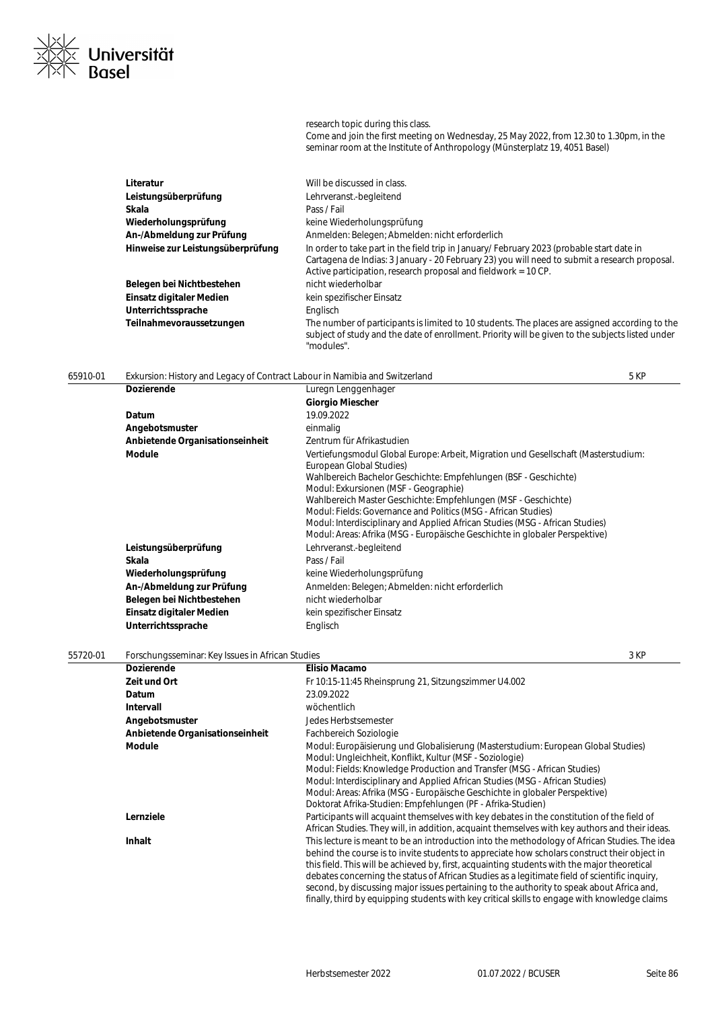| Literatur                         | Will be discussed in class.                                                                                                                                                                                                                                   |
|-----------------------------------|---------------------------------------------------------------------------------------------------------------------------------------------------------------------------------------------------------------------------------------------------------------|
| Leistungsüberprüfung              | Lehrveranst.-begleitend                                                                                                                                                                                                                                       |
| Skala                             | Pass / Fail                                                                                                                                                                                                                                                   |
| Wiederholungsprüfung              | keine Wiederholungsprüfung                                                                                                                                                                                                                                    |
| An-/Abmeldung zur Prüfung         | Anmelden: Belegen: Abmelden: nicht erforderlich                                                                                                                                                                                                               |
| Hinweise zur Leistungsüberprüfung | In order to take part in the field trip in January/February 2023 (probable start date in<br>Cartagena de Indias: 3 January - 20 February 23) you will need to submit a research proposal.<br>Active participation, research proposal and fieldwork = $10$ CP. |
| Belegen bei Nichtbestehen         | nicht wiederholbar                                                                                                                                                                                                                                            |
| Einsatz digitaler Medien          | kein spezifischer Einsatz                                                                                                                                                                                                                                     |
| Unterrichtssprache                | Englisch                                                                                                                                                                                                                                                      |
| Teilnahmevoraussetzungen          | The number of participants is limited to 10 students. The places are assigned according to the<br>subject of study and the date of enrollment. Priority will be given to the subjects listed under<br>"modules".                                              |

| 65910-01 | Exkursion: History and Legacy of Contract Labour in Namibia and Switzerland |                                                                                                                                                                                                                                                                                                                                                                                                                                                                                                                                | 5 KP |
|----------|-----------------------------------------------------------------------------|--------------------------------------------------------------------------------------------------------------------------------------------------------------------------------------------------------------------------------------------------------------------------------------------------------------------------------------------------------------------------------------------------------------------------------------------------------------------------------------------------------------------------------|------|
|          | <b>Dozierende</b>                                                           | Luregn Lenggenhager                                                                                                                                                                                                                                                                                                                                                                                                                                                                                                            |      |
|          |                                                                             | <b>Giorgio Miescher</b>                                                                                                                                                                                                                                                                                                                                                                                                                                                                                                        |      |
|          | Datum                                                                       | 19.09.2022                                                                                                                                                                                                                                                                                                                                                                                                                                                                                                                     |      |
|          | Angebotsmuster                                                              | einmalig                                                                                                                                                                                                                                                                                                                                                                                                                                                                                                                       |      |
|          | Anbietende Organisationseinheit                                             | Zentrum für Afrikastudien                                                                                                                                                                                                                                                                                                                                                                                                                                                                                                      |      |
|          | <b>Module</b>                                                               | Vertiefungsmodul Global Europe: Arbeit, Migration und Gesellschaft (Masterstudium:<br>European Global Studies)<br>Wahlbereich Bachelor Geschichte: Empfehlungen (BSF - Geschichte)<br>Modul: Exkursionen (MSF - Geographie)<br>Wahlbereich Master Geschichte: Empfehlungen (MSF - Geschichte)<br>Modul: Fields: Governance and Politics (MSG - African Studies)<br>Modul: Interdisciplinary and Applied African Studies (MSG - African Studies)<br>Modul: Areas: Afrika (MSG - Europäische Geschichte in globaler Perspektive) |      |
|          | Leistungsüberprüfung                                                        | Lehrveranst.-begleitend                                                                                                                                                                                                                                                                                                                                                                                                                                                                                                        |      |
|          | Skala                                                                       | Pass / Fail                                                                                                                                                                                                                                                                                                                                                                                                                                                                                                                    |      |
|          | Wiederholungsprüfung                                                        | keine Wiederholungsprüfung                                                                                                                                                                                                                                                                                                                                                                                                                                                                                                     |      |
|          | An-/Abmeldung zur Prüfung                                                   | Anmelden: Belegen; Abmelden: nicht erforderlich                                                                                                                                                                                                                                                                                                                                                                                                                                                                                |      |
|          | Belegen bei Nichtbestehen                                                   | nicht wiederholbar                                                                                                                                                                                                                                                                                                                                                                                                                                                                                                             |      |
|          | Einsatz digitaler Medien                                                    | kein spezifischer Einsatz                                                                                                                                                                                                                                                                                                                                                                                                                                                                                                      |      |
|          | Unterrichtssprache                                                          | Englisch                                                                                                                                                                                                                                                                                                                                                                                                                                                                                                                       |      |
|          |                                                                             |                                                                                                                                                                                                                                                                                                                                                                                                                                                                                                                                |      |

55720-01 Forschungsseminar: Key Issues in African Studies 3 KP

Universität<br>Basel

| ו ש־ | TUISCHUNGSSCHIMIGE. KCY ISSUCS IN MITCUIT STUUICS | ורו ש                                                                                                                                                                                                                                                                                                                                                                                                                                                                                                                                                                                        |
|------|---------------------------------------------------|----------------------------------------------------------------------------------------------------------------------------------------------------------------------------------------------------------------------------------------------------------------------------------------------------------------------------------------------------------------------------------------------------------------------------------------------------------------------------------------------------------------------------------------------------------------------------------------------|
|      | <b>Dozierende</b>                                 | <b>Elisio Macamo</b>                                                                                                                                                                                                                                                                                                                                                                                                                                                                                                                                                                         |
|      | Zeit und Ort                                      | Fr 10:15-11:45 Rheinsprung 21, Sitzungszimmer U4.002                                                                                                                                                                                                                                                                                                                                                                                                                                                                                                                                         |
|      | Datum                                             | 23.09.2022                                                                                                                                                                                                                                                                                                                                                                                                                                                                                                                                                                                   |
|      | <b>Intervall</b>                                  | wöchentlich                                                                                                                                                                                                                                                                                                                                                                                                                                                                                                                                                                                  |
|      | Angebotsmuster                                    | Jedes Herbstsemester                                                                                                                                                                                                                                                                                                                                                                                                                                                                                                                                                                         |
|      | Anbietende Organisationseinheit                   | Fachbereich Soziologie                                                                                                                                                                                                                                                                                                                                                                                                                                                                                                                                                                       |
|      | Module                                            | Modul: Europäisierung und Globalisierung (Masterstudium: European Global Studies)<br>Modul: Ungleichheit, Konflikt, Kultur (MSF - Soziologie)<br>Modul: Fields: Knowledge Production and Transfer (MSG - African Studies)<br>Modul: Interdisciplinary and Applied African Studies (MSG - African Studies)<br>Modul: Areas: Afrika (MSG - Europäische Geschichte in globaler Perspektive)<br>Doktorat Afrika-Studien: Empfehlungen (PF - Afrika-Studien)                                                                                                                                      |
|      | Lernziele                                         | Participants will acquaint themselves with key debates in the constitution of the field of<br>African Studies. They will, in addition, acquaint themselves with key authors and their ideas.                                                                                                                                                                                                                                                                                                                                                                                                 |
|      | <b>Inhalt</b>                                     | This lecture is meant to be an introduction into the methodology of African Studies. The idea<br>behind the course is to invite students to appreciate how scholars construct their object in<br>this field. This will be achieved by, first, acquainting students with the major theoretical<br>debates concerning the status of African Studies as a legitimate field of scientific inquiry,<br>second, by discussing major issues pertaining to the authority to speak about Africa and,<br>finally, third by equipping students with key critical skills to engage with knowledge claims |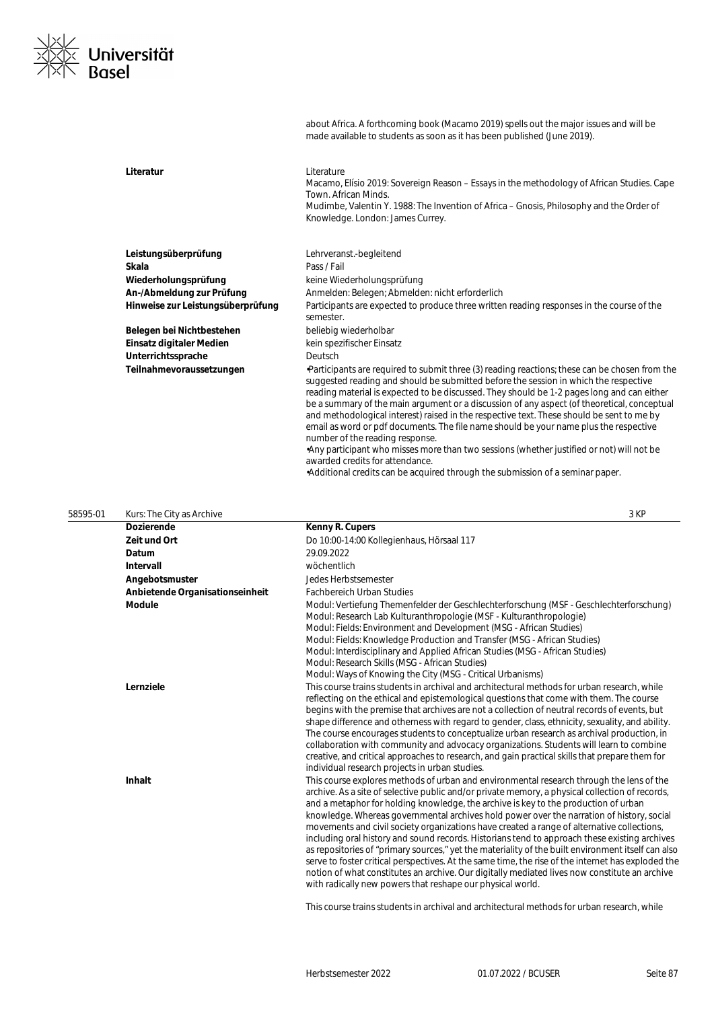

about Africa. A forthcoming book (Macamo 2019) spells out the major issues and will be made available to students as soon as it has been published (June 2019).

| Literatur                                         | Literature<br>Macamo, Elísio 2019: Sovereign Reason – Essays in the methodology of African Studies. Cape<br>Town, African Minds.<br>Mudimbe, Valentin Y. 1988: The Invention of Africa – Gnosis, Philosophy and the Order of<br>Knowledge. London: James Currey.                                                                                                                                                                                                                                                                                                                                                                                                                                                                                                                                                             |
|---------------------------------------------------|------------------------------------------------------------------------------------------------------------------------------------------------------------------------------------------------------------------------------------------------------------------------------------------------------------------------------------------------------------------------------------------------------------------------------------------------------------------------------------------------------------------------------------------------------------------------------------------------------------------------------------------------------------------------------------------------------------------------------------------------------------------------------------------------------------------------------|
| Leistungsüberprüfung<br>Skala                     | Lehrveranst.-begleitend<br>Pass / Fail                                                                                                                                                                                                                                                                                                                                                                                                                                                                                                                                                                                                                                                                                                                                                                                       |
|                                                   |                                                                                                                                                                                                                                                                                                                                                                                                                                                                                                                                                                                                                                                                                                                                                                                                                              |
| Wiederholungsprüfung<br>An-/Abmeldung zur Prüfung | keine Wiederholungsprüfung<br>Anmelden: Belegen; Abmelden: nicht erforderlich                                                                                                                                                                                                                                                                                                                                                                                                                                                                                                                                                                                                                                                                                                                                                |
| Hinweise zur Leistungsüberprüfung                 | Participants are expected to produce three written reading responses in the course of the<br>semester.                                                                                                                                                                                                                                                                                                                                                                                                                                                                                                                                                                                                                                                                                                                       |
| Belegen bei Nichtbestehen                         | beliebig wiederholbar                                                                                                                                                                                                                                                                                                                                                                                                                                                                                                                                                                                                                                                                                                                                                                                                        |
| Einsatz digitaler Medien                          | kein spezifischer Einsatz                                                                                                                                                                                                                                                                                                                                                                                                                                                                                                                                                                                                                                                                                                                                                                                                    |
| Unterrichtssprache                                | Deutsch                                                                                                                                                                                                                                                                                                                                                                                                                                                                                                                                                                                                                                                                                                                                                                                                                      |
| Teilnahmevoraussetzungen                          | Participants are required to submit three (3) reading reactions; these can be chosen from the<br>suggested reading and should be submitted before the session in which the respective<br>reading material is expected to be discussed. They should be 1-2 pages long and can either<br>be a summary of the main argument or a discussion of any aspect (of theoretical, conceptual<br>and methodological interest) raised in the respective text. These should be sent to me by<br>email as word or pdf documents. The file name should be your name plus the respective<br>number of the reading response.<br>Any participant who misses more than two sessions (whether justified or not) will not be<br>awarded credits for attendance.<br>•Additional credits can be acquired through the submission of a seminar paper. |

| 58595-01 | Kurs: The City as Archive       | 3 KP                                                                                                                                                                                                                                                                                                                                                                                                                                                                                                                                                                                                                                                                                                                                                                                                                                                                                                                                                      |
|----------|---------------------------------|-----------------------------------------------------------------------------------------------------------------------------------------------------------------------------------------------------------------------------------------------------------------------------------------------------------------------------------------------------------------------------------------------------------------------------------------------------------------------------------------------------------------------------------------------------------------------------------------------------------------------------------------------------------------------------------------------------------------------------------------------------------------------------------------------------------------------------------------------------------------------------------------------------------------------------------------------------------|
|          | <b>Dozierende</b>               | Kenny R. Cupers                                                                                                                                                                                                                                                                                                                                                                                                                                                                                                                                                                                                                                                                                                                                                                                                                                                                                                                                           |
|          | Zeit und Ort                    | Do 10:00-14:00 Kollegienhaus, Hörsaal 117                                                                                                                                                                                                                                                                                                                                                                                                                                                                                                                                                                                                                                                                                                                                                                                                                                                                                                                 |
|          | Datum                           | 29.09.2022                                                                                                                                                                                                                                                                                                                                                                                                                                                                                                                                                                                                                                                                                                                                                                                                                                                                                                                                                |
|          | Intervall                       | wöchentlich                                                                                                                                                                                                                                                                                                                                                                                                                                                                                                                                                                                                                                                                                                                                                                                                                                                                                                                                               |
|          | Angebotsmuster                  | Jedes Herbstsemester                                                                                                                                                                                                                                                                                                                                                                                                                                                                                                                                                                                                                                                                                                                                                                                                                                                                                                                                      |
|          | Anbietende Organisationseinheit | <b>Fachbereich Urban Studies</b>                                                                                                                                                                                                                                                                                                                                                                                                                                                                                                                                                                                                                                                                                                                                                                                                                                                                                                                          |
|          | <b>Module</b>                   | Modul: Vertiefung Themenfelder der Geschlechterforschung (MSF - Geschlechterforschung)<br>Modul: Research Lab Kulturanthropologie (MSF - Kulturanthropologie)<br>Modul: Fields: Environment and Development (MSG - African Studies)<br>Modul: Fields: Knowledge Production and Transfer (MSG - African Studies)<br>Modul: Interdisciplinary and Applied African Studies (MSG - African Studies)<br>Modul: Research Skills (MSG - African Studies)<br>Modul: Ways of Knowing the City (MSG - Critical Urbanisms)                                                                                                                                                                                                                                                                                                                                                                                                                                           |
|          | Lernziele                       | This course trains students in archival and architectural methods for urban research, while<br>reflecting on the ethical and epistemological questions that come with them. The course<br>begins with the premise that archives are not a collection of neutral records of events, but<br>shape difference and otherness with regard to gender, class, ethnicity, sexuality, and ability.<br>The course encourages students to conceptualize urban research as archival production, in<br>collaboration with community and advocacy organizations. Students will learn to combine<br>creative, and critical approaches to research, and gain practical skills that prepare them for<br>individual research projects in urban studies.                                                                                                                                                                                                                     |
|          | <b>Inhalt</b>                   | This course explores methods of urban and environmental research through the lens of the<br>archive. As a site of selective public and/or private memory, a physical collection of records,<br>and a metaphor for holding knowledge, the archive is key to the production of urban<br>knowledge. Whereas governmental archives hold power over the narration of history, social<br>movements and civil society organizations have created a range of alternative collections,<br>including oral history and sound records. Historians tend to approach these existing archives<br>as repositories of "primary sources," yet the materiality of the built environment itself can also<br>serve to foster critical perspectives. At the same time, the rise of the internet has exploded the<br>notion of what constitutes an archive. Our digitally mediated lives now constitute an archive<br>with radically new powers that reshape our physical world. |

This course trains students in archival and architectural methods for urban research, while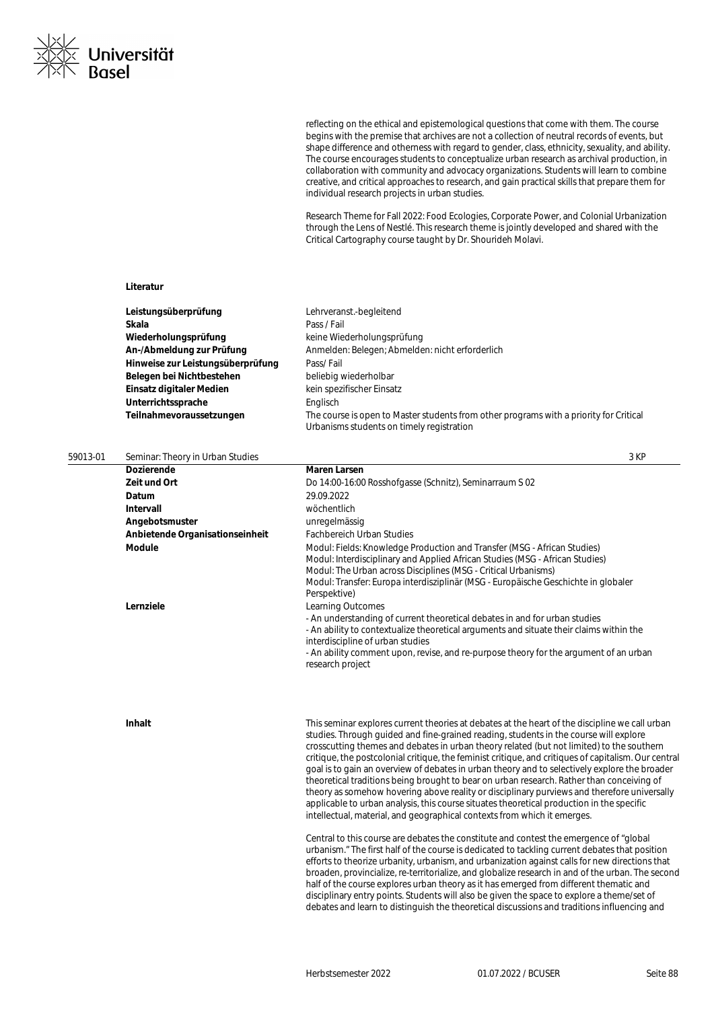

reflecting on the ethical and epistemological questions that come with them. The course begins with the premise that archives are not a collection of neutral records of events, but shape difference and otherness with regard to gender, class, ethnicity, sexuality, and ability. The course encourages students to conceptualize urban research as archival production, in collaboration with community and advocacy organizations. Students will learn to combine creative, and critical approaches to research, and gain practical skills that prepare them for individual research projects in urban studies.

Research Theme for Fall 2022: Food Ecologies, Corporate Power, and Colonial Urbanization through the Lens of Nestlé. This research theme is jointly developed and shared with the Critical Cartography course taught by Dr. Shourideh Molavi.

#### **Literatur**

| Leistungsüberprüfung              | Lehrveranst.-begleitend                                                                                                             |
|-----------------------------------|-------------------------------------------------------------------------------------------------------------------------------------|
| Skala                             | Pass / Fail                                                                                                                         |
| Wiederholungsprüfung              | keine Wiederholungsprüfung                                                                                                          |
| An-/Abmeldung zur Prüfung         | Anmelden: Belegen; Abmelden: nicht erforderlich                                                                                     |
| Hinweise zur Leistungsüberprüfung | Pass/Fail                                                                                                                           |
| Belegen bei Nichtbestehen         | beliebig wiederholbar                                                                                                               |
| Einsatz digitaler Medien          | kein spezifischer Einsatz                                                                                                           |
| Unterrichtssprache                | Englisch                                                                                                                            |
| Teilnahmevoraussetzungen          | The course is open to Master students from other programs with a priority for Critical<br>Urbanisms students on timely registration |

| 59013-01 | Seminar: Theory in Urban Studies |                                                                                                                                                                                                                                                                                                                                                                                                                                                                                                                                                                                                                                                                                                                                                                                        |
|----------|----------------------------------|----------------------------------------------------------------------------------------------------------------------------------------------------------------------------------------------------------------------------------------------------------------------------------------------------------------------------------------------------------------------------------------------------------------------------------------------------------------------------------------------------------------------------------------------------------------------------------------------------------------------------------------------------------------------------------------------------------------------------------------------------------------------------------------|
|          | <b>Dozierende</b>                | <b>Maren Larsen</b>                                                                                                                                                                                                                                                                                                                                                                                                                                                                                                                                                                                                                                                                                                                                                                    |
|          | Zeit und Ort                     | Do 14:00-16:00 Rosshofgasse (Schnitz), Seminarraum S 02                                                                                                                                                                                                                                                                                                                                                                                                                                                                                                                                                                                                                                                                                                                                |
|          | Datum                            | 29.09.2022                                                                                                                                                                                                                                                                                                                                                                                                                                                                                                                                                                                                                                                                                                                                                                             |
|          | Intervall                        | wöchentlich                                                                                                                                                                                                                                                                                                                                                                                                                                                                                                                                                                                                                                                                                                                                                                            |
|          | Angebotsmuster                   | unregelmässig                                                                                                                                                                                                                                                                                                                                                                                                                                                                                                                                                                                                                                                                                                                                                                          |
|          | Anbietende Organisationseinheit  | <b>Fachbereich Urban Studies</b>                                                                                                                                                                                                                                                                                                                                                                                                                                                                                                                                                                                                                                                                                                                                                       |
|          | <b>Module</b>                    | Modul: Fields: Knowledge Production and Transfer (MSG - African Studies)<br>Modul: Interdisciplinary and Applied African Studies (MSG - African Studies)<br>Modul: The Urban across Disciplines (MSG - Critical Urbanisms)<br>Modul: Transfer: Europa interdisziplinär (MSG - Europäische Geschichte in globaler<br>Perspektive)                                                                                                                                                                                                                                                                                                                                                                                                                                                       |
|          | Lernziele                        | <b>Learning Outcomes</b><br>- An understanding of current theoretical debates in and for urban studies<br>- An ability to contextualize theoretical arguments and situate their claims within the<br>interdiscipline of urban studies                                                                                                                                                                                                                                                                                                                                                                                                                                                                                                                                                  |
|          |                                  | - An ability comment upon, revise, and re-purpose theory for the argument of an urban<br>research project                                                                                                                                                                                                                                                                                                                                                                                                                                                                                                                                                                                                                                                                              |
|          | Inhalt                           | This seminar explores current theories at debates at the heart of the discipline we call urban<br>studies. Through quided and fine-grained reading, students in the course will explore<br>crosscutting themes and debates in urban theory related (but not limited) to the southern<br>critique, the postcolonial critique, the feminist critique, and critiques of capitalism. Our central<br>goal is to gain an overview of debates in urban theory and to selectively explore the broader<br>theoretical traditions being brought to bear on urban research. Rather than conceiving of<br>theory as somehow hovering above reality or disciplinary purviews and therefore universally<br>applicable to urban analysis, this course situates theoretical production in the specific |
|          |                                  | intellectual, material, and geographical contexts from which it emerges.<br>Central to this course are debates the constitute and contest the emergence of "global"<br>urbanism." The first half of the course is dedicated to tackling current debates that position<br>efforts to theorize urbanity, urbanism, and urbanization against calls for new directions that                                                                                                                                                                                                                                                                                                                                                                                                                |

broaden, provincialize, re-territorialize, and globalize research in and of the urban. The second half of the course explores urban theory as it has emerged from different thematic and disciplinary entry points. Students will also be given the space to explore a theme/set of debates and learn to distinguish the theoretical discussions and traditions influencing and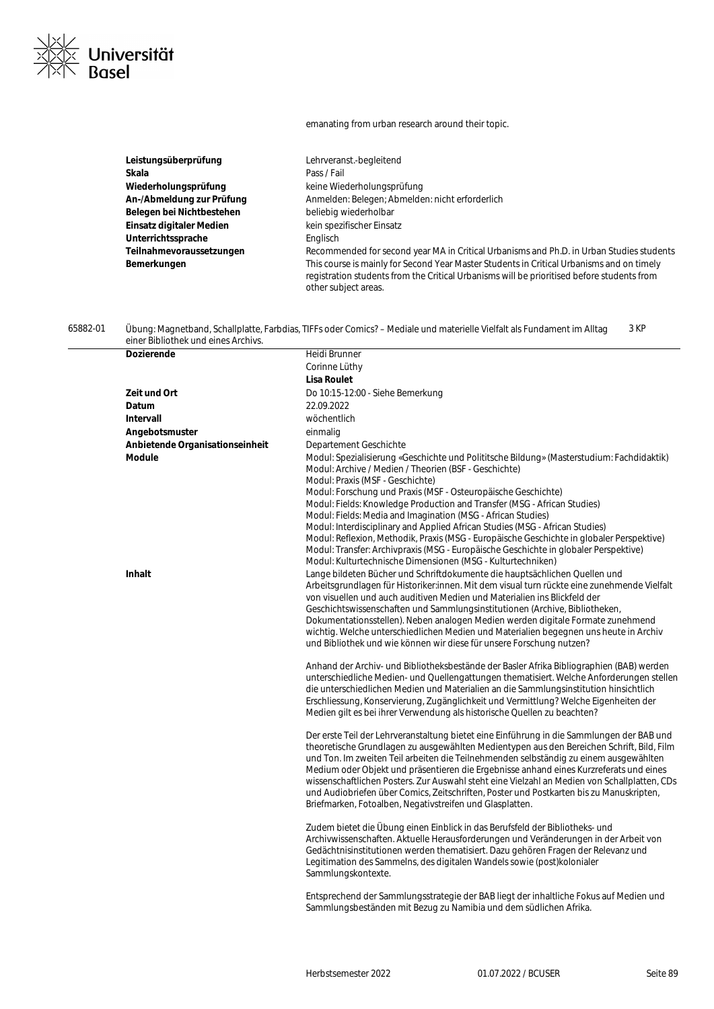#### emanating from urban research around their topic.

| Leistungsüberprüfung      | Lehrveranst.-begleitend                                                                                                                                                                                         |
|---------------------------|-----------------------------------------------------------------------------------------------------------------------------------------------------------------------------------------------------------------|
| Skala                     | Pass / Fail                                                                                                                                                                                                     |
| Wiederholungsprüfung      | keine Wiederholungsprüfung                                                                                                                                                                                      |
| An-/Abmeldung zur Prüfung | Anmelden: Belegen; Abmelden: nicht erforderlich                                                                                                                                                                 |
| Belegen bei Nichtbestehen | beliebig wiederholbar                                                                                                                                                                                           |
| Einsatz digitaler Medien  | kein spezifischer Einsatz                                                                                                                                                                                       |
| Unterrichtssprache        | Englisch                                                                                                                                                                                                        |
| Teilnahmevoraussetzungen  | Recommended for second year MA in Critical Urbanisms and Ph.D. in Urban Studies students                                                                                                                        |
| Bemerkungen               | This course is mainly for Second Year Master Students in Critical Urbanisms and on timely<br>registration students from the Critical Urbanisms will be prioritised before students from<br>other subject areas. |

#### 65882-01 Übung: Magnetband, Schallplatte, Farbdias, TIFFs oder Comics? – Mediale und materielle Vielfalt als Fundament im Alltag einer Bibliothek und eines Archivs. 3 KP

Universität<br>Basel

| Dozierende                      | Heidi Brunner                                                                                                                                                                                                                                                                                                                                                                                                                                                                                                                                                                                                                                                            |
|---------------------------------|--------------------------------------------------------------------------------------------------------------------------------------------------------------------------------------------------------------------------------------------------------------------------------------------------------------------------------------------------------------------------------------------------------------------------------------------------------------------------------------------------------------------------------------------------------------------------------------------------------------------------------------------------------------------------|
|                                 | Corinne Lüthy                                                                                                                                                                                                                                                                                                                                                                                                                                                                                                                                                                                                                                                            |
|                                 | <b>Lisa Roulet</b>                                                                                                                                                                                                                                                                                                                                                                                                                                                                                                                                                                                                                                                       |
| Zeit und Ort                    | Do 10:15-12:00 - Siehe Bemerkung                                                                                                                                                                                                                                                                                                                                                                                                                                                                                                                                                                                                                                         |
| Datum                           | 22.09.2022                                                                                                                                                                                                                                                                                                                                                                                                                                                                                                                                                                                                                                                               |
| <b>Intervall</b>                | wöchentlich                                                                                                                                                                                                                                                                                                                                                                                                                                                                                                                                                                                                                                                              |
| Angebotsmuster                  | einmalig                                                                                                                                                                                                                                                                                                                                                                                                                                                                                                                                                                                                                                                                 |
| Anbietende Organisationseinheit | Departement Geschichte                                                                                                                                                                                                                                                                                                                                                                                                                                                                                                                                                                                                                                                   |
| <b>Module</b>                   | Modul: Spezialisierung «Geschichte und Polititsche Bildung» (Masterstudium: Fachdidaktik)<br>Modul: Archive / Medien / Theorien (BSF - Geschichte)<br>Modul: Praxis (MSF - Geschichte)<br>Modul: Forschung und Praxis (MSF - Osteuropäische Geschichte)<br>Modul: Fields: Knowledge Production and Transfer (MSG - African Studies)<br>Modul: Fields: Media and Imagination (MSG - African Studies)<br>Modul: Interdisciplinary and Applied African Studies (MSG - African Studies)<br>Modul: Reflexion, Methodik, Praxis (MSG - Europäische Geschichte in globaler Perspektive)<br>Modul: Transfer: Archivpraxis (MSG - Europäische Geschichte in globaler Perspektive) |
| Inhalt                          | Modul: Kulturtechnische Dimensionen (MSG - Kulturtechniken)<br>Lange bildeten Bücher und Schriftdokumente die hauptsächlichen Quellen und<br>Arbeitsgrundlagen für Historiker:innen. Mit dem visual turn rückte eine zunehmende Vielfalt<br>von visuellen und auch auditiven Medien und Materialien ins Blickfeld der<br>Geschichtswissenschaften und Sammlungsinstitutionen (Archive, Bibliotheken,<br>Dokumentationsstellen). Neben analogen Medien werden digitale Formate zunehmend<br>wichtig. Welche unterschiedlichen Medien und Materialien begegnen uns heute in Archiv<br>und Bibliothek und wie können wir diese für unsere Forschung nutzen?                 |
|                                 | Anhand der Archiv- und Bibliotheksbestände der Basler Afrika Bibliographien (BAB) werden<br>unterschiedliche Medien- und Quellengattungen thematisiert. Welche Anforderungen stellen<br>die unterschiedlichen Medien und Materialien an die Sammlungsinstitution hinsichtlich<br>Erschliessung, Konservierung, Zugänglichkeit und Vermittlung? Welche Eigenheiten der<br>Medien gilt es bei ihrer Verwendung als historische Quellen zu beachten?                                                                                                                                                                                                                        |
|                                 | Der erste Teil der Lehrveranstaltung bietet eine Einführung in die Sammlungen der BAB und<br>theoretische Grundlagen zu ausgewählten Medientypen aus den Bereichen Schrift, Bild, Film<br>und Ton. Im zweiten Teil arbeiten die Teilnehmenden selbständig zu einem ausgewählten<br>Medium oder Objekt und präsentieren die Ergebnisse anhand eines Kurzreferats und eines<br>wissenschaftlichen Posters. Zur Auswahl steht eine Vielzahl an Medien von Schallplatten, CDs<br>und Audiobriefen über Comics, Zeitschriften, Poster und Postkarten bis zu Manuskripten,<br>Briefmarken, Fotoalben, Negativstreifen und Glasplatten.                                         |
|                                 | Zudem bietet die Übung einen Einblick in das Berufsfeld der Bibliotheks- und<br>Archivwissenschaften. Aktuelle Herausforderungen und Veränderungen in der Arbeit von<br>Gedächtnisinstitutionen werden thematisiert. Dazu gehören Fragen der Relevanz und<br>Legitimation des Sammelns, des digitalen Wandels sowie (post) kolonialer<br>Sammlungskontexte.                                                                                                                                                                                                                                                                                                              |
|                                 | Entsprechend der Sammlungsstrategie der BAB liegt der inhaltliche Fokus auf Medien und<br>Sammlungsbeständen mit Bezug zu Namibia und dem südlichen Afrika.                                                                                                                                                                                                                                                                                                                                                                                                                                                                                                              |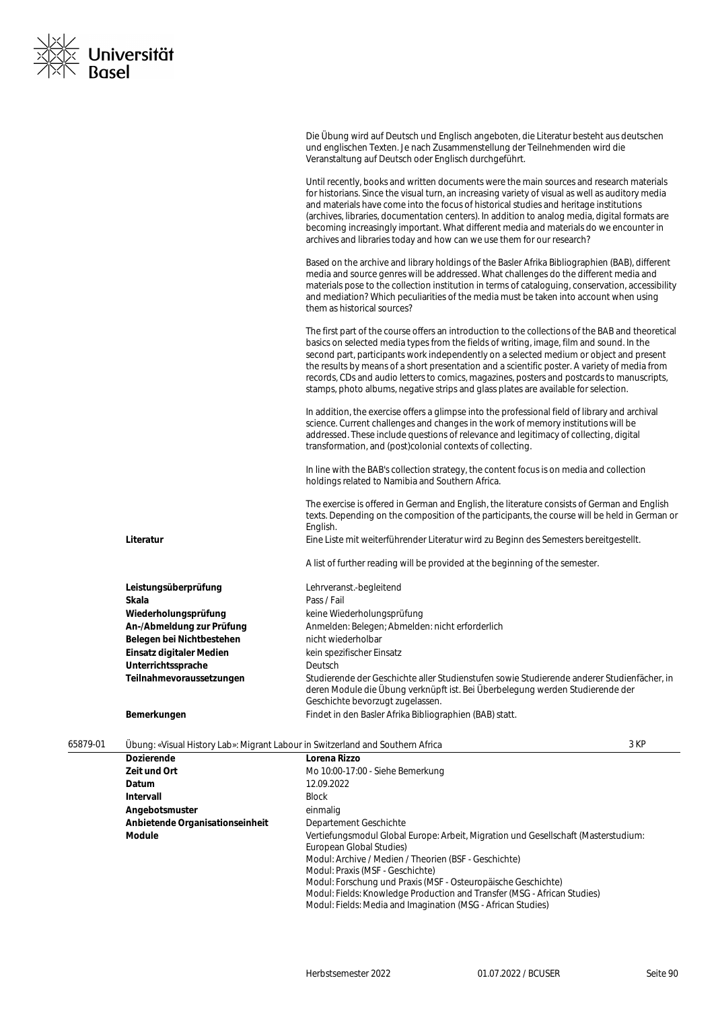

|                                                | Die Übung wird auf Deutsch und Englisch angeboten, die Literatur besteht aus deutschen<br>und englischen Texten. Je nach Zusammenstellung der Teilnehmenden wird die<br>Veranstaltung auf Deutsch oder Englisch durchgeführt.                                                                                                                                                                                                                                                                                                                                                  |
|------------------------------------------------|--------------------------------------------------------------------------------------------------------------------------------------------------------------------------------------------------------------------------------------------------------------------------------------------------------------------------------------------------------------------------------------------------------------------------------------------------------------------------------------------------------------------------------------------------------------------------------|
|                                                | Until recently, books and written documents were the main sources and research materials<br>for historians. Since the visual turn, an increasing variety of visual as well as auditory media<br>and materials have come into the focus of historical studies and heritage institutions<br>(archives, libraries, documentation centers). In addition to analog media, digital formats are<br>becoming increasingly important. What different media and materials do we encounter in<br>archives and libraries today and how can we use them for our research?                   |
|                                                | Based on the archive and library holdings of the Basler Afrika Bibliographien (BAB), different<br>media and source genres will be addressed. What challenges do the different media and<br>materials pose to the collection institution in terms of cataloguing, conservation, accessibility<br>and mediation? Which peculiarities of the media must be taken into account when using<br>them as historical sources?                                                                                                                                                           |
|                                                | The first part of the course offers an introduction to the collections of the BAB and theoretical<br>basics on selected media types from the fields of writing, image, film and sound. In the<br>second part, participants work independently on a selected medium or object and present<br>the results by means of a short presentation and a scientific poster. A variety of media from<br>records, CDs and audio letters to comics, magazines, posters and postcards to manuscripts,<br>stamps, photo albums, negative strips and glass plates are available for selection. |
|                                                | In addition, the exercise offers a glimpse into the professional field of library and archival<br>science. Current challenges and changes in the work of memory institutions will be<br>addressed. These include questions of relevance and legitimacy of collecting, digital<br>transformation, and (post)colonial contexts of collecting.                                                                                                                                                                                                                                    |
|                                                | In line with the BAB's collection strategy, the content focus is on media and collection<br>holdings related to Namibia and Southern Africa.                                                                                                                                                                                                                                                                                                                                                                                                                                   |
|                                                | The exercise is offered in German and English, the literature consists of German and English<br>texts. Depending on the composition of the participants, the course will be held in German or<br>English.                                                                                                                                                                                                                                                                                                                                                                      |
| Literatur                                      | Eine Liste mit weiterführender Literatur wird zu Beginn des Semesters bereitgestellt.                                                                                                                                                                                                                                                                                                                                                                                                                                                                                          |
|                                                | A list of further reading will be provided at the beginning of the semester.                                                                                                                                                                                                                                                                                                                                                                                                                                                                                                   |
| Leistungsüberprüfung                           | Lehrveranst.-begleitend                                                                                                                                                                                                                                                                                                                                                                                                                                                                                                                                                        |
| Skala                                          | Pass / Fail                                                                                                                                                                                                                                                                                                                                                                                                                                                                                                                                                                    |
| Wiederholungsprüfung                           | keine Wiederholungsprüfung                                                                                                                                                                                                                                                                                                                                                                                                                                                                                                                                                     |
| An-/Abmeldung zur Prüfung                      | Anmelden: Belegen; Abmelden: nicht erforderlich                                                                                                                                                                                                                                                                                                                                                                                                                                                                                                                                |
| Belegen bei Nichtbestehen                      | nicht wiederholbar                                                                                                                                                                                                                                                                                                                                                                                                                                                                                                                                                             |
| Einsatz digitaler Medien<br>Unterrichtssprache | kein spezifischer Einsatz<br>Deutsch                                                                                                                                                                                                                                                                                                                                                                                                                                                                                                                                           |
| Teilnahmevoraussetzungen                       | Studierende der Geschichte aller Studienstufen sowie Studierende anderer Studienfächer, in<br>deren Module die Übung verknüpft ist. Bei Überbelegung werden Studierende der<br>Geschichte bevorzugt zugelassen.                                                                                                                                                                                                                                                                                                                                                                |
| Bemerkungen                                    | Findet in den Basler Afrika Bibliographien (BAB) statt.                                                                                                                                                                                                                                                                                                                                                                                                                                                                                                                        |
|                                                |                                                                                                                                                                                                                                                                                                                                                                                                                                                                                                                                                                                |

| 65879-01 | Übung: «Visual History Lab»: Migrant Labour in Switzerland and Southern Africa |                                                                                                                | 3 KP |
|----------|--------------------------------------------------------------------------------|----------------------------------------------------------------------------------------------------------------|------|
|          | <b>Dozierende</b>                                                              | Lorena Rizzo                                                                                                   |      |
|          | Zeit und Ort                                                                   | Mo 10:00-17:00 - Siehe Bemerkung                                                                               |      |
|          | Datum                                                                          | 12.09.2022                                                                                                     |      |
|          | Intervall                                                                      | <b>Block</b>                                                                                                   |      |
|          | Angebotsmuster                                                                 | einmalig                                                                                                       |      |
|          | Anbietende Organisationseinheit                                                | Departement Geschichte                                                                                         |      |
|          | Module                                                                         | Vertiefungsmodul Global Europe: Arbeit, Migration und Gesellschaft (Masterstudium:<br>European Global Studies) |      |
|          |                                                                                | Modul: Archive / Medien / Theorien (BSF - Geschichte)                                                          |      |
|          |                                                                                | Modul: Praxis (MSF - Geschichte)                                                                               |      |
|          |                                                                                | Modul: Forschung und Praxis (MSF - Osteuropäische Geschichte)                                                  |      |
|          |                                                                                | Modul: Fields: Knowledge Production and Transfer (MSG - African Studies)                                       |      |
|          |                                                                                | Modul: Fields: Media and Imagination (MSG - African Studies)                                                   |      |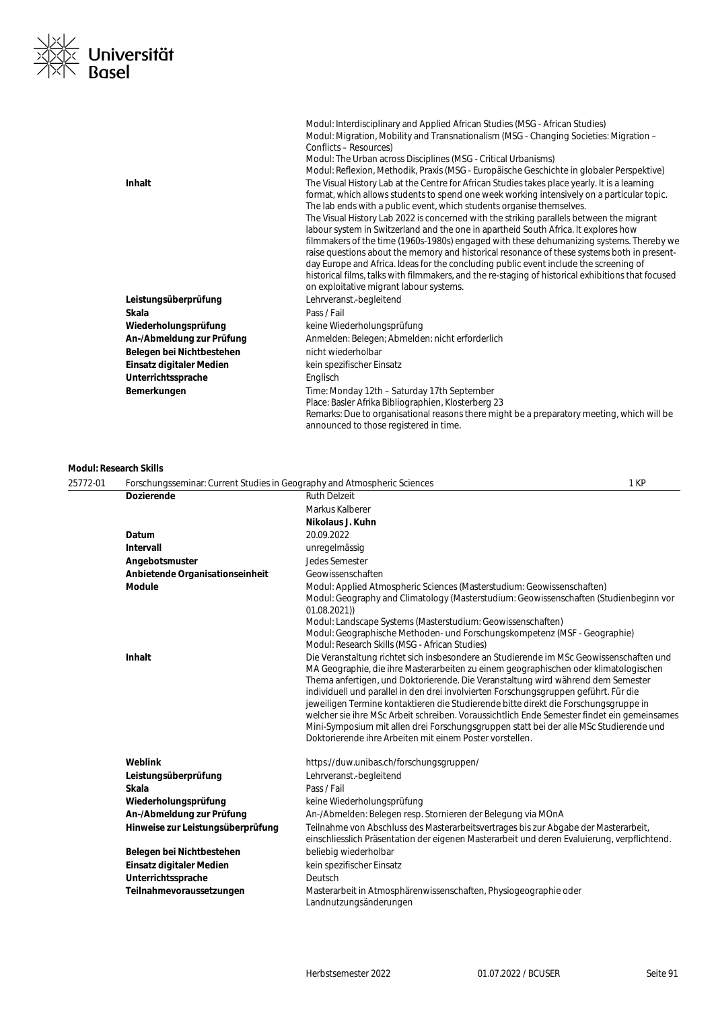

|                           | Modul: Interdisciplinary and Applied African Studies (MSG - African Studies)<br>Modul: Migration, Mobility and Transnationalism (MSG - Changing Societies: Migration -<br>Conflicts – Resources)<br>Modul: The Urban across Disciplines (MSG - Critical Urbanisms)<br>Modul: Reflexion, Methodik, Praxis (MSG - Europäische Geschichte in globaler Perspektive)                                                                                                                                                                                                                                                                                                                                                                                                                                                                                                                              |
|---------------------------|----------------------------------------------------------------------------------------------------------------------------------------------------------------------------------------------------------------------------------------------------------------------------------------------------------------------------------------------------------------------------------------------------------------------------------------------------------------------------------------------------------------------------------------------------------------------------------------------------------------------------------------------------------------------------------------------------------------------------------------------------------------------------------------------------------------------------------------------------------------------------------------------|
| <b>Inhalt</b>             | The Visual History Lab at the Centre for African Studies takes place yearly. It is a learning<br>format, which allows students to spend one week working intensively on a particular topic.<br>The lab ends with a public event, which students organise themselves.<br>The Visual History Lab 2022 is concerned with the striking parallels between the migrant<br>labour system in Switzerland and the one in apartheid South Africa. It explores how<br>filmmakers of the time (1960s-1980s) engaged with these dehumanizing systems. Thereby we<br>raise questions about the memory and historical resonance of these systems both in present-<br>day Europe and Africa. Ideas for the concluding public event include the screening of<br>historical films, talks with filmmakers, and the re-staging of historical exhibitions that focused<br>on exploitative migrant labour systems. |
| Leistungsüberprüfung      | Lehrveranst.-begleitend                                                                                                                                                                                                                                                                                                                                                                                                                                                                                                                                                                                                                                                                                                                                                                                                                                                                      |
| Skala                     | Pass / Fail                                                                                                                                                                                                                                                                                                                                                                                                                                                                                                                                                                                                                                                                                                                                                                                                                                                                                  |
| Wiederholungsprüfung      | keine Wiederholungsprüfung                                                                                                                                                                                                                                                                                                                                                                                                                                                                                                                                                                                                                                                                                                                                                                                                                                                                   |
| An-/Abmeldung zur Prüfung | Anmelden: Belegen; Abmelden: nicht erforderlich                                                                                                                                                                                                                                                                                                                                                                                                                                                                                                                                                                                                                                                                                                                                                                                                                                              |
| Belegen bei Nichtbestehen | nicht wiederholbar                                                                                                                                                                                                                                                                                                                                                                                                                                                                                                                                                                                                                                                                                                                                                                                                                                                                           |
| Einsatz digitaler Medien  | kein spezifischer Einsatz                                                                                                                                                                                                                                                                                                                                                                                                                                                                                                                                                                                                                                                                                                                                                                                                                                                                    |
| Unterrichtssprache        | Englisch                                                                                                                                                                                                                                                                                                                                                                                                                                                                                                                                                                                                                                                                                                                                                                                                                                                                                     |
| Bemerkungen               | Time: Monday 12th - Saturday 17th September<br>Place: Basler Afrika Bibliographien, Klosterberg 23<br>Remarks: Due to organisational reasons there might be a preparatory meeting, which will be<br>announced to those registered in time.                                                                                                                                                                                                                                                                                                                                                                                                                                                                                                                                                                                                                                                   |

#### **Modul: Research Skills**

| 25772-01 | Forschungsseminar: Current Studies in Geography and Atmospheric Sciences |                                                                                                                                                                                                                                                                                                                                                                                                                                                                                                                                                                                                                                                                                                          | 1 KP |
|----------|--------------------------------------------------------------------------|----------------------------------------------------------------------------------------------------------------------------------------------------------------------------------------------------------------------------------------------------------------------------------------------------------------------------------------------------------------------------------------------------------------------------------------------------------------------------------------------------------------------------------------------------------------------------------------------------------------------------------------------------------------------------------------------------------|------|
|          | <b>Dozierende</b>                                                        | <b>Ruth Delzeit</b>                                                                                                                                                                                                                                                                                                                                                                                                                                                                                                                                                                                                                                                                                      |      |
|          |                                                                          | Markus Kalberer                                                                                                                                                                                                                                                                                                                                                                                                                                                                                                                                                                                                                                                                                          |      |
|          |                                                                          | Nikolaus J. Kuhn                                                                                                                                                                                                                                                                                                                                                                                                                                                                                                                                                                                                                                                                                         |      |
|          | Datum                                                                    | 20.09.2022                                                                                                                                                                                                                                                                                                                                                                                                                                                                                                                                                                                                                                                                                               |      |
|          | Intervall                                                                | unregelmässig                                                                                                                                                                                                                                                                                                                                                                                                                                                                                                                                                                                                                                                                                            |      |
|          | Angebotsmuster                                                           | Jedes Semester                                                                                                                                                                                                                                                                                                                                                                                                                                                                                                                                                                                                                                                                                           |      |
|          | Anbietende Organisationseinheit                                          | Geowissenschaften                                                                                                                                                                                                                                                                                                                                                                                                                                                                                                                                                                                                                                                                                        |      |
|          | <b>Module</b>                                                            | Modul: Applied Atmospheric Sciences (Masterstudium: Geowissenschaften)<br>Modul: Geography and Climatology (Masterstudium: Geowissenschaften (Studienbeginn vor<br>01.08.2021)<br>Modul: Landscape Systems (Masterstudium: Geowissenschaften)<br>Modul: Geographische Methoden- und Forschungskompetenz (MSF - Geographie)<br>Modul: Research Skills (MSG - African Studies)                                                                                                                                                                                                                                                                                                                             |      |
|          | Inhalt                                                                   | Die Veranstaltung richtet sich insbesondere an Studierende im MSc Geowissenschaften und<br>MA Geographie, die ihre Masterarbeiten zu einem geographischen oder klimatologischen<br>Thema anfertigen, und Doktorierende. Die Veranstaltung wird während dem Semester<br>individuell und parallel in den drei involvierten Forschungsgruppen geführt. Für die<br>jeweiligen Termine kontaktieren die Studierende bitte direkt die Forschungsgruppe in<br>welcher sie ihre MSc Arbeit schreiben. Voraussichtlich Ende Semester findet ein gemeinsames<br>Mini-Symposium mit allen drei Forschungsgruppen statt bei der alle MSc Studierende und<br>Doktorierende ihre Arbeiten mit einem Poster vorstellen. |      |
|          | Weblink                                                                  | https://duw.unibas.ch/forschungsgruppen/                                                                                                                                                                                                                                                                                                                                                                                                                                                                                                                                                                                                                                                                 |      |
|          | Leistungsüberprüfung                                                     | Lehrveranst.-begleitend                                                                                                                                                                                                                                                                                                                                                                                                                                                                                                                                                                                                                                                                                  |      |
|          | Skala                                                                    | Pass / Fail                                                                                                                                                                                                                                                                                                                                                                                                                                                                                                                                                                                                                                                                                              |      |
|          | Wiederholungsprüfung                                                     | keine Wiederholungsprüfung                                                                                                                                                                                                                                                                                                                                                                                                                                                                                                                                                                                                                                                                               |      |
|          | An-/Abmeldung zur Prüfung                                                | An-/Abmelden: Belegen resp. Stornieren der Belegung via MOnA                                                                                                                                                                                                                                                                                                                                                                                                                                                                                                                                                                                                                                             |      |
|          | Hinweise zur Leistungsüberprüfung                                        | Teilnahme von Abschluss des Masterarbeitsvertrages bis zur Abgabe der Masterarbeit,<br>einschliesslich Präsentation der eigenen Masterarbeit und deren Evaluierung, verpflichtend.                                                                                                                                                                                                                                                                                                                                                                                                                                                                                                                       |      |
|          | Belegen bei Nichtbestehen                                                | beliebig wiederholbar                                                                                                                                                                                                                                                                                                                                                                                                                                                                                                                                                                                                                                                                                    |      |
|          | Einsatz digitaler Medien                                                 | kein spezifischer Einsatz                                                                                                                                                                                                                                                                                                                                                                                                                                                                                                                                                                                                                                                                                |      |
|          | Unterrichtssprache                                                       | Deutsch                                                                                                                                                                                                                                                                                                                                                                                                                                                                                                                                                                                                                                                                                                  |      |
|          | Teilnahmevoraussetzungen                                                 | Masterarbeit in Atmosphärenwissenschaften, Physiogeographie oder<br>Landnutzungsänderungen                                                                                                                                                                                                                                                                                                                                                                                                                                                                                                                                                                                                               |      |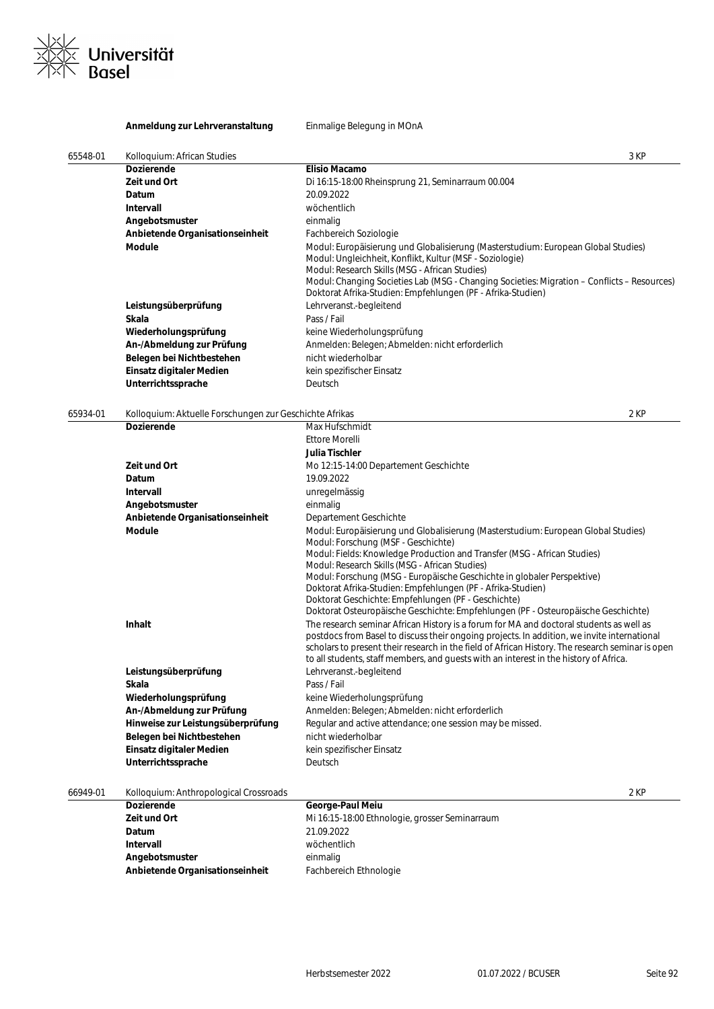

### **Anmeldung zur Lehrveranstaltung** Einmalige Belegung in MOnA

| 65548-01 | Kolloquium: African Studies                             | 3 KP                                                                                                                                                                                                         |  |
|----------|---------------------------------------------------------|--------------------------------------------------------------------------------------------------------------------------------------------------------------------------------------------------------------|--|
|          | <b>Dozierende</b>                                       | <b>Elisio Macamo</b>                                                                                                                                                                                         |  |
|          | Zeit und Ort                                            | Di 16:15-18:00 Rheinsprung 21, Seminarraum 00.004                                                                                                                                                            |  |
|          | Datum                                                   | 20.09.2022                                                                                                                                                                                                   |  |
|          | Intervall                                               | wöchentlich                                                                                                                                                                                                  |  |
|          | Angebotsmuster                                          | einmalig                                                                                                                                                                                                     |  |
|          | Anbietende Organisationseinheit                         | Fachbereich Soziologie                                                                                                                                                                                       |  |
|          | <b>Module</b>                                           | Modul: Europäisierung und Globalisierung (Masterstudium: European Global Studies)<br>Modul: Ungleichheit, Konflikt, Kultur (MSF - Soziologie)                                                                |  |
|          |                                                         | Modul: Research Skills (MSG - African Studies)<br>Modul: Changing Societies Lab (MSG - Changing Societies: Migration - Conflicts - Resources)<br>Doktorat Afrika-Studien: Empfehlungen (PF - Afrika-Studien) |  |
|          | Leistungsüberprüfung                                    | Lehrveranst.-begleitend                                                                                                                                                                                      |  |
|          | Skala                                                   | Pass / Fail                                                                                                                                                                                                  |  |
|          | Wiederholungsprüfung                                    | keine Wiederholungsprüfung                                                                                                                                                                                   |  |
|          | An-/Abmeldung zur Prüfung                               | Anmelden: Belegen; Abmelden: nicht erforderlich                                                                                                                                                              |  |
|          | Belegen bei Nichtbestehen                               | nicht wiederholbar                                                                                                                                                                                           |  |
|          | Einsatz digitaler Medien                                | kein spezifischer Einsatz                                                                                                                                                                                    |  |
|          | Unterrichtssprache                                      | Deutsch                                                                                                                                                                                                      |  |
| 65934-01 | Kolloquium: Aktuelle Forschungen zur Geschichte Afrikas | 2 KP                                                                                                                                                                                                         |  |
|          | <b>Dozierende</b>                                       | Max Hufschmidt                                                                                                                                                                                               |  |
|          |                                                         | <b>Ettore Morelli</b>                                                                                                                                                                                        |  |
|          |                                                         | <b>Julia Tischler</b>                                                                                                                                                                                        |  |
|          | Zeit und Ort                                            | Mo 12:15-14:00 Departement Geschichte                                                                                                                                                                        |  |
|          | Datum                                                   | 19.09.2022                                                                                                                                                                                                   |  |
|          | Intervall                                               | unregelmässig                                                                                                                                                                                                |  |
|          | Angebotsmuster                                          | einmalig                                                                                                                                                                                                     |  |
|          | Anbietende Organisationseinheit                         | Departement Geschichte                                                                                                                                                                                       |  |
|          | <b>Module</b>                                           | Modul: Europäisierung und Globalisierung (Masterstudium: European Global Studies)                                                                                                                            |  |
|          |                                                         | Modul: Forschung (MSF - Geschichte)                                                                                                                                                                          |  |
|          |                                                         | Modul: Fields: Knowledge Production and Transfer (MSG - African Studies)                                                                                                                                     |  |
|          |                                                         | Modul: Research Skills (MSG - African Studies)                                                                                                                                                               |  |
|          |                                                         | Modul: Forschung (MSG - Europäische Geschichte in globaler Perspektive)<br>Doktorat Afrika-Studien: Empfehlungen (PF - Afrika-Studien)                                                                       |  |
|          |                                                         | Doktorat Geschichte: Empfehlungen (PF - Geschichte)                                                                                                                                                          |  |
|          |                                                         | Doktorat Osteuropäische Geschichte: Empfehlungen (PF - Osteuropäische Geschichte)                                                                                                                            |  |
|          | Inhalt                                                  | The research seminar African History is a forum for MA and doctoral students as well as                                                                                                                      |  |
|          |                                                         | postdocs from Basel to discuss their ongoing projects. In addition, we invite international                                                                                                                  |  |
|          |                                                         | scholars to present their research in the field of African History. The research seminar is open                                                                                                             |  |
|          |                                                         | to all students, staff members, and guests with an interest in the history of Africa.                                                                                                                        |  |
|          | Leistungsüberprüfung                                    | Lehrveranst.-begleitend                                                                                                                                                                                      |  |
|          | Skala                                                   | Pass / Fail                                                                                                                                                                                                  |  |
|          | Wiederholungsprüfung                                    | keine Wiederholungsprüfung                                                                                                                                                                                   |  |
|          | An-/Abmeldung zur Prüfung                               | Anmelden: Belegen; Abmelden: nicht erforderlich                                                                                                                                                              |  |
|          | Hinweise zur Leistungsüberprüfung                       | Regular and active attendance; one session may be missed.                                                                                                                                                    |  |
|          | Belegen bei Nichtbestehen                               | nicht wiederholbar                                                                                                                                                                                           |  |
|          | Einsatz digitaler Medien                                | kein spezifischer Einsatz                                                                                                                                                                                    |  |
|          | Unterrichtssprache                                      | Deutsch                                                                                                                                                                                                      |  |
|          |                                                         |                                                                                                                                                                                                              |  |
| 66949-01 | Kolloquium: Anthropological Crossroads                  | 2 KP                                                                                                                                                                                                         |  |

| <b>Dozierende</b>               | George-Paul Meiu                               |
|---------------------------------|------------------------------------------------|
| Zeit und Ort                    | Mi 16:15-18:00 Ethnologie, grosser Seminarraum |
| Datum                           | 21.09.2022                                     |
| Intervall                       | wöchentlich                                    |
| Angebotsmuster                  | einmalig                                       |
| Anbietende Organisationseinheit | Fachbereich Ethnologie                         |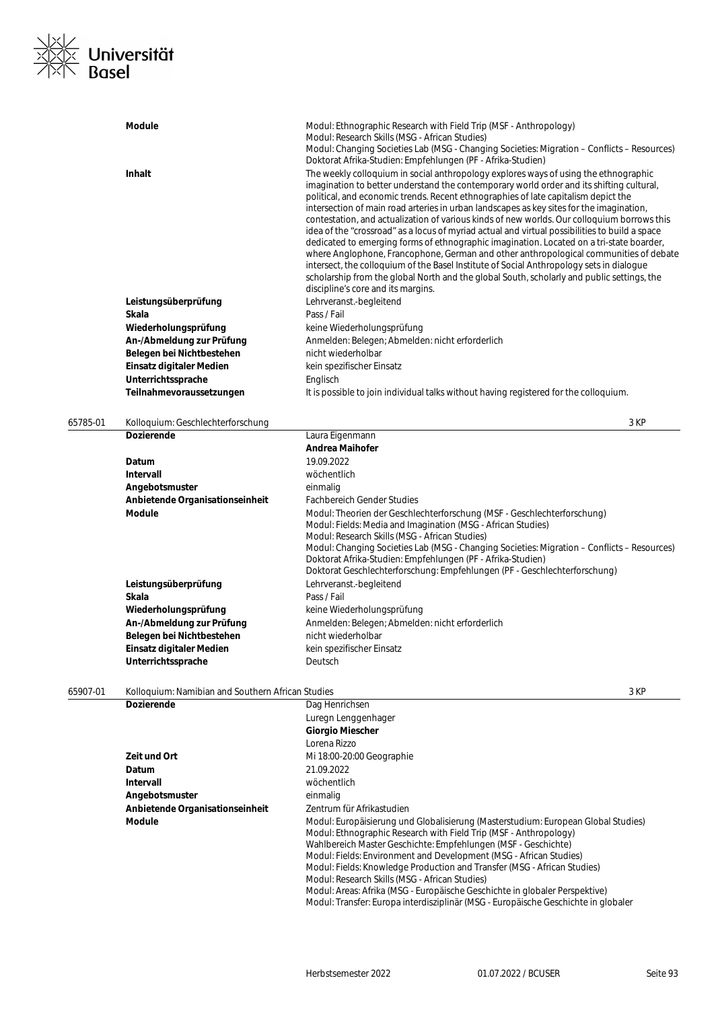

|          | <b>Module</b>                                     | Modul: Ethnographic Research with Field Trip (MSF - Anthropology)<br>Modul: Research Skills (MSG - African Studies)<br>Modul: Changing Societies Lab (MSG - Changing Societies: Migration – Conflicts – Resources)<br>Doktorat Afrika-Studien: Empfehlungen (PF - Afrika-Studien)                                                                                                                                                                                                                                                                                                                                                                                                                                                                                                                                                                                                                                                                                                        |
|----------|---------------------------------------------------|------------------------------------------------------------------------------------------------------------------------------------------------------------------------------------------------------------------------------------------------------------------------------------------------------------------------------------------------------------------------------------------------------------------------------------------------------------------------------------------------------------------------------------------------------------------------------------------------------------------------------------------------------------------------------------------------------------------------------------------------------------------------------------------------------------------------------------------------------------------------------------------------------------------------------------------------------------------------------------------|
|          | <b>Inhalt</b>                                     | The weekly colloquium in social anthropology explores ways of using the ethnographic<br>imagination to better understand the contemporary world order and its shifting cultural,<br>political, and economic trends. Recent ethnographies of late capitalism depict the<br>intersection of main road arteries in urban landscapes as key sites for the imagination,<br>contestation, and actualization of various kinds of new worlds. Our colloquium borrows this<br>idea of the "crossroad" as a locus of myriad actual and virtual possibilities to build a space<br>dedicated to emerging forms of ethnographic imagination. Located on a tri-state boarder,<br>where Anglophone, Francophone, German and other anthropological communities of debate<br>intersect, the colloquium of the Basel Institute of Social Anthropology sets in dialogue<br>scholarship from the global North and the global South, scholarly and public settings, the<br>discipline's core and its margins. |
|          | Leistungsüberprüfung                              | Lehrveranst.-begleitend                                                                                                                                                                                                                                                                                                                                                                                                                                                                                                                                                                                                                                                                                                                                                                                                                                                                                                                                                                  |
|          | Skala                                             | Pass / Fail                                                                                                                                                                                                                                                                                                                                                                                                                                                                                                                                                                                                                                                                                                                                                                                                                                                                                                                                                                              |
|          | Wiederholungsprüfung                              | keine Wiederholungsprüfung                                                                                                                                                                                                                                                                                                                                                                                                                                                                                                                                                                                                                                                                                                                                                                                                                                                                                                                                                               |
|          | An-/Abmeldung zur Prüfung                         | Anmelden: Belegen; Abmelden: nicht erforderlich                                                                                                                                                                                                                                                                                                                                                                                                                                                                                                                                                                                                                                                                                                                                                                                                                                                                                                                                          |
|          | Belegen bei Nichtbestehen                         | nicht wiederholbar                                                                                                                                                                                                                                                                                                                                                                                                                                                                                                                                                                                                                                                                                                                                                                                                                                                                                                                                                                       |
|          | Einsatz digitaler Medien                          | kein spezifischer Einsatz                                                                                                                                                                                                                                                                                                                                                                                                                                                                                                                                                                                                                                                                                                                                                                                                                                                                                                                                                                |
|          | Unterrichtssprache                                | Englisch                                                                                                                                                                                                                                                                                                                                                                                                                                                                                                                                                                                                                                                                                                                                                                                                                                                                                                                                                                                 |
|          | Teilnahmevoraussetzungen                          | It is possible to join individual talks without having registered for the colloquium.                                                                                                                                                                                                                                                                                                                                                                                                                                                                                                                                                                                                                                                                                                                                                                                                                                                                                                    |
| 65785-01 | Kolloquium: Geschlechterforschung                 | 3 KP                                                                                                                                                                                                                                                                                                                                                                                                                                                                                                                                                                                                                                                                                                                                                                                                                                                                                                                                                                                     |
|          | <b>Dozierende</b>                                 | Laura Eigenmann                                                                                                                                                                                                                                                                                                                                                                                                                                                                                                                                                                                                                                                                                                                                                                                                                                                                                                                                                                          |
|          |                                                   | <b>Andrea Maihofer</b>                                                                                                                                                                                                                                                                                                                                                                                                                                                                                                                                                                                                                                                                                                                                                                                                                                                                                                                                                                   |
|          | Datum                                             | 19.09.2022                                                                                                                                                                                                                                                                                                                                                                                                                                                                                                                                                                                                                                                                                                                                                                                                                                                                                                                                                                               |
|          | Intervall                                         | wöchentlich                                                                                                                                                                                                                                                                                                                                                                                                                                                                                                                                                                                                                                                                                                                                                                                                                                                                                                                                                                              |
|          | Angebotsmuster                                    | einmalig                                                                                                                                                                                                                                                                                                                                                                                                                                                                                                                                                                                                                                                                                                                                                                                                                                                                                                                                                                                 |
|          | Anbietende Organisationseinheit                   | <b>Fachbereich Gender Studies</b>                                                                                                                                                                                                                                                                                                                                                                                                                                                                                                                                                                                                                                                                                                                                                                                                                                                                                                                                                        |
|          | <b>Module</b>                                     | Modul: Theorien der Geschlechterforschung (MSF - Geschlechterforschung)<br>Modul: Fields: Media and Imagination (MSG - African Studies)<br>Modul: Research Skills (MSG - African Studies)<br>Modul: Changing Societies Lab (MSG - Changing Societies: Migration – Conflicts – Resources)<br>Doktorat Afrika-Studien: Empfehlungen (PF - Afrika-Studien)<br>Doktorat Geschlechterforschung: Empfehlungen (PF - Geschlechterforschung)                                                                                                                                                                                                                                                                                                                                                                                                                                                                                                                                                     |
|          | Leistungsüberprüfung                              | Lehrveranst.-begleitend                                                                                                                                                                                                                                                                                                                                                                                                                                                                                                                                                                                                                                                                                                                                                                                                                                                                                                                                                                  |
|          | Skala                                             | Pass / Fail                                                                                                                                                                                                                                                                                                                                                                                                                                                                                                                                                                                                                                                                                                                                                                                                                                                                                                                                                                              |
|          | Wiederholungsprüfung                              | keine Wiederholungsprüfung                                                                                                                                                                                                                                                                                                                                                                                                                                                                                                                                                                                                                                                                                                                                                                                                                                                                                                                                                               |
|          | An-/Abmeldung zur Prüfung                         | Anmelden: Belegen; Abmelden: nicht erforderlich                                                                                                                                                                                                                                                                                                                                                                                                                                                                                                                                                                                                                                                                                                                                                                                                                                                                                                                                          |
|          | Belegen bei Nichtbestehen                         | nicht wiederholbar                                                                                                                                                                                                                                                                                                                                                                                                                                                                                                                                                                                                                                                                                                                                                                                                                                                                                                                                                                       |
|          | Einsatz digitaler Medien                          | kein spezifischer Einsatz                                                                                                                                                                                                                                                                                                                                                                                                                                                                                                                                                                                                                                                                                                                                                                                                                                                                                                                                                                |
|          | Unterrichtssprache                                | Deutsch                                                                                                                                                                                                                                                                                                                                                                                                                                                                                                                                                                                                                                                                                                                                                                                                                                                                                                                                                                                  |
| 65907-01 | Kolloquium: Namibian and Southern African Studies | 3 KP                                                                                                                                                                                                                                                                                                                                                                                                                                                                                                                                                                                                                                                                                                                                                                                                                                                                                                                                                                                     |
|          | <b>Dozierende</b>                                 | Dag Henrichsen                                                                                                                                                                                                                                                                                                                                                                                                                                                                                                                                                                                                                                                                                                                                                                                                                                                                                                                                                                           |
|          |                                                   | Luregn Lenggenhager                                                                                                                                                                                                                                                                                                                                                                                                                                                                                                                                                                                                                                                                                                                                                                                                                                                                                                                                                                      |
|          |                                                   | <b>Giorgio Miescher</b>                                                                                                                                                                                                                                                                                                                                                                                                                                                                                                                                                                                                                                                                                                                                                                                                                                                                                                                                                                  |
|          |                                                   | Lorena Rizzo                                                                                                                                                                                                                                                                                                                                                                                                                                                                                                                                                                                                                                                                                                                                                                                                                                                                                                                                                                             |
|          | Zeit und Ort                                      | Mi 18:00-20:00 Geographie                                                                                                                                                                                                                                                                                                                                                                                                                                                                                                                                                                                                                                                                                                                                                                                                                                                                                                                                                                |
|          | Datum                                             | 21.09.2022                                                                                                                                                                                                                                                                                                                                                                                                                                                                                                                                                                                                                                                                                                                                                                                                                                                                                                                                                                               |
|          | Intervall                                         | wöchentlich                                                                                                                                                                                                                                                                                                                                                                                                                                                                                                                                                                                                                                                                                                                                                                                                                                                                                                                                                                              |
|          | Angebotsmuster                                    | einmalig                                                                                                                                                                                                                                                                                                                                                                                                                                                                                                                                                                                                                                                                                                                                                                                                                                                                                                                                                                                 |
|          | Anbietende Organisationseinheit                   | Zentrum für Afrikastudien                                                                                                                                                                                                                                                                                                                                                                                                                                                                                                                                                                                                                                                                                                                                                                                                                                                                                                                                                                |
|          | Module                                            | Modul: Europäisierung und Globalisierung (Masterstudium: European Global Studies)<br>Modul: Ethnographic Research with Field Trip (MSF - Anthropology)<br>Wahlbereich Master Geschichte: Empfehlungen (MSF - Geschichte)<br>Modul: Fields: Environment and Development (MSG - African Studies)                                                                                                                                                                                                                                                                                                                                                                                                                                                                                                                                                                                                                                                                                           |
|          |                                                   | Modul: Fields: Knowledge Production and Transfer (MSG - African Studies)                                                                                                                                                                                                                                                                                                                                                                                                                                                                                                                                                                                                                                                                                                                                                                                                                                                                                                                 |
|          |                                                   | Modul: Research Skills (MSG - African Studies)<br>Modul: Areas: Afrika (MSG - Europäische Geschichte in globaler Perspektive)<br>Modul: Transfer: Europa interdisziplinär (MSG - Europäische Geschichte in globaler                                                                                                                                                                                                                                                                                                                                                                                                                                                                                                                                                                                                                                                                                                                                                                      |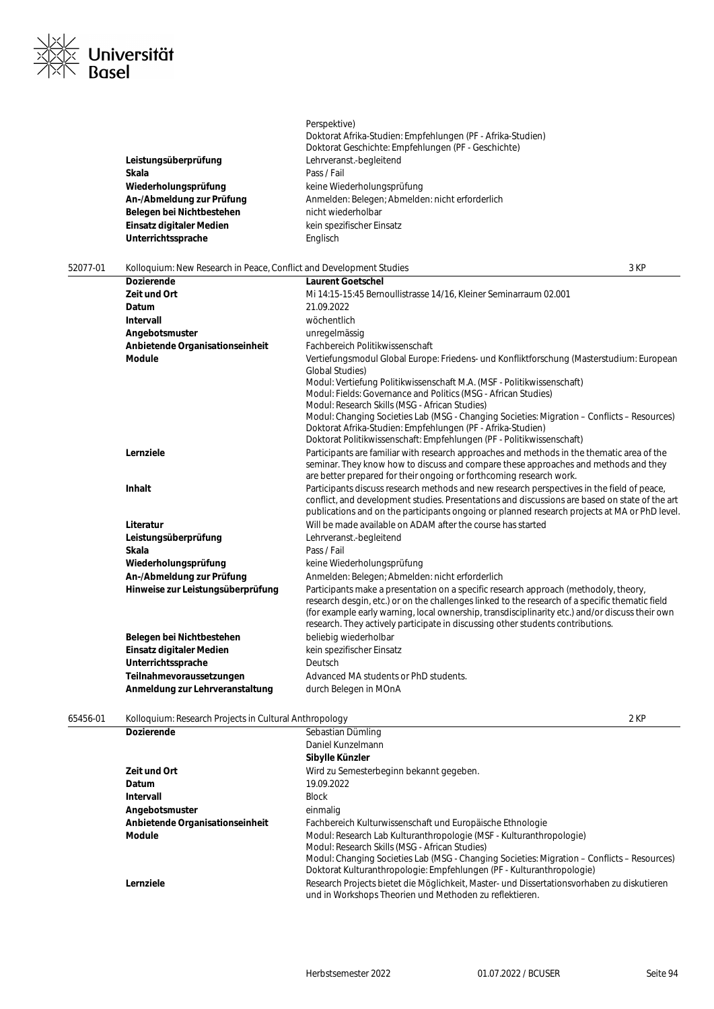

|          |                                                                     | Doktorat Afrika-Studien: Empfehlungen (PF - Afrika-Studien)<br>Doktorat Geschichte: Empfehlungen (PF - Geschichte)                                                                                                                                                                                                                                                            |      |
|----------|---------------------------------------------------------------------|-------------------------------------------------------------------------------------------------------------------------------------------------------------------------------------------------------------------------------------------------------------------------------------------------------------------------------------------------------------------------------|------|
|          |                                                                     | Lehrveranst.-begleitend                                                                                                                                                                                                                                                                                                                                                       |      |
|          | Leistungsüberprüfung<br>Skala                                       | Pass / Fail                                                                                                                                                                                                                                                                                                                                                                   |      |
|          | Wiederholungsprüfung                                                | keine Wiederholungsprüfung                                                                                                                                                                                                                                                                                                                                                    |      |
|          | An-/Abmeldung zur Prüfung                                           | Anmelden: Belegen; Abmelden: nicht erforderlich                                                                                                                                                                                                                                                                                                                               |      |
|          | Belegen bei Nichtbestehen                                           | nicht wiederholbar                                                                                                                                                                                                                                                                                                                                                            |      |
|          | Einsatz digitaler Medien                                            | kein spezifischer Einsatz                                                                                                                                                                                                                                                                                                                                                     |      |
|          | Unterrichtssprache                                                  | Englisch                                                                                                                                                                                                                                                                                                                                                                      |      |
|          |                                                                     |                                                                                                                                                                                                                                                                                                                                                                               |      |
| 52077-01 | Kolloquium: New Research in Peace, Conflict and Development Studies |                                                                                                                                                                                                                                                                                                                                                                               | 3 KP |
|          | <b>Dozierende</b>                                                   | <b>Laurent Goetschel</b>                                                                                                                                                                                                                                                                                                                                                      |      |
|          | Zeit und Ort                                                        | Mi 14:15-15:45 Bernoullistrasse 14/16, Kleiner Seminarraum 02.001                                                                                                                                                                                                                                                                                                             |      |
|          | Datum                                                               | 21.09.2022                                                                                                                                                                                                                                                                                                                                                                    |      |
|          | <b>Intervall</b>                                                    | wöchentlich                                                                                                                                                                                                                                                                                                                                                                   |      |
|          | Angebotsmuster                                                      | unregelmässig                                                                                                                                                                                                                                                                                                                                                                 |      |
|          | Anbietende Organisationseinheit                                     | Fachbereich Politikwissenschaft                                                                                                                                                                                                                                                                                                                                               |      |
|          | <b>Module</b>                                                       | Vertiefungsmodul Global Europe: Friedens- und Konfliktforschung (Masterstudium: European<br><b>Global Studies)</b><br>Modul: Vertiefung Politikwissenschaft M.A. (MSF - Politikwissenschaft)                                                                                                                                                                                  |      |
|          |                                                                     | Modul: Fields: Governance and Politics (MSG - African Studies)<br>Modul: Research Skills (MSG - African Studies)                                                                                                                                                                                                                                                              |      |
|          |                                                                     | Modul: Changing Societies Lab (MSG - Changing Societies: Migration – Conflicts – Resources)<br>Doktorat Afrika-Studien: Empfehlungen (PF - Afrika-Studien)<br>Doktorat Politikwissenschaft: Empfehlungen (PF - Politikwissenschaft)                                                                                                                                           |      |
|          | Lernziele                                                           | Participants are familiar with research approaches and methods in the thematic area of the<br>seminar. They know how to discuss and compare these approaches and methods and they<br>are better prepared for their ongoing or forthcoming research work.                                                                                                                      |      |
|          | Inhalt                                                              | Participants discuss research methods and new research perspectives in the field of peace,<br>conflict, and development studies. Presentations and discussions are based on state of the art<br>publications and on the participants ongoing or planned research projects at MA or PhD level.                                                                                 |      |
|          | Literatur                                                           | Will be made available on ADAM after the course has started                                                                                                                                                                                                                                                                                                                   |      |
|          | Leistungsüberprüfung                                                | Lehrveranst.-begleitend                                                                                                                                                                                                                                                                                                                                                       |      |
|          | Skala                                                               | Pass / Fail                                                                                                                                                                                                                                                                                                                                                                   |      |
|          | Wiederholungsprüfung                                                | keine Wiederholungsprüfung                                                                                                                                                                                                                                                                                                                                                    |      |
|          | An-/Abmeldung zur Prüfung                                           | Anmelden: Belegen; Abmelden: nicht erforderlich                                                                                                                                                                                                                                                                                                                               |      |
|          | Hinweise zur Leistungsüberprüfung                                   | Participants make a presentation on a specific research approach (methodoly, theory,<br>research desgin, etc.) or on the challenges linked to the research of a specific thematic field<br>(for example early warning, local ownership, transdisciplinarity etc.) and/or discuss their own<br>research. They actively participate in discussing other students contributions. |      |
|          | Belegen bei Nichtbestehen                                           | beliebig wiederholbar                                                                                                                                                                                                                                                                                                                                                         |      |
|          | Einsatz digitaler Medien                                            | kein spezifischer Einsatz                                                                                                                                                                                                                                                                                                                                                     |      |
|          | Unterrichtssprache                                                  | Deutsch                                                                                                                                                                                                                                                                                                                                                                       |      |
|          | Teilnahmevoraussetzungen                                            | Advanced MA students or PhD students.                                                                                                                                                                                                                                                                                                                                         |      |
|          | Anmeldung zur Lehrveranstaltung                                     | durch Belegen in MOnA                                                                                                                                                                                                                                                                                                                                                         |      |
| 65456-01 | Kolloquium: Research Projects in Cultural Anthropology              |                                                                                                                                                                                                                                                                                                                                                                               | 2 KP |

Perspektive)

| <b>Dozierende</b>               | Sebastian Dümling                                                                           |
|---------------------------------|---------------------------------------------------------------------------------------------|
|                                 | Daniel Kunzelmann                                                                           |
|                                 | Sibylle Künzler                                                                             |
| Zeit und Ort                    | Wird zu Semesterbeginn bekannt gegeben.                                                     |
| Datum                           | 19.09.2022                                                                                  |
| Intervall                       | <b>Block</b>                                                                                |
| Angebotsmuster                  | einmalig                                                                                    |
| Anbietende Organisationseinheit | Fachbereich Kulturwissenschaft und Europäische Ethnologie                                   |
| Module                          | Modul: Research Lab Kulturanthropologie (MSF - Kulturanthropologie)                         |
|                                 | Modul: Research Skills (MSG - African Studies)                                              |
|                                 | Modul: Changing Societies Lab (MSG - Changing Societies: Migration – Conflicts – Resources) |
|                                 | Doktorat Kulturanthropologie: Empfehlungen (PF - Kulturanthropologie)                       |
| Lernziele                       | Research Projects bietet die Möglichkeit, Master- und Dissertationsvorhaben zu diskutieren  |
|                                 | und in Workshops Theorien und Methoden zu reflektieren.                                     |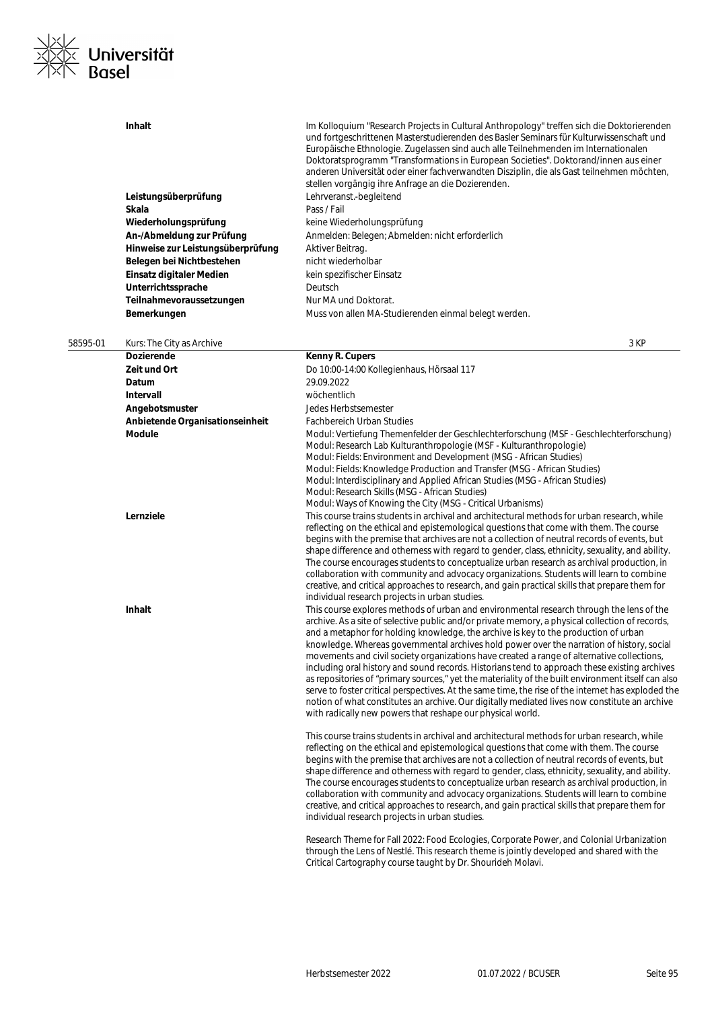

|          | Inhalt                                            | Im Kolloquium "Research Projects in Cultural Anthropology" treffen sich die Doktorierenden<br>und fortgeschrittenen Masterstudierenden des Basler Seminars für Kulturwissenschaft und<br>Europäische Ethnologie. Zugelassen sind auch alle Teilnehmenden im Internationalen<br>Doktoratsprogramm "Transformations in European Societies". Doktorand/innen aus einer<br>anderen Universität oder einer fachverwandten Disziplin, die als Gast teilnehmen möchten,                                                                                                                                                                                                                                                                                                                                                                                                                                                                                          |
|----------|---------------------------------------------------|-----------------------------------------------------------------------------------------------------------------------------------------------------------------------------------------------------------------------------------------------------------------------------------------------------------------------------------------------------------------------------------------------------------------------------------------------------------------------------------------------------------------------------------------------------------------------------------------------------------------------------------------------------------------------------------------------------------------------------------------------------------------------------------------------------------------------------------------------------------------------------------------------------------------------------------------------------------|
|          |                                                   | stellen vorgängig ihre Anfrage an die Dozierenden.                                                                                                                                                                                                                                                                                                                                                                                                                                                                                                                                                                                                                                                                                                                                                                                                                                                                                                        |
|          | Leistungsüberprüfung                              | Lehrveranst.-begleitend                                                                                                                                                                                                                                                                                                                                                                                                                                                                                                                                                                                                                                                                                                                                                                                                                                                                                                                                   |
|          | Skala                                             | Pass / Fail                                                                                                                                                                                                                                                                                                                                                                                                                                                                                                                                                                                                                                                                                                                                                                                                                                                                                                                                               |
|          | Wiederholungsprüfung<br>An-/Abmeldung zur Prüfung | keine Wiederholungsprüfung<br>Anmelden: Belegen; Abmelden: nicht erforderlich                                                                                                                                                                                                                                                                                                                                                                                                                                                                                                                                                                                                                                                                                                                                                                                                                                                                             |
|          | Hinweise zur Leistungsüberprüfung                 | Aktiver Beitrag.                                                                                                                                                                                                                                                                                                                                                                                                                                                                                                                                                                                                                                                                                                                                                                                                                                                                                                                                          |
|          | Belegen bei Nichtbestehen                         | nicht wiederholbar                                                                                                                                                                                                                                                                                                                                                                                                                                                                                                                                                                                                                                                                                                                                                                                                                                                                                                                                        |
|          | Einsatz digitaler Medien                          | kein spezifischer Einsatz                                                                                                                                                                                                                                                                                                                                                                                                                                                                                                                                                                                                                                                                                                                                                                                                                                                                                                                                 |
|          | Unterrichtssprache                                | Deutsch                                                                                                                                                                                                                                                                                                                                                                                                                                                                                                                                                                                                                                                                                                                                                                                                                                                                                                                                                   |
|          | Teilnahmevoraussetzungen                          | Nur MA und Doktorat.                                                                                                                                                                                                                                                                                                                                                                                                                                                                                                                                                                                                                                                                                                                                                                                                                                                                                                                                      |
|          | Bemerkungen                                       | Muss von allen MA-Studierenden einmal belegt werden.                                                                                                                                                                                                                                                                                                                                                                                                                                                                                                                                                                                                                                                                                                                                                                                                                                                                                                      |
|          |                                                   |                                                                                                                                                                                                                                                                                                                                                                                                                                                                                                                                                                                                                                                                                                                                                                                                                                                                                                                                                           |
| 58595-01 | Kurs: The City as Archive<br><b>Dozierende</b>    | 3 KP<br>Kenny R. Cupers                                                                                                                                                                                                                                                                                                                                                                                                                                                                                                                                                                                                                                                                                                                                                                                                                                                                                                                                   |
|          | Zeit und Ort                                      | Do 10:00-14:00 Kollegienhaus, Hörsaal 117                                                                                                                                                                                                                                                                                                                                                                                                                                                                                                                                                                                                                                                                                                                                                                                                                                                                                                                 |
|          | Datum                                             | 29.09.2022                                                                                                                                                                                                                                                                                                                                                                                                                                                                                                                                                                                                                                                                                                                                                                                                                                                                                                                                                |
|          | Intervall                                         | wöchentlich                                                                                                                                                                                                                                                                                                                                                                                                                                                                                                                                                                                                                                                                                                                                                                                                                                                                                                                                               |
|          | Angebotsmuster                                    | Jedes Herbstsemester                                                                                                                                                                                                                                                                                                                                                                                                                                                                                                                                                                                                                                                                                                                                                                                                                                                                                                                                      |
|          | Anbietende Organisationseinheit                   | <b>Fachbereich Urban Studies</b>                                                                                                                                                                                                                                                                                                                                                                                                                                                                                                                                                                                                                                                                                                                                                                                                                                                                                                                          |
|          | <b>Module</b>                                     | Modul: Vertiefung Themenfelder der Geschlechterforschung (MSF - Geschlechterforschung)<br>Modul: Research Lab Kulturanthropologie (MSF - Kulturanthropologie)<br>Modul: Fields: Environment and Development (MSG - African Studies)<br>Modul: Fields: Knowledge Production and Transfer (MSG - African Studies)<br>Modul: Interdisciplinary and Applied African Studies (MSG - African Studies)<br>Modul: Research Skills (MSG - African Studies)<br>Modul: Ways of Knowing the City (MSG - Critical Urbanisms)                                                                                                                                                                                                                                                                                                                                                                                                                                           |
|          | Lernziele                                         | This course trains students in archival and architectural methods for urban research, while<br>reflecting on the ethical and epistemological questions that come with them. The course<br>begins with the premise that archives are not a collection of neutral records of events, but<br>shape difference and otherness with regard to gender, class, ethnicity, sexuality, and ability.<br>The course encourages students to conceptualize urban research as archival production, in<br>collaboration with community and advocacy organizations. Students will learn to combine<br>creative, and critical approaches to research, and gain practical skills that prepare them for<br>individual research projects in urban studies.                                                                                                                                                                                                                     |
|          | <b>Inhalt</b>                                     | This course explores methods of urban and environmental research through the lens of the<br>archive. As a site of selective public and/or private memory, a physical collection of records,<br>and a metaphor for holding knowledge, the archive is key to the production of urban<br>knowledge. Whereas governmental archives hold power over the narration of history, social<br>movements and civil society organizations have created a range of alternative collections,<br>including oral history and sound records. Historians tend to approach these existing archives<br>as repositories of "primary sources," yet the materiality of the built environment itself can also<br>serve to foster critical perspectives. At the same time, the rise of the internet has exploded the<br>notion of what constitutes an archive. Our digitally mediated lives now constitute an archive<br>with radically new powers that reshape our physical world. |
|          |                                                   | This course trains students in archival and architectural methods for urban research, while<br>reflecting on the ethical and epistemological questions that come with them. The course<br>begins with the premise that archives are not a collection of neutral records of events, but<br>shape difference and otherness with regard to gender, class, ethnicity, sexuality, and ability.<br>The course encourages students to conceptualize urban research as archival production, in<br>collaboration with community and advocacy organizations. Students will learn to combine<br>creative, and critical approaches to research, and gain practical skills that prepare them for<br>individual research projects in urban studies.                                                                                                                                                                                                                     |
|          |                                                   | Research Theme for Fall 2022: Food Ecologies, Corporate Power, and Colonial Urbanization<br>through the Lens of Nestlé. This research theme is jointly developed and shared with the<br>Critical Cartography course taught by Dr. Shourideh Molavi.                                                                                                                                                                                                                                                                                                                                                                                                                                                                                                                                                                                                                                                                                                       |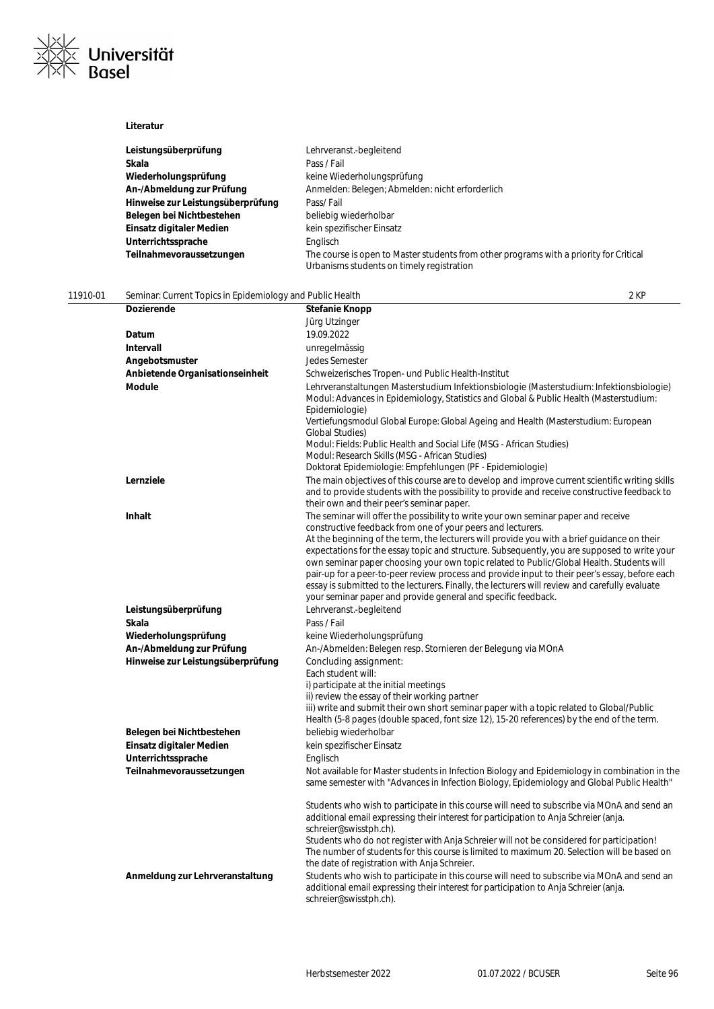

|                                                                       | Lehrveranst.-begleitend                                                                                                                                                                                                                      |
|-----------------------------------------------------------------------|----------------------------------------------------------------------------------------------------------------------------------------------------------------------------------------------------------------------------------------------|
| Leistungsüberprüfung                                                  |                                                                                                                                                                                                                                              |
| Skala                                                                 | Pass / Fail                                                                                                                                                                                                                                  |
| Wiederholungsprüfung                                                  | keine Wiederholungsprüfung                                                                                                                                                                                                                   |
| An-/Abmeldung zur Prüfung                                             | Anmelden: Belegen; Abmelden: nicht erforderlich                                                                                                                                                                                              |
| Hinweise zur Leistungsüberprüfung                                     | Pass/Fail                                                                                                                                                                                                                                    |
| Belegen bei Nichtbestehen                                             | beliebig wiederholbar                                                                                                                                                                                                                        |
| Einsatz digitaler Medien                                              | kein spezifischer Einsatz                                                                                                                                                                                                                    |
| Unterrichtssprache                                                    | Englisch                                                                                                                                                                                                                                     |
| Teilnahmevoraussetzungen                                              | The course is open to Master students from other programs with a priority for Critical                                                                                                                                                       |
|                                                                       | Urbanisms students on timely registration                                                                                                                                                                                                    |
|                                                                       |                                                                                                                                                                                                                                              |
| 11910-01<br>Seminar: Current Topics in Epidemiology and Public Health | 2 KP                                                                                                                                                                                                                                         |
| <b>Dozierende</b>                                                     | Stefanie Knopp                                                                                                                                                                                                                               |
|                                                                       | Jürg Utzinger                                                                                                                                                                                                                                |
| Datum                                                                 | 19.09.2022                                                                                                                                                                                                                                   |
| Intervall                                                             | unregelmässig                                                                                                                                                                                                                                |
| Angebotsmuster                                                        | Jedes Semester                                                                                                                                                                                                                               |
| Anbietende Organisationseinheit                                       | Schweizerisches Tropen- und Public Health-Institut                                                                                                                                                                                           |
| <b>Module</b>                                                         | Lehrveranstaltungen Masterstudium Infektionsbiologie (Masterstudium: Infektionsbiologie)<br>Modul: Advances in Epidemiology, Statistics and Global & Public Health (Masterstudium:<br>Epidemiologie)                                         |
|                                                                       | Vertiefungsmodul Global Europe: Global Ageing and Health (Masterstudium: European<br>Global Studies)<br>Modul: Fields: Public Health and Social Life (MSG - African Studies)                                                                 |
|                                                                       | Modul: Research Skills (MSG - African Studies)                                                                                                                                                                                               |
|                                                                       | Doktorat Epidemiologie: Empfehlungen (PF - Epidemiologie)                                                                                                                                                                                    |
| Lernziele                                                             | The main objectives of this course are to develop and improve current scientific writing skills<br>and to provide students with the possibility to provide and receive constructive feedback to<br>their own and their peer's seminar paper. |
| Inhalt                                                                | The seminar will offer the possibility to write your own seminar paper and receive                                                                                                                                                           |
|                                                                       | constructive feedback from one of your peers and lecturers.                                                                                                                                                                                  |
|                                                                       | At the beginning of the term, the lecturers will provide you with a brief guidance on their                                                                                                                                                  |
|                                                                       | expectations for the essay topic and structure. Subsequently, you are supposed to write your                                                                                                                                                 |
|                                                                       | own seminar paper choosing your own topic related to Public/Global Health. Students will                                                                                                                                                     |
|                                                                       | pair-up for a peer-to-peer review process and provide input to their peer's essay, before each                                                                                                                                               |
|                                                                       | essay is submitted to the lecturers. Finally, the lecturers will review and carefully evaluate                                                                                                                                               |
|                                                                       | your seminar paper and provide general and specific feedback.                                                                                                                                                                                |
| Leistungsüberprüfung                                                  | Lehrveranst.-begleitend                                                                                                                                                                                                                      |
| Skala                                                                 | Pass / Fail                                                                                                                                                                                                                                  |
| Wiederholungsprüfung                                                  | keine Wiederholungsprüfung                                                                                                                                                                                                                   |
| An-/Abmeldung zur Prüfung                                             | An-/Abmelden: Belegen resp. Stornieren der Belegung via MOnA                                                                                                                                                                                 |
| Hinweise zur Leistungsüberprüfung                                     | Concluding assignment:                                                                                                                                                                                                                       |
|                                                                       | Each student will:                                                                                                                                                                                                                           |
|                                                                       | i) participate at the initial meetings<br>ii) review the essay of their working partner                                                                                                                                                      |
|                                                                       | iii) write and submit their own short seminar paper with a topic related to Global/Public                                                                                                                                                    |
|                                                                       | Health (5-8 pages (double spaced, font size 12), 15-20 references) by the end of the term.                                                                                                                                                   |
| Belegen bei Nichtbestehen                                             | beliebig wiederholbar                                                                                                                                                                                                                        |
| Einsatz digitaler Medien                                              | kein spezifischer Einsatz                                                                                                                                                                                                                    |
| Unterrichtssprache                                                    | Englisch                                                                                                                                                                                                                                     |
| Teilnahmevoraussetzungen                                              | Not available for Master students in Infection Biology and Epidemiology in combination in the                                                                                                                                                |
|                                                                       | same semester with "Advances in Infection Biology, Epidemiology and Global Public Health"                                                                                                                                                    |
|                                                                       | Students who wish to participate in this course will need to subscribe via MOnA and send an                                                                                                                                                  |
|                                                                       | additional email expressing their interest for participation to Anja Schreier (anja.                                                                                                                                                         |
|                                                                       | schreier@swisstph.ch).                                                                                                                                                                                                                       |
|                                                                       | Students who do not register with Anja Schreier will not be considered for participation!                                                                                                                                                    |
|                                                                       | The number of students for this course is limited to maximum 20. Selection will be based on                                                                                                                                                  |
|                                                                       | the date of registration with Anja Schreier.                                                                                                                                                                                                 |
| Anmeldung zur Lehrveranstaltung                                       | Students who wish to participate in this course will need to subscribe via MOnA and send an<br>additional email expressing their interest for participation to Anja Schreier (anja.<br>schreier@swisstph.ch).                                |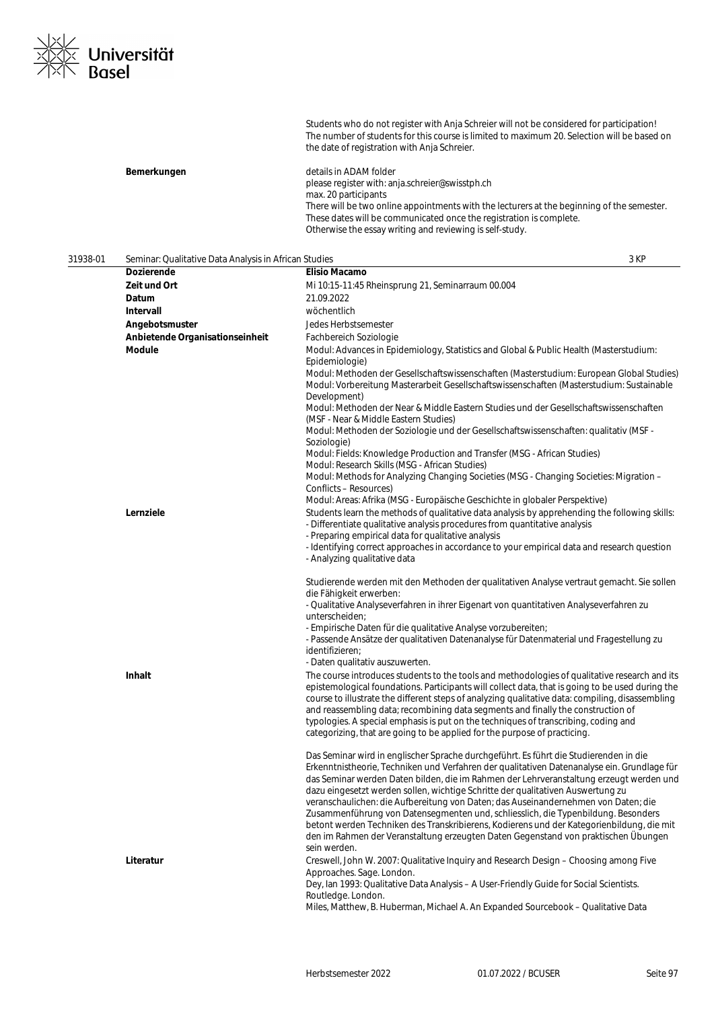

Students who do not register with Anja Schreier will not be considered for participation! The number of students for this course is limited to maximum 20. Selection will be based on the date of registration with Anja Schreier.

| Bemerkungen | details in ADAM folder                                                                     |
|-------------|--------------------------------------------------------------------------------------------|
|             | please register with: anja.schreier@swisstph.ch                                            |
|             | max. 20 participants                                                                       |
|             | There will be two online appointments with the lecturers at the beginning of the semester. |
|             | These dates will be communicated once the registration is complete.                        |
|             | Otherwise the essay writing and reviewing is self-study.                                   |

| 31938-01 | Seminar: Qualitative Data Analysis in African Studies |                                                                                                                                                                                                                                                                                                                                                                                                                                                                                                                                                                                                                                                                                                                                                  | 3 KP |
|----------|-------------------------------------------------------|--------------------------------------------------------------------------------------------------------------------------------------------------------------------------------------------------------------------------------------------------------------------------------------------------------------------------------------------------------------------------------------------------------------------------------------------------------------------------------------------------------------------------------------------------------------------------------------------------------------------------------------------------------------------------------------------------------------------------------------------------|------|
|          | Dozierende                                            | Elisio Macamo                                                                                                                                                                                                                                                                                                                                                                                                                                                                                                                                                                                                                                                                                                                                    |      |
|          | Zeit und Ort                                          | Mi 10:15-11:45 Rheinsprung 21, Seminarraum 00.004                                                                                                                                                                                                                                                                                                                                                                                                                                                                                                                                                                                                                                                                                                |      |
|          | Datum                                                 | 21.09.2022                                                                                                                                                                                                                                                                                                                                                                                                                                                                                                                                                                                                                                                                                                                                       |      |
|          | Intervall                                             | wöchentlich                                                                                                                                                                                                                                                                                                                                                                                                                                                                                                                                                                                                                                                                                                                                      |      |
|          | Angebotsmuster                                        | Jedes Herbstsemester                                                                                                                                                                                                                                                                                                                                                                                                                                                                                                                                                                                                                                                                                                                             |      |
|          | Anbietende Organisationseinheit                       | Fachbereich Soziologie                                                                                                                                                                                                                                                                                                                                                                                                                                                                                                                                                                                                                                                                                                                           |      |
|          | <b>Module</b>                                         | Modul: Advances in Epidemiology, Statistics and Global & Public Health (Masterstudium:<br>Epidemiologie)<br>Modul: Methoden der Gesellschaftswissenschaften (Masterstudium: European Global Studies)<br>Modul: Vorbereitung Masterarbeit Gesellschaftswissenschaften (Masterstudium: Sustainable<br>Development)<br>Modul: Methoden der Near & Middle Eastern Studies und der Gesellschaftswissenschaften<br>(MSF - Near & Middle Eastern Studies)                                                                                                                                                                                                                                                                                               |      |
|          |                                                       | Modul: Methoden der Soziologie und der Gesellschaftswissenschaften: qualitativ (MSF -<br>Soziologie)<br>Modul: Fields: Knowledge Production and Transfer (MSG - African Studies)                                                                                                                                                                                                                                                                                                                                                                                                                                                                                                                                                                 |      |
|          |                                                       | Modul: Research Skills (MSG - African Studies)<br>Modul: Methods for Analyzing Changing Societies (MSG - Changing Societies: Migration -<br>Conflicts - Resources)<br>Modul: Areas: Afrika (MSG - Europäische Geschichte in globaler Perspektive)                                                                                                                                                                                                                                                                                                                                                                                                                                                                                                |      |
|          | Lernziele                                             | Students learn the methods of qualitative data analysis by apprehending the following skills:<br>- Differentiate qualitative analysis procedures from quantitative analysis<br>- Preparing empirical data for qualitative analysis<br>- Identifying correct approaches in accordance to your empirical data and research question                                                                                                                                                                                                                                                                                                                                                                                                                |      |
|          | <b>Inhalt</b>                                         | - Analyzing qualitative data<br>Studierende werden mit den Methoden der qualitativen Analyse vertraut gemacht. Sie sollen<br>die Fähigkeit erwerben:<br>- Qualitative Analyseverfahren in ihrer Eigenart von quantitativen Analyseverfahren zu<br>unterscheiden;<br>- Empirische Daten für die qualitative Analyse vorzubereiten;<br>- Passende Ansätze der qualitativen Datenanalyse für Datenmaterial und Fragestellung zu<br>identifizieren;<br>- Daten qualitativ auszuwerten.<br>The course introduces students to the tools and methodologies of qualitative research and its                                                                                                                                                              |      |
|          |                                                       | epistemological foundations. Participants will collect data, that is going to be used during the<br>course to illustrate the different steps of analyzing qualitative data: compiling, disassembling<br>and reassembling data; recombining data segments and finally the construction of<br>typologies. A special emphasis is put on the techniques of transcribing, coding and<br>categorizing, that are going to be applied for the purpose of practicing.                                                                                                                                                                                                                                                                                     |      |
|          |                                                       | Das Seminar wird in englischer Sprache durchgeführt. Es führt die Studierenden in die<br>Erkenntnistheorie, Techniken und Verfahren der qualitativen Datenanalyse ein. Grundlage für<br>das Seminar werden Daten bilden, die im Rahmen der Lehrveranstaltung erzeugt werden und<br>dazu eingesetzt werden sollen, wichtige Schritte der qualitativen Auswertung zu<br>veranschaulichen: die Aufbereitung von Daten; das Auseinandernehmen von Daten; die<br>Zusammenführung von Datensegmenten und, schliesslich, die Typenbildung. Besonders<br>betont werden Techniken des Transkribierens, Kodierens und der Kategorienbildung, die mit<br>den im Rahmen der Veranstaltung erzeugten Daten Gegenstand von praktischen Übungen<br>sein werden. |      |
|          | Literatur                                             | Creswell, John W. 2007: Qualitative Inquiry and Research Design – Choosing among Five<br>Approaches. Sage. London.<br>Dey, Ian 1993: Qualitative Data Analysis - A User-Friendly Guide for Social Scientists.<br>Routledge. London.<br>Miles, Matthew, B. Huberman, Michael A. An Expanded Sourcebook - Qualitative Data                                                                                                                                                                                                                                                                                                                                                                                                                         |      |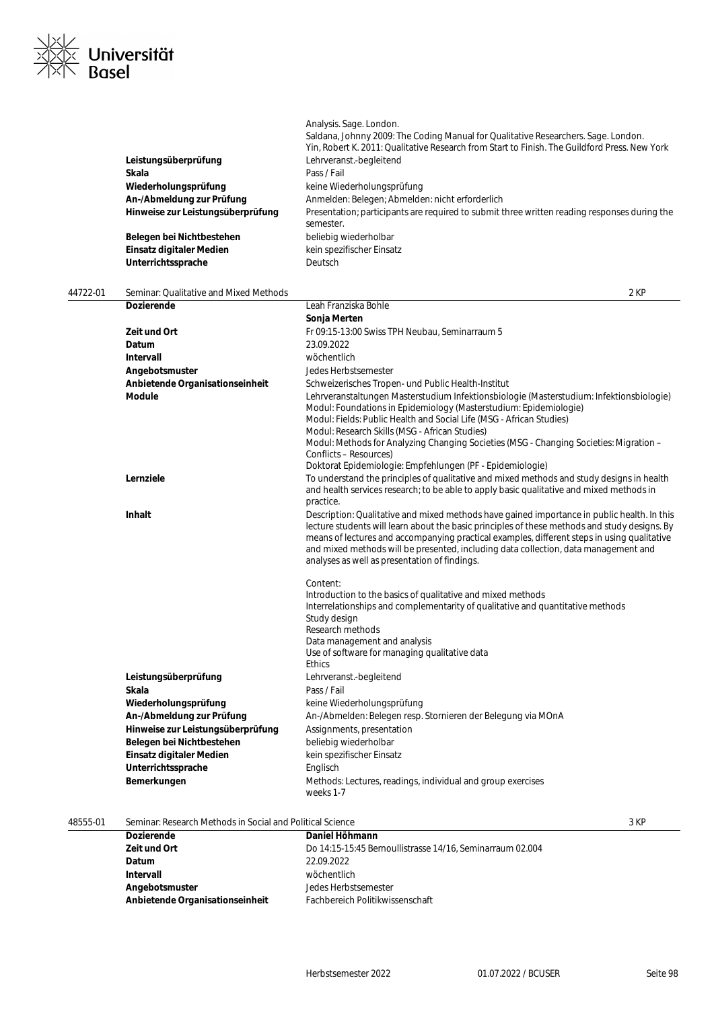

|                                   | Analysis. Sage. London.                                                                                   |
|-----------------------------------|-----------------------------------------------------------------------------------------------------------|
|                                   | Saldana, Johnny 2009: The Coding Manual for Qualitative Researchers. Sage. London.                        |
|                                   | Yin, Robert K. 2011: Qualitative Research from Start to Finish. The Guildford Press. New York             |
| Leistungsüberprüfung              | Lehrveranst.-begleitend                                                                                   |
| Skala                             | Pass / Fail                                                                                               |
| Wiederholungsprüfung              | keine Wiederholungsprüfung                                                                                |
| An-/Abmeldung zur Prüfung         | Anmelden: Belegen: Abmelden: nicht erforderlich                                                           |
| Hinweise zur Leistungsüberprüfung | Presentation; participants are required to submit three written reading responses during the<br>semester. |
| Belegen bei Nichtbestehen         | beliebig wiederholbar                                                                                     |
| Einsatz digitaler Medien          | kein spezifischer Einsatz                                                                                 |
| Unterrichtssprache                | Deutsch                                                                                                   |

| 44722-01 | Seminar: Qualitative and Mixed Methods |                                                                                                                                                                                                                                                                                                                                                                                                                                     | 2 KP |
|----------|----------------------------------------|-------------------------------------------------------------------------------------------------------------------------------------------------------------------------------------------------------------------------------------------------------------------------------------------------------------------------------------------------------------------------------------------------------------------------------------|------|
|          | Dozierende                             | Leah Franziska Bohle                                                                                                                                                                                                                                                                                                                                                                                                                |      |
|          |                                        | Sonja Merten                                                                                                                                                                                                                                                                                                                                                                                                                        |      |
|          | Zeit und Ort                           | Fr 09:15-13:00 Swiss TPH Neubau, Seminarraum 5                                                                                                                                                                                                                                                                                                                                                                                      |      |
|          | Datum                                  | 23.09.2022                                                                                                                                                                                                                                                                                                                                                                                                                          |      |
|          | Intervall                              | wöchentlich                                                                                                                                                                                                                                                                                                                                                                                                                         |      |
|          | Angebotsmuster                         | Jedes Herbstsemester                                                                                                                                                                                                                                                                                                                                                                                                                |      |
|          | Anbietende Organisationseinheit        | Schweizerisches Tropen- und Public Health-Institut                                                                                                                                                                                                                                                                                                                                                                                  |      |
|          | Module                                 | Lehrveranstaltungen Masterstudium Infektionsbiologie (Masterstudium: Infektionsbiologie)<br>Modul: Foundations in Epidemiology (Masterstudium: Epidemiologie)<br>Modul: Fields: Public Health and Social Life (MSG - African Studies)<br>Modul: Research Skills (MSG - African Studies)<br>Modul: Methods for Analyzing Changing Societies (MSG - Changing Societies: Migration -<br>Conflicts - Resources)                         |      |
|          |                                        | Doktorat Epidemiologie: Empfehlungen (PF - Epidemiologie)                                                                                                                                                                                                                                                                                                                                                                           |      |
|          | Lernziele                              | To understand the principles of qualitative and mixed methods and study designs in health<br>and health services research; to be able to apply basic qualitative and mixed methods in<br>practice.                                                                                                                                                                                                                                  |      |
|          | Inhalt                                 | Description: Qualitative and mixed methods have gained importance in public health. In this<br>lecture students will learn about the basic principles of these methods and study designs. By<br>means of lectures and accompanying practical examples, different steps in using qualitative<br>and mixed methods will be presented, including data collection, data management and<br>analyses as well as presentation of findings. |      |
|          |                                        | Content:<br>Introduction to the basics of qualitative and mixed methods<br>Interrelationships and complementarity of qualitative and quantitative methods<br>Study design<br>Research methods<br>Data management and analysis<br>Use of software for managing qualitative data<br><b>Ethics</b>                                                                                                                                     |      |
|          | Leistungsüberprüfung                   | Lehrveranst.-begleitend                                                                                                                                                                                                                                                                                                                                                                                                             |      |
|          | Skala                                  | Pass / Fail                                                                                                                                                                                                                                                                                                                                                                                                                         |      |
|          | Wiederholungsprüfung                   | keine Wiederholungsprüfung                                                                                                                                                                                                                                                                                                                                                                                                          |      |
|          | An-/Abmeldung zur Prüfung              | An-/Abmelden: Belegen resp. Stornieren der Belegung via MOnA                                                                                                                                                                                                                                                                                                                                                                        |      |
|          | Hinweise zur Leistungsüberprüfung      | Assignments, presentation                                                                                                                                                                                                                                                                                                                                                                                                           |      |
|          | Belegen bei Nichtbestehen              | beliebig wiederholbar                                                                                                                                                                                                                                                                                                                                                                                                               |      |
|          | Einsatz digitaler Medien               | kein spezifischer Einsatz                                                                                                                                                                                                                                                                                                                                                                                                           |      |
|          | Unterrichtssprache                     | Englisch                                                                                                                                                                                                                                                                                                                                                                                                                            |      |
|          | Bemerkungen                            | Methods: Lectures, readings, individual and group exercises<br>weeks 1-7                                                                                                                                                                                                                                                                                                                                                            |      |

18555-01 Seminar: Research Methods in Social and Political Science<br> **Daniel Höhmann Dozierende Daniel Höhmann Daniel Höhmann Zeit und Ort** Do 14:15-15:45 Bernoullistrasse 14/16, Seminarraum 02.004 **Datum** 22.09.2022 **Intervall** wöchentlich **Angebotsmuster** Jedes Herbstsemester

**Anbietende Organisationseinheit** Fachbereich Politikwissenschaft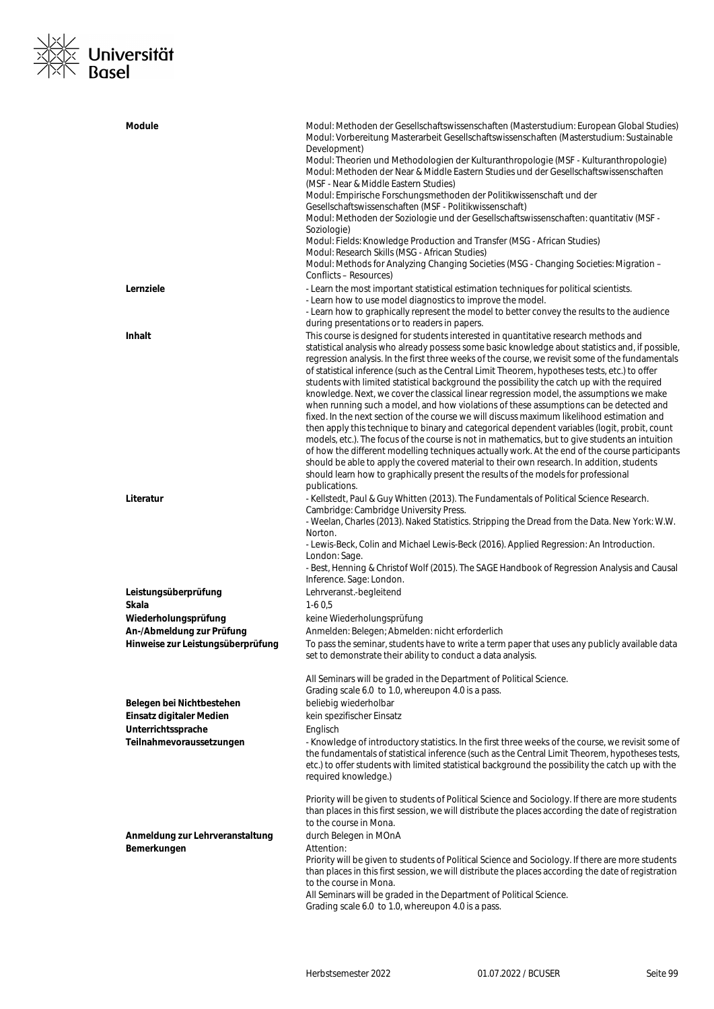## |<u>X|∕</u><br>|X|X **Universität**<br>|X|\ Basel  $\frac{1}{x}$

| Module                                                         | Modul: Methoden der Gesellschaftswissenschaften (Masterstudium: European Global Studies)<br>Modul: Vorbereitung Masterarbeit Gesellschaftswissenschaften (Masterstudium: Sustainable<br>Development)                                                                                                                                                                                                                                                                                                                                                                                                                                                                                                                                                                      |
|----------------------------------------------------------------|---------------------------------------------------------------------------------------------------------------------------------------------------------------------------------------------------------------------------------------------------------------------------------------------------------------------------------------------------------------------------------------------------------------------------------------------------------------------------------------------------------------------------------------------------------------------------------------------------------------------------------------------------------------------------------------------------------------------------------------------------------------------------|
|                                                                | Modul: Theorien und Methodologien der Kulturanthropologie (MSF - Kulturanthropologie)<br>Modul: Methoden der Near & Middle Eastern Studies und der Gesellschaftswissenschaften<br>(MSF - Near & Middle Eastern Studies)                                                                                                                                                                                                                                                                                                                                                                                                                                                                                                                                                   |
|                                                                | Modul: Empirische Forschungsmethoden der Politikwissenschaft und der<br>Gesellschaftswissenschaften (MSF - Politikwissenschaft)                                                                                                                                                                                                                                                                                                                                                                                                                                                                                                                                                                                                                                           |
|                                                                | Modul: Methoden der Soziologie und der Gesellschaftswissenschaften: quantitativ (MSF -<br>Soziologie)                                                                                                                                                                                                                                                                                                                                                                                                                                                                                                                                                                                                                                                                     |
|                                                                | Modul: Fields: Knowledge Production and Transfer (MSG - African Studies)<br>Modul: Research Skills (MSG - African Studies)                                                                                                                                                                                                                                                                                                                                                                                                                                                                                                                                                                                                                                                |
|                                                                | Modul: Methods for Analyzing Changing Societies (MSG - Changing Societies: Migration -<br>Conflicts – Resources)                                                                                                                                                                                                                                                                                                                                                                                                                                                                                                                                                                                                                                                          |
| Lernziele                                                      | - Learn the most important statistical estimation techniques for political scientists.<br>- Learn how to use model diagnostics to improve the model.<br>- Learn how to graphically represent the model to better convey the results to the audience                                                                                                                                                                                                                                                                                                                                                                                                                                                                                                                       |
| <b>Inhalt</b>                                                  | during presentations or to readers in papers.<br>This course is designed for students interested in quantitative research methods and                                                                                                                                                                                                                                                                                                                                                                                                                                                                                                                                                                                                                                     |
|                                                                | statistical analysis who already possess some basic knowledge about statistics and, if possible,<br>regression analysis. In the first three weeks of the course, we revisit some of the fundamentals<br>of statistical inference (such as the Central Limit Theorem, hypotheses tests, etc.) to offer<br>students with limited statistical background the possibility the catch up with the required                                                                                                                                                                                                                                                                                                                                                                      |
|                                                                | knowledge. Next, we cover the classical linear regression model, the assumptions we make<br>when running such a model, and how violations of these assumptions can be detected and<br>fixed. In the next section of the course we will discuss maximum likelihood estimation and<br>then apply this technique to binary and categorical dependent variables (logit, probit, count<br>models, etc.). The focus of the course is not in mathematics, but to give students an intuition<br>of how the different modelling techniques actually work. At the end of the course participants<br>should be able to apply the covered material to their own research. In addition, students<br>should learn how to graphically present the results of the models for professional |
| Literatur                                                      | publications.<br>- Kellstedt, Paul & Guy Whitten (2013). The Fundamentals of Political Science Research.<br>Cambridge: Cambridge University Press.<br>- Weelan, Charles (2013). Naked Statistics. Stripping the Dread from the Data. New York: W.W.                                                                                                                                                                                                                                                                                                                                                                                                                                                                                                                       |
|                                                                | Norton.<br>- Lewis-Beck, Colin and Michael Lewis-Beck (2016). Applied Regression: An Introduction.<br>London: Sage.<br>- Best, Henning & Christof Wolf (2015). The SAGE Handbook of Regression Analysis and Causal<br>Inference. Sage: London.                                                                                                                                                                                                                                                                                                                                                                                                                                                                                                                            |
| Leistungsüberprüfung                                           | Lehrveranst.-begleitend                                                                                                                                                                                                                                                                                                                                                                                                                                                                                                                                                                                                                                                                                                                                                   |
| Skala<br>Wiederholungsprüfung                                  | $1-60.5$<br>keine Wiederholungsprüfung                                                                                                                                                                                                                                                                                                                                                                                                                                                                                                                                                                                                                                                                                                                                    |
| An-/Abmeldung zur Prüfung<br>Hinweise zur Leistungsüberprüfung | Anmelden: Belegen; Abmelden: nicht erforderlich<br>To pass the seminar, students have to write a term paper that uses any publicly available data<br>set to demonstrate their ability to conduct a data analysis.                                                                                                                                                                                                                                                                                                                                                                                                                                                                                                                                                         |
| Belegen bei Nichtbestehen                                      | All Seminars will be graded in the Department of Political Science.<br>Grading scale 6.0 to 1.0, whereupon 4.0 is a pass.<br>beliebig wiederholbar                                                                                                                                                                                                                                                                                                                                                                                                                                                                                                                                                                                                                        |
| Einsatz digitaler Medien                                       | kein spezifischer Einsatz                                                                                                                                                                                                                                                                                                                                                                                                                                                                                                                                                                                                                                                                                                                                                 |
| Unterrichtssprache<br>Teilnahmevoraussetzungen                 | Englisch<br>- Knowledge of introductory statistics. In the first three weeks of the course, we revisit some of                                                                                                                                                                                                                                                                                                                                                                                                                                                                                                                                                                                                                                                            |
|                                                                | the fundamentals of statistical inference (such as the Central Limit Theorem, hypotheses tests,<br>etc.) to offer students with limited statistical background the possibility the catch up with the<br>required knowledge.)                                                                                                                                                                                                                                                                                                                                                                                                                                                                                                                                              |
|                                                                | Priority will be given to students of Political Science and Sociology. If there are more students<br>than places in this first session, we will distribute the places according the date of registration<br>to the course in Mona.                                                                                                                                                                                                                                                                                                                                                                                                                                                                                                                                        |
| Anmeldung zur Lehrveranstaltung<br>Bemerkungen                 | durch Belegen in MOnA<br>Attention:                                                                                                                                                                                                                                                                                                                                                                                                                                                                                                                                                                                                                                                                                                                                       |
|                                                                | Priority will be given to students of Political Science and Sociology. If there are more students<br>than places in this first session, we will distribute the places according the date of registration<br>to the course in Mona.<br>All Seminars will be graded in the Department of Political Science.                                                                                                                                                                                                                                                                                                                                                                                                                                                                 |
|                                                                | Grading scale 6.0 to 1.0, whereupon 4.0 is a pass.                                                                                                                                                                                                                                                                                                                                                                                                                                                                                                                                                                                                                                                                                                                        |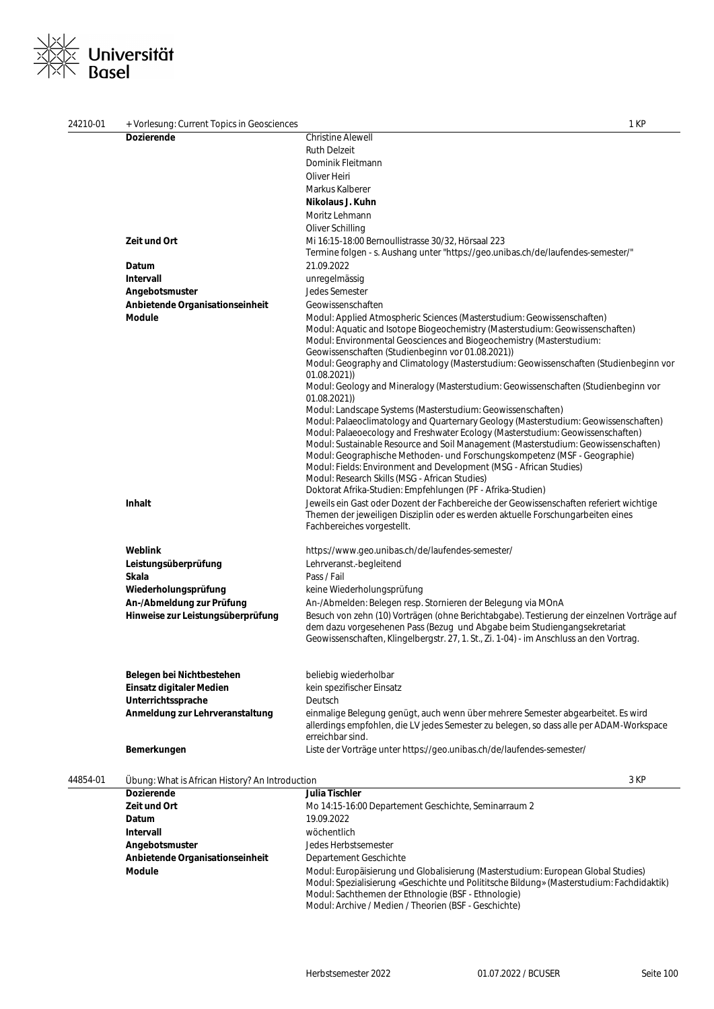# **Universität**<br>Basel

| 24210-01 | + Vorlesung: Current Topics in Geosciences      |                                                                                                                                                                                                            | 1 KP |
|----------|-------------------------------------------------|------------------------------------------------------------------------------------------------------------------------------------------------------------------------------------------------------------|------|
|          | <b>Dozierende</b>                               | <b>Christine Alewell</b>                                                                                                                                                                                   |      |
|          |                                                 | <b>Ruth Delzeit</b>                                                                                                                                                                                        |      |
|          |                                                 | Dominik Fleitmann                                                                                                                                                                                          |      |
|          |                                                 | Oliver Heiri                                                                                                                                                                                               |      |
|          |                                                 | Markus Kalberer                                                                                                                                                                                            |      |
|          |                                                 | Nikolaus J. Kuhn                                                                                                                                                                                           |      |
|          |                                                 | Moritz Lehmann                                                                                                                                                                                             |      |
|          |                                                 | Oliver Schilling                                                                                                                                                                                           |      |
|          | Zeit und Ort                                    | Mi 16:15-18:00 Bernoullistrasse 30/32, Hörsaal 223                                                                                                                                                         |      |
|          |                                                 | Termine folgen - s. Aushang unter "https://geo.unibas.ch/de/laufendes-semester/"                                                                                                                           |      |
|          | Datum                                           | 21.09.2022                                                                                                                                                                                                 |      |
|          | Intervall                                       | unregelmässig                                                                                                                                                                                              |      |
|          | Angebotsmuster                                  | <b>Jedes Semester</b>                                                                                                                                                                                      |      |
|          | Anbietende Organisationseinheit                 | Geowissenschaften                                                                                                                                                                                          |      |
|          | <b>Module</b>                                   | Modul: Applied Atmospheric Sciences (Masterstudium: Geowissenschaften)                                                                                                                                     |      |
|          |                                                 | Modul: Aquatic and Isotope Biogeochemistry (Masterstudium: Geowissenschaften)<br>Modul: Environmental Geosciences and Biogeochemistry (Masterstudium:<br>Geowissenschaften (Studienbeginn vor 01.08.2021)) |      |
|          |                                                 | Modul: Geography and Climatology (Masterstudium: Geowissenschaften (Studienbeginn vor<br>01.08.2021)                                                                                                       |      |
|          |                                                 | Modul: Geology and Mineralogy (Masterstudium: Geowissenschaften (Studienbeginn vor<br>01.08.2021)                                                                                                          |      |
|          |                                                 | Modul: Landscape Systems (Masterstudium: Geowissenschaften)                                                                                                                                                |      |
|          |                                                 | Modul: Palaeoclimatology and Quarternary Geology (Masterstudium: Geowissenschaften)                                                                                                                        |      |
|          |                                                 | Modul: Palaeoecology and Freshwater Ecology (Masterstudium: Geowissenschaften)                                                                                                                             |      |
|          |                                                 | Modul: Sustainable Resource and Soil Management (Masterstudium: Geowissenschaften)                                                                                                                         |      |
|          | Inhalt                                          | Modul: Geographische Methoden- und Forschungskompetenz (MSF - Geographie)                                                                                                                                  |      |
|          |                                                 | Modul: Fields: Environment and Development (MSG - African Studies)                                                                                                                                         |      |
|          |                                                 | Modul: Research Skills (MSG - African Studies)                                                                                                                                                             |      |
|          |                                                 | Doktorat Afrika-Studien: Empfehlungen (PF - Afrika-Studien)                                                                                                                                                |      |
|          |                                                 | Jeweils ein Gast oder Dozent der Fachbereiche der Geowissenschaften referiert wichtige<br>Themen der jeweiligen Disziplin oder es werden aktuelle Forschungarbeiten eines<br>Fachbereiches vorgestellt.    |      |
|          |                                                 |                                                                                                                                                                                                            |      |
|          | Weblink                                         | https://www.geo.unibas.ch/de/laufendes-semester/                                                                                                                                                           |      |
|          | Leistungsüberprüfung                            | Lehrveranst.-begleitend                                                                                                                                                                                    |      |
|          | Skala                                           | Pass / Fail                                                                                                                                                                                                |      |
|          | Wiederholungsprüfung                            | keine Wiederholungsprüfung                                                                                                                                                                                 |      |
|          | An-/Abmeldung zur Prüfung                       | An-/Abmelden: Belegen resp. Stornieren der Belegung via MOnA                                                                                                                                               |      |
|          | Hinweise zur Leistungsüberprüfung               | Besuch von zehn (10) Vorträgen (ohne Berichtabgabe). Testierung der einzelnen Vorträge auf                                                                                                                 |      |
|          |                                                 | dem dazu vorgesehenen Pass (Bezug und Abgabe beim Studiengangsekretariat<br>Geowissenschaften, Klingelbergstr. 27, 1. St., Zi. 1-04) - im Anschluss an den Vortrag.                                        |      |
|          | Belegen bei Nichtbestehen                       | beliebig wiederholbar                                                                                                                                                                                      |      |
|          | Einsatz digitaler Medien                        | kein spezifischer Einsatz                                                                                                                                                                                  |      |
|          | Unterrichtssprache                              | Deutsch                                                                                                                                                                                                    |      |
|          | Anmeldung zur Lehrveranstaltung                 | einmalige Belegung genügt, auch wenn über mehrere Semester abgearbeitet. Es wird<br>allerdings empfohlen, die LV jedes Semester zu belegen, so dass alle per ADAM-Workspace                                |      |
|          |                                                 | erreichbar sind.                                                                                                                                                                                           |      |
|          | Bemerkungen                                     | Liste der Vorträge unter https://geo.unibas.ch/de/laufendes-semester/                                                                                                                                      |      |
| 44854-01 | Übung: What is African History? An Introduction |                                                                                                                                                                                                            | 3 KP |
|          | <b>Dozierende</b>                               | <b>Julia Tischler</b>                                                                                                                                                                                      |      |
|          | Zeit und Ort                                    | Mo 14:15-16:00 Departement Geschichte, Seminarraum 2                                                                                                                                                       |      |
|          | Datum                                           | 19.09.2022                                                                                                                                                                                                 |      |
|          | <b>Intervall</b>                                | wöchentlich                                                                                                                                                                                                |      |
|          | Angebotsmuster                                  | Jedes Herbstsemester                                                                                                                                                                                       |      |
|          | Anbietende Organisationseinheit                 | Departement Geschichte                                                                                                                                                                                     |      |